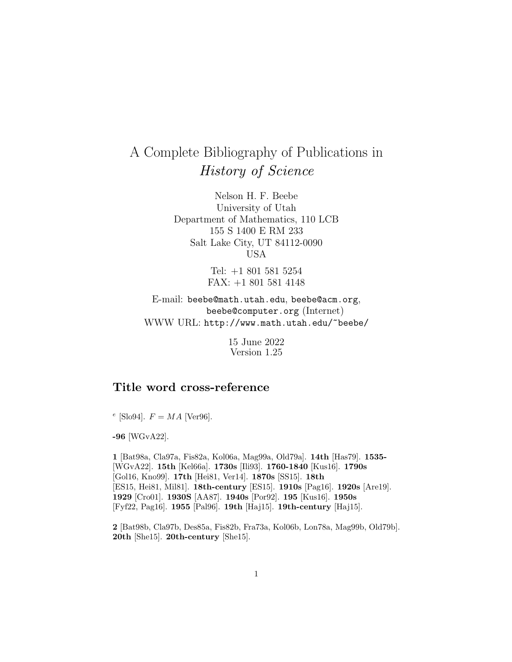## A Complete Bibliography of Publications in History of Science

Nelson H. F. Beebe University of Utah Department of Mathematics, 110 LCB 155 S 1400 E RM 233 Salt Lake City, UT 84112-0090 USA

> Tel: +1 801 581 5254 FAX: +1 801 581 4148

E-mail: beebe@math.utah.edu, beebe@acm.org, beebe@computer.org (Internet) WWW URL: http://www.math.utah.edu/~beebe/

> 15 June 2022 Version 1.25

## **Title word cross-reference**

<sup>e</sup> [Slo94].  $F = MA$  [Ver96].

**-96** [WGvA22].

**1** [Bat98a, Cla97a, Fis82a, Kol06a, Mag99a, Old79a]. **14th** [Has79]. **1535-** [WGvA22]. **15th** [Kel66a]. **1730s** [Ili93]. **1760-1840** [Kus16]. **1790s** [Gol16, Kno99]. **17th** [Hei81, Ver14]. **1870s** [SS15]. **18th** [ES15, Hei81, Mil81]. **18th-century** [ES15]. **1910s** [Pag16]. **1920s** [Are19]. **1929** [Cro01]. **1930S** [AA87]. **1940s** [Por92]. **195** [Kus16]. **1950s** [Fyf22, Pag16]. **1955** [Pal96]. **19th** [Haj15]. **19th-century** [Haj15].

**2** [Bat98b, Cla97b, Des85a, Fis82b, Fra73a, Kol06b, Lon78a, Mag99b, Old79b]. **20th** [She15]. **20th-century** [She15].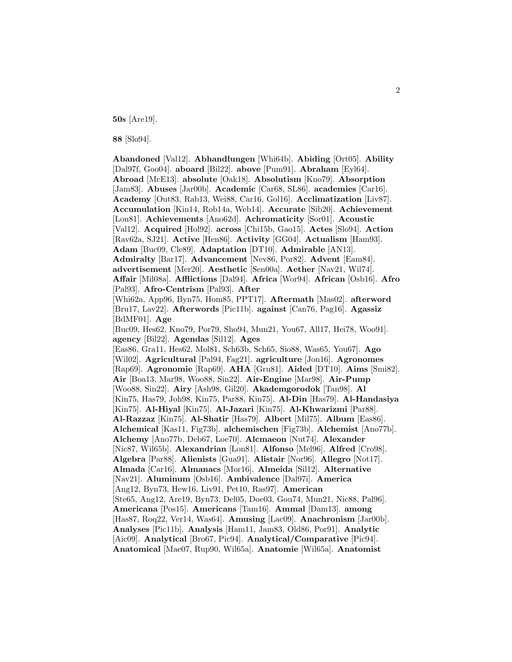**50s** [Are19].

**88** [Slo94].

**Abandoned** [Val12]. **Abhandlungen** [Whi64b]. **Abiding** [Ort05]. **Ability** [Dal97f, Goo04]. **aboard** [Bil22]. **above** [Pum91]. **Abraham** [Eyl64]. **Abroad** [McE13]. **absolute** [Oak18]. **Absolutism** [Kno79]. **Absorption** [Jam83]. **Abuses** [Jar00b]. **Academic** [Car68, SL86]. **academies** [Car16]. **Academy** [Out83, Rab13, Wei88, Car16, Gol16]. **Acclimatization** [Liv87]. **Accumulation** [Kin14, Rob14a, Web14]. **Accurate** [Sib20]. **Achievement** [Lon81]. **Achievements** [Ano62d]. **Achromaticity** [Sor01]. **Acoustic** [Val12]. **Acquired** [Hol92]. **across** [Chi15b, Gao15]. **Actes** [Slo94]. **Action** [Rav62a, SJ21]. **Active** [Hen86]. **Activity** [GG04]. **Actualism** [Ham93]. **Adam** [Buc09, Cle89]. **Adaptation** [DT10]. **Admirable** [AN13]. **Admiralty** [Bar17]. **Advancement** [Nev86, Por82]. **Advent** [Eam84]. **advertisement** [Mer20]. **Aesthetic** [Sen00a]. **Aether** [Nav21, Wil74]. **Affair** [Mil08a]. **Afflictions** [Dal94]. **Africa** [Wor94]. **African** [Osb16]. **Afro** [Pal93]. **Afro-Centrism** [Pal93]. **After** [Whi62a, App96, Byn75, Hom85, PPT17]. **Aftermath** [Mas02]. **afterword** [Bru17, Lav22]. **Afterwords** [Pic11b]. **against** [Can76, Pag16]. **Agassiz** [BdMF01]. **Age** [Buc09, Hes62, Kno79, Por79, Sho94, Mun21, You67, All17, Hei78, Woo91]. **agency** [Bil22]. **Agendas** [Sil12]. **Ages** [Eas86, Gra11, Hes62, Mol81, Sch63b, Sch65, Sio88, Was65, You67]. **Ago** [Wil02]. **Agricultural** [Pal94, Fag21]. **agriculture** [Jon16]. **Agronomes** [Rap69]. **Agronomie** [Rap69]. **AHA** [Gru81]. **Aided** [DT10]. **Aims** [Smi82]. **Air** [Boa13, Mar98, Woo88, Sin22]. **Air-Engine** [Mar98]. **Air-Pump** [Woo88, Sin22]. **Airy** [Ash98, Gil20]. **Akademgorodok** [Tan98]. **Al** [Kin75, Has79, Joh98, Kin75, Par88, Kin75]. **Al-Din** [Has79]. **Al-Handasiya** [Kin75]. **Al-Hiyal** [Kin75]. **Al-Jazari** [Kin75]. **Al-Khwarizmi** [Par88]. **Al-Razzaz** [Kin75]. **Al-Shatir** [Has79]. **Albert** [Mil75]. **Album** [Eas86]. **Alchemical** [Kas11, Fig73b]. **alchemischen** [Fig73b]. **Alchemist** [Ano77b]. **Alchemy** [Ano77b, Deb67, Loe70]. **Alcmaeon** [Nut74]. **Alexander** [Nic87, Wil65b]. **Alexandrian** [Lon81]. **Alfonso** [Mel96]. **Alfred** [Cro98]. **Algebra** [Par88]. **Alienists** [Gua91]. **Alistair** [Nor96]. **Allegro** [Not17]. **Almada** [Car16]. **Almanacs** [Mor16]. **Almeida** [Sil12]. **Alternative** [Nav21]. **Aluminum** [Osb16]. **Ambivalence** [Dal97i]. **America** [Ang12, Byn73, Hew16, Liv91, Pet10, Ras97]. **American** [Ste65, Ang12, Are19, Byn73, Del05, Doe03, Gou74, Mun21, Nic88, Pal96]. **Americana** [Pos15]. **Americans** [Tam16]. **Ammal** [Dam13]. **among** [Has87, Roq22, Ver14, Was64]. **Amusing** [Lac09]. **Anachronism** [Jar00b]. **Analyses** [Pic11b]. **Analysis** [Ham11, Jam83, Old86, Por91]. **Analytic** [Aic09]. **Analytical** [Bro67, Pic94]. **Analytical/Comparative** [Pic94]. **Anatomical** [Mae07, Rup90, Wil65a]. **Anatomie** [Wil65a]. **Anatomist**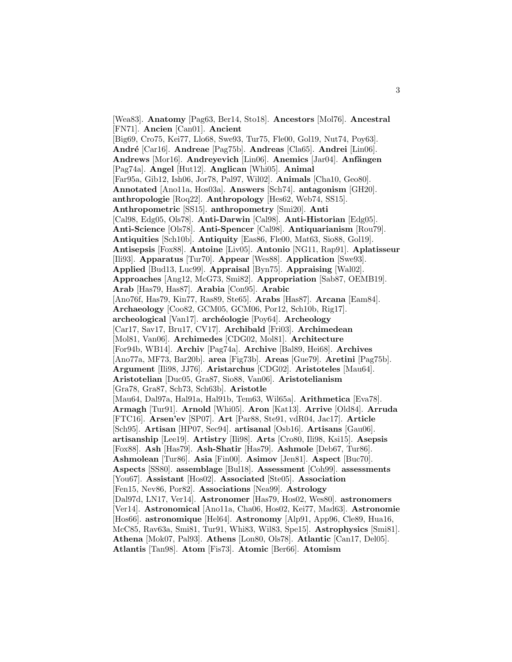[Wea83]. **Anatomy** [Pag63, Ber14, Sto18]. **Ancestors** [Mol76]. **Ancestral** [FN71]. **Ancien** [Can01]. **Ancient** [Big69, Cro75, Kei77, Llo68, Swe93, Tur75, Fle00, Gol19, Nut74, Poy63]. **Andr´e** [Car16]. **Andreae** [Pag75b]. **Andreas** [Cla65]. **Andrei** [Lin06]. **Andrews** [Mor16]. **Andreyevich** [Lin06]. **Anemics** [Jar04]. **Anfängen** [Pag74a]. **Angel** [Hut12]. **Anglican** [Whi05]. **Animal** [Far95a, Gib12, Ish06, Jor78, Pal97, Wil02]. **Animals** [Cha10, Geo80]. **Annotated** [Ano11a, Hos03a]. **Answers** [Sch74]. **antagonism** [GH20]. **anthropologie** [Roq22]. **Anthropology** [Hes62, Web74, SS15]. **Anthropometric** [SS15]. **anthropometry** [Smi20]. **Anti** [Cal98, Edg05, Ols78]. **Anti-Darwin** [Cal98]. **Anti-Historian** [Edg05]. **Anti-Science** [Ols78]. **Anti-Spencer** [Cal98]. **Antiquarianism** [Rou79]. **Antiquities** [Sch10b]. **Antiquity** [Eas86, Fle00, Mat63, Sio88, Gol19]. **Antisepsis** [Fox88]. **Antoine** [Liv05]. **Antonio** [NG11, Rap91]. **Aplatisseur** [Ili93]. **Apparatus** [Tur70]. **Appear** [Wes88]. **Application** [Swe93]. **Applied** [Bud13, Luc99]. **Appraisal** [Byn75]. **Appraising** [Wal02]. **Approaches** [Ang12, McG73, Smi82]. **Appropriation** [Sab87, OEMB19]. **Arab** [Has79, Has87]. **Arabia** [Con95]. **Arabic** [Ano76f, Has79, Kin77, Ras89, Ste65]. **Arabs** [Has87]. **Arcana** [Eam84]. **Archaeology** [Coo82, GCM05, GCM06, Por12, Sch10b, Rig17]. **archeological** [Van17]. **arch´eologie** [Poy64]. **Archeology** [Car17, Sav17, Bru17, CV17]. **Archibald** [Fri03]. **Archimedean** [Mol81, Van06]. **Archimedes** [CDG02, Mol81]. **Architecture** [For94b, WB14]. **Archiv** [Pag74a]. **Archive** [Bal89, Hei68]. **Archives** [Ano77a, MF73, Bar20b]. **area** [Fig73b]. **Areas** [Gue79]. **Aretini** [Pag75b]. **Argument** [Ili98, JJ76]. **Aristarchus** [CDG02]. **Aristoteles** [Mau64]. **Aristotelian** [Duc05, Gra87, Sio88, Van06]. **Aristotelianism** [Gra78, Gra87, Sch73, Sch63b]. **Aristotle** [Mau64, Dal97a, Hal91a, Hal91b, Tem63, Wil65a]. **Arithmetica** [Eva78]. **Armagh** [Tur91]. **Arnold** [Whi05]. **Aron** [Kat13]. **Arrive** [Old84]. **Arruda** [FTC16]. **Arsen'ev** [SP07]. **Art** [Par88, Ste91, vdR04, Jac17]. **Article** [Sch95]. **Artisan** [HP07, Sec94]. **artisanal** [Osb16]. **Artisans** [Gau06]. **artisanship** [Lee19]. **Artistry** [Ili98]. **Arts** [Cro80, Ili98, Ksi15]. **Asepsis** [Fox88]. **Ash** [Has79]. **Ash-Shatir** [Has79]. **Ashmole** [Deb67, Tur86]. **Ashmolean** [Tur86]. **Asia** [Fin00]. **Asimov** [Jen81]. **Aspect** [Buc70]. **Aspects** [SS80]. **assemblage** [Bul18]. **Assessment** [Coh99]. **assessments** [You67]. **Assistant** [Hos02]. **Associated** [Ste05]. **Association** [Fen15, Nev86, Por82]. **Associations** [Nea99]. **Astrology** [Dal97d, LN17, Ver14]. **Astronomer** [Has79, Hos02, Wes80]. **astronomers** [Ver14]. **Astronomical** [Ano11a, Cha06, Hos02, Kei77, Mad63]. **Astronomie** [Hos66]. **astronomique** [Hel64]. **Astronomy** [Alp91, App96, Cle89, Hua16, McC85, Rav63a, Smi81, Tur91, Whi83, Wil83, Spe15]. **Astrophysics** [Smi81]. **Athena** [Mok07, Pal93]. **Athens** [Lon80, Ols78]. **Atlantic** [Can17, Del05]. **Atlantis** [Tan98]. **Atom** [Fis73]. **Atomic** [Ber66]. **Atomism**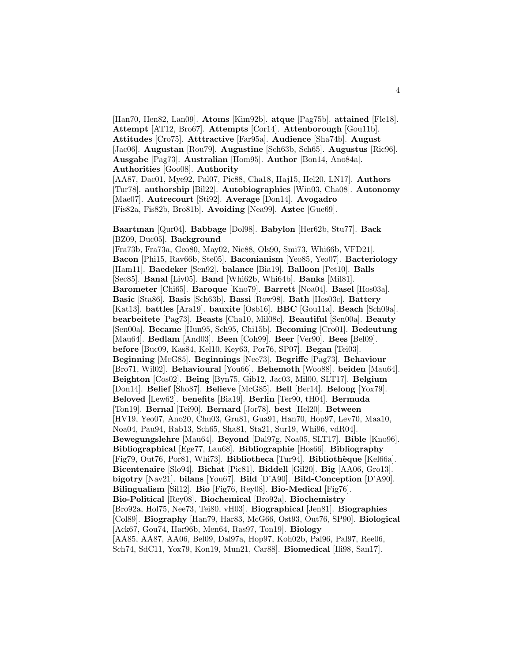[Han70, Hen82, Lan09]. **Atoms** [Kim92b]. **atque** [Pag75b]. **attained** [Fle18]. **Attempt** [AT12, Bro67]. **Attempts** [Cor14]. **Attenborough** [Gou11b]. **Attitudes** [Cro75]. **Atttractive** [Far95a]. **Audience** [Sha74b]. **August** [Jac06]. **Augustan** [Rou79]. **Augustine** [Sch63b, Sch65]. **Augustus** [Ric96]. **Ausgabe** [Pag73]. **Australian** [Hom95]. **Author** [Bon14, Ano84a]. **Authorities** [Goo08]. **Authority** [AA87, Dac01, Mye92, Pal07, Pic88, Cha18, Haj15, Hel20, LN17]. **Authors** [Tur78]. **authorship** [Bil22]. **Autobiographies** [Win03, Cha08]. **Autonomy** [Mae07]. **Autrecourt** [Sti92]. **Average** [Don14]. **Avogadro** [Fis82a, Fis82b, Bro81b]. **Avoiding** [Nea99]. **Aztec** [Gue69].

**Baartman** [Qur04]. **Babbage** [Dol98]. **Babylon** [Her62b, Stu77]. **Back** [BZ09, Duc05]. **Background**

[Fra73b, Fra73a, Geo80, May02, Nic88, Ols90, Smi73, Whi66b, VFD21]. **Bacon** [Phi15, Rav66b, Ste05]. **Baconianism** [Yeo85, Yeo07]. **Bacteriology** [Ham11]. **Baedeker** [Sen92]. **balance** [Bia19]. **Balloon** [Pet10]. **Balls** [Sec85]. **Banal** [Liv05]. **Band** [Whi62b, Whi64b]. **Banks** [Mil81]. **Barometer** [Chi65]. **Baroque** [Kno79]. **Barrett** [Noa04]. **Basel** [Hos03a]. **Basic** [Sta86]. **Basis** [Sch63b]. **Bassi** [Row98]. **Bath** [Hos03c]. **Battery** [Kat13]. **battles** [Ara19]. **bauxite** [Osb16]. **BBC** [Gou11a]. **Beach** [Sch09a]. **bearbeitete** [Pag73]. **Beasts** [Cha10, Mil08c]. **Beautiful** [Sen00a]. **Beauty** [Sen00a]. **Became** [Hun95, Sch95, Chi15b]. **Becoming** [Cro01]. **Bedeutung** [Mau64]. **Bedlam** [And03]. **Been** [Coh99]. **Beer** [Ver90]. **Bees** [Bel09]. **before** [Buc09, Kas84, Kel10, Key63, Por76, SP07]. **Began** [Tei03]. **Beginning** [McG85]. **Beginnings** [Nee73]. **Begriffe** [Pag73]. **Behaviour** [Bro71, Wil02]. **Behavioural** [You66]. **Behemoth** [Woo88]. **beiden** [Mau64]. **Beighton** [Cos02]. **Being** [Byn75, Gib12, Jac03, Mil00, SLT17]. **Belgium** [Don14]. **Belief** [Sho87]. **Believe** [McG85]. **Bell** [Ber14]. **Belong** [Yox79]. **Beloved** [Lew62]. **benefits** [Bia19]. **Berlin** [Ter90, tH04]. **Bermuda** [Ton19]. **Bernal** [Tei90]. **Bernard** [Jor78]. **best** [Hel20]. **Between** [HV19, Yeo07, Ano20, Chu03, Gru81, Gua91, Han70, Hop97, Lev70, Maa10, Noa04, Pau94, Rab13, Sch65, Sha81, Sta21, Sur19, Whi96, vdR04]. **Bewegungslehre** [Mau64]. **Beyond** [Dal97g, Noa05, SLT17]. **Bible** [Kno96]. **Bibliographical** [Ege77, Lau68]. **Bibliographie** [Hos66]. **Bibliography** [Fig79, Out76, Por81, Whi73]. **Bibliotheca** [Tur94]. **Biblioth`eque** [Kel66a]. **Bicentenaire** [Slo94]. **Bichat** [Pic81]. **Biddell** [Gil20]. **Big** [AA06, Gro13]. **bigotry** [Nav21]. **bilans** [You67]. **Bild** [D'A90]. **Bild-Conception** [D'A90]. **Bilingualism** [Sil12]. **Bio** [Fig76, Rey08]. **Bio-Medical** [Fig76]. **Bio-Political** [Rey08]. **Biochemical** [Bro92a]. **Biochemistry** [Bro92a, Hol75, Nee73, Tei80, vH03]. **Biographical** [Jen81]. **Biographies** [Col89]. **Biography** [Han79, Har83, McG66, Ost93, Out76, SP90]. **Biological** [Ack67, Gou74, Har96b, Men64, Ras97, Ton19]. **Biology** [AA85, AA87, AA06, Bel09, Dal97a, Hop97, Koh02b, Pal96, Pal97, Ree06, Sch74, SdC11, Yox79, Kon19, Mun21, Car88]. **Biomedical** [Ili98, San17].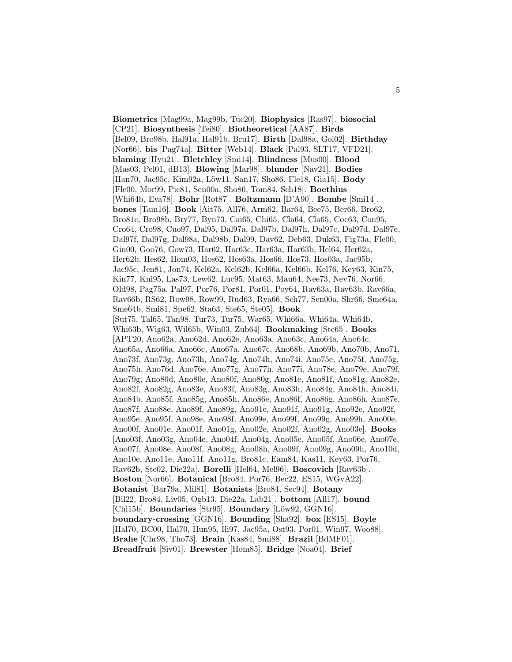**Biometrics** [Mag99a, Mag99b, Tuc20]. **Biophysics** [Ras97]. **biosocial** [CP21]. **Biosynthesis** [Tei80]. **Biotheoretical** [AA87]. **Birds** [Bel09, Bro98b, Hal91a, Hal91b, Bru17]. **Birth** [Dal98a, Gol02]. **Birthday** [Nor66]. **bis** [Pag74a]. **Bitter** [Web14]. **Black** [Pal93, SLT17, VFD21]. **blaming** [Hyu21]. **Bletchley** [Smi14]. **Blindness** [Mus00]. **Blood** [Mas03, Pel01, dB13]. **Blowing** [Mar98]. **blunder** [Nav21]. **Bodies** [Han70, Jac95c, Kim92a, L¨ow11, San17, Sho86, Fle18, Gia15]. **Body** [Fle00, Mor99, Pic81, Sen00a, Sho86, Tom84, Sch18]. **Boethius** [Whi64b, Eva78]. **Bohr** [Rot87]. **Boltzmann** [D'A90]. **Bombe** [Smi14]. **bones** [Tam16]. **Book** [Ait75, All76, Arm62, Bar64, Bee75, Ber66, Bro62, Bro81c, Bro98b, Bry77, Byn73, Cai65, Chi65, Cla64, Cla65, Coc63, Con95, Cro64, Cro98, Cuo97, Dal95, Dal97a, Dal97b, Dal97h, Dal97c, Dal97d, Dal97e, Dal97f, Dal97g, Dal98a, Dal98b, Dal99, Dav62, Deb63, Duk63, Fig73a, Fle00, Gin00, Goo76, Gow73, Har62, Har63c, Har63a, Har63b, Hel64, Her62a, Her62b, Hes62, Hom03, Hos62, Hos63a, Hos66, Hos73, Hos03a, Jac95b, Jac95c, Jen81, Jon74, Kel62a, Kel62b, Kel66a, Kel66b, Kel76, Key63, Kin75, Kin77, Kni95, Las73, Lew62, Luc95, Mat63, Mau64, Nee73, Nev76, Nor66, Old98, Pag75a, Pal97, Por76, Por81, Por01, Poy64, Rav63a, Rav63b, Rav66a, Rav66b, RS62, Row98, Row99, Rud63, Rya66, Sch77, Sen00a, Shr66, Sme64a, Sme64b, Smi81, Spe62, Sta63, Ste65, Ste05]. **Book** [Sut75, Tal65, Tan98, Tur73, Tur75, War65, Whi66a, Whi64a, Whi64b, Whi63b, Wig63, Wil65b, Win03, Zub64]. **Bookmaking** [Ste65]. **Books** [APT20, Ano62a, Ano62d, Ano62e, Ano63a, Ano63c, Ano64a, Ano64c, Ano65a, Ano66a, Ano66c, Ano67a, Ano67c, Ano68b, Ano69b, Ano70b, Ano71, Ano73f, Ano73g, Ano73h, Ano74g, Ano74h, Ano74i, Ano75e, Ano75f, Ano75g, Ano75h, Ano76d, Ano76e, Ano77g, Ano77h, Ano77i, Ano78e, Ano79e, Ano79f, Ano79g, Ano80d, Ano80e, Ano80f, Ano80g, Ano81e, Ano81f, Ano81g, Ano82e, Ano82f, Ano82g, Ano83e, Ano83f, Ano83g, Ano83h, Ano84g, Ano84h, Ano84i, Ano84b, Ano85f, Ano85g, Ano85h, Ano86e, Ano86f, Ano86g, Ano86h, Ano87e, Ano87f, Ano88e, Ano89f, Ano89g, Ano91e, Ano91f, Ano91g, Ano92e, Ano92f, Ano95e, Ano95f, Ano98e, Ano98f, Ano99e, Ano99f, Ano99g, Ano99h, Ano00e, Ano00f, Ano01e, Ano01f, Ano01g, Ano02e, Ano02f, Ano02g, Ano03e]. **Books** [Ano03f, Ano03g, Ano04e, Ano04f, Ano04g, Ano05e, Ano05f, Ano06e, Ano07e, Ano07f, Ano08e, Ano08f, Ano08g, Ano08h, Ano09f, Ano09g, Ano09h, Ano10d, Ano10e, Ano11e, Ano11f, Ano11g, Bro81c, Eam84, Kas11, Key63, Por76, Rav62b, Ste02, Die22a]. **Borelli** [Hel64, Mel96]. **Boscovich** [Rav63b]. **Boston** [Nor66]. **Botanical** [Bro84, Por76, Bec22, ES15, WGvA22]. **Botanist** [Bar79a, Mil81]. **Botanists** [Bro84, Sec94]. **Botany** [Bil22, Bro84, Liv05, Ogb13, Die22a, Lab21]. **bottom** [All17]. **bound** [Chi15b]. **Boundaries** [Str95]. **Boundary** [Löw92, GGN16]. **boundary-crossing** [GGN16]. **Bounding** [Sha92]. **box** [ES15]. **Boyle** [Hal70, BC00, Hal70, Hun95, Ili97, Jac95a, Ost93, Por01, Win97, Woo88]. **Brahe** [Chr98, Tho73]. **Brain** [Kas84, Smi88]. **Brazil** [BdMF01]. **Breadfruit** [Siv01]. **Brewster** [Hom85]. **Bridge** [Noa04]. **Brief**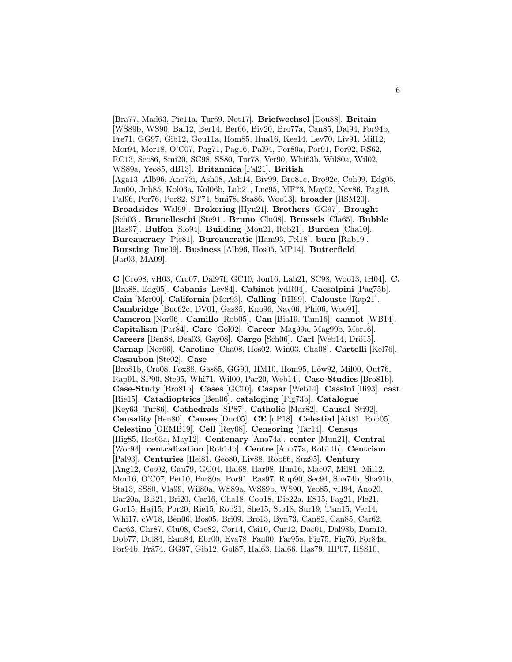[Bra77, Mad63, Pic11a, Tur69, Not17]. **Briefwechsel** [Dou88]. **Britain** [WS89b, WS90, Bal12, Ber14, Ber66, Biv20, Bro77a, Can85, Dal94, For94b, Fre71, GG97, Gib12, Gou11a, Hom85, Hua16, Kee14, Lev70, Liv91, Mil12, Mor94, Mor18, O'C07, Pag71, Pag16, Pal94, Por80a, Por91, Por92, RS62, RC13, Sec86, Smi20, SC98, SS80, Tur78, Ver90, Whi63b, Wil80a, Wil02, WS89a, Yeo85, dB13]. **Britannica** [Fal21]. **British** [Aga13, Alb96, Ano73i, Ash08, Ash14, Biv99, Bro81c, Bro92c, Coh99, Edg05, Jan00, Jub85, Kol06a, Kol06b, Lab21, Luc95, MF73, May02, Nev86, Pag16, Pal96, Por76, Por82, ST74, Smi78, Sta86, Woo13]. **broader** [RSM20]. **Broadsides** [Wal99]. **Brokering** [Hyu21]. **Brothers** [GG97]. **Brought** [Sch03]. **Brunelleschi** [Ste91]. **Bruno** [Clu08]. **Brussels** [Cla65]. **Bubble** [Ras97]. **Buffon** [Slo94]. **Building** [Mou21, Rob21]. **Burden** [Cha10]. **Bureaucracy** [Pic81]. **Bureaucratic** [Ham93, Fel18]. **burn** [Rab19]. **Bursting** [Buc09]. **Business** [Alb96, Hos05, MP14]. **Butterfield** [Jar03, MA09].

**C** [Cro98, vH03, Cro07, Dal97f, GC10, Jon16, Lab21, SC98, Woo13, tH04]. **C.** [Bra88, Edg05]. **Cabanis** [Lev84]. **Cabinet** [vdR04]. **Caesalpini** [Pag75b]. **Cain** [Mer00]. **California** [Mor93]. **Calling** [RH99]. **Calouste** [Rap21]. **Cambridge** [Buc62c, DV01, Gas85, Kno96, Nav06, Phi06, Woo91]. **Cameron** [Nor96]. **Camillo** [Rob05]. **Can** [Bia19, Tam16]. **cannot** [WB14]. **Capitalism** [Par84]. **Care** [Gol02]. **Career** [Mag99a, Mag99b, Mor16]. **Careers** [Ben88, Dea03, Gay08]. **Cargo** [Sch06]. **Carl** [Web14, Drö15]. **Carnap** [Nor66]. **Caroline** [Cha08, Hos02, Win03, Cha08]. **Cartelli** [Kel76]. **Casaubon** [Ste02]. **Case** [Bro81b, Cro08, Fox88, Gas85, GG90, HM10, Hom95, Löw92, Mil00, Out76, Rap91, SP90, Ste95, Whi71, Wil00, Par20, Web14]. **Case-Studies** [Bro81b]. **Case-Study** [Bro81b]. **Cases** [GC10]. **Caspar** [Web14]. **Cassini** [Ili93]. **cast** [Rie15]. **Catadioptrics** [Ben06]. **cataloging** [Fig73b]. **Catalogue** [Key63, Tur86]. **Cathedrals** [SP87]. **Catholic** [Mar82]. **Causal** [Sti92]. **Causality** [Hen80]. **Causes** [Duc05]. **CE** [dP18]. **Celestial** [Ait81, Rob05]. **Celestino** [OEMB19]. **Cell** [Rey08]. **Censoring** [Tar14]. **Census** [Hig85, Hos03a, May12]. **Centenary** [Ano74a]. **center** [Mun21]. **Central** [Wor94]. **centralization** [Rob14b]. **Centre** [Ano77a, Rob14b]. **Centrism** [Pal93]. **Centuries** [Hei81, Geo80, Liv88, Rob66, Suz95]. **Century** [Ang12, Cos02, Gau79, GG04, Hal68, Har98, Hua16, Mae07, Mil81, Mil12, Mor16, O'C07, Pet10, Por80a, Por91, Ras97, Rup90, Sec94, Sha74b, Sha91b, Sta13, SS80, Vla99, Wil80a, WS89a, WS89b, WS90, Yeo85, vH94, Ano20, Bar20a, BB21, Bri20, Car16, Cha18, Coo18, Die22a, ES15, Fag21, Fle21, Gor15, Haj15, Por20, Rie15, Rob21, She15, Sto18, Sur19, Tam15, Ver14, Whi17, cW18, Ben06, Bos05, Bri09, Bro13, Byn73, Can82, Can85, Car62, Car63, Chr87, Clu08, Coo82, Cor14, Csi10, Cur12, Dac01, Dal98b, Dam13, Dob77, Dol84, Eam84, Ebr00, Eva78, Fan00, Far95a, Fig75, Fig76, For84a, For94b, Frä74, GG97, Gib12, Gol87, Hal63, Hal66, Has79, HP07, HSS10,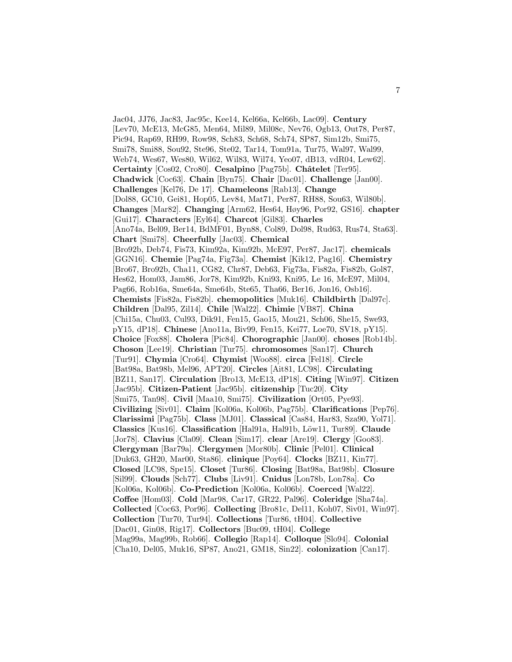Jac04, JJ76, Jac83, Jac95c, Kee14, Kel66a, Kel66b, Lac09]. **Century** [Lev70, McE13, McG85, Men64, Mil89, Mil08c, Nev76, Ogb13, Out78, Per87, Pic94, Rap69, RH99, Row98, Sch83, Sch68, Sch74, SP87, Sim12b, Smi75, Smi78, Smi88, Sou92, Ste96, Ste02, Tar14, Tom91a, Tur75, Wal97, Wal99, Web74, Wes67, Wes80, Wil62, Wil83, Wil74, Yeo07, dB13, vdR04, Lew62]. **Certainty** [Cos02, Cro80]. **Cesalpino** [Pag75b]. **Châtelet** [Ter95]. **Chadwick** [Coc63]. **Chain** [Byn75]. **Chair** [Dac01]. **Challenge** [Jan00]. **Challenges** [Kel76, De 17]. **Chameleons** [Rab13]. **Change** [Dol88, GC10, Gei81, Hop05, Lev84, Mat71, Per87, RH88, Sou63, Wil80b]. **Changes** [Mar82]. **Changing** [Arm62, Hes64, Høy96, Por92, GS16]. **chapter** [Gui17]. **Characters** [Eyl64]. **Charcot** [Gil83]. **Charles** [Ano74a, Bel09, Ber14, BdMF01, Byn88, Col89, Dol98, Rud63, Rus74, Sta63]. **Chart** [Smi78]. **Cheerfully** [Jac03]. **Chemical** [Bro92b, Deb74, Fis73, Kim92a, Kim92b, McE97, Per87, Jac17]. **chemicals** [GGN16]. **Chemie** [Pag74a, Fig73a]. **Chemist** [Kik12, Pag16]. **Chemistry** [Bro67, Bro92b, Cha11, CG82, Chr87, Deb63, Fig73a, Fis82a, Fis82b, Gol87, Hes62, Hom03, Jam86, Jor78, Kim92b, Kni93, Kni95, Le 16, McE97, Mil04, Pag66, Rob16a, Sme64a, Sme64b, Ste65, Tha66, Ber16, Jon16, Osb16]. **Chemists** [Fis82a, Fis82b]. **chemopolitics** [Muk16]. **Childbirth** [Dal97c]. **Children** [Dal95, Zil14]. **Chile** [Wal22]. **Chimie** [VB87]. **China** [Chi15a, Chu03, Cul93, Dik91, Fen15, Gao15, Mou21, Sch06, She15, Swe93, pY15, dP18]. **Chinese** [Ano11a, Biv99, Fen15, Kei77, Loe70, SV18, pY15]. **Choice** [Fox88]. **Cholera** [Pic84]. **Chorographic** [Jan00]. **choses** [Rob14b]. **Choson** [Lee19]. **Christian** [Tur75]. **chromosomes** [San17]. **Church** [Tur91]. **Chymia** [Cro64]. **Chymist** [Woo88]. **circa** [Fel18]. **Circle** [Bat98a, Bat98b, Mel96, APT20]. **Circles** [Ait81, LC98]. **Circulating** [BZ11, San17]. **Circulation** [Bro13, McE13, dP18]. **Citing** [Win97]. **Citizen** [Jac95b]. **Citizen-Patient** [Jac95b]. **citizenship** [Tuc20]. **City** [Smi75, Tan98]. **Civil** [Maa10, Smi75]. **Civilization** [Ort05, Pye93]. **Civilizing** [Siv01]. **Claim** [Kol06a, Kol06b, Pag75b]. **Clarifications** [Pep76]. **Clarissimi** [Pag75b]. **Class** [MJ01]. **Classical** [Cas84, Har83, Sza90, Yol71]. **Classics** [Kus16]. **Classification** [Hal91a, Hal91b, Löw11, Tur89]. **Claude** [Jor78]. **Clavius** [Cla09]. **Clean** [Sim17]. **clear** [Are19]. **Clergy** [Goo83]. **Clergyman** [Bar79a]. **Clergymen** [Mor80b]. **Clinic** [Pel01]. **Clinical** [Duk63, GH20, Mar00, Sta86]. **clinique** [Poy64]. **Clocks** [BZ11, Kin77]. **Closed** [LC98, Spe15]. **Closet** [Tur86]. **Closing** [Bat98a, Bat98b]. **Closure** [Sil99]. **Clouds** [Sch77]. **Clubs** [Liv91]. **Cnidus** [Lon78b, Lon78a]. **Co** [Kol06a, Kol06b]. **Co-Prediction** [Kol06a, Kol06b]. **Coerced** [Wal22]. **Coffee** [Hom03]. **Cold** [Mar98, Car17, GR22, Pal96]. **Coleridge** [Sha74a]. **Collected** [Coc63, Por96]. **Collecting** [Bro81c, Del11, Koh07, Siv01, Win97]. **Collection** [Tur70, Tur94]. **Collections** [Tur86, tH04]. **Collective** [Dac01, Gin08, Rig17]. **Collectors** [Buc09, tH04]. **College** [Mag99a, Mag99b, Rob66]. **Collegio** [Rap14]. **Colloque** [Slo94]. **Colonial** [Cha10, Del05, Muk16, SP87, Ano21, GM18, Sin22]. **colonization** [Can17].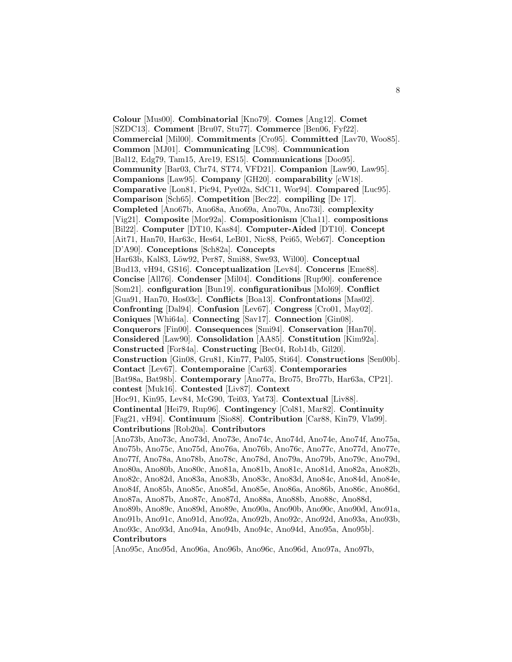**Colour** [Mus00]. **Combinatorial** [Kno79]. **Comes** [Ang12]. **Comet** [SZDC13]. **Comment** [Bru07, Stu77]. **Commerce** [Ben06, Fyf22]. **Commercial** [Mil00]. **Commitments** [Cro95]. **Committed** [Lav70, Woo85]. **Common** [MJ01]. **Communicating** [LC98]. **Communication** [Bal12, Edg79, Tam15, Are19, ES15]. **Communications** [Doo95]. **Community** [Bar03, Chr74, ST74, VFD21]. **Companion** [Law90, Law95]. **Companions** [Law95]. **Company** [GH20]. **comparability** [cW18]. **Comparative** [Lon81, Pic94, Pye02a, SdC11, Wor94]. **Compared** [Luc95]. **Comparison** [Sch65]. **Competition** [Bec22]. **compiling** [De 17]. **Completed** [Ano67b, Ano68a, Ano69a, Ano70a, Ano73i]. **complexity** [Vig21]. **Composite** [Mor92a]. **Compositionism** [Cha11]. **compositions** [Bil22]. **Computer** [DT10, Kas84]. **Computer-Aided** [DT10]. **Concept** [Ait71, Han70, Har63c, Hes64, LeB01, Nic88, Pei65, Web67]. **Conception** [D'A90]. **Conceptions** [Sch82a]. **Concepts** [Har63b, Kal83, L¨ow92, Per87, Smi88, Swe93, Wil00]. **Conceptual** [Bud13, vH94, GS16]. **Conceptualization** [Lev84]. **Concerns** [Eme88]. **Concise** [All76]. **Condenser** [Mil04]. **Conditions** [Rup90]. **conference** [Som21]. **configuration** [Bun19]. **configurationibus** [Mol69]. **Conflict** [Gua91, Han70, Hos03c]. **Conflicts** [Boa13]. **Confrontations** [Mas02]. **Confronting** [Dal94]. **Confusion** [Lev67]. **Congress** [Cro01, May02]. **Coniques** [Whi64a]. **Connecting** [Sav17]. **Connection** [Gin08]. **Conquerors** [Fin00]. **Consequences** [Smi94]. **Conservation** [Han70]. **Considered** [Law90]. **Consolidation** [AA85]. **Constitution** [Kim92a]. **Constructed** [For84a]. **Constructing** [Bec04, Rob14b, Gil20]. **Construction** [Gin08, Gru81, Kin77, Pal05, Sti64]. **Constructions** [Sen00b]. **Contact** [Lev67]. **Contemporaine** [Car63]. **Contemporaries** [Bat98a, Bat98b]. **Contemporary** [Ano77a, Bro75, Bro77b, Har63a, CP21]. **contest** [Muk16]. **Contested** [Liv87]. **Context** [Hoc91, Kin95, Lev84, McG90, Tei03, Yat73]. **Contextual** [Liv88]. **Continental** [Hei79, Rup96]. **Contingency** [Col81, Mar82]. **Continuity** [Fag21, vH94]. **Continuum** [Sio88]. **Contribution** [Car88, Kin79, Vla99]. **Contributions** [Rob20a]. **Contributors** [Ano73b, Ano73c, Ano73d, Ano73e, Ano74c, Ano74d, Ano74e, Ano74f, Ano75a, Ano75b, Ano75c, Ano75d, Ano76a, Ano76b, Ano76c, Ano77c, Ano77d, Ano77e, Ano77f, Ano78a, Ano78b, Ano78c, Ano78d, Ano79a, Ano79b, Ano79c, Ano79d, Ano80a, Ano80b, Ano80c, Ano81a, Ano81b, Ano81c, Ano81d, Ano82a, Ano82b, Ano82c, Ano82d, Ano83a, Ano83b, Ano83c, Ano83d, Ano84c, Ano84d, Ano84e, Ano84f, Ano85b, Ano85c, Ano85d, Ano85e, Ano86a, Ano86b, Ano86c, Ano86d, Ano87a, Ano87b, Ano87c, Ano87d, Ano88a, Ano88b, Ano88c, Ano88d, Ano89b, Ano89c, Ano89d, Ano89e, Ano90a, Ano90b, Ano90c, Ano90d, Ano91a, Ano91b, Ano91c, Ano91d, Ano92a, Ano92b, Ano92c, Ano92d, Ano93a, Ano93b, Ano93c, Ano93d, Ano94a, Ano94b, Ano94c, Ano94d, Ano95a, Ano95b]. **Contributors**

[Ano95c, Ano95d, Ano96a, Ano96b, Ano96c, Ano96d, Ano97a, Ano97b,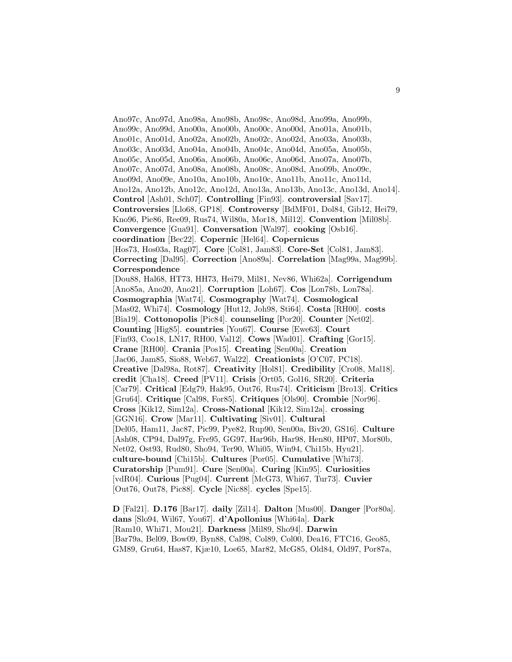Ano97c, Ano97d, Ano98a, Ano98b, Ano98c, Ano98d, Ano99a, Ano99b, Ano99c, Ano99d, Ano00a, Ano00b, Ano00c, Ano00d, Ano01a, Ano01b, Ano01c, Ano01d, Ano02a, Ano02b, Ano02c, Ano02d, Ano03a, Ano03b, Ano03c, Ano03d, Ano04a, Ano04b, Ano04c, Ano04d, Ano05a, Ano05b, Ano05c, Ano05d, Ano06a, Ano06b, Ano06c, Ano06d, Ano07a, Ano07b, Ano07c, Ano07d, Ano08a, Ano08b, Ano08c, Ano08d, Ano09b, Ano09c, Ano09d, Ano09e, Ano10a, Ano10b, Ano10c, Ano11b, Ano11c, Ano11d, Ano12a, Ano12b, Ano12c, Ano12d, Ano13a, Ano13b, Ano13c, Ano13d, Ano14]. **Control** [Ash01, Sch07]. **Controlling** [Fin93]. **controversial** [Sav17]. **Controversies** [Llo68, GP18]. **Controversy** [BdMF01, Dol84, Gib12, Hei79, Kno96, Pie86, Ree09, Rus74, Wil80a, Mor18, Mil12]. **Convention** [Mil08b]. **Convergence** [Gua91]. **Conversation** [Wal97]. **cooking** [Osb16]. **coordination** [Bec22]. **Copernic** [Hel64]. **Copernicus** [Hos73, Hos03a, Rag07]. **Core** [Col81, Jam83]. **Core-Set** [Col81, Jam83]. **Correcting** [Dal95]. **Correction** [Ano89a]. **Correlation** [Mag99a, Mag99b]. **Correspondence** [Dou88, Hal68, HT73, HH73, Hei79, Mil81, Nev86, Whi62a]. **Corrigendum** [Ano85a, Ano20, Ano21]. **Corruption** [Loh67]. **Cos** [Lon78b, Lon78a]. **Cosmographia** [Wat74]. **Cosmography** [Wat74]. **Cosmological** [Mas02, Whi74]. **Cosmology** [Hut12, Joh98, Sti64]. **Costa** [RH00]. **costs** [Bia19]. **Cottonopolis** [Pic84]. **counseling** [Por20]. **Counter** [Net02]. **Counting** [Hig85]. **countries** [You67]. **Course** [Ewe63]. **Court** [Fin93, Coo18, LN17, RH00, Val12]. **Cows** [Wad01]. **Crafting** [Gor15]. **Crane** [RH00]. **Crania** [Pos15]. **Creating** [Sen00a]. **Creation** [Jac06, Jam85, Sio88, Web67, Wal22]. **Creationists** [O'C07, PC18]. **Creative** [Dal98a, Rot87]. **Creativity** [Hol81]. **Credibility** [Cro08, Mal18]. **credit** [Cha18]. **Creed** [PV11]. **Crisis** [Ort05, Gol16, SR20]. **Criteria** [Car79]. **Critical** [Edg79, Hak95, Out76, Rus74]. **Criticism** [Bro13]. **Critics** [Gru64]. **Critique** [Cal98, For85]. **Critiques** [Ols90]. **Crombie** [Nor96]. **Cross** [Kik12, Sim12a]. **Cross-National** [Kik12, Sim12a]. **crossing** [GGN16]. **Crow** [Mar11]. **Cultivating** [Siv01]. **Cultural** [Del05, Ham11, Jac87, Pic99, Pye82, Rup90, Sen00a, Biv20, GS16]. **Culture** [Ash08, CP94, Dal97g, Fre95, GG97, Har96b, Har98, Hen80, HP07, Mor80b, Net02, Ost93, Rud80, Sho94, Ter90, Whi05, Win94, Chi15b, Hyu21]. **culture-bound** [Chi15b]. **Cultures** [Por05]. **Cumulative** [Whi73]. **Curatorship** [Pum91]. **Cure** [Sen00a]. **Curing** [Kin95]. **Curiosities** [vdR04]. **Curious** [Pug04]. **Current** [McG73, Whi67, Tur73]. **Cuvier** [Out76, Out78, Pic88]. **Cycle** [Nic88]. **cycles** [Spe15].

**D** [Fal21]. **D.176** [Bar17]. **daily** [Zil14]. **Dalton** [Mus00]. **Danger** [Por80a]. **dans** [Slo94, Wil67, You67]. **d'Apollonius** [Whi64a]. **Dark** [Ram10, Whi71, Mou21]. **Darkness** [Mil89, Sho94]. **Darwin** [Bar79a, Bel09, Bow09, Byn88, Cal98, Col89, Col00, Dea16, FTC16, Geo85, GM89, Gru64, Has87, Kjæ10, Loe65, Mar82, McG85, Old84, Old97, Por87a,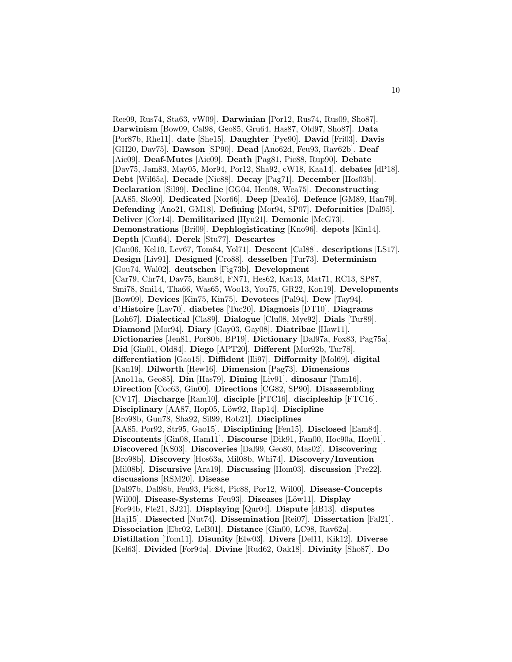Ree09, Rus74, Sta63, vW09]. **Darwinian** [Por12, Rus74, Rus09, Sho87]. **Darwinism** [Bow09, Cal98, Geo85, Gru64, Has87, Old97, Sho87]. **Data** [Por87b, Rhe11]. **date** [She15]. **Daughter** [Pye90]. **David** [Fri03]. **Davis** [GH20, Dav75]. **Dawson** [SP90]. **Dead** [Ano62d, Feu93, Rav62b]. **Deaf** [Aic09]. **Deaf-Mutes** [Aic09]. **Death** [Pag81, Pic88, Rup90]. **Debate** [Dav75, Jam83, May05, Mor94, Por12, Sha92, cW18, Kaa14]. **debates** [dP18]. **Debt** [Wil65a]. **Decade** [Nic88]. **Decay** [Pag71]. **December** [Hos03b]. **Declaration** [Sil99]. **Decline** [GG04, Hen08, Wea75]. **Deconstructing** [AA85, Slo90]. **Dedicated** [Nor66]. **Deep** [Dea16]. **Defence** [GM89, Han79]. **Defending** [Ano21, GM18]. **Defining** [Mor94, SP07]. **Deformities** [Dal95]. **Deliver** [Cor14]. **Demilitarized** [Hyu21]. **Demonic** [McG73]. **Demonstrations** [Bri09]. **Dephlogisticating** [Kno96]. **depots** [Kin14]. **Depth** [Can64]. **Derek** [Stu77]. **Descartes** [Gau06, Kel10, Lev67, Tom84, Yol71]. **Descent** [Cal88]. **descriptions** [LS17]. **Design** [Liv91]. **Designed** [Cro88]. **desselben** [Tur73]. **Determinism** [Gou74, Wal02]. **deutschen** [Fig73b]. **Development** [Car79, Chr74, Dav75, Eam84, FN71, Hes62, Kat13, Mat71, RC13, SP87, Smi78, Smi14, Tha66, Was65, Woo13, You75, GR22, Kon19]. **Developments** [Bow09]. **Devices** [Kin75, Kin75]. **Devotees** [Pal94]. **Dew** [Tay94]. **d'Histoire** [Lav70]. **diabetes** [Tuc20]. **Diagnosis** [DT10]. **Diagrams** [Loh67]. **Dialectical** [Cla89]. **Dialogue** [Clu08, Mye92]. **Dials** [Tur89]. **Diamond** [Mor94]. **Diary** [Gay03, Gay08]. **Diatribae** [Haw11]. **Dictionaries** [Jen81, Por80b, BP19]. **Dictionary** [Dal97a, Fox83, Pag75a]. **Did** [Gin01, Old84]. **Diego** [APT20]. **Different** [Mor92b, Tur78]. **differentiation** [Gao15]. **Diffident** [Ili97]. **Difformity** [Mol69]. **digital** [Kan19]. **Dilworth** [Hew16]. **Dimension** [Pag73]. **Dimensions** [Ano11a, Geo85]. **Din** [Has79]. **Dining** [Liv91]. **dinosaur** [Tam16]. **Direction** [Coc63, Gin00]. **Directions** [CG82, SP90]. **Disassembling** [CV17]. **Discharge** [Ram10]. **disciple** [FTC16]. **discipleship** [FTC16]. **Disciplinary** [AA87, Hop05, L¨ow92, Rap14]. **Discipline** [Bro98b, Gun78, Sha92, Sil99, Rob21]. **Disciplines** [AA85, Por92, Str95, Gao15]. **Disciplining** [Fen15]. **Disclosed** [Eam84]. **Discontents** [Gin08, Ham11]. **Discourse** [Dik91, Fan00, Hoc90a, Hoy01]. **Discovered** [KS03]. **Discoveries** [Dal99, Geo80, Mas02]. **Discovering** [Bro98b]. **Discovery** [Hos63a, Mil08b, Whi74]. **Discovery/Invention** [Mil08b]. **Discursive** [Ara19]. **Discussing** [Hom03]. **discussion** [Pre22]. **discussions** [RSM20]. **Disease** [Dal97b, Dal98b, Feu93, Pic84, Pic88, Por12, Wil00]. **Disease-Concepts** [Wil00]. **Disease-Systems** [Feu93]. **Diseases** [Löw11]. **Display** [For94b, Fle21, SJ21]. **Displaying** [Qur04]. **Dispute** [dB13]. **disputes** [Haj15]. **Dissected** [Nut74]. **Dissemination** [Rei07]. **Dissertation** [Fal21]. **Dissociation** [Ebr02, LeB01]. **Distance** [Gin00, LC98, Rav62a]. **Distillation** [Tom11]. **Disunity** [Elw03]. **Divers** [Del11, Kik12]. **Diverse** [Kel63]. **Divided** [For94a]. **Divine** [Rud62, Oak18]. **Divinity** [Sho87]. **Do**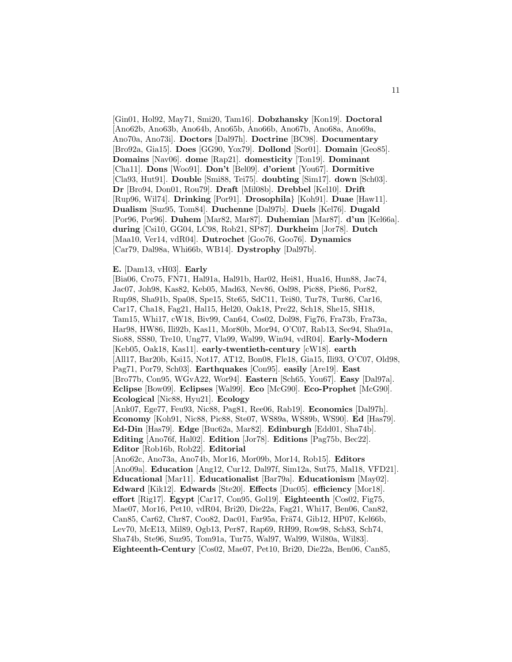[Gin01, Hol92, May71, Smi20, Tam16]. **Dobzhansky** [Kon19]. **Doctoral** [Ano62b, Ano63b, Ano64b, Ano65b, Ano66b, Ano67b, Ano68a, Ano69a, Ano70a, Ano73i]. **Doctors** [Dal97h]. **Doctrine** [BC98]. **Documentary** [Bro92a, Gia15]. **Does** [GG90, Yox79]. **Dollond** [Sor01]. **Domain** [Geo85]. **Domains** [Nav06]. **dome** [Rap21]. **domesticity** [Ton19]. **Dominant** [Cha11]. **Dons** [Woo91]. **Don't** [Bel09]. **d'orient** [You67]. **Dormitive** [Cla93, Hut91]. **Double** [Smi88, Tei75]. **doubting** [Sim17]. **down** [Sch03]. **Dr** [Bro94, Don01, Rou79]. **Draft** [Mil08b]. **Drebbel** [Kel10]. **Drift** [Rup96, Wil74]. **Drinking** [Por91]. **Drosophila**} [Koh91]. **Duae** [Haw11]. **Dualism** [Suz95, Tom84]. **Duchenne** [Dal97b]. **Duels** [Kel76]. **Dugald** [Por96, Por96]. **Duhem** [Mar82, Mar87]. **Duhemian** [Mar87]. **d'un** [Kel66a]. **during** [Csi10, GG04, LC98, Rob21, SP87]. **Durkheim** [Jor78]. **Dutch** [Maa10, Ver14, vdR04]. **Dutrochet** [Goo76, Goo76]. **Dynamics** [Car79, Dal98a, Whi66b, WB14]. **Dystrophy** [Dal97b].

## **E.** [Dam13, vH03]. **Early**

[Bia06, Cro75, FN71, Hal91a, Hal91b, Har02, Hei81, Hua16, Hun88, Jac74, Jac07, Joh98, Kas82, Keb05, Mad63, Nev86, Osl98, Pic88, Pie86, Por82, Rup98, Sha91b, Spa08, Spe15, Ste65, SdC11, Tei80, Tur78, Tur86, Car16, Car17, Cha18, Fag21, Hal15, Hel20, Oak18, Pre22, Sch18, She15, SH18, Tam15, Whi17, cW18, Biv99, Can64, Cos02, Dol98, Fig76, Fra73b, Fra73a, Har98, HW86, Ili92b, Kas11, Mor80b, Mor94, O'C07, Rab13, Sec94, Sha91a, Sio88, SS80, Tre10, Ung77, Vla99, Wal99, Win94, vdR04]. **Early-Modern** [Keb05, Oak18, Kas11]. **early-twentieth-century** [cW18]. **earth** [All17, Bar20b, Ksi15, Not17, AT12, Bon08, Fle18, Gia15, Ili93, O'C07, Old98, Pag71, Por79, Sch03]. **Earthquakes** [Con95]. **easily** [Are19]. **East** [Bro77b, Con95, WGvA22, Wor94]. **Eastern** [Sch65, You67]. **Easy** [Dal97a]. **Eclipse** [Bow09]. **Eclipses** [Wal99]. **Eco** [McG90]. **Eco-Prophet** [McG90]. **Ecological** [Nic88, Hyu21]. **Ecology** [Ank07, Ege77, Feu93, Nic88, Pag81, Ree06, Rab19]. **Economics** [Dal97h]. **Economy** [Koh91, Nic88, Pic88, Ste07, WS89a, WS89b, WS90]. **Ed** [Has79]. **Ed-Din** [Has79]. **Edge** [Buc62a, Mar82]. **Edinburgh** [Edd01, Sha74b]. **Editing** [Ano76f, Hal02]. **Edition** [Jor78]. **Editions** [Pag75b, Bec22]. **Editor** [Rob16b, Rob22]. **Editorial** [Ano62c, Ano73a, Ano74b, Mor16, Mor09b, Mor14, Rob15]. **Editors** [Ano09a]. **Education** [Ang12, Cur12, Dal97f, Sim12a, Sut75, Mal18, VFD21]. **Educational** [Mar11]. **Educationalist** [Bar79a]. **Educationism** [May02]. **Edward** [Kik12]. **Edwards** [Ste20]. **Effects** [Duc05]. **efficiency** [Mor18]. **effort** [Rig17]. **Egypt** [Car17, Con95, Gol19]. **Eighteenth** [Cos02, Fig75, Mae07, Mor16, Pet10, vdR04, Bri20, Die22a, Fag21, Whi17, Ben06, Can82, Can85, Car62, Chr87, Coo82, Dac01, Far95a, Frä74, Gib12, HP07, Kel66b, Lev70, McE13, Mil89, Ogb13, Per87, Rap69, RH99, Row98, Sch83, Sch74, Sha74b, Ste96, Suz95, Tom91a, Tur75, Wal97, Wal99, Wil80a, Wil83]. **Eighteenth-Century** [Cos02, Mae07, Pet10, Bri20, Die22a, Ben06, Can85,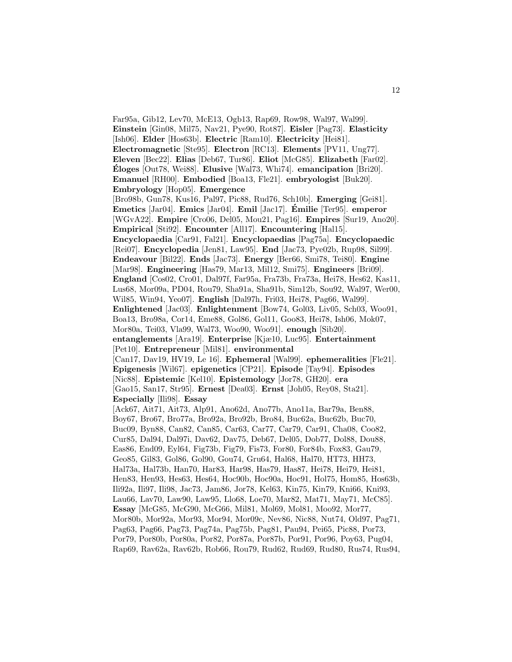Far95a, Gib12, Lev70, McE13, Ogb13, Rap69, Row98, Wal97, Wal99]. **Einstein** [Gin08, Mil75, Nav21, Pye90, Rot87]. **Eisler** [Pag73]. **Elasticity** [Ish06]. **Elder** [Hos63b]. **Electric** [Ram10]. **Electricity** [Hei81]. **Electromagnetic** [Ste95]. **Electron** [RC13]. **Elements** [PV11, Ung77]. **Eleven** [Bec22]. **Elias** [Deb67, Tur86]. **Eliot** [McG85]. **Elizabeth** [Far02]. **Eloges ´** [Out78, Wei88]. **Elusive** [Wal73, Whi74]. **emancipation** [Bri20]. **Emanuel** [RH00]. **Embodied** [Boa13, Fle21]. **embryologist** [Buk20]. **Embryology** [Hop05]. **Emergence** [Bro98b, Gun78, Kus16, Pal97, Pic88, Rud76, Sch10b]. **Emerging** [Gei81]. **Emetics** [Jar04]. **Emics** [Jar04]. **Emil** [Jac17]. **Emilie ´** [Ter95]. **emperor** [WGvA22]. **Empire** [Cro06, Del05, Mou21, Pag16]. **Empires** [Sur19, Ano20]. **Empirical** [Sti92]. **Encounter** [All17]. **Encountering** [Hal15]. **Encyclopaedia** [Car91, Fal21]. **Encyclopaedias** [Pag75a]. **Encyclopaedic** [Rei07]. **Encyclopedia** [Jen81, Law95]. **End** [Jac73, Pye02b, Rup98, Sil99]. **Endeavour** [Bil22]. **Ends** [Jac73]. **Energy** [Ber66, Smi78, Tei80]. **Engine** [Mar98]. **Engineering** [Has79, Mar13, Mil12, Smi75]. **Engineers** [Bri09]. **England** [Cos02, Cro01, Dal97f, Far95a, Fra73b, Fra73a, Hei78, Hes62, Kas11, Lus68, Mor09a, PD04, Rou79, Sha91a, Sha91b, Sim12b, Sou92, Wal97, Wer00, Wil85, Win94, Yeo07]. **English** [Dal97h, Fri03, Hei78, Pag66, Wal99]. **Enlightened** [Jac03]. **Enlightenment** [Bow74, Gol03, Liv05, Sch03, Woo91, Boa13, Bro98a, Cor14, Eme88, Gol86, Gol11, Goo83, Hei78, Ish06, Mok07, Mor80a, Tei03, Vla99, Wal73, Woo90, Woo91]. **enough** [Sib20]. **entanglements** [Ara19]. **Enterprise** [Kjæ10, Luc95]. **Entertainment** [Pet10]. **Entrepreneur** [Mil81]. **environmental** [Can17, Dav19, HV19, Le 16]. **Ephemeral** [Wal99]. **ephemeralities** [Fle21]. **Epigenesis** [Wil67]. **epigenetics** [CP21]. **Episode** [Tay94]. **Episodes** [Nic88]. **Epistemic** [Kel10]. **Epistemology** [Jor78, GH20]. **era** [Gao15, San17, Str95]. **Ernest** [Dea03]. **Ernst** [Joh05, Rey08, Sta21]. **Especially** [Ili98]. **Essay** [Ack67, Ait71, Ait73, Alp91, Ano62d, Ano77b, Ano11a, Bar79a, Ben88, Boy67, Bro67, Bro77a, Bro92a, Bro92b, Bro84, Buc62a, Buc62b, Buc70, Buc09, Byn88, Can82, Can85, Car63, Car77, Car79, Car91, Cha08, Coo82, Cur85, Dal94, Dal97i, Dav62, Dav75, Deb67, Del05, Dob77, Dol88, Dou88, Eas86, End09, Eyl64, Fig73b, Fig79, Fis73, For80, For84b, Fox83, Gau79, Geo85, Gil83, Gol86, Gol90, Gou74, Gru64, Hal68, Hal70, HT73, HH73, Hal73a, Hal73b, Han70, Har83, Har98, Has79, Has87, Hei78, Hei79, Hei81, Hen83, Hen93, Hes63, Hes64, Hoc90b, Hoc90a, Hoc91, Hol75, Hom85, Hos63b, Ili92a, Ili97, Ili98, Jac73, Jam86, Jor78, Kel63, Kin75, Kin79, Kni66, Kni93, Lau66, Lav70, Law90, Law95, Llo68, Loe70, Mar82, Mat71, May71, McC85]. **Essay** [McG85, McG90, McG66, Mil81, Mol69, Mol81, Moo92, Mor77, Mor80b, Mor92a, Mor93, Mor94, Mor09c, Nev86, Nic88, Nut74, Old97, Pag71, Pag63, Pag66, Pag73, Pag74a, Pag75b, Pag81, Pau94, Pei65, Pic88, Por73, Por79, Por80b, Por80a, Por82, Por87a, Por87b, Por91, Por96, Poy63, Pug04, Rap69, Rav62a, Rav62b, Rob66, Rou79, Rud62, Rud69, Rud80, Rus74, Rus94,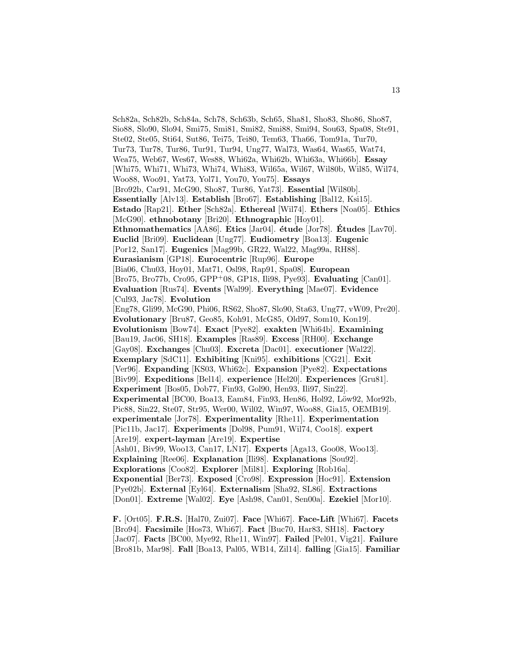Sch82a, Sch82b, Sch84a, Sch78, Sch63b, Sch65, Sha81, Sho83, Sho86, Sho87, Sio88, Slo90, Slo94, Smi75, Smi81, Smi82, Smi88, Smi94, Sou63, Spa08, Ste91, Ste02, Ste05, Sti64, Sut86, Tei75, Tei80, Tem63, Tha66, Tom91a, Tur70, Tur73, Tur78, Tur86, Tur91, Tur94, Ung77, Wal73, Was64, Was65, Wat74, Wea75, Web67, Wes67, Wes88, Whi62a, Whi62b, Whi63a, Whi66b]. **Essay** [Whi75, Whi71, Whi73, Whi74, Whi83, Wil65a, Wil67, Wil80b, Wil85, Wil74, Woo88, Woo91, Yat73, Yol71, You70, You75]. **Essays** [Bro92b, Car91, McG90, Sho87, Tur86, Yat73]. **Essential** [Wil80b]. **Essentially** [Alv13]. **Establish** [Bro67]. **Establishing** [Bal12, Ksi15]. **Estado** [Rap21]. **Ether** [Sch82a]. **Ethereal** [Wil74]. **Ethers** [Noa05]. **Ethics** [McG90]. **ethnobotany** [Bri20]. **Ethnographic** [Hoy01]. **Ethnomathematics** [AA86]. **Etics** [Jar04]. **´etude** [Jor78]. **Etudes ´** [Lav70]. **Euclid** [Bri09]. **Euclidean** [Ung77]. **Eudiometry** [Boa13]. **Eugenic** [Por12, San17]. **Eugenics** [Mag99b, GR22, Wal22, Mag99a, RH88]. **Eurasianism** [GP18]. **Eurocentric** [Rup96]. **Europe** [Bia06, Chu03, Hoy01, Mat71, Osl98, Rap91, Spa08]. **European** [Bro75, Bro77b, Cro95, GPP<sup>+</sup>08, GP18, Ili98, Pye93]. **Evaluating** [Can01]. **Evaluation** [Rus74]. **Events** [Wal99]. **Everything** [Mae07]. **Evidence** [Cul93, Jac78]. **Evolution** [Eng78, Gli99, McG90, Phi06, RS62, Sho87, Slo90, Sta63, Ung77, vW09, Pre20]. **Evolutionary** [Bru87, Geo85, Koh91, McG85, Old97, Som10, Kon19]. **Evolutionism** [Bow74]. **Exact** [Pye82]. **exakten** [Whi64b]. **Examining** [Bau19, Jac06, SH18]. **Examples** [Ras89]. **Excess** [RH00]. **Exchange** [Gay08]. **Exchanges** [Chu03]. **Excreta** [Dac01]. **executioner** [Wal22]. **Exemplary** [SdC11]. **Exhibiting** [Kni95]. **exhibitions** [CG21]. **Exit** [Ver96]. **Expanding** [KS03, Whi62c]. **Expansion** [Pye82]. **Expectations** [Biv99]. **Expeditions** [Bel14]. **experience** [Hel20]. **Experiences** [Gru81]. **Experiment** [Bos05, Dob77, Fin93, Gol90, Hen93, Ili97, Sin22]. **Experimental** [BC00, Boa13, Eam84, Fin93, Hen86, Hol92, Löw92, Mor92b, Pic88, Sin22, Ste07, Str95, Wer00, Wil02, Win97, Woo88, Gia15, OEMB19]. **experimentale** [Jor78]. **Experimentality** [Rhe11]. **Experimentation** [Pic11b, Jac17]. **Experiments** [Dol98, Pum91, Wil74, Coo18]. **expert** [Are19]. **expert-layman** [Are19]. **Expertise** [Ash01, Biv99, Woo13, Can17, LN17]. **Experts** [Aga13, Goo08, Woo13]. **Explaining** [Ree06]. **Explanation** [Ili98]. **Explanations** [Sou92]. **Explorations** [Coo82]. **Explorer** [Mil81]. **Exploring** [Rob16a]. **Exponential** [Ber73]. **Exposed** [Cro98]. **Expression** [Hoc91]. **Extension** [Pye02b]. **External** [Eyl64]. **Externalism** [Sha92, SL86]. **Extractions** [Don01]. **Extreme** [Wal02]. **Eye** [Ash98, Can01, Sen00a]. **Ezekiel** [Mor10].

**F.** [Ort05]. **F.R.S.** [Hal70, Zui07]. **Face** [Whi67]. **Face-Lift** [Whi67]. **Facets** [Bro94]. **Facsimile** [Hos73, Whi67]. **Fact** [Buc70, Har83, SH18]. **Factory** [Jac07]. **Facts** [BC00, Mye92, Rhe11, Win97]. **Failed** [Pel01, Vig21]. **Failure** [Bro81b, Mar98]. **Fall** [Boa13, Pal05, WB14, Zil14]. **falling** [Gia15]. **Familiar**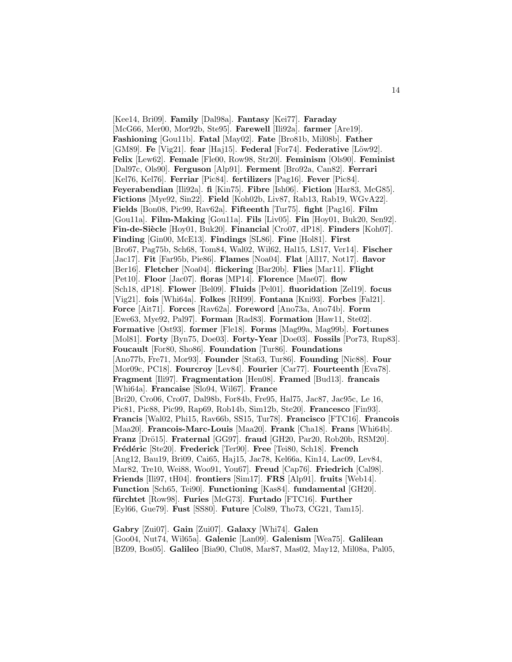[Kee14, Bri09]. **Family** [Dal98a]. **Fantasy** [Kei77]. **Faraday** [McG66, Mer00, Mor92b, Ste95]. **Farewell** [Ili92a]. **farmer** [Are19]. **Fashioning** [Gou11b]. **Fatal** [May02]. **Fate** [Bro81b, Mil08b]. **Father** [GM89]. **Fe** [Vig21]. **fear** [Haj15]. **Federal** [For74]. **Federative** [Löw92]. **Felix** [Lew62]. **Female** [Fle00, Row98, Str20]. **Feminism** [Ols90]. **Feminist** [Dal97c, Ols90]. **Ferguson** [Alp91]. **Ferment** [Bro92a, Can82]. **Ferrari** [Kel76, Kel76]. **Ferriar** [Pic84]. **fertilizers** [Pag16]. **Fever** [Pic84]. **Feyerabendian** [Ili92a]. **fi** [Kin75]. **Fibre** [Ish06]. **Fiction** [Har83, McG85]. **Fictions** [Mye92, Sin22]. **Field** [Koh02b, Liv87, Rab13, Rab19, WGvA22]. **Fields** [Bon08, Pic99, Rav62a]. **Fifteenth** [Tur75]. **fight** [Pag16]. **Film** [Gou11a]. **Film-Making** [Gou11a]. **Fils** [Liv05]. **Fin** [Hoy01, Buk20, Sen92]. **Fin-de-Si`ecle** [Hoy01, Buk20]. **Financial** [Cro07, dP18]. **Finders** [Koh07]. **Finding** [Gin00, McE13]. **Findings** [SL86]. **Fine** [Hol81]. **First** [Bro67, Pag75b, Sch68, Tom84, Wal02, Wil62, Hal15, LS17, Ver14]. **Fischer** [Jac17]. **Fit** [Far95b, Pie86]. **Flames** [Noa04]. **Flat** [All17, Not17]. **flavor** [Ber16]. **Fletcher** [Noa04]. **flickering** [Bar20b]. **Flies** [Mar11]. **Flight** [Pet10]. **Floor** [Jac07]. **floras** [MP14]. **Florence** [Mae07]. **flow** [Sch18, dP18]. **Flower** [Bel09]. **Fluids** [Pel01]. **fluoridation** [Zel19]. **focus** [Vig21]. **fois** [Whi64a]. **Folkes** [RH99]. **Fontana** [Kni93]. **Forbes** [Fal21]. **Force** [Ait71]. **Forces** [Rav62a]. **Foreword** [Ano73a, Ano74b]. **Form** [Ewe63, Mye92, Pal97]. **Forman** [Rad83]. **Formation** [Haw11, Ste02]. **Formative** [Ost93]. **former** [Fle18]. **Forms** [Mag99a, Mag99b]. **Fortunes** [Mol81]. **Forty** [Byn75, Doe03]. **Forty-Year** [Doe03]. **Fossils** [Por73, Rup83]. **Foucault** [For80, Sho86]. **Foundation** [Tur86]. **Foundations** [Ano77b, Fre71, Mor93]. **Founder** [Sta63, Tur86]. **Founding** [Nic88]. **Four** [Mor09c, PC18]. **Fourcroy** [Lev84]. **Fourier** [Car77]. **Fourteenth** [Eva78]. **Fragment** [Ili97]. **Fragmentation** [Hen08]. **Framed** [Bud13]. **francais** [Whi64a]. **Francaise** [Slo94, Wil67]. **France** [Bri20, Cro06, Cro07, Dal98b, For84b, Fre95, Hal75, Jac87, Jac95c, Le 16, Pic81, Pic88, Pic99, Rap69, Rob14b, Sim12b, Ste20]. **Francesco** [Fin93]. **Francis** [Wal02, Phi15, Rav66b, SS15, Tur78]. **Francisco** [FTC16]. **Francois** [Maa20]. **Francois-Marc-Louis** [Maa20]. **Frank** [Cha18]. **Frans** [Whi64b]. **Franz** [Drö15]. **Fraternal** [GG97]. **fraud** [GH20, Par20, Rob20b, RSM20]. **Fr´ed´eric** [Ste20]. **Frederick** [Ter90]. **Free** [Tei80, Sch18]. **French** [Ang12, Bau19, Bri09, Cai65, Haj15, Jac78, Kel66a, Kin14, Lac09, Lev84, Mar82, Tre10, Wei88, Woo91, You67]. **Freud** [Cap76]. **Friedrich** [Cal98]. **Friends** [Ili97, tH04]. **frontiers** [Sim17]. **FRS** [Alp91]. **fruits** [Web14]. **Function** [Sch65, Tei90]. **Functioning** [Kas84]. **fundamental** [GH20]. **f¨urchtet** [Row98]. **Furies** [McG73]. **Furtado** [FTC16]. **Further** [Eyl66, Gue79]. **Fust** [SS80]. **Future** [Col89, Tho73, CG21, Tam15].

**Gabry** [Zui07]. **Gain** [Zui07]. **Galaxy** [Whi74]. **Galen** [Goo04, Nut74, Wil65a]. **Galenic** [Lan09]. **Galenism** [Wea75]. **Galilean** [BZ09, Bos05]. **Galileo** [Bia90, Clu08, Mar87, Mas02, May12, Mil08a, Pal05,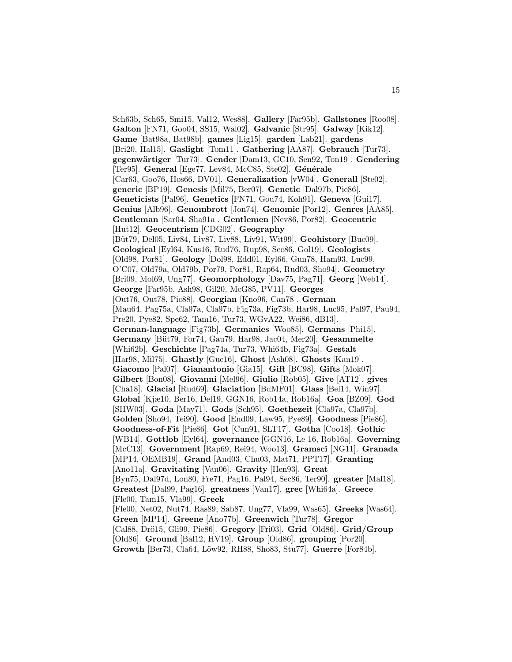Sch63b, Sch65, Smi15, Val12, Wes88]. **Gallery** [Far95b]. **Gallstones** [Roo08]. **Galton** [FN71, Goo04, SS15, Wal02]. **Galvanic** [Str95]. **Galway** [Kik12]. **Game** [Bat98a, Bat98b]. **games** [Lig15]. **garden** [Lab21]. **gardens** [Bri20, Hal15]. **Gaslight** [Tom11]. **Gathering** [AA87]. **Gebrauch** [Tur73]. **gegenw¨artiger** [Tur73]. **Gender** [Dam13, GC10, Sen92, Ton19]. **Gendering** [Ter95]. General [Ege77, Lev84, McC85, Ste02]. Générale [Car63, Goo76, Hos66, DV01]. **Generalization** [vW04]. **Generall** [Ste02]. **generic** [BP19]. **Genesis** [Mil75, Ber07]. **Genetic** [Dal97b, Pie86]. **Geneticists** [Pal96]. **Genetics** [FN71, Gou74, Koh91]. **Geneva** [Gui17]. **Genius** [Alb96]. **Genombrott** [Jon74]. **Genomic** [Por12]. **Genres** [AA85]. **Gentleman** [Sar04, Sha91a]. **Gentlemen** [Nev86, Por82]. **Geocentric** [Hut12]. **Geocentrism** [CDG02]. **Geography** [B¨ut79, Del05, Liv84, Liv87, Liv88, Liv91, Wit99]. **Geohistory** [Buc09]. **Geological** [Eyl64, Kus16, Rud76, Rup98, Sec86, Gol19]. **Geologists** [Old98, Por81]. **Geology** [Dol98, Edd01, Eyl66, Gun78, Ham93, Luc99, O'C07, Old79a, Old79b, Por79, Por81, Rap64, Rud03, Sho94]. **Geometry** [Bri09, Mol69, Ung77]. **Geomorphology** [Dav75, Pag71]. **Georg** [Web14]. **George** [Far95b, Ash98, Gil20, McG85, PV11]. **Georges** [Out76, Out78, Pic88]. **Georgian** [Kno96, Can78]. **German** [Mau64, Pag75a, Cla97a, Cla97b, Fig73a, Fig73b, Har98, Luc95, Pal97, Pau94, Pre20, Pye82, Spe62, Tam16, Tur73, WGvA22, Wei86, dB13]. **German-language** [Fig73b]. **Germanies** [Woo85]. **Germans** [Phi15]. **Germany** [B¨ut79, For74, Gau79, Har98, Jac04, Mer20]. **Gesammelte** [Whi62b]. **Geschichte** [Pag74a, Tur73, Whi64b, Fig73a]. **Gestalt** [Har98, Mil75]. **Ghastly** [Gue16]. **Ghost** [Ash08]. **Ghosts** [Kan19]. **Giacomo** [Pal07]. **Gianantonio** [Gia15]. **Gift** [BC98]. **Gifts** [Mok07]. **Gilbert** [Bon08]. **Giovanni** [Mel96]. **Giulio** [Rob05]. **Give** [AT12]. **gives** [Cha18]. **Glacial** [Rud69]. **Glaciation** [BdMF01]. **Glass** [Bel14, Win97]. **Global** [Kjæ10, Ber16, Del19, GGN16, Rob14a, Rob16a]. **Goa** [BZ09]. **God** [SHW03]. **Goda** [May71]. **Gods** [Sch95]. **Goethezeit** [Cla97a, Cla97b]. **Golden** [Sho94, Tei90]. **Good** [End09, Law95, Pye89]. **Goodness** [Pie86]. **Goodness-of-Fit** [Pie86]. **Got** [Cun91, SLT17]. **Gotha** [Coo18]. **Gothic** [WB14]. **Gottlob** [Eyl64]. **governance** [GGN16, Le 16, Rob16a]. **Governing** [McC13]. **Government** [Rap69, Rei94, Woo13]. **Gramsci** [NG11]. **Granada** [MP14, OEMB19]. **Grand** [And03, Chu03, Mat71, PPT17]. **Granting** [Ano11a]. **Gravitating** [Van06]. **Gravity** [Hen93]. **Great** [Byn75, Dal97d, Lon80, Fre71, Pag16, Pal94, Sec86, Ter90]. **greater** [Mal18]. **Greatest** [Dal99, Pag16]. **greatness** [Van17]. **grec** [Whi64a]. **Greece** [Fle00, Tam15, Vla99]. **Greek** [Fle00, Net02, Nut74, Ras89, Sab87, Ung77, Vla99, Was65]. **Greeks** [Was64]. **Green** [MP14]. **Greene** [Ano77b]. **Greenwich** [Tur78]. **Gregor** [Cal88, Drö15, Gli99, Pie86]. **Gregory** [Fri03]. **Grid** [Old86]. **Grid/Group** [Old86]. **Ground** [Bal12, HV19]. **Group** [Old86]. **grouping** [Por20]. **Growth** [Ber73, Cla64, L¨ow92, RH88, Sho83, Stu77]. **Guerre** [For84b].

15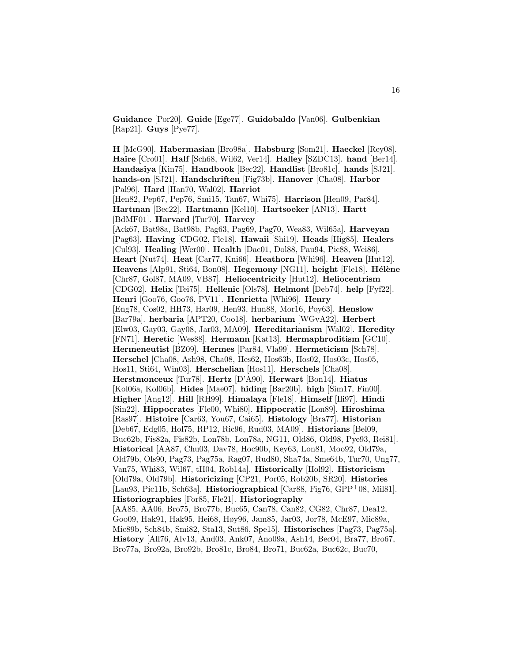**Guidance** [Por20]. **Guide** [Ege77]. **Guidobaldo** [Van06]. **Gulbenkian** [Rap21]. **Guys** [Pye77].

**H** [McG90]. **Habermasian** [Bro98a]. **Habsburg** [Som21]. **Haeckel** [Rey08]. **Haire** [Cro01]. **Half** [Sch68, Wil62, Ver14]. **Halley** [SZDC13]. **hand** [Ber14]. **Handasiya** [Kin75]. **Handbook** [Bec22]. **Handlist** [Bro81c]. **hands** [SJ21]. **hands-on** [SJ21]. **Handschriften** [Fig73b]. **Hanover** [Cha08]. **Harbor** [Pal96]. **Hard** [Han70, Wal02]. **Harriot** [Hen82, Pep67, Pep76, Smi15, Tan67, Whi75]. **Harrison** [Hen09, Par84]. **Hartman** [Bec22]. **Hartmann** [Kel10]. **Hartsoeker** [AN13]. **Hartt** [BdMF01]. **Harvard** [Tur70]. **Harvey** [Ack67, Bat98a, Bat98b, Pag63, Pag69, Pag70, Wea83, Wil65a]. **Harveyan** [Pag63]. **Having** [CDG02, Fle18]. **Hawaii** [Shi19]. **Heads** [Hig85]. **Healers** [Cul93]. **Healing** [Wer00]. **Health** [Dac01, Dol88, Pau94, Pic88, Wei86]. **Heart** [Nut74]. **Heat** [Car77, Kni66]. **Heathorn** [Whi96]. **Heaven** [Hut12]. **Heavens** [Alp91, Sti64, Bon08]. **Hegemony** [NG11]. **height** [Fle18]. **Hélène** [Chr87, Gol87, MA09, VB87]. **Heliocentricity** [Hut12]. **Heliocentrism** [CDG02]. **Helix** [Tei75]. **Hellenic** [Ols78]. **Helmont** [Deb74]. **help** [Fyf22]. **Henri** [Goo76, Goo76, PV11]. **Henrietta** [Whi96]. **Henry** [Eng78, Cos02, HH73, Har09, Hen93, Hun88, Mor16, Poy63]. **Henslow** [Bar79a]. **herbaria** [APT20, Coo18]. **herbarium** [WGvA22]. **Herbert** [Elw03, Gay03, Gay08, Jar03, MA09]. **Hereditarianism** [Wal02]. **Heredity** [FN71]. **Heretic** [Wes88]. **Hermann** [Kat13]. **Hermaphroditism** [GC10]. **Hermeneutist** [BZ09]. **Hermes** [Par84, Vla99]. **Hermeticism** [Sch78]. **Herschel** [Cha08, Ash98, Cha08, Hes62, Hos63b, Hos02, Hos03c, Hos05, Hos11, Sti64, Win03]. **Herschelian** [Hos11]. **Herschels** [Cha08]. **Herstmonceux** [Tur78]. **Hertz** [D'A90]. **Herwart** [Bon14]. **Hiatus** [Kol06a, Kol06b]. **Hides** [Mae07]. **hiding** [Bar20b]. **high** [Sim17, Fin00]. **Higher** [Ang12]. **Hill** [RH99]. **Himalaya** [Fle18]. **Himself** [Ili97]. **Hindi** [Sin22]. **Hippocrates** [Fle00, Whi80]. **Hippocratic** [Lon89]. **Hiroshima** [Ras97]. **Histoire** [Car63, You67, Cai65]. **Histology** [Bra77]. **Historian** [Deb67, Edg05, Hol75, RP12, Ric96, Rud03, MA09]. **Historians** [Bel09, Buc62b, Fis82a, Fis82b, Lon78b, Lon78a, NG11, Old86, Old98, Pye93, Rei81]. **Historical** [AA87, Chu03, Dav78, Hoc90b, Key63, Lon81, Moo92, Old79a, Old79b, Ols90, Pag73, Pag75a, Rag07, Rud80, Sha74a, Sme64b, Tur70, Ung77, Van75, Whi83, Wil67, tH04, Rob14a]. **Historically** [Hol92]. **Historicism** [Old79a, Old79b]. **Historicizing** [CP21, Por05, Rob20b, SR20]. **Histories** [Lau93, Pic11b, Sch63a]. **Historiographical** [Car88, Fig76, GPP<sup>+</sup>08, Mil81]. **Historiographies** [For85, Fle21]. **Historiography** [AA85, AA06, Bro75, Bro77b, Buc65, Can78, Can82, CG82, Chr87, Dea12, Goo09, Hak91, Hak95, Hei68, Høy96, Jam85, Jar03, Jor78, McE97, Mic89a, Mic89b, Sch84b, Smi82, Sta13, Sut86, Spe15]. **Historisches** [Pag73, Pag75a]. **History** [All76, Alv13, And03, Ank07, Ano09a, Ash14, Bec04, Bra77, Bro67, Bro77a, Bro92a, Bro92b, Bro81c, Bro84, Bro71, Buc62a, Buc62c, Buc70,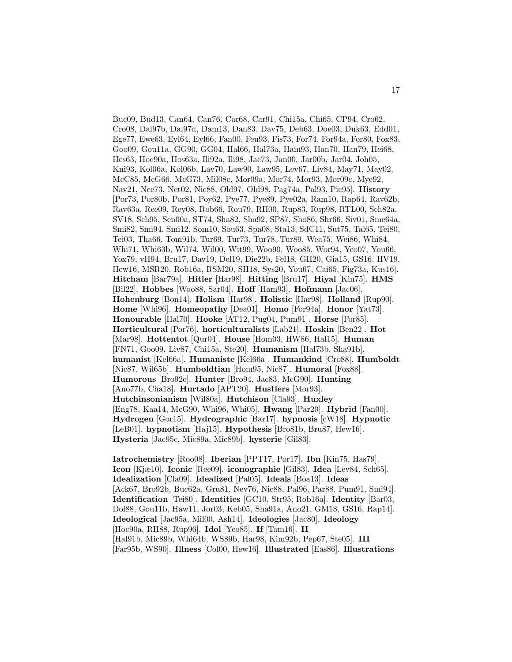Buc09, Bud13, Can64, Can76, Car68, Car91, Chi15a, Chi65, CP94, Cro62, Cro08, Dal97b, Dal97d, Dam13, Dan83, Dav75, Deb63, Doe03, Duk63, Edd01, Ege77, Ewe63, Eyl64, Eyl66, Fan00, Feu93, Fis73, For74, For94a, For80, Fox83, Goo09, Gou11a, GG90, GG04, Hal66, Hal73a, Ham93, Han70, Han79, Hei68, Hes63, Hoc90a, Hos63a, Ili92a, Ili98, Jac73, Jan00, Jar00b, Jar04, Joh05, Kni93, Kol06a, Kol06b, Lav70, Law90, Law95, Lev67, Liv84, May71, May02, McC85, McG66, McG73, Mil08c, Mor09a, Mor74, Mor93, Mor09c, Mye92, Nav21, Nee73, Net02, Nic88, Old97, Old98, Pag74a, Pal93, Pic95]. **History** [Por73, Por80b, Por81, Poy62, Pye77, Pye89, Pye02a, Ram10, Rap64, Rav62b, Rav63a, Ree09, Rey08, Rob66, Rou79, RH00, Rup83, Rup98, RTL00, Sch82a, SV18, Sch95, Sen00a, ST74, Sha82, Sha92, SP87, Sho86, Shr66, Siv01, Sme64a, Smi82, Smi94, Smi12, Som10, Sou63, Spa08, Sta13, SdC11, Sut75, Tal65, Tei80, Tei03, Tha66, Tom91b, Tur69, Tur73, Tur78, Tur89, Wea75, Wei86, Whi84, Whi71, Whi63b, Wil74, Wil00, Wit99, Woo90, Woo85, Wor94, Yeo07, You66, Yox79, vH94, Bru17, Dav19, Del19, Die22b, Fel18, GH20, Gia15, GS16, HV19, Hew16, MSR20, Rob16a, RSM20, SH18, Sys20, You67, Cai65, Fig73a, Kus16]. **Hitcham** [Bar79a]. **Hitler** [Har98]. **Hitting** [Bru17]. **Hiyal** [Kin75]. **HMS** [Bil22]. **Hobbes** [Woo88, Sar04]. **Hoff** [Ham93]. **Hofmann** [Jac06]. **Hohenburg** [Bon14]. **Holism** [Har98]. **Holistic** [Har98]. **Holland** [Rup90]. **Home** [Whi96]. **Homeopathy** [Dea01]. **Homo** [For94a]. **Honor** [Yat73]. **Honourable** [Hal70]. **Hooke** [AT12, Pug04, Pum91]. **Horse** [For85]. **Horticultural** [Por76]. **horticulturalists** [Lab21]. **Hoskin** [Ben22]. **Hot** [Mar98]. **Hottentot** [Qur04]. **House** [Hom03, HW86, Hal15]. **Human** [FN71, Goo09, Liv87, Chi15a, Ste20]. **Humanism** [Hal73b, Sha91b]. **humanist** [Kel66a]. **Humaniste** [Kel66a]. **Humankind** [Cro88]. **Humboldt** [Nic87, Wil65b]. **Humboldtian** [Hom95, Nic87]. **Humoral** [Fox88]. **Humorous** [Bro92c]. **Hunter** [Bro94, Jac83, McG90]. **Hunting** [Ano77b, Cha18]. **Hurtado** [APT20]. **Hustlers** [Mor93]. **Hutchinsonianism** [Wil80a]. **Hutchison** [Cla93]. **Huxley** [Eng78, Kaa14, McG90, Whi96, Whi05]. **Hwang** [Par20]. **Hybrid** [Fan00]. **Hydrogen** [Gor15]. **Hydrographic** [Bar17]. **hypnosis** [cW18]. **Hypnotic** [LeB01]. **hypnotism** [Haj15]. **Hypothesis** [Bro81b, Bru87, Hew16]. **Hysteria** [Jac95c, Mic89a, Mic89b]. **hysterie** [Gil83].

**Iatrochemistry** [Roo08]. **Iberian** [PPT17, Por17]. **Ibn** [Kin75, Has79]. **Icon** [Kjæ10]. **Iconic** [Ree09]. **iconographie** [Gil83]. **Idea** [Lev84, Sch65]. **Idealization** [Cla09]. **Idealized** [Pal05]. **Ideals** [Boa13]. **Ideas** [Ack67, Bro92b, Buc62a, Gru81, Nev76, Nic88, Pal96, Par88, Pum91, Smi94]. **Identification** [Tei80]. **Identities** [GC10, Str95, Rob16a]. **Identity** [Bar03, Dol88, Gou11b, Haw11, Jor03, Keb05, Sha91a, Ano21, GM18, GS16, Rap14]. **Ideological** [Jac95a, Mil00, Ash14]. **Ideologies** [Jac80]. **Ideology** [Hoc90a, RH88, Rup96]. **Idol** [Yeo85]. **If** [Tam16]. **II** [Hal91b, Mic89b, Whi64b, WS89b, Har98, Kim92b, Pep67, Ste05]. **III** [Far95b, WS90]. **Illness** [Col00, Hew16]. **Illustrated** [Eas86]. **Illustrations**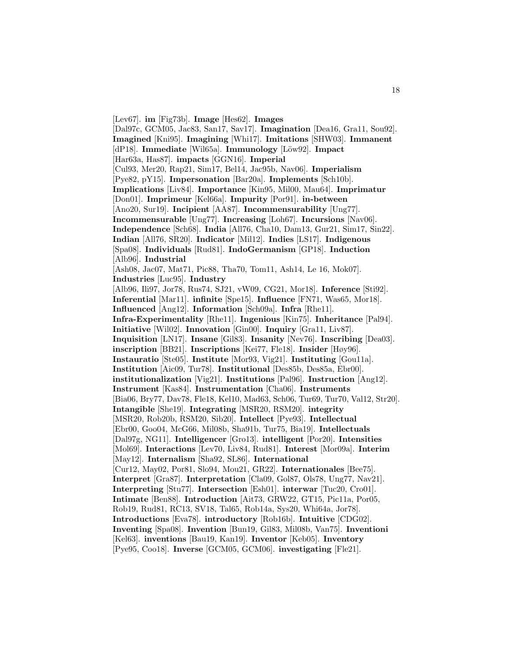[Lev67]. **im** [Fig73b]. **Image** [Hes62]. **Images** [Dal97c, GCM05, Jac83, San17, Sav17]. **Imagination** [Dea16, Gra11, Sou92]. **Imagined** [Kni95]. **Imagining** [Whi17]. **Imitations** [SHW03]. **Immanent** [dP18]. **Immediate** [Wil65a]. **Immunology** [Löw92]. **Impact** [Har63a, Has87]. **impacts** [GGN16]. **Imperial** [Cul93, Mer20, Rap21, Sim17, Bel14, Jac95b, Nav06]. **Imperialism** [Pye82, pY15]. **Impersonation** [Bar20a]. **Implements** [Sch10b]. **Implications** [Liv84]. **Importance** [Kin95, Mil00, Mau64]. **Imprimatur** [Don01]. **Imprimeur** [Kel66a]. **Impurity** [Por91]. **in-between** [Ano20, Sur19]. **Incipient** [AA87]. **Incommensurability** [Ung77]. **Incommensurable** [Ung77]. **Increasing** [Loh67]. **Incursions** [Nav06]. **Independence** [Sch68]. **India** [All76, Cha10, Dam13, Gur21, Sim17, Sin22]. **Indian** [All76, SR20]. **Indicator** [Mil12]. **Indies** [LS17]. **Indigenous** [Spa08]. **Individuals** [Rud81]. **IndoGermanism** [GP18]. **Induction** [Alb96]. **Industrial** [Ash08, Jac07, Mat71, Pic88, Tha70, Tom11, Ash14, Le 16, Mok07]. **Industries** [Luc95]. **Industry** [Alb96, Ili97, Jor78, Rus74, SJ21, vW09, CG21, Mor18]. **Inference** [Sti92]. **Inferential** [Mar11]. **infinite** [Spe15]. **Influence** [FN71, Was65, Mor18]. **Influenced** [Ang12]. **Information** [Sch09a]. **Infra** [Rhe11]. **Infra-Experimentality** [Rhe11]. **Ingenious** [Kin75]. **Inheritance** [Pal94]. **Initiative** [Wil02]. **Innovation** [Gin00]. **Inquiry** [Gra11, Liv87]. **Inquisition** [LN17]. **Insane** [Gil83]. **Insanity** [Nev76]. **Inscribing** [Dea03]. **inscription** [BB21]. **Inscriptions** [Kei77, Fle18]. **Insider** [Høy96]. **Instauratio** [Ste05]. **Institute** [Mor93, Vig21]. **Instituting** [Gou11a]. **Institution** [Aic09, Tur78]. **Institutional** [Des85b, Des85a, Ebr00]. **institutionalization** [Vig21]. **Institutions** [Pal96]. **Instruction** [Ang12]. **Instrument** [Kas84]. **Instrumentation** [Cha06]. **Instruments** [Bia06, Bry77, Dav78, Fle18, Kel10, Mad63, Sch06, Tur69, Tur70, Val12, Str20]. **Intangible** [She19]. **Integrating** [MSR20, RSM20]. **integrity** [MSR20, Rob20b, RSM20, Sib20]. **Intellect** [Pye93]. **Intellectual** [Ebr00, Goo04, McG66, Mil08b, Sha91b, Tur75, Bia19]. **Intellectuals** [Dal97g, NG11]. **Intelligencer** [Gro13]. **intelligent** [Por20]. **Intensities** [Mol69]. **Interactions** [Lev70, Liv84, Rud81]. **Interest** [Mor09a]. **Interim** [May12]. **Internalism** [Sha92, SL86]. **International** [Cur12, May02, Por81, Slo94, Mou21, GR22]. **Internationales** [Bee75]. **Interpret** [Gra87]. **Interpretation** [Cla09, Gol87, Ols78, Ung77, Nav21]. **Interpreting** [Stu77]. **Intersection** [Esh01]. **interwar** [Tuc20, Cro01]. **Intimate** [Ben88]. **Introduction** [Ait73, GRW22, GT15, Pic11a, Por05, Rob19, Rud81, RC13, SV18, Tal65, Rob14a, Sys20, Whi64a, Jor78]. **Introductions** [Eva78]. **introductory** [Rob16b]. **Intuitive** [CDG02]. **Inventing** [Spa08]. **Invention** [Bun19, Gil83, Mil08b, Van75]. **Inventioni** [Kel63]. **inventions** [Bau19, Kan19]. **Inventor** [Keb05]. **Inventory** [Pye95, Coo18]. **Inverse** [GCM05, GCM06]. **investigating** [Fle21].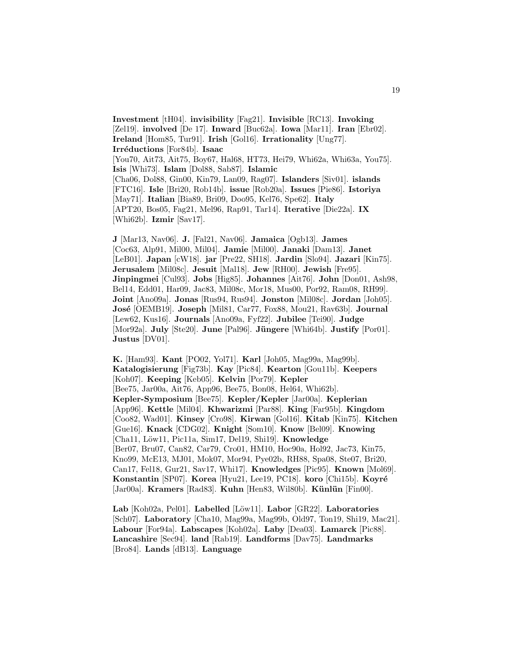**Investment** [tH04]. **invisibility** [Fag21]. **Invisible** [RC13]. **Invoking** [Zel19]. **involved** [De 17]. **Inward** [Buc62a]. **Iowa** [Mar11]. **Iran** [Ebr02]. **Ireland** [Hom85, Tur91]. **Irish** [Gol16]. **Irrationality** [Ung77]. **Irr´eductions** [For84b]. **Isaac** [You70, Ait73, Ait75, Boy67, Hal68, HT73, Hei79, Whi62a, Whi63a, You75]. **Isis** [Whi73]. **Islam** [Dol88, Sab87]. **Islamic** [Cha06, Dol88, Gin00, Kin79, Lan09, Rag07]. **Islanders** [Siv01]. **islands** [FTC16]. **Isle** [Bri20, Rob14b]. **issue** [Rob20a]. **Issues** [Pie86]. **Istoriya** [May71]. **Italian** [Bia89, Bri09, Doo95, Kel76, Spe62]. **Italy** [APT20, Bos05, Fag21, Mel96, Rap91, Tar14]. **Iterative** [Die22a]. **IX** [Whi62b]. **Izmir** [Sav17].

**J** [Mar13, Nav06]. **J.** [Fal21, Nav06]. **Jamaica** [Ogb13]. **James** [Coc63, Alp91, Mil00, Mil04]. **Jamie** [Mil00]. **Janaki** [Dam13]. **Janet** [LeB01]. **Japan** [cW18]. **jar** [Pre22, SH18]. **Jardin** [Slo94]. **Jazari** [Kin75]. **Jerusalem** [Mil08c]. **Jesuit** [Mal18]. **Jew** [RH00]. **Jewish** [Fre95]. **Jinpingmei** [Cul93]. **Jobs** [Hig85]. **Johannes** [Ait76]. **John** [Don01, Ash98, Bel14, Edd01, Har09, Jac83, Mil08c, Mor18, Mus00, Por92, Ram08, RH99]. **Joint** [Ano09a]. **Jonas** [Rus94, Rus94]. **Jonston** [Mil08c]. **Jordan** [Joh05]. **Jos´e** [OEMB19]. **Joseph** [Mil81, Car77, Fox88, Mou21, Rav63b]. **Journal** [Lew62, Kus16]. **Journals** [Ano09a, Fyf22]. **Jubilee** [Tei90]. **Judge** [Mor92a]. **July** [Ste20]. **June** [Pal96]. **Jüngere** [Whi64b]. **Justify** [Por01]. **Justus** [DV01].

**K.** [Ham93]. **Kant** [PO02, Yol71]. **Karl** [Joh05, Mag99a, Mag99b]. **Katalogisierung** [Fig73b]. **Kay** [Pic84]. **Kearton** [Gou11b]. **Keepers** [Koh07]. **Keeping** [Keb05]. **Kelvin** [Por79]. **Kepler** [Bee75, Jar00a, Ait76, App96, Bee75, Bon08, Hel64, Whi62b]. **Kepler-Symposium** [Bee75]. **Kepler/Kepler** [Jar00a]. **Keplerian** [App96]. **Kettle** [Mil04]. **Khwarizmi** [Par88]. **King** [Far95b]. **Kingdom** [Coo82, Wad01]. **Kinsey** [Cro98]. **Kirwan** [Gol16]. **Kitab** [Kin75]. **Kitchen** [Gue16]. **Knack** [CDG02]. **Knight** [Som10]. **Know** [Bel09]. **Knowing** [Cha11, L¨ow11, Pic11a, Sim17, Del19, Shi19]. **Knowledge** [Ber07, Bru07, Can82, Car79, Cro01, HM10, Hoc90a, Hol92, Jac73, Kin75, Kno99, McE13, MJ01, Mok07, Mor94, Pye02b, RH88, Spa08, Ste07, Bri20, Can17, Fel18, Gur21, Sav17, Whi17]. **Knowledges** [Pic95]. **Known** [Mol69]. **Konstantin** [SP07]. **Korea** [Hyu21, Lee19, PC18]. **koro** [Chi15b]. **Koyré** [Jar00a]. **Kramers** [Rad83]. **Kuhn** [Hen83, Wil80b]. **Künlün** [Fin00].

Lab<sup></sup> [Koh02a, Pel01]. Labelled<sup>[Löw11]</sup>. Labor<sup>[GR22]</sup>. Laboratories [Sch07]. **Laboratory** [Cha10, Mag99a, Mag99b, Old97, Ton19, Shi19, Mac21]. **Labour** [For94a]. **Labscapes** [Koh02a]. **Laby** [Dea03]. **Lamarck** [Pic88]. **Lancashire** [Sec94]. **land** [Rab19]. **Landforms** [Dav75]. **Landmarks** [Bro84]. **Lands** [dB13]. **Language**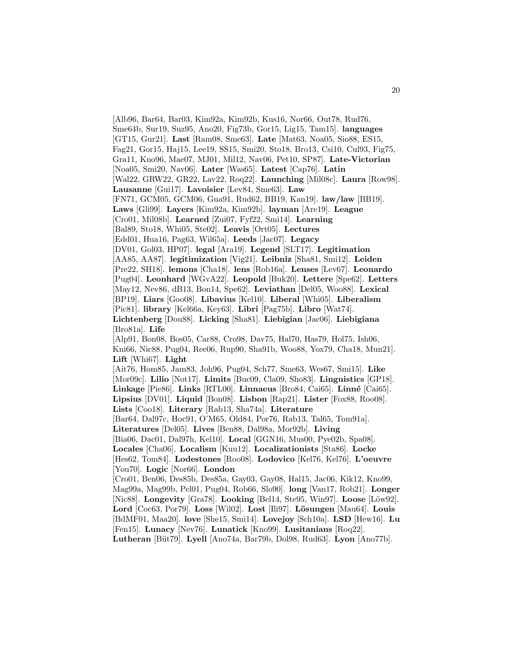[Alb96, Bar64, Bar03, Kim92a, Kim92b, Kus16, Nor66, Out78, Rud76, Sme64b, Sur19, Suz95, Ano20, Fig73b, Gor15, Lig15, Tam15]. **languages** [GT15, Gur21]. **Last** [Ram08, Sme63]. **Late** [Mat63, Noa05, Sio88, ES15, Fag21, Gor15, Haj15, Lee19, SS15, Smi20, Sto18, Bro13, Csi10, Cul93, Fig75, Gra11, Kno96, Mae07, MJ01, Mil12, Nav06, Pet10, SP87]. **Late-Victorian** [Noa05, Smi20, Nav06]. **Later** [Was65]. **Latest** [Cap76]. **Latin** [Wal22, GRW22, GR22, Lav22, Roq22]. **Launching** [Mil08c]. **Laura** [Row98]. **Lausanne** [Gui17]. **Lavoisier** [Lev84, Sme63]. **Law** [FN71, GCM05, GCM06, Gua91, Rud62, BB19, Kan19]. **law/law** [BB19]. **Laws** [Gli99]. **Layers** [Kim92a, Kim92b]. **layman** [Are19]. **League** [Cro01, Mil08b]. **Learned** [Zui07, Fyf22, Smi14]. **Learning** [Bal89, Sto18, Whi05, Ste02]. **Leavis** [Ort05]. **Lectures** [Edd01, Hua16, Pag63, Wil65a]. **Leeds** [Jac07]. **Legacy** [DV01, Gol03, HP07]. **legal** [Ara19]. **Legend** [SLT17]. **Legitimation** [AA85, AA87]. **legitimization** [Vig21]. **Leibniz** [Sha81, Smi12]. **Leiden** [Pre22, SH18]. **lemons** [Cha18]. **lens** [Rob16a]. **Lenses** [Lev67]. **Leonardo** [Pug04]. **Leonhard** [WGvA22]. **Leopold** [Buk20]. **Lettere** [Spe62]. **Letters** [May12, Nev86, dB13, Bon14, Spe62]. **Leviathan** [Del05, Woo88]. **Lexical** [BP19]. **Liars** [Goo08]. **Libavius** [Kel10]. **Liberal** [Whi05]. **Liberalism** [Pic81]. **library** [Kel66a, Key63]. **Libri** [Pag75b]. **Libro** [Wat74]. **Lichtenberg** [Dou88]. **Licking** [Sha81]. **Liebigian** [Jac06]. **Liebigiana** [Bro81a]. **Life** [Alp91, Bon08, Bos05, Car88, Cro98, Dav75, Hal70, Has79, Hol75, Ish06, Kni66, Nic88, Pug04, Ree06, Rup90, Sha91b, Woo88, Yox79, Cha18, Mun21]. **Lift** [Whi67]. **Light** [Ait76, Hom85, Jam83, Joh96, Pug04, Sch77, Sme63, Wes67, Smi15]. **Like** [Mor09c]. **Lilio** [Not17]. **Limits** [Buc09, Cla09, Sho83]. **Linguistics** [GP18]. **Linkage** [Pie86]. **Links** [RTL00]. **Linnaeus** [Bro84, Cai65]. **Linn´e** [Cai65]. **Lipsius** [DV01]. **Liquid** [Bon08]. **Lisbon** [Rap21]. **Lister** [Fox88, Roo08]. **Lists** [Coo18]. **Literary** [Rab13, Sha74a]. **Literature** [Bar64, Dal97c, Hoc91, O'M65, Old84, Por76, Rab13, Tal65, Tom91a]. **Literatures** [Del05]. **Lives** [Ben88, Dal98a, Mor92b]. **Living** [Bia06, Dac01, Dal97h, Kel10]. **Local** [GGN16, Mus00, Pye02b, Spa08]. **Locales** [Cha06]. **Localism** [Kuu12]. **Localizationists** [Sta86]. **Locke** [Hes62, Tom84]. **Lodestones** [Roo08]. **Lodovico** [Kel76, Kel76]. **L'oeuvre** [You70]. **Logic** [Nor66]. **London** [Cro01, Ben06, Des85b, Des85a, Gay03, Gay08, Hal15, Jac06, Kik12, Kno99, Mag99a, Mag99b, Pel01, Pug04, Rob66, Slo90]. **long** [Van17, Rob21]. **Longer** [Nic88]. **Longevity** [Gra78]. **Looking** [Bel14, Ste95, Win97]. **Loose** [Löw92]. **Lord** [Coc63, Por79]. **Loss** [Wil02]. **Lost** [Ili97]. **L¨osungen** [Mau64]. **Louis** [BdMF01, Maa20]. **love** [She15, Smi14]. **Lovejoy** [Sch10a]. **LSD** [Hew16]. **Lu** [Fen15]. **Lunacy** [Nev76]. **Lunatick** [Kno99]. **Lusitanians** [Roq22].

**Lutheran** [B¨ut79]. **Lyell** [Ano74a, Bar79b, Dol98, Rud63]. **Lyon** [Ano77b].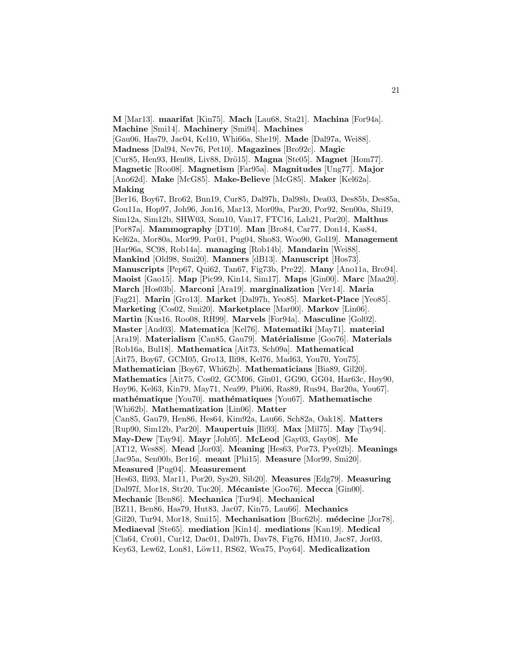**M** [Mar13]. **maarifat** [Kin75]. **Mach** [Lau68, Sta21]. **Machina** [For94a]. **Machine** [Smi14]. **Machinery** [Smi94]. **Machines** [Gau06, Has79, Jac04, Kel10, Whi66a, She19]. **Made** [Dal97a, Wei88]. **Madness** [Dal94, Nev76, Pet10]. **Magazines** [Bro92c]. **Magic** [Cur85, Hen93, Hen08, Liv88, Drö15]. **Magna** [Ste05]. **Magnet** [Hom77]. **Magnetic** [Roo08]. **Magnetism** [Far95a]. **Magnitudes** [Ung77]. **Major** [Ano62d]. **Make** [McG85]. **Make-Believe** [McG85]. **Maker** [Kel62a]. **Making** [Ber16, Boy67, Bro62, Bun19, Cur85, Dal97h, Dal98b, Dea03, Des85b, Des85a, Gou11a, Hop97, Joh96, Jon16, Mar13, Mor09a, Par20, Por92, Sen00a, Shi19, Sim12a, Sim12b, SHW03, Som10, Van17, FTC16, Lab21, Por20]. **Malthus** [Por87a]. **Mammography** [DT10]. **Man** [Bro84, Car77, Don14, Kas84, Kel62a, Mor80a, Mor99, Por01, Pug04, Sho83, Woo90, Gol19]. **Management** [Har96a, SC98, Rob14a]. **managing** [Rob14b]. **Mandarin** [Wei88]. **Mankind** [Old98, Smi20]. **Manners** [dB13]. **Manuscript** [Hos73]. **Manuscripts** [Pep67, Qui62, Tan67, Fig73b, Pre22]. **Many** [Ano11a, Bro94]. **Maoist** [Gao15]. **Map** [Pic99, Kin14, Sim17]. **Maps** [Gin00]. **Marc** [Maa20]. **March** [Hos03b]. **Marconi** [Ara19]. **marginalization** [Ver14]. **Maria** [Fag21]. **Marin** [Gro13]. **Market** [Dal97h, Yeo85]. **Market-Place** [Yeo85]. **Marketing** [Cos02, Smi20]. **Marketplace** [Mar00]. **Markov** [Lin06]. **Martin** [Kus16, Roo08, RH99]. **Marvels** [For94a]. **Masculine** [Gol02]. **Master** [And03]. **Matematica** [Kel76]. **Matematiki** [May71]. **material** [Ara19]. Materialism [Can85, Gau79]. Matérialisme [Goo76]. Materials [Rob16a, Bul18]. **Mathematica** [Ait73, Sch09a]. **Mathematical** [Ait75, Boy67, GCM05, Gro13, Ili98, Kel76, Mad63, You70, You75]. **Mathematician** [Boy67, Whi62b]. **Mathematicians** [Bia89, Gil20]. **Mathematics** [Ait75, Cos02, GCM06, Gin01, GG90, GG04, Har63c, Høy90, Høy96, Kel63, Kin79, May71, Nea99, Phi06, Ras89, Rus94, Bar20a, You67]. **math´ematique** [You70]. **math´ematiques** [You67]. **Mathematische** [Whi62b]. **Mathematization** [Lin06]. **Matter** [Can85, Gau79, Hen86, Hes64, Kim92a, Lau66, Sch82a, Oak18]. **Matters** [Rup90, Sim12b, Par20]. **Maupertuis** [Ili93]. **Max** [Mil75]. **May** [Tay94]. **May-Dew** [Tay94]. **Mayr** [Joh05]. **McLeod** [Gay03, Gay08]. **Me** [AT12, Wes88]. **Mead** [Jor03]. **Meaning** [Hes63, Por73, Pye02b]. **Meanings** [Jac95a, Sen00b, Ber16]. **meant** [Phi15]. **Measure** [Mor99, Smi20]. **Measured** [Pug04]. **Measurement** [Hes63, Ili93, Mar11, Por20, Sys20, Sib20]. **Measures** [Edg79]. **Measuring** [Dal97f, Mor18, Str20, Tuc20]. **M´ecaniste** [Goo76]. **Mecca** [Gin00]. **Mechanic** [Ben86]. **Mechanica** [Tur94]. **Mechanical** [BZ11, Ben86, Has79, Hut83, Jac07, Kin75, Lau66]. **Mechanics** [Gil20, Tur94, Mor18, Smi15]. **Mechanisation** [Buc62b]. **m´edecine** [Jor78]. **Mediaeval** [Ste65]. **mediation** [Kin14]. **mediations** [Kan19]. **Medical** [Cla64, Cro01, Cur12, Dac01, Dal97h, Dav78, Fig76, HM10, Jac87, Jor03, Key63, Lew62, Lon81, Löw11, RS62, Wea75, Poy64]. Medicalization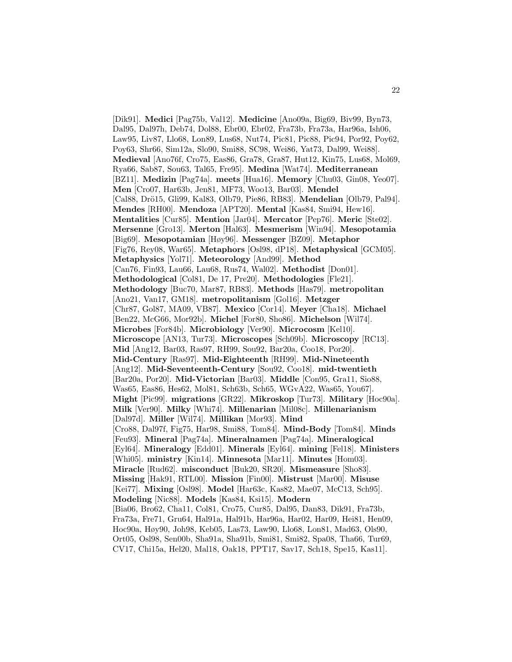[Dik91]. **Medici** [Pag75b, Val12]. **Medicine** [Ano09a, Big69, Biv99, Byn73, Dal95, Dal97h, Deb74, Dol88, Ebr00, Ebr02, Fra73b, Fra73a, Har96a, Ish06, Law95, Liv87, Llo68, Lon89, Lus68, Nut74, Pic81, Pic88, Pic94, Por92, Poy62, Poy63, Shr66, Sim12a, Slo90, Smi88, SC98, Wei86, Yat73, Dal99, Wei88]. **Medieval** [Ano76f, Cro75, Eas86, Gra78, Gra87, Hut12, Kin75, Lus68, Mol69, Rya66, Sab87, Sou63, Tal65, Fre95]. **Medina** [Wat74]. **Mediterranean** [BZ11]. **Medizin** [Pag74a]. **meets** [Hua16]. **Memory** [Chu03, Gin08, Yeo07]. **Men** [Cro07, Har63b, Jen81, MF73, Woo13, Bar03]. **Mendel** [Cal88, Drö15, Gli99, Kal83, Olb79, Pie86, RB83]. **Mendelian** [Olb79, Pal94]. **Mendes** [RH00]. **Mendoza** [APT20]. **Mental** [Kas84, Smi94, Hew16]. **Mentalities** [Cur85]. **Mention** [Jar04]. **Mercator** [Pep76]. **Meric** [Ste02]. **Mersenne** [Gro13]. **Merton** [Hal63]. **Mesmerism** [Win94]. **Mesopotamia** [Big69]. **Mesopotamian** [Høy96]. **Messenger** [BZ09]. **Metaphor** [Fig76, Rey08, War65]. **Metaphors** [Osl98, dP18]. **Metaphysical** [GCM05]. **Metaphysics** [Yol71]. **Meteorology** [And99]. **Method** [Can76, Fin93, Lau66, Lau68, Rus74, Wal02]. **Methodist** [Don01]. **Methodological** [Col81, De 17, Pre20]. **Methodologies** [Fle21]. **Methodology** [Buc70, Mar87, RB83]. **Methods** [Has79]. **metropolitan** [Ano21, Van17, GM18]. **metropolitanism** [Gol16]. **Metzger** [Chr87, Gol87, MA09, VB87]. **Mexico** [Cor14]. **Meyer** [Cha18]. **Michael** [Ben22, McG66, Mor92b]. **Michel** [For80, Sho86]. **Michelson** [Wil74]. **Microbes** [For84b]. **Microbiology** [Ver90]. **Microcosm** [Kel10]. **Microscope** [AN13, Tur73]. **Microscopes** [Sch09b]. **Microscopy** [RC13]. **Mid** [Ang12, Bar03, Ras97, RH99, Sou92, Bar20a, Coo18, Por20]. **Mid-Century** [Ras97]. **Mid-Eighteenth** [RH99]. **Mid-Nineteenth** [Ang12]. **Mid-Seventeenth-Century** [Sou92, Coo18]. **mid-twentieth** [Bar20a, Por20]. **Mid-Victorian** [Bar03]. **Middle** [Con95, Gra11, Sio88, Was65, Eas86, Hes62, Mol81, Sch63b, Sch65, WGvA22, Was65, You67]. **Might** [Pic99]. **migrations** [GR22]. **Mikroskop** [Tur73]. **Military** [Hoc90a]. **Milk** [Ver90]. **Milky** [Whi74]. **Millenarian** [Mil08c]. **Millenarianism** [Dal97d]. **Miller** [Wil74]. **Millikan** [Mor93]. **Mind** [Cro88, Dal97f, Fig75, Har98, Smi88, Tom84]. **Mind-Body** [Tom84]. **Minds** [Feu93]. **Mineral** [Pag74a]. **Mineralnamen** [Pag74a]. **Mineralogical** [Eyl64]. **Mineralogy** [Edd01]. **Minerals** [Eyl64]. **mining** [Fel18]. **Ministers** [Whi05]. **ministry** [Kin14]. **Minnesota** [Mar11]. **Minutes** [Hom03]. **Miracle** [Rud62]. **misconduct** [Buk20, SR20]. **Mismeasure** [Sho83]. **Missing** [Hak91, RTL00]. **Mission** [Fin00]. **Mistrust** [Mar00]. **Misuse** [Kei77]. **Mixing** [Osl98]. **Model** [Har63c, Kas82, Mae07, McC13, Sch95]. **Modeling** [Nic88]. **Models** [Kas84, Ksi15]. **Modern** [Bia06, Bro62, Cha11, Col81, Cro75, Cur85, Dal95, Dan83, Dik91, Fra73b, Fra73a, Fre71, Gru64, Hal91a, Hal91b, Har96a, Har02, Har09, Hei81, Hen09, Hoc90a, Høy90, Joh98, Keb05, Las73, Law90, Llo68, Lon81, Mad63, Ols90, Ort05, Osl98, Sen00b, Sha91a, Sha91b, Smi81, Smi82, Spa08, Tha66, Tur69, CV17, Chi15a, Hel20, Mal18, Oak18, PPT17, Sav17, Sch18, Spe15, Kas11].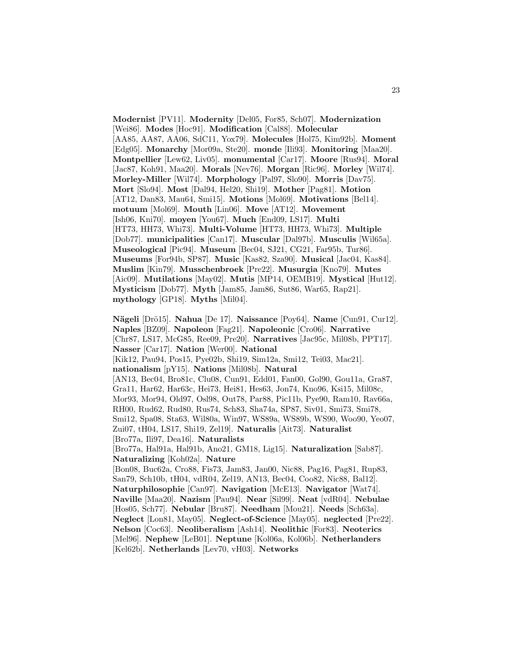**Modernist** [PV11]. **Modernity** [Del05, For85, Sch07]. **Modernization** [Wei86]. **Modes** [Hoc91]. **Modification** [Cal88]. **Molecular** [AA85, AA87, AA06, SdC11, Yox79]. **Molecules** [Hol75, Kim92b]. **Moment** [Edg05]. **Monarchy** [Mor09a, Ste20]. **monde** [Ili93]. **Monitoring** [Maa20]. **Montpellier** [Lew62, Liv05]. **monumental** [Car17]. **Moore** [Rus94]. **Moral** [Jac87, Koh91, Maa20]. **Morals** [Nev76]. **Morgan** [Ric96]. **Morley** [Wil74]. **Morley-Miller** [Wil74]. **Morphology** [Pal97, Slo90]. **Morris** [Dav75]. **Mort** [Slo94]. **Most** [Dal94, Hel20, Shi19]. **Mother** [Pag81]. **Motion** [AT12, Dan83, Mau64, Smi15]. **Motions** [Mol69]. **Motivations** [Bel14]. **motuum** [Mol69]. **Mouth** [Lin06]. **Move** [AT12]. **Movement** [Ish06, Kni70]. **moyen** [You67]. **Much** [End09, LS17]. **Multi** [HT73, HH73, Whi73]. **Multi-Volume** [HT73, HH73, Whi73]. **Multiple** [Dob77]. **municipalities** [Can17]. **Muscular** [Dal97b]. **Musculis** [Wil65a]. **Museological** [Pic94]. **Museum** [Bec04, SJ21, CG21, Far95b, Tur86]. **Museums** [For94b, SP87]. **Music** [Kas82, Sza90]. **Musical** [Jac04, Kas84]. **Muslim** [Kin79]. **Musschenbroek** [Pre22]. **Musurgia** [Kno79]. **Mutes** [Aic09]. **Mutilations** [May02]. **Mutis** [MP14, OEMB19]. **Mystical** [Hut12]. **Mysticism** [Dob77]. **Myth** [Jam85, Jam86, Sut86, War65, Rap21]. **mythology** [GP18]. **Myths** [Mil04].

**Nägeli** [Drö15]. **Nahua** [De 17]. **Naissance** [Poy64]. **Name** [Cun91, Cur12]. **Naples** [BZ09]. **Napoleon** [Fag21]. **Napoleonic** [Cro06]. **Narrative** [Chr87, LS17, McG85, Ree09, Pre20]. **Narratives** [Jac95c, Mil08b, PPT17]. **Nasser** [Car17]. **Nation** [Wer00]. **National** [Kik12, Pau94, Pos15, Pye02b, Shi19, Sim12a, Smi12, Tei03, Mac21]. **nationalism** [pY15]. **Nations** [Mil08b]. **Natural** [AN13, Bec04, Bro81c, Clu08, Cun91, Edd01, Fan00, Gol90, Gou11a, Gra87, Gra11, Har62, Har63c, Hei73, Hei81, Hes63, Jon74, Kno96, Ksi15, Mil08c, Mor93, Mor94, Old97, Osl98, Out78, Par88, Pic11b, Pye90, Ram10, Rav66a, RH00, Rud62, Rud80, Rus74, Sch83, Sha74a, SP87, Siv01, Smi73, Smi78, Smi12, Spa08, Sta63, Wil80a, Win97, WS89a, WS89b, WS90, Woo90, Yeo07, Zui07, tH04, LS17, Shi19, Zel19]. **Naturalis** [Ait73]. **Naturalist** [Bro77a, Ili97, Dea16]. **Naturalists** [Bro77a, Hal91a, Hal91b, Ano21, GM18, Lig15]. **Naturalization** [Sab87]. **Naturalizing** [Koh02a]. **Nature** [Bon08, Buc62a, Cro88, Fis73, Jam83, Jan00, Nic88, Pag16, Pag81, Rup83, San79, Sch10b, tH04, vdR04, Zel19, AN13, Bec04, Coo82, Nic88, Bal12]. **Naturphilosophie** [Can97]. **Navigation** [McE13]. **Navigator** [Wat74]. **Naville** [Maa20]. **Nazism** [Pau94]. **Near** [Sil99]. **Neat** [vdR04]. **Nebulae** [Hos05, Sch77]. **Nebular** [Bru87]. **Needham** [Mou21]. **Needs** [Sch63a]. **Neglect** [Lon81, May05]. **Neglect-of-Science** [May05]. **neglected** [Pre22]. **Nelson** [Coc63]. **Neoliberalism** [Ash14]. **Neolithic** [For83]. **Neoterics** [Mel96]. **Nephew** [LeB01]. **Neptune** [Kol06a, Kol06b]. **Netherlanders** [Kel62b]. **Netherlands** [Lev70, vH03]. **Networks**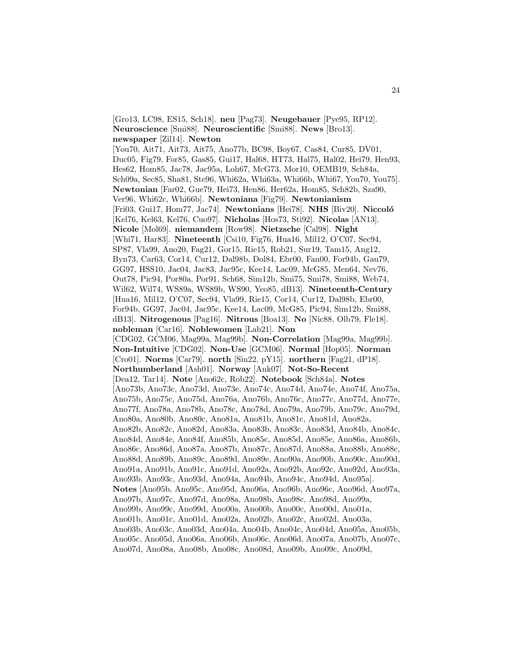[Gro13, LC98, ES15, Sch18]. **neu** [Pag73]. **Neugebauer** [Pye95, RP12]. **Neuroscience** [Smi88]. **Neuroscientific** [Smi88]. **News** [Bro13]. **newspaper** [Zil14]. **Newton** [You70, Ait71, Ait73, Ait75, Ano77b, BC98, Boy67, Cas84, Cur85, DV01, Duc05, Fig79, For85, Gas85, Gui17, Hal68, HT73, Hal75, Hal02, Hei79, Hen93, Hes62, Hom85, Jac78, Jac95a, Loh67, McG73, Mor10, OEMB19, Sch84a, Sch09a, Sec85, Sha81, Ste96, Whi62a, Whi63a, Whi66b, Whi67, You70, You75]. **Newtonian** [Far02, Gue79, Hei73, Hen86, Her62a, Hom85, Sch82b, Sza90, Ver96, Whi62c, Whi66b]. **Newtoniana** [Fig79]. **Newtonianism** [Fri03, Gui17, Hom77, Jac74]. **Newtonians** [Hei78]. **NHS** [Biv20]. **Niccol´o** [Kel76, Kel63, Kel76, Cuo97]. **Nicholas** [Hos73, Sti92]. **Nicolas** [AN13]. **Nicole** [Mol69]. **niemandem** [Row98]. **Nietzsche** [Cal98]. **Night** [Whi71, Har83]. **Nineteenth** [Csi10, Fig76, Hua16, Mil12, O'C07, Sec94, SP87, Vla99, Ano20, Fag21, Gor15, Rie15, Rob21, Sur19, Tam15, Ang12, Byn73, Car63, Cor14, Cur12, Dal98b, Dol84, Ebr00, Fan00, For94b, Gau79, GG97, HSS10, Jac04, Jac83, Jac95c, Kee14, Lac09, McG85, Men64, Nev76, Out78, Pic94, Por80a, Por91, Sch68, Sim12b, Smi75, Smi78, Smi88, Web74, Wil62, Wil74, WS89a, WS89b, WS90, Yeo85, dB13]. **Nineteenth-Century** [Hua16, Mil12, O'C07, Sec94, Vla99, Rie15, Cor14, Cur12, Dal98b, Ebr00, For94b, GG97, Jac04, Jac95c, Kee14, Lac09, McG85, Pic94, Sim12b, Smi88, dB13]. **Nitrogenous** [Pag16]. **Nitrous** [Boa13]. **No** [Nic88, Olb79, Fle18]. **nobleman** [Car16]. **Noblewomen** [Lab21]. **Non** [CDG02, GCM06, Mag99a, Mag99b]. **Non-Correlation** [Mag99a, Mag99b]. **Non-Intuitive** [CDG02]. **Non-Use** [GCM06]. **Normal** [Hop05]. **Norman** [Cro01]. **Norms** [Car79]. **north** [Sin22, pY15]. **northern** [Fag21, dP18]. **Northumberland** [Ash01]. **Norway** [Ank07]. **Not-So-Recent** [Dea12, Tar14]. **Note** [Ano62c, Rob22]. **Notebook** [Sch84a]. **Notes** [Ano73b, Ano73c, Ano73d, Ano73e, Ano74c, Ano74d, Ano74e, Ano74f, Ano75a, Ano75b, Ano75c, Ano75d, Ano76a, Ano76b, Ano76c, Ano77c, Ano77d, Ano77e, Ano77f, Ano78a, Ano78b, Ano78c, Ano78d, Ano79a, Ano79b, Ano79c, Ano79d, Ano80a, Ano80b, Ano80c, Ano81a, Ano81b, Ano81c, Ano81d, Ano82a, Ano82b, Ano82c, Ano82d, Ano83a, Ano83b, Ano83c, Ano83d, Ano84b, Ano84c, Ano84d, Ano84e, Ano84f, Ano85b, Ano85c, Ano85d, Ano85e, Ano86a, Ano86b, Ano86c, Ano86d, Ano87a, Ano87b, Ano87c, Ano87d, Ano88a, Ano88b, Ano88c, Ano88d, Ano89b, Ano89c, Ano89d, Ano89e, Ano90a, Ano90b, Ano90c, Ano90d, Ano91a, Ano91b, Ano91c, Ano91d, Ano92a, Ano92b, Ano92c, Ano92d, Ano93a, Ano93b, Ano93c, Ano93d, Ano94a, Ano94b, Ano94c, Ano94d, Ano95a]. **Notes** [Ano95b, Ano95c, Ano95d, Ano96a, Ano96b, Ano96c, Ano96d, Ano97a, Ano97b, Ano97c, Ano97d, Ano98a, Ano98b, Ano98c, Ano98d, Ano99a, Ano99b, Ano99c, Ano99d, Ano00a, Ano00b, Ano00c, Ano00d, Ano01a, Ano01b, Ano01c, Ano01d, Ano02a, Ano02b, Ano02c, Ano02d, Ano03a, Ano03b, Ano03c, Ano03d, Ano04a, Ano04b, Ano04c, Ano04d, Ano05a, Ano05b, Ano05c, Ano05d, Ano06a, Ano06b, Ano06c, Ano06d, Ano07a, Ano07b, Ano07c, Ano07d, Ano08a, Ano08b, Ano08c, Ano08d, Ano09b, Ano09c, Ano09d,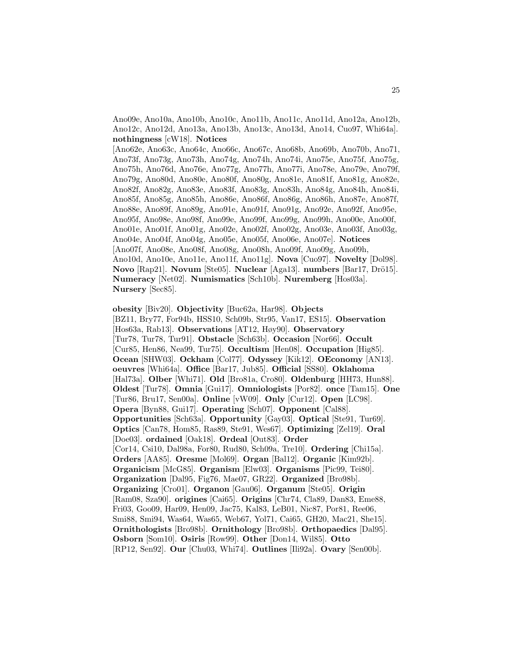Ano09e, Ano10a, Ano10b, Ano10c, Ano11b, Ano11c, Ano11d, Ano12a, Ano12b, Ano12c, Ano12d, Ano13a, Ano13b, Ano13c, Ano13d, Ano14, Cuo97, Whi64a]. **nothingness** [cW18]. **Notices**

[Ano62e, Ano63c, Ano64c, Ano66c, Ano67c, Ano68b, Ano69b, Ano70b, Ano71, Ano73f, Ano73g, Ano73h, Ano74g, Ano74h, Ano74i, Ano75e, Ano75f, Ano75g, Ano75h, Ano76d, Ano76e, Ano77g, Ano77h, Ano77i, Ano78e, Ano79e, Ano79f, Ano79g, Ano80d, Ano80e, Ano80f, Ano80g, Ano81e, Ano81f, Ano81g, Ano82e, Ano82f, Ano82g, Ano83e, Ano83f, Ano83g, Ano83h, Ano84g, Ano84h, Ano84i, Ano85f, Ano85g, Ano85h, Ano86e, Ano86f, Ano86g, Ano86h, Ano87e, Ano87f, Ano88e, Ano89f, Ano89g, Ano91e, Ano91f, Ano91g, Ano92e, Ano92f, Ano95e, Ano95f, Ano98e, Ano98f, Ano99e, Ano99f, Ano99g, Ano99h, Ano00e, Ano00f, Ano01e, Ano01f, Ano01g, Ano02e, Ano02f, Ano02g, Ano03e, Ano03f, Ano03g, Ano04e, Ano04f, Ano04g, Ano05e, Ano05f, Ano06e, Ano07e]. **Notices** [Ano07f, Ano08e, Ano08f, Ano08g, Ano08h, Ano09f, Ano09g, Ano09h, Ano10d, Ano10e, Ano11e, Ano11f, Ano11g]. **Nova** [Cuo97]. **Novelty** [Dol98]. **Novo** [Rap21]. **Novum** [Ste05]. **Nuclear** [Aga13]. **numbers** [Bar17, Drö15]. **Numeracy** [Net02]. **Numismatics** [Sch10b]. **Nuremberg** [Hos03a]. **Nursery** [Sec85].

**obesity** [Biv20]. **Objectivity** [Buc62a, Har98]. **Objects** [BZ11, Bry77, For94b, HSS10, Sch09b, Str95, Van17, ES15]. **Observation** [Hos63a, Rab13]. **Observations** [AT12, Høy90]. **Observatory** [Tur78, Tur78, Tur91]. **Obstacle** [Sch63b]. **Occasion** [Nor66]. **Occult** [Cur85, Hen86, Nea99, Tur75]. **Occultism** [Hen08]. **Occupation** [Hig85]. **Ocean** [SHW03]. **Ockham** [Col77]. **Odyssey** [Kik12]. **OEconomy** [AN13]. **oeuvres** [Whi64a]. **Office** [Bar17, Jub85]. **Official** [SS80]. **Oklahoma** [Hal73a]. **Olber** [Whi71]. **Old** [Bro81a, Cro80]. **Oldenburg** [HH73, Hun88]. **Oldest** [Tur78]. **Omnia** [Gui17]. **Omniologists** [Por82]. **once** [Tam15]. **One** [Tur86, Bru17, Sen00a]. **Online** [vW09]. **Only** [Cur12]. **Open** [LC98]. **Opera** [Byn88, Gui17]. **Operating** [Sch07]. **Opponent** [Cal88]. **Opportunities** [Sch63a]. **Opportunity** [Gay03]. **Optical** [Ste91, Tur69]. **Optics** [Can78, Hom85, Ras89, Ste91, Wes67]. **Optimizing** [Zel19]. **Oral** [Doe03]. **ordained** [Oak18]. **Ordeal** [Out83]. **Order** [Cor14, Csi10, Dal98a, For80, Rud80, Sch09a, Tre10]. **Ordering** [Chi15a]. **Orders** [AA85]. **Oresme** [Mol69]. **Organ** [Bal12]. **Organic** [Kim92b]. **Organicism** [McG85]. **Organism** [Elw03]. **Organisms** [Pic99, Tei80]. **Organization** [Dal95, Fig76, Mae07, GR22]. **Organized** [Bro98b]. **Organizing** [Cro01]. **Organon** [Gau06]. **Organum** [Ste05]. **Origin** [Ram08, Sza90]. **origines** [Cai65]. **Origins** [Chr74, Cla89, Dan83, Eme88, Fri03, Goo09, Har09, Hen09, Jac75, Kal83, LeB01, Nic87, Por81, Ree06, Smi88, Smi94, Was64, Was65, Web67, Yol71, Cai65, GH20, Mac21, She15]. **Ornithologists** [Bro98b]. **Ornithology** [Bro98b]. **Orthopaedics** [Dal95]. **Osborn** [Som10]. **Osiris** [Row99]. **Other** [Don14, Wil85]. **Otto** [RP12, Sen92]. **Our** [Chu03, Whi74]. **Outlines** [Ili92a]. **Ovary** [Sen00b].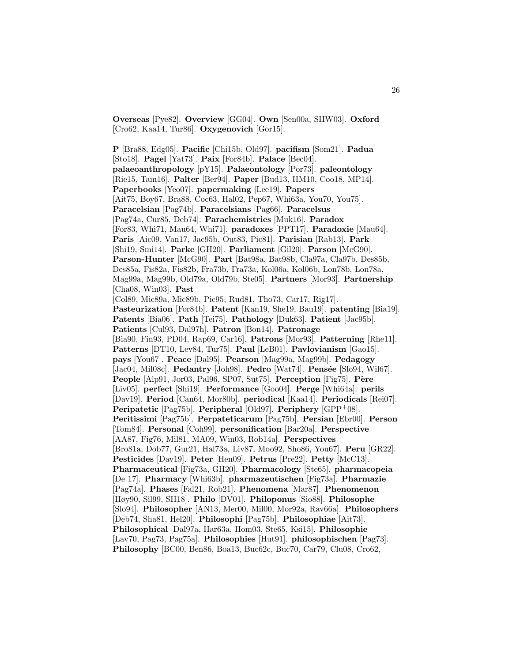**Overseas** [Pye82]. **Overview** [GG04]. **Own** [Sen00a, SHW03]. **Oxford** [Cro62, Kaa14, Tur86]. **Oxygenovich** [Gor15].

**P** [Bra88, Edg05]. **Pacific** [Chi15b, Old97]. **pacifism** [Som21]. **Padua** [Sto18]. **Pagel** [Yat73]. **Paix** [For84b]. **Palace** [Bec04]. **palaeoanthropology** [pY15]. **Palaeontology** [Por73]. **paleontology** [Rie15, Tam16]. **Palter** [Ber94]. **Paper** [Bud13, HM10, Coo18, MP14]. **Paperbooks** [Yeo07]. **papermaking** [Lee19]. **Papers** [Ait75, Boy67, Bra88, Coc63, Hal02, Pep67, Whi63a, You70, You75]. **Paracelsian** [Pag74b]. **Paracelsians** [Pag66]. **Paracelsus** [Pag74a, Cur85, Deb74]. **Parachemistries** [Muk16]. **Paradox** [For83, Whi71, Mau64, Whi71]. **paradoxes** [PPT17]. **Paradoxie** [Mau64]. **Paris** [Aic09, Van17, Jac95b, Out83, Pic81]. **Parisian** [Rab13]. **Park** [Shi19, Smi14]. **Parke** [GH20]. **Parliament** [Gil20]. **Parson** [McG90]. **Parson-Hunter** [McG90]. **Part** [Bat98a, Bat98b, Cla97a, Cla97b, Des85b, Des85a, Fis82a, Fis82b, Fra73b, Fra73a, Kol06a, Kol06b, Lon78b, Lon78a, Mag99a, Mag99b, Old79a, Old79b, Ste05]. **Partners** [Mor93]. **Partnership** [Cha08, Win03]. **Past** [Col89, Mic89a, Mic89b, Pic95, Rud81, Tho73, Car17, Rig17]. **Pasteurization** [For84b]. **Patent** [Kan19, She19, Bau19]. **patenting** [Bia19]. **Patents** [Bia06]. **Path** [Tei75]. **Pathology** [Duk63]. **Patient** [Jac95b]. **Patients** [Cul93, Dal97h]. **Patron** [Bon14]. **Patronage** [Bia90, Fin93, PD04, Rap69, Car16]. **Patrons** [Mor93]. **Patterning** [Rhe11]. **Patterns** [DT10, Lev84, Tur75]. **Paul** [LeB01]. **Pavlovianism** [Gao15]. **pays** [You67]. **Peace** [Dal95]. **Pearson** [Mag99a, Mag99b]. **Pedagogy** [Jac04, Mil08c]. **Pedantry** [Joh98]. **Pedro** [Wat74]. **Pens´ee** [Slo94, Wil67]. **People** [Alp91, Jor03, Pal96, SP07, Sut75]. **Perception** [Fig75]. **Père** [Liv05]. **perfect** [Shi19]. **Performance** [Goo04]. **Perge** [Whi64a]. **perils** [Dav19]. **Period** [Can64, Mor80b]. **periodical** [Kaa14]. **Periodicals** [Rei07]. **Peripatetic** [Pag75b]. **Peripheral** [Old97]. **Periphery** [GPP<sup>+</sup>08]. **Peritissimi** [Pag75b]. **Perpateticarum** [Pag75b]. **Persian** [Ebr00]. **Person** [Tom84]. **Personal** [Coh99]. **personification** [Bar20a]. **Perspective** [AA87, Fig76, Mil81, MA09, Win03, Rob14a]. **Perspectives** [Bro81a, Dob77, Gur21, Hal73a, Liv87, Moo92, Sho86, You67]. **Peru** [GR22]. **Pesticides** [Dav19]. **Peter** [Hen09]. **Petrus** [Pre22]. **Petty** [McC13]. **Pharmaceutical** [Fig73a, GH20]. **Pharmacology** [Ste65]. **pharmacopeia** [De 17]. **Pharmacy** [Whi63b]. **pharmazeutischen** [Fig73a]. **Pharmazie** [Pag74a]. **Phases** [Fal21, Rob21]. **Phenomena** [Mar87]. **Phenomenon** [Høy90, Sil99, SH18]. **Philo** [DV01]. **Philoponus** [Sio88]. **Philosophe** [Slo94]. **Philosopher** [AN13, Mer00, Mil00, Mor92a, Rav66a]. **Philosophers** [Deb74, Sha81, Hel20]. **Philosophi** [Pag75b]. **Philosophiae** [Ait73]. **Philosophical** [Dal97a, Har63a, Hom03, Ste65, Ksi15]. **Philosophie** [Lav70, Pag73, Pag75a]. **Philosophies** [Hut91]. **philosophischen** [Pag73]. **Philosophy** [BC00, Ben86, Boa13, Buc62c, Buc70, Car79, Clu08, Cro62,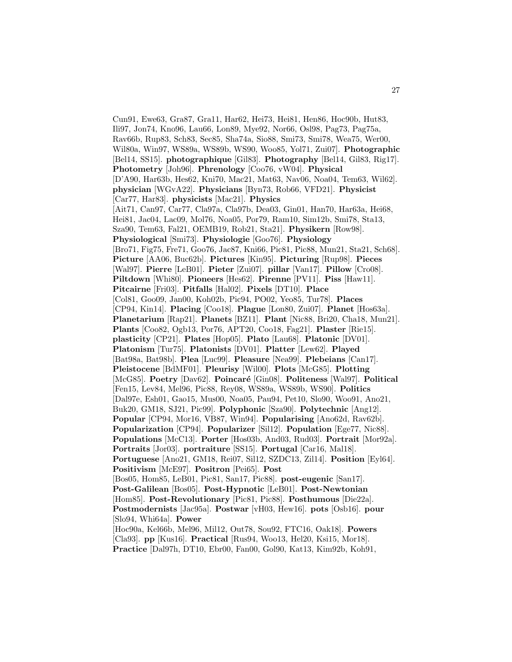Cun91, Ewe63, Gra87, Gra11, Har62, Hei73, Hei81, Hen86, Hoc90b, Hut83, Ili97, Jon74, Kno96, Lau66, Lon89, Mye92, Nor66, Osl98, Pag73, Pag75a, Rav66b, Rup83, Sch83, Sec85, Sha74a, Sio88, Smi73, Smi78, Wea75, Wer00, Wil80a, Win97, WS89a, WS89b, WS90, Woo85, Yol71, Zui07]. **Photographic** [Bel14, SS15]. **photographique** [Gil83]. **Photography** [Bel14, Gil83, Rig17]. **Photometry** [Joh96]. **Phrenology** [Coo76, vW04]. **Physical** [D'A90, Har63b, Hes62, Kni70, Mac21, Mat63, Nav06, Noa04, Tem63, Wil62]. **physician** [WGvA22]. **Physicians** [Byn73, Rob66, VFD21]. **Physicist** [Car77, Har83]. **physicists** [Mac21]. **Physics** [Ait71, Can97, Car77, Cla97a, Cla97b, Dea03, Gin01, Han70, Har63a, Hei68, Hei81, Jac04, Lac09, Mol76, Noa05, Por79, Ram10, Sim12b, Smi78, Sta13, Sza90, Tem63, Fal21, OEMB19, Rob21, Sta21]. **Physikern** [Row98]. **Physiological** [Smi73]. **Physiologie** [Goo76]. **Physiology** [Bro71, Fig75, Fre71, Goo76, Jac87, Kni66, Pic81, Pic88, Mun21, Sta21, Sch68]. **Picture** [AA06, Buc62b]. **Pictures** [Kin95]. **Picturing** [Rup98]. **Pieces** [Wal97]. **Pierre** [LeB01]. **Pieter** [Zui07]. **pillar** [Van17]. **Pillow** [Cro08]. **Piltdown** [Whi80]. **Pioneers** [Hes62]. **Pirenne** [PV11]. **Piss** [Haw11]. **Pitcairne** [Fri03]. **Pitfalls** [Hal02]. **Pixels** [DT10]. **Place** [Col81, Goo09, Jan00, Koh02b, Pic94, PO02, Yeo85, Tur78]. **Places** [CP94, Kin14]. **Placing** [Coo18]. **Plague** [Lon80, Zui07]. **Planet** [Hos63a]. **Planetarium** [Rap21]. **Planets** [BZ11]. **Plant** [Nic88, Bri20, Cha18, Mun21]. **Plants** [Coo82, Ogb13, Por76, APT20, Coo18, Fag21]. **Plaster** [Rie15]. **plasticity** [CP21]. **Plates** [Hop05]. **Plato** [Lau68]. **Platonic** [DV01]. **Platonism** [Tur75]. **Platonists** [DV01]. **Platter** [Lew62]. **Played** [Bat98a, Bat98b]. **Plea** [Luc99]. **Pleasure** [Nea99]. **Plebeians** [Can17]. **Pleistocene** [BdMF01]. **Pleurisy** [Wil00]. **Plots** [McG85]. **Plotting** [McG85]. **Poetry** [Dav62]. **Poincaré** [Gin08]. **Politeness** [Wal97]. **Political** [Fen15, Lev84, Mel96, Pic88, Rey08, WS89a, WS89b, WS90]. **Politics** [Dal97e, Esh01, Gao15, Mus00, Noa05, Pau94, Pet10, Slo90, Woo91, Ano21, Buk20, GM18, SJ21, Pic99]. **Polyphonic** [Sza90]. **Polytechnic** [Ang12]. **Popular** [CP94, Mor16, VB87, Win94]. **Popularising** [Ano62d, Rav62b]. **Popularization** [CP94]. **Popularizer** [Sil12]. **Population** [Ege77, Nic88]. **Populations** [McC13]. **Porter** [Hos03b, And03, Rud03]. **Portrait** [Mor92a]. **Portraits** [Jor03]. **portraiture** [SS15]. **Portugal** [Car16, Mal18]. **Portuguese** [Ano21, GM18, Rei07, Sil12, SZDC13, Zil14]. **Position** [Eyl64]. **Positivism** [McE97]. **Positron** [Pei65]. **Post** [Bos05, Hom85, LeB01, Pic81, San17, Pic88]. **post-eugenic** [San17]. **Post-Galilean** [Bos05]. **Post-Hypnotic** [LeB01]. **Post-Newtonian** [Hom85]. **Post-Revolutionary** [Pic81, Pic88]. **Posthumous** [Die22a]. **Postmodernists** [Jac95a]. **Postwar** [vH03, Hew16]. **pots** [Osb16]. **pour** [Slo94, Whi64a]. **Power** [Hoc90a, Kel66b, Mel96, Mil12, Out78, Sou92, FTC16, Oak18]. **Powers** [Cla93]. **pp** [Kus16]. **Practical** [Rus94, Woo13, Hel20, Ksi15, Mor18]. **Practice** [Dal97h, DT10, Ebr00, Fan00, Gol90, Kat13, Kim92b, Koh91,

27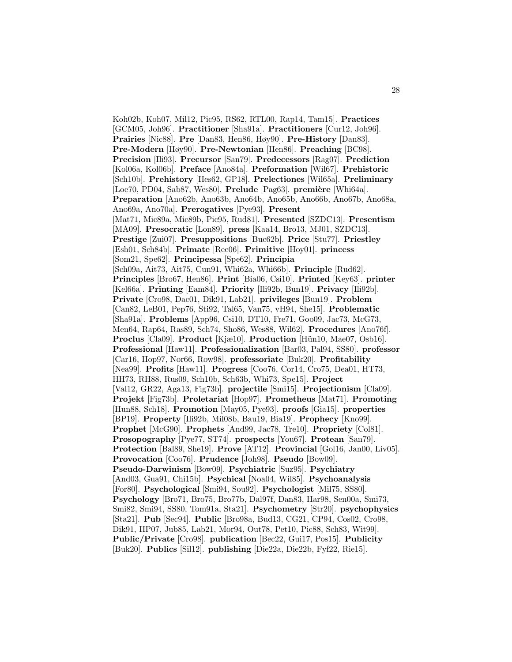Koh02b, Koh07, Mil12, Pic95, RS62, RTL00, Rap14, Tam15]. **Practices** [GCM05, Joh96]. **Practitioner** [Sha91a]. **Practitioners** [Cur12, Joh96]. **Prairies** [Nic88]. **Pre** [Dan83, Hen86, Høy90]. **Pre-History** [Dan83]. **Pre-Modern** [Høy90]. **Pre-Newtonian** [Hen86]. **Preaching** [BC98]. **Precision** [Ili93]. **Precursor** [San79]. **Predecessors** [Rag07]. **Prediction** [Kol06a, Kol06b]. **Preface** [Ano84a]. **Preformation** [Wil67]. **Prehistoric** [Sch10b]. **Prehistory** [Hes62, GP18]. **Prelectiones** [Wil65a]. **Preliminary** [Loe70, PD04, Sab87, Wes80]. Prelude [Pag63]. première [Whi64a]. **Preparation** [Ano62b, Ano63b, Ano64b, Ano65b, Ano66b, Ano67b, Ano68a, Ano69a, Ano70a]. **Prerogatives** [Pye93]. **Present** [Mat71, Mic89a, Mic89b, Pic95, Rud81]. **Presented** [SZDC13]. **Presentism** [MA09]. **Presocratic** [Lon89]. **press** [Kaa14, Bro13, MJ01, SZDC13]. **Prestige** [Zui07]. **Presuppositions** [Buc62b]. **Price** [Stu77]. **Priestley** [Esh01, Sch84b]. **Primate** [Ree06]. **Primitive** [Hoy01]. **princess** [Som21, Spe62]. **Principessa** [Spe62]. **Principia** [Sch09a, Ait73, Ait75, Cun91, Whi62a, Whi66b]. **Principle** [Rud62]. **Principles** [Bro67, Hen86]. **Print** [Bia06, Csi10]. **Printed** [Key63]. **printer** [Kel66a]. **Printing** [Eam84]. **Priority** [Ili92b, Bun19]. **Privacy** [Ili92b]. **Private** [Cro98, Dac01, Dik91, Lab21]. **privileges** [Bun19]. **Problem** [Can82, LeB01, Pep76, Sti92, Tal65, Van75, vH94, She15]. **Problematic** [Sha91a]. **Problems** [App96, Csi10, DT10, Fre71, Goo09, Jac73, McG73, Men64, Rap64, Ras89, Sch74, Sho86, Wes88, Wil62]. **Procedures** [Ano76f]. **Proclus** [Cla09]. **Product** [Kjæ10]. **Production** [Hün10, Mae07, Osb16]. **Professional** [Haw11]. **Professionalization** [Bar03, Pal94, SS80]. **professor** [Car16, Hop97, Nor66, Row98]. **professoriate** [Buk20]. **Profitability** [Nea99]. **Profits** [Haw11]. **Progress** [Coo76, Cor14, Cro75, Dea01, HT73, HH73, RH88, Rus09, Sch10b, Sch63b, Whi73, Spe15]. **Project** [Val12, GR22, Aga13, Fig73b]. **projectile** [Smi15]. **Projectionism** [Cla09]. **Projekt** [Fig73b]. **Proletariat** [Hop97]. **Prometheus** [Mat71]. **Promoting** [Hun88, Sch18]. **Promotion** [May05, Pye93]. **proofs** [Gia15]. **properties** [BP19]. **Property** [Ili92b, Mil08b, Bau19, Bia19]. **Prophecy** [Kno99]. **Prophet** [McG90]. **Prophets** [And99, Jac78, Tre10]. **Propriety** [Col81]. **Prosopography** [Pye77, ST74]. **prospects** [You67]. **Protean** [San79]. **Protection** [Bal89, She19]. **Prove** [AT12]. **Provincial** [Gol16, Jan00, Liv05]. **Provocation** [Coo76]. **Prudence** [Joh98]. **Pseudo** [Bow09]. **Pseudo-Darwinism** [Bow09]. **Psychiatric** [Suz95]. **Psychiatry** [And03, Gua91, Chi15b]. **Psychical** [Noa04, Wil85]. **Psychoanalysis** [For80]. **Psychological** [Smi94, Sou92]. **Psychologist** [Mil75, SS80]. **Psychology** [Bro71, Bro75, Bro77b, Dal97f, Dan83, Har98, Sen00a, Smi73, Smi82, Smi94, SS80, Tom91a, Sta21]. **Psychometry** [Str20]. **psychophysics** [Sta21]. **Pub** [Sec94]. **Public** [Bro98a, Bud13, CG21, CP94, Cos02, Cro98, Dik91, HP07, Jub85, Lab21, Mor94, Out78, Pet10, Pic88, Sch83, Wit99]. **Public/Private** [Cro98]. **publication** [Bec22, Gui17, Pos15]. **Publicity** [Buk20]. **Publics** [Sil12]. **publishing** [Die22a, Die22b, Fyf22, Rie15].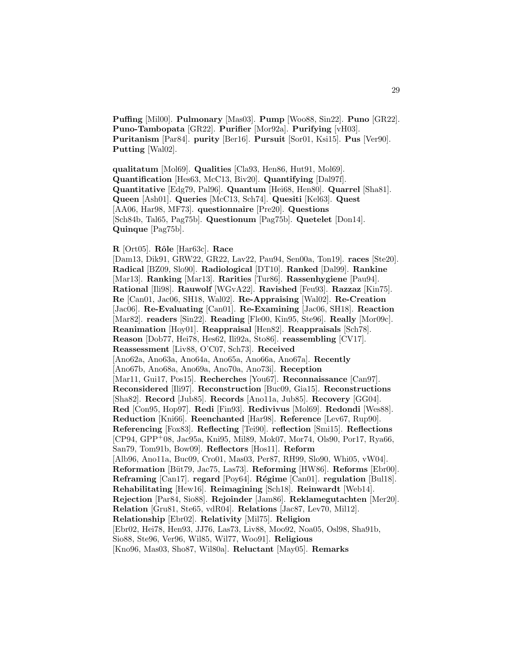**Puffing** [Mil00]. **Pulmonary** [Mas03]. **Pump** [Woo88, Sin22]. **Puno** [GR22]. **Puno-Tambopata** [GR22]. **Purifier** [Mor92a]. **Purifying** [vH03]. **Puritanism** [Par84]. **purity** [Ber16]. **Pursuit** [Sor01, Ksi15]. **Pus** [Ver90]. **Putting** [Wal02].

**qualitatum** [Mol69]. **Qualities** [Cla93, Hen86, Hut91, Mol69]. **Quantification** [Hes63, McC13, Biv20]. **Quantifying** [Dal97f]. **Quantitative** [Edg79, Pal96]. **Quantum** [Hei68, Hen80]. **Quarrel** [Sha81]. **Queen** [Ash01]. **Queries** [McC13, Sch74]. **Quesiti** [Kel63]. **Quest** [AA06, Har98, MF73]. **questionnaire** [Pre20]. **Questions** [Sch84b, Tal65, Pag75b]. **Questionum** [Pag75b]. **Quetelet** [Don14]. **Quinque** [Pag75b].

**R** [Ort05]. **Rˆole** [Har63c]. **Race**

[Dam13, Dik91, GRW22, GR22, Lav22, Pau94, Sen00a, Ton19]. **races** [Ste20]. **Radical** [BZ09, Slo90]. **Radiological** [DT10]. **Ranked** [Dal99]. **Rankine** [Mar13]. **Ranking** [Mar13]. **Rarities** [Tur86]. **Rassenhygiene** [Pau94]. **Rational** [Ili98]. **Rauwolf** [WGvA22]. **Ravished** [Feu93]. **Razzaz** [Kin75]. **Re** [Can01, Jac06, SH18, Wal02]. **Re-Appraising** [Wal02]. **Re-Creation** [Jac06]. **Re-Evaluating** [Can01]. **Re-Examining** [Jac06, SH18]. **Reaction** [Mar82]. **readers** [Sin22]. **Reading** [Fle00, Kin95, Ste96]. **Really** [Mor09c]. **Reanimation** [Hoy01]. **Reappraisal** [Hen82]. **Reappraisals** [Sch78]. **Reason** [Dob77, Hei78, Hes62, Ili92a, Sto86]. **reassembling** [CV17]. **Reassessment** [Liv88, O'C07, Sch73]. **Received** [Ano62a, Ano63a, Ano64a, Ano65a, Ano66a, Ano67a]. **Recently** [Ano67b, Ano68a, Ano69a, Ano70a, Ano73i]. **Reception** [Mar11, Gui17, Pos15]. **Recherches** [You67]. **Reconnaissance** [Can97]. **Reconsidered** [Ili97]. **Reconstruction** [Buc09, Gia15]. **Reconstructions** [Sha82]. **Record** [Jub85]. **Records** [Ano11a, Jub85]. **Recovery** [GG04]. **Red** [Con95, Hop97]. **Redi** [Fin93]. **Redivivus** [Mol69]. **Redondi** [Wes88]. **Reduction** [Kni66]. **Reenchanted** [Har98]. **Reference** [Lev67, Rup90]. **Referencing** [Fox83]. **Reflecting** [Tei90]. **reflection** [Smi15]. **Reflections** [CP94, GPP<sup>+</sup>08, Jac95a, Kni95, Mil89, Mok07, Mor74, Ols90, Por17, Rya66, San79, Tom91b, Bow09]. **Reflectors** [Hos11]. **Reform** [Alb96, Ano11a, Buc09, Cro01, Mas03, Per87, RH99, Slo90, Whi05, vW04]. **Reformation** [B¨ut79, Jac75, Las73]. **Reforming** [HW86]. **Reforms** [Ebr00]. **Reframing** [Can17]. **regard** [Poy64]. **R´egime** [Can01]. **regulation** [Bul18]. **Rehabilitating** [Hew16]. **Reimagining** [Sch18]. **Reinwardt** [Web14]. **Rejection** [Par84, Sio88]. **Rejoinder** [Jam86]. **Reklamegutachten** [Mer20]. **Relation** [Gru81, Ste65, vdR04]. **Relations** [Jac87, Lev70, Mil12]. **Relationship** [Ebr02]. **Relativity** [Mil75]. **Religion** [Ebr02, Hei78, Hen93, JJ76, Las73, Liv88, Moo92, Noa05, Osl98, Sha91b, Sio88, Ste96, Ver96, Wil85, Wil77, Woo91]. **Religious** [Kno96, Mas03, Sho87, Wil80a]. **Reluctant** [May05]. **Remarks**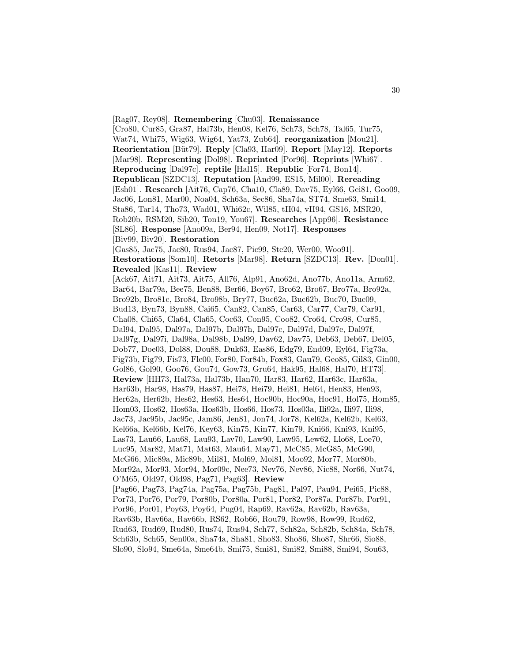[Rag07, Rey08]. **Remembering** [Chu03]. **Renaissance** [Cro80, Cur85, Gra87, Hal73b, Hen08, Kel76, Sch73, Sch78, Tal65, Tur75, Wat74, Whi75, Wig63, Wig64, Yat73, Zub64]. **reorganization** [Mou21]. **Reorientation** [Büt79]. **Reply** [Cla93, Har09]. **Report** [May12]. **Reports** [Mar98]. **Representing** [Dol98]. **Reprinted** [Por96]. **Reprints** [Whi67]. **Reproducing** [Dal97c]. **reptile** [Hal15]. **Republic** [For74, Bon14]. **Republican** [SZDC13]. **Reputation** [And99, ES15, Mil00]. **Rereading** [Esh01]. **Research** [Ait76, Cap76, Cha10, Cla89, Dav75, Eyl66, Gei81, Goo09, Jac06, Lon81, Mar00, Noa04, Sch63a, Sec86, Sha74a, ST74, Sme63, Smi14, Sta86, Tar14, Tho73, Wad01, Whi62c, Wil85, tH04, vH94, GS16, MSR20, Rob20b, RSM20, Sib20, Ton19, You67]. **Researches** [App96]. **Resistance** [SL86]. **Response** [Ano09a, Ber94, Hen09, Not17]. **Responses** [Biv99, Biv20]. **Restoration** [Gas85, Jac75, Jac80, Rus94, Jac87, Pic99, Ste20, Wer00, Woo91]. **Restorations** [Som10]. **Retorts** [Mar98]. **Return** [SZDC13]. **Rev.** [Don01]. **Revealed** [Kas11]. **Review** [Ack67, Ait71, Ait73, Ait75, All76, Alp91, Ano62d, Ano77b, Ano11a, Arm62, Bar64, Bar79a, Bee75, Ben88, Ber66, Boy67, Bro62, Bro67, Bro77a, Bro92a, Bro92b, Bro81c, Bro84, Bro98b, Bry77, Buc62a, Buc62b, Buc70, Buc09, Bud13, Byn73, Byn88, Cai65, Can82, Can85, Car63, Car77, Car79, Car91, Cha08, Chi65, Cla64, Cla65, Coc63, Con95, Coo82, Cro64, Cro98, Cur85, Dal94, Dal95, Dal97a, Dal97b, Dal97h, Dal97c, Dal97d, Dal97e, Dal97f, Dal97g, Dal97i, Dal98a, Dal98b, Dal99, Dav62, Dav75, Deb63, Deb67, Del05, Dob77, Doe03, Dol88, Dou88, Duk63, Eas86, Edg79, End09, Eyl64, Fig73a, Fig73b, Fig79, Fis73, Fle00, For80, For84b, Fox83, Gau79, Geo85, Gil83, Gin00, Gol86, Gol90, Goo76, Gou74, Gow73, Gru64, Hak95, Hal68, Hal70, HT73]. **Review** [HH73, Hal73a, Hal73b, Han70, Har83, Har62, Har63c, Har63a, Har63b, Har98, Has79, Has87, Hei78, Hei79, Hei81, Hel64, Hen83, Hen93, Her62a, Her62b, Hes62, Hes63, Hes64, Hoc90b, Hoc90a, Hoc91, Hol75, Hom85, Hom03, Hos62, Hos63a, Hos63b, Hos66, Hos73, Hos03a, Ili92a, Ili97, Ili98, Jac73, Jac95b, Jac95c, Jam86, Jen81, Jon74, Jor78, Kel62a, Kel62b, Kel63, Kel66a, Kel66b, Kel76, Key63, Kin75, Kin77, Kin79, Kni66, Kni93, Kni95, Las73, Lau66, Lau68, Lau93, Lav70, Law90, Law95, Lew62, Llo68, Loe70, Luc95, Mar82, Mat71, Mat63, Mau64, May71, McC85, McG85, McG90, McG66, Mic89a, Mic89b, Mil81, Mol69, Mol81, Moo92, Mor77, Mor80b, Mor92a, Mor93, Mor94, Mor09c, Nee73, Nev76, Nev86, Nic88, Nor66, Nut74, O'M65, Old97, Old98, Pag71, Pag63]. **Review** [Pag66, Pag73, Pag74a, Pag75a, Pag75b, Pag81, Pal97, Pau94, Pei65, Pic88, Por73, Por76, Por79, Por80b, Por80a, Por81, Por82, Por87a, Por87b, Por91, Por96, Por01, Poy63, Poy64, Pug04, Rap69, Rav62a, Rav62b, Rav63a, Rav63b, Rav66a, Rav66b, RS62, Rob66, Rou79, Row98, Row99, Rud62, Rud63, Rud69, Rud80, Rus74, Rus94, Sch77, Sch82a, Sch82b, Sch84a, Sch78, Sch63b, Sch65, Sen00a, Sha74a, Sha81, Sho83, Sho86, Sho87, Shr66, Sio88, Slo90, Slo94, Sme64a, Sme64b, Smi75, Smi81, Smi82, Smi88, Smi94, Sou63,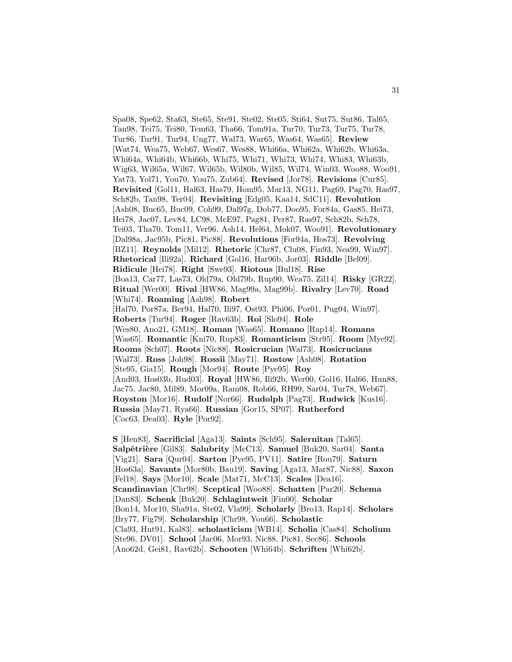Spa08, Spe62, Sta63, Ste65, Ste91, Ste02, Ste05, Sti64, Sut75, Sut86, Tal65, Tan98, Tei75, Tei80, Tem63, Tha66, Tom91a, Tur70, Tur73, Tur75, Tur78, Tur86, Tur91, Tur94, Ung77, Wal73, War65, Was64, Was65]. **Review** [Wat74, Wea75, Web67, Wes67, Wes88, Whi66a, Whi62a, Whi62b, Whi63a, Whi64a, Whi64b, Whi66b, Whi75, Whi71, Whi73, Whi74, Whi83, Whi63b, Wig63, Wil65a, Wil67, Wil65b, Wil80b, Wil85, Wil74, Win03, Woo88, Woo91, Yat73, Yol71, You70, You75, Zub64]. **Revised** [Jor78]. **Revisions** [Cur85]. **Revisited** [Gol11, Hal63, Has79, Hom95, Mar13, NG11, Pag69, Pag70, Ras97, Sch82b, Tan98, Ter04]. **Revisiting** [Edg05, Kaa14, SdC11]. **Revolution** [Ash08, Buc65, Buc09, Coh99, Dal97g, Dob77, Doo95, For84a, Gas85, Hei73, Hei78, Jac07, Lev84, LC98, McE97, Pag81, Per87, Ras97, Sch82b, Sch78, Tei03, Tha70, Tom11, Ver96, Ash14, Hel64, Mok07, Woo91]. **Revolutionary** [Dal98a, Jac95b, Pic81, Pic88]. **Revolutions** [For94a, Hos73]. **Revolving** [BZ11]. **Reynolds** [Mil12]. **Rhetoric** [Chr87, Clu08, Fin93, Nea99, Win97]. **Rhetorical** [Ili92a]. **Richard** [Gol16, Har96b, Jor03]. **Riddle** [Bel09]. **Ridicule** [Hei78]. **Right** [Swe93]. **Riotous** [Bul18]. **Rise** [Boa13, Car77, Las73, Old79a, Old79b, Rup90, Wea75, Zil14]. **Risky** [GR22]. **Ritual** [Wer00]. **Rival** [HW86, Mag99a, Mag99b]. **Rivalry** [Lev70]. **Road** [Whi74]. **Roaming** [Ash98]. **Robert** [Hal70, Por87a, Ber94, Hal70, Ili97, Ost93, Phi06, Por01, Pug04, Win97]. **Roberts** [Tur94]. **Roger** [Rav63b]. **Roi** [Slo94]. **Role** [Wes80, Ano21, GM18]. **Roman** [Was65]. **Romano** [Rap14]. **Romans** [Was65]. **Romantic** [Kni70, Rup83]. **Romanticism** [Str95]. **Room** [Mye92]. **Rooms** [Sch07]. **Roots** [Nic88]. **Rosicrucian** [Wal73]. **Rosicrucians** [Wal73]. **Ross** [Joh98]. **Rossii** [May71]. **Rostow** [Ash08]. **Rotation** [Ste95, Gia15]. **Rough** [Mor94]. **Route** [Pye95]. **Roy** [And03, Hos03b, Rud03]. **Royal** [HW86, Ili92b, Wer00, Gol16, Hal66, Hun88, Jac75, Jac80, Mil89, Mor09a, Ram08, Rob66, RH99, Sar04, Tur78, Web67]. **Royston** [Mor16]. **Rudolf** [Nor66]. **Rudolph** [Pag73]. **Rudwick** [Kus16]. **Russia** [May71, Rya66]. **Russian** [Gor15, SP07]. **Rutherford** [Coc63, Dea03]. **Ryle** [Por92].

**S** [Hen83]. **Sacrificial** [Aga13]. **Saints** [Sch95]. **Salernitan** [Tal65]. **Salpˆetri`ere** [Gil83]. **Salubrity** [McC13]. **Samuel** [Buk20, Sar04]. **Santa** [Vig21]. **Sara** [Qur04]. **Sarton** [Pye95, PV11]. **Satire** [Rou79]. **Saturn** [Hos63a]. **Savants** [Mor80b, Bau19]. **Saving** [Aga13, Mar87, Nic88]. **Saxon** [Fel18]. **Says** [Mor10]. **Scale** [Mat71, McC13]. **Scales** [Dea16]. **Scandinavian** [Chr98]. **Sceptical** [Woo88]. **Schatten** [Par20]. **Schema** [Dan83]. **Schenk** [Buk20]. **Schlagintweit** [Fin00]. **Scholar** [Bon14, Mor10, Sha91a, Ste02, Vla99]. **Scholarly** [Bro13, Rap14]. **Scholars** [Bry77, Fig79]. **Scholarship** [Chr98, You66]. **Scholastic** [Cla93, Hut91, Kal83]. **scholasticism** [WB14]. **Scholia** [Cas84]. **Scholium** [Ste96, DV01]. **School** [Jac06, Mor93, Nic88, Pic81, Sec86]. **Schools** [Ano62d, Gei81, Rav62b]. **Schooten** [Whi64b]. **Schriften** [Whi62b].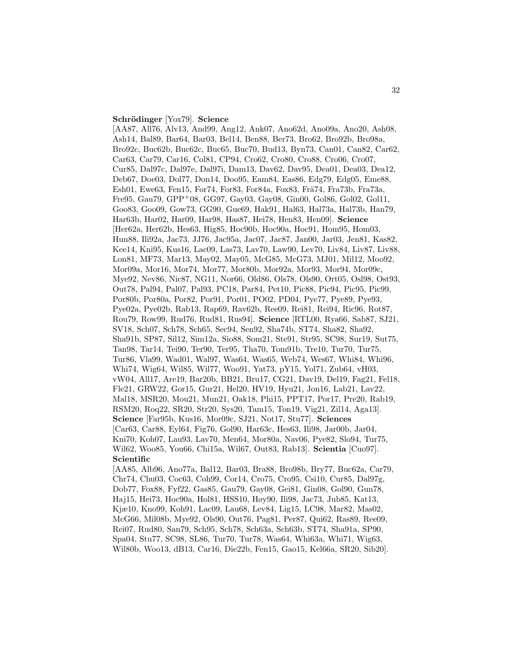## **Schr¨odinger** [Yox79]. **Science**

[AA87, All76, Alv13, And99, Ang12, Ank07, Ano62d, Ano09a, Ano20, Ash08, Ash14, Bal89, Bar64, Bar03, Bel14, Ben88, Ber73, Bro62, Bro92b, Bro98a, Bro92c, Buc62b, Buc62c, Buc65, Buc70, Bud13, Byn73, Can01, Can82, Car62, Car63, Car79, Car16, Col81, CP94, Cro62, Cro80, Cro88, Cro06, Cro07, Cur85, Dal97c, Dal97e, Dal97i, Dam13, Dav62, Dav95, Dea01, Dea03, Dea12, Deb67, Doe03, Dol77, Don14, Doo95, Eam84, Eas86, Edg79, Edg05, Eme88, Esh01, Ewe63, Fen15, For74, For83, For84a, Fox83, Frä74, Fra73b, Fra73a, Fre95, Gau79, GPP<sup>+</sup>08, GG97, Gay03, Gay08, Gin00, Gol86, Gol02, Gol11, Goo83, Goo09, Gow73, GG90, Gue69, Hak91, Hal63, Hal73a, Hal73b, Han79, Har63b, Har02, Har09, Har98, Has87, Hei78, Hen83, Hen09]. **Science** [Her62a, Her62b, Hes63, Hig85, Hoc90b, Hoc90a, Hoc91, Hom95, Hom03, Hun88, Ili92a, Jac73, JJ76, Jac95a, Jac07, Jac87, Jan00, Jar03, Jen81, Kas82, Kee14, Kni95, Kus16, Lac09, Las73, Lav70, Law90, Lev70, Liv84, Liv87, Liv88, Lon81, MF73, Mar13, May02, May05, McG85, McG73, MJ01, Mil12, Moo92, Mor09a, Mor16, Mor74, Mor77, Mor80b, Mor92a, Mor93, Mor94, Mor09c, Mye92, Nev86, Nic87, NG11, Nor66, Old86, Ols78, Ols90, Ort05, Osl98, Ost93, Out78, Pal94, Pal07, Pal93, PC18, Par84, Pet10, Pic88, Pic94, Pic95, Pic99, Por80b, Por80a, Por82, Por91, Por01, PO02, PD04, Pye77, Pye89, Pye93, Pye02a, Pye02b, Rab13, Rap69, Rav62b, Ree09, Rei81, Rei94, Ric96, Rot87, Rou79, Row99, Rud76, Rud81, Rus94]. **Science** [RTL00, Rya66, Sab87, SJ21, SV18, Sch07, Sch78, Sch65, Sec94, Sen92, Sha74b, ST74, Sha82, Sha92, Sha91b, SP87, Sil12, Sim12a, Sio88, Som21, Ste91, Str95, SC98, Sur19, Sut75, Tan98, Tar14, Tei90, Ter90, Ter95, Tha70, Tom91b, Tre10, Tur70, Tur75, Tur86, Vla99, Wad01, Wal97, Was64, Was65, Web74, Wes67, Whi84, Whi96, Whi74, Wig64, Wil85, Wil77, Woo91, Yat73, pY15, Yol71, Zub64, vH03, vW04, All17, Are19, Bar20b, BB21, Bru17, CG21, Dav19, Del19, Fag21, Fel18, Fle21, GRW22, Gor15, Gur21, Hel20, HV19, Hyu21, Jon16, Lab21, Lav22, Mal18, MSR20, Mou21, Mun21, Oak18, Phi15, PPT17, Por17, Pre20, Rab19, RSM20, Roq22, SR20, Str20, Sys20, Tam15, Ton19, Vig21, Zil14, Aga13]. **Science** [Far95b, Kus16, Mor09c, SJ21, Not17, Stu77]. **Sciences** [Car63, Car88, Eyl64, Fig76, Gol90, Har63c, Hes63, Ili98, Jar00b, Jar04, Kni70, Koh07, Lau93, Lav70, Men64, Mor80a, Nav06, Pye82, Slo94, Tur75, Wil62, Woo85, You66, Chi15a, Wil67, Out83, Rab13]. **Scientia** [Cuo97]. **Scientific**

[AA85, Alb96, Ano77a, Bal12, Bar03, Bra88, Bro98b, Bry77, Buc62a, Car79, Chr74, Chu03, Coc63, Coh99, Cor14, Cro75, Cro95, Csi10, Cur85, Dal97g, Dob77, Fox88, Fyf22, Gas85, Gau79, Gay08, Gei81, Gin08, Gol90, Gun78, Haj15, Hei73, Hoc90a, Hol81, HSS10, Høy90, Ili98, Jac73, Jub85, Kat13, Kjæ10, Kno99, Koh91, Lac09, Lau68, Lev84, Lig15, LC98, Mar82, Mas02, McG66, Mil08b, Mye92, Ols90, Out76, Pag81, Per87, Qui62, Ras89, Ree09, Rei07, Rud80, San79, Sch95, Sch78, Sch63a, Sch63b, ST74, Sha91a, SP90, Spa04, Stu77, SC98, SL86, Tur70, Tur78, Was64, Whi63a, Whi71, Wig63, Wil80b, Woo13, dB13, Car16, Die22b, Fen15, Gao15, Kel66a, SR20, Sib20].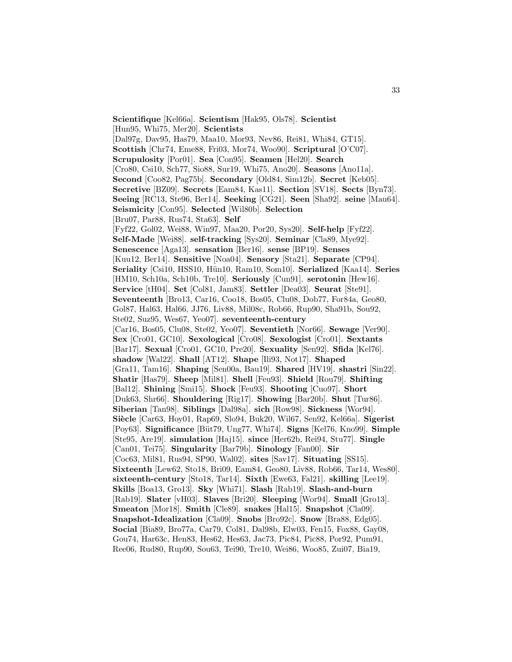**Scientifique** [Kel66a]. **Scientism** [Hak95, Ols78]. **Scientist** [Hun95, Whi75, Mer20]. **Scientists** [Dal97g, Dav95, Has79, Maa10, Mor93, Nev86, Rei81, Whi84, GT15]. **Scottish** [Chr74, Eme88, Fri03, Mor74, Woo90]. **Scriptural** [O'C07]. **Scrupulosity** [Por01]. **Sea** [Con95]. **Seamen** [Hel20]. **Search** [Cro80, Csi10, Sch77, Sio88, Sur19, Whi75, Ano20]. **Seasons** [Ano11a]. **Second** [Coo82, Pag75b]. **Secondary** [Old84, Sim12b]. **Secret** [Keb05]. **Secretive** [BZ09]. **Secrets** [Eam84, Kas11]. **Section** [SV18]. **Sects** [Byn73]. **Seeing** [RC13, Ste96, Ber14]. **Seeking** [CG21]. **Seen** [Sha92]. **seine** [Mau64]. **Seismicity** [Con95]. **Selected** [Wil80b]. **Selection** [Bru07, Par88, Rus74, Sta63]. **Self** [Fyf22, Gol02, Wei88, Win97, Maa20, Por20, Sys20]. **Self-help** [Fyf22]. **Self-Made** [Wei88]. **self-tracking** [Sys20]. **Seminar** [Cla89, Mye92]. **Senescence** [Aga13]. **sensation** [Ber16]. **sense** [BP19]. **Senses** [Kuu12, Ber14]. **Sensitive** [Noa04]. **Sensory** [Sta21]. **Separate** [CP94]. **Seriality** [Csi10, HSS10, Hün10, Ram10, Som10]. **Serialized** [Kaa14]. **Series** [HM10, Sch10a, Sch10b, Tre10]. **Seriously** [Cun91]. **serotonin** [Hew16]. **Service** [tH04]. **Set** [Col81, Jam83]. **Settler** [Dea03]. **Seurat** [Ste91]. **Seventeenth** [Bro13, Car16, Coo18, Bos05, Clu08, Dob77, For84a, Geo80, Gol87, Hal63, Hal66, JJ76, Liv88, Mil08c, Rob66, Rup90, Sha91b, Sou92, Ste02, Suz95, Wes67, Yeo07]. **seventeenth-century** [Car16, Bos05, Clu08, Ste02, Yeo07]. **Seventieth** [Nor66]. **Sewage** [Ver90]. **Sex** [Cro01, GC10]. **Sexological** [Cro08]. **Sexologist** [Cro01]. **Sextants** [Bar17]. **Sexual** [Cro01, GC10, Pre20]. **Sexuality** [Sen92]. **Sfida** [Kel76]. **shadow** [Wal22]. **Shall** [AT12]. **Shape** [Ili93, Not17]. **Shaped** [Gra11, Tam16]. **Shaping** [Sen00a, Bau19]. **Shared** [HV19]. **shastri** [Sin22]. **Shatir** [Has79]. **Sheep** [Mil81]. **Shell** [Feu93]. **Shield** [Rou79]. **Shifting** [Bal12]. **Shining** [Smi15]. **Shock** [Feu93]. **Shooting** [Cuo97]. **Short** [Duk63, Shr66]. **Shouldering** [Rig17]. **Showing** [Bar20b]. **Shut** [Tur86]. **Siberian** [Tan98]. **Siblings** [Dal98a]. **sich** [Row98]. **Sickness** [Wor94]. **Si`ecle** [Car63, Hoy01, Rap69, Slo94, Buk20, Wil67, Sen92, Kel66a]. **Sigerist** [Poy63]. **Significance** [B¨ut79, Ung77, Whi74]. **Signs** [Kel76, Kno99]. **Simple** [Ste95, Are19]. **simulation** [Haj15]. **since** [Her62b, Rei94, Stu77]. **Single** [Can01, Tei75]. **Singularity** [Bar79b]. **Sinology** [Fan00]. **Sir** [Coc63, Mil81, Rus94, SP90, Wal02]. **sites** [Sav17]. **Situating** [SS15]. **Sixteenth** [Lew62, Sto18, Bri09, Eam84, Geo80, Liv88, Rob66, Tar14, Wes80]. **sixteenth-century** [Sto18, Tar14]. **Sixth** [Ewe63, Fal21]. **skilling** [Lee19]. **Skills** [Boa13, Gro13]. **Sky** [Whi71]. **Slash** [Rab19]. **Slash-and-burn** [Rab19]. **Slater** [vH03]. **Slaves** [Bri20]. **Sleeping** [Wor94]. **Small** [Gro13]. **Smeaton** [Mor18]. **Smith** [Cle89]. **snakes** [Hal15]. **Snapshot** [Cla09]. **Snapshot-Idealization** [Cla09]. **Snobs** [Bro92c]. **Snow** [Bra88, Edg05]. **Social** [Bia89, Bro77a, Car79, Col81, Dal98b, Elw03, Fen15, Fox88, Gay08, Gou74, Har63c, Hen83, Hes62, Hes63, Jac73, Pic84, Pic88, Por92, Pum91, Ree06, Rud80, Rup90, Sou63, Tei90, Tre10, Wei86, Woo85, Zui07, Bia19,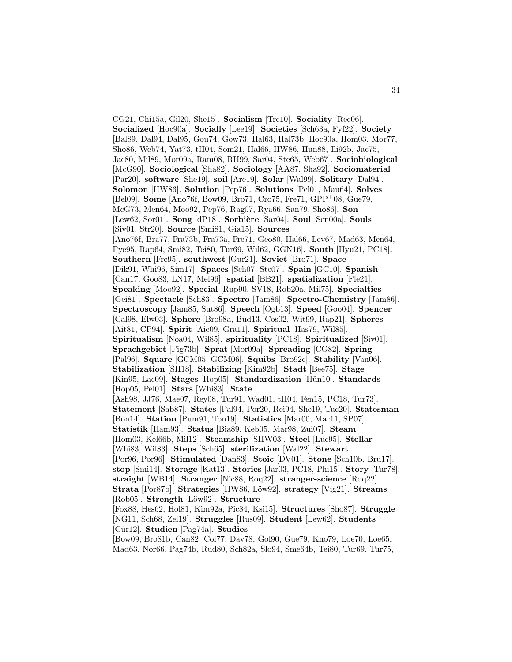CG21, Chi15a, Gil20, She15]. **Socialism** [Tre10]. **Sociality** [Ree06]. **Socialized** [Hoc90a]. **Socially** [Lee19]. **Societies** [Sch63a, Fyf22]. **Society** [Bal89, Dal94, Dal95, Gou74, Gow73, Hal63, Hal73b, Hoc90a, Hom03, Mor77, Sho86, Web74, Yat73, tH04, Som21, Hal66, HW86, Hun88, Ili92b, Jac75, Jac80, Mil89, Mor09a, Ram08, RH99, Sar04, Ste65, Web67]. **Sociobiological** [McG90]. **Sociological** [Sha82]. **Sociology** [AA87, Sha92]. **Sociomaterial** [Par20]. **software** [She19]. **soil** [Are19]. **Solar** [Wal99]. **Solitary** [Dal94]. **Solomon** [HW86]. **Solution** [Pep76]. **Solutions** [Pel01, Mau64]. **Solves** [Bel09]. **Some** [Ano76f, Bow09, Bro71, Cro75, Fre71, GPP<sup>+</sup>08, Gue79, McG73, Men64, Moo92, Pep76, Rag07, Rya66, San79, Sho86]. **Son** [Lew62, Sor01]. **Song** [dP18]. **Sorbière** [Sar04]. **Soul** [Sen00a]. **Souls** [Siv01, Str20]. **Source** [Smi81, Gia15]. **Sources** [Ano76f, Bra77, Fra73b, Fra73a, Fre71, Geo80, Hal66, Lev67, Mad63, Men64, Pye95, Rap64, Smi82, Tei80, Tur69, Wil62, GGN16]. **South** [Hyu21, PC18]. **Southern** [Fre95]. **southwest** [Gur21]. **Soviet** [Bro71]. **Space** [Dik91, Whi96, Sim17]. **Spaces** [Sch07, Ste07]. **Spain** [GC10]. **Spanish** [Can17, Goo83, LN17, Mel96]. **spatial** [BB21]. **spatialization** [Fle21]. **Speaking** [Moo92]. **Special** [Rup90, SV18, Rob20a, Mil75]. **Specialties** [Gei81]. **Spectacle** [Sch83]. **Spectro** [Jam86]. **Spectro-Chemistry** [Jam86]. **Spectroscopy** [Jam85, Sut86]. **Speech** [Ogb13]. **Speed** [Goo04]. **Spencer** [Cal98, Elw03]. **Sphere** [Bro98a, Bud13, Cos02, Wit99, Rap21]. **Spheres** [Ait81, CP94]. **Spirit** [Aic09, Gra11]. **Spiritual** [Has79, Wil85]. **Spiritualism** [Noa04, Wil85]. **spirituality** [PC18]. **Spiritualized** [Siv01]. **Sprachgebiet** [Fig73b]. **Sprat** [Mor09a]. **Spreading** [CG82]. **Spring** [Pal96]. **Square** [GCM05, GCM06]. **Squibs** [Bro92c]. **Stability** [Van06]. **Stabilization** [SH18]. **Stabilizing** [Kim92b]. **Stadt** [Bee75]. **Stage** [Kin95, Lac09]. **Stages** [Hop05]. **Standardization** [Hün10]. **Standards** [Hop05, Pel01]. **Stars** [Whi83]. **State** [Ash98, JJ76, Mae07, Rey08, Tur91, Wad01, tH04, Fen15, PC18, Tur73]. **Statement** [Sab87]. **States** [Pal94, Por20, Rei94, She19, Tuc20]. **Statesman** [Bon14]. **Station** [Pum91, Ton19]. **Statistics** [Mar00, Mar11, SP07]. **Statistik** [Ham93]. **Status** [Bia89, Keb05, Mar98, Zui07]. **Steam** [Hom03, Kel66b, Mil12]. **Steamship** [SHW03]. **Steel** [Luc95]. **Stellar** [Whi83, Wil83]. **Steps** [Sch65]. **sterilization** [Wal22]. **Stewart** [Por96, Por96]. **Stimulated** [Dan83]. **Stoic** [DV01]. **Stone** [Sch10b, Bru17]. **stop** [Smi14]. **Storage** [Kat13]. **Stories** [Jar03, PC18, Phi15]. **Story** [Tur78]. **straight** [WB14]. **Stranger** [Nic88, Roq22]. **stranger-science** [Roq22]. **Strata** [Por87b]. **Strategies** [HW86, Löw92]. **strategy** [Vig21]. **Streams** [Rob05]. **Strength** [L¨ow92]. **Structure** [Fox88, Hes62, Hol81, Kim92a, Pic84, Ksi15]. **Structures** [Sho87]. **Struggle** [NG11, Sch68, Zel19]. **Struggles** [Rus09]. **Student** [Lew62]. **Students** [Cur12]. **Studien** [Pag74a]. **Studies** [Bow09, Bro81b, Can82, Col77, Dav78, Gol90, Gue79, Kno79, Loe70, Loe65,

Mad63, Nor66, Pag74b, Rud80, Sch82a, Slo94, Sme64b, Tei80, Tur69, Tur75,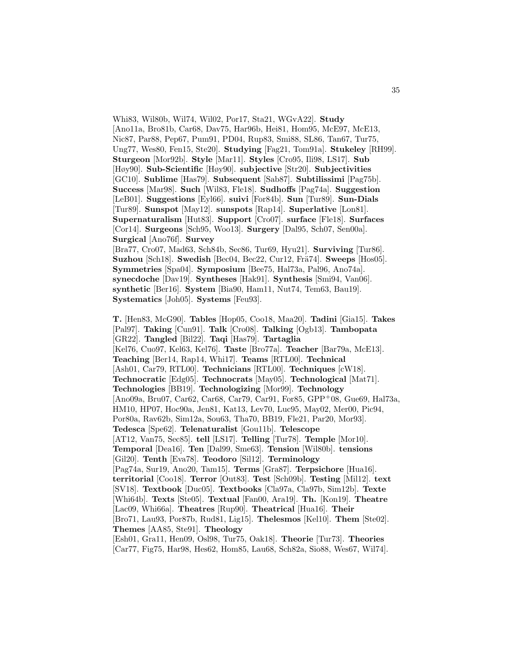Whi83, Wil80b, Wil74, Wil02, Por17, Sta21, WGvA22]. **Study** [Ano11a, Bro81b, Car68, Dav75, Har96b, Hei81, Hom95, McE97, McE13, Nic87, Par88, Pep67, Pum91, PD04, Rup83, Smi88, SL86, Tan67, Tur75, Ung77, Wes80, Fen15, Ste20]. **Studying** [Fag21, Tom91a]. **Stukeley** [RH99]. **Sturgeon** [Mor92b]. **Style** [Mar11]. **Styles** [Cro95, Ili98, LS17]. **Sub** [Høy90]. **Sub-Scientific** [Høy90]. **subjective** [Str20]. **Subjectivities** [GC10]. **Sublime** [Has79]. **Subsequent** [Sab87]. **Subtilissimi** [Pag75b]. **Success** [Mar98]. **Such** [Wil83, Fle18]. **Sudhoffs** [Pag74a]. **Suggestion** [LeB01]. **Suggestions** [Eyl66]. **suivi** [For84b]. **Sun** [Tur89]. **Sun-Dials** [Tur89]. **Sunspot** [May12]. **sunspots** [Rap14]. **Superlative** [Lon81]. **Supernaturalism** [Hut83]. **Support** [Cro07]. **surface** [Fle18]. **Surfaces** [Cor14]. **Surgeons** [Sch95, Woo13]. **Surgery** [Dal95, Sch07, Sen00a]. **Surgical** [Ano76f]. **Survey**

[Bra77, Cro07, Mad63, Sch84b, Sec86, Tur69, Hyu21]. **Surviving** [Tur86]. **Suzhou** [Sch18]. **Swedish** [Bec04, Bec22, Cur12, Frä74]. **Sweeps** [Hos05]. **Symmetries** [Spa04]. **Symposium** [Bee75, Hal73a, Pal96, Ano74a]. **synecdoche** [Dav19]. **Syntheses** [Hak91]. **Synthesis** [Smi94, Van06]. **synthetic** [Ber16]. **System** [Bia90, Ham11, Nut74, Tem63, Bau19]. **Systematics** [Joh05]. **Systems** [Feu93].

**T.** [Hen83, McG90]. **Tables** [Hop05, Coo18, Maa20]. **Tadini** [Gia15]. **Takes** [Pal97]. **Taking** [Cun91]. **Talk** [Cro08]. **Talking** [Ogb13]. **Tambopata** [GR22]. **Tangled** [Bil22]. **Taqi** [Has79]. **Tartaglia** [Kel76, Cuo97, Kel63, Kel76]. **Taste** [Bro77a]. **Teacher** [Bar79a, McE13]. **Teaching** [Ber14, Rap14, Whi17]. **Teams** [RTL00]. **Technical** [Ash01, Car79, RTL00]. **Technicians** [RTL00]. **Techniques** [cW18]. **Technocratic** [Edg05]. **Technocrats** [May05]. **Technological** [Mat71]. **Technologies** [BB19]. **Technologizing** [Mor99]. **Technology** [Ano09a, Bru07, Car62, Car68, Car79, Car91, For85, GPP<sup>+</sup>08, Gue69, Hal73a, HM10, HP07, Hoc90a, Jen81, Kat13, Lev70, Luc95, May02, Mer00, Pic94, Por80a, Rav62b, Sim12a, Sou63, Tha70, BB19, Fle21, Par20, Mor93]. **Tedesca** [Spe62]. **Telenaturalist** [Gou11b]. **Telescope** [AT12, Van75, Sec85]. **tell** [LS17]. **Telling** [Tur78]. **Temple** [Mor10]. **Temporal** [Dea16]. **Ten** [Dal99, Sme63]. **Tension** [Wil80b]. **tensions** [Gil20]. **Tenth** [Eva78]. **Teodoro** [Sil12]. **Terminology** [Pag74a, Sur19, Ano20, Tam15]. **Terms** [Gra87]. **Terpsichore** [Hua16]. **territorial** [Coo18]. **Terror** [Out83]. **Test** [Sch09b]. **Testing** [Mil12]. **text** [SV18]. **Textbook** [Duc05]. **Textbooks** [Cla97a, Cla97b, Sim12b]. **Texte** [Whi64b]. **Texts** [Ste05]. **Textual** [Fan00, Ara19]. **Th.** [Kon19]. **Theatre** [Lac09, Whi66a]. **Theatres** [Rup90]. **Theatrical** [Hua16]. **Their** [Bro71, Lau93, Por87b, Rud81, Lig15]. **Thelesmos** [Kel10]. **Them** [Ste02]. **Themes** [AA85, Ste91]. **Theology** [Esh01, Gra11, Hen09, Osl98, Tur75, Oak18]. **Theorie** [Tur73]. **Theories**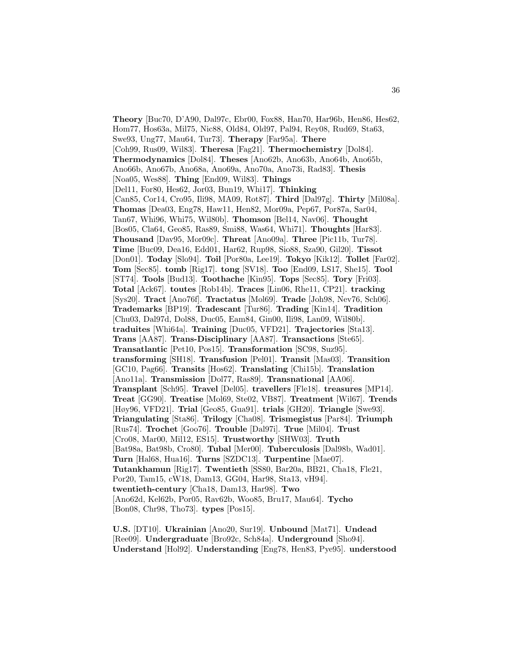**Theory** [Buc70, D'A90, Dal97c, Ebr00, Fox88, Han70, Har96b, Hen86, Hes62, Hom77, Hos63a, Mil75, Nic88, Old84, Old97, Pal94, Rey08, Rud69, Sta63, Swe93, Ung77, Mau64, Tur73]. **Therapy** [Far95a]. **There** [Coh99, Rus09, Wil83]. **Theresa** [Fag21]. **Thermochemistry** [Dol84]. **Thermodynamics** [Dol84]. **Theses** [Ano62b, Ano63b, Ano64b, Ano65b, Ano66b, Ano67b, Ano68a, Ano69a, Ano70a, Ano73i, Rad83]. **Thesis** [Noa05, Wes88]. **Thing** [End09, Wil83]. **Things** [Del11, For80, Hes62, Jor03, Bun19, Whi17]. **Thinking** [Can85, Cor14, Cro95, Ili98, MA09, Rot87]. **Third** [Dal97g]. **Thirty** [Mil08a]. **Thomas** [Dea03, Eng78, Haw11, Hen82, Mor09a, Pep67, Por87a, Sar04, Tan67, Whi96, Whi75, Wil80b]. **Thomson** [Bel14, Nav06]. **Thought** [Bos05, Cla64, Geo85, Ras89, Smi88, Was64, Whi71]. **Thoughts** [Har83]. **Thousand** [Dav95, Mor09c]. **Threat** [Ano09a]. **Three** [Pic11b, Tur78]. **Time** [Buc09, Dea16, Edd01, Har62, Rup98, Sio88, Sza90, Gil20]. **Tissot** [Don01]. **Today** [Slo94]. **Toil** [Por80a, Lee19]. **Tokyo** [Kik12]. **Tollet** [Far02]. **Tom** [Sec85]. **tomb** [Rig17]. **tong** [SV18]. **Too** [End09, LS17, She15]. **Tool** [ST74]. **Tools** [Bud13]. **Toothache** [Kin95]. **Tops** [Sec85]. **Tory** [Fri03]. **Total** [Ack67]. **toutes** [Rob14b]. **Traces** [Lin06, Rhe11, CP21]. **tracking** [Sys20]. **Tract** [Ano76f]. **Tractatus** [Mol69]. **Trade** [Joh98, Nev76, Sch06]. **Trademarks** [BP19]. **Tradescant** [Tur86]. **Trading** [Kin14]. **Tradition** [Chu03, Dal97d, Dol88, Duc05, Eam84, Gin00, Ili98, Lan09, Wil80b]. **traduites** [Whi64a]. **Training** [Duc05, VFD21]. **Trajectories** [Sta13]. **Trans** [AA87]. **Trans-Disciplinary** [AA87]. **Transactions** [Ste65]. **Transatlantic** [Pet10, Pos15]. **Transformation** [SC98, Suz95]. **transforming** [SH18]. **Transfusion** [Pel01]. **Transit** [Mas03]. **Transition** [GC10, Pag66]. **Transits** [Hos62]. **Translating** [Chi15b]. **Translation** [Ano11a]. **Transmission** [Dol77, Ras89]. **Transnational** [AA06]. **Transplant** [Sch95]. **Travel** [Del05]. **travellers** [Fle18]. **treasures** [MP14]. **Treat** [GG90]. **Treatise** [Mol69, Ste02, VB87]. **Treatment** [Wil67]. **Trends** [Høy96, VFD21]. **Trial** [Geo85, Gua91]. **trials** [GH20]. **Triangle** [Swe93]. **Triangulating** [Sta86]. **Trilogy** [Cha08]. **Trismegistus** [Par84]. **Triumph** [Rus74]. **Trochet** [Goo76]. **Trouble** [Dal97i]. **True** [Mil04]. **Trust** [Cro08, Mar00, Mil12, ES15]. **Trustworthy** [SHW03]. **Truth** [Bat98a, Bat98b, Cro80]. **Tubal** [Mer00]. **Tuberculosis** [Dal98b, Wad01]. **Turn** [Hal68, Hua16]. **Turns** [SZDC13]. **Turpentine** [Mae07]. **Tutankhamun** [Rig17]. **Twentieth** [SS80, Bar20a, BB21, Cha18, Fle21, Por20, Tam15, cW18, Dam13, GG04, Har98, Sta13, vH94]. **twentieth-century** [Cha18, Dam13, Har98]. **Two** [Ano62d, Kel62b, Por05, Rav62b, Woo85, Bru17, Mau64]. **Tycho** [Bon08, Chr98, Tho73]. **types** [Pos15].

**U.S.** [DT10]. **Ukrainian** [Ano20, Sur19]. **Unbound** [Mat71]. **Undead** [Ree09]. **Undergraduate** [Bro92c, Sch84a]. **Underground** [Sho94]. **Understand** [Hol92]. **Understanding** [Eng78, Hen83, Pye95]. **understood**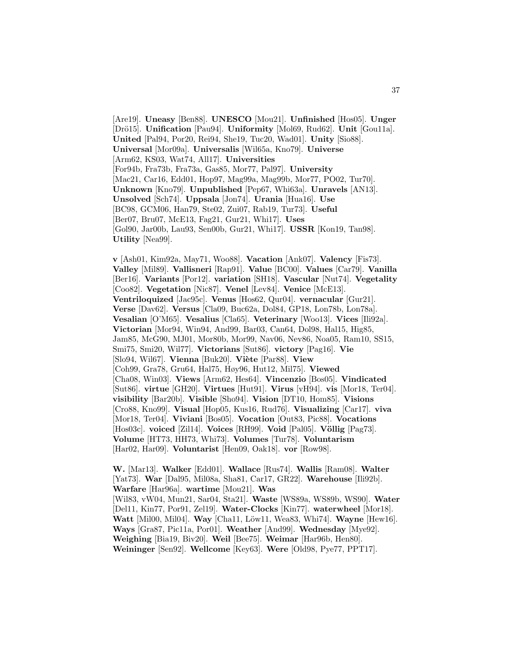[Are19]. **Uneasy** [Ben88]. **UNESCO** [Mou21]. **Unfinished** [Hos05]. **Unger** [Drö15]. **Unification** [Pau94]. **Uniformity** [Mol69, Rud62]. **Unit** [Gou11a]. **United** [Pal94, Por20, Rei94, She19, Tuc20, Wad01]. **Unity** [Sio88]. **Universal** [Mor09a]. **Universalis** [Wil65a, Kno79]. **Universe** [Arm62, KS03, Wat74, All17]. **Universities** [For94b, Fra73b, Fra73a, Gas85, Mor77, Pal97]. **University** [Mac21, Car16, Edd01, Hop97, Mag99a, Mag99b, Mor77, PO02, Tur70]. **Unknown** [Kno79]. **Unpublished** [Pep67, Whi63a]. **Unravels** [AN13]. **Unsolved** [Sch74]. **Uppsala** [Jon74]. **Urania** [Hua16]. **Use** [BC98, GCM06, Han79, Ste02, Zui07, Rab19, Tur73]. **Useful** [Ber07, Bru07, McE13, Fag21, Gur21, Whi17]. **Uses** [Gol90, Jar00b, Lau93, Sen00b, Gur21, Whi17]. **USSR** [Kon19, Tan98]. **Utility** [Nea99].

**v** [Ash01, Kim92a, May71, Woo88]. **Vacation** [Ank07]. **Valency** [Fis73]. **Valley** [Mil89]. **Vallisneri** [Rap91]. **Value** [BC00]. **Values** [Car79]. **Vanilla** [Ber16]. **Variants** [Por12]. **variation** [SH18]. **Vascular** [Nut74]. **Vegetality** [Coo82]. **Vegetation** [Nic87]. **Venel** [Lev84]. **Venice** [McE13]. **Ventriloquized** [Jac95c]. **Venus** [Hos62, Qur04]. **vernacular** [Gur21]. **Verse** [Dav62]. **Versus** [Cla09, Buc62a, Dol84, GP18, Lon78b, Lon78a]. **Vesalian** [O'M65]. **Vesalius** [Cla65]. **Veterinary** [Woo13]. **Vices** [Ili92a]. **Victorian** [Mor94, Win94, And99, Bar03, Can64, Dol98, Hal15, Hig85, Jam85, McG90, MJ01, Mor80b, Mor99, Nav06, Nev86, Noa05, Ram10, SS15, Smi75, Smi20, Wil77]. **Victorians** [Sut86]. **victory** [Pag16]. **Vie** [Slo94, Wil67]. **Vienna** [Buk20]. **Viète** [Par88]. **View** [Coh99, Gra78, Gru64, Hal75, Høy96, Hut12, Mil75]. **Viewed** [Cha08, Win03]. **Views** [Arm62, Hes64]. **Vincenzio** [Bos05]. **Vindicated** [Sut86]. **virtue** [GH20]. **Virtues** [Hut91]. **Virus** [vH94]. **vis** [Mor18, Ter04]. **visibility** [Bar20b]. **Visible** [Sho94]. **Vision** [DT10, Hom85]. **Visions** [Cro88, Kno99]. **Visual** [Hop05, Kus16, Rud76]. **Visualizing** [Car17]. **viva** [Mor18, Ter04]. **Viviani** [Bos05]. **Vocation** [Out83, Pic88]. **Vocations** [Hos03c]. **voiced** [Zil14]. **Voices** [RH99]. **Void** [Pal05]. **V¨ollig** [Pag73]. **Volume** [HT73, HH73, Whi73]. **Volumes** [Tur78]. **Voluntarism** [Har02, Har09]. **Voluntarist** [Hen09, Oak18]. **vor** [Row98].

**W.** [Mar13]. **Walker** [Edd01]. **Wallace** [Rus74]. **Wallis** [Ram08]. **Walter** [Yat73]. **War** [Dal95, Mil08a, Sha81, Car17, GR22]. **Warehouse** [Ili92b]. **Warfare** [Har96a]. **wartime** [Mou21]. **Was** [Wil83, vW04, Mun21, Sar04, Sta21]. **Waste** [WS89a, WS89b, WS90]. **Water** [Del11, Kin77, Por91, Zel19]. **Water-Clocks** [Kin77]. **waterwheel** [Mor18]. **Watt** [Mil00, Mil04]. **Way** [Cha11, Löw11, Wea83, Whi74]. **Wayne** [Hew16]. **Ways** [Gra87, Pic11a, Por01]. **Weather** [And99]. **Wednesday** [Mye92]. **Weighing** [Bia19, Biv20]. **Weil** [Bee75]. **Weimar** [Har96b, Hen80]. **Weininger** [Sen92]. **Wellcome** [Key63]. **Were** [Old98, Pye77, PPT17].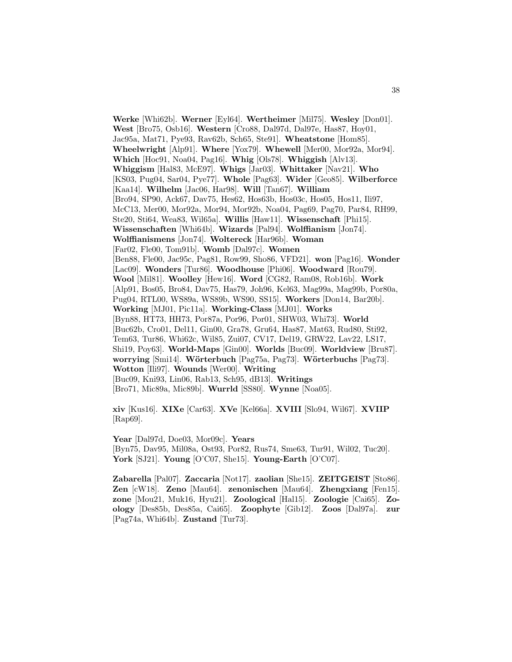**Werke** [Whi62b]. **Werner** [Eyl64]. **Wertheimer** [Mil75]. **Wesley** [Don01]. **West** [Bro75, Osb16]. **Western** [Cro88, Dal97d, Dal97e, Has87, Hoy01, Jac95a, Mat71, Pye93, Rav62b, Sch65, Ste91]. **Wheatstone** [Hom85]. **Wheelwright** [Alp91]. **Where** [Yox79]. **Whewell** [Mer00, Mor92a, Mor94]. **Which** [Hoc91, Noa04, Pag16]. **Whig** [Ols78]. **Whiggish** [Alv13]. **Whiggism** [Hal83, McE97]. **Whigs** [Jar03]. **Whittaker** [Nav21]. **Who** [KS03, Pug04, Sar04, Pye77]. **Whole** [Pag63]. **Wider** [Geo85]. **Wilberforce** [Kaa14]. **Wilhelm** [Jac06, Har98]. **Will** [Tan67]. **William** [Bro94, SP90, Ack67, Dav75, Hes62, Hos63b, Hos03c, Hos05, Hos11, Ili97, McC13, Mer00, Mor92a, Mor94, Mor92b, Noa04, Pag69, Pag70, Par84, RH99, Ste20, Sti64, Wea83, Wil65a]. **Willis** [Haw11]. **Wissenschaft** [Phi15]. **Wissenschaften** [Whi64b]. **Wizards** [Pal94]. **Wolffianism** [Jon74]. **Wolffianismens** [Jon74]. **Woltereck** [Har96b]. **Woman** [Far02, Fle00, Tom91b]. **Womb** [Dal97c]. **Women** [Ben88, Fle00, Jac95c, Pag81, Row99, Sho86, VFD21]. **won** [Pag16]. **Wonder** [Lac09]. **Wonders** [Tur86]. **Woodhouse** [Phi06]. **Woodward** [Rou79]. **Wool** [Mil81]. **Woolley** [Hew16]. **Word** [CG82, Ram08, Rob16b]. **Work** [Alp91, Bos05, Bro84, Dav75, Has79, Joh96, Kel63, Mag99a, Mag99b, Por80a, Pug04, RTL00, WS89a, WS89b, WS90, SS15]. **Workers** [Don14, Bar20b]. **Working** [MJ01, Pic11a]. **Working-Class** [MJ01]. **Works** [Byn88, HT73, HH73, Por87a, Por96, Por01, SHW03, Whi73]. **World** [Buc62b, Cro01, Del11, Gin00, Gra78, Gru64, Has87, Mat63, Rud80, Sti92, Tem63, Tur86, Whi62c, Wil85, Zui07, CV17, Del19, GRW22, Lav22, LS17, Shi19, Poy63]. **World-Maps** [Gin00]. **Worlds** [Buc09]. **Worldview** [Bru87]. **worrying** [Smi14]. **W¨orterbuch** [Pag75a, Pag73]. **W¨orterbuchs** [Pag73]. **Wotton** [Ili97]. **Wounds** [Wer00]. **Writing** [Buc09, Kni93, Lin06, Rab13, Sch95, dB13]. **Writings** [Bro71, Mic89a, Mic89b]. **Wurrld** [SS80]. **Wynne** [Noa05].

**xiv** [Kus16]. **XIXe** [Car63]. **XVe** [Kel66a]. **XVIII** [Slo94, Wil67]. **XVIIP** [Rap69].

**Year** [Dal97d, Doe03, Mor09c]. **Years** [Byn75, Dav95, Mil08a, Ost93, Por82, Rus74, Sme63, Tur91, Wil02, Tuc20]. **York** [SJ21]. **Young** [O'C07, She15]. **Young-Earth** [O'C07].

**Zabarella** [Pal07]. **Zaccaria** [Not17]. **zaolian** [She15]. **ZEITGEIST** [Sto86]. **Zen** [cW18]. **Zeno** [Mau64]. **zenonischen** [Mau64]. **Zhengxiang** [Fen15]. **zone** [Mou21, Muk16, Hyu21]. **Zoological** [Hal15]. **Zoologie** [Cai65]. **Zoology** [Des85b, Des85a, Cai65]. **Zoophyte** [Gib12]. **Zoos** [Dal97a]. **zur** [Pag74a, Whi64b]. **Zustand** [Tur73].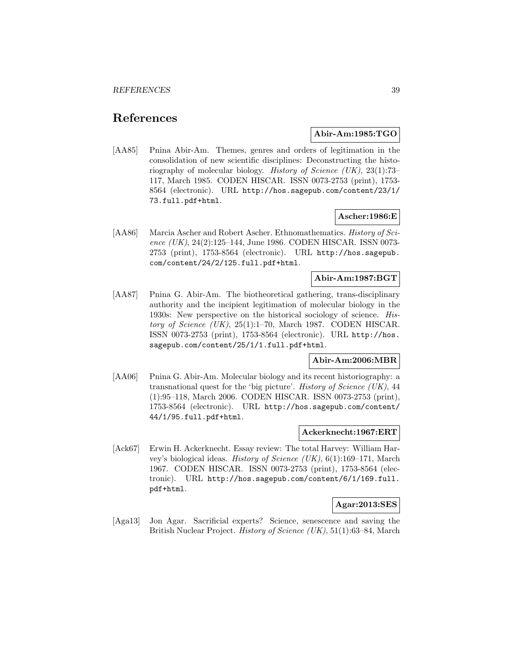# **References**

## **Abir-Am:1985:TGO**

[AA85] Pnina Abir-Am. Themes, genres and orders of legitimation in the consolidation of new scientific disciplines: Deconstructing the historiography of molecular biology. History of Science (UK), 23(1):73– 117, March 1985. CODEN HISCAR. ISSN 0073-2753 (print), 1753- 8564 (electronic). URL http://hos.sagepub.com/content/23/1/ 73.full.pdf+html.

## **Ascher:1986:E**

[AA86] Marcia Ascher and Robert Ascher. Ethnomathematics. History of Science (UK), 24(2):125-144, June 1986. CODEN HISCAR. ISSN 0073-2753 (print), 1753-8564 (electronic). URL http://hos.sagepub. com/content/24/2/125.full.pdf+html.

# **Abir-Am:1987:BGT**

[AA87] Pnina G. Abir-Am. The biotheoretical gathering, trans-disciplinary authority and the incipient legitimation of molecular biology in the 1930s: New perspective on the historical sociology of science. History of Science (UK), 25(1):1–70, March 1987. CODEN HISCAR. ISSN 0073-2753 (print), 1753-8564 (electronic). URL http://hos. sagepub.com/content/25/1/1.full.pdf+html.

## **Abir-Am:2006:MBR**

[AA06] Pnina G. Abir-Am. Molecular biology and its recent historiography: a transnational quest for the 'big picture'. History of Science  $(UK)$ , 44 (1):95–118, March 2006. CODEN HISCAR. ISSN 0073-2753 (print), 1753-8564 (electronic). URL http://hos.sagepub.com/content/ 44/1/95.full.pdf+html.

### **Ackerknecht:1967:ERT**

[Ack67] Erwin H. Ackerknecht. Essay review: The total Harvey: William Harvey's biological ideas. History of Science  $(UK), 6(1):169-171$ , March 1967. CODEN HISCAR. ISSN 0073-2753 (print), 1753-8564 (electronic). URL http://hos.sagepub.com/content/6/1/169.full. pdf+html.

## **Agar:2013:SES**

[Aga13] Jon Agar. Sacrificial experts? Science, senescence and saving the British Nuclear Project. History of Science (UK), 51(1):63–84, March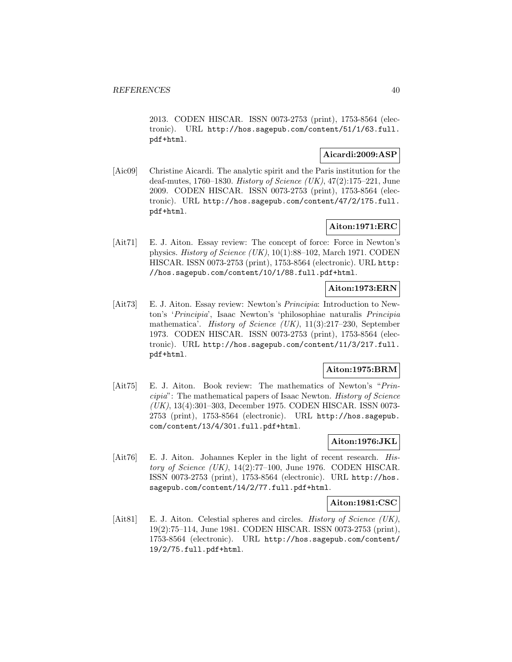2013. CODEN HISCAR. ISSN 0073-2753 (print), 1753-8564 (electronic). URL http://hos.sagepub.com/content/51/1/63.full. pdf+html.

# **Aicardi:2009:ASP**

[Aic09] Christine Aicardi. The analytic spirit and the Paris institution for the deaf-mutes, 1760–1830. *History of Science (UK)*, 47(2):175–221, June 2009. CODEN HISCAR. ISSN 0073-2753 (print), 1753-8564 (electronic). URL http://hos.sagepub.com/content/47/2/175.full. pdf+html.

# **Aiton:1971:ERC**

[Ait71] E. J. Aiton. Essay review: The concept of force: Force in Newton's physics. History of Science (UK), 10(1):88–102, March 1971. CODEN HISCAR. ISSN 0073-2753 (print), 1753-8564 (electronic). URL http: //hos.sagepub.com/content/10/1/88.full.pdf+html.

# **Aiton:1973:ERN**

[Ait73] E. J. Aiton. Essay review: Newton's Principia: Introduction to Newton's 'Principia', Isaac Newton's 'philosophiae naturalis Principia mathematica'. History of Science (UK), 11(3):217–230, September 1973. CODEN HISCAR. ISSN 0073-2753 (print), 1753-8564 (electronic). URL http://hos.sagepub.com/content/11/3/217.full. pdf+html.

## **Aiton:1975:BRM**

[Ait75] E. J. Aiton. Book review: The mathematics of Newton's "Principia": The mathematical papers of Isaac Newton. History of Science (UK), 13(4):301–303, December 1975. CODEN HISCAR. ISSN 0073- 2753 (print), 1753-8564 (electronic). URL http://hos.sagepub. com/content/13/4/301.full.pdf+html.

# **Aiton:1976:JKL**

[Ait76] E. J. Aiton. Johannes Kepler in the light of recent research. History of Science  $(UK)$ , 14(2):77-100, June 1976. CODEN HISCAR. ISSN 0073-2753 (print), 1753-8564 (electronic). URL http://hos. sagepub.com/content/14/2/77.full.pdf+html.

## **Aiton:1981:CSC**

[Ait81] E. J. Aiton. Celestial spheres and circles. History of Science (UK), 19(2):75–114, June 1981. CODEN HISCAR. ISSN 0073-2753 (print), 1753-8564 (electronic). URL http://hos.sagepub.com/content/ 19/2/75.full.pdf+html.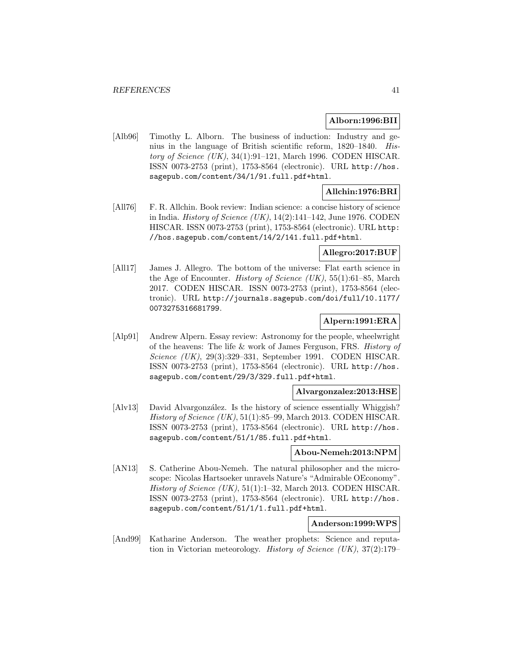## **Alborn:1996:BII**

[Alb96] Timothy L. Alborn. The business of induction: Industry and genius in the language of British scientific reform, 1820–1840. History of Science  $(UK)$ , 34(1):91-121, March 1996. CODEN HISCAR. ISSN 0073-2753 (print), 1753-8564 (electronic). URL http://hos. sagepub.com/content/34/1/91.full.pdf+html.

# **Allchin:1976:BRI**

[All76] F. R. Allchin. Book review: Indian science: a concise history of science in India. *History of Science (UK)*,  $14(2):141-142$ , June 1976. CODEN HISCAR. ISSN 0073-2753 (print), 1753-8564 (electronic). URL http: //hos.sagepub.com/content/14/2/141.full.pdf+html.

# **Allegro:2017:BUF**

[All17] James J. Allegro. The bottom of the universe: Flat earth science in the Age of Encounter. *History of Science (UK)*,  $55(1):61-85$ , March 2017. CODEN HISCAR. ISSN 0073-2753 (print), 1753-8564 (electronic). URL http://journals.sagepub.com/doi/full/10.1177/ 0073275316681799.

# **Alpern:1991:ERA**

[Alp91] Andrew Alpern. Essay review: Astronomy for the people, wheelwright of the heavens: The life & work of James Ferguson, FRS. History of Science (UK), 29(3):329–331, September 1991. CODEN HISCAR. ISSN 0073-2753 (print), 1753-8564 (electronic). URL http://hos. sagepub.com/content/29/3/329.full.pdf+html.

## **Alvargonzalez:2013:HSE**

[Alv13] David Alvargonzález. Is the history of science essentially Whiggish? History of Science (UK), 51(1):85–99, March 2013. CODEN HISCAR. ISSN 0073-2753 (print), 1753-8564 (electronic). URL http://hos. sagepub.com/content/51/1/85.full.pdf+html.

## **Abou-Nemeh:2013:NPM**

[AN13] S. Catherine Abou-Nemeh. The natural philosopher and the microscope: Nicolas Hartsoeker unravels Nature's "Admirable OEconomy". History of Science  $(UK)$ , 51(1):1–32, March 2013. CODEN HISCAR. ISSN 0073-2753 (print), 1753-8564 (electronic). URL http://hos. sagepub.com/content/51/1/1.full.pdf+html.

# **Anderson:1999:WPS**

[And99] Katharine Anderson. The weather prophets: Science and reputation in Victorian meteorology. History of Science (UK),  $37(2):179-$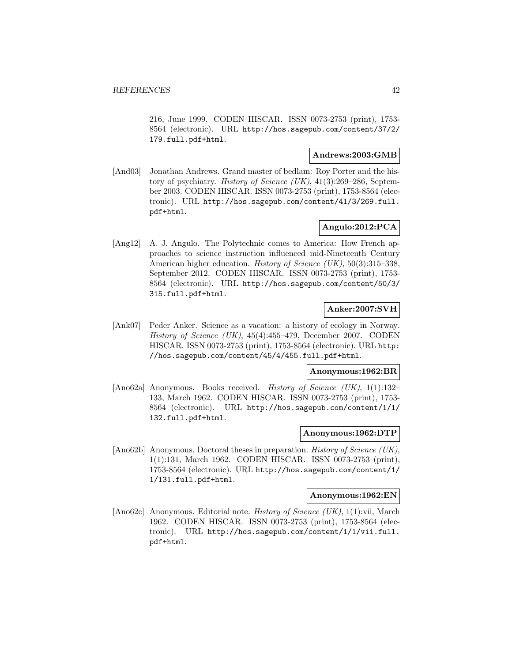216, June 1999. CODEN HISCAR. ISSN 0073-2753 (print), 1753- 8564 (electronic). URL http://hos.sagepub.com/content/37/2/ 179.full.pdf+html.

# **Andrews:2003:GMB**

[And03] Jonathan Andrews. Grand master of bedlam: Roy Porter and the history of psychiatry. History of Science (UK), 41(3):269–286, September 2003. CODEN HISCAR. ISSN 0073-2753 (print), 1753-8564 (electronic). URL http://hos.sagepub.com/content/41/3/269.full. pdf+html.

# **Angulo:2012:PCA**

[Ang12] A. J. Angulo. The Polytechnic comes to America: How French approaches to science instruction influenced mid-Nineteenth Century American higher education. *History of Science (UK)*, 50(3):315–338, September 2012. CODEN HISCAR. ISSN 0073-2753 (print), 1753- 8564 (electronic). URL http://hos.sagepub.com/content/50/3/ 315.full.pdf+html.

# **Anker:2007:SVH**

[Ank07] Peder Anker. Science as a vacation: a history of ecology in Norway. History of Science (UK), 45(4):455–479, December 2007. CODEN HISCAR. ISSN 0073-2753 (print), 1753-8564 (electronic). URL http: //hos.sagepub.com/content/45/4/455.full.pdf+html.

# **Anonymous:1962:BR**

[Ano62a] Anonymous. Books received. *History of Science (UK)*, 1(1):132– 133, March 1962. CODEN HISCAR. ISSN 0073-2753 (print), 1753- 8564 (electronic). URL http://hos.sagepub.com/content/1/1/ 132.full.pdf+html.

#### **Anonymous:1962:DTP**

[Ano62b] Anonymous. Doctoral theses in preparation. History of Science (UK), 1(1):131, March 1962. CODEN HISCAR. ISSN 0073-2753 (print), 1753-8564 (electronic). URL http://hos.sagepub.com/content/1/ 1/131.full.pdf+html.

## **Anonymous:1962:EN**

[Ano62c] Anonymous. Editorial note. *History of Science (UK)*, 1(1):vii, March 1962. CODEN HISCAR. ISSN 0073-2753 (print), 1753-8564 (electronic). URL http://hos.sagepub.com/content/1/1/vii.full. pdf+html.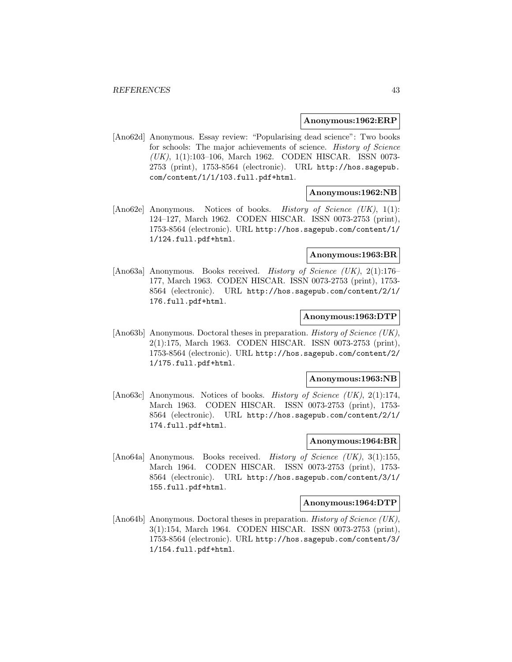#### **Anonymous:1962:ERP**

[Ano62d] Anonymous. Essay review: "Popularising dead science": Two books for schools: The major achievements of science. History of Science (UK), 1(1):103–106, March 1962. CODEN HISCAR. ISSN 0073- 2753 (print), 1753-8564 (electronic). URL http://hos.sagepub. com/content/1/1/103.full.pdf+html.

## **Anonymous:1962:NB**

[Ano62e] Anonymous. Notices of books. *History of Science (UK)*, 1(1): 124–127, March 1962. CODEN HISCAR. ISSN 0073-2753 (print), 1753-8564 (electronic). URL http://hos.sagepub.com/content/1/ 1/124.full.pdf+html.

#### **Anonymous:1963:BR**

[Ano63a] Anonymous. Books received. History of Science (UK), 2(1):176-177, March 1963. CODEN HISCAR. ISSN 0073-2753 (print), 1753- 8564 (electronic). URL http://hos.sagepub.com/content/2/1/ 176.full.pdf+html.

### **Anonymous:1963:DTP**

[Ano63b] Anonymous. Doctoral theses in preparation. History of Science (UK), 2(1):175, March 1963. CODEN HISCAR. ISSN 0073-2753 (print), 1753-8564 (electronic). URL http://hos.sagepub.com/content/2/ 1/175.full.pdf+html.

#### **Anonymous:1963:NB**

[Ano63c] Anonymous. Notices of books. History of Science (UK), 2(1):174, March 1963. CODEN HISCAR. ISSN 0073-2753 (print), 1753- 8564 (electronic). URL http://hos.sagepub.com/content/2/1/ 174.full.pdf+html.

### **Anonymous:1964:BR**

[Ano64a] Anonymous. Books received. *History of Science (UK)*, 3(1):155, March 1964. CODEN HISCAR. ISSN 0073-2753 (print), 1753- 8564 (electronic). URL http://hos.sagepub.com/content/3/1/ 155.full.pdf+html.

#### **Anonymous:1964:DTP**

[Ano64b] Anonymous. Doctoral theses in preparation. History of Science (UK), 3(1):154, March 1964. CODEN HISCAR. ISSN 0073-2753 (print), 1753-8564 (electronic). URL http://hos.sagepub.com/content/3/ 1/154.full.pdf+html.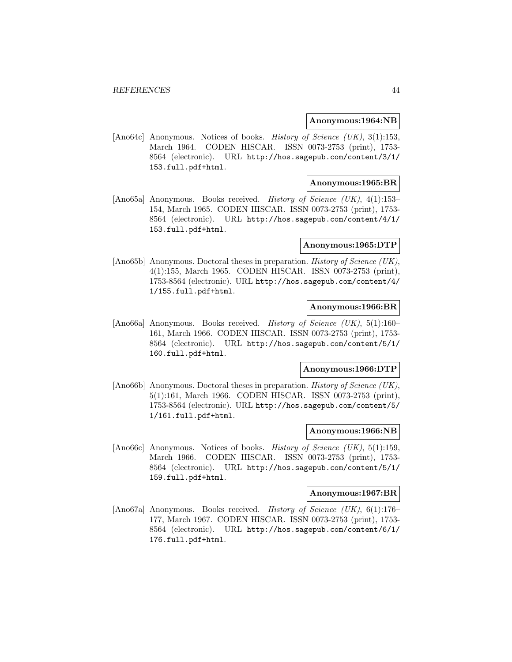#### **Anonymous:1964:NB**

[Ano64c] Anonymous. Notices of books. History of Science (UK), 3(1):153, March 1964. CODEN HISCAR. ISSN 0073-2753 (print), 1753- 8564 (electronic). URL http://hos.sagepub.com/content/3/1/ 153.full.pdf+html.

### **Anonymous:1965:BR**

[Ano65a] Anonymous. Books received. History of Science (UK), 4(1):153– 154, March 1965. CODEN HISCAR. ISSN 0073-2753 (print), 1753- 8564 (electronic). URL http://hos.sagepub.com/content/4/1/ 153.full.pdf+html.

### **Anonymous:1965:DTP**

[Ano65b] Anonymous. Doctoral theses in preparation. *History of Science (UK)*, 4(1):155, March 1965. CODEN HISCAR. ISSN 0073-2753 (print), 1753-8564 (electronic). URL http://hos.sagepub.com/content/4/ 1/155.full.pdf+html.

## **Anonymous:1966:BR**

[Ano66a] Anonymous. Books received. History of Science (UK), 5(1):160– 161, March 1966. CODEN HISCAR. ISSN 0073-2753 (print), 1753- 8564 (electronic). URL http://hos.sagepub.com/content/5/1/ 160.full.pdf+html.

#### **Anonymous:1966:DTP**

[Ano66b] Anonymous. Doctoral theses in preparation. *History of Science (UK)*, 5(1):161, March 1966. CODEN HISCAR. ISSN 0073-2753 (print), 1753-8564 (electronic). URL http://hos.sagepub.com/content/5/ 1/161.full.pdf+html.

### **Anonymous:1966:NB**

[Ano66c] Anonymous. Notices of books. *History of Science (UK)*, 5(1):159, March 1966. CODEN HISCAR. ISSN 0073-2753 (print), 1753- 8564 (electronic). URL http://hos.sagepub.com/content/5/1/ 159.full.pdf+html.

#### **Anonymous:1967:BR**

[Ano67a] Anonymous. Books received. History of Science (UK), 6(1):176– 177, March 1967. CODEN HISCAR. ISSN 0073-2753 (print), 1753- 8564 (electronic). URL http://hos.sagepub.com/content/6/1/ 176.full.pdf+html.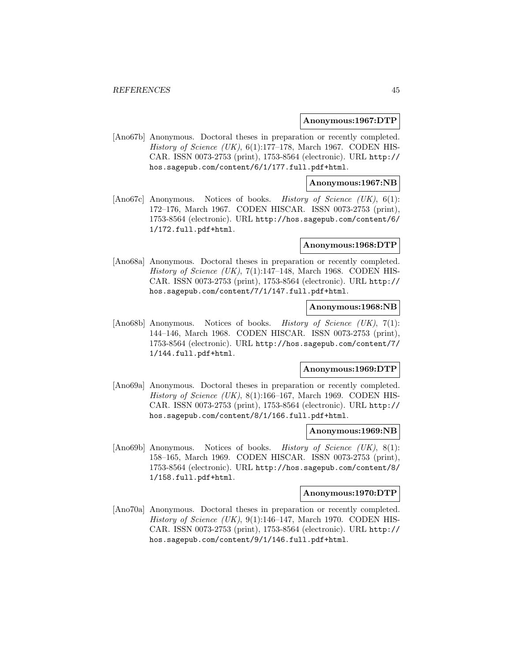### **Anonymous:1967:DTP**

[Ano67b] Anonymous. Doctoral theses in preparation or recently completed. History of Science (UK),  $6(1):177-178$ , March 1967. CODEN HIS-CAR. ISSN 0073-2753 (print), 1753-8564 (electronic). URL http:// hos.sagepub.com/content/6/1/177.full.pdf+html.

### **Anonymous:1967:NB**

[Ano67c] Anonymous. Notices of books. *History of Science (UK)*, 6(1): 172–176, March 1967. CODEN HISCAR. ISSN 0073-2753 (print), 1753-8564 (electronic). URL http://hos.sagepub.com/content/6/ 1/172.full.pdf+html.

### **Anonymous:1968:DTP**

[Ano68a] Anonymous. Doctoral theses in preparation or recently completed. History of Science (UK),  $7(1):147-148$ , March 1968. CODEN HIS-CAR. ISSN 0073-2753 (print), 1753-8564 (electronic). URL http:// hos.sagepub.com/content/7/1/147.full.pdf+html.

## **Anonymous:1968:NB**

[Ano68b] Anonymous. Notices of books. History of Science (UK), 7(1): 144–146, March 1968. CODEN HISCAR. ISSN 0073-2753 (print), 1753-8564 (electronic). URL http://hos.sagepub.com/content/7/ 1/144.full.pdf+html.

### **Anonymous:1969:DTP**

[Ano69a] Anonymous. Doctoral theses in preparation or recently completed. History of Science (UK), 8(1):166–167, March 1969. CODEN HIS-CAR. ISSN 0073-2753 (print), 1753-8564 (electronic). URL http:// hos.sagepub.com/content/8/1/166.full.pdf+html.

### **Anonymous:1969:NB**

[Ano69b] Anonymous. Notices of books. History of Science (UK), 8(1): 158–165, March 1969. CODEN HISCAR. ISSN 0073-2753 (print), 1753-8564 (electronic). URL http://hos.sagepub.com/content/8/ 1/158.full.pdf+html.

### **Anonymous:1970:DTP**

[Ano70a] Anonymous. Doctoral theses in preparation or recently completed. History of Science (UK),  $9(1):146-147$ , March 1970. CODEN HIS-CAR. ISSN 0073-2753 (print), 1753-8564 (electronic). URL http:// hos.sagepub.com/content/9/1/146.full.pdf+html.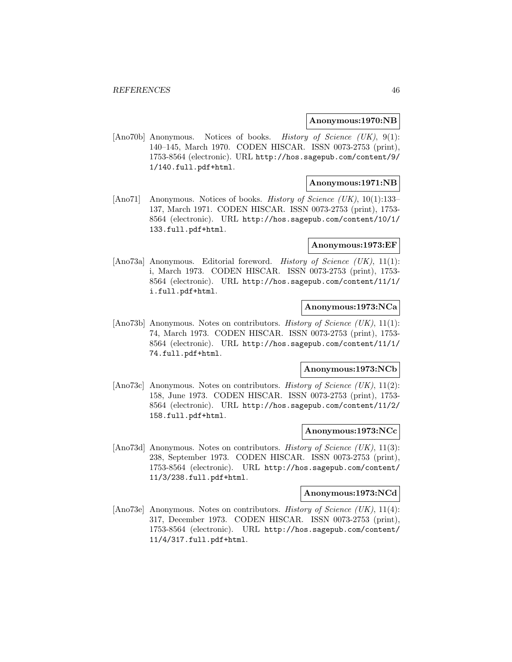#### **Anonymous:1970:NB**

[Ano70b] Anonymous. Notices of books. History of Science (UK), 9(1): 140–145, March 1970. CODEN HISCAR. ISSN 0073-2753 (print), 1753-8564 (electronic). URL http://hos.sagepub.com/content/9/ 1/140.full.pdf+html.

## **Anonymous:1971:NB**

[Ano71] Anonymous. Notices of books. *History of Science (UK)*, 10(1):133– 137, March 1971. CODEN HISCAR. ISSN 0073-2753 (print), 1753- 8564 (electronic). URL http://hos.sagepub.com/content/10/1/ 133.full.pdf+html.

### **Anonymous:1973:EF**

[Ano73a] Anonymous. Editorial foreword. History of Science (UK), 11(1): i, March 1973. CODEN HISCAR. ISSN 0073-2753 (print), 1753- 8564 (electronic). URL http://hos.sagepub.com/content/11/1/ i.full.pdf+html.

# **Anonymous:1973:NCa**

[Ano73b] Anonymous. Notes on contributors. History of Science (UK), 11(1): 74, March 1973. CODEN HISCAR. ISSN 0073-2753 (print), 1753- 8564 (electronic). URL http://hos.sagepub.com/content/11/1/ 74.full.pdf+html.

#### **Anonymous:1973:NCb**

[Ano73c] Anonymous. Notes on contributors. History of Science (UK), 11(2): 158, June 1973. CODEN HISCAR. ISSN 0073-2753 (print), 1753- 8564 (electronic). URL http://hos.sagepub.com/content/11/2/ 158.full.pdf+html.

### **Anonymous:1973:NCc**

[Ano73d] Anonymous. Notes on contributors. *History of Science (UK)*, 11(3): 238, September 1973. CODEN HISCAR. ISSN 0073-2753 (print), 1753-8564 (electronic). URL http://hos.sagepub.com/content/ 11/3/238.full.pdf+html.

#### **Anonymous:1973:NCd**

[Ano73e] Anonymous. Notes on contributors. History of Science (UK), 11(4): 317, December 1973. CODEN HISCAR. ISSN 0073-2753 (print), 1753-8564 (electronic). URL http://hos.sagepub.com/content/ 11/4/317.full.pdf+html.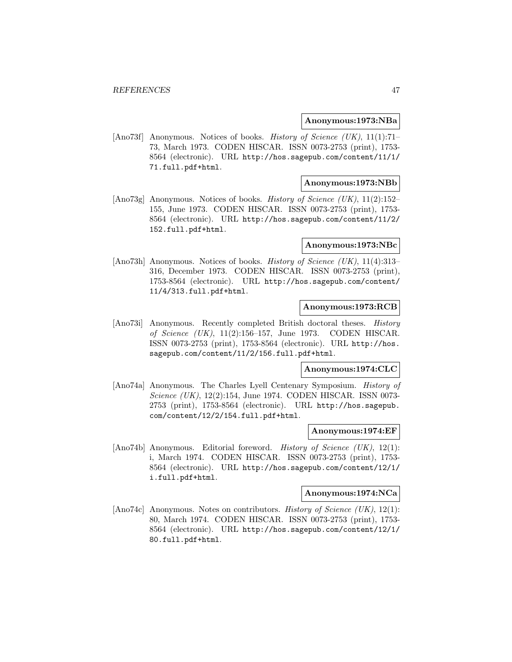### **Anonymous:1973:NBa**

[Ano73f] Anonymous. Notices of books. History of Science (UK), 11(1):71– 73, March 1973. CODEN HISCAR. ISSN 0073-2753 (print), 1753- 8564 (electronic). URL http://hos.sagepub.com/content/11/1/ 71.full.pdf+html.

## **Anonymous:1973:NBb**

[Ano73g] Anonymous. Notices of books. *History of Science (UK)*, 11(2):152– 155, June 1973. CODEN HISCAR. ISSN 0073-2753 (print), 1753- 8564 (electronic). URL http://hos.sagepub.com/content/11/2/ 152.full.pdf+html.

### **Anonymous:1973:NBc**

[Ano73h] Anonymous. Notices of books. *History of Science (UK)*, 11(4):313– 316, December 1973. CODEN HISCAR. ISSN 0073-2753 (print), 1753-8564 (electronic). URL http://hos.sagepub.com/content/ 11/4/313.full.pdf+html.

## **Anonymous:1973:RCB**

[Ano73i] Anonymous. Recently completed British doctoral theses. History of Science (UK), 11(2):156–157, June 1973. CODEN HISCAR. ISSN 0073-2753 (print), 1753-8564 (electronic). URL http://hos. sagepub.com/content/11/2/156.full.pdf+html.

#### **Anonymous:1974:CLC**

[Ano74a] Anonymous. The Charles Lyell Centenary Symposium. History of Science (UK), 12(2):154, June 1974. CODEN HISCAR. ISSN 0073- 2753 (print), 1753-8564 (electronic). URL http://hos.sagepub. com/content/12/2/154.full.pdf+html.

### **Anonymous:1974:EF**

[Ano74b] Anonymous. Editorial foreword. *History of Science (UK)*, 12(1): i, March 1974. CODEN HISCAR. ISSN 0073-2753 (print), 1753- 8564 (electronic). URL http://hos.sagepub.com/content/12/1/ i.full.pdf+html.

#### **Anonymous:1974:NCa**

[Ano74c] Anonymous. Notes on contributors. History of Science (UK), 12(1): 80, March 1974. CODEN HISCAR. ISSN 0073-2753 (print), 1753- 8564 (electronic). URL http://hos.sagepub.com/content/12/1/ 80.full.pdf+html.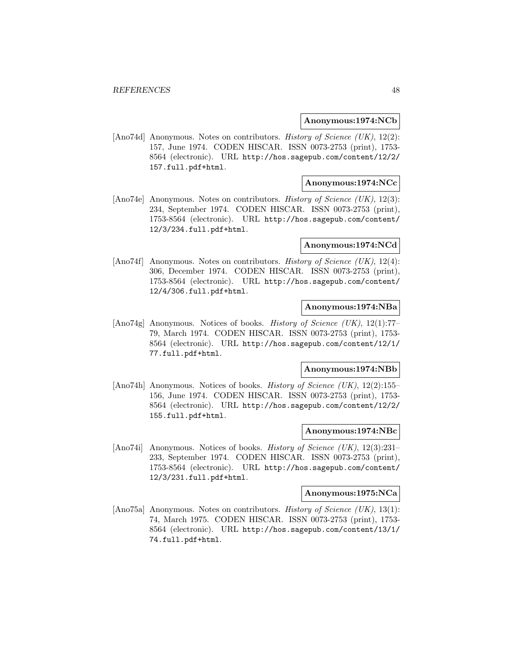### **Anonymous:1974:NCb**

[Ano74d] Anonymous. Notes on contributors. History of Science (UK), 12(2): 157, June 1974. CODEN HISCAR. ISSN 0073-2753 (print), 1753- 8564 (electronic). URL http://hos.sagepub.com/content/12/2/ 157.full.pdf+html.

## **Anonymous:1974:NCc**

[Ano74e] Anonymous. Notes on contributors. History of Science (UK), 12(3): 234, September 1974. CODEN HISCAR. ISSN 0073-2753 (print), 1753-8564 (electronic). URL http://hos.sagepub.com/content/ 12/3/234.full.pdf+html.

### **Anonymous:1974:NCd**

[Ano74f] Anonymous. Notes on contributors. History of Science (UK), 12(4): 306, December 1974. CODEN HISCAR. ISSN 0073-2753 (print), 1753-8564 (electronic). URL http://hos.sagepub.com/content/ 12/4/306.full.pdf+html.

## **Anonymous:1974:NBa**

[Ano74g] Anonymous. Notices of books. *History of Science (UK)*, 12(1):77– 79, March 1974. CODEN HISCAR. ISSN 0073-2753 (print), 1753- 8564 (electronic). URL http://hos.sagepub.com/content/12/1/ 77.full.pdf+html.

#### **Anonymous:1974:NBb**

[Ano74h] Anonymous. Notices of books. *History of Science (UK)*, 12(2):155– 156, June 1974. CODEN HISCAR. ISSN 0073-2753 (print), 1753- 8564 (electronic). URL http://hos.sagepub.com/content/12/2/ 155.full.pdf+html.

### **Anonymous:1974:NBc**

[Ano74i] Anonymous. Notices of books. *History of Science (UK)*,  $12(3):231-$ 233, September 1974. CODEN HISCAR. ISSN 0073-2753 (print), 1753-8564 (electronic). URL http://hos.sagepub.com/content/ 12/3/231.full.pdf+html.

#### **Anonymous:1975:NCa**

[Ano75a] Anonymous. Notes on contributors. History of Science (UK), 13(1): 74, March 1975. CODEN HISCAR. ISSN 0073-2753 (print), 1753- 8564 (electronic). URL http://hos.sagepub.com/content/13/1/ 74.full.pdf+html.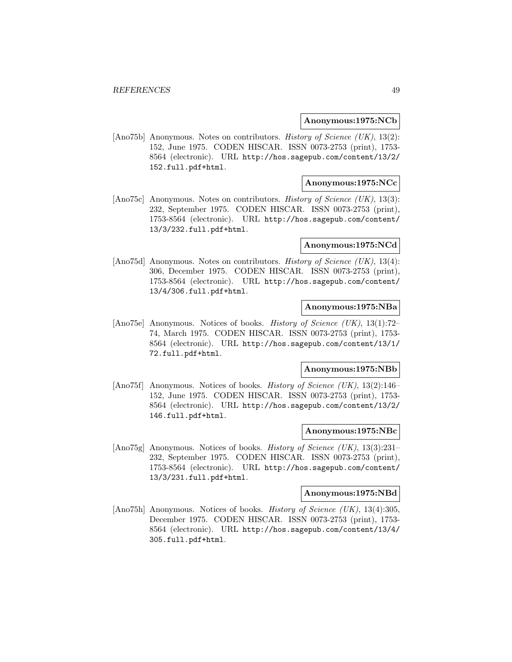### **Anonymous:1975:NCb**

[Ano75b] Anonymous. Notes on contributors. History of Science (UK), 13(2): 152, June 1975. CODEN HISCAR. ISSN 0073-2753 (print), 1753- 8564 (electronic). URL http://hos.sagepub.com/content/13/2/ 152.full.pdf+html.

## **Anonymous:1975:NCc**

[Ano75c] Anonymous. Notes on contributors. History of Science (UK), 13(3): 232, September 1975. CODEN HISCAR. ISSN 0073-2753 (print), 1753-8564 (electronic). URL http://hos.sagepub.com/content/ 13/3/232.full.pdf+html.

### **Anonymous:1975:NCd**

[Ano75d] Anonymous. Notes on contributors. *History of Science (UK)*, 13(4): 306, December 1975. CODEN HISCAR. ISSN 0073-2753 (print), 1753-8564 (electronic). URL http://hos.sagepub.com/content/ 13/4/306.full.pdf+html.

## **Anonymous:1975:NBa**

[Ano75e] Anonymous. Notices of books. History of Science (UK), 13(1):72– 74, March 1975. CODEN HISCAR. ISSN 0073-2753 (print), 1753- 8564 (electronic). URL http://hos.sagepub.com/content/13/1/ 72.full.pdf+html.

#### **Anonymous:1975:NBb**

[Ano75f] Anonymous. Notices of books. History of Science (UK), 13(2):146– 152, June 1975. CODEN HISCAR. ISSN 0073-2753 (print), 1753- 8564 (electronic). URL http://hos.sagepub.com/content/13/2/ 146.full.pdf+html.

### **Anonymous:1975:NBc**

[Ano75g] Anonymous. Notices of books. *History of Science (UK)*,  $13(3):231-$ 232, September 1975. CODEN HISCAR. ISSN 0073-2753 (print), 1753-8564 (electronic). URL http://hos.sagepub.com/content/ 13/3/231.full.pdf+html.

#### **Anonymous:1975:NBd**

[Ano75h] Anonymous. Notices of books. History of Science (UK), 13(4):305, December 1975. CODEN HISCAR. ISSN 0073-2753 (print), 1753- 8564 (electronic). URL http://hos.sagepub.com/content/13/4/ 305.full.pdf+html.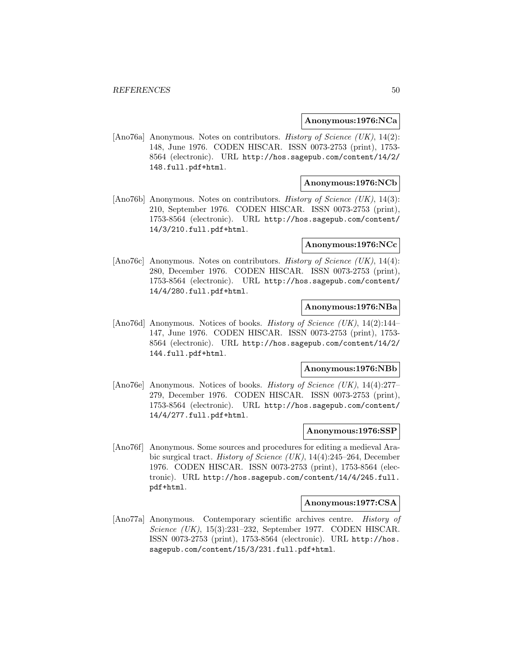### **Anonymous:1976:NCa**

[Ano76a] Anonymous. Notes on contributors. History of Science (UK), 14(2): 148, June 1976. CODEN HISCAR. ISSN 0073-2753 (print), 1753- 8564 (electronic). URL http://hos.sagepub.com/content/14/2/ 148.full.pdf+html.

## **Anonymous:1976:NCb**

[Ano76b] Anonymous. Notes on contributors. History of Science (UK), 14(3): 210, September 1976. CODEN HISCAR. ISSN 0073-2753 (print), 1753-8564 (electronic). URL http://hos.sagepub.com/content/ 14/3/210.full.pdf+html.

### **Anonymous:1976:NCc**

[Ano76c] Anonymous. Notes on contributors. History of Science (UK), 14(4): 280, December 1976. CODEN HISCAR. ISSN 0073-2753 (print), 1753-8564 (electronic). URL http://hos.sagepub.com/content/ 14/4/280.full.pdf+html.

## **Anonymous:1976:NBa**

[Ano76d] Anonymous. Notices of books. *History of Science (UK)*, 14(2):144– 147, June 1976. CODEN HISCAR. ISSN 0073-2753 (print), 1753- 8564 (electronic). URL http://hos.sagepub.com/content/14/2/ 144.full.pdf+html.

#### **Anonymous:1976:NBb**

[Ano76e] Anonymous. Notices of books. History of Science (UK), 14(4):277– 279, December 1976. CODEN HISCAR. ISSN 0073-2753 (print), 1753-8564 (electronic). URL http://hos.sagepub.com/content/ 14/4/277.full.pdf+html.

### **Anonymous:1976:SSP**

[Ano76f] Anonymous. Some sources and procedures for editing a medieval Arabic surgical tract. History of Science (UK), 14(4):245–264, December 1976. CODEN HISCAR. ISSN 0073-2753 (print), 1753-8564 (electronic). URL http://hos.sagepub.com/content/14/4/245.full. pdf+html.

#### **Anonymous:1977:CSA**

[Ano77a] Anonymous. Contemporary scientific archives centre. History of Science (UK), 15(3):231–232, September 1977. CODEN HISCAR. ISSN 0073-2753 (print), 1753-8564 (electronic). URL http://hos. sagepub.com/content/15/3/231.full.pdf+html.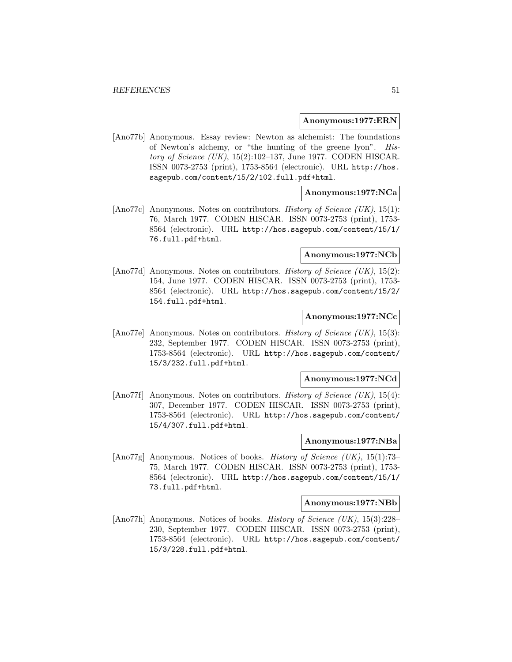#### **Anonymous:1977:ERN**

[Ano77b] Anonymous. Essay review: Newton as alchemist: The foundations of Newton's alchemy, or "the hunting of the greene lyon". History of Science (UK), 15(2):102–137, June 1977. CODEN HISCAR. ISSN 0073-2753 (print), 1753-8564 (electronic). URL http://hos. sagepub.com/content/15/2/102.full.pdf+html.

## **Anonymous:1977:NCa**

[Ano77c] Anonymous. Notes on contributors. *History of Science (UK)*, 15(1): 76, March 1977. CODEN HISCAR. ISSN 0073-2753 (print), 1753- 8564 (electronic). URL http://hos.sagepub.com/content/15/1/ 76.full.pdf+html.

### **Anonymous:1977:NCb**

[Ano77d] Anonymous. Notes on contributors. *History of Science (UK)*, 15(2): 154, June 1977. CODEN HISCAR. ISSN 0073-2753 (print), 1753- 8564 (electronic). URL http://hos.sagepub.com/content/15/2/ 154.full.pdf+html.

### **Anonymous:1977:NCc**

[Ano77e] Anonymous. Notes on contributors. History of Science (UK), 15(3): 232, September 1977. CODEN HISCAR. ISSN 0073-2753 (print), 1753-8564 (electronic). URL http://hos.sagepub.com/content/ 15/3/232.full.pdf+html.

#### **Anonymous:1977:NCd**

[Ano77f] Anonymous. Notes on contributors. History of Science (UK), 15(4): 307, December 1977. CODEN HISCAR. ISSN 0073-2753 (print), 1753-8564 (electronic). URL http://hos.sagepub.com/content/ 15/4/307.full.pdf+html.

### **Anonymous:1977:NBa**

[Ano77g] Anonymous. Notices of books. History of Science (UK), 15(1):73– 75, March 1977. CODEN HISCAR. ISSN 0073-2753 (print), 1753- 8564 (electronic). URL http://hos.sagepub.com/content/15/1/ 73.full.pdf+html.

#### **Anonymous:1977:NBb**

[Ano77h] Anonymous. Notices of books. History of Science (UK), 15(3):228– 230, September 1977. CODEN HISCAR. ISSN 0073-2753 (print), 1753-8564 (electronic). URL http://hos.sagepub.com/content/ 15/3/228.full.pdf+html.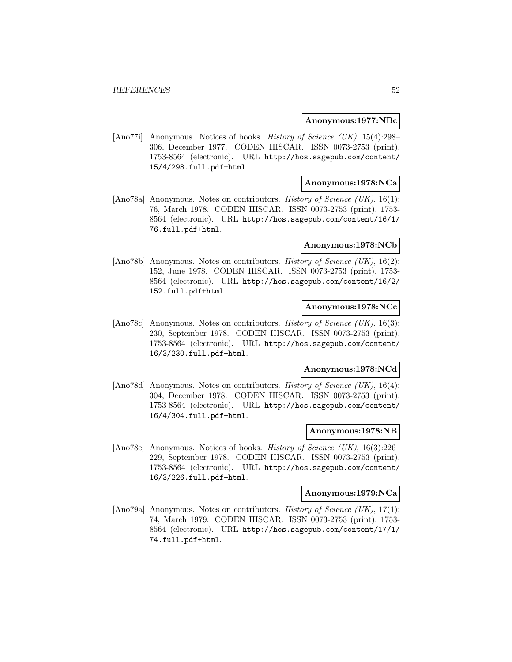#### **Anonymous:1977:NBc**

[Ano77i] Anonymous. Notices of books. History of Science (UK), 15(4):298– 306, December 1977. CODEN HISCAR. ISSN 0073-2753 (print), 1753-8564 (electronic). URL http://hos.sagepub.com/content/ 15/4/298.full.pdf+html.

## **Anonymous:1978:NCa**

[Ano78a] Anonymous. Notes on contributors. History of Science (UK), 16(1): 76, March 1978. CODEN HISCAR. ISSN 0073-2753 (print), 1753- 8564 (electronic). URL http://hos.sagepub.com/content/16/1/ 76.full.pdf+html.

#### **Anonymous:1978:NCb**

[Ano78b] Anonymous. Notes on contributors. *History of Science (UK)*, 16(2): 152, June 1978. CODEN HISCAR. ISSN 0073-2753 (print), 1753- 8564 (electronic). URL http://hos.sagepub.com/content/16/2/ 152.full.pdf+html.

## **Anonymous:1978:NCc**

[Ano78c] Anonymous. Notes on contributors. History of Science (UK), 16(3): 230, September 1978. CODEN HISCAR. ISSN 0073-2753 (print), 1753-8564 (electronic). URL http://hos.sagepub.com/content/ 16/3/230.full.pdf+html.

#### **Anonymous:1978:NCd**

[Ano78d] Anonymous. Notes on contributors. History of Science (UK), 16(4): 304, December 1978. CODEN HISCAR. ISSN 0073-2753 (print), 1753-8564 (electronic). URL http://hos.sagepub.com/content/ 16/4/304.full.pdf+html.

## **Anonymous:1978:NB**

[Ano78e] Anonymous. Notices of books. *History of Science (UK)*, 16(3):226– 229, September 1978. CODEN HISCAR. ISSN 0073-2753 (print), 1753-8564 (electronic). URL http://hos.sagepub.com/content/ 16/3/226.full.pdf+html.

#### **Anonymous:1979:NCa**

[Ano79a] Anonymous. Notes on contributors. History of Science (UK), 17(1): 74, March 1979. CODEN HISCAR. ISSN 0073-2753 (print), 1753- 8564 (electronic). URL http://hos.sagepub.com/content/17/1/ 74.full.pdf+html.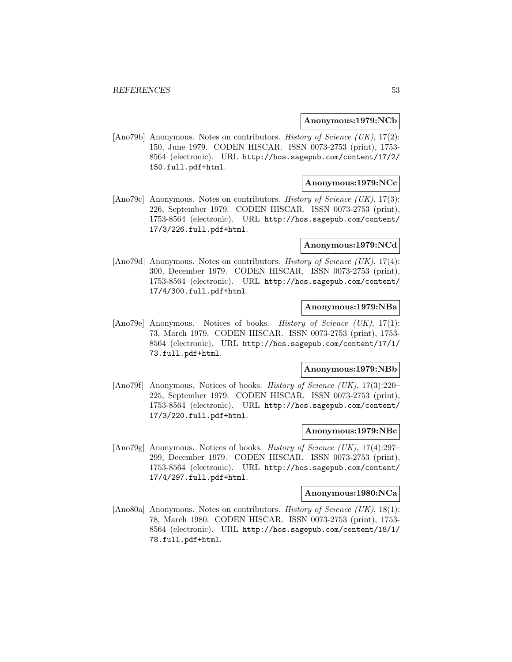### **Anonymous:1979:NCb**

[Ano79b] Anonymous. Notes on contributors. History of Science (UK), 17(2): 150, June 1979. CODEN HISCAR. ISSN 0073-2753 (print), 1753- 8564 (electronic). URL http://hos.sagepub.com/content/17/2/ 150.full.pdf+html.

## **Anonymous:1979:NCc**

[Ano79c] Anonymous. Notes on contributors. History of Science (UK), 17(3): 226, September 1979. CODEN HISCAR. ISSN 0073-2753 (print), 1753-8564 (electronic). URL http://hos.sagepub.com/content/ 17/3/226.full.pdf+html.

### **Anonymous:1979:NCd**

[Ano79d] Anonymous. Notes on contributors. *History of Science (UK)*, 17(4): 300, December 1979. CODEN HISCAR. ISSN 0073-2753 (print), 1753-8564 (electronic). URL http://hos.sagepub.com/content/ 17/4/300.full.pdf+html.

# **Anonymous:1979:NBa**

[Ano79e] Anonymous. Notices of books. History of Science (UK), 17(1): 73, March 1979. CODEN HISCAR. ISSN 0073-2753 (print), 1753- 8564 (electronic). URL http://hos.sagepub.com/content/17/1/ 73.full.pdf+html.

#### **Anonymous:1979:NBb**

[Ano79f] Anonymous. Notices of books. History of Science (UK), 17(3):220– 225, September 1979. CODEN HISCAR. ISSN 0073-2753 (print), 1753-8564 (electronic). URL http://hos.sagepub.com/content/ 17/3/220.full.pdf+html.

### **Anonymous:1979:NBc**

[Ano79g] Anonymous. Notices of books. History of Science (UK), 17(4):297– 299, December 1979. CODEN HISCAR. ISSN 0073-2753 (print), 1753-8564 (electronic). URL http://hos.sagepub.com/content/ 17/4/297.full.pdf+html.

#### **Anonymous:1980:NCa**

[Ano80a] Anonymous. Notes on contributors. History of Science (UK), 18(1): 78, March 1980. CODEN HISCAR. ISSN 0073-2753 (print), 1753- 8564 (electronic). URL http://hos.sagepub.com/content/18/1/ 78.full.pdf+html.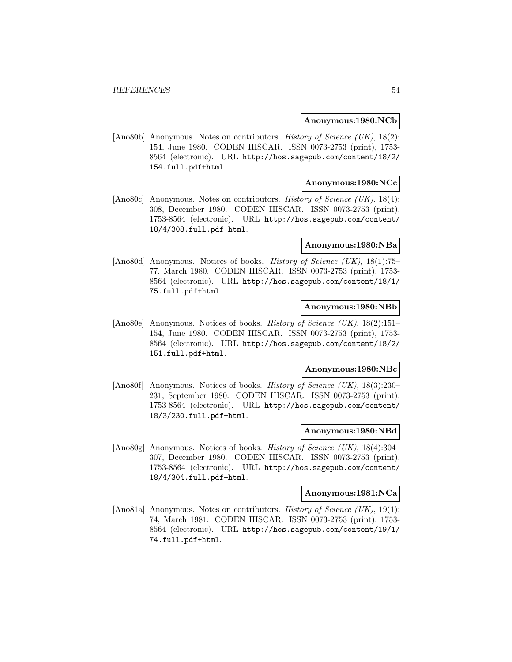### **Anonymous:1980:NCb**

[Ano80b] Anonymous. Notes on contributors. History of Science (UK), 18(2): 154, June 1980. CODEN HISCAR. ISSN 0073-2753 (print), 1753- 8564 (electronic). URL http://hos.sagepub.com/content/18/2/ 154.full.pdf+html.

## **Anonymous:1980:NCc**

[Ano80c] Anonymous. Notes on contributors. History of Science (UK), 18(4): 308, December 1980. CODEN HISCAR. ISSN 0073-2753 (print), 1753-8564 (electronic). URL http://hos.sagepub.com/content/ 18/4/308.full.pdf+html.

## **Anonymous:1980:NBa**

[Ano80d] Anonymous. Notices of books. *History of Science (UK)*, 18(1):75– 77, March 1980. CODEN HISCAR. ISSN 0073-2753 (print), 1753- 8564 (electronic). URL http://hos.sagepub.com/content/18/1/ 75.full.pdf+html.

## **Anonymous:1980:NBb**

[Ano80e] Anonymous. Notices of books. *History of Science (UK)*, 18(2):151– 154, June 1980. CODEN HISCAR. ISSN 0073-2753 (print), 1753- 8564 (electronic). URL http://hos.sagepub.com/content/18/2/ 151.full.pdf+html.

#### **Anonymous:1980:NBc**

[Ano80f] Anonymous. Notices of books. History of Science (UK), 18(3):230– 231, September 1980. CODEN HISCAR. ISSN 0073-2753 (print), 1753-8564 (electronic). URL http://hos.sagepub.com/content/ 18/3/230.full.pdf+html.

### **Anonymous:1980:NBd**

[Ano80g] Anonymous. Notices of books. *History of Science (UK)*,  $18(4):304-$ 307, December 1980. CODEN HISCAR. ISSN 0073-2753 (print), 1753-8564 (electronic). URL http://hos.sagepub.com/content/ 18/4/304.full.pdf+html.

#### **Anonymous:1981:NCa**

[Ano81a] Anonymous. Notes on contributors. History of Science (UK), 19(1): 74, March 1981. CODEN HISCAR. ISSN 0073-2753 (print), 1753- 8564 (electronic). URL http://hos.sagepub.com/content/19/1/ 74.full.pdf+html.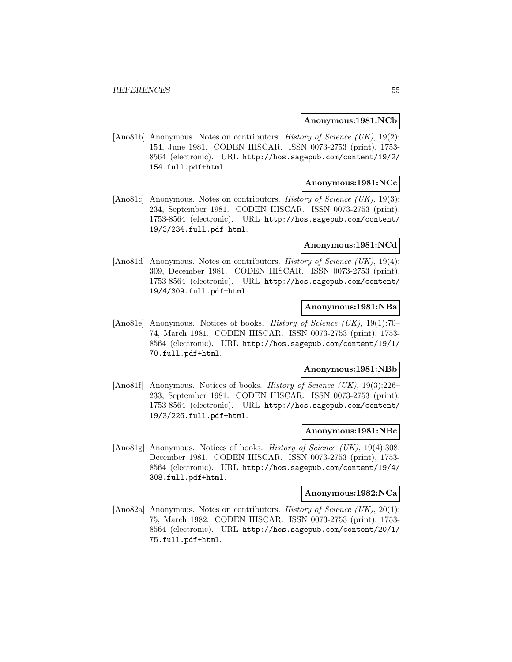### **Anonymous:1981:NCb**

[Ano81b] Anonymous. Notes on contributors. *History of Science (UK)*, 19(2): 154, June 1981. CODEN HISCAR. ISSN 0073-2753 (print), 1753- 8564 (electronic). URL http://hos.sagepub.com/content/19/2/ 154.full.pdf+html.

## **Anonymous:1981:NCc**

[Ano81c] Anonymous. Notes on contributors. History of Science (UK), 19(3): 234, September 1981. CODEN HISCAR. ISSN 0073-2753 (print), 1753-8564 (electronic). URL http://hos.sagepub.com/content/ 19/3/234.full.pdf+html.

### **Anonymous:1981:NCd**

[Ano81d] Anonymous. Notes on contributors. *History of Science (UK)*, 19(4): 309, December 1981. CODEN HISCAR. ISSN 0073-2753 (print), 1753-8564 (electronic). URL http://hos.sagepub.com/content/ 19/4/309.full.pdf+html.

# **Anonymous:1981:NBa**

[Ano81e] Anonymous. Notices of books. History of Science (UK), 19(1):70– 74, March 1981. CODEN HISCAR. ISSN 0073-2753 (print), 1753- 8564 (electronic). URL http://hos.sagepub.com/content/19/1/ 70.full.pdf+html.

#### **Anonymous:1981:NBb**

[Ano81f] Anonymous. Notices of books. *History of Science (UK)*, 19(3):226– 233, September 1981. CODEN HISCAR. ISSN 0073-2753 (print), 1753-8564 (electronic). URL http://hos.sagepub.com/content/ 19/3/226.full.pdf+html.

### **Anonymous:1981:NBc**

[Ano81g] Anonymous. Notices of books. *History of Science (UK)*, 19(4):308, December 1981. CODEN HISCAR. ISSN 0073-2753 (print), 1753- 8564 (electronic). URL http://hos.sagepub.com/content/19/4/ 308.full.pdf+html.

#### **Anonymous:1982:NCa**

[Ano82a] Anonymous. Notes on contributors. History of Science (UK), 20(1): 75, March 1982. CODEN HISCAR. ISSN 0073-2753 (print), 1753- 8564 (electronic). URL http://hos.sagepub.com/content/20/1/ 75.full.pdf+html.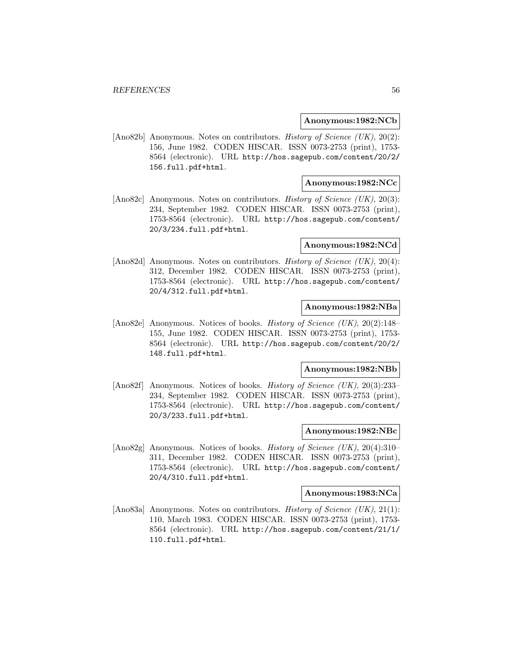### **Anonymous:1982:NCb**

[Ano82b] Anonymous. Notes on contributors. *History of Science (UK)*, 20(2): 156, June 1982. CODEN HISCAR. ISSN 0073-2753 (print), 1753- 8564 (electronic). URL http://hos.sagepub.com/content/20/2/ 156.full.pdf+html.

## **Anonymous:1982:NCc**

[Ano82c] Anonymous. Notes on contributors. History of Science (UK), 20(3): 234, September 1982. CODEN HISCAR. ISSN 0073-2753 (print), 1753-8564 (electronic). URL http://hos.sagepub.com/content/ 20/3/234.full.pdf+html.

### **Anonymous:1982:NCd**

[Ano82d] Anonymous. Notes on contributors. History of Science (UK), 20(4): 312, December 1982. CODEN HISCAR. ISSN 0073-2753 (print), 1753-8564 (electronic). URL http://hos.sagepub.com/content/ 20/4/312.full.pdf+html.

## **Anonymous:1982:NBa**

[Ano82e] Anonymous. Notices of books. *History of Science (UK)*, 20(2):148– 155, June 1982. CODEN HISCAR. ISSN 0073-2753 (print), 1753- 8564 (electronic). URL http://hos.sagepub.com/content/20/2/ 148.full.pdf+html.

#### **Anonymous:1982:NBb**

[Ano82f] Anonymous. Notices of books. *History of Science (UK)*, 20(3):233– 234, September 1982. CODEN HISCAR. ISSN 0073-2753 (print), 1753-8564 (electronic). URL http://hos.sagepub.com/content/ 20/3/233.full.pdf+html.

### **Anonymous:1982:NBc**

[Ano82g] Anonymous. Notices of books. *History of Science (UK)*, 20(4):310– 311, December 1982. CODEN HISCAR. ISSN 0073-2753 (print), 1753-8564 (electronic). URL http://hos.sagepub.com/content/ 20/4/310.full.pdf+html.

#### **Anonymous:1983:NCa**

[Ano83a] Anonymous. Notes on contributors. History of Science (UK), 21(1): 110, March 1983. CODEN HISCAR. ISSN 0073-2753 (print), 1753- 8564 (electronic). URL http://hos.sagepub.com/content/21/1/ 110.full.pdf+html.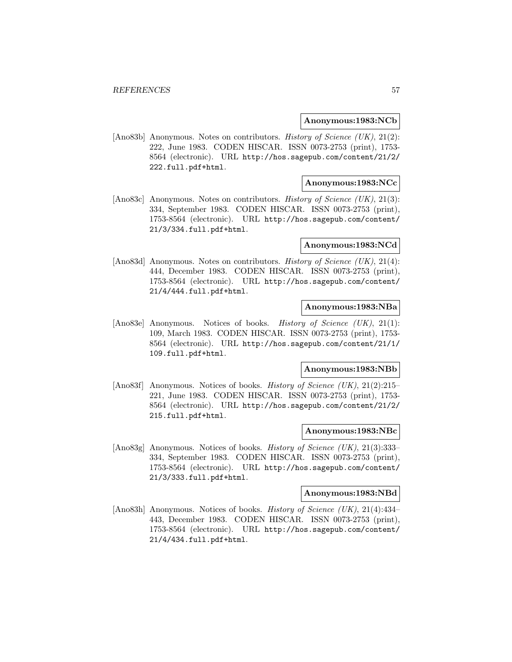### **Anonymous:1983:NCb**

[Ano83b] Anonymous. Notes on contributors. *History of Science (UK)*, 21(2): 222, June 1983. CODEN HISCAR. ISSN 0073-2753 (print), 1753- 8564 (electronic). URL http://hos.sagepub.com/content/21/2/ 222.full.pdf+html.

## **Anonymous:1983:NCc**

[Ano83c] Anonymous. Notes on contributors. History of Science (UK), 21(3): 334, September 1983. CODEN HISCAR. ISSN 0073-2753 (print), 1753-8564 (electronic). URL http://hos.sagepub.com/content/ 21/3/334.full.pdf+html.

### **Anonymous:1983:NCd**

[Ano83d] Anonymous. Notes on contributors. History of Science (UK), 21(4): 444, December 1983. CODEN HISCAR. ISSN 0073-2753 (print), 1753-8564 (electronic). URL http://hos.sagepub.com/content/ 21/4/444.full.pdf+html.

## **Anonymous:1983:NBa**

[Ano83e] Anonymous. Notices of books. History of Science (UK), 21(1): 109, March 1983. CODEN HISCAR. ISSN 0073-2753 (print), 1753- 8564 (electronic). URL http://hos.sagepub.com/content/21/1/ 109.full.pdf+html.

#### **Anonymous:1983:NBb**

[Ano83f] Anonymous. Notices of books. *History of Science (UK)*, 21(2):215– 221, June 1983. CODEN HISCAR. ISSN 0073-2753 (print), 1753- 8564 (electronic). URL http://hos.sagepub.com/content/21/2/ 215.full.pdf+html.

### **Anonymous:1983:NBc**

[Ano83g] Anonymous. Notices of books. *History of Science (UK)*, 21(3):333– 334, September 1983. CODEN HISCAR. ISSN 0073-2753 (print), 1753-8564 (electronic). URL http://hos.sagepub.com/content/ 21/3/333.full.pdf+html.

#### **Anonymous:1983:NBd**

[Ano83h] Anonymous. Notices of books. *History of Science (UK)*, 21(4):434– 443, December 1983. CODEN HISCAR. ISSN 0073-2753 (print), 1753-8564 (electronic). URL http://hos.sagepub.com/content/ 21/4/434.full.pdf+html.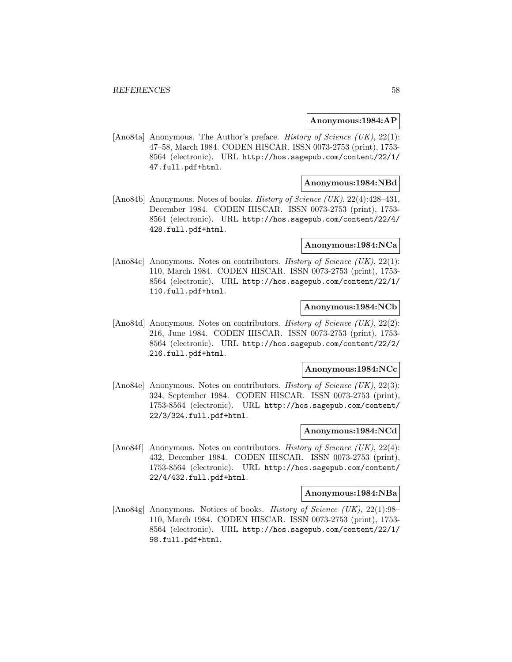### **Anonymous:1984:AP**

[Ano84a] Anonymous. The Author's preface. *History of Science (UK)*, 22(1): 47–58, March 1984. CODEN HISCAR. ISSN 0073-2753 (print), 1753- 8564 (electronic). URL http://hos.sagepub.com/content/22/1/ 47.full.pdf+html.

## **Anonymous:1984:NBd**

[Ano84b] Anonymous. Notes of books. History of Science (UK), 22(4):428–431, December 1984. CODEN HISCAR. ISSN 0073-2753 (print), 1753- 8564 (electronic). URL http://hos.sagepub.com/content/22/4/ 428.full.pdf+html.

### **Anonymous:1984:NCa**

[Ano84c] Anonymous. Notes on contributors. History of Science (UK), 22(1): 110, March 1984. CODEN HISCAR. ISSN 0073-2753 (print), 1753- 8564 (electronic). URL http://hos.sagepub.com/content/22/1/ 110.full.pdf+html.

# **Anonymous:1984:NCb**

[Ano84d] Anonymous. Notes on contributors. History of Science (UK), 22(2): 216, June 1984. CODEN HISCAR. ISSN 0073-2753 (print), 1753- 8564 (electronic). URL http://hos.sagepub.com/content/22/2/ 216.full.pdf+html.

#### **Anonymous:1984:NCc**

[Ano84e] Anonymous. Notes on contributors. History of Science (UK), 22(3): 324, September 1984. CODEN HISCAR. ISSN 0073-2753 (print), 1753-8564 (electronic). URL http://hos.sagepub.com/content/ 22/3/324.full.pdf+html.

### **Anonymous:1984:NCd**

[Ano84f] Anonymous. Notes on contributors. *History of Science (UK)*,  $22(4)$ : 432, December 1984. CODEN HISCAR. ISSN 0073-2753 (print), 1753-8564 (electronic). URL http://hos.sagepub.com/content/ 22/4/432.full.pdf+html.

#### **Anonymous:1984:NBa**

[Ano84g] Anonymous. Notices of books. History of Science (UK), 22(1):98– 110, March 1984. CODEN HISCAR. ISSN 0073-2753 (print), 1753- 8564 (electronic). URL http://hos.sagepub.com/content/22/1/ 98.full.pdf+html.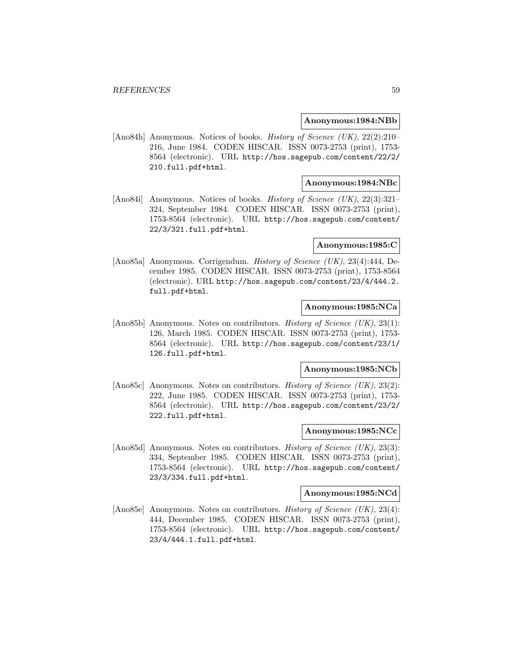#### **Anonymous:1984:NBb**

[Ano84h] Anonymous. Notices of books. *History of Science (UK)*, 22(2):210– 216, June 1984. CODEN HISCAR. ISSN 0073-2753 (print), 1753- 8564 (electronic). URL http://hos.sagepub.com/content/22/2/ 210.full.pdf+html.

### **Anonymous:1984:NBc**

[Ano84i] Anonymous. Notices of books. *History of Science (UK)*, 22(3):321– 324, September 1984. CODEN HISCAR. ISSN 0073-2753 (print), 1753-8564 (electronic). URL http://hos.sagepub.com/content/ 22/3/321.full.pdf+html.

## **Anonymous:1985:C**

[Ano85a] Anonymous. Corrigendum. *History of Science (UK)*, 23(4):444, December 1985. CODEN HISCAR. ISSN 0073-2753 (print), 1753-8564 (electronic). URL http://hos.sagepub.com/content/23/4/444.2. full.pdf+html.

# **Anonymous:1985:NCa**

[Ano85b] Anonymous. Notes on contributors. *History of Science (UK)*, 23(1): 126, March 1985. CODEN HISCAR. ISSN 0073-2753 (print), 1753- 8564 (electronic). URL http://hos.sagepub.com/content/23/1/ 126.full.pdf+html.

#### **Anonymous:1985:NCb**

[Ano85c] Anonymous. Notes on contributors. History of Science (UK), 23(2): 222, June 1985. CODEN HISCAR. ISSN 0073-2753 (print), 1753- 8564 (electronic). URL http://hos.sagepub.com/content/23/2/ 222.full.pdf+html.

### **Anonymous:1985:NCc**

[Ano85d] Anonymous. Notes on contributors. *History of Science (UK)*, 23(3): 334, September 1985. CODEN HISCAR. ISSN 0073-2753 (print), 1753-8564 (electronic). URL http://hos.sagepub.com/content/ 23/3/334.full.pdf+html.

#### **Anonymous:1985:NCd**

[Ano85e] Anonymous. Notes on contributors. History of Science (UK), 23(4): 444, December 1985. CODEN HISCAR. ISSN 0073-2753 (print), 1753-8564 (electronic). URL http://hos.sagepub.com/content/ 23/4/444.1.full.pdf+html.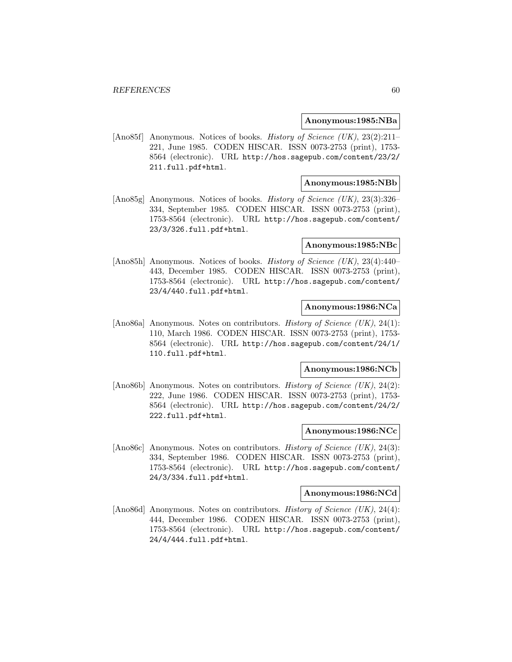#### **Anonymous:1985:NBa**

[Ano85f] Anonymous. Notices of books. *History of Science (UK)*, 23(2):211– 221, June 1985. CODEN HISCAR. ISSN 0073-2753 (print), 1753- 8564 (electronic). URL http://hos.sagepub.com/content/23/2/ 211.full.pdf+html.

## **Anonymous:1985:NBb**

[Ano85g] Anonymous. Notices of books. History of Science (UK), 23(3):326– 334, September 1985. CODEN HISCAR. ISSN 0073-2753 (print), 1753-8564 (electronic). URL http://hos.sagepub.com/content/ 23/3/326.full.pdf+html.

### **Anonymous:1985:NBc**

[Ano85h] Anonymous. Notices of books. *History of Science (UK)*, 23(4):440– 443, December 1985. CODEN HISCAR. ISSN 0073-2753 (print), 1753-8564 (electronic). URL http://hos.sagepub.com/content/ 23/4/440.full.pdf+html.

## **Anonymous:1986:NCa**

[Ano86a] Anonymous. Notes on contributors. History of Science (UK), 24(1): 110, March 1986. CODEN HISCAR. ISSN 0073-2753 (print), 1753- 8564 (electronic). URL http://hos.sagepub.com/content/24/1/ 110.full.pdf+html.

#### **Anonymous:1986:NCb**

[Ano86b] Anonymous. Notes on contributors. History of Science (UK), 24(2): 222, June 1986. CODEN HISCAR. ISSN 0073-2753 (print), 1753- 8564 (electronic). URL http://hos.sagepub.com/content/24/2/ 222.full.pdf+html.

### **Anonymous:1986:NCc**

[Ano86c] Anonymous. Notes on contributors. *History of Science (UK)*, 24(3): 334, September 1986. CODEN HISCAR. ISSN 0073-2753 (print), 1753-8564 (electronic). URL http://hos.sagepub.com/content/ 24/3/334.full.pdf+html.

#### **Anonymous:1986:NCd**

[Ano86d] Anonymous. Notes on contributors. History of Science (UK), 24(4): 444, December 1986. CODEN HISCAR. ISSN 0073-2753 (print), 1753-8564 (electronic). URL http://hos.sagepub.com/content/ 24/4/444.full.pdf+html.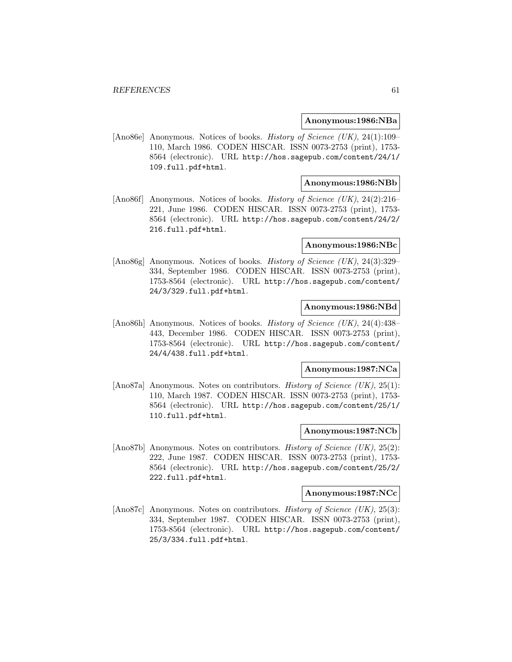#### **Anonymous:1986:NBa**

[Ano86e] Anonymous. Notices of books. History of Science (UK), 24(1):109– 110, March 1986. CODEN HISCAR. ISSN 0073-2753 (print), 1753- 8564 (electronic). URL http://hos.sagepub.com/content/24/1/ 109.full.pdf+html.

## **Anonymous:1986:NBb**

[Ano86f] Anonymous. Notices of books. History of Science (UK), 24(2):216– 221, June 1986. CODEN HISCAR. ISSN 0073-2753 (print), 1753- 8564 (electronic). URL http://hos.sagepub.com/content/24/2/ 216.full.pdf+html.

### **Anonymous:1986:NBc**

[Ano86g] Anonymous. Notices of books. History of Science (UK), 24(3):329– 334, September 1986. CODEN HISCAR. ISSN 0073-2753 (print), 1753-8564 (electronic). URL http://hos.sagepub.com/content/ 24/3/329.full.pdf+html.

## **Anonymous:1986:NBd**

[Ano86h] Anonymous. Notices of books. *History of Science (UK)*, 24(4):438– 443, December 1986. CODEN HISCAR. ISSN 0073-2753 (print), 1753-8564 (electronic). URL http://hos.sagepub.com/content/ 24/4/438.full.pdf+html.

### **Anonymous:1987:NCa**

[Ano87a] Anonymous. Notes on contributors. History of Science (UK), 25(1): 110, March 1987. CODEN HISCAR. ISSN 0073-2753 (print), 1753- 8564 (electronic). URL http://hos.sagepub.com/content/25/1/ 110.full.pdf+html.

### **Anonymous:1987:NCb**

[Ano87b] Anonymous. Notes on contributors. *History of Science (UK)*, 25(2): 222, June 1987. CODEN HISCAR. ISSN 0073-2753 (print), 1753- 8564 (electronic). URL http://hos.sagepub.com/content/25/2/ 222.full.pdf+html.

#### **Anonymous:1987:NCc**

[Ano87c] Anonymous. Notes on contributors. History of Science (UK), 25(3): 334, September 1987. CODEN HISCAR. ISSN 0073-2753 (print), 1753-8564 (electronic). URL http://hos.sagepub.com/content/ 25/3/334.full.pdf+html.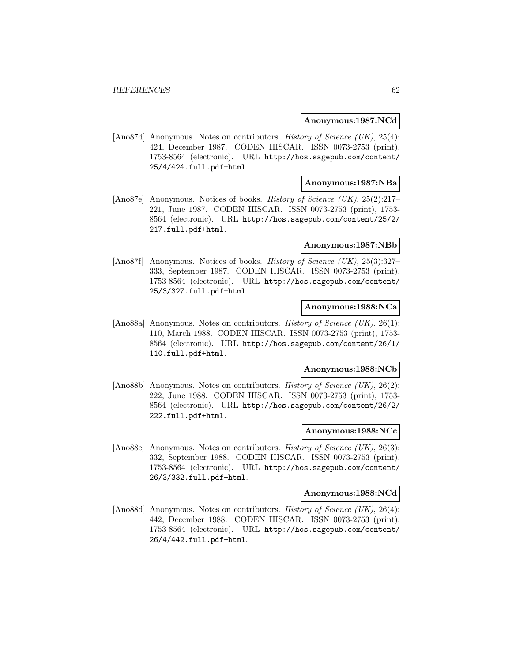### **Anonymous:1987:NCd**

[Ano87d] Anonymous. Notes on contributors. History of Science (UK), 25(4): 424, December 1987. CODEN HISCAR. ISSN 0073-2753 (print), 1753-8564 (electronic). URL http://hos.sagepub.com/content/ 25/4/424.full.pdf+html.

## **Anonymous:1987:NBa**

[Ano87e] Anonymous. Notices of books. History of Science (UK), 25(2):217– 221, June 1987. CODEN HISCAR. ISSN 0073-2753 (print), 1753- 8564 (electronic). URL http://hos.sagepub.com/content/25/2/ 217.full.pdf+html.

### **Anonymous:1987:NBb**

[Ano87f] Anonymous. Notices of books. History of Science (UK), 25(3):327– 333, September 1987. CODEN HISCAR. ISSN 0073-2753 (print), 1753-8564 (electronic). URL http://hos.sagepub.com/content/ 25/3/327.full.pdf+html.

# **Anonymous:1988:NCa**

[Ano88a] Anonymous. Notes on contributors. History of Science (UK), 26(1): 110, March 1988. CODEN HISCAR. ISSN 0073-2753 (print), 1753- 8564 (electronic). URL http://hos.sagepub.com/content/26/1/ 110.full.pdf+html.

#### **Anonymous:1988:NCb**

[Ano88b] Anonymous. Notes on contributors. *History of Science (UK)*, 26(2): 222, June 1988. CODEN HISCAR. ISSN 0073-2753 (print), 1753- 8564 (electronic). URL http://hos.sagepub.com/content/26/2/ 222.full.pdf+html.

### **Anonymous:1988:NCc**

[Ano88c] Anonymous. Notes on contributors. *History of Science (UK)*, 26(3): 332, September 1988. CODEN HISCAR. ISSN 0073-2753 (print), 1753-8564 (electronic). URL http://hos.sagepub.com/content/ 26/3/332.full.pdf+html.

#### **Anonymous:1988:NCd**

[Ano88d] Anonymous. Notes on contributors. History of Science (UK), 26(4): 442, December 1988. CODEN HISCAR. ISSN 0073-2753 (print), 1753-8564 (electronic). URL http://hos.sagepub.com/content/ 26/4/442.full.pdf+html.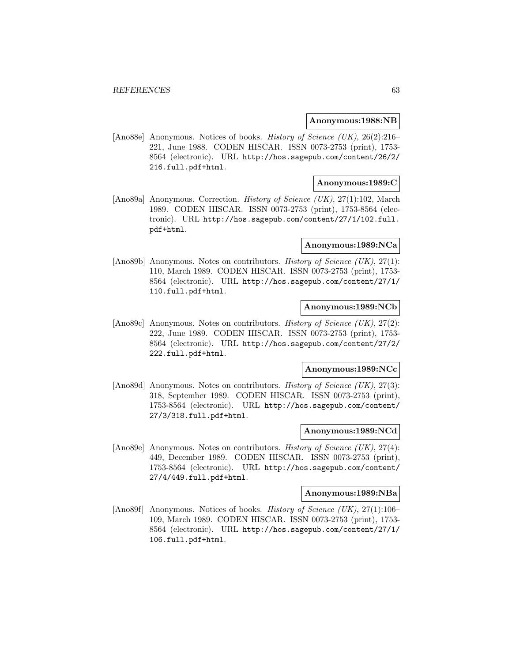#### **Anonymous:1988:NB**

[Ano88e] Anonymous. Notices of books. History of Science (UK), 26(2):216– 221, June 1988. CODEN HISCAR. ISSN 0073-2753 (print), 1753- 8564 (electronic). URL http://hos.sagepub.com/content/26/2/ 216.full.pdf+html.

## **Anonymous:1989:C**

[Ano89a] Anonymous. Correction. *History of Science (UK)*, 27(1):102, March 1989. CODEN HISCAR. ISSN 0073-2753 (print), 1753-8564 (electronic). URL http://hos.sagepub.com/content/27/1/102.full. pdf+html.

### **Anonymous:1989:NCa**

[Ano89b] Anonymous. Notes on contributors. History of Science (UK), 27(1): 110, March 1989. CODEN HISCAR. ISSN 0073-2753 (print), 1753- 8564 (electronic). URL http://hos.sagepub.com/content/27/1/ 110.full.pdf+html.

# **Anonymous:1989:NCb**

[Ano89c] Anonymous. Notes on contributors. History of Science (UK), 27(2): 222, June 1989. CODEN HISCAR. ISSN 0073-2753 (print), 1753- 8564 (electronic). URL http://hos.sagepub.com/content/27/2/ 222.full.pdf+html.

#### **Anonymous:1989:NCc**

[Ano89d] Anonymous. Notes on contributors. *History of Science (UK)*, 27(3): 318, September 1989. CODEN HISCAR. ISSN 0073-2753 (print), 1753-8564 (electronic). URL http://hos.sagepub.com/content/ 27/3/318.full.pdf+html.

### **Anonymous:1989:NCd**

[Ano89e] Anonymous. Notes on contributors. *History of Science (UK)*, 27(4): 449, December 1989. CODEN HISCAR. ISSN 0073-2753 (print), 1753-8564 (electronic). URL http://hos.sagepub.com/content/ 27/4/449.full.pdf+html.

#### **Anonymous:1989:NBa**

[Ano89f] Anonymous. Notices of books. History of Science (UK), 27(1):106– 109, March 1989. CODEN HISCAR. ISSN 0073-2753 (print), 1753- 8564 (electronic). URL http://hos.sagepub.com/content/27/1/ 106.full.pdf+html.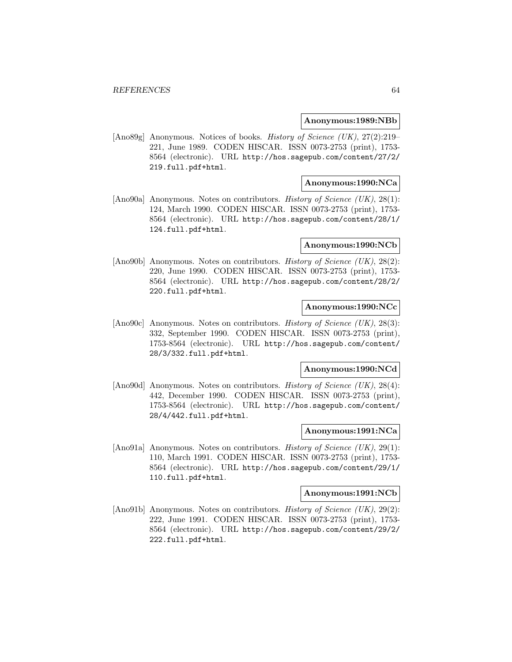#### **Anonymous:1989:NBb**

[Ano89g] Anonymous. Notices of books. History of Science (UK), 27(2):219– 221, June 1989. CODEN HISCAR. ISSN 0073-2753 (print), 1753- 8564 (electronic). URL http://hos.sagepub.com/content/27/2/ 219.full.pdf+html.

## **Anonymous:1990:NCa**

[Ano90a] Anonymous. Notes on contributors. History of Science (UK), 28(1): 124, March 1990. CODEN HISCAR. ISSN 0073-2753 (print), 1753- 8564 (electronic). URL http://hos.sagepub.com/content/28/1/ 124.full.pdf+html.

#### **Anonymous:1990:NCb**

[Ano90b] Anonymous. Notes on contributors. History of Science (UK), 28(2): 220, June 1990. CODEN HISCAR. ISSN 0073-2753 (print), 1753- 8564 (electronic). URL http://hos.sagepub.com/content/28/2/ 220.full.pdf+html.

## **Anonymous:1990:NCc**

[Ano90c] Anonymous. Notes on contributors. History of Science (UK), 28(3): 332, September 1990. CODEN HISCAR. ISSN 0073-2753 (print), 1753-8564 (electronic). URL http://hos.sagepub.com/content/ 28/3/332.full.pdf+html.

#### **Anonymous:1990:NCd**

[Ano90d] Anonymous. Notes on contributors. History of Science (UK), 28(4): 442, December 1990. CODEN HISCAR. ISSN 0073-2753 (print), 1753-8564 (electronic). URL http://hos.sagepub.com/content/ 28/4/442.full.pdf+html.

### **Anonymous:1991:NCa**

[Ano91a] Anonymous. Notes on contributors. *History of Science (UK)*, 29(1): 110, March 1991. CODEN HISCAR. ISSN 0073-2753 (print), 1753- 8564 (electronic). URL http://hos.sagepub.com/content/29/1/ 110.full.pdf+html.

#### **Anonymous:1991:NCb**

[Ano91b] Anonymous. Notes on contributors. *History of Science (UK)*, 29(2): 222, June 1991. CODEN HISCAR. ISSN 0073-2753 (print), 1753- 8564 (electronic). URL http://hos.sagepub.com/content/29/2/ 222.full.pdf+html.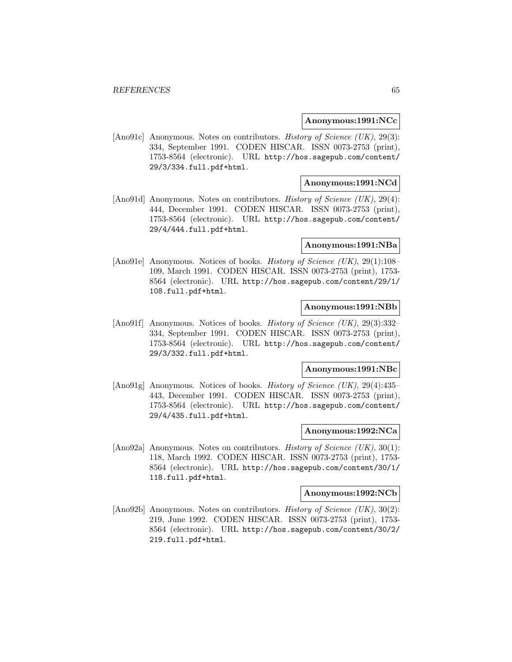#### **Anonymous:1991:NCc**

[Ano91c] Anonymous. Notes on contributors. History of Science (UK), 29(3): 334, September 1991. CODEN HISCAR. ISSN 0073-2753 (print), 1753-8564 (electronic). URL http://hos.sagepub.com/content/ 29/3/334.full.pdf+html.

## **Anonymous:1991:NCd**

[Ano91d] Anonymous. Notes on contributors. History of Science (UK), 29(4): 444, December 1991. CODEN HISCAR. ISSN 0073-2753 (print), 1753-8564 (electronic). URL http://hos.sagepub.com/content/ 29/4/444.full.pdf+html.

## **Anonymous:1991:NBa**

[Ano91e] Anonymous. Notices of books. *History of Science (UK)*, 29(1):108– 109, March 1991. CODEN HISCAR. ISSN 0073-2753 (print), 1753- 8564 (electronic). URL http://hos.sagepub.com/content/29/1/ 108.full.pdf+html.

## **Anonymous:1991:NBb**

[Ano91f] Anonymous. Notices of books. *History of Science (UK)*, 29(3):332-334, September 1991. CODEN HISCAR. ISSN 0073-2753 (print), 1753-8564 (electronic). URL http://hos.sagepub.com/content/ 29/3/332.full.pdf+html.

#### **Anonymous:1991:NBc**

[Ano91g] Anonymous. Notices of books. *History of Science (UK)*, 29(4):435– 443, December 1991. CODEN HISCAR. ISSN 0073-2753 (print), 1753-8564 (electronic). URL http://hos.sagepub.com/content/ 29/4/435.full.pdf+html.

### **Anonymous:1992:NCa**

[Ano92a] Anonymous. Notes on contributors. *History of Science (UK)*, 30(1): 118, March 1992. CODEN HISCAR. ISSN 0073-2753 (print), 1753- 8564 (electronic). URL http://hos.sagepub.com/content/30/1/ 118.full.pdf+html.

#### **Anonymous:1992:NCb**

[Ano92b] Anonymous. Notes on contributors. *History of Science (UK)*, 30(2): 219, June 1992. CODEN HISCAR. ISSN 0073-2753 (print), 1753- 8564 (electronic). URL http://hos.sagepub.com/content/30/2/ 219.full.pdf+html.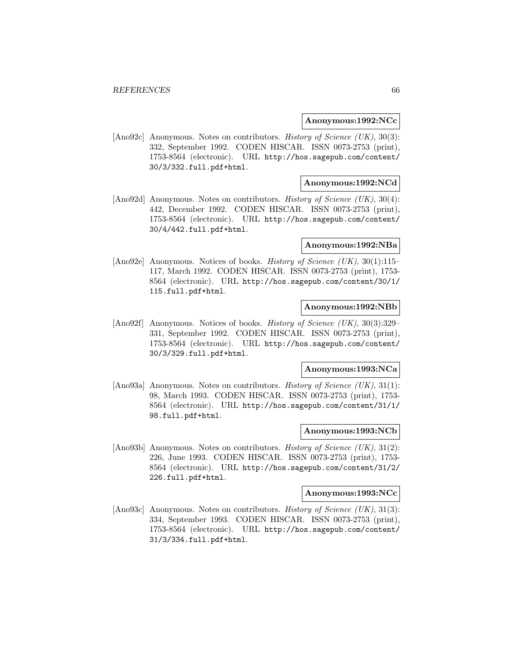### **Anonymous:1992:NCc**

[Ano92c] Anonymous. Notes on contributors. History of Science (UK), 30(3): 332, September 1992. CODEN HISCAR. ISSN 0073-2753 (print), 1753-8564 (electronic). URL http://hos.sagepub.com/content/ 30/3/332.full.pdf+html.

## **Anonymous:1992:NCd**

[Ano92d] Anonymous. Notes on contributors. *History of Science (UK)*, 30(4): 442, December 1992. CODEN HISCAR. ISSN 0073-2753 (print), 1753-8564 (electronic). URL http://hos.sagepub.com/content/ 30/4/442.full.pdf+html.

## **Anonymous:1992:NBa**

[Ano92e] Anonymous. Notices of books. *History of Science (UK)*, 30(1):115– 117, March 1992. CODEN HISCAR. ISSN 0073-2753 (print), 1753- 8564 (electronic). URL http://hos.sagepub.com/content/30/1/ 115.full.pdf+html.

## **Anonymous:1992:NBb**

[Ano92f] Anonymous. Notices of books. *History of Science (UK)*, 30(3):329– 331, September 1992. CODEN HISCAR. ISSN 0073-2753 (print), 1753-8564 (electronic). URL http://hos.sagepub.com/content/ 30/3/329.full.pdf+html.

#### **Anonymous:1993:NCa**

[Ano93a] Anonymous. Notes on contributors. History of Science (UK), 31(1): 98, March 1993. CODEN HISCAR. ISSN 0073-2753 (print), 1753- 8564 (electronic). URL http://hos.sagepub.com/content/31/1/ 98.full.pdf+html.

### **Anonymous:1993:NCb**

[Ano93b] Anonymous. Notes on contributors. *History of Science (UK)*,  $31(2)$ : 226, June 1993. CODEN HISCAR. ISSN 0073-2753 (print), 1753- 8564 (electronic). URL http://hos.sagepub.com/content/31/2/ 226.full.pdf+html.

#### **Anonymous:1993:NCc**

[Ano93c] Anonymous. Notes on contributors. History of Science (UK), 31(3): 334, September 1993. CODEN HISCAR. ISSN 0073-2753 (print), 1753-8564 (electronic). URL http://hos.sagepub.com/content/ 31/3/334.full.pdf+html.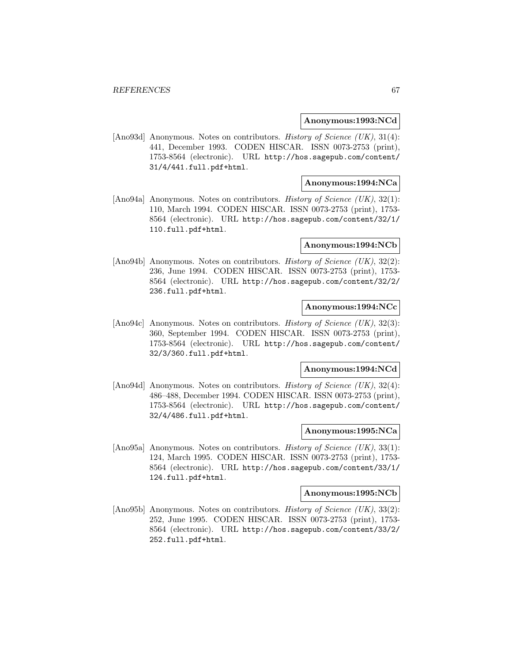### **Anonymous:1993:NCd**

[Ano93d] Anonymous. Notes on contributors. History of Science (UK), 31(4): 441, December 1993. CODEN HISCAR. ISSN 0073-2753 (print), 1753-8564 (electronic). URL http://hos.sagepub.com/content/ 31/4/441.full.pdf+html.

## **Anonymous:1994:NCa**

[Ano94a] Anonymous. Notes on contributors. History of Science (UK), 32(1): 110, March 1994. CODEN HISCAR. ISSN 0073-2753 (print), 1753- 8564 (electronic). URL http://hos.sagepub.com/content/32/1/ 110.full.pdf+html.

#### **Anonymous:1994:NCb**

[Ano94b] Anonymous. Notes on contributors. History of Science (UK), 32(2): 236, June 1994. CODEN HISCAR. ISSN 0073-2753 (print), 1753- 8564 (electronic). URL http://hos.sagepub.com/content/32/2/ 236.full.pdf+html.

## **Anonymous:1994:NCc**

[Ano94c] Anonymous. Notes on contributors. History of Science (UK), 32(3): 360, September 1994. CODEN HISCAR. ISSN 0073-2753 (print), 1753-8564 (electronic). URL http://hos.sagepub.com/content/ 32/3/360.full.pdf+html.

#### **Anonymous:1994:NCd**

[Ano94d] Anonymous. Notes on contributors. History of Science (UK), 32(4): 486–488, December 1994. CODEN HISCAR. ISSN 0073-2753 (print), 1753-8564 (electronic). URL http://hos.sagepub.com/content/ 32/4/486.full.pdf+html.

### **Anonymous:1995:NCa**

[Ano95a] Anonymous. Notes on contributors. *History of Science (UK)*, 33(1): 124, March 1995. CODEN HISCAR. ISSN 0073-2753 (print), 1753- 8564 (electronic). URL http://hos.sagepub.com/content/33/1/ 124.full.pdf+html.

#### **Anonymous:1995:NCb**

[Ano95b] Anonymous. Notes on contributors. *History of Science (UK)*, 33(2): 252, June 1995. CODEN HISCAR. ISSN 0073-2753 (print), 1753- 8564 (electronic). URL http://hos.sagepub.com/content/33/2/ 252.full.pdf+html.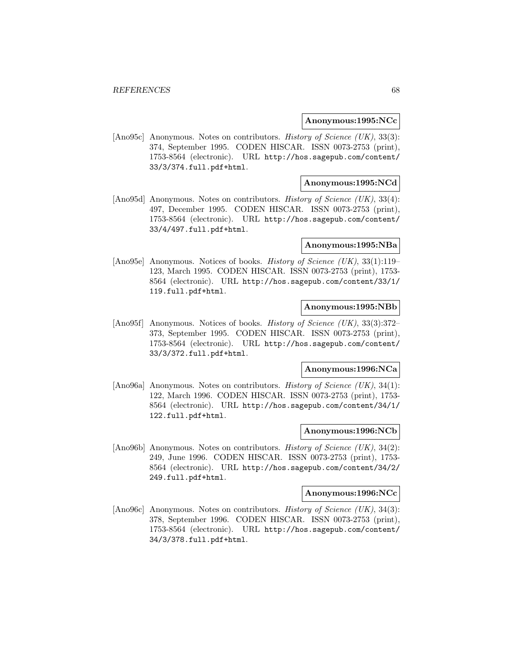#### **Anonymous:1995:NCc**

[Ano95c] Anonymous. Notes on contributors. History of Science (UK), 33(3): 374, September 1995. CODEN HISCAR. ISSN 0073-2753 (print), 1753-8564 (electronic). URL http://hos.sagepub.com/content/ 33/3/374.full.pdf+html.

## **Anonymous:1995:NCd**

[Ano95d] Anonymous. Notes on contributors. *History of Science (UK)*, 33(4): 497, December 1995. CODEN HISCAR. ISSN 0073-2753 (print), 1753-8564 (electronic). URL http://hos.sagepub.com/content/ 33/4/497.full.pdf+html.

## **Anonymous:1995:NBa**

[Ano95e] Anonymous. Notices of books. *History of Science (UK)*, 33(1):119– 123, March 1995. CODEN HISCAR. ISSN 0073-2753 (print), 1753- 8564 (electronic). URL http://hos.sagepub.com/content/33/1/ 119.full.pdf+html.

## **Anonymous:1995:NBb**

[Ano95f] Anonymous. Notices of books. *History of Science (UK)*, 33(3):372– 373, September 1995. CODEN HISCAR. ISSN 0073-2753 (print), 1753-8564 (electronic). URL http://hos.sagepub.com/content/ 33/3/372.full.pdf+html.

#### **Anonymous:1996:NCa**

[Ano96a] Anonymous. Notes on contributors. History of Science (UK), 34(1): 122, March 1996. CODEN HISCAR. ISSN 0073-2753 (print), 1753- 8564 (electronic). URL http://hos.sagepub.com/content/34/1/ 122.full.pdf+html.

### **Anonymous:1996:NCb**

[Ano96b] Anonymous. Notes on contributors. *History of Science (UK)*,  $34(2)$ : 249, June 1996. CODEN HISCAR. ISSN 0073-2753 (print), 1753- 8564 (electronic). URL http://hos.sagepub.com/content/34/2/ 249.full.pdf+html.

#### **Anonymous:1996:NCc**

[Ano96c] Anonymous. Notes on contributors. History of Science (UK), 34(3): 378, September 1996. CODEN HISCAR. ISSN 0073-2753 (print), 1753-8564 (electronic). URL http://hos.sagepub.com/content/ 34/3/378.full.pdf+html.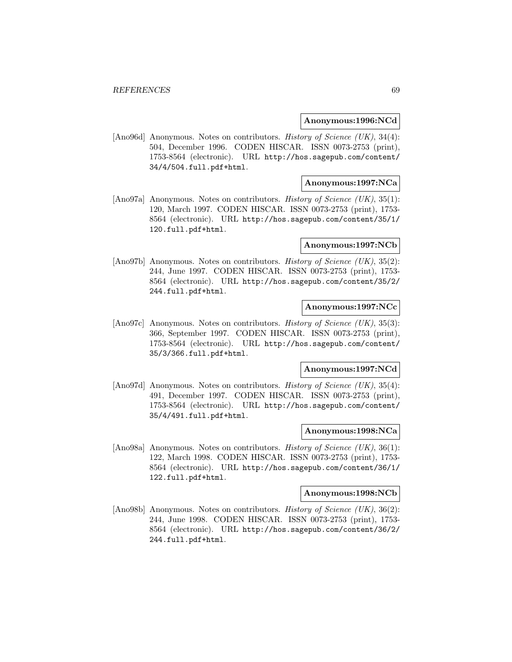### **Anonymous:1996:NCd**

[Ano96d] Anonymous. Notes on contributors. History of Science (UK), 34(4): 504, December 1996. CODEN HISCAR. ISSN 0073-2753 (print), 1753-8564 (electronic). URL http://hos.sagepub.com/content/ 34/4/504.full.pdf+html.

## **Anonymous:1997:NCa**

[Ano97a] Anonymous. Notes on contributors. History of Science (UK), 35(1): 120, March 1997. CODEN HISCAR. ISSN 0073-2753 (print), 1753- 8564 (electronic). URL http://hos.sagepub.com/content/35/1/ 120.full.pdf+html.

### **Anonymous:1997:NCb**

[Ano97b] Anonymous. Notes on contributors. *History of Science (UK)*, 35(2): 244, June 1997. CODEN HISCAR. ISSN 0073-2753 (print), 1753- 8564 (electronic). URL http://hos.sagepub.com/content/35/2/ 244.full.pdf+html.

## **Anonymous:1997:NCc**

[Ano97c] Anonymous. Notes on contributors. History of Science (UK), 35(3): 366, September 1997. CODEN HISCAR. ISSN 0073-2753 (print), 1753-8564 (electronic). URL http://hos.sagepub.com/content/ 35/3/366.full.pdf+html.

#### **Anonymous:1997:NCd**

[Ano97d] Anonymous. Notes on contributors. *History of Science (UK)*, 35(4): 491, December 1997. CODEN HISCAR. ISSN 0073-2753 (print), 1753-8564 (electronic). URL http://hos.sagepub.com/content/ 35/4/491.full.pdf+html.

### **Anonymous:1998:NCa**

[Ano98a] Anonymous. Notes on contributors. *History of Science (UK)*, 36(1): 122, March 1998. CODEN HISCAR. ISSN 0073-2753 (print), 1753- 8564 (electronic). URL http://hos.sagepub.com/content/36/1/ 122.full.pdf+html.

#### **Anonymous:1998:NCb**

[Ano98b] Anonymous. Notes on contributors. *History of Science (UK)*, 36(2): 244, June 1998. CODEN HISCAR. ISSN 0073-2753 (print), 1753- 8564 (electronic). URL http://hos.sagepub.com/content/36/2/ 244.full.pdf+html.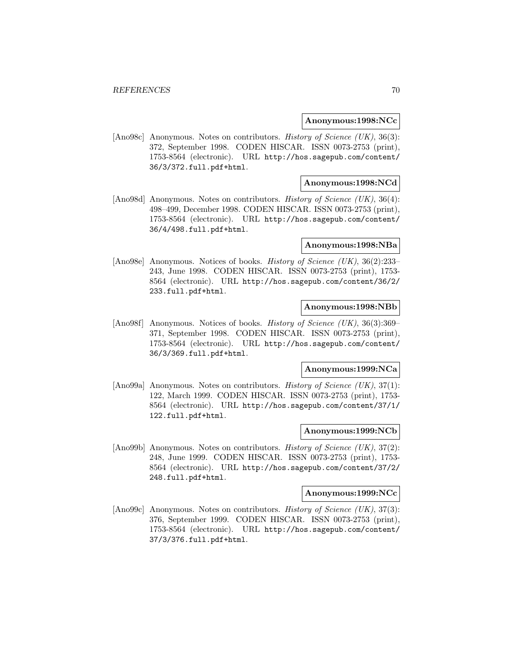### **Anonymous:1998:NCc**

[Ano98c] Anonymous. Notes on contributors. History of Science (UK), 36(3): 372, September 1998. CODEN HISCAR. ISSN 0073-2753 (print), 1753-8564 (electronic). URL http://hos.sagepub.com/content/ 36/3/372.full.pdf+html.

## **Anonymous:1998:NCd**

[Ano98d] Anonymous. Notes on contributors. *History of Science (UK)*, 36(4): 498–499, December 1998. CODEN HISCAR. ISSN 0073-2753 (print), 1753-8564 (electronic). URL http://hos.sagepub.com/content/ 36/4/498.full.pdf+html.

## **Anonymous:1998:NBa**

[Ano98e] Anonymous. Notices of books. History of Science (UK), 36(2):233– 243, June 1998. CODEN HISCAR. ISSN 0073-2753 (print), 1753- 8564 (electronic). URL http://hos.sagepub.com/content/36/2/ 233.full.pdf+html.

## **Anonymous:1998:NBb**

[Ano98f] Anonymous. Notices of books. *History of Science (UK)*, 36(3):369– 371, September 1998. CODEN HISCAR. ISSN 0073-2753 (print), 1753-8564 (electronic). URL http://hos.sagepub.com/content/ 36/3/369.full.pdf+html.

#### **Anonymous:1999:NCa**

[Ano99a] Anonymous. Notes on contributors. History of Science (UK), 37(1): 122, March 1999. CODEN HISCAR. ISSN 0073-2753 (print), 1753- 8564 (electronic). URL http://hos.sagepub.com/content/37/1/ 122.full.pdf+html.

### **Anonymous:1999:NCb**

[Ano99b] Anonymous. Notes on contributors. *History of Science (UK)*, 37(2): 248, June 1999. CODEN HISCAR. ISSN 0073-2753 (print), 1753- 8564 (electronic). URL http://hos.sagepub.com/content/37/2/ 248.full.pdf+html.

#### **Anonymous:1999:NCc**

[Ano99c] Anonymous. Notes on contributors. History of Science (UK), 37(3): 376, September 1999. CODEN HISCAR. ISSN 0073-2753 (print), 1753-8564 (electronic). URL http://hos.sagepub.com/content/ 37/3/376.full.pdf+html.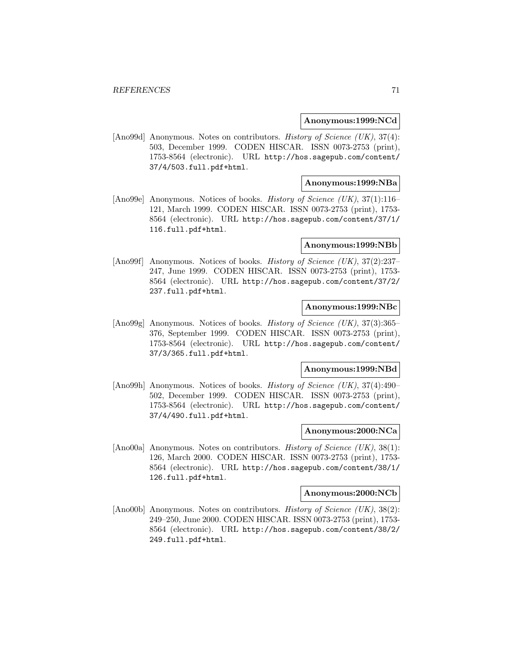### **Anonymous:1999:NCd**

[Ano99d] Anonymous. Notes on contributors. History of Science (UK), 37(4): 503, December 1999. CODEN HISCAR. ISSN 0073-2753 (print), 1753-8564 (electronic). URL http://hos.sagepub.com/content/ 37/4/503.full.pdf+html.

## **Anonymous:1999:NBa**

[Ano99e] Anonymous. Notices of books. History of Science (UK), 37(1):116– 121, March 1999. CODEN HISCAR. ISSN 0073-2753 (print), 1753- 8564 (electronic). URL http://hos.sagepub.com/content/37/1/ 116.full.pdf+html.

### **Anonymous:1999:NBb**

[Ano99f] Anonymous. Notices of books. History of Science (UK), 37(2):237– 247, June 1999. CODEN HISCAR. ISSN 0073-2753 (print), 1753- 8564 (electronic). URL http://hos.sagepub.com/content/37/2/ 237.full.pdf+html.

## **Anonymous:1999:NBc**

[Ano99g] Anonymous. Notices of books. *History of Science (UK)*, 37(3):365– 376, September 1999. CODEN HISCAR. ISSN 0073-2753 (print), 1753-8564 (electronic). URL http://hos.sagepub.com/content/ 37/3/365.full.pdf+html.

#### **Anonymous:1999:NBd**

[Ano99h] Anonymous. Notices of books. History of Science (UK), 37(4):490– 502, December 1999. CODEN HISCAR. ISSN 0073-2753 (print), 1753-8564 (electronic). URL http://hos.sagepub.com/content/ 37/4/490.full.pdf+html.

### **Anonymous:2000:NCa**

[Ano00a] Anonymous. Notes on contributors. *History of Science (UK)*, 38(1): 126, March 2000. CODEN HISCAR. ISSN 0073-2753 (print), 1753- 8564 (electronic). URL http://hos.sagepub.com/content/38/1/ 126.full.pdf+html.

#### **Anonymous:2000:NCb**

[Ano00b] Anonymous. Notes on contributors. History of Science (UK), 38(2): 249–250, June 2000. CODEN HISCAR. ISSN 0073-2753 (print), 1753- 8564 (electronic). URL http://hos.sagepub.com/content/38/2/ 249.full.pdf+html.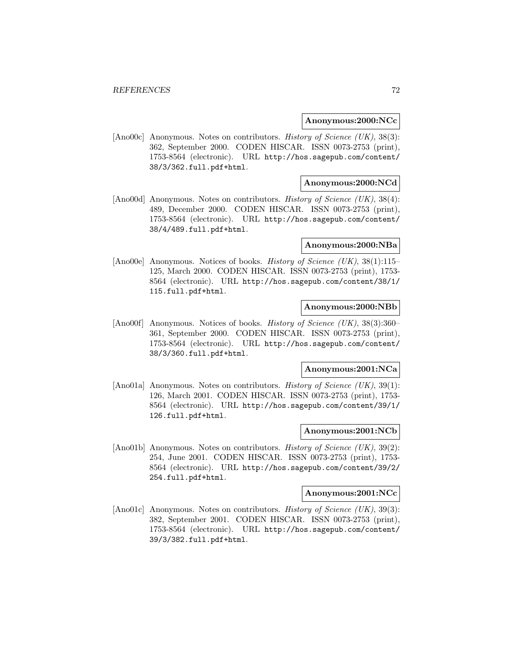### **Anonymous:2000:NCc**

[Ano00c] Anonymous. Notes on contributors. History of Science (UK), 38(3): 362, September 2000. CODEN HISCAR. ISSN 0073-2753 (print), 1753-8564 (electronic). URL http://hos.sagepub.com/content/ 38/3/362.full.pdf+html.

## **Anonymous:2000:NCd**

[Ano00d] Anonymous. Notes on contributors. *History of Science (UK)*, 38(4): 489, December 2000. CODEN HISCAR. ISSN 0073-2753 (print), 1753-8564 (electronic). URL http://hos.sagepub.com/content/ 38/4/489.full.pdf+html.

## **Anonymous:2000:NBa**

[Ano00e] Anonymous. Notices of books. *History of Science (UK)*, 38(1):115– 125, March 2000. CODEN HISCAR. ISSN 0073-2753 (print), 1753- 8564 (electronic). URL http://hos.sagepub.com/content/38/1/ 115.full.pdf+html.

## **Anonymous:2000:NBb**

[Ano00f] Anonymous. Notices of books. *History of Science (UK)*, 38(3):360– 361, September 2000. CODEN HISCAR. ISSN 0073-2753 (print), 1753-8564 (electronic). URL http://hos.sagepub.com/content/ 38/3/360.full.pdf+html.

#### **Anonymous:2001:NCa**

[Ano01a] Anonymous. Notes on contributors. History of Science (UK), 39(1): 126, March 2001. CODEN HISCAR. ISSN 0073-2753 (print), 1753- 8564 (electronic). URL http://hos.sagepub.com/content/39/1/ 126.full.pdf+html.

### **Anonymous:2001:NCb**

[Ano01b] Anonymous. Notes on contributors. *History of Science (UK)*,  $39(2)$ : 254, June 2001. CODEN HISCAR. ISSN 0073-2753 (print), 1753- 8564 (electronic). URL http://hos.sagepub.com/content/39/2/ 254.full.pdf+html.

#### **Anonymous:2001:NCc**

[Ano01c] Anonymous. Notes on contributors. History of Science (UK), 39(3): 382, September 2001. CODEN HISCAR. ISSN 0073-2753 (print), 1753-8564 (electronic). URL http://hos.sagepub.com/content/ 39/3/382.full.pdf+html.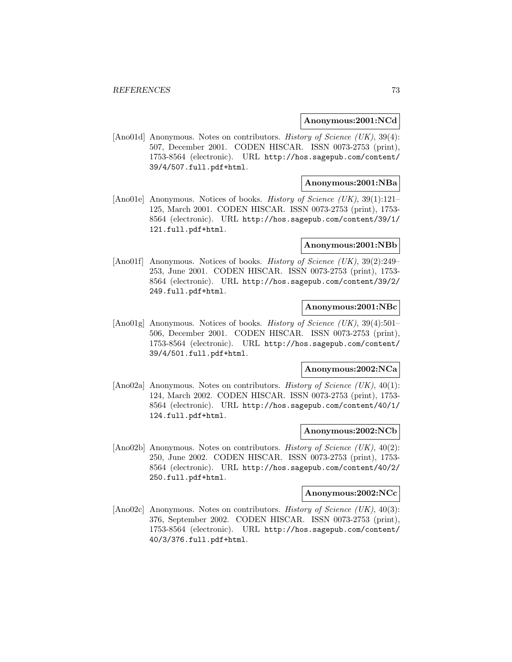#### **Anonymous:2001:NCd**

[Ano01d] Anonymous. Notes on contributors. History of Science (UK), 39(4): 507, December 2001. CODEN HISCAR. ISSN 0073-2753 (print), 1753-8564 (electronic). URL http://hos.sagepub.com/content/ 39/4/507.full.pdf+html.

## **Anonymous:2001:NBa**

[Ano01e] Anonymous. Notices of books. *History of Science (UK)*, 39(1):121– 125, March 2001. CODEN HISCAR. ISSN 0073-2753 (print), 1753- 8564 (electronic). URL http://hos.sagepub.com/content/39/1/ 121.full.pdf+html.

### **Anonymous:2001:NBb**

[Ano01f] Anonymous. Notices of books. *History of Science (UK)*, 39(2):249– 253, June 2001. CODEN HISCAR. ISSN 0073-2753 (print), 1753- 8564 (electronic). URL http://hos.sagepub.com/content/39/2/ 249.full.pdf+html.

## **Anonymous:2001:NBc**

[Ano01g] Anonymous. Notices of books. *History of Science (UK)*, 39(4):501– 506, December 2001. CODEN HISCAR. ISSN 0073-2753 (print), 1753-8564 (electronic). URL http://hos.sagepub.com/content/ 39/4/501.full.pdf+html.

### **Anonymous:2002:NCa**

[Ano02a] Anonymous. Notes on contributors. History of Science (UK), 40(1): 124, March 2002. CODEN HISCAR. ISSN 0073-2753 (print), 1753- 8564 (electronic). URL http://hos.sagepub.com/content/40/1/ 124.full.pdf+html.

### **Anonymous:2002:NCb**

[Ano02b] Anonymous. Notes on contributors. *History of Science (UK)*,  $40(2)$ : 250, June 2002. CODEN HISCAR. ISSN 0073-2753 (print), 1753- 8564 (electronic). URL http://hos.sagepub.com/content/40/2/ 250.full.pdf+html.

#### **Anonymous:2002:NCc**

[Ano02c] Anonymous. Notes on contributors. History of Science (UK), 40(3): 376, September 2002. CODEN HISCAR. ISSN 0073-2753 (print), 1753-8564 (electronic). URL http://hos.sagepub.com/content/ 40/3/376.full.pdf+html.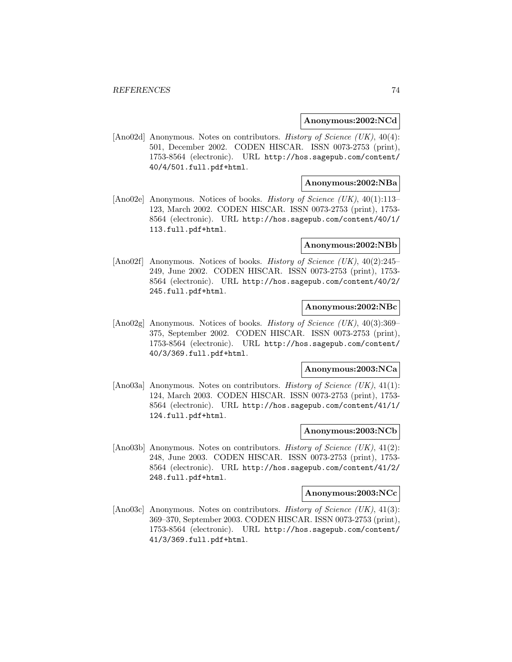### **Anonymous:2002:NCd**

[Ano02d] Anonymous. Notes on contributors. History of Science (UK), 40(4): 501, December 2002. CODEN HISCAR. ISSN 0073-2753 (print), 1753-8564 (electronic). URL http://hos.sagepub.com/content/ 40/4/501.full.pdf+html.

## **Anonymous:2002:NBa**

[Ano02e] Anonymous. Notices of books. *History of Science (UK)*, 40(1):113– 123, March 2002. CODEN HISCAR. ISSN 0073-2753 (print), 1753- 8564 (electronic). URL http://hos.sagepub.com/content/40/1/ 113.full.pdf+html.

### **Anonymous:2002:NBb**

[Ano02f] Anonymous. Notices of books. *History of Science (UK)*, 40(2):245– 249, June 2002. CODEN HISCAR. ISSN 0073-2753 (print), 1753- 8564 (electronic). URL http://hos.sagepub.com/content/40/2/ 245.full.pdf+html.

## **Anonymous:2002:NBc**

[Ano02g] Anonymous. Notices of books. *History of Science (UK)*, 40(3):369– 375, September 2002. CODEN HISCAR. ISSN 0073-2753 (print), 1753-8564 (electronic). URL http://hos.sagepub.com/content/ 40/3/369.full.pdf+html.

#### **Anonymous:2003:NCa**

[Ano03a] Anonymous. Notes on contributors. History of Science (UK), 41(1): 124, March 2003. CODEN HISCAR. ISSN 0073-2753 (print), 1753- 8564 (electronic). URL http://hos.sagepub.com/content/41/1/ 124.full.pdf+html.

### **Anonymous:2003:NCb**

[Ano03b] Anonymous. Notes on contributors. *History of Science (UK)*,  $41(2)$ : 248, June 2003. CODEN HISCAR. ISSN 0073-2753 (print), 1753- 8564 (electronic). URL http://hos.sagepub.com/content/41/2/ 248.full.pdf+html.

#### **Anonymous:2003:NCc**

[Ano03c] Anonymous. Notes on contributors. History of Science (UK), 41(3): 369–370, September 2003. CODEN HISCAR. ISSN 0073-2753 (print), 1753-8564 (electronic). URL http://hos.sagepub.com/content/ 41/3/369.full.pdf+html.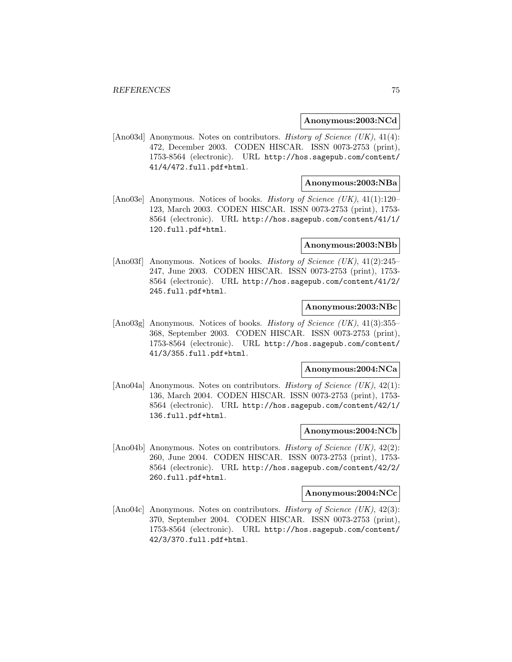### **Anonymous:2003:NCd**

[Ano03d] Anonymous. Notes on contributors. History of Science (UK), 41(4): 472, December 2003. CODEN HISCAR. ISSN 0073-2753 (print), 1753-8564 (electronic). URL http://hos.sagepub.com/content/ 41/4/472.full.pdf+html.

## **Anonymous:2003:NBa**

[Ano03e] Anonymous. Notices of books. *History of Science (UK)*, 41(1):120– 123, March 2003. CODEN HISCAR. ISSN 0073-2753 (print), 1753- 8564 (electronic). URL http://hos.sagepub.com/content/41/1/ 120.full.pdf+html.

### **Anonymous:2003:NBb**

[Ano03f] Anonymous. Notices of books. *History of Science (UK)*, 41(2):245– 247, June 2003. CODEN HISCAR. ISSN 0073-2753 (print), 1753- 8564 (electronic). URL http://hos.sagepub.com/content/41/2/ 245.full.pdf+html.

## **Anonymous:2003:NBc**

[Ano03g] Anonymous. Notices of books. *History of Science (UK)*, 41(3):355– 368, September 2003. CODEN HISCAR. ISSN 0073-2753 (print), 1753-8564 (electronic). URL http://hos.sagepub.com/content/ 41/3/355.full.pdf+html.

### **Anonymous:2004:NCa**

[Ano04a] Anonymous. Notes on contributors. History of Science (UK), 42(1): 136, March 2004. CODEN HISCAR. ISSN 0073-2753 (print), 1753- 8564 (electronic). URL http://hos.sagepub.com/content/42/1/ 136.full.pdf+html.

### **Anonymous:2004:NCb**

[Ano04b] Anonymous. Notes on contributors. *History of Science (UK)*,  $42(2)$ : 260, June 2004. CODEN HISCAR. ISSN 0073-2753 (print), 1753- 8564 (electronic). URL http://hos.sagepub.com/content/42/2/ 260.full.pdf+html.

#### **Anonymous:2004:NCc**

[Ano04c] Anonymous. Notes on contributors. History of Science (UK), 42(3): 370, September 2004. CODEN HISCAR. ISSN 0073-2753 (print), 1753-8564 (electronic). URL http://hos.sagepub.com/content/ 42/3/370.full.pdf+html.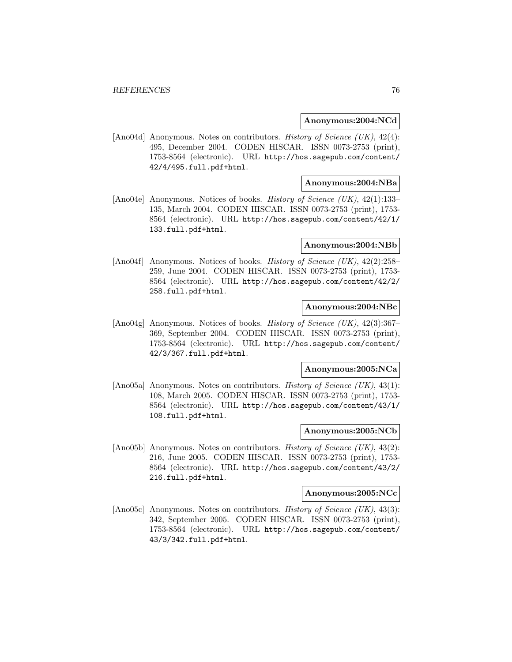### **Anonymous:2004:NCd**

[Ano04d] Anonymous. Notes on contributors. History of Science (UK), 42(4): 495, December 2004. CODEN HISCAR. ISSN 0073-2753 (print), 1753-8564 (electronic). URL http://hos.sagepub.com/content/ 42/4/495.full.pdf+html.

## **Anonymous:2004:NBa**

[Ano04e] Anonymous. Notices of books. *History of Science (UK)*, 42(1):133– 135, March 2004. CODEN HISCAR. ISSN 0073-2753 (print), 1753- 8564 (electronic). URL http://hos.sagepub.com/content/42/1/ 133.full.pdf+html.

### **Anonymous:2004:NBb**

[Ano04f] Anonymous. Notices of books. History of Science (UK), 42(2):258– 259, June 2004. CODEN HISCAR. ISSN 0073-2753 (print), 1753- 8564 (electronic). URL http://hos.sagepub.com/content/42/2/ 258.full.pdf+html.

## **Anonymous:2004:NBc**

[Ano04g] Anonymous. Notices of books. *History of Science (UK)*, 42(3):367– 369, September 2004. CODEN HISCAR. ISSN 0073-2753 (print), 1753-8564 (electronic). URL http://hos.sagepub.com/content/ 42/3/367.full.pdf+html.

### **Anonymous:2005:NCa**

[Ano05a] Anonymous. Notes on contributors. History of Science (UK), 43(1): 108, March 2005. CODEN HISCAR. ISSN 0073-2753 (print), 1753- 8564 (electronic). URL http://hos.sagepub.com/content/43/1/ 108.full.pdf+html.

### **Anonymous:2005:NCb**

[Ano05b] Anonymous. Notes on contributors. *History of Science (UK)*,  $43(2)$ : 216, June 2005. CODEN HISCAR. ISSN 0073-2753 (print), 1753- 8564 (electronic). URL http://hos.sagepub.com/content/43/2/ 216.full.pdf+html.

#### **Anonymous:2005:NCc**

[Ano05c] Anonymous. Notes on contributors. History of Science (UK), 43(3): 342, September 2005. CODEN HISCAR. ISSN 0073-2753 (print), 1753-8564 (electronic). URL http://hos.sagepub.com/content/ 43/3/342.full.pdf+html.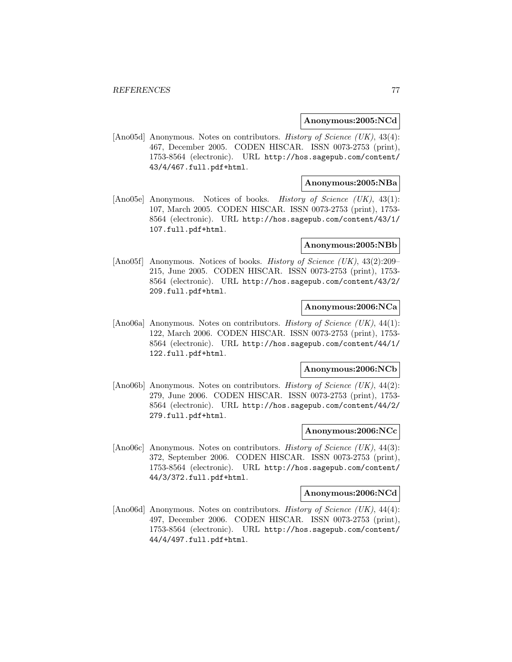### **Anonymous:2005:NCd**

[Ano05d] Anonymous. Notes on contributors. History of Science (UK), 43(4): 467, December 2005. CODEN HISCAR. ISSN 0073-2753 (print), 1753-8564 (electronic). URL http://hos.sagepub.com/content/ 43/4/467.full.pdf+html.

## **Anonymous:2005:NBa**

[Ano05e] Anonymous. Notices of books. History of Science (UK), 43(1): 107, March 2005. CODEN HISCAR. ISSN 0073-2753 (print), 1753- 8564 (electronic). URL http://hos.sagepub.com/content/43/1/ 107.full.pdf+html.

### **Anonymous:2005:NBb**

[Ano05f] Anonymous. Notices of books. *History of Science (UK)*, 43(2):209– 215, June 2005. CODEN HISCAR. ISSN 0073-2753 (print), 1753- 8564 (electronic). URL http://hos.sagepub.com/content/43/2/ 209.full.pdf+html.

## **Anonymous:2006:NCa**

[Ano06a] Anonymous. Notes on contributors. History of Science (UK), 44(1): 122, March 2006. CODEN HISCAR. ISSN 0073-2753 (print), 1753- 8564 (electronic). URL http://hos.sagepub.com/content/44/1/ 122.full.pdf+html.

#### **Anonymous:2006:NCb**

[Ano06b] Anonymous. Notes on contributors. History of Science (UK), 44(2): 279, June 2006. CODEN HISCAR. ISSN 0073-2753 (print), 1753- 8564 (electronic). URL http://hos.sagepub.com/content/44/2/ 279.full.pdf+html.

### **Anonymous:2006:NCc**

[Ano06c] Anonymous. Notes on contributors. *History of Science (UK)*, 44(3): 372, September 2006. CODEN HISCAR. ISSN 0073-2753 (print), 1753-8564 (electronic). URL http://hos.sagepub.com/content/ 44/3/372.full.pdf+html.

#### **Anonymous:2006:NCd**

[Ano06d] Anonymous. Notes on contributors. History of Science (UK), 44(4): 497, December 2006. CODEN HISCAR. ISSN 0073-2753 (print), 1753-8564 (electronic). URL http://hos.sagepub.com/content/ 44/4/497.full.pdf+html.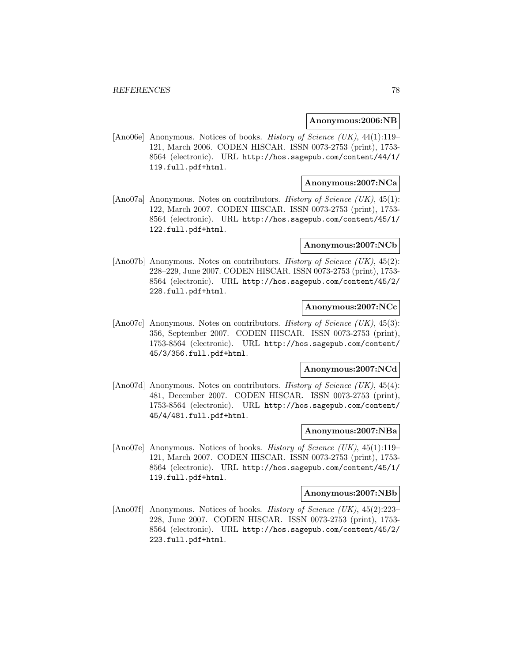#### **Anonymous:2006:NB**

[Ano06e] Anonymous. Notices of books. History of Science (UK), 44(1):119– 121, March 2006. CODEN HISCAR. ISSN 0073-2753 (print), 1753- 8564 (electronic). URL http://hos.sagepub.com/content/44/1/ 119.full.pdf+html.

## **Anonymous:2007:NCa**

[Ano07a] Anonymous. Notes on contributors. History of Science (UK), 45(1): 122, March 2007. CODEN HISCAR. ISSN 0073-2753 (print), 1753- 8564 (electronic). URL http://hos.sagepub.com/content/45/1/ 122.full.pdf+html.

#### **Anonymous:2007:NCb**

[Ano07b] Anonymous. Notes on contributors. History of Science (UK), 45(2): 228–229, June 2007. CODEN HISCAR. ISSN 0073-2753 (print), 1753- 8564 (electronic). URL http://hos.sagepub.com/content/45/2/ 228.full.pdf+html.

## **Anonymous:2007:NCc**

[Ano07c] Anonymous. Notes on contributors. History of Science (UK), 45(3): 356, September 2007. CODEN HISCAR. ISSN 0073-2753 (print), 1753-8564 (electronic). URL http://hos.sagepub.com/content/ 45/3/356.full.pdf+html.

#### **Anonymous:2007:NCd**

[Ano07d] Anonymous. Notes on contributors. *History of Science (UK)*, 45(4): 481, December 2007. CODEN HISCAR. ISSN 0073-2753 (print), 1753-8564 (electronic). URL http://hos.sagepub.com/content/ 45/4/481.full.pdf+html.

### **Anonymous:2007:NBa**

[Ano07e] Anonymous. Notices of books. *History of Science (UK)*, 45(1):119– 121, March 2007. CODEN HISCAR. ISSN 0073-2753 (print), 1753- 8564 (electronic). URL http://hos.sagepub.com/content/45/1/ 119.full.pdf+html.

#### **Anonymous:2007:NBb**

[Ano07f] Anonymous. Notices of books. *History of Science (UK)*, 45(2):223– 228, June 2007. CODEN HISCAR. ISSN 0073-2753 (print), 1753- 8564 (electronic). URL http://hos.sagepub.com/content/45/2/ 223.full.pdf+html.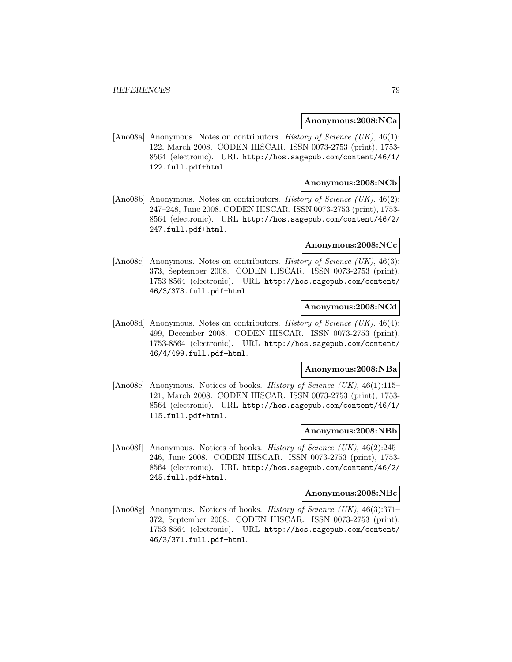### **Anonymous:2008:NCa**

[Ano08a] Anonymous. Notes on contributors. *History of Science (UK)*, 46(1): 122, March 2008. CODEN HISCAR. ISSN 0073-2753 (print), 1753- 8564 (electronic). URL http://hos.sagepub.com/content/46/1/ 122.full.pdf+html.

## **Anonymous:2008:NCb**

[Ano08b] Anonymous. Notes on contributors. History of Science (UK), 46(2): 247–248, June 2008. CODEN HISCAR. ISSN 0073-2753 (print), 1753- 8564 (electronic). URL http://hos.sagepub.com/content/46/2/ 247.full.pdf+html.

#### **Anonymous:2008:NCc**

[Ano08c] Anonymous. Notes on contributors. History of Science (UK), 46(3): 373, September 2008. CODEN HISCAR. ISSN 0073-2753 (print), 1753-8564 (electronic). URL http://hos.sagepub.com/content/ 46/3/373.full.pdf+html.

## **Anonymous:2008:NCd**

[Ano08d] Anonymous. Notes on contributors. History of Science (UK), 46(4): 499, December 2008. CODEN HISCAR. ISSN 0073-2753 (print), 1753-8564 (electronic). URL http://hos.sagepub.com/content/ 46/4/499.full.pdf+html.

#### **Anonymous:2008:NBa**

[Ano08e] Anonymous. Notices of books. History of Science (UK), 46(1):115– 121, March 2008. CODEN HISCAR. ISSN 0073-2753 (print), 1753- 8564 (electronic). URL http://hos.sagepub.com/content/46/1/ 115.full.pdf+html.

### **Anonymous:2008:NBb**

[Ano08f] Anonymous. Notices of books. *History of Science (UK)*,  $46(2):245-$ 246, June 2008. CODEN HISCAR. ISSN 0073-2753 (print), 1753- 8564 (electronic). URL http://hos.sagepub.com/content/46/2/ 245.full.pdf+html.

#### **Anonymous:2008:NBc**

[Ano08g] Anonymous. Notices of books. *History of Science (UK)*, 46(3):371– 372, September 2008. CODEN HISCAR. ISSN 0073-2753 (print), 1753-8564 (electronic). URL http://hos.sagepub.com/content/ 46/3/371.full.pdf+html.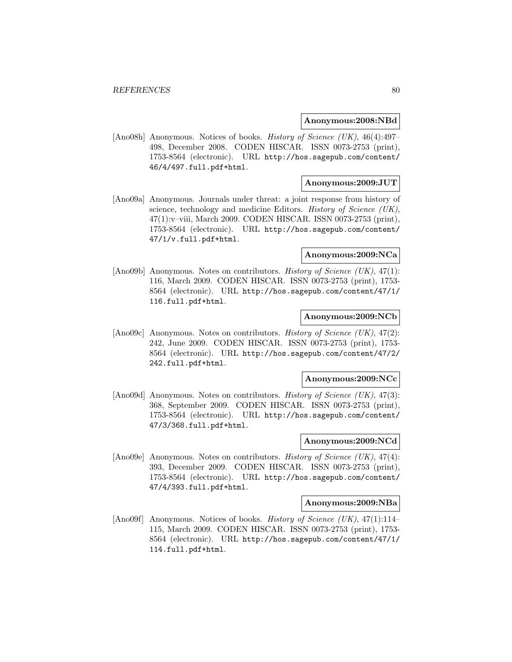#### **Anonymous:2008:NBd**

[Ano08h] Anonymous. Notices of books. History of Science (UK), 46(4):497– 498, December 2008. CODEN HISCAR. ISSN 0073-2753 (print), 1753-8564 (electronic). URL http://hos.sagepub.com/content/ 46/4/497.full.pdf+html.

## **Anonymous:2009:JUT**

[Ano09a] Anonymous. Journals under threat: a joint response from history of science, technology and medicine Editors. History of Science (UK), 47(1):v–viii, March 2009. CODEN HISCAR. ISSN 0073-2753 (print), 1753-8564 (electronic). URL http://hos.sagepub.com/content/ 47/1/v.full.pdf+html.

#### **Anonymous:2009:NCa**

[Ano09b] Anonymous. Notes on contributors. *History of Science (UK)*, 47(1): 116, March 2009. CODEN HISCAR. ISSN 0073-2753 (print), 1753- 8564 (electronic). URL http://hos.sagepub.com/content/47/1/ 116.full.pdf+html.

### **Anonymous:2009:NCb**

[Ano09c] Anonymous. Notes on contributors. *History of Science (UK)*, 47(2): 242, June 2009. CODEN HISCAR. ISSN 0073-2753 (print), 1753- 8564 (electronic). URL http://hos.sagepub.com/content/47/2/ 242.full.pdf+html.

#### **Anonymous:2009:NCc**

[Ano09d] Anonymous. Notes on contributors. *History of Science (UK)*, 47(3): 368, September 2009. CODEN HISCAR. ISSN 0073-2753 (print), 1753-8564 (electronic). URL http://hos.sagepub.com/content/ 47/3/368.full.pdf+html.

## **Anonymous:2009:NCd**

[Ano09e] Anonymous. Notes on contributors. *History of Science (UK)*,  $47(4)$ : 393, December 2009. CODEN HISCAR. ISSN 0073-2753 (print), 1753-8564 (electronic). URL http://hos.sagepub.com/content/ 47/4/393.full.pdf+html.

#### **Anonymous:2009:NBa**

[Ano09f] Anonymous. Notices of books. *History of Science (UK)*, 47(1):114– 115, March 2009. CODEN HISCAR. ISSN 0073-2753 (print), 1753- 8564 (electronic). URL http://hos.sagepub.com/content/47/1/ 114.full.pdf+html.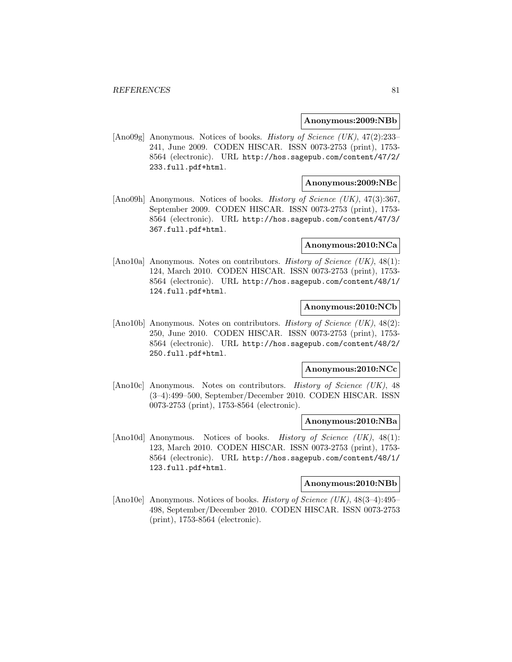#### **Anonymous:2009:NBb**

[Ano09g] Anonymous. Notices of books. History of Science (UK), 47(2):233– 241, June 2009. CODEN HISCAR. ISSN 0073-2753 (print), 1753- 8564 (electronic). URL http://hos.sagepub.com/content/47/2/ 233.full.pdf+html.

## **Anonymous:2009:NBc**

[Ano09h] Anonymous. Notices of books. History of Science (UK), 47(3):367, September 2009. CODEN HISCAR. ISSN 0073-2753 (print), 1753- 8564 (electronic). URL http://hos.sagepub.com/content/47/3/ 367.full.pdf+html.

#### **Anonymous:2010:NCa**

[Ano10a] Anonymous. Notes on contributors. History of Science (UK), 48(1): 124, March 2010. CODEN HISCAR. ISSN 0073-2753 (print), 1753- 8564 (electronic). URL http://hos.sagepub.com/content/48/1/ 124.full.pdf+html.

## **Anonymous:2010:NCb**

[Ano10b] Anonymous. Notes on contributors. History of Science (UK), 48(2): 250, June 2010. CODEN HISCAR. ISSN 0073-2753 (print), 1753- 8564 (electronic). URL http://hos.sagepub.com/content/48/2/ 250.full.pdf+html.

### **Anonymous:2010:NCc**

[Ano10c] Anonymous. Notes on contributors. History of Science (UK), 48 (3–4):499–500, September/December 2010. CODEN HISCAR. ISSN 0073-2753 (print), 1753-8564 (electronic).

#### **Anonymous:2010:NBa**

[Ano10d] Anonymous. Notices of books. History of Science (UK), 48(1): 123, March 2010. CODEN HISCAR. ISSN 0073-2753 (print), 1753- 8564 (electronic). URL http://hos.sagepub.com/content/48/1/ 123.full.pdf+html.

## **Anonymous:2010:NBb**

[Ano10e] Anonymous. Notices of books. History of Science (UK), 48(3–4):495– 498, September/December 2010. CODEN HISCAR. ISSN 0073-2753 (print), 1753-8564 (electronic).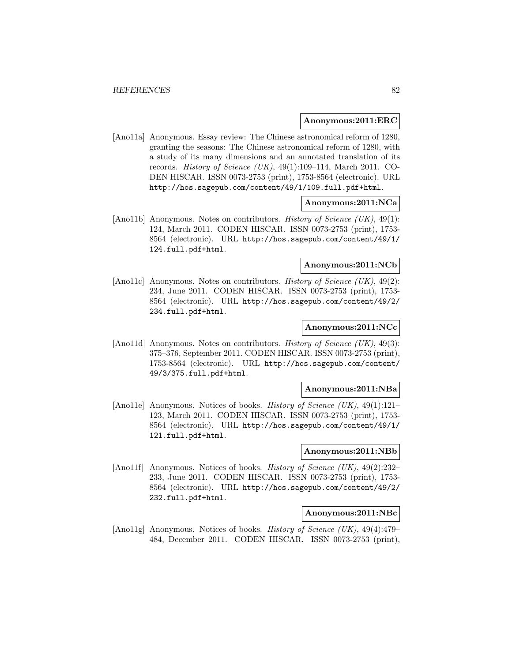#### **Anonymous:2011:ERC**

[Ano11a] Anonymous. Essay review: The Chinese astronomical reform of 1280, granting the seasons: The Chinese astronomical reform of 1280, with a study of its many dimensions and an annotated translation of its records. *History of Science (UK)*,  $49(1):109-114$ , March 2011. CO-DEN HISCAR. ISSN 0073-2753 (print), 1753-8564 (electronic). URL http://hos.sagepub.com/content/49/1/109.full.pdf+html.

### **Anonymous:2011:NCa**

[Ano11b] Anonymous. Notes on contributors. History of Science (UK), 49(1): 124, March 2011. CODEN HISCAR. ISSN 0073-2753 (print), 1753- 8564 (electronic). URL http://hos.sagepub.com/content/49/1/ 124.full.pdf+html.

### **Anonymous:2011:NCb**

[Ano11c] Anonymous. Notes on contributors. History of Science  $(UK)$ , 49(2): 234, June 2011. CODEN HISCAR. ISSN 0073-2753 (print), 1753- 8564 (electronic). URL http://hos.sagepub.com/content/49/2/ 234.full.pdf+html.

### **Anonymous:2011:NCc**

[Ano11d] Anonymous. Notes on contributors. History of Science (UK), 49(3): 375–376, September 2011. CODEN HISCAR. ISSN 0073-2753 (print), 1753-8564 (electronic). URL http://hos.sagepub.com/content/ 49/3/375.full.pdf+html.

#### **Anonymous:2011:NBa**

[Ano11e] Anonymous. Notices of books. *History of Science (UK)*, 49(1):121– 123, March 2011. CODEN HISCAR. ISSN 0073-2753 (print), 1753- 8564 (electronic). URL http://hos.sagepub.com/content/49/1/ 121.full.pdf+html.

### **Anonymous:2011:NBb**

[Ano11f] Anonymous. Notices of books. *History of Science (UK)*, 49(2):232-233, June 2011. CODEN HISCAR. ISSN 0073-2753 (print), 1753- 8564 (electronic). URL http://hos.sagepub.com/content/49/2/ 232.full.pdf+html.

#### **Anonymous:2011:NBc**

[Ano11g] Anonymous. Notices of books. *History of Science (UK)*, 49(4):479– 484, December 2011. CODEN HISCAR. ISSN 0073-2753 (print),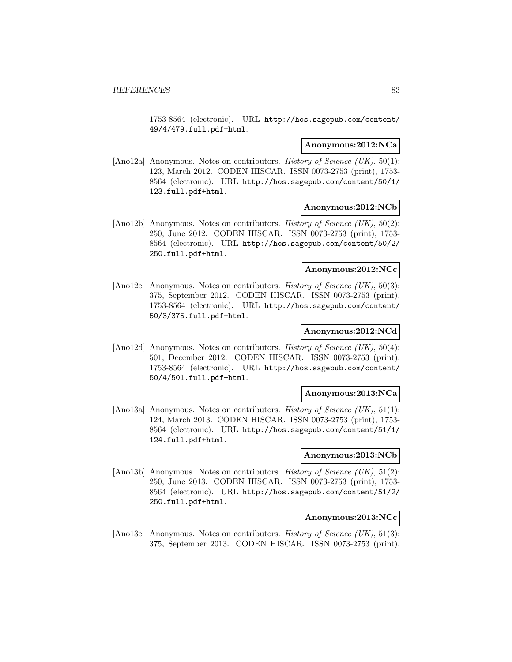1753-8564 (electronic). URL http://hos.sagepub.com/content/ 49/4/479.full.pdf+html.

#### **Anonymous:2012:NCa**

[Ano12a] Anonymous. Notes on contributors. History of Science (UK), 50(1): 123, March 2012. CODEN HISCAR. ISSN 0073-2753 (print), 1753- 8564 (electronic). URL http://hos.sagepub.com/content/50/1/ 123.full.pdf+html.

### **Anonymous:2012:NCb**

[Ano12b] Anonymous. Notes on contributors. *History of Science (UK)*, 50(2): 250, June 2012. CODEN HISCAR. ISSN 0073-2753 (print), 1753- 8564 (electronic). URL http://hos.sagepub.com/content/50/2/ 250.full.pdf+html.

## **Anonymous:2012:NCc**

[Ano12c] Anonymous. Notes on contributors. History of Science (UK), 50(3): 375, September 2012. CODEN HISCAR. ISSN 0073-2753 (print), 1753-8564 (electronic). URL http://hos.sagepub.com/content/ 50/3/375.full.pdf+html.

## **Anonymous:2012:NCd**

[Ano12d] Anonymous. Notes on contributors. *History of Science (UK)*, 50(4): 501, December 2012. CODEN HISCAR. ISSN 0073-2753 (print), 1753-8564 (electronic). URL http://hos.sagepub.com/content/ 50/4/501.full.pdf+html.

#### **Anonymous:2013:NCa**

[Ano13a] Anonymous. Notes on contributors. History of Science (UK), 51(1): 124, March 2013. CODEN HISCAR. ISSN 0073-2753 (print), 1753- 8564 (electronic). URL http://hos.sagepub.com/content/51/1/ 124.full.pdf+html.

## **Anonymous:2013:NCb**

[Ano13b] Anonymous. Notes on contributors. *History of Science (UK)*, 51(2): 250, June 2013. CODEN HISCAR. ISSN 0073-2753 (print), 1753- 8564 (electronic). URL http://hos.sagepub.com/content/51/2/ 250.full.pdf+html.

#### **Anonymous:2013:NCc**

[Ano13c] Anonymous. Notes on contributors. History of Science (UK), 51(3): 375, September 2013. CODEN HISCAR. ISSN 0073-2753 (print),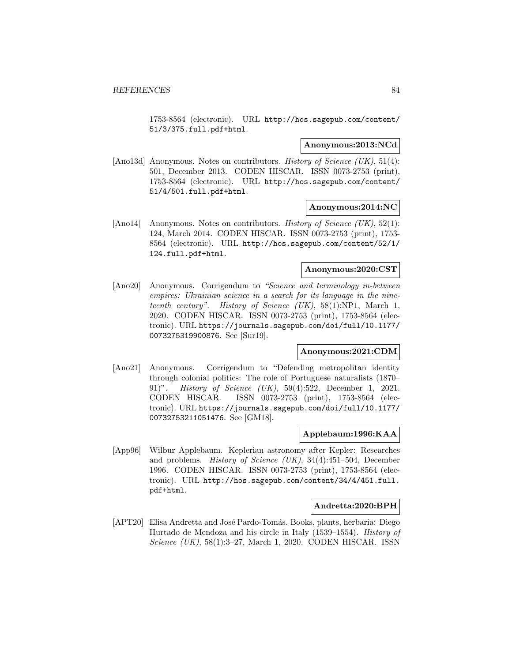1753-8564 (electronic). URL http://hos.sagepub.com/content/ 51/3/375.full.pdf+html.

#### **Anonymous:2013:NCd**

[Ano13d] Anonymous. Notes on contributors. History of Science (UK), 51(4): 501, December 2013. CODEN HISCAR. ISSN 0073-2753 (print), 1753-8564 (electronic). URL http://hos.sagepub.com/content/ 51/4/501.full.pdf+html.

### **Anonymous:2014:NC**

[Ano14] Anonymous. Notes on contributors. *History of Science (UK)*, 52(1): 124, March 2014. CODEN HISCAR. ISSN 0073-2753 (print), 1753- 8564 (electronic). URL http://hos.sagepub.com/content/52/1/ 124.full.pdf+html.

## **Anonymous:2020:CST**

[Ano20] Anonymous. Corrigendum to "Science and terminology in-between empires: Ukrainian science in a search for its language in the nineteenth century". History of Science  $(UK)$ , 58(1):NP1, March 1, 2020. CODEN HISCAR. ISSN 0073-2753 (print), 1753-8564 (electronic). URL https://journals.sagepub.com/doi/full/10.1177/ 0073275319900876. See [Sur19].

## **Anonymous:2021:CDM**

[Ano21] Anonymous. Corrigendum to "Defending metropolitan identity through colonial politics: The role of Portuguese naturalists (1870– 91)". History of Science (UK), 59(4):522, December 1, 2021. CODEN HISCAR. ISSN 0073-2753 (print), 1753-8564 (electronic). URL https://journals.sagepub.com/doi/full/10.1177/ 00732753211051476. See [GM18].

## **Applebaum:1996:KAA**

[App96] Wilbur Applebaum. Keplerian astronomy after Kepler: Researches and problems. History of Science (UK), 34(4):451–504, December 1996. CODEN HISCAR. ISSN 0073-2753 (print), 1753-8564 (electronic). URL http://hos.sagepub.com/content/34/4/451.full. pdf+html.

## **Andretta:2020:BPH**

[APT20] Elisa Andretta and José Pardo-Tomás. Books, plants, herbaria: Diego Hurtado de Mendoza and his circle in Italy (1539–1554). History of Science (UK), 58(1):3–27, March 1, 2020. CODEN HISCAR. ISSN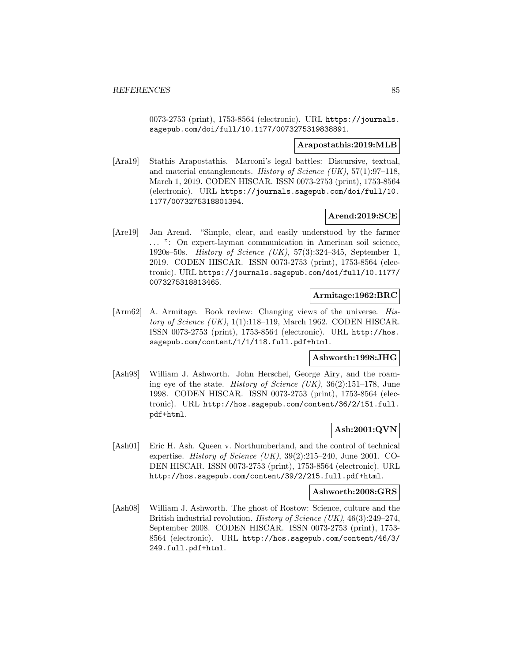0073-2753 (print), 1753-8564 (electronic). URL https://journals. sagepub.com/doi/full/10.1177/0073275319838891.

### **Arapostathis:2019:MLB**

[Ara19] Stathis Arapostathis. Marconi's legal battles: Discursive, textual, and material entanglements. History of Science (UK),  $57(1):97-118$ , March 1, 2019. CODEN HISCAR. ISSN 0073-2753 (print), 1753-8564 (electronic). URL https://journals.sagepub.com/doi/full/10. 1177/0073275318801394.

## **Arend:2019:SCE**

[Are19] Jan Arend. "Simple, clear, and easily understood by the farmer ... ": On expert-layman communication in American soil science, 1920s–50s. History of Science (UK), 57(3):324–345, September 1, 2019. CODEN HISCAR. ISSN 0073-2753 (print), 1753-8564 (electronic). URL https://journals.sagepub.com/doi/full/10.1177/ 0073275318813465.

## **Armitage:1962:BRC**

[Arm62] A. Armitage. Book review: Changing views of the universe. History of Science  $(UK), 1(1):118-119$ , March 1962. CODEN HISCAR. ISSN 0073-2753 (print), 1753-8564 (electronic). URL http://hos. sagepub.com/content/1/1/118.full.pdf+html.

## **Ashworth:1998:JHG**

[Ash98] William J. Ashworth. John Herschel, George Airy, and the roaming eye of the state. *History of Science (UK)*,  $36(2):151-178$ , June 1998. CODEN HISCAR. ISSN 0073-2753 (print), 1753-8564 (electronic). URL http://hos.sagepub.com/content/36/2/151.full. pdf+html.

## **Ash:2001:QVN**

[Ash01] Eric H. Ash. Queen v. Northumberland, and the control of technical expertise. *History of Science (UK)*,  $39(2):215-240$ , June 2001. CO-DEN HISCAR. ISSN 0073-2753 (print), 1753-8564 (electronic). URL http://hos.sagepub.com/content/39/2/215.full.pdf+html.

### **Ashworth:2008:GRS**

[Ash08] William J. Ashworth. The ghost of Rostow: Science, culture and the British industrial revolution. *History of Science (UK)*, 46(3):249–274, September 2008. CODEN HISCAR. ISSN 0073-2753 (print), 1753- 8564 (electronic). URL http://hos.sagepub.com/content/46/3/ 249.full.pdf+html.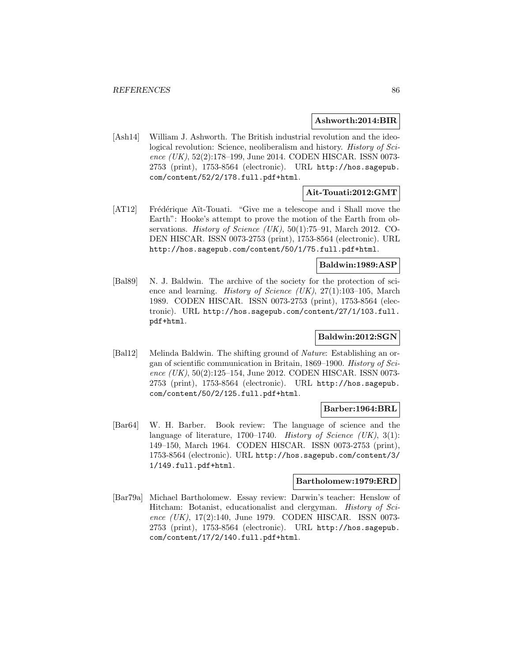### **Ashworth:2014:BIR**

[Ash14] William J. Ashworth. The British industrial revolution and the ideological revolution: Science, neoliberalism and history. *History of Sci*ence (UK), 52(2):178-199, June 2014. CODEN HISCAR. ISSN 0073-2753 (print), 1753-8564 (electronic). URL http://hos.sagepub. com/content/52/2/178.full.pdf+html.

## **Ait-Touati:2012:GMT**

[AT12] Frédérique Aït-Touati. "Give me a telescope and i Shall move the Earth": Hooke's attempt to prove the motion of the Earth from observations. *History of Science (UK)*,  $50(1)$ :75–91, March 2012. CO-DEN HISCAR. ISSN 0073-2753 (print), 1753-8564 (electronic). URL http://hos.sagepub.com/content/50/1/75.full.pdf+html.

## **Baldwin:1989:ASP**

[Bal89] N. J. Baldwin. The archive of the society for the protection of science and learning. History of Science (UK), 27(1):103–105, March 1989. CODEN HISCAR. ISSN 0073-2753 (print), 1753-8564 (electronic). URL http://hos.sagepub.com/content/27/1/103.full. pdf+html.

## **Baldwin:2012:SGN**

[Bal12] Melinda Baldwin. The shifting ground of Nature: Establishing an organ of scientific communication in Britain, 1869–1900. History of Science (UK), 50(2):125–154, June 2012. CODEN HISCAR. ISSN 0073-2753 (print), 1753-8564 (electronic). URL http://hos.sagepub. com/content/50/2/125.full.pdf+html.

#### **Barber:1964:BRL**

[Bar64] W. H. Barber. Book review: The language of science and the language of literature, 1700–1740. History of Science  $(UK)$ , 3(1): 149–150, March 1964. CODEN HISCAR. ISSN 0073-2753 (print), 1753-8564 (electronic). URL http://hos.sagepub.com/content/3/ 1/149.full.pdf+html.

### **Bartholomew:1979:ERD**

[Bar79a] Michael Bartholomew. Essay review: Darwin's teacher: Henslow of Hitcham: Botanist, educationalist and clergyman. *History of Sci*ence (UK), 17(2):140, June 1979. CODEN HISCAR. ISSN 0073- 2753 (print), 1753-8564 (electronic). URL http://hos.sagepub. com/content/17/2/140.full.pdf+html.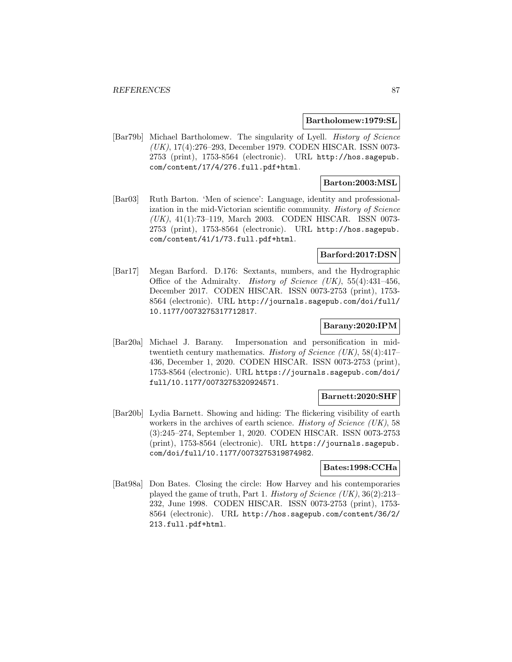#### **Bartholomew:1979:SL**

[Bar79b] Michael Bartholomew. The singularity of Lyell. History of Science (UK), 17(4):276–293, December 1979. CODEN HISCAR. ISSN 0073- 2753 (print), 1753-8564 (electronic). URL http://hos.sagepub. com/content/17/4/276.full.pdf+html.

## **Barton:2003:MSL**

[Bar03] Ruth Barton. 'Men of science': Language, identity and professionalization in the mid-Victorian scientific community. History of Science (UK), 41(1):73–119, March 2003. CODEN HISCAR. ISSN 0073- 2753 (print), 1753-8564 (electronic). URL http://hos.sagepub. com/content/41/1/73.full.pdf+html.

### **Barford:2017:DSN**

[Bar17] Megan Barford. D.176: Sextants, numbers, and the Hydrographic Office of the Admiralty. History of Science  $(UK)$ , 55(4):431-456, December 2017. CODEN HISCAR. ISSN 0073-2753 (print), 1753- 8564 (electronic). URL http://journals.sagepub.com/doi/full/ 10.1177/0073275317712817.

### **Barany:2020:IPM**

[Bar20a] Michael J. Barany. Impersonation and personification in midtwentieth century mathematics. History of Science (UK), 58(4):417– 436, December 1, 2020. CODEN HISCAR. ISSN 0073-2753 (print), 1753-8564 (electronic). URL https://journals.sagepub.com/doi/ full/10.1177/0073275320924571.

#### **Barnett:2020:SHF**

[Bar20b] Lydia Barnett. Showing and hiding: The flickering visibility of earth workers in the archives of earth science. History of Science (UK), 58 (3):245–274, September 1, 2020. CODEN HISCAR. ISSN 0073-2753 (print), 1753-8564 (electronic). URL https://journals.sagepub. com/doi/full/10.1177/0073275319874982.

## **Bates:1998:CCHa**

[Bat98a] Don Bates. Closing the circle: How Harvey and his contemporaries played the game of truth, Part 1. *History of Science (UK)*,  $36(2):213-$ 232, June 1998. CODEN HISCAR. ISSN 0073-2753 (print), 1753- 8564 (electronic). URL http://hos.sagepub.com/content/36/2/ 213.full.pdf+html.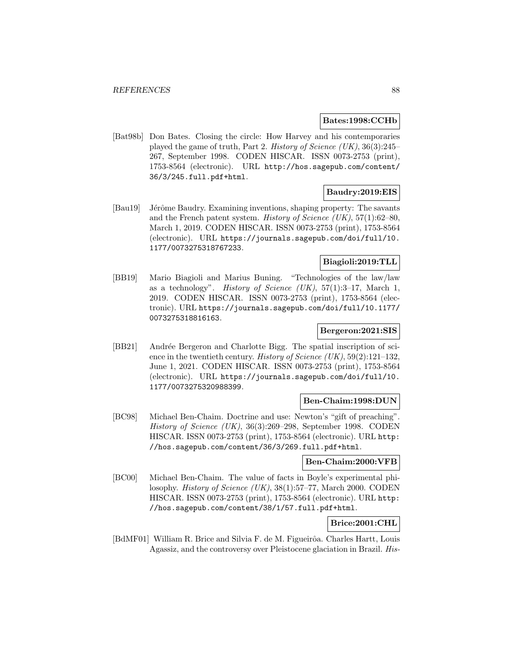## **Bates:1998:CCHb**

[Bat98b] Don Bates. Closing the circle: How Harvey and his contemporaries played the game of truth, Part 2. History of Science (UK), 36(3):245– 267, September 1998. CODEN HISCAR. ISSN 0073-2753 (print), 1753-8564 (electronic). URL http://hos.sagepub.com/content/ 36/3/245.full.pdf+html.

## **Baudry:2019:EIS**

[Bau19] Jérôme Baudry. Examining inventions, shaping property: The savants and the French patent system. History of Science (UK),  $57(1)$ :62–80, March 1, 2019. CODEN HISCAR. ISSN 0073-2753 (print), 1753-8564 (electronic). URL https://journals.sagepub.com/doi/full/10. 1177/0073275318767233.

## **Biagioli:2019:TLL**

[BB19] Mario Biagioli and Marius Buning. "Technologies of the law/law as a technology". History of Science  $(UK), 57(1):3-17$ , March 1, 2019. CODEN HISCAR. ISSN 0073-2753 (print), 1753-8564 (electronic). URL https://journals.sagepub.com/doi/full/10.1177/ 0073275318816163.

## **Bergeron:2021:SIS**

[BB21] Andrée Bergeron and Charlotte Bigg. The spatial inscription of sci-ence in the twentieth century. History of Science (UK),  $59(2):121-132$ , June 1, 2021. CODEN HISCAR. ISSN 0073-2753 (print), 1753-8564 (electronic). URL https://journals.sagepub.com/doi/full/10. 1177/0073275320988399.

## **Ben-Chaim:1998:DUN**

[BC98] Michael Ben-Chaim. Doctrine and use: Newton's "gift of preaching". History of Science (UK), 36(3):269–298, September 1998. CODEN HISCAR. ISSN 0073-2753 (print), 1753-8564 (electronic). URL http: //hos.sagepub.com/content/36/3/269.full.pdf+html.

## **Ben-Chaim:2000:VFB**

[BC00] Michael Ben-Chaim. The value of facts in Boyle's experimental philosophy. History of Science (UK), 38(1):57–77, March 2000. CODEN HISCAR. ISSN 0073-2753 (print), 1753-8564 (electronic). URL http: //hos.sagepub.com/content/38/1/57.full.pdf+html.

## **Brice:2001:CHL**

[BdMF01] William R. Brice and Silvia F. de M. Figueirôa. Charles Hartt, Louis Agassiz, and the controversy over Pleistocene glaciation in Brazil. His-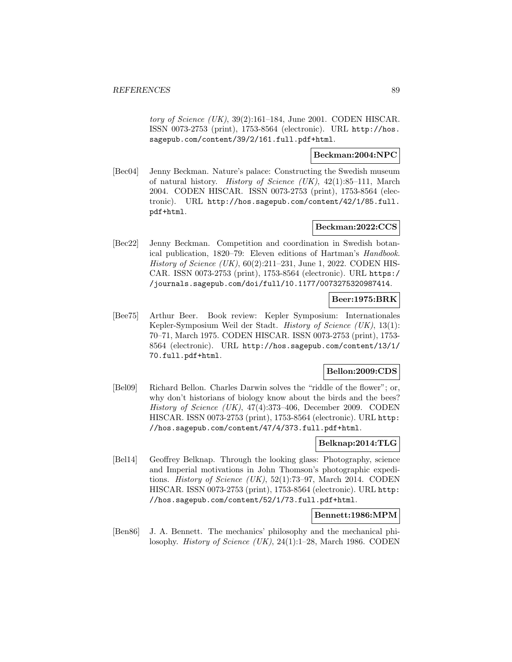tory of Science  $(UK)$ , 39(2):161–184, June 2001. CODEN HISCAR. ISSN 0073-2753 (print), 1753-8564 (electronic). URL http://hos. sagepub.com/content/39/2/161.full.pdf+html.

## **Beckman:2004:NPC**

[Bec04] Jenny Beckman. Nature's palace: Constructing the Swedish museum of natural history. History of Science (UK), 42(1):85–111, March 2004. CODEN HISCAR. ISSN 0073-2753 (print), 1753-8564 (electronic). URL http://hos.sagepub.com/content/42/1/85.full. pdf+html.

## **Beckman:2022:CCS**

[Bec22] Jenny Beckman. Competition and coordination in Swedish botanical publication, 1820–79: Eleven editions of Hartman's Handbook. History of Science  $(UK)$ ,  $60(2):211-231$ , June 1, 2022. CODEN HIS-CAR. ISSN 0073-2753 (print), 1753-8564 (electronic). URL https:/ /journals.sagepub.com/doi/full/10.1177/0073275320987414.

## **Beer:1975:BRK**

[Bee75] Arthur Beer. Book review: Kepler Symposium: Internationales Kepler-Symposium Weil der Stadt. History of Science (UK), 13(1): 70–71, March 1975. CODEN HISCAR. ISSN 0073-2753 (print), 1753- 8564 (electronic). URL http://hos.sagepub.com/content/13/1/ 70.full.pdf+html.

## **Bellon:2009:CDS**

[Bel09] Richard Bellon. Charles Darwin solves the "riddle of the flower"; or, why don't historians of biology know about the birds and the bees? History of Science (UK), 47(4):373–406, December 2009. CODEN HISCAR. ISSN 0073-2753 (print), 1753-8564 (electronic). URL http: //hos.sagepub.com/content/47/4/373.full.pdf+html.

## **Belknap:2014:TLG**

[Bel14] Geoffrey Belknap. Through the looking glass: Photography, science and Imperial motivations in John Thomson's photographic expeditions. History of Science  $(UK)$ , 52(1):73–97, March 2014. CODEN HISCAR. ISSN 0073-2753 (print), 1753-8564 (electronic). URL http: //hos.sagepub.com/content/52/1/73.full.pdf+html.

## **Bennett:1986:MPM**

[Ben86] J. A. Bennett. The mechanics' philosophy and the mechanical philosophy. History of Science (UK), 24(1):1–28, March 1986. CODEN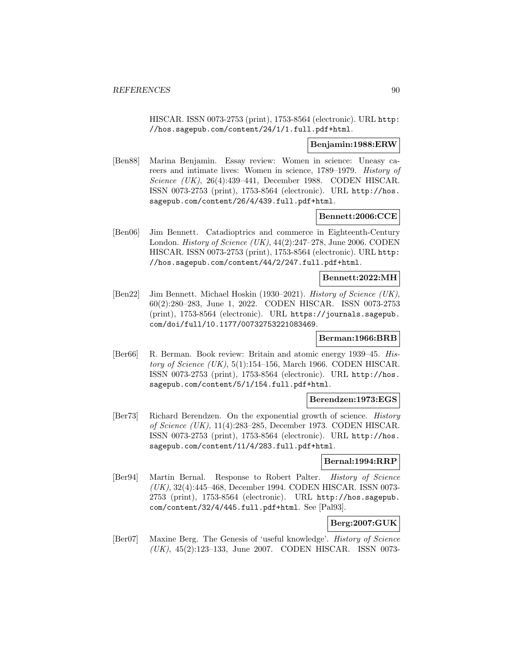HISCAR. ISSN 0073-2753 (print), 1753-8564 (electronic). URL http: //hos.sagepub.com/content/24/1/1.full.pdf+html.

### **Benjamin:1988:ERW**

[Ben88] Marina Benjamin. Essay review: Women in science: Uneasy careers and intimate lives: Women in science, 1789–1979. History of Science (UK), 26(4):439–441, December 1988. CODEN HISCAR. ISSN 0073-2753 (print), 1753-8564 (electronic). URL http://hos. sagepub.com/content/26/4/439.full.pdf+html.

## **Bennett:2006:CCE**

[Ben06] Jim Bennett. Catadioptrics and commerce in Eighteenth-Century London. *History of Science* (UK),  $44(2):247-278$ , June 2006. CODEN HISCAR. ISSN 0073-2753 (print), 1753-8564 (electronic). URL http: //hos.sagepub.com/content/44/2/247.full.pdf+html.

## **Bennett:2022:MH**

[Ben22] Jim Bennett. Michael Hoskin (1930–2021). History of Science (UK), 60(2):280–283, June 1, 2022. CODEN HISCAR. ISSN 0073-2753 (print), 1753-8564 (electronic). URL https://journals.sagepub. com/doi/full/10.1177/00732753221083469.

## **Berman:1966:BRB**

[Ber66] R. Berman. Book review: Britain and atomic energy 1939–45. History of Science  $(UK)$ , 5(1):154–156, March 1966. CODEN HISCAR. ISSN 0073-2753 (print), 1753-8564 (electronic). URL http://hos. sagepub.com/content/5/1/154.full.pdf+html.

### **Berendzen:1973:EGS**

[Ber73] Richard Berendzen. On the exponential growth of science. History of Science (UK), 11(4):283–285, December 1973. CODEN HISCAR. ISSN 0073-2753 (print), 1753-8564 (electronic). URL http://hos. sagepub.com/content/11/4/283.full.pdf+html.

## **Bernal:1994:RRP**

[Ber94] Martin Bernal. Response to Robert Palter. History of Science (UK), 32(4):445–468, December 1994. CODEN HISCAR. ISSN 0073- 2753 (print), 1753-8564 (electronic). URL http://hos.sagepub. com/content/32/4/445.full.pdf+html. See [Pal93].

# **Berg:2007:GUK**

[Ber07] Maxine Berg. The Genesis of 'useful knowledge'. History of Science (UK), 45(2):123–133, June 2007. CODEN HISCAR. ISSN 0073-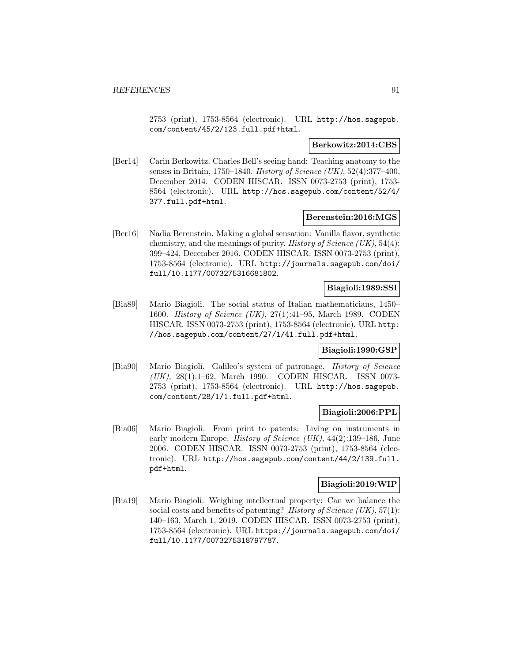2753 (print), 1753-8564 (electronic). URL http://hos.sagepub. com/content/45/2/123.full.pdf+html.

### **Berkowitz:2014:CBS**

[Ber14] Carin Berkowitz. Charles Bell's seeing hand: Teaching anatomy to the senses in Britain, 1750–1840. *History of Science (UK)*, 52(4):377–400, December 2014. CODEN HISCAR. ISSN 0073-2753 (print), 1753- 8564 (electronic). URL http://hos.sagepub.com/content/52/4/ 377.full.pdf+html.

### **Berenstein:2016:MGS**

[Ber16] Nadia Berenstein. Making a global sensation: Vanilla flavor, synthetic chemistry, and the meanings of purity. History of Science  $(UK), 54(4)$ : 399–424, December 2016. CODEN HISCAR. ISSN 0073-2753 (print), 1753-8564 (electronic). URL http://journals.sagepub.com/doi/ full/10.1177/0073275316681802.

## **Biagioli:1989:SSI**

[Bia89] Mario Biagioli. The social status of Italian mathematicians, 1450– 1600. History of Science (UK), 27(1):41–95, March 1989. CODEN HISCAR. ISSN 0073-2753 (print), 1753-8564 (electronic). URL http: //hos.sagepub.com/content/27/1/41.full.pdf+html.

## **Biagioli:1990:GSP**

[Bia90] Mario Biagioli. Galileo's system of patronage. History of Science (UK), 28(1):1–62, March 1990. CODEN HISCAR. ISSN 0073- 2753 (print), 1753-8564 (electronic). URL http://hos.sagepub. com/content/28/1/1.full.pdf+html.

#### **Biagioli:2006:PPL**

[Bia06] Mario Biagioli. From print to patents: Living on instruments in early modern Europe. *History of Science (UK)*,  $44(2):139-186$ , June 2006. CODEN HISCAR. ISSN 0073-2753 (print), 1753-8564 (electronic). URL http://hos.sagepub.com/content/44/2/139.full. pdf+html.

## **Biagioli:2019:WIP**

[Bia19] Mario Biagioli. Weighing intellectual property: Can we balance the social costs and benefits of patenting? History of Science  $(UK), 57(1)$ : 140–163, March 1, 2019. CODEN HISCAR. ISSN 0073-2753 (print), 1753-8564 (electronic). URL https://journals.sagepub.com/doi/ full/10.1177/0073275318797787.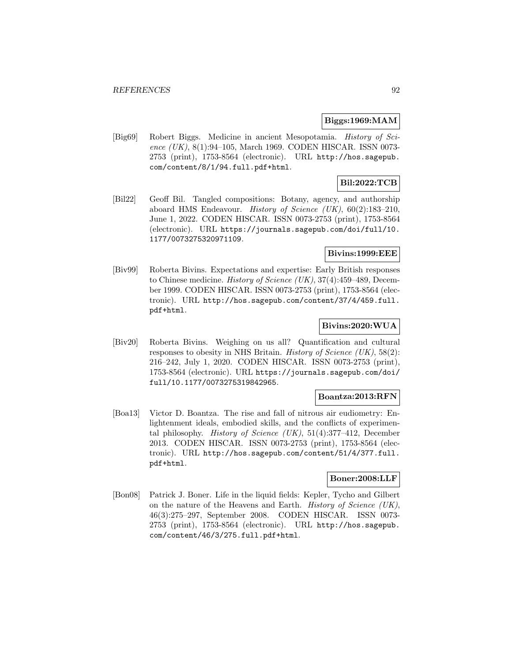### **Biggs:1969:MAM**

[Big69] Robert Biggs. Medicine in ancient Mesopotamia. History of Science (UK), 8(1):94–105, March 1969. CODEN HISCAR. ISSN 0073-2753 (print), 1753-8564 (electronic). URL http://hos.sagepub. com/content/8/1/94.full.pdf+html.

## **Bil:2022:TCB**

[Bil22] Geoff Bil. Tangled compositions: Botany, agency, and authorship aboard HMS Endeavour. *History of Science (UK)*,  $60(2):183-210$ , June 1, 2022. CODEN HISCAR. ISSN 0073-2753 (print), 1753-8564 (electronic). URL https://journals.sagepub.com/doi/full/10. 1177/0073275320971109.

## **Bivins:1999:EEE**

[Biv99] Roberta Bivins. Expectations and expertise: Early British responses to Chinese medicine. History of Science (UK), 37(4):459–489, December 1999. CODEN HISCAR. ISSN 0073-2753 (print), 1753-8564 (electronic). URL http://hos.sagepub.com/content/37/4/459.full. pdf+html.

## **Bivins:2020:WUA**

[Biv20] Roberta Bivins. Weighing on us all? Quantification and cultural responses to obesity in NHS Britain. History of Science  $(UK), 58(2)$ : 216–242, July 1, 2020. CODEN HISCAR. ISSN 0073-2753 (print), 1753-8564 (electronic). URL https://journals.sagepub.com/doi/ full/10.1177/0073275319842965.

## **Boantza:2013:RFN**

[Boa13] Victor D. Boantza. The rise and fall of nitrous air eudiometry: Enlightenment ideals, embodied skills, and the conflicts of experimental philosophy. *History of Science (UK)*,  $51(4):377-412$ , December 2013. CODEN HISCAR. ISSN 0073-2753 (print), 1753-8564 (electronic). URL http://hos.sagepub.com/content/51/4/377.full. pdf+html.

## **Boner:2008:LLF**

[Bon08] Patrick J. Boner. Life in the liquid fields: Kepler, Tycho and Gilbert on the nature of the Heavens and Earth. History of Science (UK), 46(3):275–297, September 2008. CODEN HISCAR. ISSN 0073- 2753 (print), 1753-8564 (electronic). URL http://hos.sagepub. com/content/46/3/275.full.pdf+html.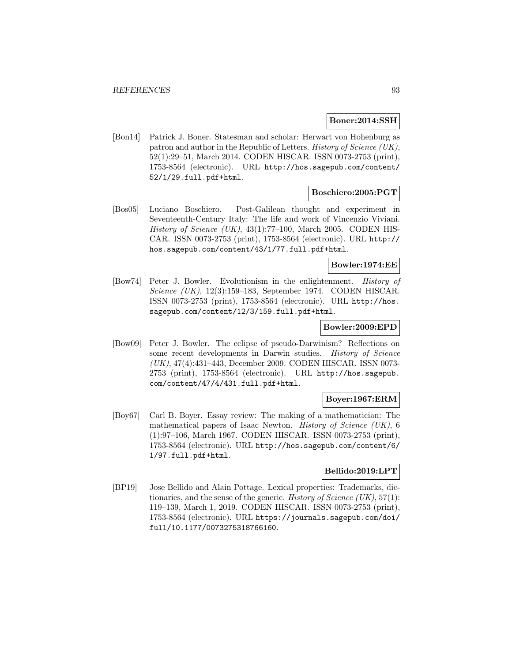### **Boner:2014:SSH**

[Bon14] Patrick J. Boner. Statesman and scholar: Herwart von Hohenburg as patron and author in the Republic of Letters. History of Science (UK), 52(1):29–51, March 2014. CODEN HISCAR. ISSN 0073-2753 (print), 1753-8564 (electronic). URL http://hos.sagepub.com/content/ 52/1/29.full.pdf+html.

### **Boschiero:2005:PGT**

[Bos05] Luciano Boschiero. Post-Galilean thought and experiment in Seventeenth-Century Italy: The life and work of Vincenzio Viviani. History of Science (UK),  $43(1)$ :77-100, March 2005. CODEN HIS-CAR. ISSN 0073-2753 (print), 1753-8564 (electronic). URL http:// hos.sagepub.com/content/43/1/77.full.pdf+html.

## **Bowler:1974:EE**

[Bow74] Peter J. Bowler. Evolutionism in the enlightenment. History of Science (UK), 12(3):159–183, September 1974. CODEN HISCAR. ISSN 0073-2753 (print), 1753-8564 (electronic). URL http://hos. sagepub.com/content/12/3/159.full.pdf+html.

## **Bowler:2009:EPD**

[Bow09] Peter J. Bowler. The eclipse of pseudo-Darwinism? Reflections on some recent developments in Darwin studies. History of Science (UK), 47(4):431–443, December 2009. CODEN HISCAR. ISSN 0073- 2753 (print), 1753-8564 (electronic). URL http://hos.sagepub. com/content/47/4/431.full.pdf+html.

## **Boyer:1967:ERM**

[Boy67] Carl B. Boyer. Essay review: The making of a mathematician: The mathematical papers of Isaac Newton. *History of Science (UK)*,  $6$ (1):97–106, March 1967. CODEN HISCAR. ISSN 0073-2753 (print), 1753-8564 (electronic). URL http://hos.sagepub.com/content/6/ 1/97.full.pdf+html.

## **Bellido:2019:LPT**

[BP19] Jose Bellido and Alain Pottage. Lexical properties: Trademarks, dictionaries, and the sense of the generic. History of Science  $(UK), 57(1)$ : 119–139, March 1, 2019. CODEN HISCAR. ISSN 0073-2753 (print), 1753-8564 (electronic). URL https://journals.sagepub.com/doi/ full/10.1177/0073275318766160.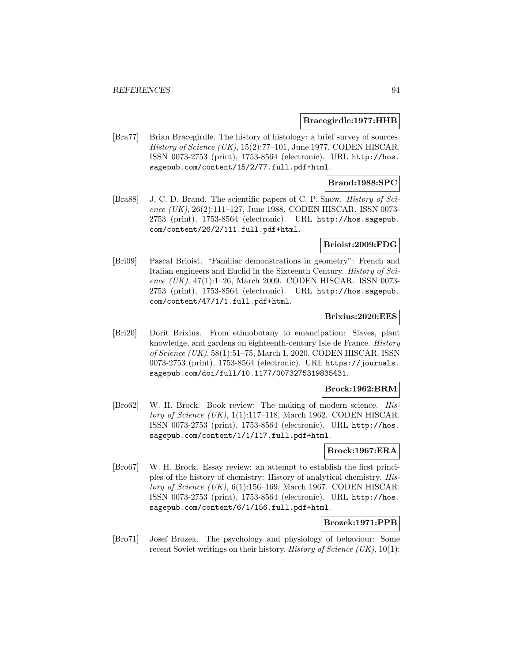#### **Bracegirdle:1977:HHB**

[Bra77] Brian Bracegirdle. The history of histology: a brief survey of sources. History of Science  $(UK)$ , 15(2):77–101, June 1977. CODEN HISCAR. ISSN 0073-2753 (print), 1753-8564 (electronic). URL http://hos. sagepub.com/content/15/2/77.full.pdf+html.

## **Brand:1988:SPC**

[Bra88] J. C. D. Brand. The scientific papers of C. P. Snow. History of Science  $(UK)$ , 26(2):111–127, June 1988. CODEN HISCAR. ISSN 0073-2753 (print), 1753-8564 (electronic). URL http://hos.sagepub. com/content/26/2/111.full.pdf+html.

#### **Brioist:2009:FDG**

[Bri09] Pascal Brioist. "Familiar demonstrations in geometry": French and Italian engineers and Euclid in the Sixteenth Century. History of Science (UK), 47(1):1–26, March 2009. CODEN HISCAR. ISSN 0073-2753 (print), 1753-8564 (electronic). URL http://hos.sagepub. com/content/47/1/1.full.pdf+html.

## **Brixius:2020:EES**

[Bri20] Dorit Brixius. From ethnobotany to emancipation: Slaves, plant knowledge, and gardens on eighteenth-century Isle de France. History of Science (UK), 58(1):51–75, March 1, 2020. CODEN HISCAR. ISSN 0073-2753 (print), 1753-8564 (electronic). URL https://journals. sagepub.com/doi/full/10.1177/0073275319835431.

## **Brock:1962:BRM**

[Bro62] W. H. Brock. Book review: The making of modern science. History of Science  $(UK), 1(1):117-118$ , March 1962. CODEN HISCAR. ISSN 0073-2753 (print), 1753-8564 (electronic). URL http://hos. sagepub.com/content/1/1/117.full.pdf+html.

## **Brock:1967:ERA**

[Bro67] W. H. Brock. Essay review: an attempt to establish the first principles of the history of chemistry: History of analytical chemistry. History of Science  $(UK)$ , 6(1):156–169, March 1967. CODEN HISCAR. ISSN 0073-2753 (print), 1753-8564 (electronic). URL http://hos. sagepub.com/content/6/1/156.full.pdf+html.

## **Brozek:1971:PPB**

[Bro71] Josef Brozek. The psychology and physiology of behaviour: Some recent Soviet writings on their history. *History of Science* (UK),  $10(1)$ :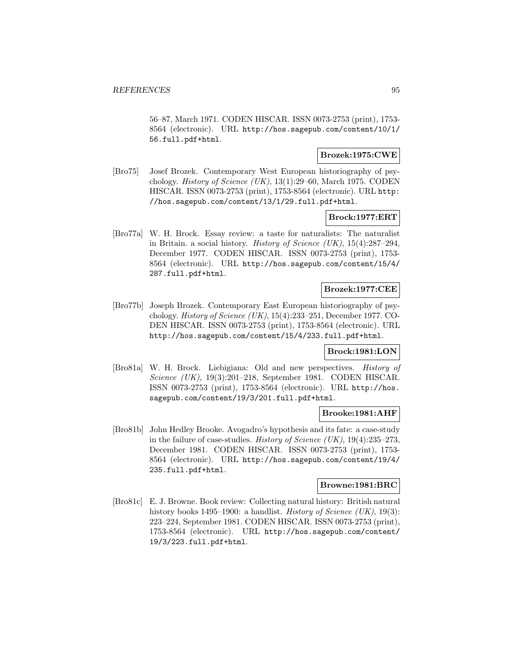56–87, March 1971. CODEN HISCAR. ISSN 0073-2753 (print), 1753- 8564 (electronic). URL http://hos.sagepub.com/content/10/1/ 56.full.pdf+html.

## **Brozek:1975:CWE**

[Bro75] Josef Brozek. Contemporary West European historiography of psychology. History of Science (UK), 13(1):29–60, March 1975. CODEN HISCAR. ISSN 0073-2753 (print), 1753-8564 (electronic). URL http: //hos.sagepub.com/content/13/1/29.full.pdf+html.

## **Brock:1977:ERT**

[Bro77a] W. H. Brock. Essay review: a taste for naturalists: The naturalist in Britain. a social history. *History of Science (UK)*,  $15(4):287-294$ , December 1977. CODEN HISCAR. ISSN 0073-2753 (print), 1753- 8564 (electronic). URL http://hos.sagepub.com/content/15/4/ 287.full.pdf+html.

## **Brozek:1977:CEE**

[Bro77b] Joseph Brozek. Contemporary East European historiography of psychology. History of Science (UK), 15(4):233–251, December 1977. CO-DEN HISCAR. ISSN 0073-2753 (print), 1753-8564 (electronic). URL http://hos.sagepub.com/content/15/4/233.full.pdf+html.

## **Brock:1981:LON**

[Bro81a] W. H. Brock. Liebigiana: Old and new perspectives. History of Science (UK), 19(3):201–218, September 1981. CODEN HISCAR. ISSN 0073-2753 (print), 1753-8564 (electronic). URL http://hos. sagepub.com/content/19/3/201.full.pdf+html.

### **Brooke:1981:AHF**

[Bro81b] John Hedley Brooke. Avogadro's hypothesis and its fate: a case-study in the failure of case-studies. History of Science (UK),  $19(4):235-273$ , December 1981. CODEN HISCAR. ISSN 0073-2753 (print), 1753- 8564 (electronic). URL http://hos.sagepub.com/content/19/4/ 235.full.pdf+html.

## **Browne:1981:BRC**

[Bro81c] E. J. Browne. Book review: Collecting natural history: British natural history books 1495–1900: a handlist. *History of Science (UK)*, 19(3): 223–224, September 1981. CODEN HISCAR. ISSN 0073-2753 (print), 1753-8564 (electronic). URL http://hos.sagepub.com/content/ 19/3/223.full.pdf+html.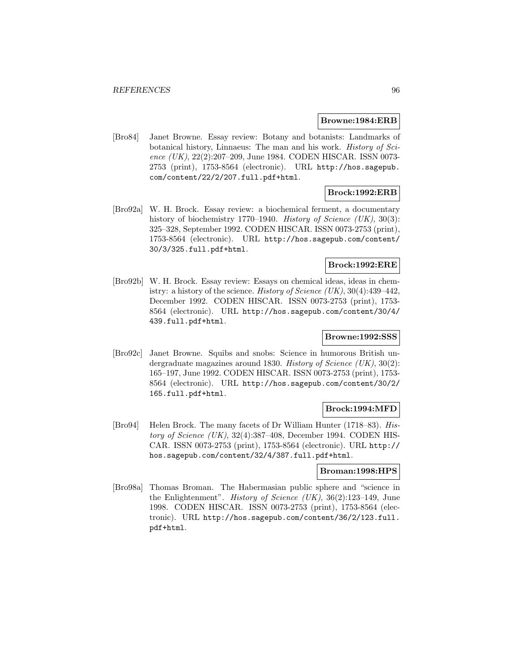#### **Browne:1984:ERB**

[Bro84] Janet Browne. Essay review: Botany and botanists: Landmarks of botanical history, Linnaeus: The man and his work. History of Science (UK), 22(2):207-209, June 1984. CODEN HISCAR. ISSN 0073-2753 (print), 1753-8564 (electronic). URL http://hos.sagepub. com/content/22/2/207.full.pdf+html.

## **Brock:1992:ERB**

[Bro92a] W. H. Brock. Essay review: a biochemical ferment, a documentary history of biochemistry 1770–1940. History of Science (UK), 30(3): 325–328, September 1992. CODEN HISCAR. ISSN 0073-2753 (print), 1753-8564 (electronic). URL http://hos.sagepub.com/content/ 30/3/325.full.pdf+html.

## **Brock:1992:ERE**

[Bro92b] W. H. Brock. Essay review: Essays on chemical ideas, ideas in chemistry: a history of the science. History of Science  $(UK), 30(4):439-442$ , December 1992. CODEN HISCAR. ISSN 0073-2753 (print), 1753- 8564 (electronic). URL http://hos.sagepub.com/content/30/4/ 439.full.pdf+html.

## **Browne:1992:SSS**

[Bro92c] Janet Browne. Squibs and snobs: Science in humorous British undergraduate magazines around 1830. History of Science (UK), 30(2): 165–197, June 1992. CODEN HISCAR. ISSN 0073-2753 (print), 1753- 8564 (electronic). URL http://hos.sagepub.com/content/30/2/ 165.full.pdf+html.

## **Brock:1994:MFD**

[Bro94] Helen Brock. The many facets of Dr William Hunter (1718–83). History of Science (UK), 32(4):387–408, December 1994. CODEN HIS-CAR. ISSN 0073-2753 (print), 1753-8564 (electronic). URL http:// hos.sagepub.com/content/32/4/387.full.pdf+html.

#### **Broman:1998:HPS**

[Bro98a] Thomas Broman. The Habermasian public sphere and "science in the Enlightenment". History of Science (UK), 36(2):123–149, June 1998. CODEN HISCAR. ISSN 0073-2753 (print), 1753-8564 (electronic). URL http://hos.sagepub.com/content/36/2/123.full. pdf+html.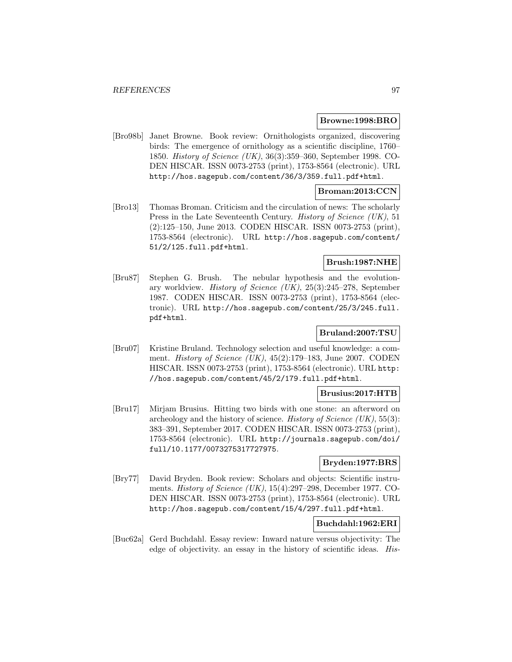### **Browne:1998:BRO**

[Bro98b] Janet Browne. Book review: Ornithologists organized, discovering birds: The emergence of ornithology as a scientific discipline, 1760– 1850. History of Science (UK), 36(3):359–360, September 1998. CO-DEN HISCAR. ISSN 0073-2753 (print), 1753-8564 (electronic). URL http://hos.sagepub.com/content/36/3/359.full.pdf+html.

## **Broman:2013:CCN**

[Bro13] Thomas Broman. Criticism and the circulation of news: The scholarly Press in the Late Seventeenth Century. *History of Science (UK)*, 51 (2):125–150, June 2013. CODEN HISCAR. ISSN 0073-2753 (print), 1753-8564 (electronic). URL http://hos.sagepub.com/content/ 51/2/125.full.pdf+html.

## **Brush:1987:NHE**

[Bru87] Stephen G. Brush. The nebular hypothesis and the evolutionary worldview. History of Science (UK), 25(3):245–278, September 1987. CODEN HISCAR. ISSN 0073-2753 (print), 1753-8564 (electronic). URL http://hos.sagepub.com/content/25/3/245.full. pdf+html.

## **Bruland:2007:TSU**

[Bru07] Kristine Bruland. Technology selection and useful knowledge: a comment. History of Science  $(UK)$ , 45(2):179–183, June 2007. CODEN HISCAR. ISSN 0073-2753 (print), 1753-8564 (electronic). URL http: //hos.sagepub.com/content/45/2/179.full.pdf+html.

## **Brusius:2017:HTB**

[Bru17] Mirjam Brusius. Hitting two birds with one stone: an afterword on archeology and the history of science. History of Science  $(UK), 55(3)$ : 383–391, September 2017. CODEN HISCAR. ISSN 0073-2753 (print), 1753-8564 (electronic). URL http://journals.sagepub.com/doi/ full/10.1177/0073275317727975.

## **Bryden:1977:BRS**

[Bry77] David Bryden. Book review: Scholars and objects: Scientific instruments. History of Science (UK), 15(4):297–298, December 1977. CO-DEN HISCAR. ISSN 0073-2753 (print), 1753-8564 (electronic). URL http://hos.sagepub.com/content/15/4/297.full.pdf+html.

# **Buchdahl:1962:ERI**

[Buc62a] Gerd Buchdahl. Essay review: Inward nature versus objectivity: The edge of objectivity. an essay in the history of scientific ideas. His-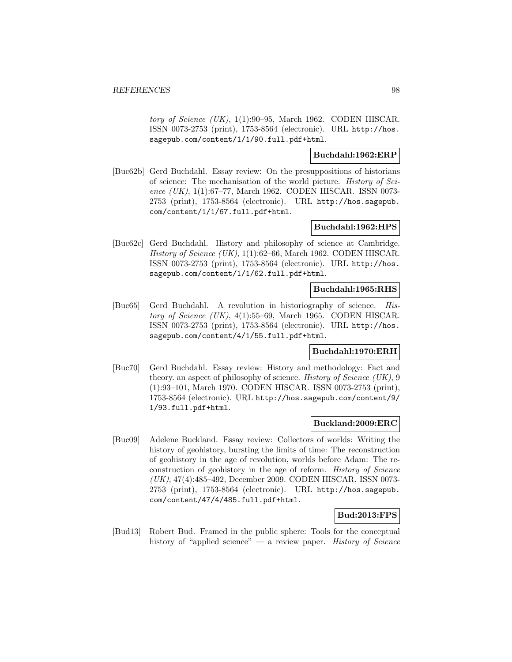tory of Science  $(UK)$ , 1(1):90–95, March 1962. CODEN HISCAR. ISSN 0073-2753 (print), 1753-8564 (electronic). URL http://hos. sagepub.com/content/1/1/90.full.pdf+html.

# **Buchdahl:1962:ERP**

[Buc62b] Gerd Buchdahl. Essay review: On the presuppositions of historians of science: The mechanisation of the world picture. History of Science (UK), 1(1):67–77, March 1962. CODEN HISCAR. ISSN 0073-2753 (print), 1753-8564 (electronic). URL http://hos.sagepub. com/content/1/1/67.full.pdf+html.

## **Buchdahl:1962:HPS**

[Buc62c] Gerd Buchdahl. History and philosophy of science at Cambridge. History of Science  $(UK)$ , 1(1):62–66, March 1962. CODEN HISCAR. ISSN 0073-2753 (print), 1753-8564 (electronic). URL http://hos. sagepub.com/content/1/1/62.full.pdf+html.

## **Buchdahl:1965:RHS**

[Buc65] Gerd Buchdahl. A revolution in historiography of science. History of Science (UK),  $4(1):55-69$ , March 1965. CODEN HISCAR. ISSN 0073-2753 (print), 1753-8564 (electronic). URL http://hos. sagepub.com/content/4/1/55.full.pdf+html.

## **Buchdahl:1970:ERH**

[Buc70] Gerd Buchdahl. Essay review: History and methodology: Fact and theory. an aspect of philosophy of science. History of Science  $(UK)$ , 9 (1):93–101, March 1970. CODEN HISCAR. ISSN 0073-2753 (print), 1753-8564 (electronic). URL http://hos.sagepub.com/content/9/ 1/93.full.pdf+html.

## **Buckland:2009:ERC**

[Buc09] Adelene Buckland. Essay review: Collectors of worlds: Writing the history of geohistory, bursting the limits of time: The reconstruction of geohistory in the age of revolution, worlds before Adam: The reconstruction of geohistory in the age of reform. History of Science (UK), 47(4):485–492, December 2009. CODEN HISCAR. ISSN 0073- 2753 (print), 1753-8564 (electronic). URL http://hos.sagepub. com/content/47/4/485.full.pdf+html.

## **Bud:2013:FPS**

[Bud13] Robert Bud. Framed in the public sphere: Tools for the conceptual history of "applied science" — a review paper. History of Science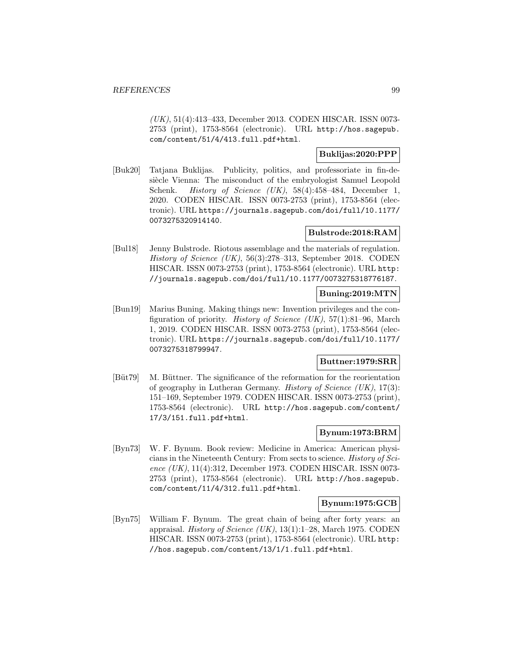(UK), 51(4):413–433, December 2013. CODEN HISCAR. ISSN 0073- 2753 (print), 1753-8564 (electronic). URL http://hos.sagepub. com/content/51/4/413.full.pdf+html.

## **Buklijas:2020:PPP**

[Buk20] Tatjana Buklijas. Publicity, politics, and professoriate in fin-desiècle Vienna: The misconduct of the embryologist Samuel Leopold Schenk. History of Science (UK), 58(4):458–484, December 1, 2020. CODEN HISCAR. ISSN 0073-2753 (print), 1753-8564 (electronic). URL https://journals.sagepub.com/doi/full/10.1177/ 0073275320914140.

## **Bulstrode:2018:RAM**

[Bul18] Jenny Bulstrode. Riotous assemblage and the materials of regulation. History of Science (UK), 56(3):278–313, September 2018. CODEN HISCAR. ISSN 0073-2753 (print), 1753-8564 (electronic). URL http: //journals.sagepub.com/doi/full/10.1177/0073275318776187.

## **Buning:2019:MTN**

[Bun19] Marius Buning. Making things new: Invention privileges and the configuration of priority. *History of Science (UK)*,  $57(1):81-96$ , March 1, 2019. CODEN HISCAR. ISSN 0073-2753 (print), 1753-8564 (electronic). URL https://journals.sagepub.com/doi/full/10.1177/ 0073275318799947.

## **Buttner:1979:SRR**

[Büt79] M. Büttner. The significance of the reformation for the reorientation of geography in Lutheran Germany. *History of Science (UK)*,  $17(3)$ : 151–169, September 1979. CODEN HISCAR. ISSN 0073-2753 (print), 1753-8564 (electronic). URL http://hos.sagepub.com/content/ 17/3/151.full.pdf+html.

## **Bynum:1973:BRM**

[Byn73] W. F. Bynum. Book review: Medicine in America: American physicians in the Nineteenth Century: From sects to science. History of Science (UK), 11(4):312, December 1973. CODEN HISCAR. ISSN 0073- 2753 (print), 1753-8564 (electronic). URL http://hos.sagepub. com/content/11/4/312.full.pdf+html.

## **Bynum:1975:GCB**

[Byn75] William F. Bynum. The great chain of being after forty years: an appraisal. History of Science (UK), 13(1):1–28, March 1975. CODEN HISCAR. ISSN 0073-2753 (print), 1753-8564 (electronic). URL http: //hos.sagepub.com/content/13/1/1.full.pdf+html.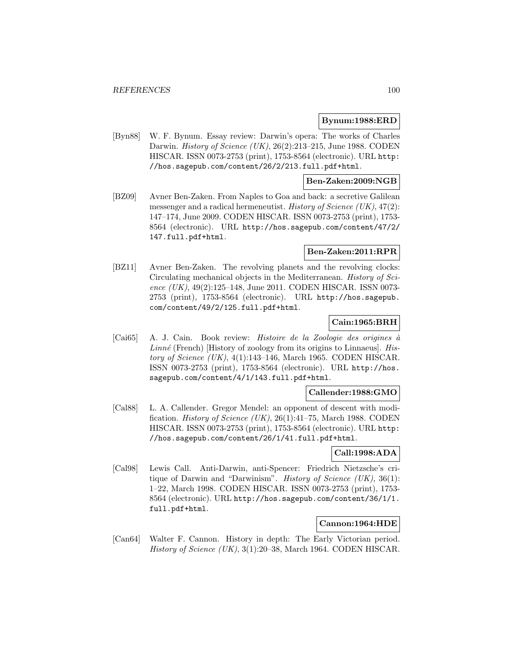## **Bynum:1988:ERD**

[Byn88] W. F. Bynum. Essay review: Darwin's opera: The works of Charles Darwin. History of Science (UK), 26(2):213-215, June 1988. CODEN HISCAR. ISSN 0073-2753 (print), 1753-8564 (electronic). URL http: //hos.sagepub.com/content/26/2/213.full.pdf+html.

## **Ben-Zaken:2009:NGB**

[BZ09] Avner Ben-Zaken. From Naples to Goa and back: a secretive Galilean messenger and a radical hermeneutist. History of Science  $(UK), 47(2)$ : 147–174, June 2009. CODEN HISCAR. ISSN 0073-2753 (print), 1753- 8564 (electronic). URL http://hos.sagepub.com/content/47/2/ 147.full.pdf+html.

## **Ben-Zaken:2011:RPR**

[BZ11] Avner Ben-Zaken. The revolving planets and the revolving clocks: Circulating mechanical objects in the Mediterranean. History of Science (UK), 49(2):125–148, June 2011. CODEN HISCAR. ISSN 0073-2753 (print), 1753-8564 (electronic). URL http://hos.sagepub. com/content/49/2/125.full.pdf+html.

## **Cain:1965:BRH**

 $[Cai65]$  A. J. Cain. Book review: *Histoire de la Zoologie des origines* à  $Linné$  (French) [History of zoology from its origins to Linnaeus]. History of Science  $(UK)$ , 4(1):143–146, March 1965. CODEN HISCAR. ISSN 0073-2753 (print), 1753-8564 (electronic). URL http://hos. sagepub.com/content/4/1/143.full.pdf+html.

#### **Callender:1988:GMO**

[Cal88] L. A. Callender. Gregor Mendel: an opponent of descent with modification. History of Science  $(UK), 26(1):41-75$ , March 1988. CODEN HISCAR. ISSN 0073-2753 (print), 1753-8564 (electronic). URL http: //hos.sagepub.com/content/26/1/41.full.pdf+html.

## **Call:1998:ADA**

[Cal98] Lewis Call. Anti-Darwin, anti-Spencer: Friedrich Nietzsche's critique of Darwin and "Darwinism". *History of Science (UK)*,  $36(1)$ : 1–22, March 1998. CODEN HISCAR. ISSN 0073-2753 (print), 1753- 8564 (electronic). URL http://hos.sagepub.com/content/36/1/1. full.pdf+html.

## **Cannon:1964:HDE**

[Can64] Walter F. Cannon. History in depth: The Early Victorian period. History of Science  $(UK)$ , 3(1):20–38, March 1964. CODEN HISCAR.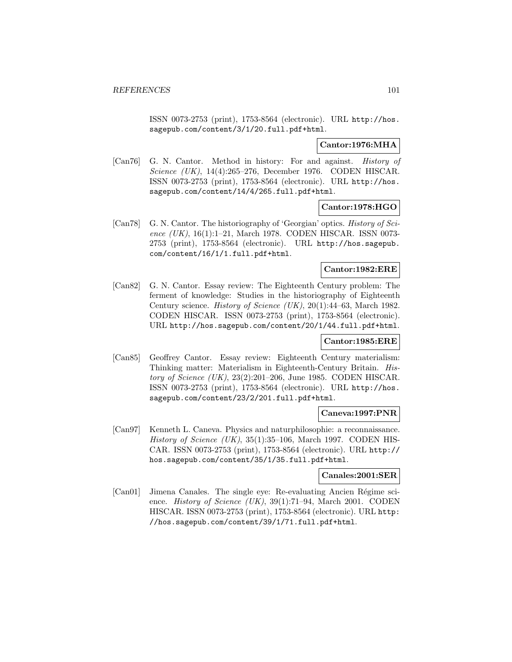ISSN 0073-2753 (print), 1753-8564 (electronic). URL http://hos. sagepub.com/content/3/1/20.full.pdf+html.

## **Cantor:1976:MHA**

[Can76] G. N. Cantor. Method in history: For and against. History of Science (UK), 14(4):265–276, December 1976. CODEN HISCAR. ISSN 0073-2753 (print), 1753-8564 (electronic). URL http://hos. sagepub.com/content/14/4/265.full.pdf+html.

## **Cantor:1978:HGO**

[Can78] G. N. Cantor. The historiography of 'Georgian' optics. *History of Sci*ence (UK), 16(1):1-21, March 1978. CODEN HISCAR. ISSN 0073-2753 (print), 1753-8564 (electronic). URL http://hos.sagepub. com/content/16/1/1.full.pdf+html.

# **Cantor:1982:ERE**

[Can82] G. N. Cantor. Essay review: The Eighteenth Century problem: The ferment of knowledge: Studies in the historiography of Eighteenth Century science. History of Science (UK), 20(1):44–63, March 1982. CODEN HISCAR. ISSN 0073-2753 (print), 1753-8564 (electronic). URL http://hos.sagepub.com/content/20/1/44.full.pdf+html.

## **Cantor:1985:ERE**

[Can85] Geoffrey Cantor. Essay review: Eighteenth Century materialism: Thinking matter: Materialism in Eighteenth-Century Britain. History of Science (UK), 23(2):201–206, June 1985. CODEN HISCAR. ISSN 0073-2753 (print), 1753-8564 (electronic). URL http://hos. sagepub.com/content/23/2/201.full.pdf+html.

## **Caneva:1997:PNR**

[Can97] Kenneth L. Caneva. Physics and naturphilosophie: a reconnaissance. History of Science (UK),  $35(1):35-106$ , March 1997. CODEN HIS-CAR. ISSN 0073-2753 (print), 1753-8564 (electronic). URL http:// hos.sagepub.com/content/35/1/35.full.pdf+html.

## **Canales:2001:SER**

[Can01] Jimena Canales. The single eye: Re-evaluating Ancien Régime science. *History of Science (UK)*, 39(1):71–94, March 2001. CODEN HISCAR. ISSN 0073-2753 (print), 1753-8564 (electronic). URL http: //hos.sagepub.com/content/39/1/71.full.pdf+html.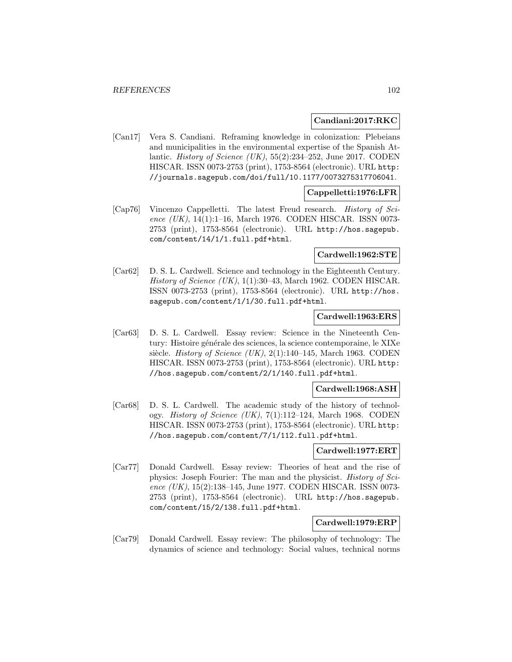### **Candiani:2017:RKC**

[Can17] Vera S. Candiani. Reframing knowledge in colonization: Plebeians and municipalities in the environmental expertise of the Spanish Atlantic. *History of Science* (UK),  $55(2):234-252$ , June 2017. CODEN HISCAR. ISSN 0073-2753 (print), 1753-8564 (electronic). URL http: //journals.sagepub.com/doi/full/10.1177/0073275317706041.

## **Cappelletti:1976:LFR**

[Cap76] Vincenzo Cappelletti. The latest Freud research. History of Science (UK), 14(1):1-16, March 1976. CODEN HISCAR. ISSN 0073-2753 (print), 1753-8564 (electronic). URL http://hos.sagepub. com/content/14/1/1.full.pdf+html.

## **Cardwell:1962:STE**

[Car62] D. S. L. Cardwell. Science and technology in the Eighteenth Century. History of Science (UK),  $1(1):30-43$ , March 1962. CODEN HISCAR. ISSN 0073-2753 (print), 1753-8564 (electronic). URL http://hos. sagepub.com/content/1/1/30.full.pdf+html.

## **Cardwell:1963:ERS**

[Car63] D. S. L. Cardwell. Essay review: Science in the Nineteenth Century: Histoire générale des sciences, la science contemporaine, le XIXe siècle. History of Science (UK), 2(1):140–145, March 1963. CODEN HISCAR. ISSN 0073-2753 (print), 1753-8564 (electronic). URL http: //hos.sagepub.com/content/2/1/140.full.pdf+html.

### **Cardwell:1968:ASH**

[Car68] D. S. L. Cardwell. The academic study of the history of technology. History of Science (UK), 7(1):112–124, March 1968. CODEN HISCAR. ISSN 0073-2753 (print), 1753-8564 (electronic). URL http: //hos.sagepub.com/content/7/1/112.full.pdf+html.

## **Cardwell:1977:ERT**

[Car77] Donald Cardwell. Essay review: Theories of heat and the rise of physics: Joseph Fourier: The man and the physicist. History of Science (UK), 15(2):138–145, June 1977. CODEN HISCAR. ISSN 0073-2753 (print), 1753-8564 (electronic). URL http://hos.sagepub. com/content/15/2/138.full.pdf+html.

## **Cardwell:1979:ERP**

[Car79] Donald Cardwell. Essay review: The philosophy of technology: The dynamics of science and technology: Social values, technical norms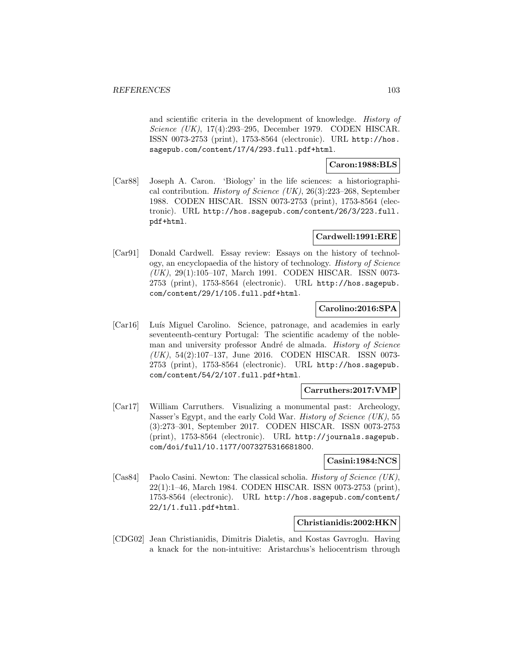and scientific criteria in the development of knowledge. History of Science (UK), 17(4):293–295, December 1979. CODEN HISCAR. ISSN 0073-2753 (print), 1753-8564 (electronic). URL http://hos. sagepub.com/content/17/4/293.full.pdf+html.

**Caron:1988:BLS**

[Car88] Joseph A. Caron. 'Biology' in the life sciences: a historiographical contribution. *History of Science (UK)*,  $26(3):223-268$ , September 1988. CODEN HISCAR. ISSN 0073-2753 (print), 1753-8564 (electronic). URL http://hos.sagepub.com/content/26/3/223.full. pdf+html.

## **Cardwell:1991:ERE**

[Car91] Donald Cardwell. Essay review: Essays on the history of technology, an encyclopaedia of the history of technology. History of Science (UK), 29(1):105–107, March 1991. CODEN HISCAR. ISSN 0073- 2753 (print), 1753-8564 (electronic). URL http://hos.sagepub. com/content/29/1/105.full.pdf+html.

## **Carolino:2016:SPA**

[Car16] Luís Miguel Carolino. Science, patronage, and academies in early seventeenth-century Portugal: The scientific academy of the nobleman and university professor André de almada. History of Science (UK), 54(2):107–137, June 2016. CODEN HISCAR. ISSN 0073- 2753 (print), 1753-8564 (electronic). URL http://hos.sagepub. com/content/54/2/107.full.pdf+html.

## **Carruthers:2017:VMP**

[Car17] William Carruthers. Visualizing a monumental past: Archeology, Nasser's Egypt, and the early Cold War. *History of Science (UK)*, 55 (3):273–301, September 2017. CODEN HISCAR. ISSN 0073-2753 (print), 1753-8564 (electronic). URL http://journals.sagepub. com/doi/full/10.1177/0073275316681800.

## **Casini:1984:NCS**

[Cas84] Paolo Casini. Newton: The classical scholia. *History of Science (UK)*, 22(1):1–46, March 1984. CODEN HISCAR. ISSN 0073-2753 (print), 1753-8564 (electronic). URL http://hos.sagepub.com/content/ 22/1/1.full.pdf+html.

## **Christianidis:2002:HKN**

[CDG02] Jean Christianidis, Dimitris Dialetis, and Kostas Gavroglu. Having a knack for the non-intuitive: Aristarchus's heliocentrism through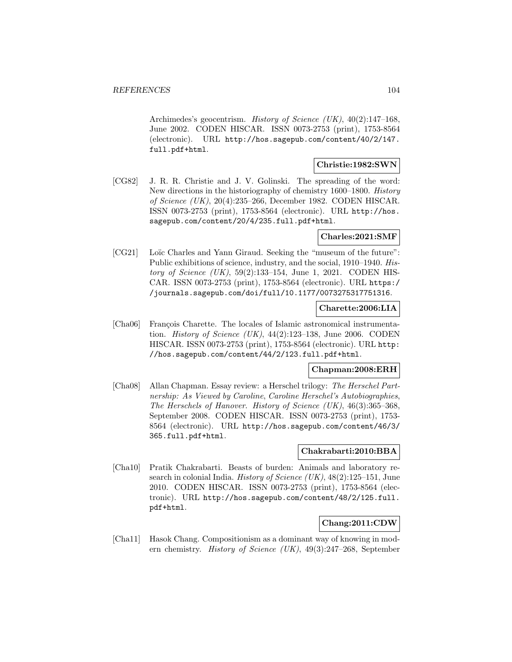Archimedes's geocentrism. History of Science (UK), 40(2):147–168, June 2002. CODEN HISCAR. ISSN 0073-2753 (print), 1753-8564 (electronic). URL http://hos.sagepub.com/content/40/2/147. full.pdf+html.

### **Christie:1982:SWN**

[CG82] J. R. R. Christie and J. V. Golinski. The spreading of the word: New directions in the historiography of chemistry 1600–1800. History of Science (UK), 20(4):235–266, December 1982. CODEN HISCAR. ISSN 0073-2753 (print), 1753-8564 (electronic). URL http://hos. sagepub.com/content/20/4/235.full.pdf+html.

## **Charles:2021:SMF**

[CG21] Loïc Charles and Yann Giraud. Seeking the "museum of the future": Public exhibitions of science, industry, and the social, 1910–1940. History of Science  $(UK)$ , 59 $(2)$ :133-154, June 1, 2021. CODEN HIS-CAR. ISSN 0073-2753 (print), 1753-8564 (electronic). URL https:/ /journals.sagepub.com/doi/full/10.1177/0073275317751316.

## **Charette:2006:LIA**

[Cha06] François Charette. The locales of Islamic astronomical instrumentation. *History of Science (UK)*,  $44(2):123-138$ , June 2006. CODEN HISCAR. ISSN 0073-2753 (print), 1753-8564 (electronic). URL http: //hos.sagepub.com/content/44/2/123.full.pdf+html.

## **Chapman:2008:ERH**

[Cha08] Allan Chapman. Essay review: a Herschel trilogy: The Herschel Partnership: As Viewed by Caroline, Caroline Herschel's Autobiographies, The Herschels of Hanover. History of Science (UK), 46(3):365–368, September 2008. CODEN HISCAR. ISSN 0073-2753 (print), 1753- 8564 (electronic). URL http://hos.sagepub.com/content/46/3/ 365.full.pdf+html.

## **Chakrabarti:2010:BBA**

[Cha10] Pratik Chakrabarti. Beasts of burden: Animals and laboratory research in colonial India. History of Science (UK), 48(2):125–151, June 2010. CODEN HISCAR. ISSN 0073-2753 (print), 1753-8564 (electronic). URL http://hos.sagepub.com/content/48/2/125.full. pdf+html.

# **Chang:2011:CDW**

[Cha11] Hasok Chang. Compositionism as a dominant way of knowing in modern chemistry. History of Science (UK), 49(3):247–268, September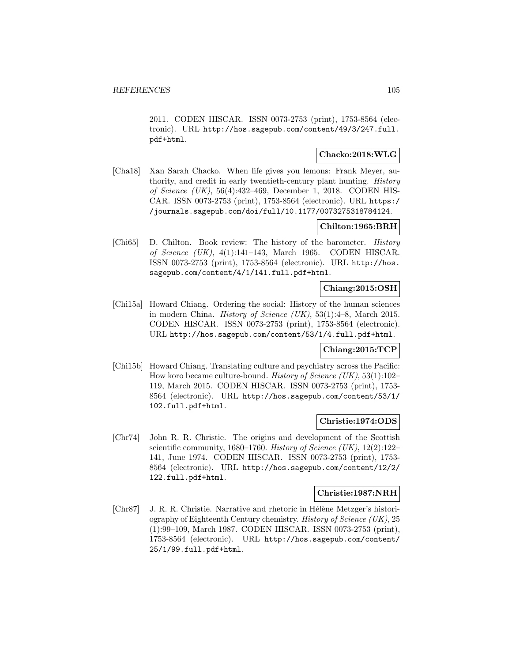2011. CODEN HISCAR. ISSN 0073-2753 (print), 1753-8564 (electronic). URL http://hos.sagepub.com/content/49/3/247.full. pdf+html.

## **Chacko:2018:WLG**

[Cha18] Xan Sarah Chacko. When life gives you lemons: Frank Meyer, authority, and credit in early twentieth-century plant hunting. History of Science (UK), 56(4):432–469, December 1, 2018. CODEN HIS-CAR. ISSN 0073-2753 (print), 1753-8564 (electronic). URL https:/ /journals.sagepub.com/doi/full/10.1177/0073275318784124.

## **Chilton:1965:BRH**

[Chi65] D. Chilton. Book review: The history of the barometer. History of Science (UK), 4(1):141–143, March 1965. CODEN HISCAR. ISSN 0073-2753 (print), 1753-8564 (electronic). URL http://hos. sagepub.com/content/4/1/141.full.pdf+html.

## **Chiang:2015:OSH**

[Chi15a] Howard Chiang. Ordering the social: History of the human sciences in modern China. *History of Science (UK)*,  $53(1):4-8$ , March 2015. CODEN HISCAR. ISSN 0073-2753 (print), 1753-8564 (electronic). URL http://hos.sagepub.com/content/53/1/4.full.pdf+html.

# **Chiang:2015:TCP**

[Chi15b] Howard Chiang. Translating culture and psychiatry across the Pacific: How koro became culture-bound. History of Science (UK), 53(1):102– 119, March 2015. CODEN HISCAR. ISSN 0073-2753 (print), 1753- 8564 (electronic). URL http://hos.sagepub.com/content/53/1/ 102.full.pdf+html.

## **Christie:1974:ODS**

[Chr74] John R. R. Christie. The origins and development of the Scottish scientific community, 1680–1760. History of Science (UK),  $12(2):122-$ 141, June 1974. CODEN HISCAR. ISSN 0073-2753 (print), 1753- 8564 (electronic). URL http://hos.sagepub.com/content/12/2/ 122.full.pdf+html.

## **Christie:1987:NRH**

[Chr87] J. R. R. Christie. Narrative and rhetoric in Hélène Metzger's historiography of Eighteenth Century chemistry. History of Science (UK), 25 (1):99–109, March 1987. CODEN HISCAR. ISSN 0073-2753 (print), 1753-8564 (electronic). URL http://hos.sagepub.com/content/ 25/1/99.full.pdf+html.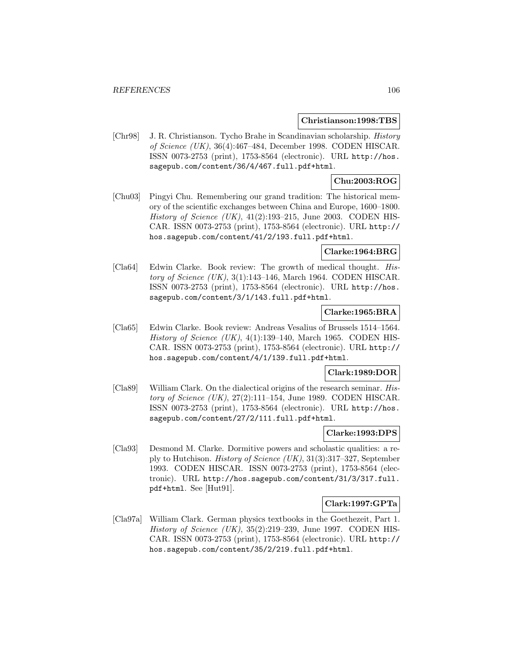#### **Christianson:1998:TBS**

[Chr98] J. R. Christianson. Tycho Brahe in Scandinavian scholarship. History of Science (UK), 36(4):467–484, December 1998. CODEN HISCAR. ISSN 0073-2753 (print), 1753-8564 (electronic). URL http://hos. sagepub.com/content/36/4/467.full.pdf+html.

## **Chu:2003:ROG**

[Chu03] Pingyi Chu. Remembering our grand tradition: The historical memory of the scientific exchanges between China and Europe, 1600–1800. History of Science  $(UK)$ ,  $41(2):193-215$ , June 2003. CODEN HIS-CAR. ISSN 0073-2753 (print), 1753-8564 (electronic). URL http:// hos.sagepub.com/content/41/2/193.full.pdf+html.

## **Clarke:1964:BRG**

[Cla64] Edwin Clarke. Book review: The growth of medical thought. History of Science  $(UK)$ , 3(1):143–146, March 1964. CODEN HISCAR. ISSN 0073-2753 (print), 1753-8564 (electronic). URL http://hos. sagepub.com/content/3/1/143.full.pdf+html.

## **Clarke:1965:BRA**

[Cla65] Edwin Clarke. Book review: Andreas Vesalius of Brussels 1514–1564. History of Science (UK),  $4(1):139-140$ , March 1965. CODEN HIS-CAR. ISSN 0073-2753 (print), 1753-8564 (electronic). URL http:// hos.sagepub.com/content/4/1/139.full.pdf+html.

## **Clark:1989:DOR**

[Cla89] William Clark. On the dialectical origins of the research seminar. History of Science  $(UK)$ , 27(2):111-154, June 1989. CODEN HISCAR. ISSN 0073-2753 (print), 1753-8564 (electronic). URL http://hos. sagepub.com/content/27/2/111.full.pdf+html.

## **Clarke:1993:DPS**

[Cla93] Desmond M. Clarke. Dormitive powers and scholastic qualities: a reply to Hutchison. History of Science (UK), 31(3):317–327, September 1993. CODEN HISCAR. ISSN 0073-2753 (print), 1753-8564 (electronic). URL http://hos.sagepub.com/content/31/3/317.full. pdf+html. See [Hut91].

## **Clark:1997:GPTa**

[Cla97a] William Clark. German physics textbooks in the Goethezeit, Part 1. History of Science  $(UK)$ , 35(2):219–239, June 1997. CODEN HIS-CAR. ISSN 0073-2753 (print), 1753-8564 (electronic). URL http:// hos.sagepub.com/content/35/2/219.full.pdf+html.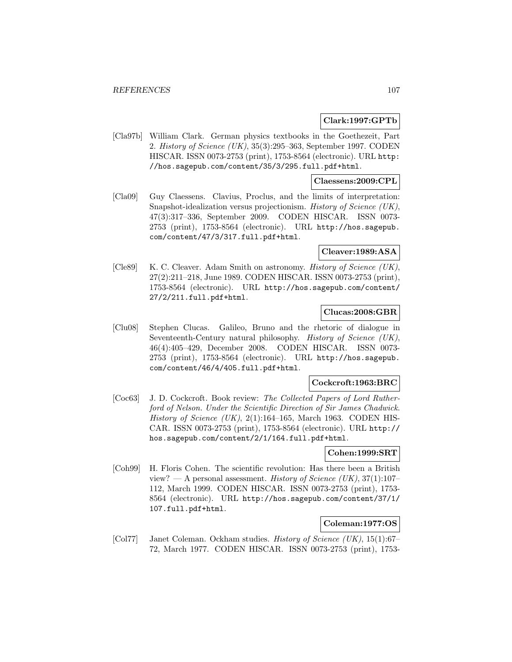## **Clark:1997:GPTb**

[Cla97b] William Clark. German physics textbooks in the Goethezeit, Part 2. History of Science (UK), 35(3):295–363, September 1997. CODEN HISCAR. ISSN 0073-2753 (print), 1753-8564 (electronic). URL http: //hos.sagepub.com/content/35/3/295.full.pdf+html.

## **Claessens:2009:CPL**

[Cla09] Guy Claessens. Clavius, Proclus, and the limits of interpretation: Snapshot-idealization versus projectionism. History of Science (UK), 47(3):317–336, September 2009. CODEN HISCAR. ISSN 0073- 2753 (print), 1753-8564 (electronic). URL http://hos.sagepub. com/content/47/3/317.full.pdf+html.

## **Cleaver:1989:ASA**

[Cle89] K. C. Cleaver. Adam Smith on astronomy. *History of Science (UK)*, 27(2):211–218, June 1989. CODEN HISCAR. ISSN 0073-2753 (print), 1753-8564 (electronic). URL http://hos.sagepub.com/content/ 27/2/211.full.pdf+html.

## **Clucas:2008:GBR**

[Clu08] Stephen Clucas. Galileo, Bruno and the rhetoric of dialogue in Seventeenth-Century natural philosophy. *History of Science (UK)*, 46(4):405–429, December 2008. CODEN HISCAR. ISSN 0073- 2753 (print), 1753-8564 (electronic). URL http://hos.sagepub. com/content/46/4/405.full.pdf+html.

### **Cockcroft:1963:BRC**

[Coc63] J. D. Cockcroft. Book review: The Collected Papers of Lord Rutherford of Nelson. Under the Scientific Direction of Sir James Chadwick. History of Science (UK),  $2(1):164-165$ , March 1963. CODEN HIS-CAR. ISSN 0073-2753 (print), 1753-8564 (electronic). URL http:// hos.sagepub.com/content/2/1/164.full.pdf+html.

## **Cohen:1999:SRT**

[Coh99] H. Floris Cohen. The scientific revolution: Has there been a British view? — A personal assessment. History of Science (UK),  $37(1):107-$ 112, March 1999. CODEN HISCAR. ISSN 0073-2753 (print), 1753- 8564 (electronic). URL http://hos.sagepub.com/content/37/1/ 107.full.pdf+html.

# **Coleman:1977:OS**

[Col77] Janet Coleman. Ockham studies. History of Science (UK), 15(1):67– 72, March 1977. CODEN HISCAR. ISSN 0073-2753 (print), 1753-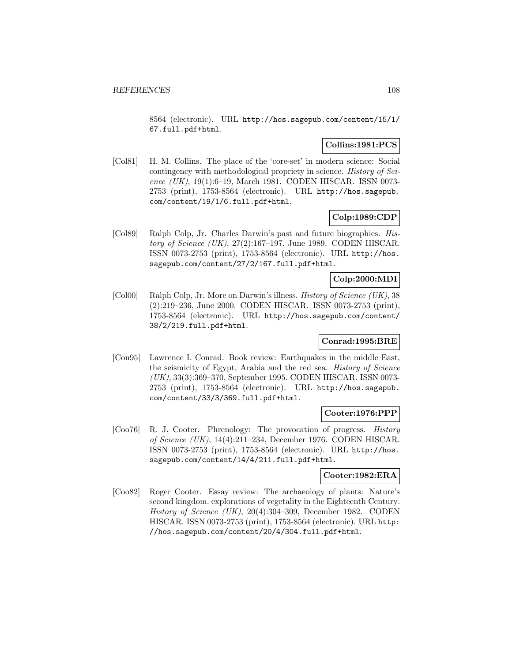8564 (electronic). URL http://hos.sagepub.com/content/15/1/ 67.full.pdf+html.

## **Collins:1981:PCS**

[Col81] H. M. Collins. The place of the 'core-set' in modern science: Social contingency with methodological propriety in science. History of Science (UK), 19(1):6-19, March 1981. CODEN HISCAR. ISSN 0073-2753 (print), 1753-8564 (electronic). URL http://hos.sagepub. com/content/19/1/6.full.pdf+html.

## **Colp:1989:CDP**

[Col89] Ralph Colp, Jr. Charles Darwin's past and future biographies. History of Science  $(UK)$ , 27(2):167–197, June 1989. CODEN HISCAR. ISSN 0073-2753 (print), 1753-8564 (electronic). URL http://hos. sagepub.com/content/27/2/167.full.pdf+html.

## **Colp:2000:MDI**

[Col00] Ralph Colp, Jr. More on Darwin's illness. History of Science (UK), 38 (2):219–236, June 2000. CODEN HISCAR. ISSN 0073-2753 (print), 1753-8564 (electronic). URL http://hos.sagepub.com/content/ 38/2/219.full.pdf+html.

#### **Conrad:1995:BRE**

[Con95] Lawrence I. Conrad. Book review: Earthquakes in the middle East, the seismicity of Egypt, Arabia and the red sea. History of Science (UK), 33(3):369–370, September 1995. CODEN HISCAR. ISSN 0073- 2753 (print), 1753-8564 (electronic). URL http://hos.sagepub. com/content/33/3/369.full.pdf+html.

## **Cooter:1976:PPP**

[Coo76] R. J. Cooter. Phrenology: The provocation of progress. History of Science (UK), 14(4):211–234, December 1976. CODEN HISCAR. ISSN 0073-2753 (print), 1753-8564 (electronic). URL http://hos. sagepub.com/content/14/4/211.full.pdf+html.

## **Cooter:1982:ERA**

[Coo82] Roger Cooter. Essay review: The archaeology of plants: Nature's second kingdom. explorations of vegetality in the Eighteenth Century. History of Science  $(UK)$ , 20(4):304–309, December 1982. CODEN HISCAR. ISSN 0073-2753 (print), 1753-8564 (electronic). URL http: //hos.sagepub.com/content/20/4/304.full.pdf+html.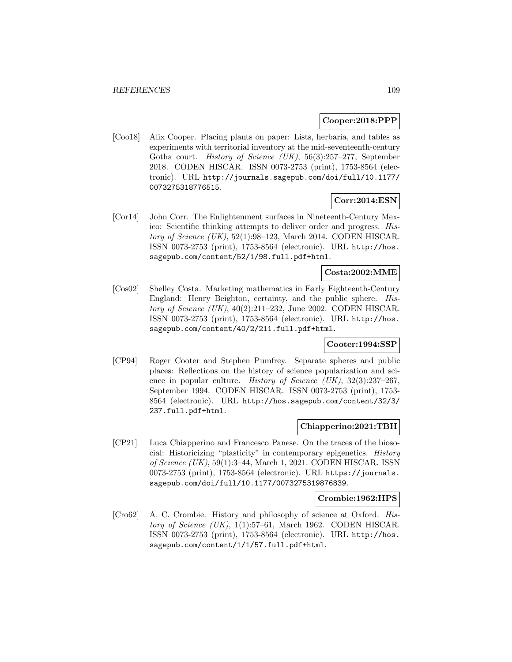#### **Cooper:2018:PPP**

[Coo18] Alix Cooper. Placing plants on paper: Lists, herbaria, and tables as experiments with territorial inventory at the mid-seventeenth-century Gotha court. History of Science (UK), 56(3):257–277, September 2018. CODEN HISCAR. ISSN 0073-2753 (print), 1753-8564 (electronic). URL http://journals.sagepub.com/doi/full/10.1177/ 0073275318776515.

### **Corr:2014:ESN**

[Cor14] John Corr. The Enlightenment surfaces in Nineteenth-Century Mexico: Scientific thinking attempts to deliver order and progress. History of Science  $(UK)$ , 52(1):98–123, March 2014. CODEN HISCAR. ISSN 0073-2753 (print), 1753-8564 (electronic). URL http://hos. sagepub.com/content/52/1/98.full.pdf+html.

### **Costa:2002:MME**

[Cos02] Shelley Costa. Marketing mathematics in Early Eighteenth-Century England: Henry Beighton, certainty, and the public sphere. History of Science (UK), 40(2):211–232, June 2002. CODEN HISCAR. ISSN 0073-2753 (print), 1753-8564 (electronic). URL http://hos. sagepub.com/content/40/2/211.full.pdf+html.

### **Cooter:1994:SSP**

[CP94] Roger Cooter and Stephen Pumfrey. Separate spheres and public places: Reflections on the history of science popularization and science in popular culture. *History of Science (UK)*, 32(3):237-267, September 1994. CODEN HISCAR. ISSN 0073-2753 (print), 1753- 8564 (electronic). URL http://hos.sagepub.com/content/32/3/ 237.full.pdf+html.

## **Chiapperino:2021:TBH**

[CP21] Luca Chiapperino and Francesco Panese. On the traces of the biosocial: Historicizing "plasticity" in contemporary epigenetics. History of Science (UK), 59(1):3–44, March 1, 2021. CODEN HISCAR. ISSN 0073-2753 (print), 1753-8564 (electronic). URL https://journals. sagepub.com/doi/full/10.1177/0073275319876839.

### **Crombie:1962:HPS**

[Cro62] A. C. Crombie. History and philosophy of science at Oxford. History of Science  $(UK)$ , 1(1):57–61, March 1962. CODEN HISCAR. ISSN 0073-2753 (print), 1753-8564 (electronic). URL http://hos. sagepub.com/content/1/1/57.full.pdf+html.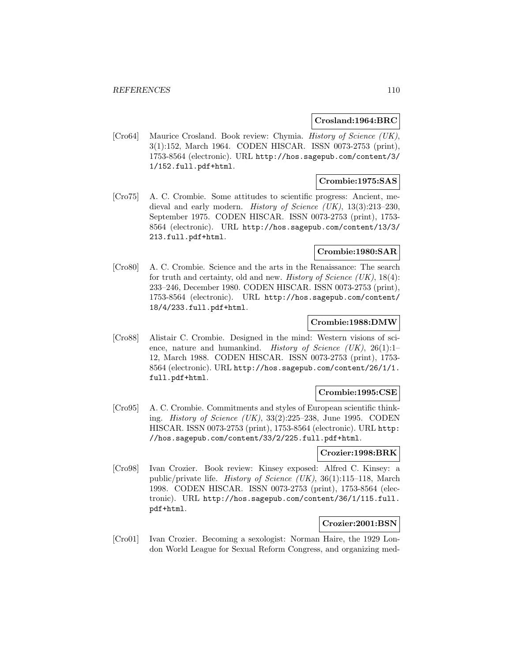#### **Crosland:1964:BRC**

[Cro64] Maurice Crosland. Book review: Chymia. History of Science (UK), 3(1):152, March 1964. CODEN HISCAR. ISSN 0073-2753 (print), 1753-8564 (electronic). URL http://hos.sagepub.com/content/3/ 1/152.full.pdf+html.

# **Crombie:1975:SAS**

[Cro75] A. C. Crombie. Some attitudes to scientific progress: Ancient, medieval and early modern. *History of Science (UK)*, 13(3):213-230, September 1975. CODEN HISCAR. ISSN 0073-2753 (print), 1753- 8564 (electronic). URL http://hos.sagepub.com/content/13/3/ 213.full.pdf+html.

### **Crombie:1980:SAR**

[Cro80] A. C. Crombie. Science and the arts in the Renaissance: The search for truth and certainty, old and new. *History of Science (UK)*,  $18(4)$ : 233–246, December 1980. CODEN HISCAR. ISSN 0073-2753 (print), 1753-8564 (electronic). URL http://hos.sagepub.com/content/ 18/4/233.full.pdf+html.

### **Crombie:1988:DMW**

[Cro88] Alistair C. Crombie. Designed in the mind: Western visions of science, nature and humankind. History of Science (UK), 26(1):1-12, March 1988. CODEN HISCAR. ISSN 0073-2753 (print), 1753- 8564 (electronic). URL http://hos.sagepub.com/content/26/1/1. full.pdf+html.

#### **Crombie:1995:CSE**

[Cro95] A. C. Crombie. Commitments and styles of European scientific thinking. *History of Science (UK)*,  $33(2):225-238$ , June 1995. CODEN HISCAR. ISSN 0073-2753 (print), 1753-8564 (electronic). URL http: //hos.sagepub.com/content/33/2/225.full.pdf+html.

#### **Crozier:1998:BRK**

[Cro98] Ivan Crozier. Book review: Kinsey exposed: Alfred C. Kinsey: a public/private life. History of Science (UK), 36(1):115–118, March 1998. CODEN HISCAR. ISSN 0073-2753 (print), 1753-8564 (electronic). URL http://hos.sagepub.com/content/36/1/115.full. pdf+html.

### **Crozier:2001:BSN**

[Cro01] Ivan Crozier. Becoming a sexologist: Norman Haire, the 1929 London World League for Sexual Reform Congress, and organizing med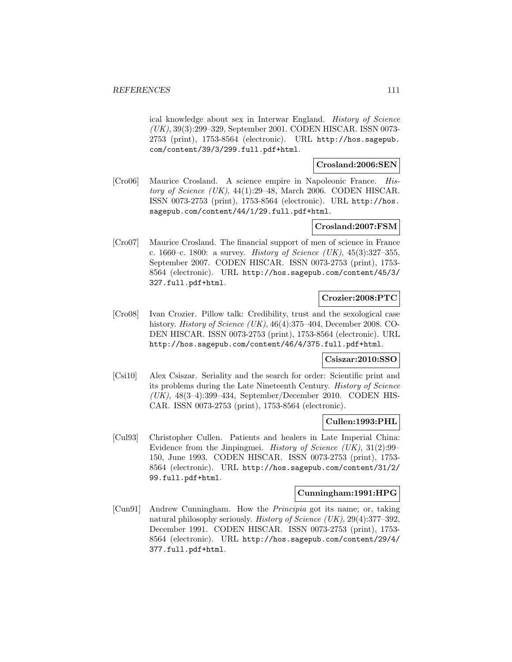ical knowledge about sex in Interwar England. History of Science (UK), 39(3):299–329, September 2001. CODEN HISCAR. ISSN 0073- 2753 (print), 1753-8564 (electronic). URL http://hos.sagepub. com/content/39/3/299.full.pdf+html.

#### **Crosland:2006:SEN**

[Cro06] Maurice Crosland. A science empire in Napoleonic France. History of Science (UK), 44(1):29–48, March 2006. CODEN HISCAR. ISSN 0073-2753 (print), 1753-8564 (electronic). URL http://hos. sagepub.com/content/44/1/29.full.pdf+html.

### **Crosland:2007:FSM**

[Cro07] Maurice Crosland. The financial support of men of science in France c. 1660–c. 1800: a survey. History of Science (UK), 45(3):327–355, September 2007. CODEN HISCAR. ISSN 0073-2753 (print), 1753- 8564 (electronic). URL http://hos.sagepub.com/content/45/3/ 327.full.pdf+html.

### **Crozier:2008:PTC**

[Cro08] Ivan Crozier. Pillow talk: Credibility, trust and the sexological case history. *History of Science (UK)*, 46(4):375–404, December 2008. CO-DEN HISCAR. ISSN 0073-2753 (print), 1753-8564 (electronic). URL http://hos.sagepub.com/content/46/4/375.full.pdf+html.

### **Csiszar:2010:SSO**

[Csi10] Alex Csiszar. Seriality and the search for order: Scientific print and its problems during the Late Nineteenth Century. History of Science  $(UK)$ , 48(3-4):399-434, September/December 2010. CODEN HIS-CAR. ISSN 0073-2753 (print), 1753-8564 (electronic).

## **Cullen:1993:PHL**

[Cul93] Christopher Cullen. Patients and healers in Late Imperial China: Evidence from the Jinpingmei. *History of Science (UK)*,  $31(2):99-$ 150, June 1993. CODEN HISCAR. ISSN 0073-2753 (print), 1753- 8564 (electronic). URL http://hos.sagepub.com/content/31/2/ 99.full.pdf+html.

### **Cunningham:1991:HPG**

[Cun91] Andrew Cunningham. How the Principia got its name; or, taking natural philosophy seriously. History of Science (UK), 29(4):377–392, December 1991. CODEN HISCAR. ISSN 0073-2753 (print), 1753- 8564 (electronic). URL http://hos.sagepub.com/content/29/4/ 377.full.pdf+html.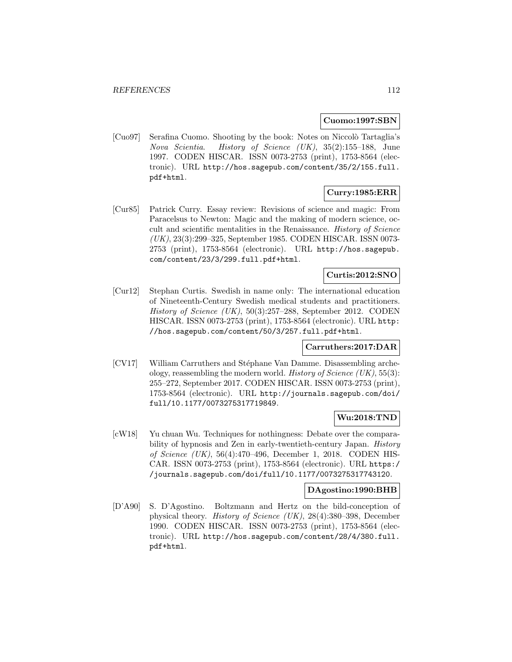#### **Cuomo:1997:SBN**

[Cuo97] Serafina Cuomo. Shooting by the book: Notes on Niccolò Tartaglia's Nova Scientia. History of Science (UK), 35(2):155–188, June 1997. CODEN HISCAR. ISSN 0073-2753 (print), 1753-8564 (electronic). URL http://hos.sagepub.com/content/35/2/155.full. pdf+html.

# **Curry:1985:ERR**

[Cur85] Patrick Curry. Essay review: Revisions of science and magic: From Paracelsus to Newton: Magic and the making of modern science, occult and scientific mentalities in the Renaissance. History of Science (UK), 23(3):299–325, September 1985. CODEN HISCAR. ISSN 0073- 2753 (print), 1753-8564 (electronic). URL http://hos.sagepub. com/content/23/3/299.full.pdf+html.

# **Curtis:2012:SNO**

[Cur12] Stephan Curtis. Swedish in name only: The international education of Nineteenth-Century Swedish medical students and practitioners. History of Science (UK), 50(3):257–288, September 2012. CODEN HISCAR. ISSN 0073-2753 (print), 1753-8564 (electronic). URL http: //hos.sagepub.com/content/50/3/257.full.pdf+html.

## **Carruthers:2017:DAR**

[CV17] William Carruthers and Stéphane Van Damme. Disassembling archeology, reassembling the modern world. History of Science  $(UK), 55(3)$ : 255–272, September 2017. CODEN HISCAR. ISSN 0073-2753 (print), 1753-8564 (electronic). URL http://journals.sagepub.com/doi/ full/10.1177/0073275317719849.

## **Wu:2018:TND**

[cW18] Yu chuan Wu. Techniques for nothingness: Debate over the comparability of hypnosis and Zen in early-twentieth-century Japan. History of Science (UK), 56(4):470–496, December 1, 2018. CODEN HIS-CAR. ISSN 0073-2753 (print), 1753-8564 (electronic). URL https:/ /journals.sagepub.com/doi/full/10.1177/0073275317743120.

#### **DAgostino:1990:BHB**

[D'A90] S. D'Agostino. Boltzmann and Hertz on the bild-conception of physical theory. History of Science (UK), 28(4):380–398, December 1990. CODEN HISCAR. ISSN 0073-2753 (print), 1753-8564 (electronic). URL http://hos.sagepub.com/content/28/4/380.full. pdf+html.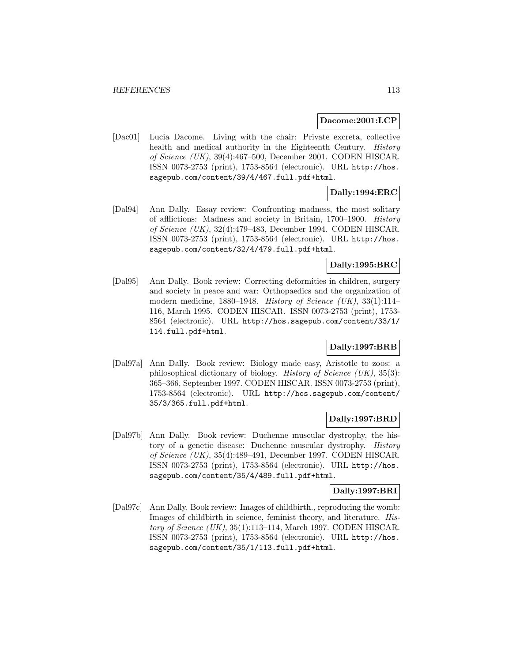#### **Dacome:2001:LCP**

[Dac01] Lucia Dacome. Living with the chair: Private excreta, collective health and medical authority in the Eighteenth Century. History of Science (UK), 39(4):467–500, December 2001. CODEN HISCAR. ISSN 0073-2753 (print), 1753-8564 (electronic). URL http://hos. sagepub.com/content/39/4/467.full.pdf+html.

# **Dally:1994:ERC**

[Dal94] Ann Dally. Essay review: Confronting madness, the most solitary of afflictions: Madness and society in Britain, 1700–1900. History of Science (UK), 32(4):479–483, December 1994. CODEN HISCAR. ISSN 0073-2753 (print), 1753-8564 (electronic). URL http://hos. sagepub.com/content/32/4/479.full.pdf+html.

## **Dally:1995:BRC**

[Dal95] Ann Dally. Book review: Correcting deformities in children, surgery and society in peace and war: Orthopaedics and the organization of modern medicine, 1880–1948. History of Science (UK), 33(1):114– 116, March 1995. CODEN HISCAR. ISSN 0073-2753 (print), 1753- 8564 (electronic). URL http://hos.sagepub.com/content/33/1/ 114.full.pdf+html.

### **Dally:1997:BRB**

[Dal97a] Ann Dally. Book review: Biology made easy, Aristotle to zoos: a philosophical dictionary of biology. *History of Science (UK)*,  $35(3)$ : 365–366, September 1997. CODEN HISCAR. ISSN 0073-2753 (print), 1753-8564 (electronic). URL http://hos.sagepub.com/content/ 35/3/365.full.pdf+html.

### **Dally:1997:BRD**

[Dal97b] Ann Dally. Book review: Duchenne muscular dystrophy, the history of a genetic disease: Duchenne muscular dystrophy. History of Science (UK), 35(4):489–491, December 1997. CODEN HISCAR. ISSN 0073-2753 (print), 1753-8564 (electronic). URL http://hos. sagepub.com/content/35/4/489.full.pdf+html.

### **Dally:1997:BRI**

[Dal97c] Ann Dally. Book review: Images of childbirth., reproducing the womb: Images of childbirth in science, feminist theory, and literature. History of Science  $(UK), 35(1):113-114$ , March 1997. CODEN HISCAR. ISSN 0073-2753 (print), 1753-8564 (electronic). URL http://hos. sagepub.com/content/35/1/113.full.pdf+html.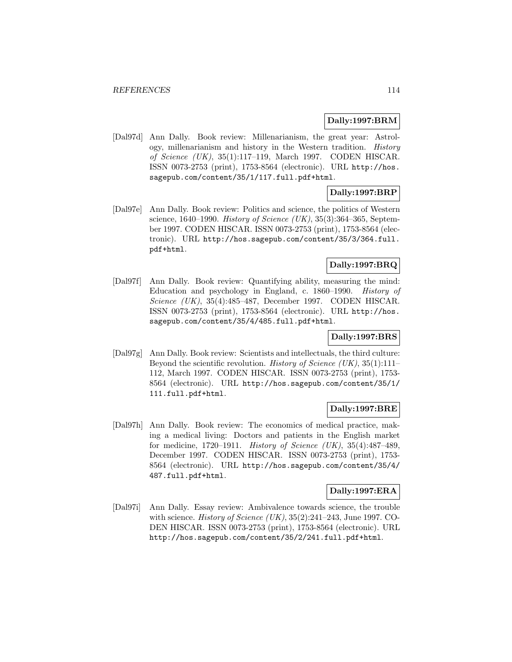### **Dally:1997:BRM**

[Dal97d] Ann Dally. Book review: Millenarianism, the great year: Astrology, millenarianism and history in the Western tradition. History of Science (UK), 35(1):117–119, March 1997. CODEN HISCAR. ISSN 0073-2753 (print), 1753-8564 (electronic). URL http://hos. sagepub.com/content/35/1/117.full.pdf+html.

# **Dally:1997:BRP**

[Dal97e] Ann Dally. Book review: Politics and science, the politics of Western science, 1640–1990. History of Science (UK),  $35(3):364-365$ , September 1997. CODEN HISCAR. ISSN 0073-2753 (print), 1753-8564 (electronic). URL http://hos.sagepub.com/content/35/3/364.full. pdf+html.

## **Dally:1997:BRQ**

[Dal97f] Ann Dally. Book review: Quantifying ability, measuring the mind: Education and psychology in England, c. 1860–1990. History of Science (UK), 35(4):485–487, December 1997. CODEN HISCAR. ISSN 0073-2753 (print), 1753-8564 (electronic). URL http://hos. sagepub.com/content/35/4/485.full.pdf+html.

## **Dally:1997:BRS**

[Dal97g] Ann Dally. Book review: Scientists and intellectuals, the third culture: Beyond the scientific revolution. History of Science (UK),  $35(1):111-$ 112, March 1997. CODEN HISCAR. ISSN 0073-2753 (print), 1753- 8564 (electronic). URL http://hos.sagepub.com/content/35/1/ 111.full.pdf+html.

### **Dally:1997:BRE**

[Dal97h] Ann Dally. Book review: The economics of medical practice, making a medical living: Doctors and patients in the English market for medicine, 1720–1911. History of Science (UK), 35(4):487–489, December 1997. CODEN HISCAR. ISSN 0073-2753 (print), 1753- 8564 (electronic). URL http://hos.sagepub.com/content/35/4/ 487.full.pdf+html.

### **Dally:1997:ERA**

[Dal97i] Ann Dally. Essay review: Ambivalence towards science, the trouble with science. History of Science (UK), 35(2):241–243, June 1997. CO-DEN HISCAR. ISSN 0073-2753 (print), 1753-8564 (electronic). URL http://hos.sagepub.com/content/35/2/241.full.pdf+html.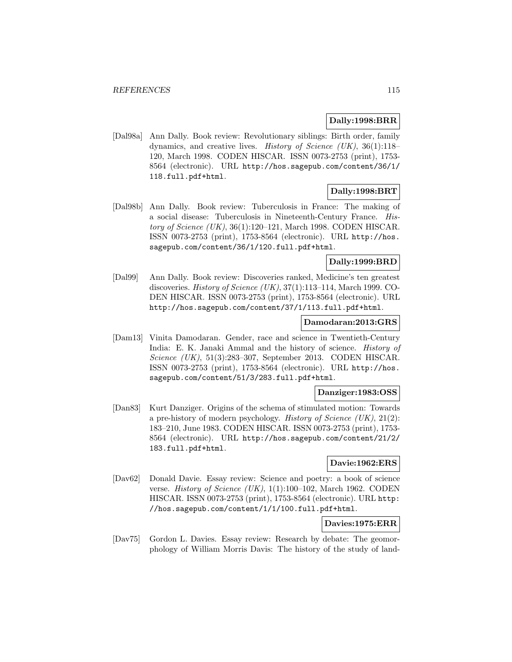### **Dally:1998:BRR**

[Dal98a] Ann Dally. Book review: Revolutionary siblings: Birth order, family dynamics, and creative lives. History of Science (UK), 36(1):118– 120, March 1998. CODEN HISCAR. ISSN 0073-2753 (print), 1753- 8564 (electronic). URL http://hos.sagepub.com/content/36/1/ 118.full.pdf+html.

# **Dally:1998:BRT**

[Dal98b] Ann Dally. Book review: Tuberculosis in France: The making of a social disease: Tuberculosis in Nineteenth-Century France. History of Science  $(UK)$ , 36(1):120–121, March 1998. CODEN HISCAR. ISSN 0073-2753 (print), 1753-8564 (electronic). URL http://hos. sagepub.com/content/36/1/120.full.pdf+html.

## **Dally:1999:BRD**

[Dal99] Ann Dally. Book review: Discoveries ranked, Medicine's ten greatest discoveries. *History of Science*  $(UK)$ , 37(1):113–114, March 1999. CO-DEN HISCAR. ISSN 0073-2753 (print), 1753-8564 (electronic). URL http://hos.sagepub.com/content/37/1/113.full.pdf+html.

#### **Damodaran:2013:GRS**

[Dam13] Vinita Damodaran. Gender, race and science in Twentieth-Century India: E. K. Janaki Ammal and the history of science. *History of* Science (UK), 51(3):283–307, September 2013. CODEN HISCAR. ISSN 0073-2753 (print), 1753-8564 (electronic). URL http://hos. sagepub.com/content/51/3/283.full.pdf+html.

### **Danziger:1983:OSS**

[Dan83] Kurt Danziger. Origins of the schema of stimulated motion: Towards a pre-history of modern psychology. History of Science  $(UK), 21(2)$ : 183–210, June 1983. CODEN HISCAR. ISSN 0073-2753 (print), 1753- 8564 (electronic). URL http://hos.sagepub.com/content/21/2/ 183.full.pdf+html.

### **Davie:1962:ERS**

[Dav62] Donald Davie. Essay review: Science and poetry: a book of science verse. History of Science (UK), 1(1):100–102, March 1962. CODEN HISCAR. ISSN 0073-2753 (print), 1753-8564 (electronic). URL http: //hos.sagepub.com/content/1/1/100.full.pdf+html.

### **Davies:1975:ERR**

[Dav75] Gordon L. Davies. Essay review: Research by debate: The geomorphology of William Morris Davis: The history of the study of land-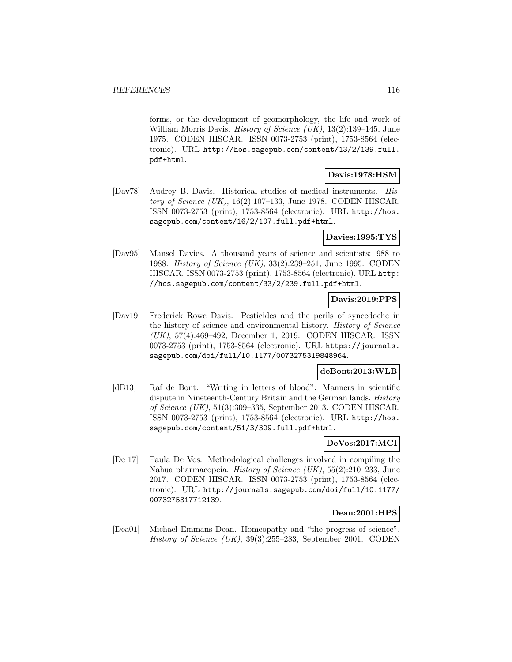forms, or the development of geomorphology, the life and work of William Morris Davis. History of Science  $(UK), 13(2):139-145$ , June 1975. CODEN HISCAR. ISSN 0073-2753 (print), 1753-8564 (electronic). URL http://hos.sagepub.com/content/13/2/139.full. pdf+html.

# **Davis:1978:HSM**

[Dav78] Audrey B. Davis. Historical studies of medical instruments. History of Science (UK),  $16(2):107-133$ , June 1978. CODEN HISCAR. ISSN 0073-2753 (print), 1753-8564 (electronic). URL http://hos. sagepub.com/content/16/2/107.full.pdf+html.

### **Davies:1995:TYS**

[Dav95] Mansel Davies. A thousand years of science and scientists: 988 to 1988. History of Science (UK), 33(2):239–251, June 1995. CODEN HISCAR. ISSN 0073-2753 (print), 1753-8564 (electronic). URL http: //hos.sagepub.com/content/33/2/239.full.pdf+html.

### **Davis:2019:PPS**

[Dav19] Frederick Rowe Davis. Pesticides and the perils of synecdoche in the history of science and environmental history. History of Science (UK), 57(4):469–492, December 1, 2019. CODEN HISCAR. ISSN 0073-2753 (print), 1753-8564 (electronic). URL https://journals. sagepub.com/doi/full/10.1177/0073275319848964.

# **deBont:2013:WLB**

[dB13] Raf de Bont. "Writing in letters of blood": Manners in scientific dispute in Nineteenth-Century Britain and the German lands. History of Science (UK), 51(3):309–335, September 2013. CODEN HISCAR. ISSN 0073-2753 (print), 1753-8564 (electronic). URL http://hos. sagepub.com/content/51/3/309.full.pdf+html.

### **DeVos:2017:MCI**

[De 17] Paula De Vos. Methodological challenges involved in compiling the Nahua pharmacopeia. History of Science (UK), 55(2):210–233, June 2017. CODEN HISCAR. ISSN 0073-2753 (print), 1753-8564 (electronic). URL http://journals.sagepub.com/doi/full/10.1177/ 0073275317712139.

### **Dean:2001:HPS**

[Dea01] Michael Emmans Dean. Homeopathy and "the progress of science". History of Science (UK), 39(3):255–283, September 2001. CODEN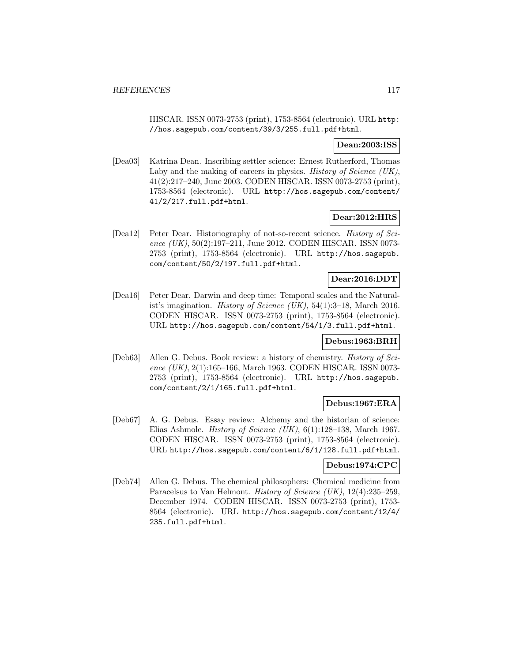HISCAR. ISSN 0073-2753 (print), 1753-8564 (electronic). URL http: //hos.sagepub.com/content/39/3/255.full.pdf+html.

### **Dean:2003:ISS**

[Dea03] Katrina Dean. Inscribing settler science: Ernest Rutherford, Thomas Laby and the making of careers in physics. *History of Science (UK)*, 41(2):217–240, June 2003. CODEN HISCAR. ISSN 0073-2753 (print), 1753-8564 (electronic). URL http://hos.sagepub.com/content/ 41/2/217.full.pdf+html.

### **Dear:2012:HRS**

[Dea12] Peter Dear. Historiography of not-so-recent science. History of Science (UK), 50(2):197-211, June 2012. CODEN HISCAR. ISSN 0073-2753 (print), 1753-8564 (electronic). URL http://hos.sagepub. com/content/50/2/197.full.pdf+html.

#### **Dear:2016:DDT**

[Dea16] Peter Dear. Darwin and deep time: Temporal scales and the Naturalist's imagination. *History of Science (UK)*, 54(1):3–18, March 2016. CODEN HISCAR. ISSN 0073-2753 (print), 1753-8564 (electronic). URL http://hos.sagepub.com/content/54/1/3.full.pdf+html.

### **Debus:1963:BRH**

[Deb63] Allen G. Debus. Book review: a history of chemistry. History of Science (UK), 2(1):165-166, March 1963. CODEN HISCAR. ISSN 0073-2753 (print), 1753-8564 (electronic). URL http://hos.sagepub. com/content/2/1/165.full.pdf+html.

### **Debus:1967:ERA**

[Deb67] A. G. Debus. Essay review: Alchemy and the historian of science: Elias Ashmole. *History of Science* (UK),  $6(1):128-138$ , March 1967. CODEN HISCAR. ISSN 0073-2753 (print), 1753-8564 (electronic). URL http://hos.sagepub.com/content/6/1/128.full.pdf+html.

### **Debus:1974:CPC**

[Deb74] Allen G. Debus. The chemical philosophers: Chemical medicine from Paracelsus to Van Helmont. *History of Science (UK)*, 12(4):235–259, December 1974. CODEN HISCAR. ISSN 0073-2753 (print), 1753- 8564 (electronic). URL http://hos.sagepub.com/content/12/4/ 235.full.pdf+html.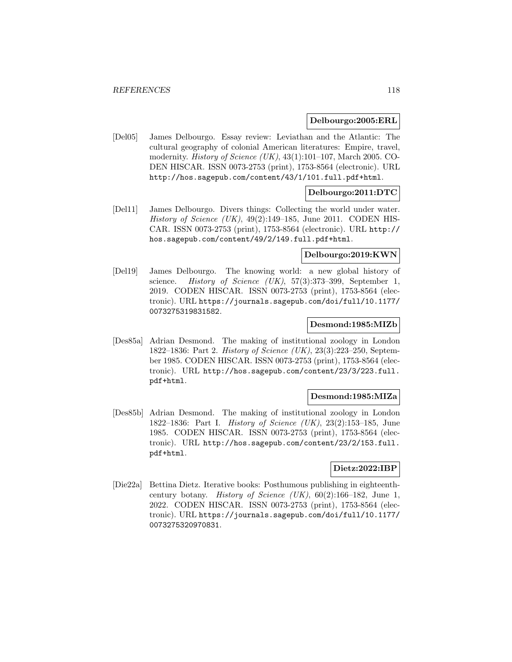#### **Delbourgo:2005:ERL**

[Del05] James Delbourgo. Essay review: Leviathan and the Atlantic: The cultural geography of colonial American literatures: Empire, travel, modernity. *History of Science (UK)*, 43(1):101–107, March 2005. CO-DEN HISCAR. ISSN 0073-2753 (print), 1753-8564 (electronic). URL http://hos.sagepub.com/content/43/1/101.full.pdf+html.

### **Delbourgo:2011:DTC**

[Del11] James Delbourgo. Divers things: Collecting the world under water. History of Science  $(UK)$ , 49(2):149–185, June 2011. CODEN HIS-CAR. ISSN 0073-2753 (print), 1753-8564 (electronic). URL http:// hos.sagepub.com/content/49/2/149.full.pdf+html.

#### **Delbourgo:2019:KWN**

[Del19] James Delbourgo. The knowing world: a new global history of science. History of Science  $(UK)$ , 57(3):373-399, September 1, 2019. CODEN HISCAR. ISSN 0073-2753 (print), 1753-8564 (electronic). URL https://journals.sagepub.com/doi/full/10.1177/ 0073275319831582.

#### **Desmond:1985:MIZb**

[Des85a] Adrian Desmond. The making of institutional zoology in London 1822–1836: Part 2. History of Science (UK), 23(3):223–250, September 1985. CODEN HISCAR. ISSN 0073-2753 (print), 1753-8564 (electronic). URL http://hos.sagepub.com/content/23/3/223.full. pdf+html.

### **Desmond:1985:MIZa**

[Des85b] Adrian Desmond. The making of institutional zoology in London 1822–1836: Part I. History of Science (UK), 23(2):153–185, June 1985. CODEN HISCAR. ISSN 0073-2753 (print), 1753-8564 (electronic). URL http://hos.sagepub.com/content/23/2/153.full. pdf+html.

## **Dietz:2022:IBP**

[Die22a] Bettina Dietz. Iterative books: Posthumous publishing in eighteenthcentury botany. *History of Science (UK)*,  $60(2):166-182$ , June 1, 2022. CODEN HISCAR. ISSN 0073-2753 (print), 1753-8564 (electronic). URL https://journals.sagepub.com/doi/full/10.1177/ 0073275320970831.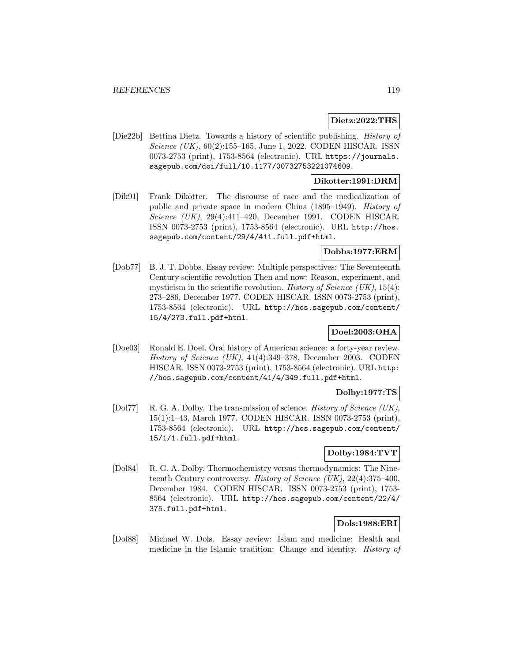#### **Dietz:2022:THS**

[Die22b] Bettina Dietz. Towards a history of scientific publishing. History of Science (UK), 60(2):155–165, June 1, 2022. CODEN HISCAR. ISSN 0073-2753 (print), 1753-8564 (electronic). URL https://journals. sagepub.com/doi/full/10.1177/00732753221074609.

### **Dikotter:1991:DRM**

[Dik91] Frank Dikötter. The discourse of race and the medicalization of public and private space in modern China (1895–1949). History of Science (UK), 29(4):411–420, December 1991. CODEN HISCAR. ISSN 0073-2753 (print), 1753-8564 (electronic). URL http://hos. sagepub.com/content/29/4/411.full.pdf+html.

## **Dobbs:1977:ERM**

[Dob77] B. J. T. Dobbs. Essay review: Multiple perspectives: The Seventeenth Century scientific revolution Then and now: Reason, experiment, and mysticism in the scientific revolution. *History of Science (UK)*,  $15(4)$ : 273–286, December 1977. CODEN HISCAR. ISSN 0073-2753 (print), 1753-8564 (electronic). URL http://hos.sagepub.com/content/ 15/4/273.full.pdf+html.

# **Doel:2003:OHA**

[Doe03] Ronald E. Doel. Oral history of American science: a forty-year review. History of Science (UK), 41(4):349–378, December 2003. CODEN HISCAR. ISSN 0073-2753 (print), 1753-8564 (electronic). URL http: //hos.sagepub.com/content/41/4/349.full.pdf+html.

### **Dolby:1977:TS**

[Dol77] R. G. A. Dolby. The transmission of science. *History of Science (UK)*, 15(1):1–43, March 1977. CODEN HISCAR. ISSN 0073-2753 (print), 1753-8564 (electronic). URL http://hos.sagepub.com/content/ 15/1/1.full.pdf+html.

### **Dolby:1984:TVT**

[Dol84] R. G. A. Dolby. Thermochemistry versus thermodynamics: The Nineteenth Century controversy. History of Science (UK),  $22(4):375-400$ , December 1984. CODEN HISCAR. ISSN 0073-2753 (print), 1753- 8564 (electronic). URL http://hos.sagepub.com/content/22/4/ 375.full.pdf+html.

## **Dols:1988:ERI**

[Dol88] Michael W. Dols. Essay review: Islam and medicine: Health and medicine in the Islamic tradition: Change and identity. History of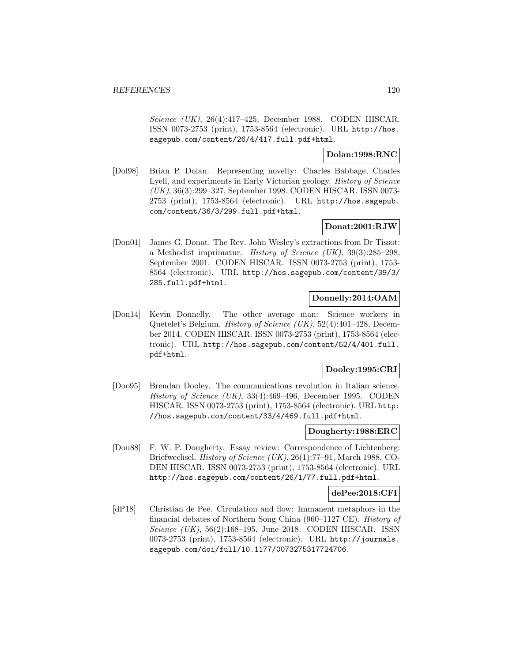Science (UK), 26(4):417–425, December 1988. CODEN HISCAR. ISSN 0073-2753 (print), 1753-8564 (electronic). URL http://hos. sagepub.com/content/26/4/417.full.pdf+html.

## **Dolan:1998:RNC**

[Dol98] Brian P. Dolan. Representing novelty: Charles Babbage, Charles Lyell, and experiments in Early Victorian geology. History of Science (UK), 36(3):299–327, September 1998. CODEN HISCAR. ISSN 0073- 2753 (print), 1753-8564 (electronic). URL http://hos.sagepub. com/content/36/3/299.full.pdf+html.

## **Donat:2001:RJW**

[Don01] James G. Donat. The Rev. John Wesley's extractions from Dr Tissot: a Methodist imprimatur. History of Science (UK), 39(3):285–298, September 2001. CODEN HISCAR. ISSN 0073-2753 (print), 1753- 8564 (electronic). URL http://hos.sagepub.com/content/39/3/ 285.full.pdf+html.

## **Donnelly:2014:OAM**

[Don14] Kevin Donnelly. The other average man: Science workers in Quetelet's Belgium. History of Science (UK), 52(4):401–428, December 2014. CODEN HISCAR. ISSN 0073-2753 (print), 1753-8564 (electronic). URL http://hos.sagepub.com/content/52/4/401.full. pdf+html.

### **Dooley:1995:CRI**

[Doo95] Brendan Dooley. The communications revolution in Italian science. History of Science (UK), 33(4):469–496, December 1995. CODEN HISCAR. ISSN 0073-2753 (print), 1753-8564 (electronic). URL http: //hos.sagepub.com/content/33/4/469.full.pdf+html.

#### **Dougherty:1988:ERC**

[Dou88] F. W. P. Dougherty. Essay review: Correspondence of Lichtenberg: Briefwechsel. History of Science (UK), 26(1):77–91, March 1988. CO-DEN HISCAR. ISSN 0073-2753 (print), 1753-8564 (electronic). URL http://hos.sagepub.com/content/26/1/77.full.pdf+html.

### **dePee:2018:CFI**

[dP18] Christian de Pee. Circulation and flow: Immanent metaphors in the financial debates of Northern Song China (960–1127 CE). History of Science (UK), 56(2):168-195, June 2018. CODEN HISCAR. ISSN 0073-2753 (print), 1753-8564 (electronic). URL http://journals. sagepub.com/doi/full/10.1177/0073275317724706.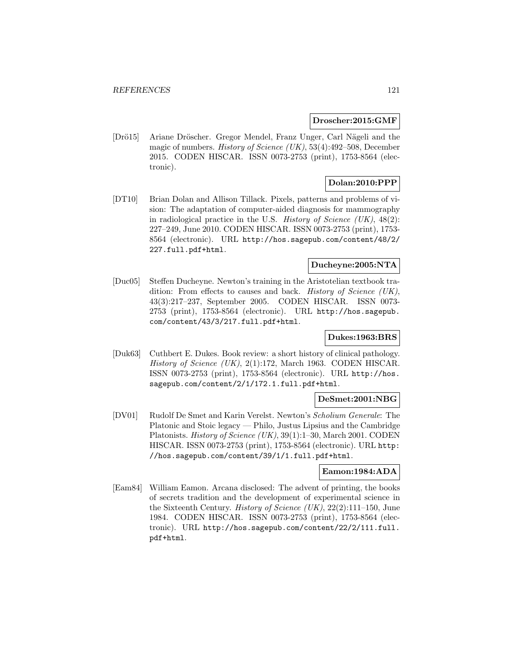#### **Droscher:2015:GMF**

[Drö15] Ariane Dröscher. Gregor Mendel, Franz Unger, Carl Nägeli and the magic of numbers. History of Science (UK), 53(4):492–508, December 2015. CODEN HISCAR. ISSN 0073-2753 (print), 1753-8564 (electronic).

# **Dolan:2010:PPP**

[DT10] Brian Dolan and Allison Tillack. Pixels, patterns and problems of vision: The adaptation of computer-aided diagnosis for mammography in radiological practice in the U.S. *History of Science (UK)*,  $48(2)$ : 227–249, June 2010. CODEN HISCAR. ISSN 0073-2753 (print), 1753- 8564 (electronic). URL http://hos.sagepub.com/content/48/2/ 227.full.pdf+html.

# **Ducheyne:2005:NTA**

[Duc05] Steffen Ducheyne. Newton's training in the Aristotelian textbook tradition: From effects to causes and back. History of Science (UK), 43(3):217–237, September 2005. CODEN HISCAR. ISSN 0073- 2753 (print), 1753-8564 (electronic). URL http://hos.sagepub. com/content/43/3/217.full.pdf+html.

## **Dukes:1963:BRS**

[Duk63] Cuthbert E. Dukes. Book review: a short history of clinical pathology. History of Science (UK), 2(1):172, March 1963. CODEN HISCAR. ISSN 0073-2753 (print), 1753-8564 (electronic). URL http://hos. sagepub.com/content/2/1/172.1.full.pdf+html.

### **DeSmet:2001:NBG**

[DV01] Rudolf De Smet and Karin Verelst. Newton's Scholium Generale: The Platonic and Stoic legacy — Philo, Justus Lipsius and the Cambridge Platonists. History of Science (UK), 39(1):1–30, March 2001. CODEN HISCAR. ISSN 0073-2753 (print), 1753-8564 (electronic). URL http: //hos.sagepub.com/content/39/1/1.full.pdf+html.

### **Eamon:1984:ADA**

[Eam84] William Eamon. Arcana disclosed: The advent of printing, the books of secrets tradition and the development of experimental science in the Sixteenth Century. History of Science (UK), 22(2):111–150, June 1984. CODEN HISCAR. ISSN 0073-2753 (print), 1753-8564 (electronic). URL http://hos.sagepub.com/content/22/2/111.full. pdf+html.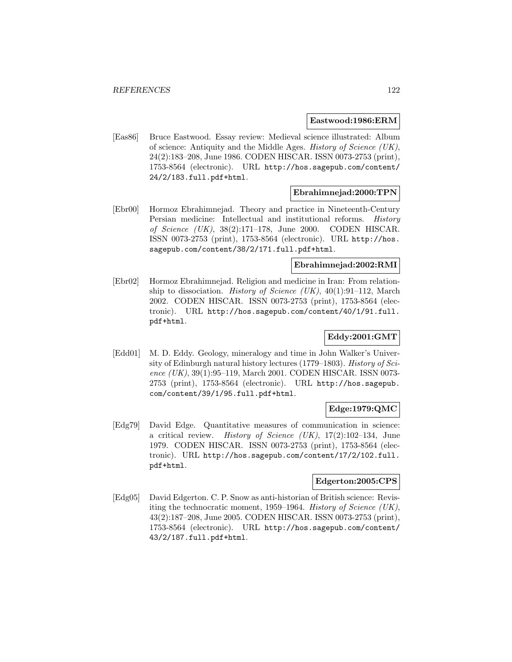#### **Eastwood:1986:ERM**

[Eas86] Bruce Eastwood. Essay review: Medieval science illustrated: Album of science: Antiquity and the Middle Ages. History of Science (UK), 24(2):183–208, June 1986. CODEN HISCAR. ISSN 0073-2753 (print), 1753-8564 (electronic). URL http://hos.sagepub.com/content/ 24/2/183.full.pdf+html.

### **Ebrahimnejad:2000:TPN**

[Ebr00] Hormoz Ebrahimnejad. Theory and practice in Nineteenth-Century Persian medicine: Intellectual and institutional reforms. History of Science (UK), 38(2):171–178, June 2000. CODEN HISCAR. ISSN 0073-2753 (print), 1753-8564 (electronic). URL http://hos. sagepub.com/content/38/2/171.full.pdf+html.

### **Ebrahimnejad:2002:RMI**

[Ebr02] Hormoz Ebrahimnejad. Religion and medicine in Iran: From relationship to dissociation. *History of Science (UK)*,  $40(1):91-112$ , March 2002. CODEN HISCAR. ISSN 0073-2753 (print), 1753-8564 (electronic). URL http://hos.sagepub.com/content/40/1/91.full. pdf+html.

## **Eddy:2001:GMT**

[Edd01] M. D. Eddy. Geology, mineralogy and time in John Walker's University of Edinburgh natural history lectures (1779–1803). History of Science (UK), 39(1):95–119, March 2001. CODEN HISCAR. ISSN 0073-2753 (print), 1753-8564 (electronic). URL http://hos.sagepub. com/content/39/1/95.full.pdf+html.

### **Edge:1979:QMC**

[Edg79] David Edge. Quantitative measures of communication in science: a critical review. *History of Science (UK)*,  $17(2):102-134$ , June 1979. CODEN HISCAR. ISSN 0073-2753 (print), 1753-8564 (electronic). URL http://hos.sagepub.com/content/17/2/102.full. pdf+html.

### **Edgerton:2005:CPS**

[Edg05] David Edgerton. C. P. Snow as anti-historian of British science: Revisiting the technocratic moment, 1959–1964. History of Science (UK), 43(2):187–208, June 2005. CODEN HISCAR. ISSN 0073-2753 (print), 1753-8564 (electronic). URL http://hos.sagepub.com/content/ 43/2/187.full.pdf+html.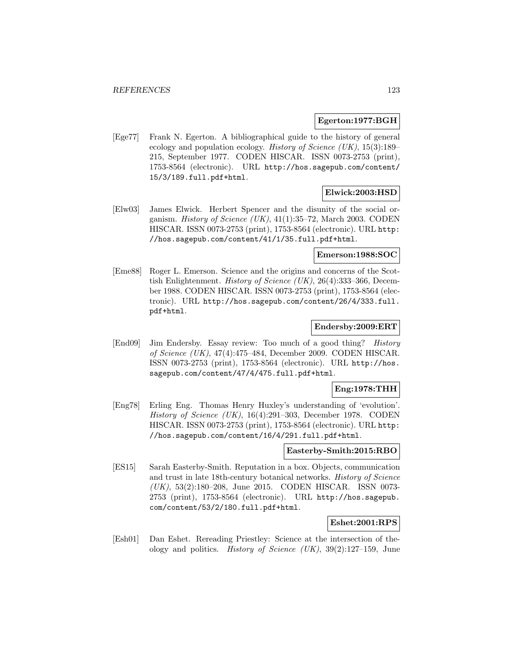#### **Egerton:1977:BGH**

[Ege77] Frank N. Egerton. A bibliographical guide to the history of general ecology and population ecology. History of Science  $(UK)$ , 15(3):189– 215, September 1977. CODEN HISCAR. ISSN 0073-2753 (print), 1753-8564 (electronic). URL http://hos.sagepub.com/content/ 15/3/189.full.pdf+html.

### **Elwick:2003:HSD**

[Elw03] James Elwick. Herbert Spencer and the disunity of the social organism. History of Science  $(UK), 41(1):35-72$ , March 2003. CODEN HISCAR. ISSN 0073-2753 (print), 1753-8564 (electronic). URL http: //hos.sagepub.com/content/41/1/35.full.pdf+html.

### **Emerson:1988:SOC**

[Eme88] Roger L. Emerson. Science and the origins and concerns of the Scottish Enlightenment. History of Science (UK), 26(4):333–366, December 1988. CODEN HISCAR. ISSN 0073-2753 (print), 1753-8564 (electronic). URL http://hos.sagepub.com/content/26/4/333.full. pdf+html.

### **Endersby:2009:ERT**

[End09] Jim Endersby. Essay review: Too much of a good thing? History of Science (UK), 47(4):475–484, December 2009. CODEN HISCAR. ISSN 0073-2753 (print), 1753-8564 (electronic). URL http://hos. sagepub.com/content/47/4/475.full.pdf+html.

#### **Eng:1978:THH**

[Eng78] Erling Eng. Thomas Henry Huxley's understanding of 'evolution'. History of Science (UK), 16(4):291–303, December 1978. CODEN HISCAR. ISSN 0073-2753 (print), 1753-8564 (electronic). URL http: //hos.sagepub.com/content/16/4/291.full.pdf+html.

### **Easterby-Smith:2015:RBO**

[ES15] Sarah Easterby-Smith. Reputation in a box. Objects, communication and trust in late 18th-century botanical networks. History of Science (UK), 53(2):180–208, June 2015. CODEN HISCAR. ISSN 0073- 2753 (print), 1753-8564 (electronic). URL http://hos.sagepub. com/content/53/2/180.full.pdf+html.

## **Eshet:2001:RPS**

[Esh01] Dan Eshet. Rereading Priestley: Science at the intersection of theology and politics. *History of Science (UK)*,  $39(2):127-159$ , June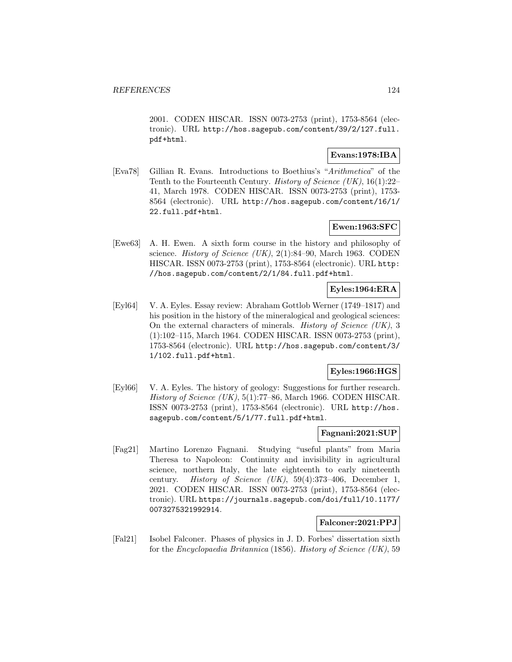2001. CODEN HISCAR. ISSN 0073-2753 (print), 1753-8564 (electronic). URL http://hos.sagepub.com/content/39/2/127.full. pdf+html.

### **Evans:1978:IBA**

[Eva78] Gillian R. Evans. Introductions to Boethius's "Arithmetica" of the Tenth to the Fourteenth Century. History of Science (UK), 16(1):22– 41, March 1978. CODEN HISCAR. ISSN 0073-2753 (print), 1753- 8564 (electronic). URL http://hos.sagepub.com/content/16/1/ 22.full.pdf+html.

### **Ewen:1963:SFC**

[Ewe63] A. H. Ewen. A sixth form course in the history and philosophy of science. *History of Science* (UK),  $2(1):84-90$ , March 1963. CODEN HISCAR. ISSN 0073-2753 (print), 1753-8564 (electronic). URL http: //hos.sagepub.com/content/2/1/84.full.pdf+html.

# **Eyles:1964:ERA**

[Eyl64] V. A. Eyles. Essay review: Abraham Gottlob Werner (1749–1817) and his position in the history of the mineralogical and geological sciences: On the external characters of minerals. History of Science (UK), 3 (1):102–115, March 1964. CODEN HISCAR. ISSN 0073-2753 (print), 1753-8564 (electronic). URL http://hos.sagepub.com/content/3/ 1/102.full.pdf+html.

### **Eyles:1966:HGS**

[Eyl66] V. A. Eyles. The history of geology: Suggestions for further research. History of Science (UK), 5(1):77–86, March 1966. CODEN HISCAR. ISSN 0073-2753 (print), 1753-8564 (electronic). URL http://hos. sagepub.com/content/5/1/77.full.pdf+html.

### **Fagnani:2021:SUP**

[Fag21] Martino Lorenzo Fagnani. Studying "useful plants" from Maria Theresa to Napoleon: Continuity and invisibility in agricultural science, northern Italy, the late eighteenth to early nineteenth century. History of Science (UK), 59(4):373–406, December 1, 2021. CODEN HISCAR. ISSN 0073-2753 (print), 1753-8564 (electronic). URL https://journals.sagepub.com/doi/full/10.1177/ 0073275321992914.

## **Falconer:2021:PPJ**

[Fal21] Isobel Falconer. Phases of physics in J. D. Forbes' dissertation sixth for the Encyclopaedia Britannica (1856). History of Science (UK), 59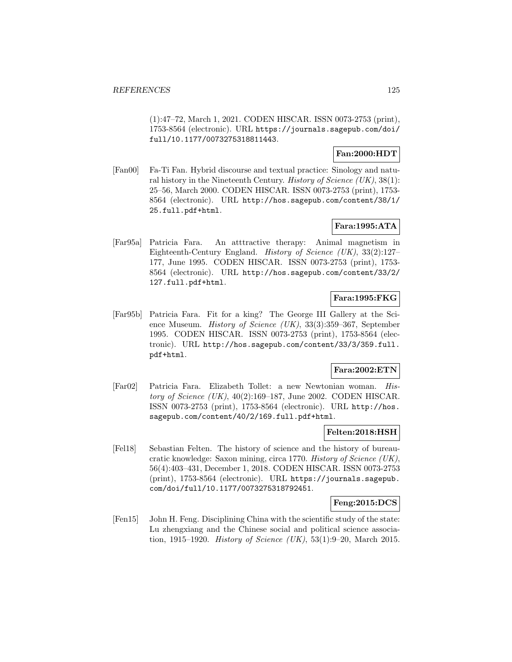(1):47–72, March 1, 2021. CODEN HISCAR. ISSN 0073-2753 (print), 1753-8564 (electronic). URL https://journals.sagepub.com/doi/ full/10.1177/0073275318811443.

### **Fan:2000:HDT**

[Fan00] Fa-Ti Fan. Hybrid discourse and textual practice: Sinology and natural history in the Nineteenth Century. *History of Science* (UK),  $38(1)$ : 25–56, March 2000. CODEN HISCAR. ISSN 0073-2753 (print), 1753- 8564 (electronic). URL http://hos.sagepub.com/content/38/1/ 25.full.pdf+html.

## **Fara:1995:ATA**

[Far95a] Patricia Fara. An atttractive therapy: Animal magnetism in Eighteenth-Century England. History of Science (UK), 33(2):127– 177, June 1995. CODEN HISCAR. ISSN 0073-2753 (print), 1753- 8564 (electronic). URL http://hos.sagepub.com/content/33/2/ 127.full.pdf+html.

# **Fara:1995:FKG**

[Far95b] Patricia Fara. Fit for a king? The George III Gallery at the Science Museum. History of Science (UK), 33(3):359–367, September 1995. CODEN HISCAR. ISSN 0073-2753 (print), 1753-8564 (electronic). URL http://hos.sagepub.com/content/33/3/359.full. pdf+html.

### **Fara:2002:ETN**

[Far02] Patricia Fara. Elizabeth Tollet: a new Newtonian woman. History of Science  $(UK)$ , 40(2):169–187, June 2002. CODEN HISCAR. ISSN 0073-2753 (print), 1753-8564 (electronic). URL http://hos. sagepub.com/content/40/2/169.full.pdf+html.

### **Felten:2018:HSH**

[Fel18] Sebastian Felten. The history of science and the history of bureaucratic knowledge: Saxon mining, circa 1770. History of Science (UK), 56(4):403–431, December 1, 2018. CODEN HISCAR. ISSN 0073-2753 (print), 1753-8564 (electronic). URL https://journals.sagepub. com/doi/full/10.1177/0073275318792451.

## **Feng:2015:DCS**

[Fen15] John H. Feng. Disciplining China with the scientific study of the state: Lu zhengxiang and the Chinese social and political science association, 1915–1920. *History of Science (UK)*, 53(1):9–20, March 2015.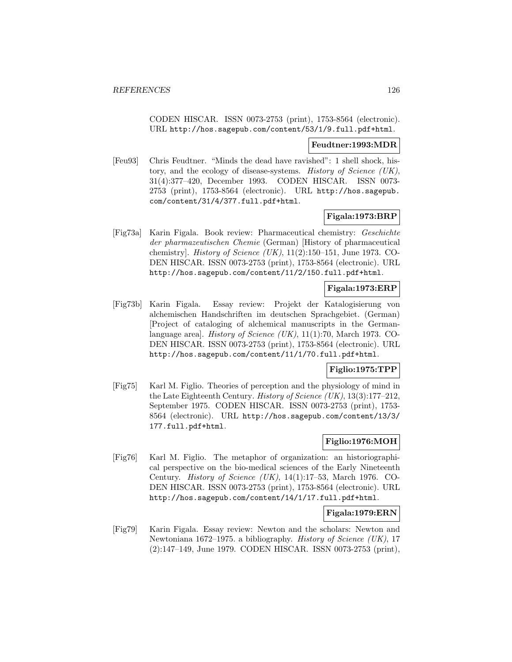CODEN HISCAR. ISSN 0073-2753 (print), 1753-8564 (electronic). URL http://hos.sagepub.com/content/53/1/9.full.pdf+html.

#### **Feudtner:1993:MDR**

[Feu93] Chris Feudtner. "Minds the dead have ravished": 1 shell shock, history, and the ecology of disease-systems. History of Science (UK), 31(4):377–420, December 1993. CODEN HISCAR. ISSN 0073- 2753 (print), 1753-8564 (electronic). URL http://hos.sagepub. com/content/31/4/377.full.pdf+html.

### **Figala:1973:BRP**

[Fig73a] Karin Figala. Book review: Pharmaceutical chemistry: Geschichte der pharmazeutischen Chemie (German) [History of pharmaceutical chemistry]. *History of Science (UK)*,  $11(2):150-151$ , June 1973. CO-DEN HISCAR. ISSN 0073-2753 (print), 1753-8564 (electronic). URL http://hos.sagepub.com/content/11/2/150.full.pdf+html.

### **Figala:1973:ERP**

[Fig73b] Karin Figala. Essay review: Projekt der Katalogisierung von alchemischen Handschriften im deutschen Sprachgebiet. (German) [Project of cataloging of alchemical manuscripts in the Germanlanguage area]. History of Science (UK), 11(1):70, March 1973. CO-DEN HISCAR. ISSN 0073-2753 (print), 1753-8564 (electronic). URL http://hos.sagepub.com/content/11/1/70.full.pdf+html.

# **Figlio:1975:TPP**

[Fig75] Karl M. Figlio. Theories of perception and the physiology of mind in the Late Eighteenth Century. History of Science (UK), 13(3):177–212, September 1975. CODEN HISCAR. ISSN 0073-2753 (print), 1753- 8564 (electronic). URL http://hos.sagepub.com/content/13/3/ 177.full.pdf+html.

# **Figlio:1976:MOH**

[Fig76] Karl M. Figlio. The metaphor of organization: an historiographical perspective on the bio-medical sciences of the Early Nineteenth Century. History of Science (UK), 14(1):17–53, March 1976. CO-DEN HISCAR. ISSN 0073-2753 (print), 1753-8564 (electronic). URL http://hos.sagepub.com/content/14/1/17.full.pdf+html.

### **Figala:1979:ERN**

[Fig79] Karin Figala. Essay review: Newton and the scholars: Newton and Newtoniana 1672–1975. a bibliography. History of Science (UK), 17 (2):147–149, June 1979. CODEN HISCAR. ISSN 0073-2753 (print),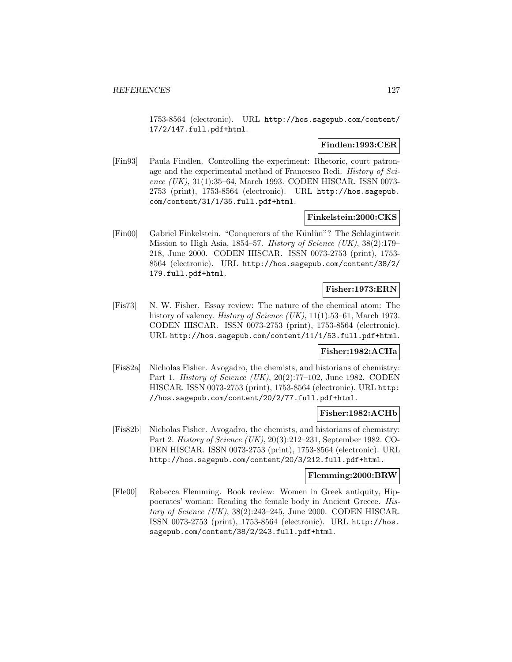1753-8564 (electronic). URL http://hos.sagepub.com/content/ 17/2/147.full.pdf+html.

### **Findlen:1993:CER**

[Fin93] Paula Findlen. Controlling the experiment: Rhetoric, court patronage and the experimental method of Francesco Redi. History of Science (UK), 31(1):35–64, March 1993. CODEN HISCAR. ISSN 0073-2753 (print), 1753-8564 (electronic). URL http://hos.sagepub. com/content/31/1/35.full.pdf+html.

### **Finkelstein:2000:CKS**

[Fin00] Gabriel Finkelstein. "Conquerors of the Künlün"? The Schlagintweit Mission to High Asia, 1854–57. History of Science (UK), 38(2):179– 218, June 2000. CODEN HISCAR. ISSN 0073-2753 (print), 1753- 8564 (electronic). URL http://hos.sagepub.com/content/38/2/ 179.full.pdf+html.

## **Fisher:1973:ERN**

[Fis73] N. W. Fisher. Essay review: The nature of the chemical atom: The history of valency. *History of Science (UK)*, 11(1):53–61, March 1973. CODEN HISCAR. ISSN 0073-2753 (print), 1753-8564 (electronic). URL http://hos.sagepub.com/content/11/1/53.full.pdf+html.

### **Fisher:1982:ACHa**

[Fis82a] Nicholas Fisher. Avogadro, the chemists, and historians of chemistry: Part 1. History of Science (UK), 20(2):77–102, June 1982. CODEN HISCAR. ISSN 0073-2753 (print), 1753-8564 (electronic). URL http: //hos.sagepub.com/content/20/2/77.full.pdf+html.

### **Fisher:1982:ACHb**

[Fis82b] Nicholas Fisher. Avogadro, the chemists, and historians of chemistry: Part 2. History of Science (UK), 20(3):212–231, September 1982. CO-DEN HISCAR. ISSN 0073-2753 (print), 1753-8564 (electronic). URL http://hos.sagepub.com/content/20/3/212.full.pdf+html.

### **Flemming:2000:BRW**

[Fle00] Rebecca Flemming. Book review: Women in Greek antiquity, Hippocrates' woman: Reading the female body in Ancient Greece. History of Science (UK), 38(2):243–245, June 2000. CODEN HISCAR. ISSN 0073-2753 (print), 1753-8564 (electronic). URL http://hos. sagepub.com/content/38/2/243.full.pdf+html.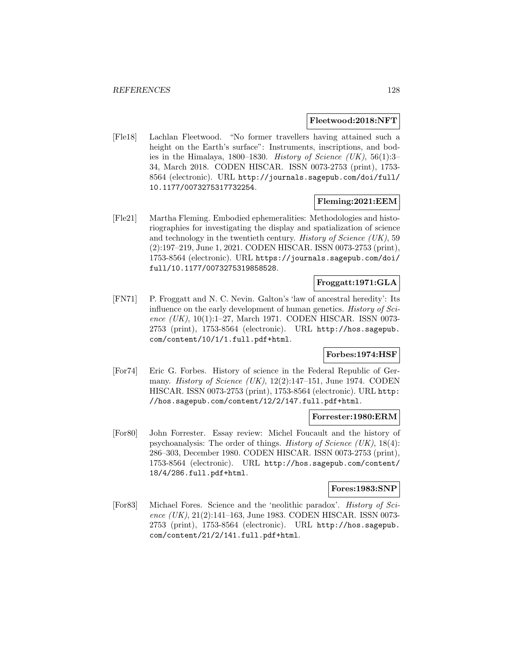#### **Fleetwood:2018:NFT**

[Fle18] Lachlan Fleetwood. "No former travellers having attained such a height on the Earth's surface": Instruments, inscriptions, and bodies in the Himalaya, 1800–1830. *History of Science (UK)*, 56(1):3– 34, March 2018. CODEN HISCAR. ISSN 0073-2753 (print), 1753- 8564 (electronic). URL http://journals.sagepub.com/doi/full/ 10.1177/0073275317732254.

### **Fleming:2021:EEM**

[Fle21] Martha Fleming. Embodied ephemeralities: Methodologies and historiographies for investigating the display and spatialization of science and technology in the twentieth century. History of Science  $(UK)$ , 59 (2):197–219, June 1, 2021. CODEN HISCAR. ISSN 0073-2753 (print), 1753-8564 (electronic). URL https://journals.sagepub.com/doi/ full/10.1177/0073275319858528.

### **Froggatt:1971:GLA**

[FN71] P. Froggatt and N. C. Nevin. Galton's 'law of ancestral heredity': Its influence on the early development of human genetics. History of Science (UK), 10(1):1–27, March 1971. CODEN HISCAR. ISSN 0073-2753 (print), 1753-8564 (electronic). URL http://hos.sagepub. com/content/10/1/1.full.pdf+html.

### **Forbes:1974:HSF**

[For74] Eric G. Forbes. History of science in the Federal Republic of Germany. *History of Science (UK)*,  $12(2):147-151$ , June 1974. CODEN HISCAR. ISSN 0073-2753 (print), 1753-8564 (electronic). URL http: //hos.sagepub.com/content/12/2/147.full.pdf+html.

### **Forrester:1980:ERM**

[For80] John Forrester. Essay review: Michel Foucault and the history of psychoanalysis: The order of things. *History of Science (UK)*,  $18(4)$ : 286–303, December 1980. CODEN HISCAR. ISSN 0073-2753 (print), 1753-8564 (electronic). URL http://hos.sagepub.com/content/ 18/4/286.full.pdf+html.

#### **Fores:1983:SNP**

[For83] Michael Fores. Science and the 'neolithic paradox'. History of Science (UK), 21(2):141-163, June 1983. CODEN HISCAR. ISSN 0073-2753 (print), 1753-8564 (electronic). URL http://hos.sagepub. com/content/21/2/141.full.pdf+html.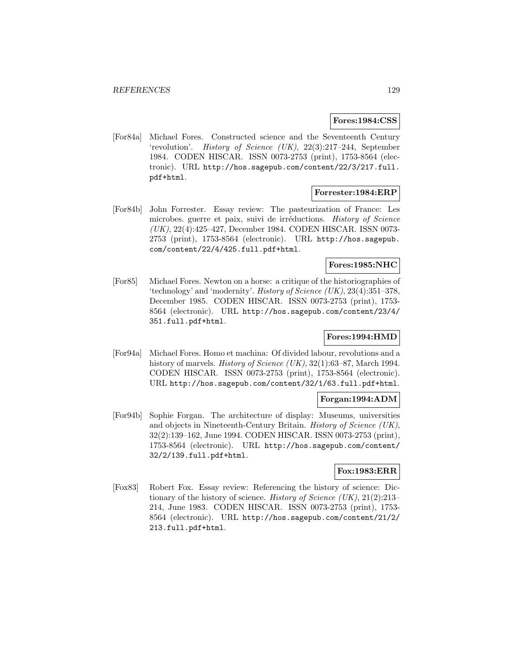#### **Fores:1984:CSS**

[For84a] Michael Fores. Constructed science and the Seventeenth Century 'revolution'. History of Science (UK), 22(3):217–244, September 1984. CODEN HISCAR. ISSN 0073-2753 (print), 1753-8564 (electronic). URL http://hos.sagepub.com/content/22/3/217.full. pdf+html.

### **Forrester:1984:ERP**

[For84b] John Forrester. Essay review: The pasteurization of France: Les microbes. guerre et paix, suivi de irréductions. History of Science (UK), 22(4):425–427, December 1984. CODEN HISCAR. ISSN 0073- 2753 (print), 1753-8564 (electronic). URL http://hos.sagepub. com/content/22/4/425.full.pdf+html.

## **Fores:1985:NHC**

[For85] Michael Fores. Newton on a horse: a critique of the historiographies of 'technology' and 'modernity'. History of Science (UK), 23(4):351–378, December 1985. CODEN HISCAR. ISSN 0073-2753 (print), 1753- 8564 (electronic). URL http://hos.sagepub.com/content/23/4/ 351.full.pdf+html.

## **Fores:1994:HMD**

[For94a] Michael Fores. Homo et machina: Of divided labour, revolutions and a history of marvels. *History of Science (UK)*, 32(1):63–87, March 1994. CODEN HISCAR. ISSN 0073-2753 (print), 1753-8564 (electronic). URL http://hos.sagepub.com/content/32/1/63.full.pdf+html.

### **Forgan:1994:ADM**

[For94b] Sophie Forgan. The architecture of display: Museums, universities and objects in Nineteenth-Century Britain. History of Science (UK), 32(2):139–162, June 1994. CODEN HISCAR. ISSN 0073-2753 (print), 1753-8564 (electronic). URL http://hos.sagepub.com/content/ 32/2/139.full.pdf+html.

### **Fox:1983:ERR**

[Fox83] Robert Fox. Essay review: Referencing the history of science: Dictionary of the history of science. History of Science  $(UK), 21(2):213-$ 214, June 1983. CODEN HISCAR. ISSN 0073-2753 (print), 1753- 8564 (electronic). URL http://hos.sagepub.com/content/21/2/ 213.full.pdf+html.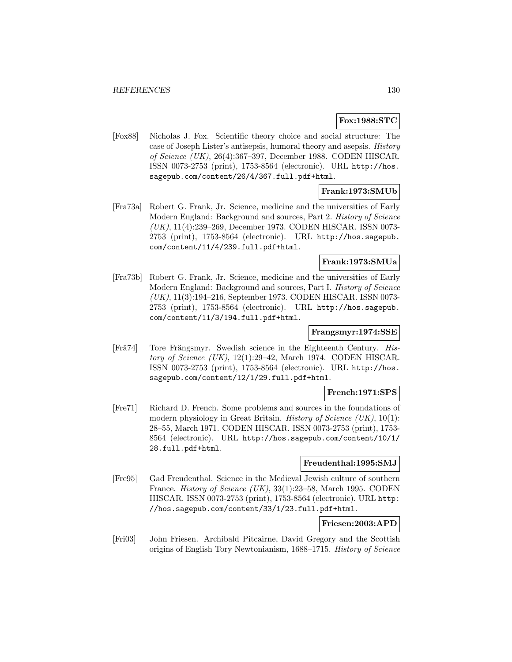# **Fox:1988:STC**

[Fox88] Nicholas J. Fox. Scientific theory choice and social structure: The case of Joseph Lister's antisepsis, humoral theory and asepsis. History of Science (UK), 26(4):367–397, December 1988. CODEN HISCAR. ISSN 0073-2753 (print), 1753-8564 (electronic). URL http://hos. sagepub.com/content/26/4/367.full.pdf+html.

### **Frank:1973:SMUb**

[Fra73a] Robert G. Frank, Jr. Science, medicine and the universities of Early Modern England: Background and sources, Part 2. History of Science (UK), 11(4):239–269, December 1973. CODEN HISCAR. ISSN 0073- 2753 (print), 1753-8564 (electronic). URL http://hos.sagepub. com/content/11/4/239.full.pdf+html.

### **Frank:1973:SMUa**

[Fra73b] Robert G. Frank, Jr. Science, medicine and the universities of Early Modern England: Background and sources, Part I. History of Science (UK), 11(3):194–216, September 1973. CODEN HISCAR. ISSN 0073- 2753 (print), 1753-8564 (electronic). URL http://hos.sagepub. com/content/11/3/194.full.pdf+html.

### **Frangsmyr:1974:SSE**

[Frä $74$ ] Tore Frängsmyr. Swedish science in the Eighteenth Century. History of Science  $(UK)$ , 12(1):29–42, March 1974. CODEN HISCAR. ISSN 0073-2753 (print), 1753-8564 (electronic). URL http://hos. sagepub.com/content/12/1/29.full.pdf+html.

### **French:1971:SPS**

[Fre71] Richard D. French. Some problems and sources in the foundations of modern physiology in Great Britain. *History of Science (UK)*, 10(1): 28–55, March 1971. CODEN HISCAR. ISSN 0073-2753 (print), 1753- 8564 (electronic). URL http://hos.sagepub.com/content/10/1/ 28.full.pdf+html.

#### **Freudenthal:1995:SMJ**

[Fre95] Gad Freudenthal. Science in the Medieval Jewish culture of southern France. History of Science (UK), 33(1):23–58, March 1995. CODEN HISCAR. ISSN 0073-2753 (print), 1753-8564 (electronic). URL http: //hos.sagepub.com/content/33/1/23.full.pdf+html.

### **Friesen:2003:APD**

[Fri03] John Friesen. Archibald Pitcairne, David Gregory and the Scottish origins of English Tory Newtonianism, 1688–1715. History of Science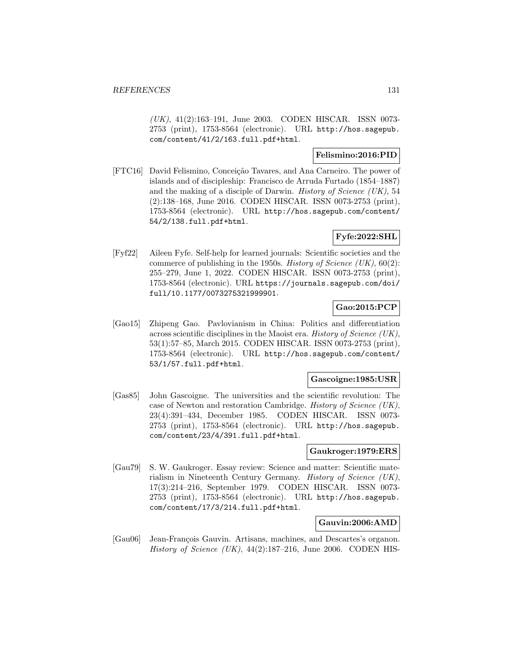(UK), 41(2):163–191, June 2003. CODEN HISCAR. ISSN 0073- 2753 (print), 1753-8564 (electronic). URL http://hos.sagepub. com/content/41/2/163.full.pdf+html.

## **Felismino:2016:PID**

[FTC16] David Felismino, Conceição Tavares, and Ana Carneiro. The power of islands and of discipleship: Francisco de Arruda Furtado (1854–1887) and the making of a disciple of Darwin. *History of Science (UK)*, 54 (2):138–168, June 2016. CODEN HISCAR. ISSN 0073-2753 (print), 1753-8564 (electronic). URL http://hos.sagepub.com/content/ 54/2/138.full.pdf+html.

## **Fyfe:2022:SHL**

[Fyf22] Aileen Fyfe. Self-help for learned journals: Scientific societies and the commerce of publishing in the 1950s. History of Science  $(UK), 60(2)$ : 255–279, June 1, 2022. CODEN HISCAR. ISSN 0073-2753 (print), 1753-8564 (electronic). URL https://journals.sagepub.com/doi/ full/10.1177/0073275321999901.

# **Gao:2015:PCP**

[Gao15] Zhipeng Gao. Pavlovianism in China: Politics and differentiation across scientific disciplines in the Maoist era. History of Science (UK), 53(1):57–85, March 2015. CODEN HISCAR. ISSN 0073-2753 (print), 1753-8564 (electronic). URL http://hos.sagepub.com/content/ 53/1/57.full.pdf+html.

#### **Gascoigne:1985:USR**

[Gas85] John Gascoigne. The universities and the scientific revolution: The case of Newton and restoration Cambridge. History of Science (UK), 23(4):391–434, December 1985. CODEN HISCAR. ISSN 0073- 2753 (print), 1753-8564 (electronic). URL http://hos.sagepub. com/content/23/4/391.full.pdf+html.

#### **Gaukroger:1979:ERS**

[Gau79] S. W. Gaukroger. Essay review: Science and matter: Scientific materialism in Nineteenth Century Germany. History of Science (UK), 17(3):214–216, September 1979. CODEN HISCAR. ISSN 0073- 2753 (print), 1753-8564 (electronic). URL http://hos.sagepub. com/content/17/3/214.full.pdf+html.

### **Gauvin:2006:AMD**

[Gau06] Jean-François Gauvin. Artisans, machines, and Descartes's organon. History of Science  $(UK)$ , 44(2):187–216, June 2006. CODEN HIS-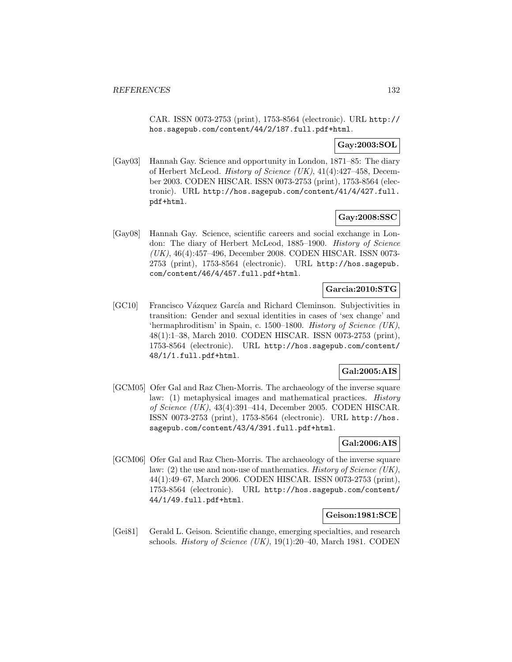CAR. ISSN 0073-2753 (print), 1753-8564 (electronic). URL http:// hos.sagepub.com/content/44/2/187.full.pdf+html.

## **Gay:2003:SOL**

[Gay03] Hannah Gay. Science and opportunity in London, 1871–85: The diary of Herbert McLeod. History of Science (UK), 41(4):427–458, December 2003. CODEN HISCAR. ISSN 0073-2753 (print), 1753-8564 (electronic). URL http://hos.sagepub.com/content/41/4/427.full. pdf+html.

# **Gay:2008:SSC**

[Gay08] Hannah Gay. Science, scientific careers and social exchange in London: The diary of Herbert McLeod, 1885–1900. History of Science (UK), 46(4):457–496, December 2008. CODEN HISCAR. ISSN 0073- 2753 (print), 1753-8564 (electronic). URL http://hos.sagepub. com/content/46/4/457.full.pdf+html.

# **Garcia:2010:STG**

[GC10] Francisco Vázquez García and Richard Cleminson. Subjectivities in transition: Gender and sexual identities in cases of 'sex change' and 'hermaphroditism' in Spain, c. 1500–1800. History of Science (UK), 48(1):1–38, March 2010. CODEN HISCAR. ISSN 0073-2753 (print), 1753-8564 (electronic). URL http://hos.sagepub.com/content/ 48/1/1.full.pdf+html.

# **Gal:2005:AIS**

[GCM05] Ofer Gal and Raz Chen-Morris. The archaeology of the inverse square law: (1) metaphysical images and mathematical practices. History of Science (UK), 43(4):391–414, December 2005. CODEN HISCAR. ISSN 0073-2753 (print), 1753-8564 (electronic). URL http://hos. sagepub.com/content/43/4/391.full.pdf+html.

## **Gal:2006:AIS**

[GCM06] Ofer Gal and Raz Chen-Morris. The archaeology of the inverse square law: (2) the use and non-use of mathematics. History of Science (UK), 44(1):49–67, March 2006. CODEN HISCAR. ISSN 0073-2753 (print), 1753-8564 (electronic). URL http://hos.sagepub.com/content/ 44/1/49.full.pdf+html.

### **Geison:1981:SCE**

[Gei81] Gerald L. Geison. Scientific change, emerging specialties, and research schools. History of Science  $(UK)$ , 19(1):20–40, March 1981. CODEN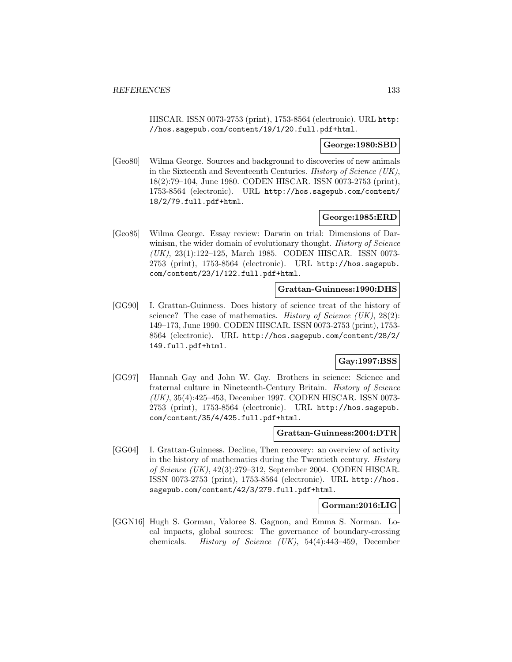HISCAR. ISSN 0073-2753 (print), 1753-8564 (electronic). URL http: //hos.sagepub.com/content/19/1/20.full.pdf+html.

#### **George:1980:SBD**

[Geo80] Wilma George. Sources and background to discoveries of new animals in the Sixteenth and Seventeenth Centuries. History of Science (UK), 18(2):79–104, June 1980. CODEN HISCAR. ISSN 0073-2753 (print), 1753-8564 (electronic). URL http://hos.sagepub.com/content/ 18/2/79.full.pdf+html.

#### **George:1985:ERD**

[Geo85] Wilma George. Essay review: Darwin on trial: Dimensions of Darwinism, the wider domain of evolutionary thought. History of Science (UK), 23(1):122–125, March 1985. CODEN HISCAR. ISSN 0073- 2753 (print), 1753-8564 (electronic). URL http://hos.sagepub. com/content/23/1/122.full.pdf+html.

### **Grattan-Guinness:1990:DHS**

[GG90] I. Grattan-Guinness. Does history of science treat of the history of science? The case of mathematics. *History of Science (UK)*,  $28(2)$ : 149–173, June 1990. CODEN HISCAR. ISSN 0073-2753 (print), 1753- 8564 (electronic). URL http://hos.sagepub.com/content/28/2/ 149.full.pdf+html.

### **Gay:1997:BSS**

[GG97] Hannah Gay and John W. Gay. Brothers in science: Science and fraternal culture in Nineteenth-Century Britain. History of Science (UK), 35(4):425–453, December 1997. CODEN HISCAR. ISSN 0073- 2753 (print), 1753-8564 (electronic). URL http://hos.sagepub. com/content/35/4/425.full.pdf+html.

#### **Grattan-Guinness:2004:DTR**

[GG04] I. Grattan-Guinness. Decline, Then recovery: an overview of activity in the history of mathematics during the Twentieth century. History of Science (UK), 42(3):279–312, September 2004. CODEN HISCAR. ISSN 0073-2753 (print), 1753-8564 (electronic). URL http://hos. sagepub.com/content/42/3/279.full.pdf+html.

### **Gorman:2016:LIG**

[GGN16] Hugh S. Gorman, Valoree S. Gagnon, and Emma S. Norman. Local impacts, global sources: The governance of boundary-crossing chemicals. History of Science (UK), 54(4):443–459, December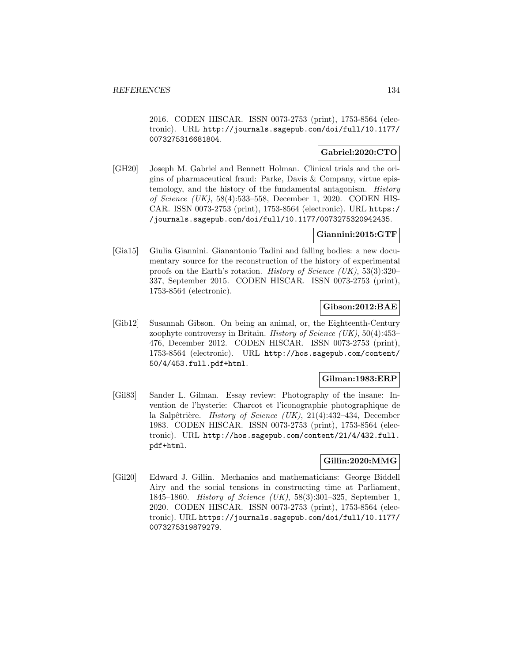2016. CODEN HISCAR. ISSN 0073-2753 (print), 1753-8564 (electronic). URL http://journals.sagepub.com/doi/full/10.1177/ 0073275316681804.

## **Gabriel:2020:CTO**

[GH20] Joseph M. Gabriel and Bennett Holman. Clinical trials and the origins of pharmaceutical fraud: Parke, Davis & Company, virtue epistemology, and the history of the fundamental antagonism. History of Science (UK), 58(4):533–558, December 1, 2020. CODEN HIS-CAR. ISSN 0073-2753 (print), 1753-8564 (electronic). URL https:/ /journals.sagepub.com/doi/full/10.1177/0073275320942435.

### **Giannini:2015:GTF**

[Gia15] Giulia Giannini. Gianantonio Tadini and falling bodies: a new documentary source for the reconstruction of the history of experimental proofs on the Earth's rotation. History of Science (UK), 53(3):320– 337, September 2015. CODEN HISCAR. ISSN 0073-2753 (print), 1753-8564 (electronic).

## **Gibson:2012:BAE**

[Gib12] Susannah Gibson. On being an animal, or, the Eighteenth-Century zoophyte controversy in Britain. History of Science  $(UK)$ , 50(4):453– 476, December 2012. CODEN HISCAR. ISSN 0073-2753 (print), 1753-8564 (electronic). URL http://hos.sagepub.com/content/ 50/4/453.full.pdf+html.

### **Gilman:1983:ERP**

[Gil83] Sander L. Gilman. Essay review: Photography of the insane: Invention de l'hysterie: Charcot et l'iconographie photographique de la Salpêtrière. History of Science (UK),  $21(4):432-434$ , December 1983. CODEN HISCAR. ISSN 0073-2753 (print), 1753-8564 (electronic). URL http://hos.sagepub.com/content/21/4/432.full. pdf+html.

## **Gillin:2020:MMG**

[Gil20] Edward J. Gillin. Mechanics and mathematicians: George Biddell Airy and the social tensions in constructing time at Parliament, 1845–1860. History of Science (UK), 58(3):301–325, September 1, 2020. CODEN HISCAR. ISSN 0073-2753 (print), 1753-8564 (electronic). URL https://journals.sagepub.com/doi/full/10.1177/ 0073275319879279.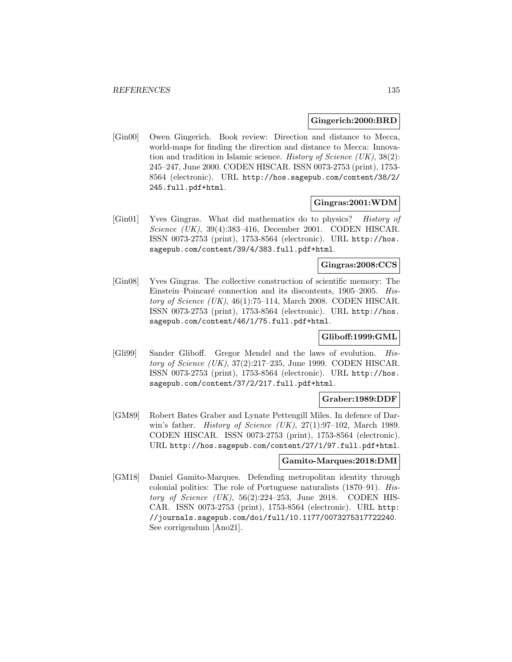#### **Gingerich:2000:BRD**

[Gin00] Owen Gingerich. Book review: Direction and distance to Mecca, world-maps for finding the direction and distance to Mecca: Innovation and tradition in Islamic science. History of Science  $(UK)$ , 38(2): 245–247, June 2000. CODEN HISCAR. ISSN 0073-2753 (print), 1753- 8564 (electronic). URL http://hos.sagepub.com/content/38/2/ 245.full.pdf+html.

### **Gingras:2001:WDM**

[Gin01] Yves Gingras. What did mathematics do to physics? History of Science (UK), 39(4):383-416, December 2001. CODEN HISCAR. ISSN 0073-2753 (print), 1753-8564 (electronic). URL http://hos. sagepub.com/content/39/4/383.full.pdf+html.

## **Gingras:2008:CCS**

[Gin08] Yves Gingras. The collective construction of scientific memory: The Einstein–Poincaré connection and its discontents, 1905–2005. History of Science (UK), 46(1):75–114, March 2008. CODEN HISCAR. ISSN 0073-2753 (print), 1753-8564 (electronic). URL http://hos. sagepub.com/content/46/1/75.full.pdf+html.

### **Gliboff:1999:GML**

[Gli99] Sander Gliboff. Gregor Mendel and the laws of evolution. History of Science (UK), 37(2):217–235, June 1999. CODEN HISCAR. ISSN 0073-2753 (print), 1753-8564 (electronic). URL http://hos. sagepub.com/content/37/2/217.full.pdf+html.

#### **Graber:1989:DDF**

[GM89] Robert Bates Graber and Lynate Pettengill Miles. In defence of Darwin's father. *History of Science (UK)*,  $27(1):97-102$ , March 1989. CODEN HISCAR. ISSN 0073-2753 (print), 1753-8564 (electronic). URL http://hos.sagepub.com/content/27/1/97.full.pdf+html.

### **Gamito-Marques:2018:DMI**

[GM18] Daniel Gamito-Marques. Defending metropolitan identity through colonial politics: The role of Portuguese naturalists (1870–91). History of Science  $(UK)$ , 56(2):224-253, June 2018. CODEN HIS-CAR. ISSN 0073-2753 (print), 1753-8564 (electronic). URL http: //journals.sagepub.com/doi/full/10.1177/0073275317722240. See corrigendum [Ano21].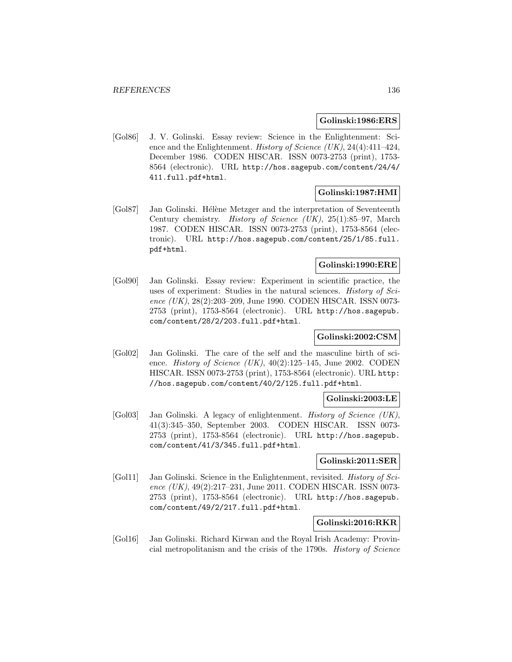#### **Golinski:1986:ERS**

[Gol86] J. V. Golinski. Essay review: Science in the Enlightenment: Science and the Enlightenment. History of Science (UK), 24(4):411-424, December 1986. CODEN HISCAR. ISSN 0073-2753 (print), 1753- 8564 (electronic). URL http://hos.sagepub.com/content/24/4/ 411.full.pdf+html.

## **Golinski:1987:HMI**

[Gol87] Jan Golinski. Hélène Metzger and the interpretation of Seventeenth Century chemistry. History of Science (UK), 25(1):85–97, March 1987. CODEN HISCAR. ISSN 0073-2753 (print), 1753-8564 (electronic). URL http://hos.sagepub.com/content/25/1/85.full. pdf+html.

### **Golinski:1990:ERE**

[Gol90] Jan Golinski. Essay review: Experiment in scientific practice, the uses of experiment: Studies in the natural sciences. *History of Sci*ence (UK), 28(2):203-209, June 1990. CODEN HISCAR. ISSN 0073-2753 (print), 1753-8564 (electronic). URL http://hos.sagepub. com/content/28/2/203.full.pdf+html.

### **Golinski:2002:CSM**

[Gol02] Jan Golinski. The care of the self and the masculine birth of science. History of Science  $(UK)$ , 40(2):125–145, June 2002. CODEN HISCAR. ISSN 0073-2753 (print), 1753-8564 (electronic). URL http: //hos.sagepub.com/content/40/2/125.full.pdf+html.

### **Golinski:2003:LE**

[Gol03] Jan Golinski. A legacy of enlightenment. History of Science (UK), 41(3):345–350, September 2003. CODEN HISCAR. ISSN 0073- 2753 (print), 1753-8564 (electronic). URL http://hos.sagepub. com/content/41/3/345.full.pdf+html.

### **Golinski:2011:SER**

[Gol11] Jan Golinski. Science in the Enlightenment, revisited. History of Science (UK), 49(2):217-231, June 2011. CODEN HISCAR. ISSN 0073-2753 (print), 1753-8564 (electronic). URL http://hos.sagepub. com/content/49/2/217.full.pdf+html.

### **Golinski:2016:RKR**

[Gol16] Jan Golinski. Richard Kirwan and the Royal Irish Academy: Provincial metropolitanism and the crisis of the 1790s. History of Science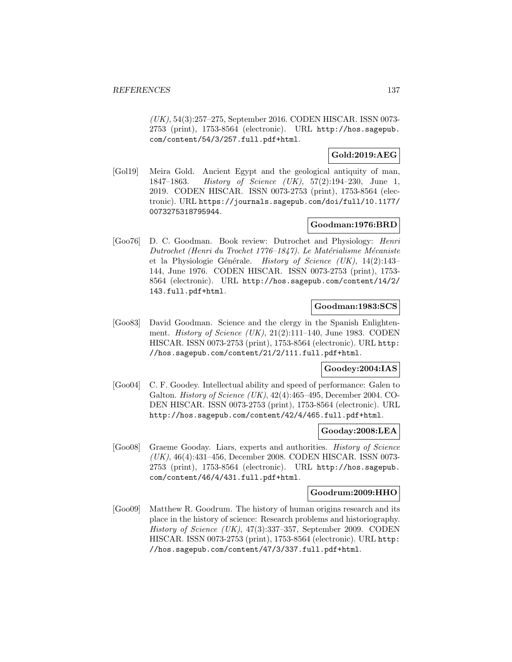(UK), 54(3):257–275, September 2016. CODEN HISCAR. ISSN 0073- 2753 (print), 1753-8564 (electronic). URL http://hos.sagepub. com/content/54/3/257.full.pdf+html.

### **Gold:2019:AEG**

[Gol19] Meira Gold. Ancient Egypt and the geological antiquity of man, 1847–1863. History of Science (UK), 57(2):194–230, June 1, 2019. CODEN HISCAR. ISSN 0073-2753 (print), 1753-8564 (electronic). URL https://journals.sagepub.com/doi/full/10.1177/ 0073275318795944.

### **Goodman:1976:BRD**

[Goo76] D. C. Goodman. Book review: Dutrochet and Physiology: Henri Dutrochet (Henri du Trochet 1776–1847). Le Matérialisme Mécaniste et la Physiologie Générale. History of Science (UK), 14(2):143-144, June 1976. CODEN HISCAR. ISSN 0073-2753 (print), 1753- 8564 (electronic). URL http://hos.sagepub.com/content/14/2/ 143.full.pdf+html.

### **Goodman:1983:SCS**

[Goo83] David Goodman. Science and the clergy in the Spanish Enlightenment. *History of Science (UK)*,  $21(2):111-140$ , June 1983. CODEN HISCAR. ISSN 0073-2753 (print), 1753-8564 (electronic). URL http: //hos.sagepub.com/content/21/2/111.full.pdf+html.

### **Goodey:2004:IAS**

[Goo04] C. F. Goodey. Intellectual ability and speed of performance: Galen to Galton. History of Science (UK), 42(4):465–495, December 2004. CO-DEN HISCAR. ISSN 0073-2753 (print), 1753-8564 (electronic). URL http://hos.sagepub.com/content/42/4/465.full.pdf+html.

### **Gooday:2008:LEA**

[Goo08] Graeme Gooday. Liars, experts and authorities. History of Science (UK), 46(4):431–456, December 2008. CODEN HISCAR. ISSN 0073- 2753 (print), 1753-8564 (electronic). URL http://hos.sagepub. com/content/46/4/431.full.pdf+html.

#### **Goodrum:2009:HHO**

[Goo09] Matthew R. Goodrum. The history of human origins research and its place in the history of science: Research problems and historiography. History of Science (UK), 47(3):337–357, September 2009. CODEN HISCAR. ISSN 0073-2753 (print), 1753-8564 (electronic). URL http: //hos.sagepub.com/content/47/3/337.full.pdf+html.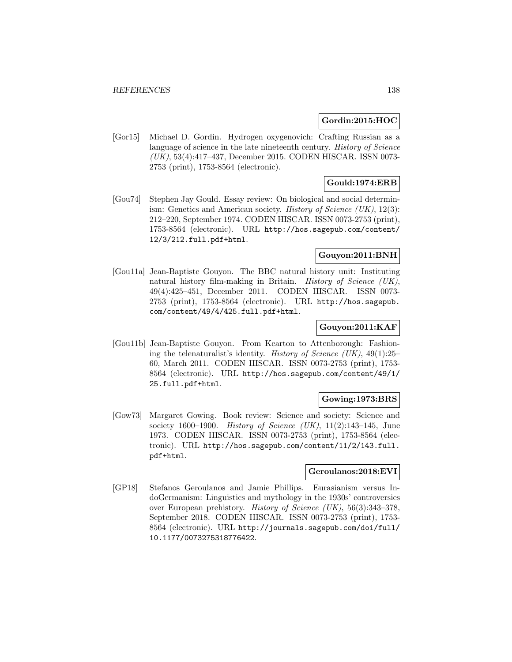#### **Gordin:2015:HOC**

[Gor15] Michael D. Gordin. Hydrogen oxygenovich: Crafting Russian as a language of science in the late nineteenth century. History of Science (UK), 53(4):417–437, December 2015. CODEN HISCAR. ISSN 0073- 2753 (print), 1753-8564 (electronic).

# **Gould:1974:ERB**

[Gou74] Stephen Jay Gould. Essay review: On biological and social determinism: Genetics and American society. *History of Science (UK)*,  $12(3)$ : 212–220, September 1974. CODEN HISCAR. ISSN 0073-2753 (print), 1753-8564 (electronic). URL http://hos.sagepub.com/content/ 12/3/212.full.pdf+html.

# **Gouyon:2011:BNH**

[Gou11a] Jean-Baptiste Gouyon. The BBC natural history unit: Instituting natural history film-making in Britain. History of Science (UK), 49(4):425–451, December 2011. CODEN HISCAR. ISSN 0073- 2753 (print), 1753-8564 (electronic). URL http://hos.sagepub. com/content/49/4/425.full.pdf+html.

# **Gouyon:2011:KAF**

[Gou11b] Jean-Baptiste Gouyon. From Kearton to Attenborough: Fashioning the telenaturalist's identity. History of Science  $(UK)$ , 49(1):25– 60, March 2011. CODEN HISCAR. ISSN 0073-2753 (print), 1753- 8564 (electronic). URL http://hos.sagepub.com/content/49/1/ 25.full.pdf+html.

### **Gowing:1973:BRS**

[Gow73] Margaret Gowing. Book review: Science and society: Science and society 1600–1900. *History of Science (UK)*, 11(2):143–145, June 1973. CODEN HISCAR. ISSN 0073-2753 (print), 1753-8564 (electronic). URL http://hos.sagepub.com/content/11/2/143.full. pdf+html.

### **Geroulanos:2018:EVI**

[GP18] Stefanos Geroulanos and Jamie Phillips. Eurasianism versus IndoGermanism: Linguistics and mythology in the 1930s' controversies over European prehistory. History of Science (UK), 56(3):343–378, September 2018. CODEN HISCAR. ISSN 0073-2753 (print), 1753- 8564 (electronic). URL http://journals.sagepub.com/doi/full/ 10.1177/0073275318776422.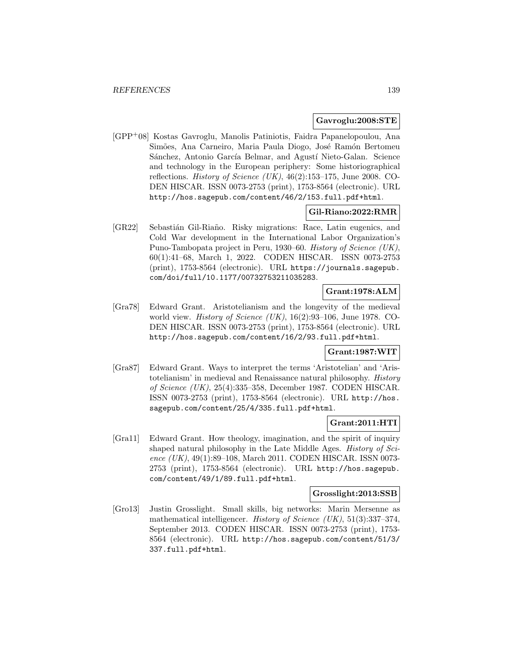#### **Gavroglu:2008:STE**

[GPP<sup>+</sup>08] Kostas Gavroglu, Manolis Patiniotis, Faidra Papanelopoulou, Ana Simões, Ana Carneiro, Maria Paula Diogo, José Ramón Bertomeu Sánchez, Antonio García Belmar, and Agustí Nieto-Galan. Science and technology in the European periphery: Some historiographical reflections. *History of Science (UK)*,  $46(2):153-175$ , June 2008. CO-DEN HISCAR. ISSN 0073-2753 (print), 1753-8564 (electronic). URL http://hos.sagepub.com/content/46/2/153.full.pdf+html.

### **Gil-Riano:2022:RMR**

[GR22] Sebastián Gil-Riaño. Risky migrations: Race, Latin eugenics, and Cold War development in the International Labor Organization's Puno-Tambopata project in Peru, 1930–60. History of Science (UK), 60(1):41–68, March 1, 2022. CODEN HISCAR. ISSN 0073-2753 (print), 1753-8564 (electronic). URL https://journals.sagepub. com/doi/full/10.1177/00732753211035283.

# **Grant:1978:ALM**

[Gra78] Edward Grant. Aristotelianism and the longevity of the medieval world view. *History of Science (UK)*,  $16(2):93-106$ , June 1978. CO-DEN HISCAR. ISSN 0073-2753 (print), 1753-8564 (electronic). URL http://hos.sagepub.com/content/16/2/93.full.pdf+html.

### **Grant:1987:WIT**

[Gra87] Edward Grant. Ways to interpret the terms 'Aristotelian' and 'Aristotelianism' in medieval and Renaissance natural philosophy. History of Science (UK), 25(4):335–358, December 1987. CODEN HISCAR. ISSN 0073-2753 (print), 1753-8564 (electronic). URL http://hos. sagepub.com/content/25/4/335.full.pdf+html.

### **Grant:2011:HTI**

[Gra11] Edward Grant. How theology, imagination, and the spirit of inquiry shaped natural philosophy in the Late Middle Ages. History of Science (UK), 49(1):89–108, March 2011. CODEN HISCAR. ISSN 0073-2753 (print), 1753-8564 (electronic). URL http://hos.sagepub. com/content/49/1/89.full.pdf+html.

#### **Grosslight:2013:SSB**

[Gro13] Justin Grosslight. Small skills, big networks: Marin Mersenne as mathematical intelligencer. History of Science (UK),  $51(3):337-374$ , September 2013. CODEN HISCAR. ISSN 0073-2753 (print), 1753- 8564 (electronic). URL http://hos.sagepub.com/content/51/3/ 337.full.pdf+html.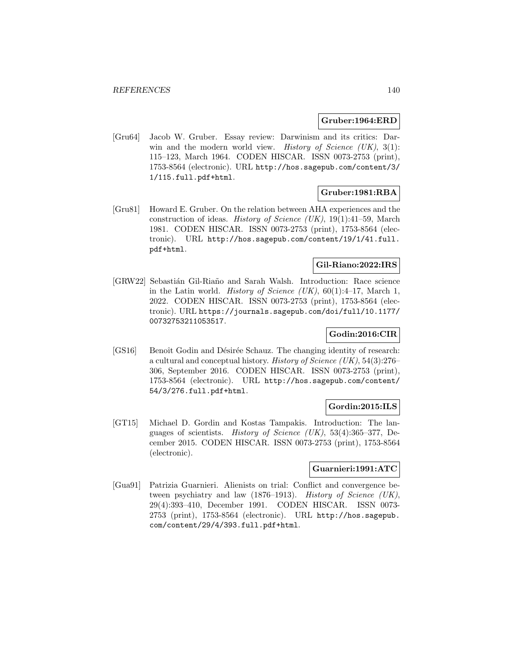#### **Gruber:1964:ERD**

[Gru64] Jacob W. Gruber. Essay review: Darwinism and its critics: Darwin and the modern world view. History of Science  $(UK), 3(1)$ : 115–123, March 1964. CODEN HISCAR. ISSN 0073-2753 (print), 1753-8564 (electronic). URL http://hos.sagepub.com/content/3/ 1/115.full.pdf+html.

### **Gruber:1981:RBA**

[Gru81] Howard E. Gruber. On the relation between AHA experiences and the construction of ideas. History of Science (UK), 19(1):41–59, March 1981. CODEN HISCAR. ISSN 0073-2753 (print), 1753-8564 (electronic). URL http://hos.sagepub.com/content/19/1/41.full. pdf+html.

## **Gil-Riano:2022:IRS**

[GRW22] Sebastián Gil-Riaño and Sarah Walsh. Introduction: Race science in the Latin world. History of Science  $(UK)$ , 60(1):4-17, March 1, 2022. CODEN HISCAR. ISSN 0073-2753 (print), 1753-8564 (electronic). URL https://journals.sagepub.com/doi/full/10.1177/ 00732753211053517.

### **Godin:2016:CIR**

[GS16] Benoît Godin and Désirée Schauz. The changing identity of research: a cultural and conceptual history. *History of Science* (UK),  $54(3):276-$ 306, September 2016. CODEN HISCAR. ISSN 0073-2753 (print), 1753-8564 (electronic). URL http://hos.sagepub.com/content/ 54/3/276.full.pdf+html.

## **Gordin:2015:ILS**

[GT15] Michael D. Gordin and Kostas Tampakis. Introduction: The languages of scientists. History of Science (UK), 53(4):365–377, December 2015. CODEN HISCAR. ISSN 0073-2753 (print), 1753-8564 (electronic).

## **Guarnieri:1991:ATC**

[Gua91] Patrizia Guarnieri. Alienists on trial: Conflict and convergence between psychiatry and law (1876–1913). History of Science (UK), 29(4):393–410, December 1991. CODEN HISCAR. ISSN 0073- 2753 (print), 1753-8564 (electronic). URL http://hos.sagepub. com/content/29/4/393.full.pdf+html.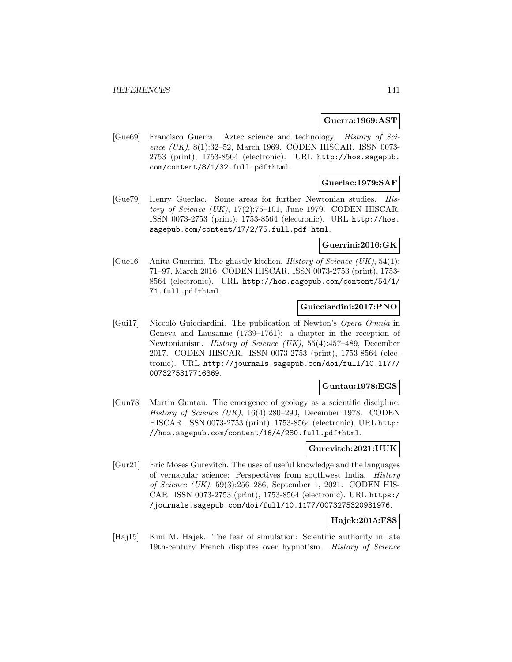#### **Guerra:1969:AST**

[Gue69] Francisco Guerra. Aztec science and technology. History of Science (UK), 8(1):32–52, March 1969. CODEN HISCAR. ISSN 0073-2753 (print), 1753-8564 (electronic). URL http://hos.sagepub. com/content/8/1/32.full.pdf+html.

### **Guerlac:1979:SAF**

[Gue79] Henry Guerlac. Some areas for further Newtonian studies. History of Science  $(UK)$ , 17(2):75–101, June 1979. CODEN HISCAR. ISSN 0073-2753 (print), 1753-8564 (electronic). URL http://hos. sagepub.com/content/17/2/75.full.pdf+html.

### **Guerrini:2016:GK**

[Gue16] Anita Guerrini. The ghastly kitchen. *History of Science (UK)*, 54(1): 71–97, March 2016. CODEN HISCAR. ISSN 0073-2753 (print), 1753- 8564 (electronic). URL http://hos.sagepub.com/content/54/1/ 71.full.pdf+html.

### **Guicciardini:2017:PNO**

[Gui17] Niccolò Guicciardini. The publication of Newton's Opera Omnia in Geneva and Lausanne (1739–1761): a chapter in the reception of Newtonianism. History of Science (UK), 55(4):457–489, December 2017. CODEN HISCAR. ISSN 0073-2753 (print), 1753-8564 (electronic). URL http://journals.sagepub.com/doi/full/10.1177/ 0073275317716369.

### **Guntau:1978:EGS**

[Gun78] Martin Guntau. The emergence of geology as a scientific discipline. History of Science (UK), 16(4):280–290, December 1978. CODEN HISCAR. ISSN 0073-2753 (print), 1753-8564 (electronic). URL http: //hos.sagepub.com/content/16/4/280.full.pdf+html.

### **Gurevitch:2021:UUK**

[Gur21] Eric Moses Gurevitch. The uses of useful knowledge and the languages of vernacular science: Perspectives from southwest India. History of Science (UK), 59(3):256–286, September 1, 2021. CODEN HIS-CAR. ISSN 0073-2753 (print), 1753-8564 (electronic). URL https:/ /journals.sagepub.com/doi/full/10.1177/0073275320931976.

### **Hajek:2015:FSS**

[Haj15] Kim M. Hajek. The fear of simulation: Scientific authority in late 19th-century French disputes over hypnotism. History of Science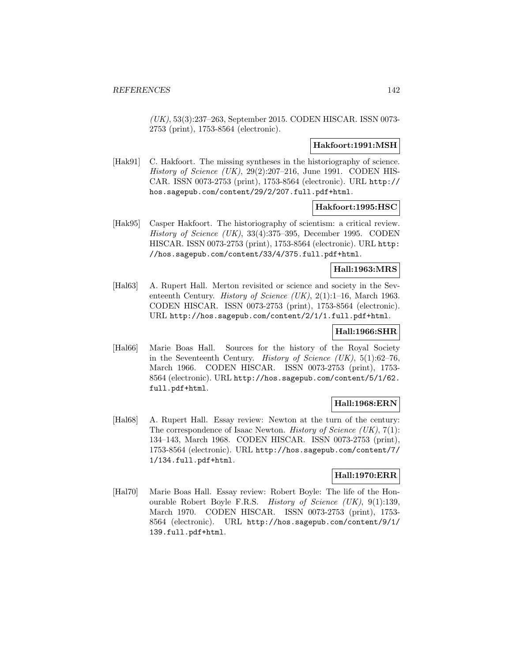(UK), 53(3):237–263, September 2015. CODEN HISCAR. ISSN 0073- 2753 (print), 1753-8564 (electronic).

#### **Hakfoort:1991:MSH**

[Hak91] C. Hakfoort. The missing syntheses in the historiography of science. History of Science  $(UK)$ , 29(2):207–216, June 1991. CODEN HIS-CAR. ISSN 0073-2753 (print), 1753-8564 (electronic). URL http:// hos.sagepub.com/content/29/2/207.full.pdf+html.

#### **Hakfoort:1995:HSC**

[Hak95] Casper Hakfoort. The historiography of scientism: a critical review. History of Science (UK), 33(4):375–395, December 1995. CODEN HISCAR. ISSN 0073-2753 (print), 1753-8564 (electronic). URL http: //hos.sagepub.com/content/33/4/375.full.pdf+html.

### **Hall:1963:MRS**

[Hal63] A. Rupert Hall. Merton revisited or science and society in the Seventeenth Century. *History of Science (UK)*, 2(1):1–16, March 1963. CODEN HISCAR. ISSN 0073-2753 (print), 1753-8564 (electronic). URL http://hos.sagepub.com/content/2/1/1.full.pdf+html.

## **Hall:1966:SHR**

[Hal66] Marie Boas Hall. Sources for the history of the Royal Society in the Seventeenth Century. History of Science (UK),  $5(1):62-76$ , March 1966. CODEN HISCAR. ISSN 0073-2753 (print), 1753- 8564 (electronic). URL http://hos.sagepub.com/content/5/1/62. full.pdf+html.

### **Hall:1968:ERN**

[Hal68] A. Rupert Hall. Essay review: Newton at the turn of the century: The correspondence of Isaac Newton. *History of Science (UK)*,  $7(1)$ : 134–143, March 1968. CODEN HISCAR. ISSN 0073-2753 (print), 1753-8564 (electronic). URL http://hos.sagepub.com/content/7/ 1/134.full.pdf+html.

## **Hall:1970:ERR**

[Hal70] Marie Boas Hall. Essay review: Robert Boyle: The life of the Honourable Robert Boyle F.R.S. History of Science (UK), 9(1):139, March 1970. CODEN HISCAR. ISSN 0073-2753 (print), 1753- 8564 (electronic). URL http://hos.sagepub.com/content/9/1/ 139.full.pdf+html.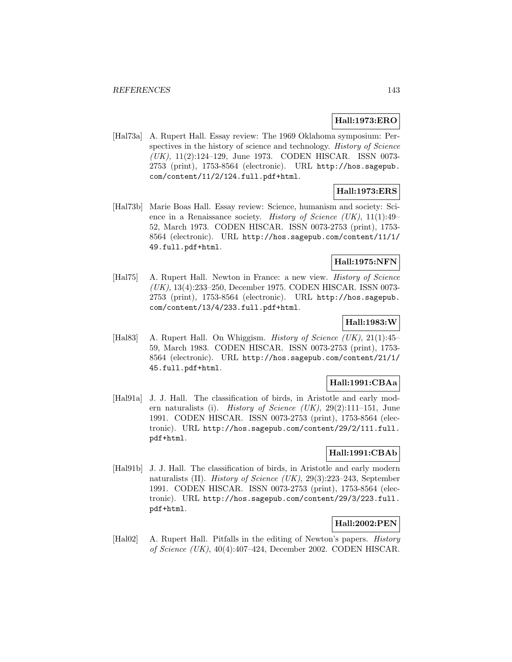# **Hall:1973:ERO**

[Hal73a] A. Rupert Hall. Essay review: The 1969 Oklahoma symposium: Perspectives in the history of science and technology. History of Science (UK), 11(2):124–129, June 1973. CODEN HISCAR. ISSN 0073- 2753 (print), 1753-8564 (electronic). URL http://hos.sagepub. com/content/11/2/124.full.pdf+html.

# **Hall:1973:ERS**

[Hal73b] Marie Boas Hall. Essay review: Science, humanism and society: Science in a Renaissance society. History of Science (UK), 11(1):49– 52, March 1973. CODEN HISCAR. ISSN 0073-2753 (print), 1753- 8564 (electronic). URL http://hos.sagepub.com/content/11/1/ 49.full.pdf+html.

# **Hall:1975:NFN**

[Hal75] A. Rupert Hall. Newton in France: a new view. History of Science (UK), 13(4):233–250, December 1975. CODEN HISCAR. ISSN 0073- 2753 (print), 1753-8564 (electronic). URL http://hos.sagepub. com/content/13/4/233.full.pdf+html.

# **Hall:1983:W**

[Hal83] A. Rupert Hall. On Whiggism. *History of Science (UK)*, 21(1):45– 59, March 1983. CODEN HISCAR. ISSN 0073-2753 (print), 1753- 8564 (electronic). URL http://hos.sagepub.com/content/21/1/ 45.full.pdf+html.

### **Hall:1991:CBAa**

[Hal91a] J. J. Hall. The classification of birds, in Aristotle and early modern naturalists (i). History of Science  $(UK), 29(2):111-151$ , June 1991. CODEN HISCAR. ISSN 0073-2753 (print), 1753-8564 (electronic). URL http://hos.sagepub.com/content/29/2/111.full. pdf+html.

## **Hall:1991:CBAb**

[Hal91b] J. J. Hall. The classification of birds, in Aristotle and early modern naturalists (II). History of Science (UK), 29(3):223–243, September 1991. CODEN HISCAR. ISSN 0073-2753 (print), 1753-8564 (electronic). URL http://hos.sagepub.com/content/29/3/223.full. pdf+html.

# **Hall:2002:PEN**

[Hal02] A. Rupert Hall. Pitfalls in the editing of Newton's papers. History of Science (UK), 40(4):407–424, December 2002. CODEN HISCAR.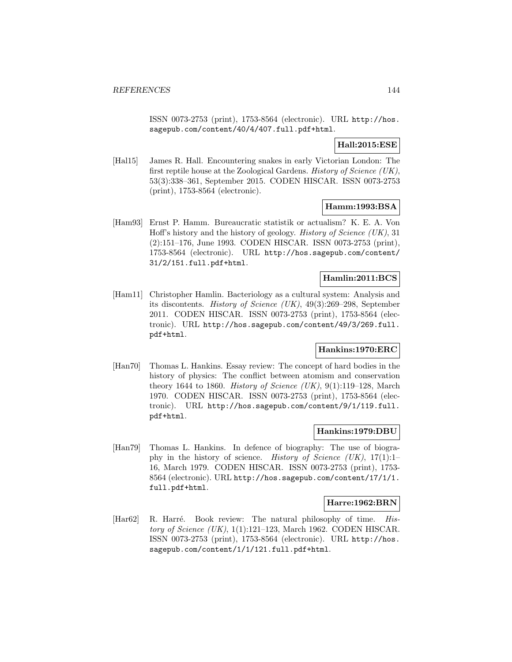ISSN 0073-2753 (print), 1753-8564 (electronic). URL http://hos. sagepub.com/content/40/4/407.full.pdf+html.

### **Hall:2015:ESE**

[Hal15] James R. Hall. Encountering snakes in early Victorian London: The first reptile house at the Zoological Gardens. History of Science (UK), 53(3):338–361, September 2015. CODEN HISCAR. ISSN 0073-2753 (print), 1753-8564 (electronic).

## **Hamm:1993:BSA**

[Ham93] Ernst P. Hamm. Bureaucratic statistik or actualism? K. E. A. Von Hoff's history and the history of geology. History of Science (UK), 31 (2):151–176, June 1993. CODEN HISCAR. ISSN 0073-2753 (print), 1753-8564 (electronic). URL http://hos.sagepub.com/content/ 31/2/151.full.pdf+html.

## **Hamlin:2011:BCS**

[Ham11] Christopher Hamlin. Bacteriology as a cultural system: Analysis and its discontents. History of Science (UK), 49(3):269–298, September 2011. CODEN HISCAR. ISSN 0073-2753 (print), 1753-8564 (electronic). URL http://hos.sagepub.com/content/49/3/269.full. pdf+html.

### **Hankins:1970:ERC**

[Han70] Thomas L. Hankins. Essay review: The concept of hard bodies in the history of physics: The conflict between atomism and conservation theory 1644 to 1860. History of Science  $(UK), 9(1):119-128$ , March 1970. CODEN HISCAR. ISSN 0073-2753 (print), 1753-8564 (electronic). URL http://hos.sagepub.com/content/9/1/119.full. pdf+html.

### **Hankins:1979:DBU**

[Han79] Thomas L. Hankins. In defence of biography: The use of biography in the history of science. History of Science  $(UK), 17(1):1-$ 16, March 1979. CODEN HISCAR. ISSN 0073-2753 (print), 1753- 8564 (electronic). URL http://hos.sagepub.com/content/17/1/1. full.pdf+html.

### **Harre:1962:BRN**

[Har62] R. Harré. Book review: The natural philosophy of time. History of Science  $(UK)$ , 1(1):121–123, March 1962. CODEN HISCAR. ISSN 0073-2753 (print), 1753-8564 (electronic). URL http://hos. sagepub.com/content/1/1/121.full.pdf+html.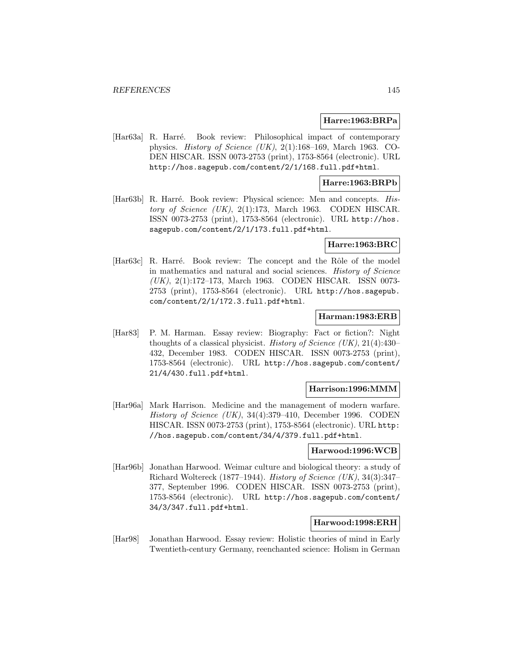#### **Harre:1963:BRPa**

[Har63a] R. Harré. Book review: Philosophical impact of contemporary physics. *History of Science (UK)*,  $2(1):168-169$ , March 1963. CO-DEN HISCAR. ISSN 0073-2753 (print), 1753-8564 (electronic). URL http://hos.sagepub.com/content/2/1/168.full.pdf+html.

#### **Harre:1963:BRPb**

[Har63b] R. Harré. Book review: Physical science: Men and concepts. History of Science  $(UK)$ , 2(1):173, March 1963. CODEN HISCAR. ISSN 0073-2753 (print), 1753-8564 (electronic). URL http://hos. sagepub.com/content/2/1/173.full.pdf+html.

#### **Harre:1963:BRC**

[Har63c] R. Harré. Book review: The concept and the Rôle of the model in mathematics and natural and social sciences. History of Science (UK), 2(1):172–173, March 1963. CODEN HISCAR. ISSN 0073- 2753 (print), 1753-8564 (electronic). URL http://hos.sagepub. com/content/2/1/172.3.full.pdf+html.

### **Harman:1983:ERB**

[Har83] P. M. Harman. Essay review: Biography: Fact or fiction?: Night thoughts of a classical physicist. History of Science  $(UK), 21(4):430-$ 432, December 1983. CODEN HISCAR. ISSN 0073-2753 (print), 1753-8564 (electronic). URL http://hos.sagepub.com/content/ 21/4/430.full.pdf+html.

#### **Harrison:1996:MMM**

[Har96a] Mark Harrison. Medicine and the management of modern warfare. History of Science (UK), 34(4):379–410, December 1996. CODEN HISCAR. ISSN 0073-2753 (print), 1753-8564 (electronic). URL http: //hos.sagepub.com/content/34/4/379.full.pdf+html.

#### **Harwood:1996:WCB**

[Har96b] Jonathan Harwood. Weimar culture and biological theory: a study of Richard Woltereck (1877–1944). History of Science (UK), 34(3):347– 377, September 1996. CODEN HISCAR. ISSN 0073-2753 (print), 1753-8564 (electronic). URL http://hos.sagepub.com/content/ 34/3/347.full.pdf+html.

#### **Harwood:1998:ERH**

[Har98] Jonathan Harwood. Essay review: Holistic theories of mind in Early Twentieth-century Germany, reenchanted science: Holism in German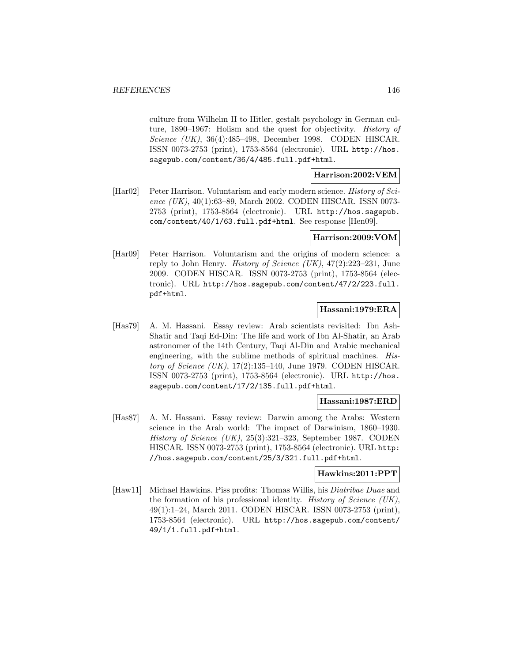culture from Wilhelm II to Hitler, gestalt psychology in German culture, 1890–1967: Holism and the quest for objectivity. History of Science (UK), 36(4):485–498, December 1998. CODEN HISCAR. ISSN 0073-2753 (print), 1753-8564 (electronic). URL http://hos. sagepub.com/content/36/4/485.full.pdf+html.

### **Harrison:2002:VEM**

[Har02] Peter Harrison. Voluntarism and early modern science. History of Science (UK), 40(1):63–89, March 2002. CODEN HISCAR. ISSN 0073- 2753 (print), 1753-8564 (electronic). URL http://hos.sagepub. com/content/40/1/63.full.pdf+html. See response [Hen09].

#### **Harrison:2009:VOM**

[Har09] Peter Harrison. Voluntarism and the origins of modern science: a reply to John Henry. *History of Science (UK)*,  $47(2):223-231$ , June 2009. CODEN HISCAR. ISSN 0073-2753 (print), 1753-8564 (electronic). URL http://hos.sagepub.com/content/47/2/223.full. pdf+html.

### **Hassani:1979:ERA**

[Has79] A. M. Hassani. Essay review: Arab scientists revisited: Ibn Ash-Shatir and Taqi Ed-Din: The life and work of Ibn Al-Shatir, an Arab astronomer of the 14th Century, Taqi Al-Din and Arabic mechanical engineering, with the sublime methods of spiritual machines. History of Science  $(UK)$ , 17(2):135–140, June 1979. CODEN HISCAR. ISSN 0073-2753 (print), 1753-8564 (electronic). URL http://hos. sagepub.com/content/17/2/135.full.pdf+html.

#### **Hassani:1987:ERD**

[Has87] A. M. Hassani. Essay review: Darwin among the Arabs: Western science in the Arab world: The impact of Darwinism, 1860–1930. History of Science (UK), 25(3):321–323, September 1987. CODEN HISCAR. ISSN 0073-2753 (print), 1753-8564 (electronic). URL http: //hos.sagepub.com/content/25/3/321.full.pdf+html.

#### **Hawkins:2011:PPT**

[Haw11] Michael Hawkins. Piss profits: Thomas Willis, his Diatribae Duae and the formation of his professional identity. History of Science (UK), 49(1):1–24, March 2011. CODEN HISCAR. ISSN 0073-2753 (print), 1753-8564 (electronic). URL http://hos.sagepub.com/content/ 49/1/1.full.pdf+html.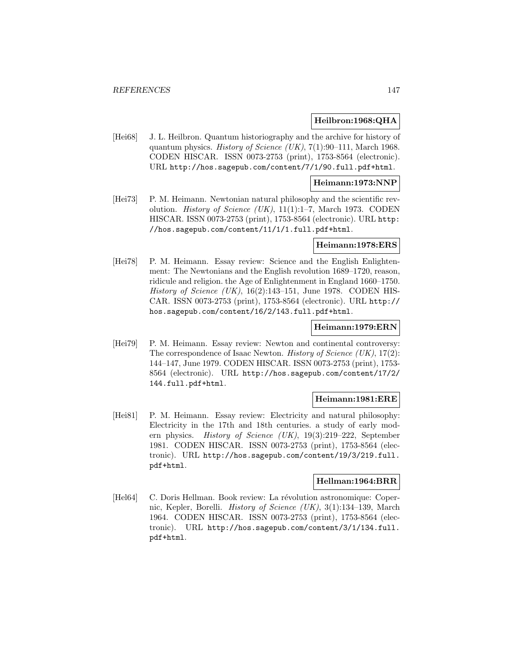#### **Heilbron:1968:QHA**

[Hei68] J. L. Heilbron. Quantum historiography and the archive for history of quantum physics. History of Science (UK), 7(1):90–111, March 1968. CODEN HISCAR. ISSN 0073-2753 (print), 1753-8564 (electronic). URL http://hos.sagepub.com/content/7/1/90.full.pdf+html.

#### **Heimann:1973:NNP**

[Hei73] P. M. Heimann. Newtonian natural philosophy and the scientific revolution. *History of Science (UK)*, 11(1):1–7, March 1973. CODEN HISCAR. ISSN 0073-2753 (print), 1753-8564 (electronic). URL http: //hos.sagepub.com/content/11/1/1.full.pdf+html.

### **Heimann:1978:ERS**

[Hei78] P. M. Heimann. Essay review: Science and the English Enlightenment: The Newtonians and the English revolution 1689–1720, reason, ridicule and religion. the Age of Enlightenment in England 1660–1750. History of Science  $(UK)$ , 16(2):143–151, June 1978. CODEN HIS-CAR. ISSN 0073-2753 (print), 1753-8564 (electronic). URL http:// hos.sagepub.com/content/16/2/143.full.pdf+html.

#### **Heimann:1979:ERN**

[Hei79] P. M. Heimann. Essay review: Newton and continental controversy: The correspondence of Isaac Newton. *History of Science (UK)*, 17(2): 144–147, June 1979. CODEN HISCAR. ISSN 0073-2753 (print), 1753- 8564 (electronic). URL http://hos.sagepub.com/content/17/2/ 144.full.pdf+html.

### **Heimann:1981:ERE**

[Hei81] P. M. Heimann. Essay review: Electricity and natural philosophy: Electricity in the 17th and 18th centuries. a study of early modern physics. History of Science (UK), 19(3):219–222, September 1981. CODEN HISCAR. ISSN 0073-2753 (print), 1753-8564 (electronic). URL http://hos.sagepub.com/content/19/3/219.full. pdf+html.

### **Hellman:1964:BRR**

[Hel64] C. Doris Hellman. Book review: La révolution astronomique: Copernic, Kepler, Borelli. History of Science (UK), 3(1):134–139, March 1964. CODEN HISCAR. ISSN 0073-2753 (print), 1753-8564 (electronic). URL http://hos.sagepub.com/content/3/1/134.full. pdf+html.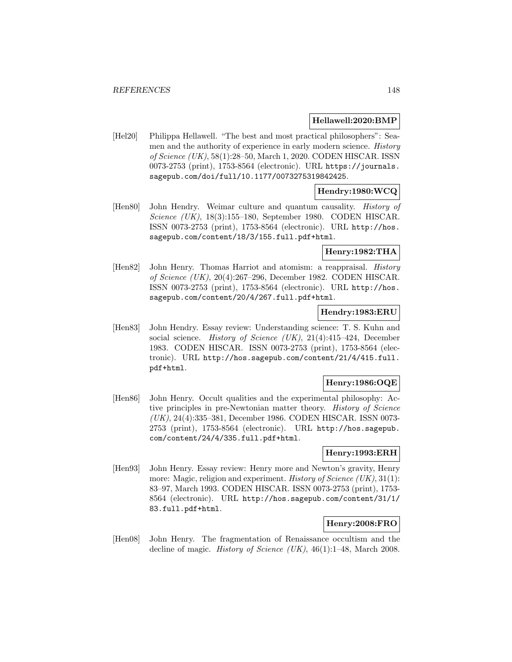#### **Hellawell:2020:BMP**

[Hel20] Philippa Hellawell. "The best and most practical philosophers": Seamen and the authority of experience in early modern science. History of Science (UK), 58(1):28–50, March 1, 2020. CODEN HISCAR. ISSN 0073-2753 (print), 1753-8564 (electronic). URL https://journals. sagepub.com/doi/full/10.1177/0073275319842425.

## **Hendry:1980:WCQ**

[Hen80] John Hendry. Weimar culture and quantum causality. *History of* Science (UK), 18(3):155–180, September 1980. CODEN HISCAR. ISSN 0073-2753 (print), 1753-8564 (electronic). URL http://hos. sagepub.com/content/18/3/155.full.pdf+html.

## **Henry:1982:THA**

[Hen82] John Henry. Thomas Harriot and atomism: a reappraisal. History of Science (UK), 20(4):267–296, December 1982. CODEN HISCAR. ISSN 0073-2753 (print), 1753-8564 (electronic). URL http://hos. sagepub.com/content/20/4/267.full.pdf+html.

### **Hendry:1983:ERU**

[Hen83] John Hendry. Essay review: Understanding science: T. S. Kuhn and social science. History of Science (UK), 21(4):415–424, December 1983. CODEN HISCAR. ISSN 0073-2753 (print), 1753-8564 (electronic). URL http://hos.sagepub.com/content/21/4/415.full. pdf+html.

## **Henry:1986:OQE**

[Hen86] John Henry. Occult qualities and the experimental philosophy: Active principles in pre-Newtonian matter theory. History of Science (UK), 24(4):335–381, December 1986. CODEN HISCAR. ISSN 0073- 2753 (print), 1753-8564 (electronic). URL http://hos.sagepub. com/content/24/4/335.full.pdf+html.

### **Henry:1993:ERH**

[Hen93] John Henry. Essay review: Henry more and Newton's gravity, Henry more: Magic, religion and experiment. *History of Science (UK)*, 31(1): 83–97, March 1993. CODEN HISCAR. ISSN 0073-2753 (print), 1753- 8564 (electronic). URL http://hos.sagepub.com/content/31/1/ 83.full.pdf+html.

## **Henry:2008:FRO**

[Hen08] John Henry. The fragmentation of Renaissance occultism and the decline of magic. *History of Science (UK)*, 46(1):1–48, March 2008.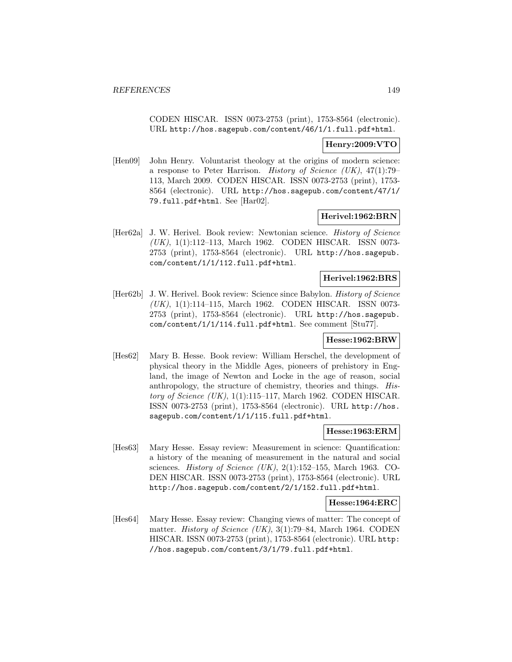CODEN HISCAR. ISSN 0073-2753 (print), 1753-8564 (electronic). URL http://hos.sagepub.com/content/46/1/1.full.pdf+html.

### **Henry:2009:VTO**

[Hen09] John Henry. Voluntarist theology at the origins of modern science: a response to Peter Harrison. History of Science (UK), 47(1):79– 113, March 2009. CODEN HISCAR. ISSN 0073-2753 (print), 1753- 8564 (electronic). URL http://hos.sagepub.com/content/47/1/ 79.full.pdf+html. See [Har02].

#### **Herivel:1962:BRN**

[Her62a] J. W. Herivel. Book review: Newtonian science. History of Science (UK), 1(1):112–113, March 1962. CODEN HISCAR. ISSN 0073- 2753 (print), 1753-8564 (electronic). URL http://hos.sagepub. com/content/1/1/112.full.pdf+html.

### **Herivel:1962:BRS**

[Her62b] J. W. Herivel. Book review: Science since Babylon. History of Science (UK), 1(1):114–115, March 1962. CODEN HISCAR. ISSN 0073- 2753 (print), 1753-8564 (electronic). URL http://hos.sagepub. com/content/1/1/114.full.pdf+html. See comment [Stu77].

#### **Hesse:1962:BRW**

[Hes62] Mary B. Hesse. Book review: William Herschel, the development of physical theory in the Middle Ages, pioneers of prehistory in England, the image of Newton and Locke in the age of reason, social anthropology, the structure of chemistry, theories and things. History of Science  $(UK)$ , 1(1):115–117, March 1962. CODEN HISCAR. ISSN 0073-2753 (print), 1753-8564 (electronic). URL http://hos. sagepub.com/content/1/1/115.full.pdf+html.

### **Hesse:1963:ERM**

[Hes63] Mary Hesse. Essay review: Measurement in science: Quantification: a history of the meaning of measurement in the natural and social sciences. *History of Science (UK)*,  $2(1):152-155$ , March 1963. CO-DEN HISCAR. ISSN 0073-2753 (print), 1753-8564 (electronic). URL http://hos.sagepub.com/content/2/1/152.full.pdf+html.

#### **Hesse:1964:ERC**

[Hes64] Mary Hesse. Essay review: Changing views of matter: The concept of matter. History of Science (UK), 3(1):79–84, March 1964. CODEN HISCAR. ISSN 0073-2753 (print), 1753-8564 (electronic). URL http: //hos.sagepub.com/content/3/1/79.full.pdf+html.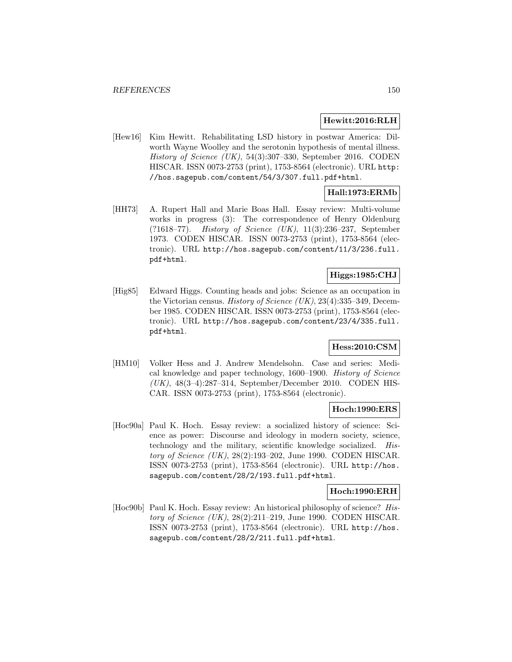#### **Hewitt:2016:RLH**

[Hew16] Kim Hewitt. Rehabilitating LSD history in postwar America: Dilworth Wayne Woolley and the serotonin hypothesis of mental illness. History of Science (UK), 54(3):307–330, September 2016. CODEN HISCAR. ISSN 0073-2753 (print), 1753-8564 (electronic). URL http: //hos.sagepub.com/content/54/3/307.full.pdf+html.

## **Hall:1973:ERMb**

[HH73] A. Rupert Hall and Marie Boas Hall. Essay review: Multi-volume works in progress (3): The correspondence of Henry Oldenburg (?1618–77). History of Science (UK), 11(3):236–237, September 1973. CODEN HISCAR. ISSN 0073-2753 (print), 1753-8564 (electronic). URL http://hos.sagepub.com/content/11/3/236.full. pdf+html.

# **Higgs:1985:CHJ**

[Hig85] Edward Higgs. Counting heads and jobs: Science as an occupation in the Victorian census. History of Science  $(UK), 23(4): 335-349$ , December 1985. CODEN HISCAR. ISSN 0073-2753 (print), 1753-8564 (electronic). URL http://hos.sagepub.com/content/23/4/335.full. pdf+html.

## **Hess:2010:CSM**

[HM10] Volker Hess and J. Andrew Mendelsohn. Case and series: Medical knowledge and paper technology, 1600–1900. History of Science (UK), 48(3–4):287–314, September/December 2010. CODEN HIS-CAR. ISSN 0073-2753 (print), 1753-8564 (electronic).

## **Hoch:1990:ERS**

[Hoc90a] Paul K. Hoch. Essay review: a socialized history of science: Science as power: Discourse and ideology in modern society, science, technology and the military, scientific knowledge socialized. History of Science (UK), 28(2):193–202, June 1990. CODEN HISCAR. ISSN 0073-2753 (print), 1753-8564 (electronic). URL http://hos. sagepub.com/content/28/2/193.full.pdf+html.

#### **Hoch:1990:ERH**

[Hoc90b] Paul K. Hoch. Essay review: An historical philosophy of science? History of Science (UK), 28(2):211–219, June 1990. CODEN HISCAR. ISSN 0073-2753 (print), 1753-8564 (electronic). URL http://hos. sagepub.com/content/28/2/211.full.pdf+html.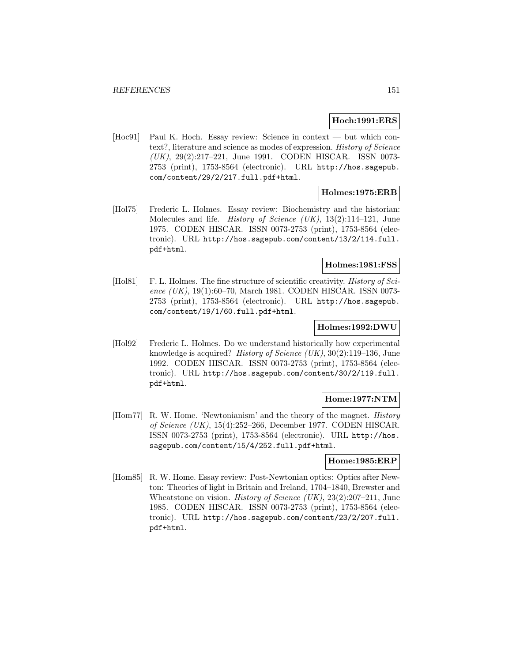#### **Hoch:1991:ERS**

[Hoc91] Paul K. Hoch. Essay review: Science in context — but which context?, literature and science as modes of expression. History of Science (UK), 29(2):217–221, June 1991. CODEN HISCAR. ISSN 0073- 2753 (print), 1753-8564 (electronic). URL http://hos.sagepub. com/content/29/2/217.full.pdf+html.

### **Holmes:1975:ERB**

[Hol75] Frederic L. Holmes. Essay review: Biochemistry and the historian: Molecules and life. *History of Science (UK)*, 13(2):114–121, June 1975. CODEN HISCAR. ISSN 0073-2753 (print), 1753-8564 (electronic). URL http://hos.sagepub.com/content/13/2/114.full. pdf+html.

## **Holmes:1981:FSS**

[Hol81] F. L. Holmes. The fine structure of scientific creativity. *History of Sci*ence (UK), 19(1):60-70, March 1981. CODEN HISCAR. ISSN 0073-2753 (print), 1753-8564 (electronic). URL http://hos.sagepub. com/content/19/1/60.full.pdf+html.

#### **Holmes:1992:DWU**

[Hol92] Frederic L. Holmes. Do we understand historically how experimental knowledge is acquired? History of Science (UK), 30(2):119–136, June 1992. CODEN HISCAR. ISSN 0073-2753 (print), 1753-8564 (electronic). URL http://hos.sagepub.com/content/30/2/119.full. pdf+html.

### **Home:1977:NTM**

[Hom77] R. W. Home. 'Newtonianism' and the theory of the magnet. History of Science (UK), 15(4):252–266, December 1977. CODEN HISCAR. ISSN 0073-2753 (print), 1753-8564 (electronic). URL http://hos. sagepub.com/content/15/4/252.full.pdf+html.

#### **Home:1985:ERP**

[Hom85] R. W. Home. Essay review: Post-Newtonian optics: Optics after Newton: Theories of light in Britain and Ireland, 1704–1840, Brewster and Wheatstone on vision. *History of Science (UK)*, 23(2):207–211, June 1985. CODEN HISCAR. ISSN 0073-2753 (print), 1753-8564 (electronic). URL http://hos.sagepub.com/content/23/2/207.full. pdf+html.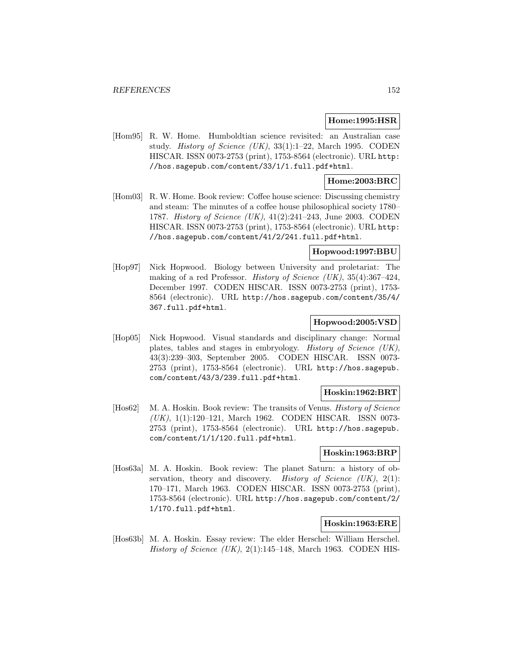### **Home:1995:HSR**

[Hom95] R. W. Home. Humboldtian science revisited: an Australian case study. History of Science  $(UK)$ , 33(1):1–22, March 1995. CODEN HISCAR. ISSN 0073-2753 (print), 1753-8564 (electronic). URL http: //hos.sagepub.com/content/33/1/1.full.pdf+html.

### **Home:2003:BRC**

[Hom03] R. W. Home. Book review: Coffee house science: Discussing chemistry and steam: The minutes of a coffee house philosophical society 1780– 1787. History of Science (UK), 41(2):241–243, June 2003. CODEN HISCAR. ISSN 0073-2753 (print), 1753-8564 (electronic). URL http: //hos.sagepub.com/content/41/2/241.full.pdf+html.

### **Hopwood:1997:BBU**

[Hop97] Nick Hopwood. Biology between University and proletariat: The making of a red Professor. History of Science (UK),  $35(4):367-424$ , December 1997. CODEN HISCAR. ISSN 0073-2753 (print), 1753- 8564 (electronic). URL http://hos.sagepub.com/content/35/4/ 367.full.pdf+html.

### **Hopwood:2005:VSD**

[Hop05] Nick Hopwood. Visual standards and disciplinary change: Normal plates, tables and stages in embryology. History of Science (UK), 43(3):239–303, September 2005. CODEN HISCAR. ISSN 0073- 2753 (print), 1753-8564 (electronic). URL http://hos.sagepub. com/content/43/3/239.full.pdf+html.

#### **Hoskin:1962:BRT**

[Hos62] M. A. Hoskin. Book review: The transits of Venus. History of Science (UK), 1(1):120–121, March 1962. CODEN HISCAR. ISSN 0073- 2753 (print), 1753-8564 (electronic). URL http://hos.sagepub. com/content/1/1/120.full.pdf+html.

#### **Hoskin:1963:BRP**

[Hos63a] M. A. Hoskin. Book review: The planet Saturn: a history of observation, theory and discovery. History of Science  $(UK), 2(1)$ : 170–171, March 1963. CODEN HISCAR. ISSN 0073-2753 (print), 1753-8564 (electronic). URL http://hos.sagepub.com/content/2/ 1/170.full.pdf+html.

### **Hoskin:1963:ERE**

[Hos63b] M. A. Hoskin. Essay review: The elder Herschel: William Herschel. History of Science  $(UK)$ , 2(1):145–148, March 1963. CODEN HIS-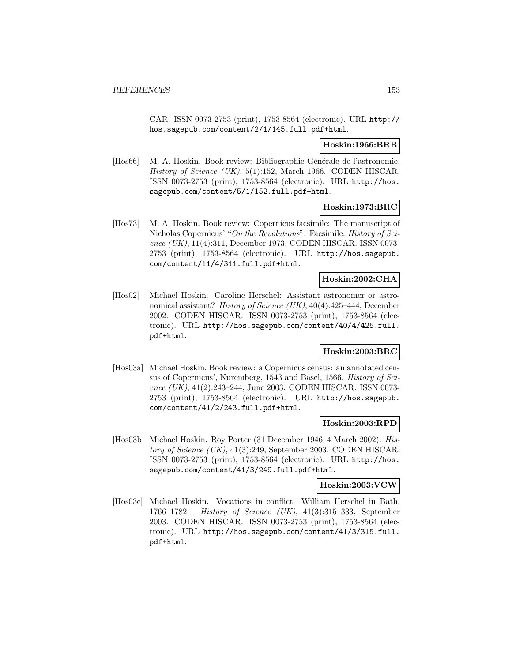CAR. ISSN 0073-2753 (print), 1753-8564 (electronic). URL http:// hos.sagepub.com/content/2/1/145.full.pdf+html.

#### **Hoskin:1966:BRB**

[Hos66] M. A. Hoskin. Book review: Bibliographie Générale de l'astronomie. History of Science (UK),  $5(1)$ :152, March 1966. CODEN HISCAR. ISSN 0073-2753 (print), 1753-8564 (electronic). URL http://hos. sagepub.com/content/5/1/152.full.pdf+html.

### **Hoskin:1973:BRC**

[Hos73] M. A. Hoskin. Book review: Copernicus facsimile: The manuscript of Nicholas Copernicus' "On the Revolutions": Facsimile. History of Science (UK), 11(4):311, December 1973. CODEN HISCAR. ISSN 0073- 2753 (print), 1753-8564 (electronic). URL http://hos.sagepub. com/content/11/4/311.full.pdf+html.

#### **Hoskin:2002:CHA**

[Hos02] Michael Hoskin. Caroline Herschel: Assistant astronomer or astronomical assistant? History of Science (UK), 40(4):425–444, December 2002. CODEN HISCAR. ISSN 0073-2753 (print), 1753-8564 (electronic). URL http://hos.sagepub.com/content/40/4/425.full. pdf+html.

## **Hoskin:2003:BRC**

[Hos03a] Michael Hoskin. Book review: a Copernicus census: an annotated census of Copernicus', Nuremberg, 1543 and Basel, 1566. History of Science  $(UK)$ , 41(2):243–244, June 2003. CODEN HISCAR. ISSN 0073-2753 (print), 1753-8564 (electronic). URL http://hos.sagepub. com/content/41/2/243.full.pdf+html.

#### **Hoskin:2003:RPD**

[Hos03b] Michael Hoskin. Roy Porter (31 December 1946–4 March 2002). History of Science (UK), 41(3):249, September 2003. CODEN HISCAR. ISSN 0073-2753 (print), 1753-8564 (electronic). URL http://hos. sagepub.com/content/41/3/249.full.pdf+html.

### **Hoskin:2003:VCW**

[Hos03c] Michael Hoskin. Vocations in conflict: William Herschel in Bath, 1766–1782. History of Science (UK), 41(3):315–333, September 2003. CODEN HISCAR. ISSN 0073-2753 (print), 1753-8564 (electronic). URL http://hos.sagepub.com/content/41/3/315.full. pdf+html.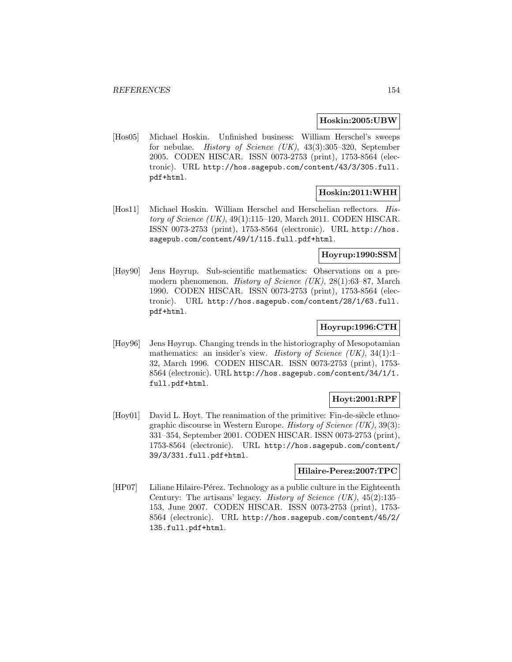#### **Hoskin:2005:UBW**

[Hos05] Michael Hoskin. Unfinished business: William Herschel's sweeps for nebulae. History of Science (UK), 43(3):305–320, September 2005. CODEN HISCAR. ISSN 0073-2753 (print), 1753-8564 (electronic). URL http://hos.sagepub.com/content/43/3/305.full. pdf+html.

## **Hoskin:2011:WHH**

[Hos11] Michael Hoskin. William Herschel and Herschelian reflectors. History of Science  $(UK)$ , 49(1):115–120, March 2011. CODEN HISCAR. ISSN 0073-2753 (print), 1753-8564 (electronic). URL http://hos. sagepub.com/content/49/1/115.full.pdf+html.

### **Hoyrup:1990:SSM**

[Høy90] Jens Høyrup. Sub-scientific mathematics: Observations on a premodern phenomenon. History of Science (UK), 28(1):63–87, March 1990. CODEN HISCAR. ISSN 0073-2753 (print), 1753-8564 (electronic). URL http://hos.sagepub.com/content/28/1/63.full. pdf+html.

## **Hoyrup:1996:CTH**

[Høy96] Jens Høyrup. Changing trends in the historiography of Mesopotamian mathematics: an insider's view. History of Science (UK), 34(1):1-32, March 1996. CODEN HISCAR. ISSN 0073-2753 (print), 1753- 8564 (electronic). URL http://hos.sagepub.com/content/34/1/1. full.pdf+html.

## **Hoyt:2001:RPF**

 $[Hoy01]$  David L. Hoyt. The reanimation of the primitive: Fin-de-siècle ethnographic discourse in Western Europe. *History of Science (UK)*,  $39(3)$ : 331–354, September 2001. CODEN HISCAR. ISSN 0073-2753 (print), 1753-8564 (electronic). URL http://hos.sagepub.com/content/ 39/3/331.full.pdf+html.

#### **Hilaire-Perez:2007:TPC**

[HP07] Liliane Hilaire-Pérez. Technology as a public culture in the Eighteenth Century: The artisans' legacy. History of Science  $(UK)$ , 45(2):135– 153, June 2007. CODEN HISCAR. ISSN 0073-2753 (print), 1753- 8564 (electronic). URL http://hos.sagepub.com/content/45/2/ 135.full.pdf+html.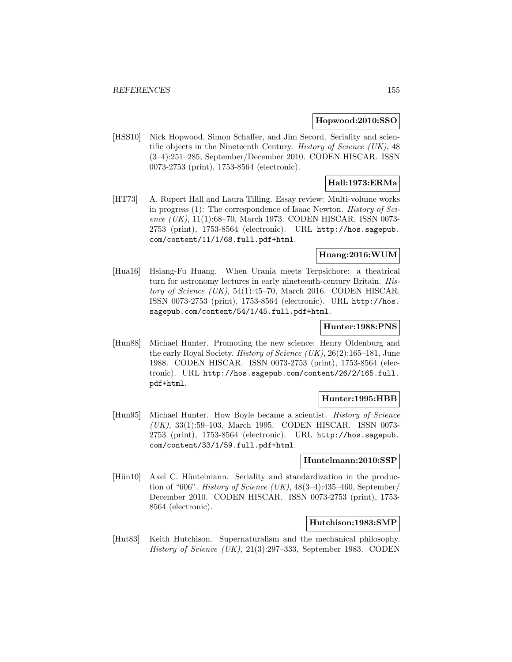#### **Hopwood:2010:SSO**

[HSS10] Nick Hopwood, Simon Schaffer, and Jim Secord. Seriality and scientific objects in the Nineteenth Century. History of Science (UK), 48 (3–4):251–285, September/December 2010. CODEN HISCAR. ISSN 0073-2753 (print), 1753-8564 (electronic).

# **Hall:1973:ERMa**

[HT73] A. Rupert Hall and Laura Tilling. Essay review: Multi-volume works in progress  $(1)$ : The correspondence of Isaac Newton. *History of Sci*ence (UK), 11(1):68-70, March 1973. CODEN HISCAR. ISSN 0073-2753 (print), 1753-8564 (electronic). URL http://hos.sagepub. com/content/11/1/68.full.pdf+html.

## **Huang:2016:WUM**

[Hua16] Hsiang-Fu Huang. When Urania meets Terpsichore: a theatrical turn for astronomy lectures in early nineteenth-century Britain. History of Science  $(UK)$ , 54(1):45–70, March 2016. CODEN HISCAR. ISSN 0073-2753 (print), 1753-8564 (electronic). URL http://hos. sagepub.com/content/54/1/45.full.pdf+html.

### **Hunter:1988:PNS**

[Hun88] Michael Hunter. Promoting the new science: Henry Oldenburg and the early Royal Society. *History of Science* (UK),  $26(2):165-181$ , June 1988. CODEN HISCAR. ISSN 0073-2753 (print), 1753-8564 (electronic). URL http://hos.sagepub.com/content/26/2/165.full. pdf+html.

#### **Hunter:1995:HBB**

[Hun95] Michael Hunter. How Boyle became a scientist. History of Science (UK), 33(1):59–103, March 1995. CODEN HISCAR. ISSN 0073- 2753 (print), 1753-8564 (electronic). URL http://hos.sagepub. com/content/33/1/59.full.pdf+html.

#### **Huntelmann:2010:SSP**

[Hün10] Axel C. Hüntelmann. Seriality and standardization in the production of "606". History of Science (UK),  $48(3-4)$ : 435-460, September/ December 2010. CODEN HISCAR. ISSN 0073-2753 (print), 1753- 8564 (electronic).

#### **Hutchison:1983:SMP**

[Hut83] Keith Hutchison. Supernaturalism and the mechanical philosophy. History of Science (UK), 21(3):297–333, September 1983. CODEN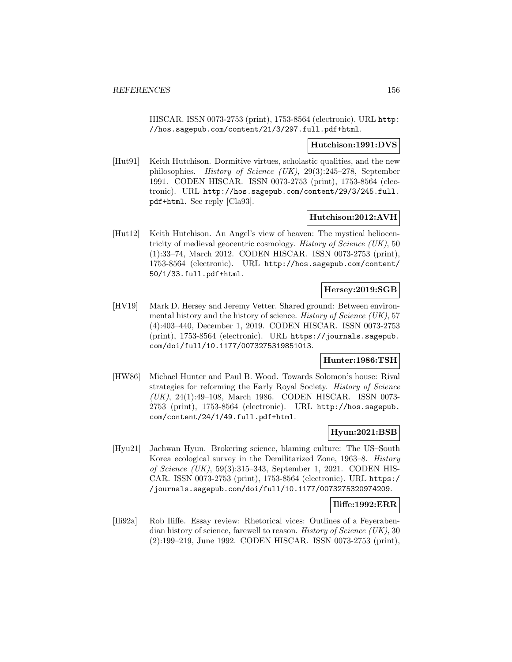HISCAR. ISSN 0073-2753 (print), 1753-8564 (electronic). URL http: //hos.sagepub.com/content/21/3/297.full.pdf+html.

#### **Hutchison:1991:DVS**

[Hut91] Keith Hutchison. Dormitive virtues, scholastic qualities, and the new philosophies. History of Science (UK), 29(3):245–278, September 1991. CODEN HISCAR. ISSN 0073-2753 (print), 1753-8564 (electronic). URL http://hos.sagepub.com/content/29/3/245.full. pdf+html. See reply [Cla93].

### **Hutchison:2012:AVH**

[Hut12] Keith Hutchison. An Angel's view of heaven: The mystical heliocentricity of medieval geocentric cosmology. History of Science (UK), 50 (1):33–74, March 2012. CODEN HISCAR. ISSN 0073-2753 (print), 1753-8564 (electronic). URL http://hos.sagepub.com/content/ 50/1/33.full.pdf+html.

# **Hersey:2019:SGB**

[HV19] Mark D. Hersey and Jeremy Vetter. Shared ground: Between environmental history and the history of science. History of Science (UK), 57 (4):403–440, December 1, 2019. CODEN HISCAR. ISSN 0073-2753 (print), 1753-8564 (electronic). URL https://journals.sagepub. com/doi/full/10.1177/0073275319851013.

## **Hunter:1986:TSH**

[HW86] Michael Hunter and Paul B. Wood. Towards Solomon's house: Rival strategies for reforming the Early Royal Society. History of Science (UK), 24(1):49–108, March 1986. CODEN HISCAR. ISSN 0073- 2753 (print), 1753-8564 (electronic). URL http://hos.sagepub. com/content/24/1/49.full.pdf+html.

### **Hyun:2021:BSB**

[Hyu21] Jaehwan Hyun. Brokering science, blaming culture: The US–South Korea ecological survey in the Demilitarized Zone, 1963–8. History of Science (UK), 59(3):315–343, September 1, 2021. CODEN HIS-CAR. ISSN 0073-2753 (print), 1753-8564 (electronic). URL https:/ /journals.sagepub.com/doi/full/10.1177/0073275320974209.

#### **Iliffe:1992:ERR**

[Ili92a] Rob Iliffe. Essay review: Rhetorical vices: Outlines of a Feyerabendian history of science, farewell to reason. History of Science  $(UK)$ , 30 (2):199–219, June 1992. CODEN HISCAR. ISSN 0073-2753 (print),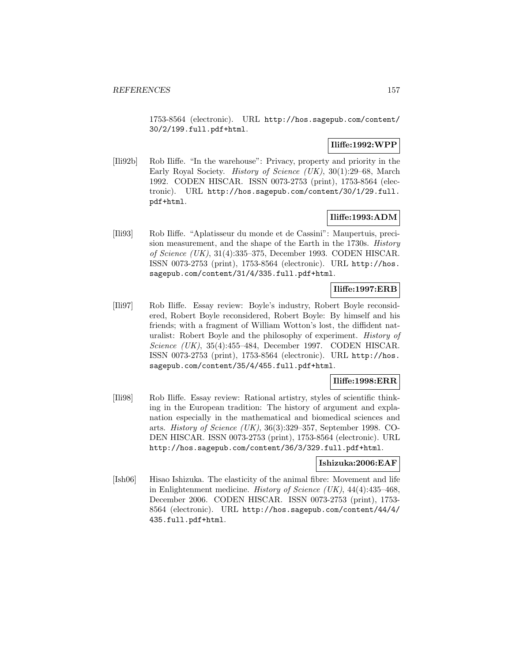1753-8564 (electronic). URL http://hos.sagepub.com/content/ 30/2/199.full.pdf+html.

## **Iliffe:1992:WPP**

[Ili92b] Rob Iliffe. "In the warehouse": Privacy, property and priority in the Early Royal Society. History of Science (UK), 30(1):29–68, March 1992. CODEN HISCAR. ISSN 0073-2753 (print), 1753-8564 (electronic). URL http://hos.sagepub.com/content/30/1/29.full. pdf+html.

## **Iliffe:1993:ADM**

[Ili93] Rob Iliffe. "Aplatisseur du monde et de Cassini": Maupertuis, precision measurement, and the shape of the Earth in the 1730s. History of Science (UK), 31(4):335–375, December 1993. CODEN HISCAR. ISSN 0073-2753 (print), 1753-8564 (electronic). URL http://hos. sagepub.com/content/31/4/335.full.pdf+html.

# **Iliffe:1997:ERB**

[Ili97] Rob Iliffe. Essay review: Boyle's industry, Robert Boyle reconsidered, Robert Boyle reconsidered, Robert Boyle: By himself and his friends; with a fragment of William Wotton's lost, the diffident naturalist: Robert Boyle and the philosophy of experiment. History of Science (UK), 35(4):455–484, December 1997. CODEN HISCAR. ISSN 0073-2753 (print), 1753-8564 (electronic). URL http://hos. sagepub.com/content/35/4/455.full.pdf+html.

### **Iliffe:1998:ERR**

[Ili98] Rob Iliffe. Essay review: Rational artistry, styles of scientific thinking in the European tradition: The history of argument and explanation especially in the mathematical and biomedical sciences and arts. History of Science (UK), 36(3):329–357, September 1998. CO-DEN HISCAR. ISSN 0073-2753 (print), 1753-8564 (electronic). URL http://hos.sagepub.com/content/36/3/329.full.pdf+html.

#### **Ishizuka:2006:EAF**

[Ish06] Hisao Ishizuka. The elasticity of the animal fibre: Movement and life in Enlightenment medicine. *History of Science (UK)*,  $44(4):435-468$ . December 2006. CODEN HISCAR. ISSN 0073-2753 (print), 1753- 8564 (electronic). URL http://hos.sagepub.com/content/44/4/ 435.full.pdf+html.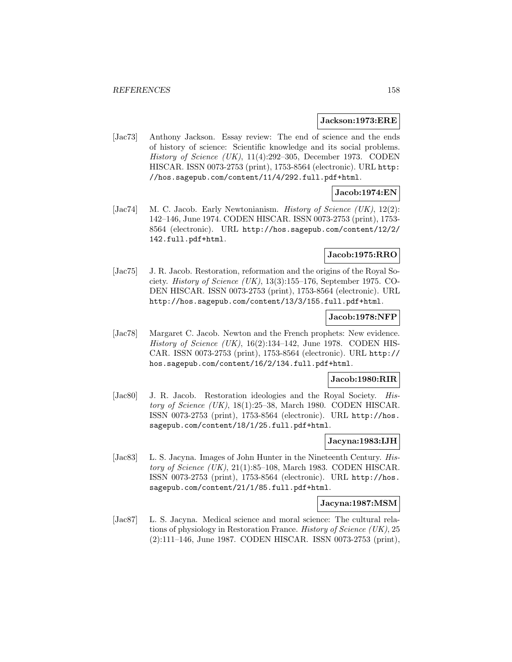#### **Jackson:1973:ERE**

[Jac73] Anthony Jackson. Essay review: The end of science and the ends of history of science: Scientific knowledge and its social problems. History of Science (UK), 11(4):292–305, December 1973. CODEN HISCAR. ISSN 0073-2753 (print), 1753-8564 (electronic). URL http: //hos.sagepub.com/content/11/4/292.full.pdf+html.

## **Jacob:1974:EN**

[Jac74] M. C. Jacob. Early Newtonianism. *History of Science (UK)*,  $12(2)$ : 142–146, June 1974. CODEN HISCAR. ISSN 0073-2753 (print), 1753- 8564 (electronic). URL http://hos.sagepub.com/content/12/2/ 142.full.pdf+html.

### **Jacob:1975:RRO**

[Jac75] J. R. Jacob. Restoration, reformation and the origins of the Royal Society. History of Science (UK), 13(3):155–176, September 1975. CO-DEN HISCAR. ISSN 0073-2753 (print), 1753-8564 (electronic). URL http://hos.sagepub.com/content/13/3/155.full.pdf+html.

### **Jacob:1978:NFP**

[Jac78] Margaret C. Jacob. Newton and the French prophets: New evidence. History of Science (UK),  $16(2):134-142$ , June 1978. CODEN HIS-CAR. ISSN 0073-2753 (print), 1753-8564 (electronic). URL http:// hos.sagepub.com/content/16/2/134.full.pdf+html.

#### **Jacob:1980:RIR**

[Jac80] J. R. Jacob. Restoration ideologies and the Royal Society. History of Science  $(UK)$ , 18(1):25–38, March 1980. CODEN HISCAR. ISSN 0073-2753 (print), 1753-8564 (electronic). URL http://hos. sagepub.com/content/18/1/25.full.pdf+html.

### **Jacyna:1983:IJH**

[Jac83] L. S. Jacyna. Images of John Hunter in the Nineteenth Century. History of Science  $(UK)$ , 21(1):85–108, March 1983. CODEN HISCAR. ISSN 0073-2753 (print), 1753-8564 (electronic). URL http://hos. sagepub.com/content/21/1/85.full.pdf+html.

#### **Jacyna:1987:MSM**

[Jac87] L. S. Jacyna. Medical science and moral science: The cultural relations of physiology in Restoration France. History of Science (UK), 25 (2):111–146, June 1987. CODEN HISCAR. ISSN 0073-2753 (print),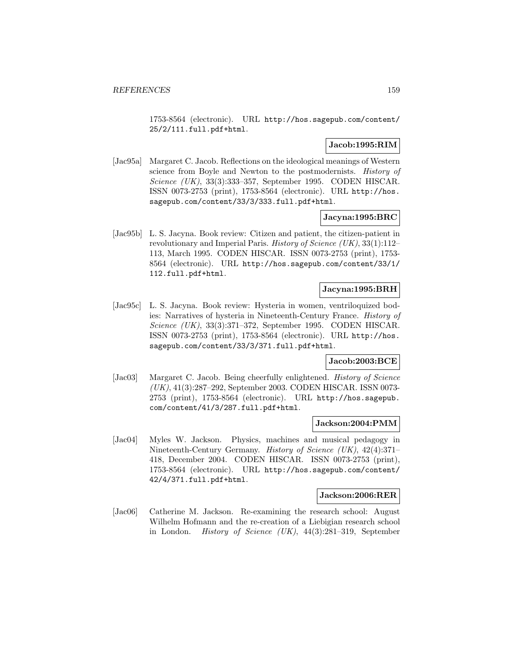1753-8564 (electronic). URL http://hos.sagepub.com/content/ 25/2/111.full.pdf+html.

## **Jacob:1995:RIM**

[Jac95a] Margaret C. Jacob. Reflections on the ideological meanings of Western science from Boyle and Newton to the postmodernists. History of Science (UK), 33(3):333–357, September 1995. CODEN HISCAR. ISSN 0073-2753 (print), 1753-8564 (electronic). URL http://hos. sagepub.com/content/33/3/333.full.pdf+html.

#### **Jacyna:1995:BRC**

[Jac95b] L. S. Jacyna. Book review: Citizen and patient, the citizen-patient in revolutionary and Imperial Paris. History of Science (UK), 33(1):112– 113, March 1995. CODEN HISCAR. ISSN 0073-2753 (print), 1753- 8564 (electronic). URL http://hos.sagepub.com/content/33/1/ 112.full.pdf+html.

## **Jacyna:1995:BRH**

[Jac95c] L. S. Jacyna. Book review: Hysteria in women, ventriloquized bodies: Narratives of hysteria in Nineteenth-Century France. History of Science (UK), 33(3):371–372, September 1995. CODEN HISCAR. ISSN 0073-2753 (print), 1753-8564 (electronic). URL http://hos. sagepub.com/content/33/3/371.full.pdf+html.

#### **Jacob:2003:BCE**

[Jac03] Margaret C. Jacob. Being cheerfully enlightened. *History of Science* (UK), 41(3):287–292, September 2003. CODEN HISCAR. ISSN 0073- 2753 (print), 1753-8564 (electronic). URL http://hos.sagepub. com/content/41/3/287.full.pdf+html.

#### **Jackson:2004:PMM**

[Jac04] Myles W. Jackson. Physics, machines and musical pedagogy in Nineteenth-Century Germany. History of Science (UK), 42(4):371– 418, December 2004. CODEN HISCAR. ISSN 0073-2753 (print), 1753-8564 (electronic). URL http://hos.sagepub.com/content/ 42/4/371.full.pdf+html.

#### **Jackson:2006:RER**

[Jac06] Catherine M. Jackson. Re-examining the research school: August Wilhelm Hofmann and the re-creation of a Liebigian research school in London. History of Science (UK), 44(3):281–319, September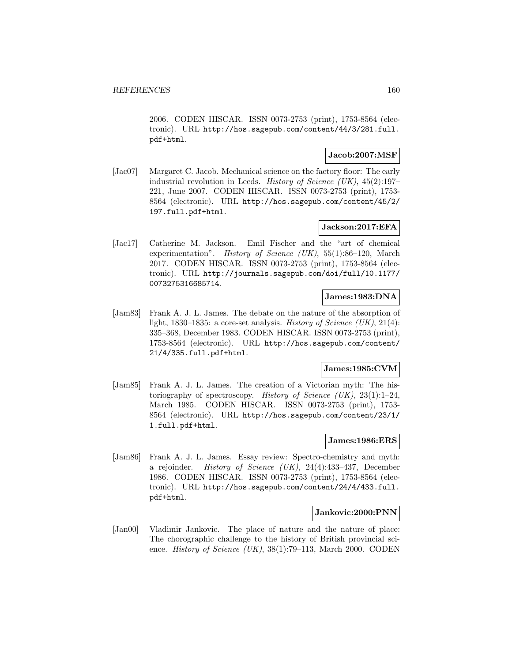2006. CODEN HISCAR. ISSN 0073-2753 (print), 1753-8564 (electronic). URL http://hos.sagepub.com/content/44/3/281.full. pdf+html.

### **Jacob:2007:MSF**

[Jac07] Margaret C. Jacob. Mechanical science on the factory floor: The early industrial revolution in Leeds. History of Science (UK),  $45(2):197-$ 221, June 2007. CODEN HISCAR. ISSN 0073-2753 (print), 1753- 8564 (electronic). URL http://hos.sagepub.com/content/45/2/ 197.full.pdf+html.

### **Jackson:2017:EFA**

[Jac17] Catherine M. Jackson. Emil Fischer and the "art of chemical experimentation". *History of Science (UK)*,  $55(1):86-120$ , March 2017. CODEN HISCAR. ISSN 0073-2753 (print), 1753-8564 (electronic). URL http://journals.sagepub.com/doi/full/10.1177/ 0073275316685714.

## **James:1983:DNA**

[Jam83] Frank A. J. L. James. The debate on the nature of the absorption of light, 1830–1835: a core-set analysis. *History of Science (UK)*, 21(4): 335–368, December 1983. CODEN HISCAR. ISSN 0073-2753 (print), 1753-8564 (electronic). URL http://hos.sagepub.com/content/ 21/4/335.full.pdf+html.

### **James:1985:CVM**

[Jam85] Frank A. J. L. James. The creation of a Victorian myth: The historiography of spectroscopy. History of Science  $(UK), 23(1):1-24$ , March 1985. CODEN HISCAR. ISSN 0073-2753 (print), 1753- 8564 (electronic). URL http://hos.sagepub.com/content/23/1/ 1.full.pdf+html.

## **James:1986:ERS**

[Jam86] Frank A. J. L. James. Essay review: Spectro-chemistry and myth: a rejoinder. *History of Science (UK)*,  $24(4):433-437$ , December 1986. CODEN HISCAR. ISSN 0073-2753 (print), 1753-8564 (electronic). URL http://hos.sagepub.com/content/24/4/433.full. pdf+html.

### **Jankovic:2000:PNN**

[Jan00] Vladimir Jankovic. The place of nature and the nature of place: The chorographic challenge to the history of British provincial science. *History of Science (UK)*,  $38(1)$ :79–113, March 2000. CODEN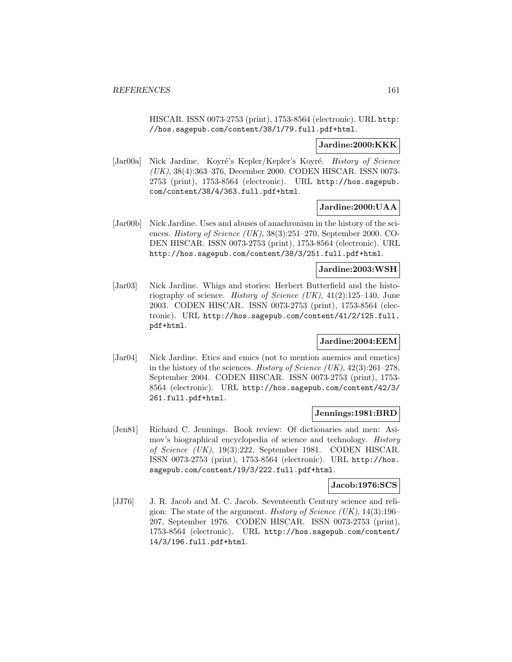HISCAR. ISSN 0073-2753 (print), 1753-8564 (electronic). URL http: //hos.sagepub.com/content/38/1/79.full.pdf+html.

#### **Jardine:2000:KKK**

[Jar00a] Nick Jardine. Koyré's Kepler/Kepler's Koyré. History of Science (UK), 38(4):363–376, December 2000. CODEN HISCAR. ISSN 0073- 2753 (print), 1753-8564 (electronic). URL http://hos.sagepub. com/content/38/4/363.full.pdf+html.

#### **Jardine:2000:UAA**

[Jar00b] Nick Jardine. Uses and abuses of anachronism in the history of the sciences. History of Science (UK), 38(3):251–270, September 2000. CO-DEN HISCAR. ISSN 0073-2753 (print), 1753-8564 (electronic). URL http://hos.sagepub.com/content/38/3/251.full.pdf+html.

#### **Jardine:2003:WSH**

[Jar03] Nick Jardine. Whigs and stories: Herbert Butterfield and the historiography of science. History of Science  $(UK)$ ,  $41(2):125-140$ , June 2003. CODEN HISCAR. ISSN 0073-2753 (print), 1753-8564 (electronic). URL http://hos.sagepub.com/content/41/2/125.full. pdf+html.

#### **Jardine:2004:EEM**

[Jar04] Nick Jardine. Etics and emics (not to mention anemics and emetics) in the history of the sciences. History of Science (UK),  $42(3):261-278$ , September 2004. CODEN HISCAR. ISSN 0073-2753 (print), 1753- 8564 (electronic). URL http://hos.sagepub.com/content/42/3/ 261.full.pdf+html.

#### **Jennings:1981:BRD**

[Jen81] Richard C. Jennings. Book review: Of dictionaries and men: Asimov's biographical encyclopedia of science and technology. History of Science (UK), 19(3):222, September 1981. CODEN HISCAR. ISSN 0073-2753 (print), 1753-8564 (electronic). URL http://hos. sagepub.com/content/19/3/222.full.pdf+html.

### **Jacob:1976:SCS**

[JJ76] J. R. Jacob and M. C. Jacob. Seventeenth Century science and religion: The state of the argument. *History of Science (UK)*,  $14(3):196-$ 207, September 1976. CODEN HISCAR. ISSN 0073-2753 (print), 1753-8564 (electronic). URL http://hos.sagepub.com/content/ 14/3/196.full.pdf+html.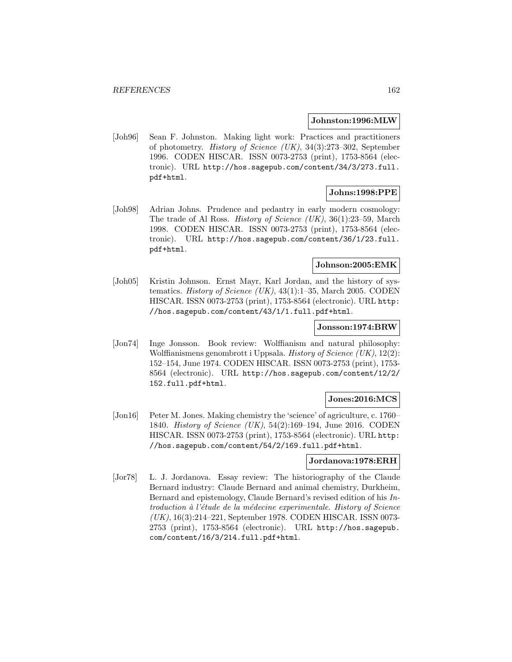#### **Johnston:1996:MLW**

[Joh96] Sean F. Johnston. Making light work: Practices and practitioners of photometry. History of Science (UK), 34(3):273–302, September 1996. CODEN HISCAR. ISSN 0073-2753 (print), 1753-8564 (electronic). URL http://hos.sagepub.com/content/34/3/273.full. pdf+html.

## **Johns:1998:PPE**

[Joh98] Adrian Johns. Prudence and pedantry in early modern cosmology: The trade of Al Ross. History of Science (UK), 36(1):23–59, March 1998. CODEN HISCAR. ISSN 0073-2753 (print), 1753-8564 (electronic). URL http://hos.sagepub.com/content/36/1/23.full. pdf+html.

## **Johnson:2005:EMK**

[Joh05] Kristin Johnson. Ernst Mayr, Karl Jordan, and the history of systematics. History of Science  $(UK)$ , 43(1):1–35, March 2005. CODEN HISCAR. ISSN 0073-2753 (print), 1753-8564 (electronic). URL http: //hos.sagepub.com/content/43/1/1.full.pdf+html.

#### **Jonsson:1974:BRW**

[Jon74] Inge Jonsson. Book review: Wolffianism and natural philosophy: Wolffianismens genombrott i Uppsala. History of Science (UK), 12(2): 152–154, June 1974. CODEN HISCAR. ISSN 0073-2753 (print), 1753- 8564 (electronic). URL http://hos.sagepub.com/content/12/2/ 152.full.pdf+html.

## **Jones:2016:MCS**

[Jon16] Peter M. Jones. Making chemistry the 'science' of agriculture, c. 1760– 1840. History of Science (UK), 54(2):169–194, June 2016. CODEN HISCAR. ISSN 0073-2753 (print), 1753-8564 (electronic). URL http: //hos.sagepub.com/content/54/2/169.full.pdf+html.

#### **Jordanova:1978:ERH**

[Jor78] L. J. Jordanova. Essay review: The historiography of the Claude Bernard industry: Claude Bernard and animal chemistry, Durkheim, Bernard and epistemology, Claude Bernard's revised edition of his Introduction à l'étude de la médecine experimentale. History of Science (UK), 16(3):214–221, September 1978. CODEN HISCAR. ISSN 0073- 2753 (print), 1753-8564 (electronic). URL http://hos.sagepub. com/content/16/3/214.full.pdf+html.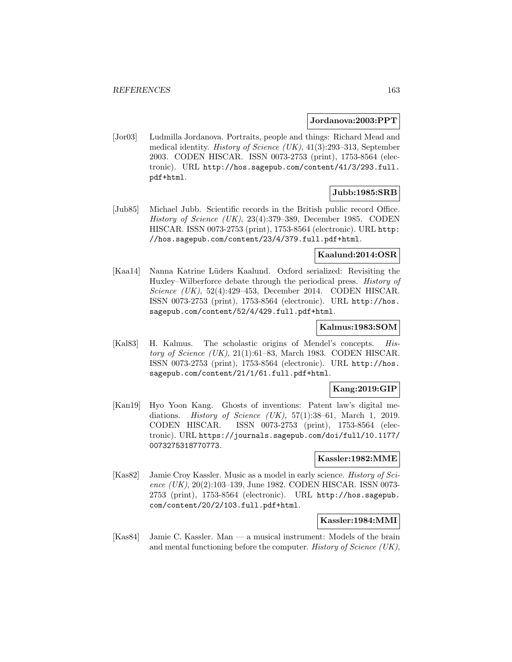#### **Jordanova:2003:PPT**

[Jor03] Ludmilla Jordanova. Portraits, people and things: Richard Mead and medical identity. History of Science (UK), 41(3):293–313, September 2003. CODEN HISCAR. ISSN 0073-2753 (print), 1753-8564 (electronic). URL http://hos.sagepub.com/content/41/3/293.full. pdf+html.

### **Jubb:1985:SRB**

[Jub85] Michael Jubb. Scientific records in the British public record Office. History of Science (UK), 23(4):379–389, December 1985. CODEN HISCAR. ISSN 0073-2753 (print), 1753-8564 (electronic). URL http: //hos.sagepub.com/content/23/4/379.full.pdf+html.

## **Kaalund:2014:OSR**

[Kaa14] Nanna Katrine L¨uders Kaalund. Oxford serialized: Revisiting the Huxley–Wilberforce debate through the periodical press. History of Science (UK), 52(4):429–453, December 2014. CODEN HISCAR. ISSN 0073-2753 (print), 1753-8564 (electronic). URL http://hos. sagepub.com/content/52/4/429.full.pdf+html.

#### **Kalmus:1983:SOM**

[Kal83] H. Kalmus. The scholastic origins of Mendel's concepts. History of Science  $(UK)$ , 21(1):61–83, March 1983. CODEN HISCAR. ISSN 0073-2753 (print), 1753-8564 (electronic). URL http://hos. sagepub.com/content/21/1/61.full.pdf+html.

#### **Kang:2019:GIP**

[Kan19] Hyo Yoon Kang. Ghosts of inventions: Patent law's digital mediations. History of Science  $(UK), 57(1):38-61,$  March 1, 2019. CODEN HISCAR. ISSN 0073-2753 (print), 1753-8564 (electronic). URL https://journals.sagepub.com/doi/full/10.1177/ 0073275318770773.

## **Kassler:1982:MME**

[Kas82] Jamie Croy Kassler. Music as a model in early science. History of Science (UK), 20(2):103–139, June 1982. CODEN HISCAR. ISSN 0073- 2753 (print), 1753-8564 (electronic). URL http://hos.sagepub. com/content/20/2/103.full.pdf+html.

#### **Kassler:1984:MMI**

[Kas84] Jamie C. Kassler. Man — a musical instrument: Models of the brain and mental functioning before the computer. History of Science (UK),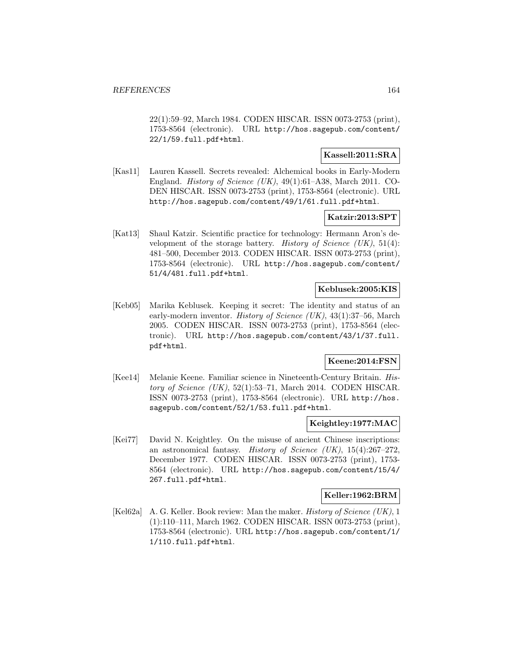22(1):59–92, March 1984. CODEN HISCAR. ISSN 0073-2753 (print), 1753-8564 (electronic). URL http://hos.sagepub.com/content/ 22/1/59.full.pdf+html.

## **Kassell:2011:SRA**

[Kas11] Lauren Kassell. Secrets revealed: Alchemical books in Early-Modern England. History of Science (UK), 49(1):61–A38, March 2011. CO-DEN HISCAR. ISSN 0073-2753 (print), 1753-8564 (electronic). URL http://hos.sagepub.com/content/49/1/61.full.pdf+html.

### **Katzir:2013:SPT**

[Kat13] Shaul Katzir. Scientific practice for technology: Hermann Aron's development of the storage battery. History of Science  $(UK)$ , 51(4): 481–500, December 2013. CODEN HISCAR. ISSN 0073-2753 (print), 1753-8564 (electronic). URL http://hos.sagepub.com/content/ 51/4/481.full.pdf+html.

### **Keblusek:2005:KIS**

[Keb05] Marika Keblusek. Keeping it secret: The identity and status of an early-modern inventor. *History of Science (UK)*, 43(1):37–56, March 2005. CODEN HISCAR. ISSN 0073-2753 (print), 1753-8564 (electronic). URL http://hos.sagepub.com/content/43/1/37.full. pdf+html.

### **Keene:2014:FSN**

[Kee14] Melanie Keene. Familiar science in Nineteenth-Century Britain. History of Science  $(UK), 52(1):53-71,$  March 2014. CODEN HISCAR. ISSN 0073-2753 (print), 1753-8564 (electronic). URL http://hos. sagepub.com/content/52/1/53.full.pdf+html.

#### **Keightley:1977:MAC**

[Kei77] David N. Keightley. On the misuse of ancient Chinese inscriptions: an astronomical fantasy. History of Science  $(UK), 15(4):267-272$ , December 1977. CODEN HISCAR. ISSN 0073-2753 (print), 1753- 8564 (electronic). URL http://hos.sagepub.com/content/15/4/ 267.full.pdf+html.

## **Keller:1962:BRM**

[Kel62a] A. G. Keller. Book review: Man the maker. *History of Science (UK)*, 1 (1):110–111, March 1962. CODEN HISCAR. ISSN 0073-2753 (print), 1753-8564 (electronic). URL http://hos.sagepub.com/content/1/ 1/110.full.pdf+html.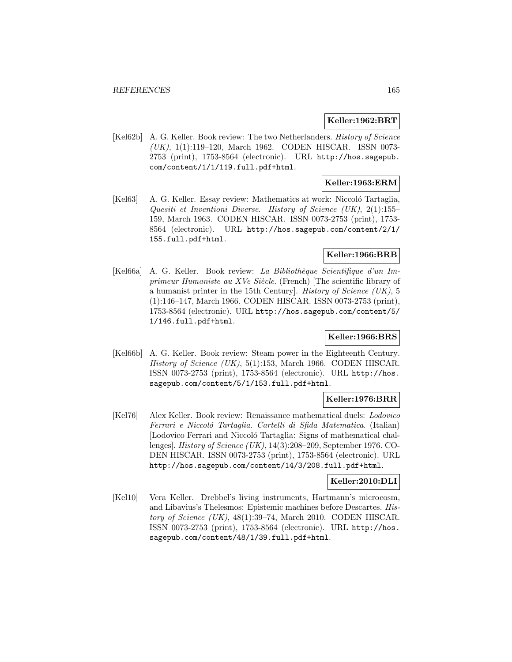#### **Keller:1962:BRT**

[Kel62b] A. G. Keller. Book review: The two Netherlanders. History of Science (UK), 1(1):119–120, March 1962. CODEN HISCAR. ISSN 0073- 2753 (print), 1753-8564 (electronic). URL http://hos.sagepub. com/content/1/1/119.full.pdf+html.

### **Keller:1963:ERM**

[Kel63] A. G. Keller. Essay review: Mathematics at work: Niccoló Tartaglia, Quesiti et Inventioni Diverse. History of Science (UK), 2(1):155– 159, March 1963. CODEN HISCAR. ISSN 0073-2753 (print), 1753- 8564 (electronic). URL http://hos.sagepub.com/content/2/1/ 155.full.pdf+html.

### **Keller:1966:BRB**

[Kel66a] A. G. Keller. Book review: La Bibliothèque Scientifique d'un Imprimeur Humaniste au XVe Siècle. (French) [The scientific library of a humanist printer in the 15th Century]. History of Science (UK), 5 (1):146–147, March 1966. CODEN HISCAR. ISSN 0073-2753 (print), 1753-8564 (electronic). URL http://hos.sagepub.com/content/5/ 1/146.full.pdf+html.

#### **Keller:1966:BRS**

[Kel66b] A. G. Keller. Book review: Steam power in the Eighteenth Century. History of Science (UK), 5(1):153, March 1966. CODEN HISCAR. ISSN 0073-2753 (print), 1753-8564 (electronic). URL http://hos. sagepub.com/content/5/1/153.full.pdf+html.

### **Keller:1976:BRR**

[Kel76] Alex Keller. Book review: Renaissance mathematical duels: Lodovico Ferrari e Niccoló Tartaglia. Cartelli di Sfida Matematica. (Italian) [Lodovico Ferrari and Niccoló Tartaglia: Signs of mathematical challenges]. History of Science (UK), 14(3):208–209, September 1976. CO-DEN HISCAR. ISSN 0073-2753 (print), 1753-8564 (electronic). URL http://hos.sagepub.com/content/14/3/208.full.pdf+html.

#### **Keller:2010:DLI**

[Kel10] Vera Keller. Drebbel's living instruments, Hartmann's microcosm, and Libavius's Thelesmos: Epistemic machines before Descartes. History of Science (UK),  $48(1):39-74$ , March 2010. CODEN HISCAR. ISSN 0073-2753 (print), 1753-8564 (electronic). URL http://hos. sagepub.com/content/48/1/39.full.pdf+html.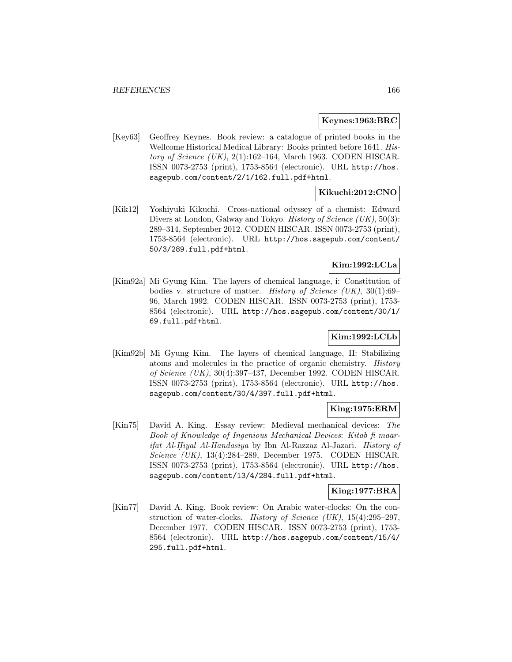#### **Keynes:1963:BRC**

[Key63] Geoffrey Keynes. Book review: a catalogue of printed books in the Wellcome Historical Medical Library: Books printed before 1641. History of Science  $(UK)$ , 2(1):162–164, March 1963. CODEN HISCAR. ISSN 0073-2753 (print), 1753-8564 (electronic). URL http://hos. sagepub.com/content/2/1/162.full.pdf+html.

### **Kikuchi:2012:CNO**

[Kik12] Yoshiyuki Kikuchi. Cross-national odyssey of a chemist: Edward Divers at London, Galway and Tokyo. History of Science (UK), 50(3): 289–314, September 2012. CODEN HISCAR. ISSN 0073-2753 (print), 1753-8564 (electronic). URL http://hos.sagepub.com/content/ 50/3/289.full.pdf+html.

## **Kim:1992:LCLa**

[Kim92a] Mi Gyung Kim. The layers of chemical language, i: Constitution of bodies v. structure of matter. *History of Science (UK)*,  $30(1):69-$ 96, March 1992. CODEN HISCAR. ISSN 0073-2753 (print), 1753- 8564 (electronic). URL http://hos.sagepub.com/content/30/1/ 69.full.pdf+html.

## **Kim:1992:LCLb**

[Kim92b] Mi Gyung Kim. The layers of chemical language, II: Stabilizing atoms and molecules in the practice of organic chemistry. History of Science (UK), 30(4):397–437, December 1992. CODEN HISCAR. ISSN 0073-2753 (print), 1753-8564 (electronic). URL http://hos. sagepub.com/content/30/4/397.full.pdf+html.

#### **King:1975:ERM**

[Kin75] David A. King. Essay review: Medieval mechanical devices: The Book of Knowledge of Ingenious Mechanical Devices: Kitab fi maarifat Al-Hiyal Al-Handasiya by Ibn Al-Razzaz Al-Jazari. History of Science (UK), 13(4):284–289, December 1975. CODEN HISCAR. ISSN 0073-2753 (print), 1753-8564 (electronic). URL http://hos. sagepub.com/content/13/4/284.full.pdf+html.

#### **King:1977:BRA**

[Kin77] David A. King. Book review: On Arabic water-clocks: On the construction of water-clocks. History of Science (UK), 15(4):295–297, December 1977. CODEN HISCAR. ISSN 0073-2753 (print), 1753- 8564 (electronic). URL http://hos.sagepub.com/content/15/4/ 295.full.pdf+html.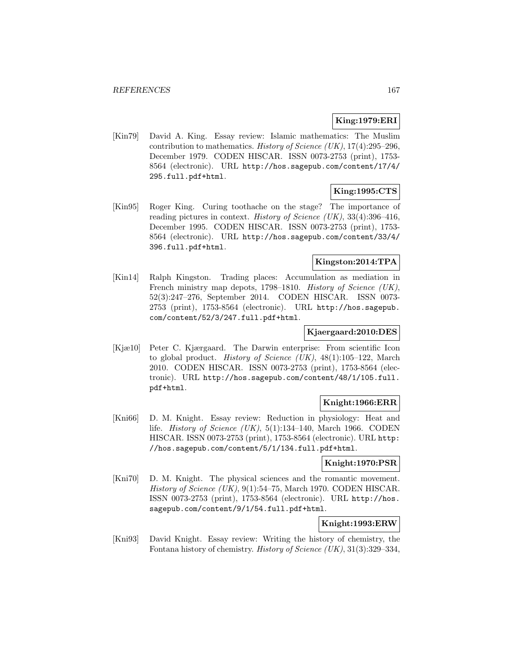## **King:1979:ERI**

[Kin79] David A. King. Essay review: Islamic mathematics: The Muslim contribution to mathematics. History of Science (UK),  $17(4):295-296$ , December 1979. CODEN HISCAR. ISSN 0073-2753 (print), 1753- 8564 (electronic). URL http://hos.sagepub.com/content/17/4/ 295.full.pdf+html.

## **King:1995:CTS**

[Kin95] Roger King. Curing toothache on the stage? The importance of reading pictures in context. History of Science (UK),  $33(4):396-416$ , December 1995. CODEN HISCAR. ISSN 0073-2753 (print), 1753- 8564 (electronic). URL http://hos.sagepub.com/content/33/4/ 396.full.pdf+html.

## **Kingston:2014:TPA**

[Kin14] Ralph Kingston. Trading places: Accumulation as mediation in French ministry map depots, 1798–1810. History of Science (UK), 52(3):247–276, September 2014. CODEN HISCAR. ISSN 0073- 2753 (print), 1753-8564 (electronic). URL http://hos.sagepub. com/content/52/3/247.full.pdf+html.

## **Kjaergaard:2010:DES**

[Kjæ10] Peter C. Kjærgaard. The Darwin enterprise: From scientific Icon to global product. History of Science  $(UK)$ , 48(1):105–122, March 2010. CODEN HISCAR. ISSN 0073-2753 (print), 1753-8564 (electronic). URL http://hos.sagepub.com/content/48/1/105.full. pdf+html.

#### **Knight:1966:ERR**

[Kni66] D. M. Knight. Essay review: Reduction in physiology: Heat and life. *History of Science (UK)*,  $5(1):134-140$ , March 1966. CODEN HISCAR. ISSN 0073-2753 (print), 1753-8564 (electronic). URL http: //hos.sagepub.com/content/5/1/134.full.pdf+html.

### **Knight:1970:PSR**

[Kni70] D. M. Knight. The physical sciences and the romantic movement. History of Science (UK), 9(1):54–75, March 1970. CODEN HISCAR. ISSN 0073-2753 (print), 1753-8564 (electronic). URL http://hos. sagepub.com/content/9/1/54.full.pdf+html.

### **Knight:1993:ERW**

[Kni93] David Knight. Essay review: Writing the history of chemistry, the Fontana history of chemistry. History of Science (UK), 31(3):329–334,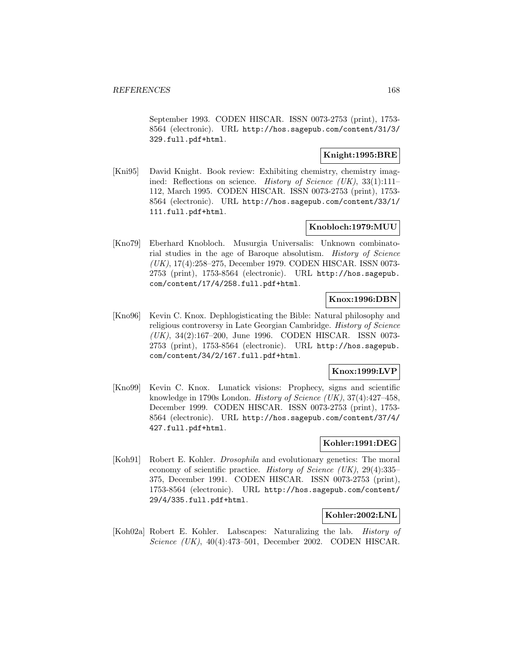September 1993. CODEN HISCAR. ISSN 0073-2753 (print), 1753- 8564 (electronic). URL http://hos.sagepub.com/content/31/3/ 329.full.pdf+html.

### **Knight:1995:BRE**

[Kni95] David Knight. Book review: Exhibiting chemistry, chemistry imagined: Reflections on science. *History of Science (UK)*, 33(1):111– 112, March 1995. CODEN HISCAR. ISSN 0073-2753 (print), 1753- 8564 (electronic). URL http://hos.sagepub.com/content/33/1/ 111.full.pdf+html.

### **Knobloch:1979:MUU**

[Kno79] Eberhard Knobloch. Musurgia Universalis: Unknown combinatorial studies in the age of Baroque absolutism. History of Science (UK), 17(4):258–275, December 1979. CODEN HISCAR. ISSN 0073- 2753 (print), 1753-8564 (electronic). URL http://hos.sagepub. com/content/17/4/258.full.pdf+html.

#### **Knox:1996:DBN**

[Kno96] Kevin C. Knox. Dephlogisticating the Bible: Natural philosophy and religious controversy in Late Georgian Cambridge. History of Science (UK), 34(2):167–200, June 1996. CODEN HISCAR. ISSN 0073- 2753 (print), 1753-8564 (electronic). URL http://hos.sagepub. com/content/34/2/167.full.pdf+html.

## **Knox:1999:LVP**

[Kno99] Kevin C. Knox. Lunatick visions: Prophecy, signs and scientific knowledge in 1790s London. History of Science (UK), 37(4):427–458, December 1999. CODEN HISCAR. ISSN 0073-2753 (print), 1753- 8564 (electronic). URL http://hos.sagepub.com/content/37/4/ 427.full.pdf+html.

### **Kohler:1991:DEG**

[Koh91] Robert E. Kohler. Drosophila and evolutionary genetics: The moral economy of scientific practice. History of Science (UK), 29(4):335– 375, December 1991. CODEN HISCAR. ISSN 0073-2753 (print), 1753-8564 (electronic). URL http://hos.sagepub.com/content/ 29/4/335.full.pdf+html.

#### **Kohler:2002:LNL**

[Koh02a] Robert E. Kohler. Labscapes: Naturalizing the lab. History of Science (UK), 40(4):473–501, December 2002. CODEN HISCAR.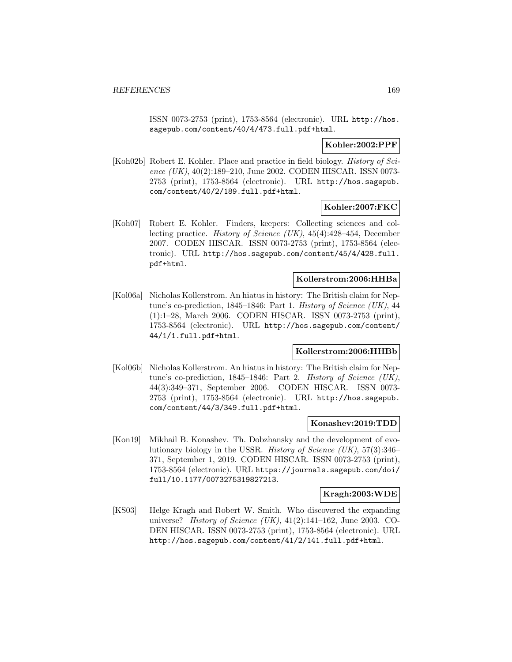ISSN 0073-2753 (print), 1753-8564 (electronic). URL http://hos. sagepub.com/content/40/4/473.full.pdf+html.

### **Kohler:2002:PPF**

[Koh02b] Robert E. Kohler. Place and practice in field biology. History of Science  $(UK), 40(2):189-210, June 2002. CODEN HISCAR. ISSN 0073-$ 2753 (print), 1753-8564 (electronic). URL http://hos.sagepub. com/content/40/2/189.full.pdf+html.

### **Kohler:2007:FKC**

[Koh07] Robert E. Kohler. Finders, keepers: Collecting sciences and collecting practice. History of Science (UK), 45(4):428–454, December 2007. CODEN HISCAR. ISSN 0073-2753 (print), 1753-8564 (electronic). URL http://hos.sagepub.com/content/45/4/428.full. pdf+html.

### **Kollerstrom:2006:HHBa**

[Kol06a] Nicholas Kollerstrom. An hiatus in history: The British claim for Neptune's co-prediction, 1845–1846: Part 1. *History of Science (UK)*, 44 (1):1–28, March 2006. CODEN HISCAR. ISSN 0073-2753 (print), 1753-8564 (electronic). URL http://hos.sagepub.com/content/ 44/1/1.full.pdf+html.

## **Kollerstrom:2006:HHBb**

[Kol06b] Nicholas Kollerstrom. An hiatus in history: The British claim for Neptune's co-prediction, 1845–1846: Part 2. History of Science (UK), 44(3):349–371, September 2006. CODEN HISCAR. ISSN 0073- 2753 (print), 1753-8564 (electronic). URL http://hos.sagepub. com/content/44/3/349.full.pdf+html.

#### **Konashev:2019:TDD**

[Kon19] Mikhail B. Konashev. Th. Dobzhansky and the development of evolutionary biology in the USSR. History of Science (UK), 57(3):346– 371, September 1, 2019. CODEN HISCAR. ISSN 0073-2753 (print), 1753-8564 (electronic). URL https://journals.sagepub.com/doi/ full/10.1177/0073275319827213.

#### **Kragh:2003:WDE**

[KS03] Helge Kragh and Robert W. Smith. Who discovered the expanding universe? *History of Science (UK)*,  $41(2):141-162$ , June 2003. CO-DEN HISCAR. ISSN 0073-2753 (print), 1753-8564 (electronic). URL http://hos.sagepub.com/content/41/2/141.full.pdf+html.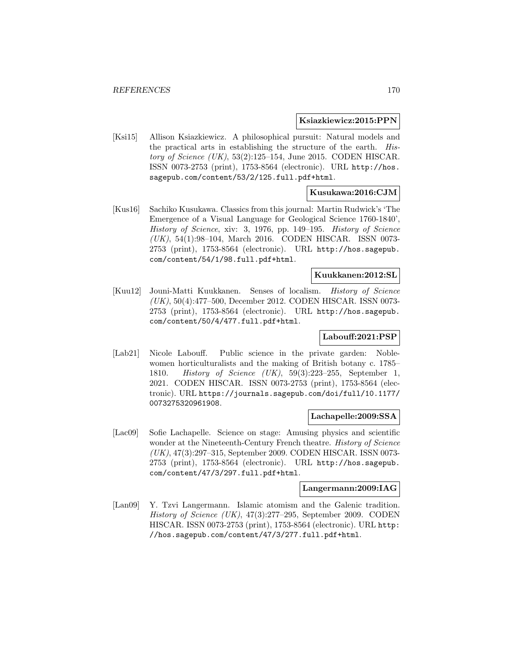#### **Ksiazkiewicz:2015:PPN**

[Ksi15] Allison Ksiazkiewicz. A philosophical pursuit: Natural models and the practical arts in establishing the structure of the earth. History of Science  $(UK)$ , 53(2):125-154, June 2015. CODEN HISCAR. ISSN 0073-2753 (print), 1753-8564 (electronic). URL http://hos. sagepub.com/content/53/2/125.full.pdf+html.

### **Kusukawa:2016:CJM**

[Kus16] Sachiko Kusukawa. Classics from this journal: Martin Rudwick's 'The Emergence of a Visual Language for Geological Science 1760-1840', History of Science, xiv: 3, 1976, pp. 149–195. History of Science (UK), 54(1):98–104, March 2016. CODEN HISCAR. ISSN 0073- 2753 (print), 1753-8564 (electronic). URL http://hos.sagepub. com/content/54/1/98.full.pdf+html.

## **Kuukkanen:2012:SL**

[Kuu12] Jouni-Matti Kuukkanen. Senses of localism. History of Science (UK), 50(4):477–500, December 2012. CODEN HISCAR. ISSN 0073- 2753 (print), 1753-8564 (electronic). URL http://hos.sagepub. com/content/50/4/477.full.pdf+html.

#### **Labouff:2021:PSP**

[Lab21] Nicole Labouff. Public science in the private garden: Noblewomen horticulturalists and the making of British botany c. 1785– 1810. *History of Science (UK)*, 59(3):223-255, September 1, 2021. CODEN HISCAR. ISSN 0073-2753 (print), 1753-8564 (electronic). URL https://journals.sagepub.com/doi/full/10.1177/ 0073275320961908.

#### **Lachapelle:2009:SSA**

[Lac09] Sofie Lachapelle. Science on stage: Amusing physics and scientific wonder at the Nineteenth-Century French theatre. *History of Science* (UK), 47(3):297–315, September 2009. CODEN HISCAR. ISSN 0073- 2753 (print), 1753-8564 (electronic). URL http://hos.sagepub. com/content/47/3/297.full.pdf+html.

#### **Langermann:2009:IAG**

[Lan09] Y. Tzvi Langermann. Islamic atomism and the Galenic tradition. History of Science (UK), 47(3):277–295, September 2009. CODEN HISCAR. ISSN 0073-2753 (print), 1753-8564 (electronic). URL http: //hos.sagepub.com/content/47/3/277.full.pdf+html.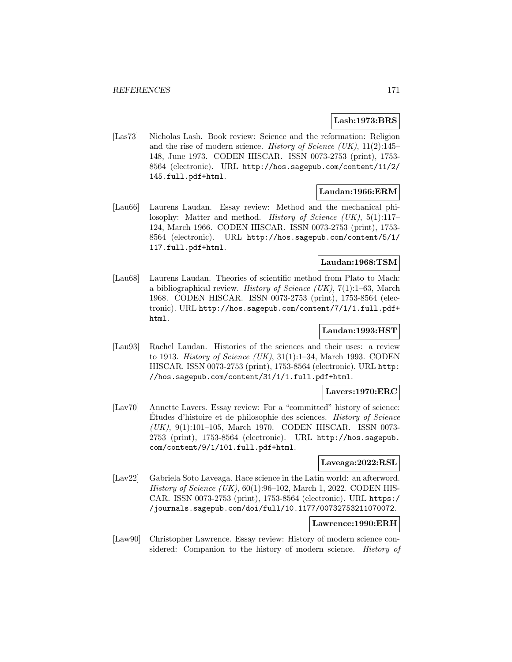## **Lash:1973:BRS**

[Las73] Nicholas Lash. Book review: Science and the reformation: Religion and the rise of modern science. History of Science (UK),  $11(2):145-$ 148, June 1973. CODEN HISCAR. ISSN 0073-2753 (print), 1753- 8564 (electronic). URL http://hos.sagepub.com/content/11/2/ 145.full.pdf+html.

### **Laudan:1966:ERM**

[Lau66] Laurens Laudan. Essay review: Method and the mechanical philosophy: Matter and method. *History of Science (UK)*, 5(1):117– 124, March 1966. CODEN HISCAR. ISSN 0073-2753 (print), 1753- 8564 (electronic). URL http://hos.sagepub.com/content/5/1/ 117.full.pdf+html.

### **Laudan:1968:TSM**

[Lau68] Laurens Laudan. Theories of scientific method from Plato to Mach: a bibliographical review. *History of Science (UK)*,  $7(1):1-63$ , March 1968. CODEN HISCAR. ISSN 0073-2753 (print), 1753-8564 (electronic). URL http://hos.sagepub.com/content/7/1/1.full.pdf+ html.

## **Laudan:1993:HST**

[Lau93] Rachel Laudan. Histories of the sciences and their uses: a review to 1913. History of Science  $(UK)$ , 31(1):1–34, March 1993. CODEN HISCAR. ISSN 0073-2753 (print), 1753-8564 (electronic). URL http: //hos.sagepub.com/content/31/1/1.full.pdf+html.

#### **Lavers:1970:ERC**

[Lav70] Annette Lavers. Essay review: For a "committed" history of science: Etudes d'histoire et de philosophie des sciences. History of Science (UK), 9(1):101–105, March 1970. CODEN HISCAR. ISSN 0073- 2753 (print), 1753-8564 (electronic). URL http://hos.sagepub. com/content/9/1/101.full.pdf+html.

#### **Laveaga:2022:RSL**

[Lav22] Gabriela Soto Laveaga. Race science in the Latin world: an afterword. History of Science (UK), 60(1):96–102, March 1, 2022. CODEN HIS-CAR. ISSN 0073-2753 (print), 1753-8564 (electronic). URL https:/ /journals.sagepub.com/doi/full/10.1177/00732753211070072.

#### **Lawrence:1990:ERH**

[Law90] Christopher Lawrence. Essay review: History of modern science considered: Companion to the history of modern science. History of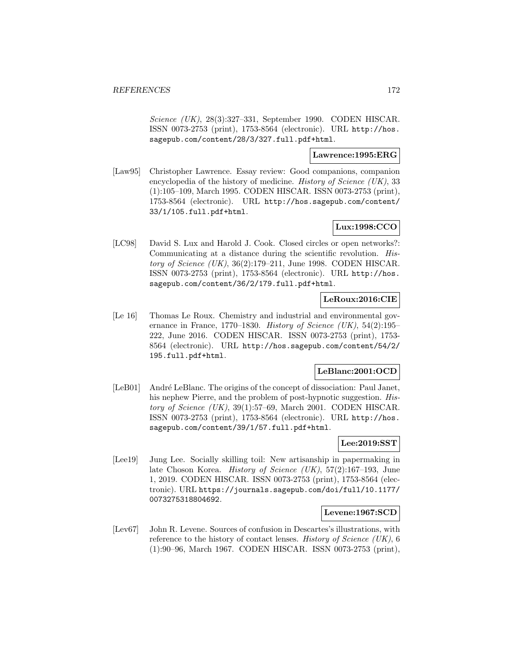Science (UK), 28(3):327–331, September 1990. CODEN HISCAR. ISSN 0073-2753 (print), 1753-8564 (electronic). URL http://hos. sagepub.com/content/28/3/327.full.pdf+html.

#### **Lawrence:1995:ERG**

[Law95] Christopher Lawrence. Essay review: Good companions, companion encyclopedia of the history of medicine. *History of Science (UK)*, 33 (1):105–109, March 1995. CODEN HISCAR. ISSN 0073-2753 (print), 1753-8564 (electronic). URL http://hos.sagepub.com/content/ 33/1/105.full.pdf+html.

# **Lux:1998:CCO**

[LC98] David S. Lux and Harold J. Cook. Closed circles or open networks?: Communicating at a distance during the scientific revolution. History of Science  $(UK)$ , 36(2):179–211, June 1998. CODEN HISCAR. ISSN 0073-2753 (print), 1753-8564 (electronic). URL http://hos. sagepub.com/content/36/2/179.full.pdf+html.

### **LeRoux:2016:CIE**

[Le 16] Thomas Le Roux. Chemistry and industrial and environmental governance in France, 1770–1830. History of Science (UK),  $54(2):195-$ 222, June 2016. CODEN HISCAR. ISSN 0073-2753 (print), 1753- 8564 (electronic). URL http://hos.sagepub.com/content/54/2/ 195.full.pdf+html.

## **LeBlanc:2001:OCD**

[LeB01] André LeBlanc. The origins of the concept of dissociation: Paul Janet, his nephew Pierre, and the problem of post-hypnotic suggestion. *His*tory of Science  $(UK)$ , 39(1):57–69, March 2001. CODEN HISCAR. ISSN 0073-2753 (print), 1753-8564 (electronic). URL http://hos. sagepub.com/content/39/1/57.full.pdf+html.

### **Lee:2019:SST**

[Lee19] Jung Lee. Socially skilling toil: New artisanship in papermaking in late Choson Korea. History of Science (UK), 57(2):167–193, June 1, 2019. CODEN HISCAR. ISSN 0073-2753 (print), 1753-8564 (electronic). URL https://journals.sagepub.com/doi/full/10.1177/ 0073275318804692.

### **Levene:1967:SCD**

[Lev67] John R. Levene. Sources of confusion in Descartes's illustrations, with reference to the history of contact lenses. History of Science (UK), 6 (1):90–96, March 1967. CODEN HISCAR. ISSN 0073-2753 (print),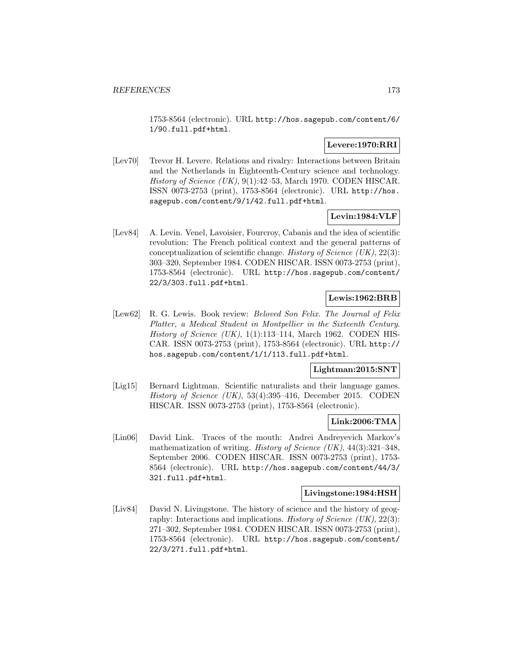1753-8564 (electronic). URL http://hos.sagepub.com/content/6/ 1/90.full.pdf+html.

## **Levere:1970:RRI**

[Lev70] Trevor H. Levere. Relations and rivalry: Interactions between Britain and the Netherlands in Eighteenth-Century science and technology. History of Science (UK), 9(1):42–53, March 1970. CODEN HISCAR. ISSN 0073-2753 (print), 1753-8564 (electronic). URL http://hos. sagepub.com/content/9/1/42.full.pdf+html.

## **Levin:1984:VLF**

[Lev84] A. Levin. Venel, Lavoisier, Fourcroy, Cabanis and the idea of scientific revolution: The French political context and the general patterns of conceptualization of scientific change. History of Science  $(UK), 22(3)$ : 303–320, September 1984. CODEN HISCAR. ISSN 0073-2753 (print), 1753-8564 (electronic). URL http://hos.sagepub.com/content/ 22/3/303.full.pdf+html.

## **Lewis:1962:BRB**

[Lew62] R. G. Lewis. Book review: Beloved Son Felix. The Journal of Felix Platter, a Medical Student in Montpellier in the Sixteenth Century. History of Science  $(UK)$ , 1(1):113–114, March 1962. CODEN HIS-CAR. ISSN 0073-2753 (print), 1753-8564 (electronic). URL http:// hos.sagepub.com/content/1/1/113.full.pdf+html.

#### **Lightman:2015:SNT**

[Lig15] Bernard Lightman. Scientific naturalists and their language games. History of Science (UK), 53(4):395–416, December 2015. CODEN HISCAR. ISSN 0073-2753 (print), 1753-8564 (electronic).

#### **Link:2006:TMA**

[Lin06] David Link. Traces of the mouth: Andrei Andreyevich Markov's mathematization of writing. History of Science (UK),  $44(3):321-348$ , September 2006. CODEN HISCAR. ISSN 0073-2753 (print), 1753- 8564 (electronic). URL http://hos.sagepub.com/content/44/3/ 321.full.pdf+html.

#### **Livingstone:1984:HSH**

[Liv84] David N. Livingstone. The history of science and the history of geography: Interactions and implications. *History of Science (UK)*,  $22(3)$ : 271–302, September 1984. CODEN HISCAR. ISSN 0073-2753 (print), 1753-8564 (electronic). URL http://hos.sagepub.com/content/ 22/3/271.full.pdf+html.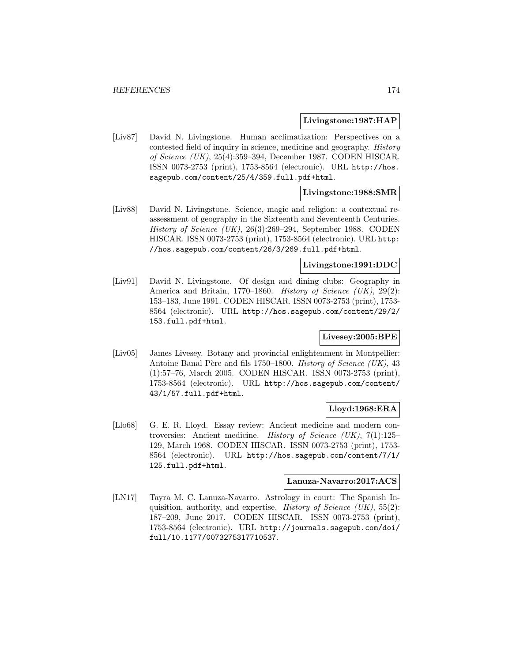#### **Livingstone:1987:HAP**

[Liv87] David N. Livingstone. Human acclimatization: Perspectives on a contested field of inquiry in science, medicine and geography. History of Science (UK), 25(4):359–394, December 1987. CODEN HISCAR. ISSN 0073-2753 (print), 1753-8564 (electronic). URL http://hos. sagepub.com/content/25/4/359.full.pdf+html.

### **Livingstone:1988:SMR**

[Liv88] David N. Livingstone. Science, magic and religion: a contextual reassessment of geography in the Sixteenth and Seventeenth Centuries. History of Science (UK), 26(3):269–294, September 1988. CODEN HISCAR. ISSN 0073-2753 (print), 1753-8564 (electronic). URL http: //hos.sagepub.com/content/26/3/269.full.pdf+html.

### **Livingstone:1991:DDC**

[Liv91] David N. Livingstone. Of design and dining clubs: Geography in America and Britain, 1770–1860. History of Science  $(UK)$ , 29(2): 153–183, June 1991. CODEN HISCAR. ISSN 0073-2753 (print), 1753- 8564 (electronic). URL http://hos.sagepub.com/content/29/2/ 153.full.pdf+html.

#### **Livesey:2005:BPE**

[Liv05] James Livesey. Botany and provincial enlightenment in Montpellier: Antoine Banal Père and fils 1750–1800. History of Science (UK),  $43$ (1):57–76, March 2005. CODEN HISCAR. ISSN 0073-2753 (print), 1753-8564 (electronic). URL http://hos.sagepub.com/content/ 43/1/57.full.pdf+html.

#### **Lloyd:1968:ERA**

[Llo68] G. E. R. Lloyd. Essay review: Ancient medicine and modern controversies: Ancient medicine. History of Science (UK), 7(1):125– 129, March 1968. CODEN HISCAR. ISSN 0073-2753 (print), 1753- 8564 (electronic). URL http://hos.sagepub.com/content/7/1/ 125.full.pdf+html.

#### **Lanuza-Navarro:2017:ACS**

[LN17] Tayra M. C. Lanuza-Navarro. Astrology in court: The Spanish Inquisition, authority, and expertise. *History of Science (UK)*,  $55(2)$ : 187–209, June 2017. CODEN HISCAR. ISSN 0073-2753 (print), 1753-8564 (electronic). URL http://journals.sagepub.com/doi/ full/10.1177/0073275317710537.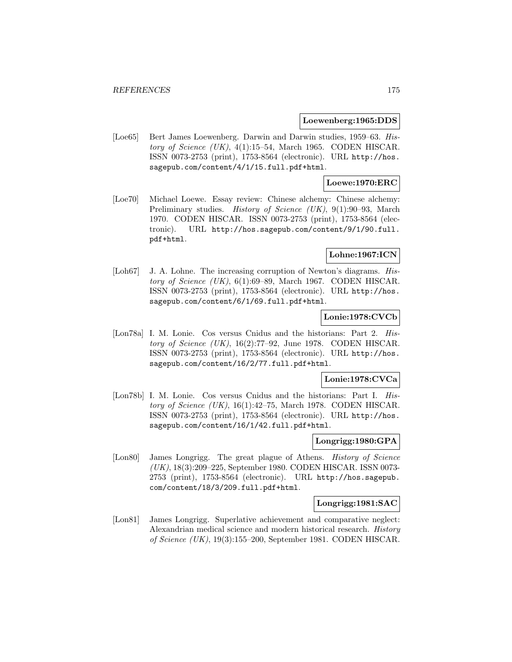#### **Loewenberg:1965:DDS**

[Loe65] Bert James Loewenberg. Darwin and Darwin studies, 1959–63. History of Science  $(UK)$ , 4(1):15–54, March 1965. CODEN HISCAR. ISSN 0073-2753 (print), 1753-8564 (electronic). URL http://hos. sagepub.com/content/4/1/15.full.pdf+html.

### **Loewe:1970:ERC**

[Loe70] Michael Loewe. Essay review: Chinese alchemy: Chinese alchemy: Preliminary studies. *History of Science (UK)*, 9(1):90–93, March 1970. CODEN HISCAR. ISSN 0073-2753 (print), 1753-8564 (electronic). URL http://hos.sagepub.com/content/9/1/90.full. pdf+html.

### **Lohne:1967:ICN**

[Loh67] J. A. Lohne. The increasing corruption of Newton's diagrams. History of Science  $(UK)$ , 6(1):69–89, March 1967. CODEN HISCAR. ISSN 0073-2753 (print), 1753-8564 (electronic). URL http://hos. sagepub.com/content/6/1/69.full.pdf+html.

#### **Lonie:1978:CVCb**

[Lon78a] I. M. Lonie. Cos versus Cnidus and the historians: Part 2. History of Science  $(UK)$ , 16(2):77–92, June 1978. CODEN HISCAR. ISSN 0073-2753 (print), 1753-8564 (electronic). URL http://hos. sagepub.com/content/16/2/77.full.pdf+html.

#### **Lonie:1978:CVCa**

[Lon78b] I. M. Lonie. Cos versus Cnidus and the historians: Part I. History of Science  $(UK)$ , 16(1):42–75, March 1978. CODEN HISCAR. ISSN 0073-2753 (print), 1753-8564 (electronic). URL http://hos. sagepub.com/content/16/1/42.full.pdf+html.

### **Longrigg:1980:GPA**

[Lon80] James Longrigg. The great plague of Athens. *History of Science* (UK), 18(3):209–225, September 1980. CODEN HISCAR. ISSN 0073- 2753 (print), 1753-8564 (electronic). URL http://hos.sagepub. com/content/18/3/209.full.pdf+html.

### **Longrigg:1981:SAC**

[Lon81] James Longrigg. Superlative achievement and comparative neglect: Alexandrian medical science and modern historical research. History of Science (UK), 19(3):155–200, September 1981. CODEN HISCAR.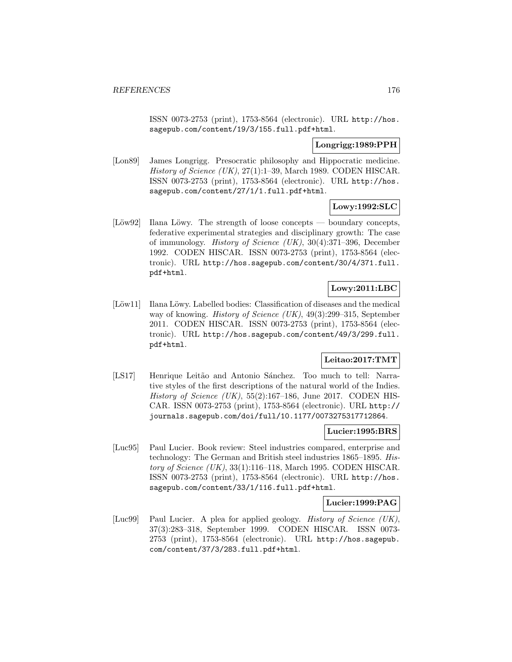ISSN 0073-2753 (print), 1753-8564 (electronic). URL http://hos. sagepub.com/content/19/3/155.full.pdf+html.

#### **Longrigg:1989:PPH**

[Lon89] James Longrigg. Presocratic philosophy and Hippocratic medicine. History of Science (UK), 27(1):1–39, March 1989. CODEN HISCAR. ISSN 0073-2753 (print), 1753-8564 (electronic). URL http://hos. sagepub.com/content/27/1/1.full.pdf+html.

#### **Lowy:1992:SLC**

 $[L\ddot{\omega}w92]$  Ilana Löwy. The strength of loose concepts — boundary concepts, federative experimental strategies and disciplinary growth: The case of immunology. History of Science (UK), 30(4):371–396, December 1992. CODEN HISCAR. ISSN 0073-2753 (print), 1753-8564 (electronic). URL http://hos.sagepub.com/content/30/4/371.full. pdf+html.

## **Lowy:2011:LBC**

 $[L\ddot{\omega}w11]$  Ilana  $L\ddot{\omega}wy$ . Labelled bodies: Classification of diseases and the medical way of knowing. *History of Science (UK)*, 49(3):299–315, September 2011. CODEN HISCAR. ISSN 0073-2753 (print), 1753-8564 (electronic). URL http://hos.sagepub.com/content/49/3/299.full. pdf+html.

## **Leitao:2017:TMT**

[LS17] Henrique Leitão and Antonio Sánchez. Too much to tell: Narrative styles of the first descriptions of the natural world of the Indies. History of Science  $(UK)$ , 55(2):167-186, June 2017. CODEN HIS-CAR. ISSN 0073-2753 (print), 1753-8564 (electronic). URL http:// journals.sagepub.com/doi/full/10.1177/0073275317712864.

#### **Lucier:1995:BRS**

[Luc95] Paul Lucier. Book review: Steel industries compared, enterprise and technology: The German and British steel industries 1865–1895. History of Science  $(UK)$ , 33(1):116–118, March 1995. CODEN HISCAR. ISSN 0073-2753 (print), 1753-8564 (electronic). URL http://hos. sagepub.com/content/33/1/116.full.pdf+html.

#### **Lucier:1999:PAG**

[Luc99] Paul Lucier. A plea for applied geology. History of Science (UK), 37(3):283–318, September 1999. CODEN HISCAR. ISSN 0073- 2753 (print), 1753-8564 (electronic). URL http://hos.sagepub. com/content/37/3/283.full.pdf+html.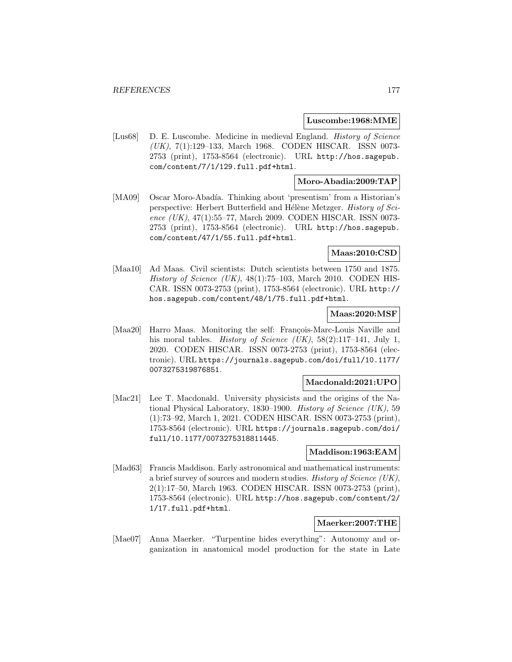#### **Luscombe:1968:MME**

[Lus68] D. E. Luscombe. Medicine in medieval England. History of Science (UK), 7(1):129–133, March 1968. CODEN HISCAR. ISSN 0073- 2753 (print), 1753-8564 (electronic). URL http://hos.sagepub. com/content/7/1/129.full.pdf+html.

## **Moro-Abadia:2009:TAP**

[MA09] Oscar Moro-Abadía. Thinking about 'presentism' from a Historian's perspective: Herbert Butterfield and Hélène Metzger. History of Science (UK), 47(1):55–77, March 2009. CODEN HISCAR. ISSN 0073- 2753 (print), 1753-8564 (electronic). URL http://hos.sagepub. com/content/47/1/55.full.pdf+html.

### **Maas:2010:CSD**

[Maa10] Ad Maas. Civil scientists: Dutch scientists between 1750 and 1875. History of Science (UK),  $48(1):75-103$ , March 2010. CODEN HIS-CAR. ISSN 0073-2753 (print), 1753-8564 (electronic). URL http:// hos.sagepub.com/content/48/1/75.full.pdf+html.

#### **Maas:2020:MSF**

[Maa20] Harro Maas. Monitoring the self: François-Marc-Louis Naville and his moral tables. *History of Science (UK)*, 58(2):117-141, July 1, 2020. CODEN HISCAR. ISSN 0073-2753 (print), 1753-8564 (electronic). URL https://journals.sagepub.com/doi/full/10.1177/ 0073275319876851.

#### **Macdonald:2021:UPO**

[Mac21] Lee T. Macdonald. University physicists and the origins of the National Physical Laboratory, 1830–1900. History of Science (UK), 59 (1):73–92, March 1, 2021. CODEN HISCAR. ISSN 0073-2753 (print), 1753-8564 (electronic). URL https://journals.sagepub.com/doi/ full/10.1177/0073275318811445.

#### **Maddison:1963:EAM**

[Mad63] Francis Maddison. Early astronomical and mathematical instruments: a brief survey of sources and modern studies. History of Science (UK), 2(1):17–50, March 1963. CODEN HISCAR. ISSN 0073-2753 (print), 1753-8564 (electronic). URL http://hos.sagepub.com/content/2/ 1/17.full.pdf+html.

## **Maerker:2007:THE**

[Mae07] Anna Maerker. "Turpentine hides everything": Autonomy and organization in anatomical model production for the state in Late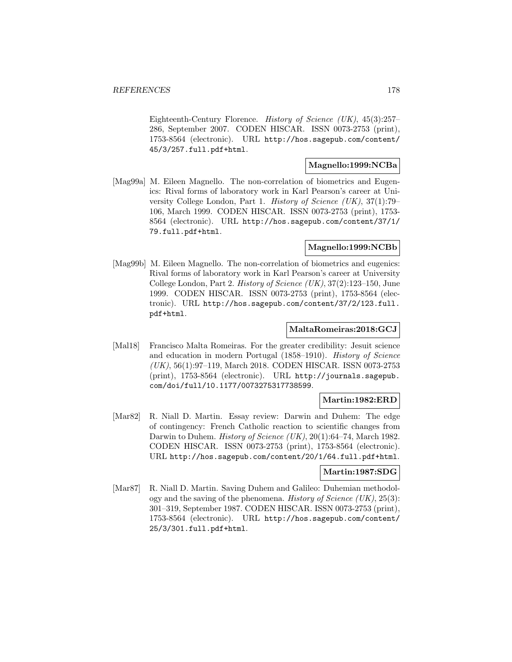Eighteenth-Century Florence. History of Science (UK), 45(3):257– 286, September 2007. CODEN HISCAR. ISSN 0073-2753 (print), 1753-8564 (electronic). URL http://hos.sagepub.com/content/ 45/3/257.full.pdf+html.

### **Magnello:1999:NCBa**

[Mag99a] M. Eileen Magnello. The non-correlation of biometrics and Eugenics: Rival forms of laboratory work in Karl Pearson's career at University College London, Part 1. History of Science (UK), 37(1):79– 106, March 1999. CODEN HISCAR. ISSN 0073-2753 (print), 1753- 8564 (electronic). URL http://hos.sagepub.com/content/37/1/ 79.full.pdf+html.

## **Magnello:1999:NCBb**

[Mag99b] M. Eileen Magnello. The non-correlation of biometrics and eugenics: Rival forms of laboratory work in Karl Pearson's career at University College London, Part 2. *History of Science*  $(UK), 37(2):123-150$ , June 1999. CODEN HISCAR. ISSN 0073-2753 (print), 1753-8564 (electronic). URL http://hos.sagepub.com/content/37/2/123.full. pdf+html.

### **MaltaRomeiras:2018:GCJ**

[Mal18] Francisco Malta Romeiras. For the greater credibility: Jesuit science and education in modern Portugal (1858–1910). History of Science (UK), 56(1):97–119, March 2018. CODEN HISCAR. ISSN 0073-2753 (print), 1753-8564 (electronic). URL http://journals.sagepub. com/doi/full/10.1177/0073275317738599.

#### **Martin:1982:ERD**

[Mar82] R. Niall D. Martin. Essay review: Darwin and Duhem: The edge of contingency: French Catholic reaction to scientific changes from Darwin to Duhem. History of Science (UK), 20(1):64-74, March 1982. CODEN HISCAR. ISSN 0073-2753 (print), 1753-8564 (electronic). URL http://hos.sagepub.com/content/20/1/64.full.pdf+html.

#### **Martin:1987:SDG**

[Mar87] R. Niall D. Martin. Saving Duhem and Galileo: Duhemian methodology and the saving of the phenomena. History of Science  $(UK), 25(3)$ : 301–319, September 1987. CODEN HISCAR. ISSN 0073-2753 (print), 1753-8564 (electronic). URL http://hos.sagepub.com/content/ 25/3/301.full.pdf+html.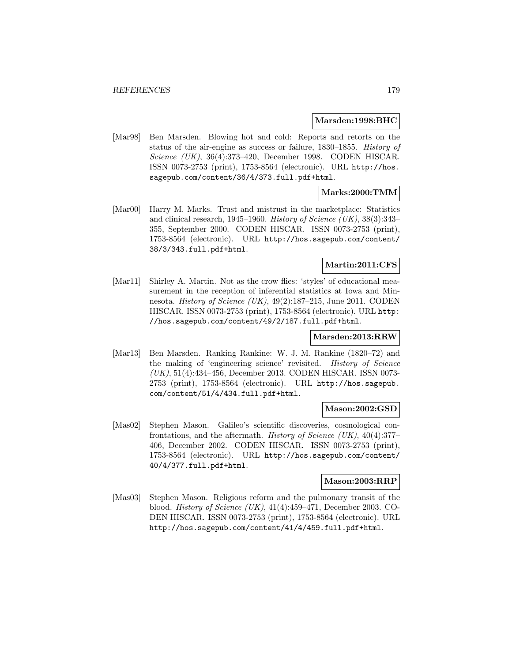#### **Marsden:1998:BHC**

[Mar98] Ben Marsden. Blowing hot and cold: Reports and retorts on the status of the air-engine as success or failure, 1830–1855. History of Science (UK), 36(4):373–420, December 1998. CODEN HISCAR. ISSN 0073-2753 (print), 1753-8564 (electronic). URL http://hos. sagepub.com/content/36/4/373.full.pdf+html.

### **Marks:2000:TMM**

[Mar00] Harry M. Marks. Trust and mistrust in the marketplace: Statistics and clinical research, 1945–1960. History of Science (UK),  $38(3):343-$ 355, September 2000. CODEN HISCAR. ISSN 0073-2753 (print), 1753-8564 (electronic). URL http://hos.sagepub.com/content/ 38/3/343.full.pdf+html.

#### **Martin:2011:CFS**

[Mar11] Shirley A. Martin. Not as the crow flies: 'styles' of educational measurement in the reception of inferential statistics at Iowa and Minnesota. History of Science (UK), 49(2):187–215, June 2011. CODEN HISCAR. ISSN 0073-2753 (print), 1753-8564 (electronic). URL http: //hos.sagepub.com/content/49/2/187.full.pdf+html.

#### **Marsden:2013:RRW**

[Mar13] Ben Marsden. Ranking Rankine: W. J. M. Rankine (1820–72) and the making of 'engineering science' revisited. History of Science (UK), 51(4):434–456, December 2013. CODEN HISCAR. ISSN 0073- 2753 (print), 1753-8564 (electronic). URL http://hos.sagepub. com/content/51/4/434.full.pdf+html.

#### **Mason:2002:GSD**

[Mas02] Stephen Mason. Galileo's scientific discoveries, cosmological confrontations, and the aftermath. History of Science  $(UK)$ , 40(4):377– 406, December 2002. CODEN HISCAR. ISSN 0073-2753 (print), 1753-8564 (electronic). URL http://hos.sagepub.com/content/ 40/4/377.full.pdf+html.

#### **Mason:2003:RRP**

[Mas03] Stephen Mason. Religious reform and the pulmonary transit of the blood. History of Science (UK), 41(4):459–471, December 2003. CO-DEN HISCAR. ISSN 0073-2753 (print), 1753-8564 (electronic). URL http://hos.sagepub.com/content/41/4/459.full.pdf+html.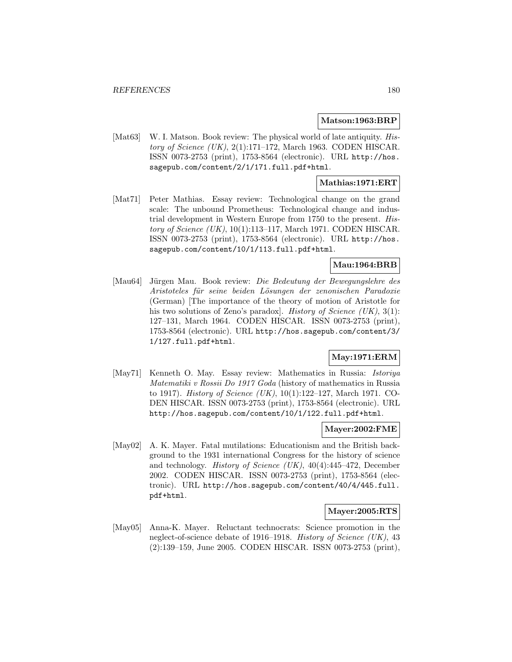#### **Matson:1963:BRP**

[Mat63] W. I. Matson. Book review: The physical world of late antiquity. History of Science  $(UK)$ , 2(1):171–172, March 1963. CODEN HISCAR. ISSN 0073-2753 (print), 1753-8564 (electronic). URL http://hos. sagepub.com/content/2/1/171.full.pdf+html.

### **Mathias:1971:ERT**

[Mat71] Peter Mathias. Essay review: Technological change on the grand scale: The unbound Prometheus: Technological change and industrial development in Western Europe from 1750 to the present. History of Science  $(UK)$ , 10(1):113–117, March 1971. CODEN HISCAR. ISSN 0073-2753 (print), 1753-8564 (electronic). URL http://hos. sagepub.com/content/10/1/113.full.pdf+html.

## **Mau:1964:BRB**

[Mau64] Jürgen Mau. Book review: Die Bedeutung der Bewegungslehre des Aristoteles für seine beiden Lösungen der zenonischen Paradoxie (German) [The importance of the theory of motion of Aristotle for his two solutions of Zeno's paradox]. History of Science  $(UK), 3(1)$ : 127–131, March 1964. CODEN HISCAR. ISSN 0073-2753 (print), 1753-8564 (electronic). URL http://hos.sagepub.com/content/3/ 1/127.full.pdf+html.

#### **May:1971:ERM**

[May71] Kenneth O. May. Essay review: Mathematics in Russia: Istoriya Matematiki v Rossii Do 1917 Goda (history of mathematics in Russia to 1917). History of Science (UK), 10(1):122–127, March 1971. CO-DEN HISCAR. ISSN 0073-2753 (print), 1753-8564 (electronic). URL http://hos.sagepub.com/content/10/1/122.full.pdf+html.

#### **Mayer:2002:FME**

[May02] A. K. Mayer. Fatal mutilations: Educationism and the British background to the 1931 international Congress for the history of science and technology. *History of Science (UK)*,  $40(4):445-472$ , December 2002. CODEN HISCAR. ISSN 0073-2753 (print), 1753-8564 (electronic). URL http://hos.sagepub.com/content/40/4/445.full. pdf+html.

#### **Mayer:2005:RTS**

[May05] Anna-K. Mayer. Reluctant technocrats: Science promotion in the neglect-of-science debate of 1916–1918. History of Science (UK), 43 (2):139–159, June 2005. CODEN HISCAR. ISSN 0073-2753 (print),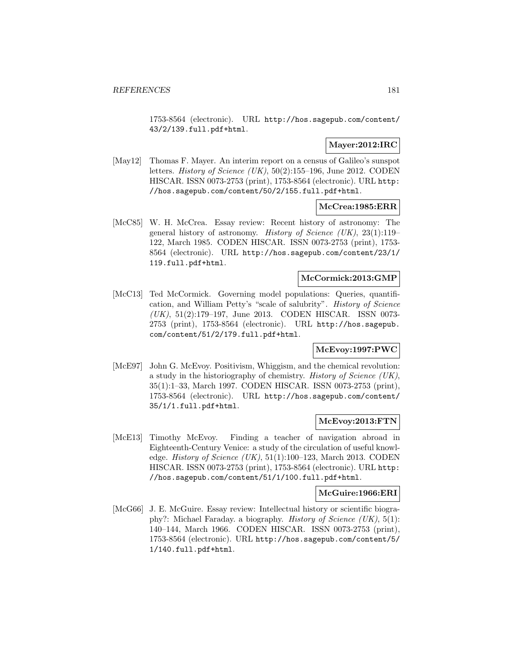1753-8564 (electronic). URL http://hos.sagepub.com/content/ 43/2/139.full.pdf+html.

## **Mayer:2012:IRC**

[May12] Thomas F. Mayer. An interim report on a census of Galileo's sunspot letters. *History of Science* (UK),  $50(2):155-196$ , June 2012. CODEN HISCAR. ISSN 0073-2753 (print), 1753-8564 (electronic). URL http: //hos.sagepub.com/content/50/2/155.full.pdf+html.

## **McCrea:1985:ERR**

[McC85] W. H. McCrea. Essay review: Recent history of astronomy: The general history of astronomy. History of Science (UK), 23(1):119– 122, March 1985. CODEN HISCAR. ISSN 0073-2753 (print), 1753- 8564 (electronic). URL http://hos.sagepub.com/content/23/1/ 119.full.pdf+html.

## **McCormick:2013:GMP**

[McC13] Ted McCormick. Governing model populations: Queries, quantification, and William Petty's "scale of salubrity". History of Science (UK), 51(2):179–197, June 2013. CODEN HISCAR. ISSN 0073- 2753 (print), 1753-8564 (electronic). URL http://hos.sagepub. com/content/51/2/179.full.pdf+html.

## **McEvoy:1997:PWC**

[McE97] John G. McEvoy. Positivism, Whiggism, and the chemical revolution: a study in the historiography of chemistry. History of Science (UK), 35(1):1–33, March 1997. CODEN HISCAR. ISSN 0073-2753 (print), 1753-8564 (electronic). URL http://hos.sagepub.com/content/ 35/1/1.full.pdf+html.

## **McEvoy:2013:FTN**

[McE13] Timothy McEvoy. Finding a teacher of navigation abroad in Eighteenth-Century Venice: a study of the circulation of useful knowledge. History of Science  $(UK), 51(1):100-123$ , March 2013. CODEN HISCAR. ISSN 0073-2753 (print), 1753-8564 (electronic). URL http: //hos.sagepub.com/content/51/1/100.full.pdf+html.

### **McGuire:1966:ERI**

[McG66] J. E. McGuire. Essay review: Intellectual history or scientific biography?: Michael Faraday. a biography. History of Science (UK), 5(1): 140–144, March 1966. CODEN HISCAR. ISSN 0073-2753 (print), 1753-8564 (electronic). URL http://hos.sagepub.com/content/5/ 1/140.full.pdf+html.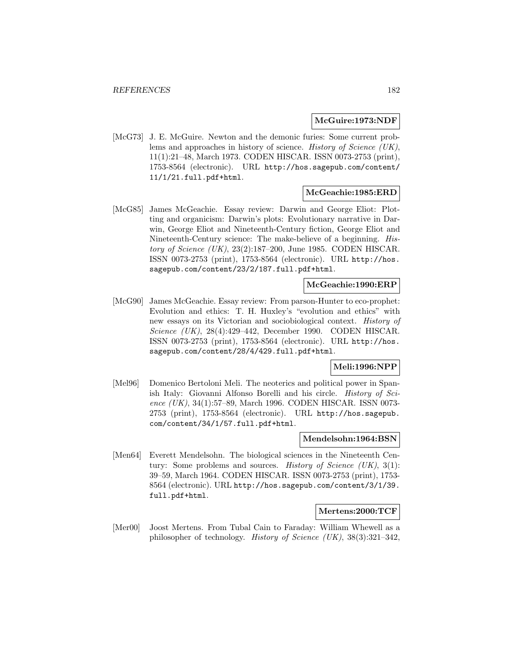#### **McGuire:1973:NDF**

[McG73] J. E. McGuire. Newton and the demonic furies: Some current problems and approaches in history of science. History of Science (UK), 11(1):21–48, March 1973. CODEN HISCAR. ISSN 0073-2753 (print), 1753-8564 (electronic). URL http://hos.sagepub.com/content/ 11/1/21.full.pdf+html.

### **McGeachie:1985:ERD**

[McG85] James McGeachie. Essay review: Darwin and George Eliot: Plotting and organicism: Darwin's plots: Evolutionary narrative in Darwin, George Eliot and Nineteenth-Century fiction, George Eliot and Nineteenth-Century science: The make-believe of a beginning. History of Science (UK), 23(2):187–200, June 1985. CODEN HISCAR. ISSN 0073-2753 (print), 1753-8564 (electronic). URL http://hos. sagepub.com/content/23/2/187.full.pdf+html.

### **McGeachie:1990:ERP**

[McG90] James McGeachie. Essay review: From parson-Hunter to eco-prophet: Evolution and ethics: T. H. Huxley's "evolution and ethics" with new essays on its Victorian and sociobiological context. History of Science (UK), 28(4):429–442, December 1990. CODEN HISCAR. ISSN 0073-2753 (print), 1753-8564 (electronic). URL http://hos. sagepub.com/content/28/4/429.full.pdf+html.

## **Meli:1996:NPP**

[Mel96] Domenico Bertoloni Meli. The neoterics and political power in Spanish Italy: Giovanni Alfonso Borelli and his circle. History of Science (UK), 34(1):57–89, March 1996. CODEN HISCAR. ISSN 0073-2753 (print), 1753-8564 (electronic). URL http://hos.sagepub. com/content/34/1/57.full.pdf+html.

#### **Mendelsohn:1964:BSN**

[Men64] Everett Mendelsohn. The biological sciences in the Nineteenth Century: Some problems and sources. *History of Science (UK)*,  $3(1)$ : 39–59, March 1964. CODEN HISCAR. ISSN 0073-2753 (print), 1753- 8564 (electronic). URL http://hos.sagepub.com/content/3/1/39. full.pdf+html.

#### **Mertens:2000:TCF**

[Mer00] Joost Mertens. From Tubal Cain to Faraday: William Whewell as a philosopher of technology. History of Science (UK), 38(3):321–342,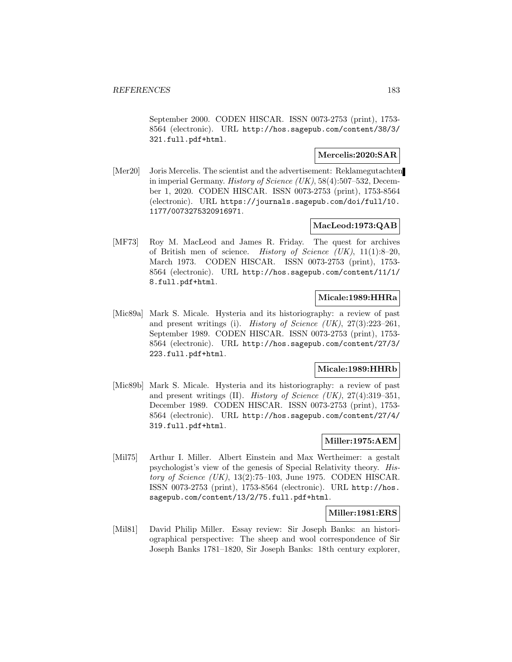September 2000. CODEN HISCAR. ISSN 0073-2753 (print), 1753- 8564 (electronic). URL http://hos.sagepub.com/content/38/3/ 321.full.pdf+html.

## **Mercelis:2020:SAR**

[Mer20] Joris Mercelis. The scientist and the advertisement: Reklamegutachten in imperial Germany. History of Science (UK), 58(4):507–532, December 1, 2020. CODEN HISCAR. ISSN 0073-2753 (print), 1753-8564 (electronic). URL https://journals.sagepub.com/doi/full/10. 1177/0073275320916971.

## **MacLeod:1973:QAB**

[MF73] Roy M. MacLeod and James R. Friday. The quest for archives of British men of science. History of Science  $(UK), 11(1):8-20,$ March 1973. CODEN HISCAR. ISSN 0073-2753 (print), 1753- 8564 (electronic). URL http://hos.sagepub.com/content/11/1/ 8.full.pdf+html.

## **Micale:1989:HHRa**

[Mic89a] Mark S. Micale. Hysteria and its historiography: a review of past and present writings (i). History of Science  $(UK)$ ,  $27(3):223-261$ , September 1989. CODEN HISCAR. ISSN 0073-2753 (print), 1753- 8564 (electronic). URL http://hos.sagepub.com/content/27/3/ 223.full.pdf+html.

### **Micale:1989:HHRb**

[Mic89b] Mark S. Micale. Hysteria and its historiography: a review of past and present writings (II). History of Science (UK),  $27(4):319-351$ , December 1989. CODEN HISCAR. ISSN 0073-2753 (print), 1753- 8564 (electronic). URL http://hos.sagepub.com/content/27/4/ 319.full.pdf+html.

## **Miller:1975:AEM**

[Mil75] Arthur I. Miller. Albert Einstein and Max Wertheimer: a gestalt psychologist's view of the genesis of Special Relativity theory. History of Science  $(UK)$ , 13(2):75-103, June 1975. CODEN HISCAR. ISSN 0073-2753 (print), 1753-8564 (electronic). URL http://hos. sagepub.com/content/13/2/75.full.pdf+html.

### **Miller:1981:ERS**

[Mil81] David Philip Miller. Essay review: Sir Joseph Banks: an historiographical perspective: The sheep and wool correspondence of Sir Joseph Banks 1781–1820, Sir Joseph Banks: 18th century explorer,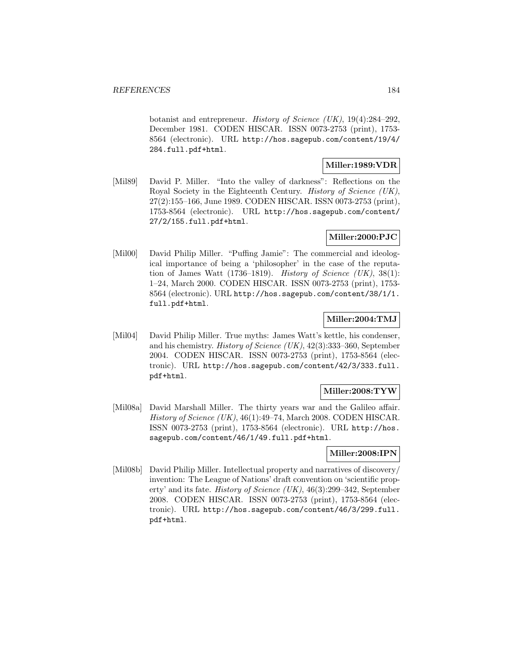botanist and entrepreneur. History of Science (UK), 19(4):284–292, December 1981. CODEN HISCAR. ISSN 0073-2753 (print), 1753- 8564 (electronic). URL http://hos.sagepub.com/content/19/4/ 284.full.pdf+html.

## **Miller:1989:VDR**

[Mil89] David P. Miller. "Into the valley of darkness": Reflections on the Royal Society in the Eighteenth Century. History of Science (UK), 27(2):155–166, June 1989. CODEN HISCAR. ISSN 0073-2753 (print), 1753-8564 (electronic). URL http://hos.sagepub.com/content/ 27/2/155.full.pdf+html.

# **Miller:2000:PJC**

[Mil00] David Philip Miller. "Puffing Jamie": The commercial and ideological importance of being a 'philosopher' in the case of the reputation of James Watt  $(1736-1819)$ . History of Science (UK),  $38(1)$ : 1–24, March 2000. CODEN HISCAR. ISSN 0073-2753 (print), 1753- 8564 (electronic). URL http://hos.sagepub.com/content/38/1/1. full.pdf+html.

## **Miller:2004:TMJ**

[Mil04] David Philip Miller. True myths: James Watt's kettle, his condenser, and his chemistry. History of Science  $(UK), 42(3):333-360$ , September 2004. CODEN HISCAR. ISSN 0073-2753 (print), 1753-8564 (electronic). URL http://hos.sagepub.com/content/42/3/333.full. pdf+html.

## **Miller:2008:TYW**

[Mil08a] David Marshall Miller. The thirty years war and the Galileo affair. History of Science (UK), 46(1):49–74, March 2008. CODEN HISCAR. ISSN 0073-2753 (print), 1753-8564 (electronic). URL http://hos. sagepub.com/content/46/1/49.full.pdf+html.

# **Miller:2008:IPN**

[Mil08b] David Philip Miller. Intellectual property and narratives of discovery/ invention: The League of Nations' draft convention on 'scientific property' and its fate. *History of Science (UK)*,  $46(3):299-342$ , September 2008. CODEN HISCAR. ISSN 0073-2753 (print), 1753-8564 (electronic). URL http://hos.sagepub.com/content/46/3/299.full. pdf+html.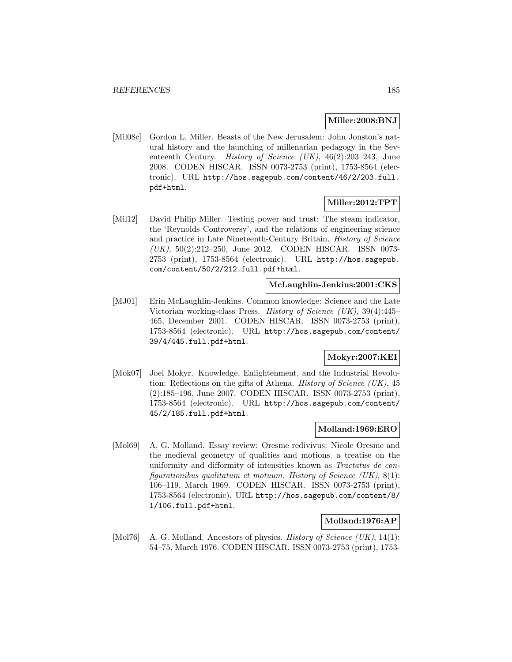### **Miller:2008:BNJ**

[Mil08c] Gordon L. Miller. Beasts of the New Jerusalem: John Jonston's natural history and the launching of millenarian pedagogy in the Seventeenth Century. History of Science (UK), 46(2):203–243, June 2008. CODEN HISCAR. ISSN 0073-2753 (print), 1753-8564 (electronic). URL http://hos.sagepub.com/content/46/2/203.full. pdf+html.

### **Miller:2012:TPT**

[Mil12] David Philip Miller. Testing power and trust: The steam indicator, the 'Reynolds Controversy', and the relations of engineering science and practice in Late Nineteenth-Century Britain. History of Science (UK), 50(2):212–250, June 2012. CODEN HISCAR. ISSN 0073- 2753 (print), 1753-8564 (electronic). URL http://hos.sagepub. com/content/50/2/212.full.pdf+html.

#### **McLaughlin-Jenkins:2001:CKS**

[MJ01] Erin McLaughlin-Jenkins. Common knowledge: Science and the Late Victorian working-class Press. History of Science (UK), 39(4):445– 465, December 2001. CODEN HISCAR. ISSN 0073-2753 (print), 1753-8564 (electronic). URL http://hos.sagepub.com/content/ 39/4/445.full.pdf+html.

### **Mokyr:2007:KEI**

[Mok07] Joel Mokyr. Knowledge, Enlightenment, and the Industrial Revolution: Reflections on the gifts of Athena. *History of Science* (UK),  $45$ (2):185–196, June 2007. CODEN HISCAR. ISSN 0073-2753 (print), 1753-8564 (electronic). URL http://hos.sagepub.com/content/ 45/2/185.full.pdf+html.

### **Molland:1969:ERO**

[Mol69] A. G. Molland. Essay review: Oresme redivivus: Nicole Oresme and the medieval geometry of qualities and motions. a treatise on the uniformity and difformity of intensities known as Tractatus de configurationibus qualitatum et motuum. History of Science  $(UK), 8(1)$ : 106–119, March 1969. CODEN HISCAR. ISSN 0073-2753 (print), 1753-8564 (electronic). URL http://hos.sagepub.com/content/8/ 1/106.full.pdf+html.

#### **Molland:1976:AP**

[Mol76] A. G. Molland. Ancestors of physics. History of Science (UK), 14(1): 54–75, March 1976. CODEN HISCAR. ISSN 0073-2753 (print), 1753-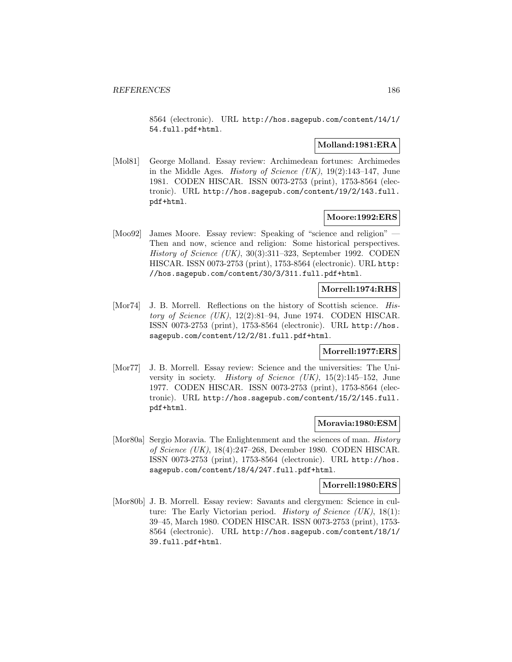8564 (electronic). URL http://hos.sagepub.com/content/14/1/ 54.full.pdf+html.

## **Molland:1981:ERA**

[Mol81] George Molland. Essay review: Archimedean fortunes: Archimedes in the Middle Ages. *History of Science (UK)*,  $19(2):143-147$ , June 1981. CODEN HISCAR. ISSN 0073-2753 (print), 1753-8564 (electronic). URL http://hos.sagepub.com/content/19/2/143.full. pdf+html.

### **Moore:1992:ERS**

[Moo92] James Moore. Essay review: Speaking of "science and religion" — Then and now, science and religion: Some historical perspectives. History of Science (UK), 30(3):311–323, September 1992. CODEN HISCAR. ISSN 0073-2753 (print), 1753-8564 (electronic). URL http: //hos.sagepub.com/content/30/3/311.full.pdf+html.

## **Morrell:1974:RHS**

[Mor74] J. B. Morrell. Reflections on the history of Scottish science. History of Science  $(UK)$ , 12(2):81–94, June 1974. CODEN HISCAR. ISSN 0073-2753 (print), 1753-8564 (electronic). URL http://hos. sagepub.com/content/12/2/81.full.pdf+html.

#### **Morrell:1977:ERS**

[Mor77] J. B. Morrell. Essay review: Science and the universities: The University in society. History of Science  $(UK)$ , 15(2):145–152, June 1977. CODEN HISCAR. ISSN 0073-2753 (print), 1753-8564 (electronic). URL http://hos.sagepub.com/content/15/2/145.full. pdf+html.

#### **Moravia:1980:ESM**

[Mor80a] Sergio Moravia. The Enlightenment and the sciences of man. *History* of Science (UK), 18(4):247–268, December 1980. CODEN HISCAR. ISSN 0073-2753 (print), 1753-8564 (electronic). URL http://hos. sagepub.com/content/18/4/247.full.pdf+html.

## **Morrell:1980:ERS**

[Mor80b] J. B. Morrell. Essay review: Savants and clergymen: Science in culture: The Early Victorian period. History of Science  $(UK)$ , 18(1): 39–45, March 1980. CODEN HISCAR. ISSN 0073-2753 (print), 1753- 8564 (electronic). URL http://hos.sagepub.com/content/18/1/ 39.full.pdf+html.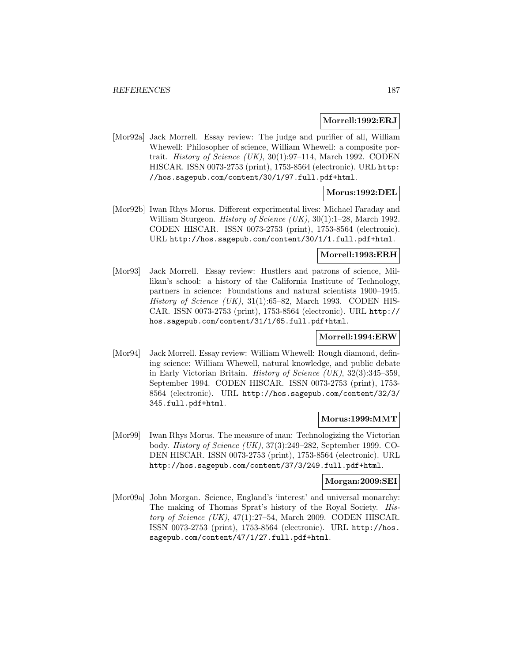#### **Morrell:1992:ERJ**

[Mor92a] Jack Morrell. Essay review: The judge and purifier of all, William Whewell: Philosopher of science, William Whewell: a composite portrait. *History of Science* (UK),  $30(1):97-114$ , March 1992. CODEN HISCAR. ISSN 0073-2753 (print), 1753-8564 (electronic). URL http: //hos.sagepub.com/content/30/1/97.full.pdf+html.

## **Morus:1992:DEL**

[Mor92b] Iwan Rhys Morus. Different experimental lives: Michael Faraday and William Sturgeon. *History of Science (UK)*, 30(1):1–28, March 1992. CODEN HISCAR. ISSN 0073-2753 (print), 1753-8564 (electronic). URL http://hos.sagepub.com/content/30/1/1.full.pdf+html.

### **Morrell:1993:ERH**

[Mor93] Jack Morrell. Essay review: Hustlers and patrons of science, Millikan's school: a history of the California Institute of Technology, partners in science: Foundations and natural scientists 1900–1945. History of Science  $(UK)$ , 31(1):65–82, March 1993. CODEN HIS-CAR. ISSN 0073-2753 (print), 1753-8564 (electronic). URL http:// hos.sagepub.com/content/31/1/65.full.pdf+html.

### **Morrell:1994:ERW**

[Mor94] Jack Morrell. Essay review: William Whewell: Rough diamond, defining science: William Whewell, natural knowledge, and public debate in Early Victorian Britain. History of Science (UK), 32(3):345–359, September 1994. CODEN HISCAR. ISSN 0073-2753 (print), 1753- 8564 (electronic). URL http://hos.sagepub.com/content/32/3/ 345.full.pdf+html.

#### **Morus:1999:MMT**

[Mor99] Iwan Rhys Morus. The measure of man: Technologizing the Victorian body. History of Science (UK), 37(3):249–282, September 1999. CO-DEN HISCAR. ISSN 0073-2753 (print), 1753-8564 (electronic). URL http://hos.sagepub.com/content/37/3/249.full.pdf+html.

## **Morgan:2009:SEI**

[Mor09a] John Morgan. Science, England's 'interest' and universal monarchy: The making of Thomas Sprat's history of the Royal Society. History of Science (UK),  $47(1):27-54$ , March 2009. CODEN HISCAR. ISSN 0073-2753 (print), 1753-8564 (electronic). URL http://hos. sagepub.com/content/47/1/27.full.pdf+html.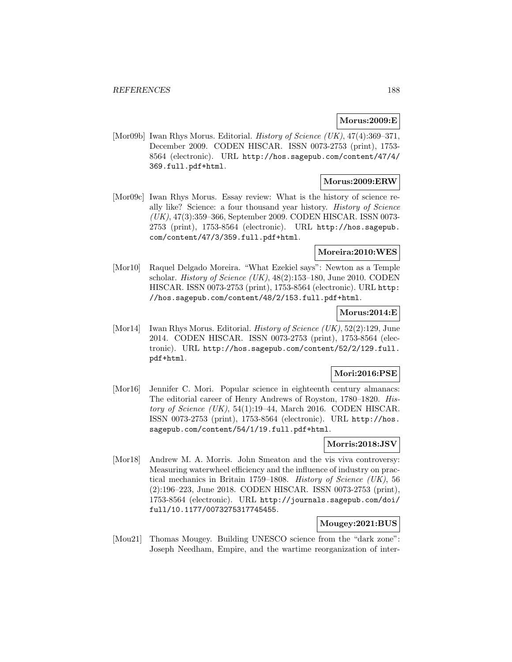# **Morus:2009:E**

[Mor09b] Iwan Rhys Morus. Editorial. *History of Science (UK)*, 47(4):369–371, December 2009. CODEN HISCAR. ISSN 0073-2753 (print), 1753- 8564 (electronic). URL http://hos.sagepub.com/content/47/4/ 369.full.pdf+html.

## **Morus:2009:ERW**

[Mor09c] Iwan Rhys Morus. Essay review: What is the history of science really like? Science: a four thousand year history. History of Science (UK), 47(3):359–366, September 2009. CODEN HISCAR. ISSN 0073- 2753 (print), 1753-8564 (electronic). URL http://hos.sagepub. com/content/47/3/359.full.pdf+html.

## **Moreira:2010:WES**

[Mor10] Raquel Delgado Moreira. "What Ezekiel says": Newton as a Temple scholar. *History of Science (UK)*,  $48(2):153-180$ , June 2010. CODEN HISCAR. ISSN 0073-2753 (print), 1753-8564 (electronic). URL http: //hos.sagepub.com/content/48/2/153.full.pdf+html.

## **Morus:2014:E**

[Mor14] Iwan Rhys Morus. Editorial. *History of Science (UK)*,  $52(2):129$ , June 2014. CODEN HISCAR. ISSN 0073-2753 (print), 1753-8564 (electronic). URL http://hos.sagepub.com/content/52/2/129.full. pdf+html.

## **Mori:2016:PSE**

[Mor16] Jennifer C. Mori. Popular science in eighteenth century almanacs: The editorial career of Henry Andrews of Royston, 1780–1820. History of Science  $(UK)$ , 54(1):19–44, March 2016. CODEN HISCAR. ISSN 0073-2753 (print), 1753-8564 (electronic). URL http://hos. sagepub.com/content/54/1/19.full.pdf+html.

## **Morris:2018:JSV**

[Mor18] Andrew M. A. Morris. John Smeaton and the vis viva controversy: Measuring waterwheel efficiency and the influence of industry on practical mechanics in Britain 1759–1808. History of Science (UK), 56 (2):196–223, June 2018. CODEN HISCAR. ISSN 0073-2753 (print), 1753-8564 (electronic). URL http://journals.sagepub.com/doi/ full/10.1177/0073275317745455.

## **Mougey:2021:BUS**

[Mou21] Thomas Mougey. Building UNESCO science from the "dark zone": Joseph Needham, Empire, and the wartime reorganization of inter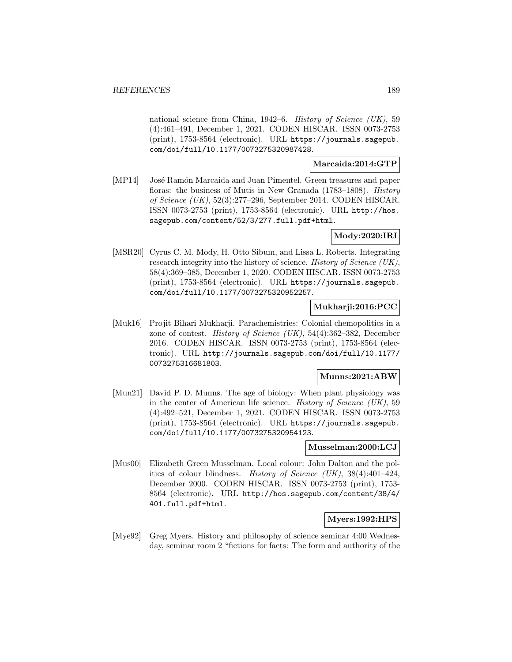national science from China, 1942–6. History of Science (UK), 59 (4):461–491, December 1, 2021. CODEN HISCAR. ISSN 0073-2753 (print), 1753-8564 (electronic). URL https://journals.sagepub. com/doi/full/10.1177/0073275320987428.

### **Marcaida:2014:GTP**

[MP14] José Ramón Marcaida and Juan Pimentel. Green treasures and paper floras: the business of Mutis in New Granada (1783–1808). History of Science (UK), 52(3):277–296, September 2014. CODEN HISCAR. ISSN 0073-2753 (print), 1753-8564 (electronic). URL http://hos. sagepub.com/content/52/3/277.full.pdf+html.

### **Mody:2020:IRI**

[MSR20] Cyrus C. M. Mody, H. Otto Sibum, and Lissa L. Roberts. Integrating research integrity into the history of science. History of Science (UK), 58(4):369–385, December 1, 2020. CODEN HISCAR. ISSN 0073-2753 (print), 1753-8564 (electronic). URL https://journals.sagepub. com/doi/full/10.1177/0073275320952257.

## **Mukharji:2016:PCC**

[Muk16] Projit Bihari Mukharji. Parachemistries: Colonial chemopolitics in a zone of contest. History of Science (UK), 54(4):362–382, December 2016. CODEN HISCAR. ISSN 0073-2753 (print), 1753-8564 (electronic). URL http://journals.sagepub.com/doi/full/10.1177/ 0073275316681803.

### **Munns:2021:ABW**

[Mun21] David P. D. Munns. The age of biology: When plant physiology was in the center of American life science. History of Science  $(UK)$ , 59 (4):492–521, December 1, 2021. CODEN HISCAR. ISSN 0073-2753 (print), 1753-8564 (electronic). URL https://journals.sagepub. com/doi/full/10.1177/0073275320954123.

### **Musselman:2000:LCJ**

[Mus00] Elizabeth Green Musselman. Local colour: John Dalton and the politics of colour blindness. History of Science (UK),  $38(4):401-424$ , December 2000. CODEN HISCAR. ISSN 0073-2753 (print), 1753- 8564 (electronic). URL http://hos.sagepub.com/content/38/4/ 401.full.pdf+html.

## **Myers:1992:HPS**

[Mye92] Greg Myers. History and philosophy of science seminar 4:00 Wednesday, seminar room 2 "fictions for facts: The form and authority of the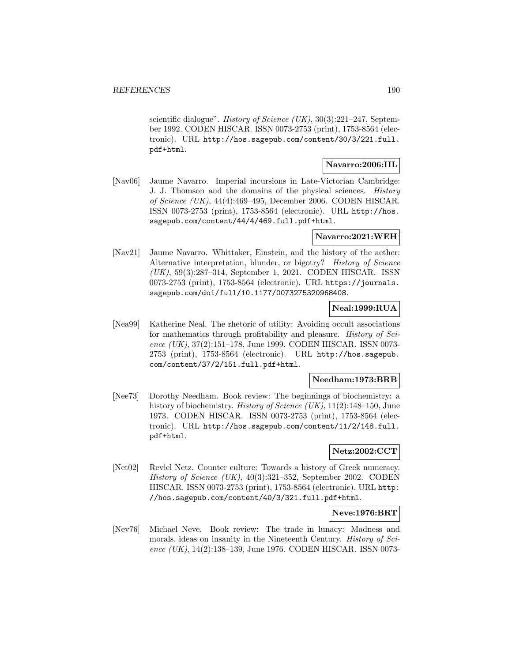scientific dialogue". *History of Science (UK)*, 30(3):221–247, September 1992. CODEN HISCAR. ISSN 0073-2753 (print), 1753-8564 (electronic). URL http://hos.sagepub.com/content/30/3/221.full. pdf+html.

## **Navarro:2006:IIL**

[Nav06] Jaume Navarro. Imperial incursions in Late-Victorian Cambridge: J. J. Thomson and the domains of the physical sciences. History of Science (UK), 44(4):469–495, December 2006. CODEN HISCAR. ISSN 0073-2753 (print), 1753-8564 (electronic). URL http://hos. sagepub.com/content/44/4/469.full.pdf+html.

### **Navarro:2021:WEH**

[Nav21] Jaume Navarro. Whittaker, Einstein, and the history of the aether: Alternative interpretation, blunder, or bigotry? History of Science (UK), 59(3):287–314, September 1, 2021. CODEN HISCAR. ISSN 0073-2753 (print), 1753-8564 (electronic). URL https://journals. sagepub.com/doi/full/10.1177/0073275320968408.

### **Neal:1999:RUA**

[Nea99] Katherine Neal. The rhetoric of utility: Avoiding occult associations for mathematics through profitability and pleasure. History of Science (UK), 37(2):151-178, June 1999. CODEN HISCAR. ISSN 0073-2753 (print), 1753-8564 (electronic). URL http://hos.sagepub. com/content/37/2/151.full.pdf+html.

#### **Needham:1973:BRB**

[Nee73] Dorothy Needham. Book review: The beginnings of biochemistry: a history of biochemistry. *History of Science (UK)*, 11(2):148–150, June 1973. CODEN HISCAR. ISSN 0073-2753 (print), 1753-8564 (electronic). URL http://hos.sagepub.com/content/11/2/148.full. pdf+html.

### **Netz:2002:CCT**

[Net02] Reviel Netz. Counter culture: Towards a history of Greek numeracy. History of Science (UK), 40(3):321–352, September 2002. CODEN HISCAR. ISSN 0073-2753 (print), 1753-8564 (electronic). URL http: //hos.sagepub.com/content/40/3/321.full.pdf+html.

#### **Neve:1976:BRT**

[Nev76] Michael Neve. Book review: The trade in lunacy: Madness and morals. ideas on insanity in the Nineteenth Century. History of Science (UK), 14(2):138–139, June 1976. CODEN HISCAR. ISSN 0073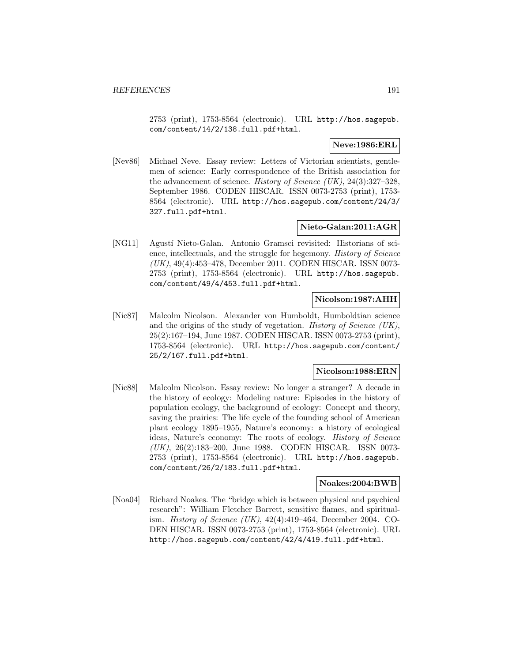2753 (print), 1753-8564 (electronic). URL http://hos.sagepub. com/content/14/2/138.full.pdf+html.

## **Neve:1986:ERL**

[Nev86] Michael Neve. Essay review: Letters of Victorian scientists, gentlemen of science: Early correspondence of the British association for the advancement of science. History of Science (UK),  $24(3):327-328$ , September 1986. CODEN HISCAR. ISSN 0073-2753 (print), 1753- 8564 (electronic). URL http://hos.sagepub.com/content/24/3/ 327.full.pdf+html.

# **Nieto-Galan:2011:AGR**

[NG11] Agustí Nieto-Galan. Antonio Gramsci revisited: Historians of science, intellectuals, and the struggle for hegemony. History of Science (UK), 49(4):453–478, December 2011. CODEN HISCAR. ISSN 0073- 2753 (print), 1753-8564 (electronic). URL http://hos.sagepub. com/content/49/4/453.full.pdf+html.

#### **Nicolson:1987:AHH**

[Nic87] Malcolm Nicolson. Alexander von Humboldt, Humboldtian science and the origins of the study of vegetation. History of Science (UK), 25(2):167–194, June 1987. CODEN HISCAR. ISSN 0073-2753 (print), 1753-8564 (electronic). URL http://hos.sagepub.com/content/ 25/2/167.full.pdf+html.

## **Nicolson:1988:ERN**

[Nic88] Malcolm Nicolson. Essay review: No longer a stranger? A decade in the history of ecology: Modeling nature: Episodes in the history of population ecology, the background of ecology: Concept and theory, saving the prairies: The life cycle of the founding school of American plant ecology 1895–1955, Nature's economy: a history of ecological ideas, Nature's economy: The roots of ecology. History of Science (UK), 26(2):183–200, June 1988. CODEN HISCAR. ISSN 0073- 2753 (print), 1753-8564 (electronic). URL http://hos.sagepub. com/content/26/2/183.full.pdf+html.

## **Noakes:2004:BWB**

[Noa04] Richard Noakes. The "bridge which is between physical and psychical research": William Fletcher Barrett, sensitive flames, and spiritualism. History of Science (UK), 42(4):419–464, December 2004. CO-DEN HISCAR. ISSN 0073-2753 (print), 1753-8564 (electronic). URL http://hos.sagepub.com/content/42/4/419.full.pdf+html.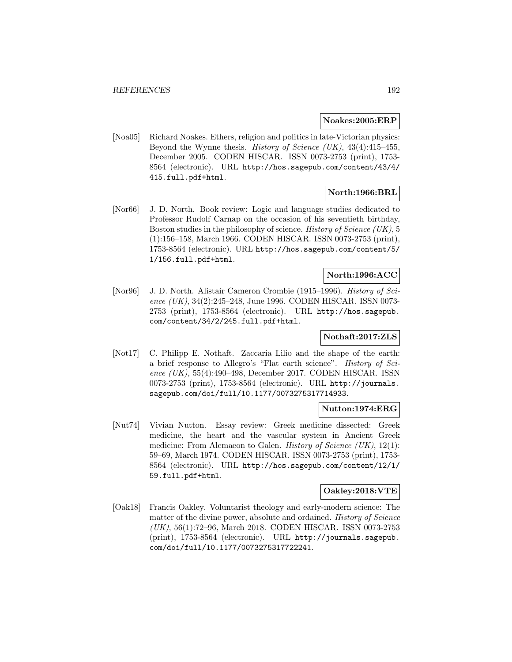#### **Noakes:2005:ERP**

[Noa05] Richard Noakes. Ethers, religion and politics in late-Victorian physics: Beyond the Wynne thesis. History of Science (UK),  $43(4):415-455$ , December 2005. CODEN HISCAR. ISSN 0073-2753 (print), 1753- 8564 (electronic). URL http://hos.sagepub.com/content/43/4/ 415.full.pdf+html.

# **North:1966:BRL**

[Nor66] J. D. North. Book review: Logic and language studies dedicated to Professor Rudolf Carnap on the occasion of his seventieth birthday, Boston studies in the philosophy of science. History of Science (UK), 5 (1):156–158, March 1966. CODEN HISCAR. ISSN 0073-2753 (print), 1753-8564 (electronic). URL http://hos.sagepub.com/content/5/ 1/156.full.pdf+html.

# **North:1996:ACC**

[Nor96] J. D. North. Alistair Cameron Crombie (1915–1996). History of Science  $(UK)$ , 34(2):245–248, June 1996. CODEN HISCAR. ISSN 0073-2753 (print), 1753-8564 (electronic). URL http://hos.sagepub. com/content/34/2/245.full.pdf+html.

## **Nothaft:2017:ZLS**

[Not17] C. Philipp E. Nothaft. Zaccaria Lilio and the shape of the earth: a brief response to Allegro's "Flat earth science". History of Science (UK), 55(4):490–498, December 2017. CODEN HISCAR. ISSN 0073-2753 (print), 1753-8564 (electronic). URL http://journals. sagepub.com/doi/full/10.1177/0073275317714933.

### **Nutton:1974:ERG**

[Nut74] Vivian Nutton. Essay review: Greek medicine dissected: Greek medicine, the heart and the vascular system in Ancient Greek medicine: From Alcmaeon to Galen. *History of Science (UK)*,  $12(1)$ : 59–69, March 1974. CODEN HISCAR. ISSN 0073-2753 (print), 1753- 8564 (electronic). URL http://hos.sagepub.com/content/12/1/ 59.full.pdf+html.

### **Oakley:2018:VTE**

[Oak18] Francis Oakley. Voluntarist theology and early-modern science: The matter of the divine power, absolute and ordained. *History of Science* (UK), 56(1):72–96, March 2018. CODEN HISCAR. ISSN 0073-2753 (print), 1753-8564 (electronic). URL http://journals.sagepub. com/doi/full/10.1177/0073275317722241.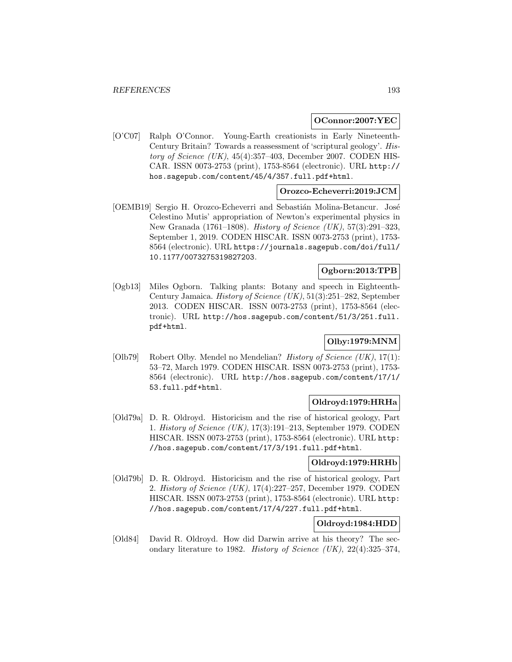#### **OConnor:2007:YEC**

[O'C07] Ralph O'Connor. Young-Earth creationists in Early Nineteenth-Century Britain? Towards a reassessment of 'scriptural geology'. History of Science  $(UK)$ , 45(4):357-403, December 2007. CODEN HIS-CAR. ISSN 0073-2753 (print), 1753-8564 (electronic). URL http:// hos.sagepub.com/content/45/4/357.full.pdf+html.

#### **Orozco-Echeverri:2019:JCM**

[OEMB19] Sergio H. Orozco-Echeverri and Sebastián Molina-Betancur. José Celestino Mutis' appropriation of Newton's experimental physics in New Granada  $(1761-1808)$ . History of Science (UK), 57(3):291-323, September 1, 2019. CODEN HISCAR. ISSN 0073-2753 (print), 1753- 8564 (electronic). URL https://journals.sagepub.com/doi/full/ 10.1177/0073275319827203.

## **Ogborn:2013:TPB**

[Ogb13] Miles Ogborn. Talking plants: Botany and speech in Eighteenth-Century Jamaica. History of Science (UK), 51(3):251–282, September 2013. CODEN HISCAR. ISSN 0073-2753 (print), 1753-8564 (electronic). URL http://hos.sagepub.com/content/51/3/251.full. pdf+html.

## **Olby:1979:MNM**

[Olb79] Robert Olby. Mendel no Mendelian? History of Science (UK), 17(1): 53–72, March 1979. CODEN HISCAR. ISSN 0073-2753 (print), 1753- 8564 (electronic). URL http://hos.sagepub.com/content/17/1/ 53.full.pdf+html.

### **Oldroyd:1979:HRHa**

[Old79a] D. R. Oldroyd. Historicism and the rise of historical geology, Part 1. History of Science (UK), 17(3):191–213, September 1979. CODEN HISCAR. ISSN 0073-2753 (print), 1753-8564 (electronic). URL http: //hos.sagepub.com/content/17/3/191.full.pdf+html.

#### **Oldroyd:1979:HRHb**

[Old79b] D. R. Oldroyd. Historicism and the rise of historical geology, Part 2. History of Science (UK), 17(4):227–257, December 1979. CODEN HISCAR. ISSN 0073-2753 (print), 1753-8564 (electronic). URL http: //hos.sagepub.com/content/17/4/227.full.pdf+html.

## **Oldroyd:1984:HDD**

[Old84] David R. Oldroyd. How did Darwin arrive at his theory? The secondary literature to 1982. History of Science (UK),  $22(4):325-374$ ,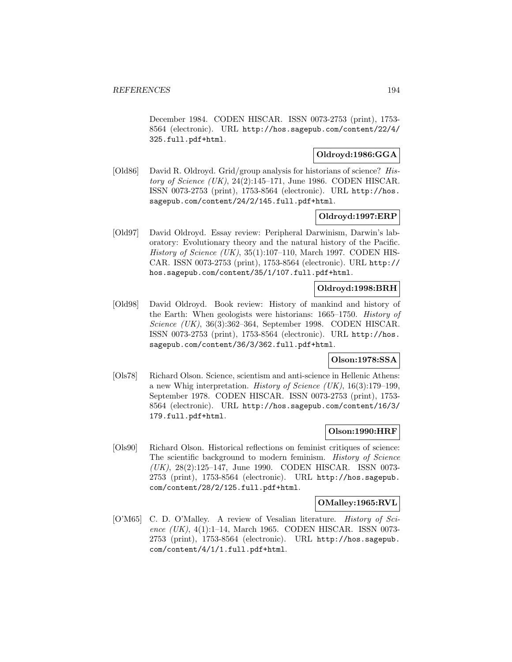December 1984. CODEN HISCAR. ISSN 0073-2753 (print), 1753- 8564 (electronic). URL http://hos.sagepub.com/content/22/4/ 325.full.pdf+html.

## **Oldroyd:1986:GGA**

[Old86] David R. Oldroyd. Grid/group analysis for historians of science? History of Science  $(UK)$ , 24(2):145–171, June 1986. CODEN HISCAR. ISSN 0073-2753 (print), 1753-8564 (electronic). URL http://hos. sagepub.com/content/24/2/145.full.pdf+html.

## **Oldroyd:1997:ERP**

[Old97] David Oldroyd. Essay review: Peripheral Darwinism, Darwin's laboratory: Evolutionary theory and the natural history of the Pacific. History of Science  $(UK)$ , 35(1):107–110, March 1997. CODEN HIS-CAR. ISSN 0073-2753 (print), 1753-8564 (electronic). URL http:// hos.sagepub.com/content/35/1/107.full.pdf+html.

## **Oldroyd:1998:BRH**

[Old98] David Oldroyd. Book review: History of mankind and history of the Earth: When geologists were historians: 1665–1750. History of Science (UK), 36(3):362–364, September 1998. CODEN HISCAR. ISSN 0073-2753 (print), 1753-8564 (electronic). URL http://hos. sagepub.com/content/36/3/362.full.pdf+html.

### **Olson:1978:SSA**

[Ols78] Richard Olson. Science, scientism and anti-science in Hellenic Athens: a new Whig interpretation. History of Science (UK), 16(3):179–199, September 1978. CODEN HISCAR. ISSN 0073-2753 (print), 1753- 8564 (electronic). URL http://hos.sagepub.com/content/16/3/ 179.full.pdf+html.

## **Olson:1990:HRF**

[Ols90] Richard Olson. Historical reflections on feminist critiques of science: The scientific background to modern feminism. History of Science (UK), 28(2):125–147, June 1990. CODEN HISCAR. ISSN 0073- 2753 (print), 1753-8564 (electronic). URL http://hos.sagepub. com/content/28/2/125.full.pdf+html.

### **OMalley:1965:RVL**

[O'M65] C. D. O'Malley. A review of Vesalian literature. History of Science (UK), 4(1):1-14, March 1965. CODEN HISCAR. ISSN 0073-2753 (print), 1753-8564 (electronic). URL http://hos.sagepub. com/content/4/1/1.full.pdf+html.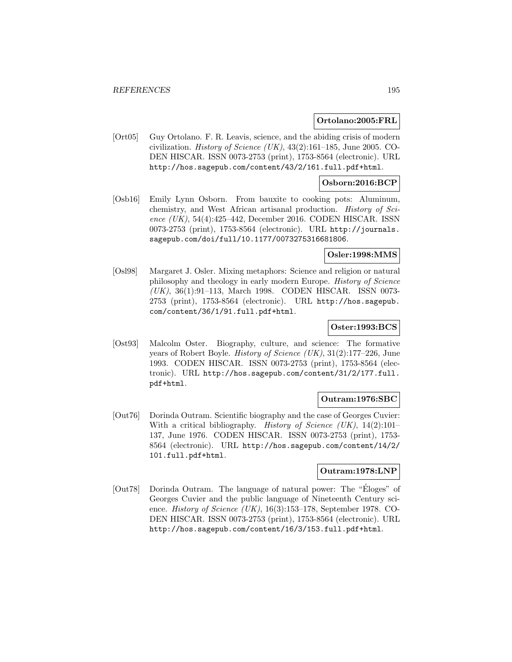#### **Ortolano:2005:FRL**

[Ort05] Guy Ortolano. F. R. Leavis, science, and the abiding crisis of modern civilization. *History of Science (UK)*,  $43(2):161-185$ , June 2005. CO-DEN HISCAR. ISSN 0073-2753 (print), 1753-8564 (electronic). URL http://hos.sagepub.com/content/43/2/161.full.pdf+html.

#### **Osborn:2016:BCP**

[Osb16] Emily Lynn Osborn. From bauxite to cooking pots: Aluminum, chemistry, and West African artisanal production. History of Science (UK), 54(4):425–442, December 2016. CODEN HISCAR. ISSN 0073-2753 (print), 1753-8564 (electronic). URL http://journals. sagepub.com/doi/full/10.1177/0073275316681806.

### **Osler:1998:MMS**

[Osl98] Margaret J. Osler. Mixing metaphors: Science and religion or natural philosophy and theology in early modern Europe. History of Science (UK), 36(1):91–113, March 1998. CODEN HISCAR. ISSN 0073- 2753 (print), 1753-8564 (electronic). URL http://hos.sagepub. com/content/36/1/91.full.pdf+html.

# **Oster:1993:BCS**

[Ost93] Malcolm Oster. Biography, culture, and science: The formative years of Robert Boyle. History of Science (UK), 31(2):177–226, June 1993. CODEN HISCAR. ISSN 0073-2753 (print), 1753-8564 (electronic). URL http://hos.sagepub.com/content/31/2/177.full. pdf+html.

### **Outram:1976:SBC**

[Out76] Dorinda Outram. Scientific biography and the case of Georges Cuvier: With a critical bibliography. *History of Science (UK)*,  $14(2):101-$ 137, June 1976. CODEN HISCAR. ISSN 0073-2753 (print), 1753- 8564 (electronic). URL http://hos.sagepub.com/content/14/2/ 101.full.pdf+html.

## **Outram:1978:LNP**

[Out78] Dorinda Outram. The language of natural power: The "Eloges" of ´ Georges Cuvier and the public language of Nineteenth Century science. History of Science (UK), 16(3):153–178, September 1978. CO-DEN HISCAR. ISSN 0073-2753 (print), 1753-8564 (electronic). URL http://hos.sagepub.com/content/16/3/153.full.pdf+html.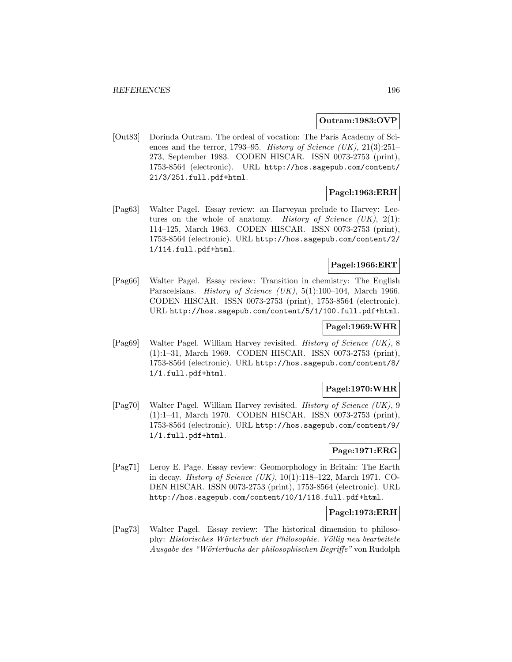## **Outram:1983:OVP**

[Out83] Dorinda Outram. The ordeal of vocation: The Paris Academy of Sciences and the terror, 1793–95. History of Science (UK),  $21(3):251-$ 273, September 1983. CODEN HISCAR. ISSN 0073-2753 (print), 1753-8564 (electronic). URL http://hos.sagepub.com/content/ 21/3/251.full.pdf+html.

# **Pagel:1963:ERH**

[Pag63] Walter Pagel. Essay review: an Harveyan prelude to Harvey: Lectures on the whole of anatomy. History of Science  $(UK), 2(1)$ : 114–125, March 1963. CODEN HISCAR. ISSN 0073-2753 (print), 1753-8564 (electronic). URL http://hos.sagepub.com/content/2/ 1/114.full.pdf+html.

## **Pagel:1966:ERT**

[Pag66] Walter Pagel. Essay review: Transition in chemistry: The English Paracelsians. *History of Science (UK)*, 5(1):100–104, March 1966. CODEN HISCAR. ISSN 0073-2753 (print), 1753-8564 (electronic). URL http://hos.sagepub.com/content/5/1/100.full.pdf+html.

## **Pagel:1969:WHR**

[Pag69] Walter Pagel. William Harvey revisited. History of Science (UK), 8 (1):1–31, March 1969. CODEN HISCAR. ISSN 0073-2753 (print), 1753-8564 (electronic). URL http://hos.sagepub.com/content/8/ 1/1.full.pdf+html.

## **Pagel:1970:WHR**

[Pag70] Walter Pagel. William Harvey revisited. History of Science (UK), 9 (1):1–41, March 1970. CODEN HISCAR. ISSN 0073-2753 (print), 1753-8564 (electronic). URL http://hos.sagepub.com/content/9/ 1/1.full.pdf+html.

# **Page:1971:ERG**

[Pag71] Leroy E. Page. Essay review: Geomorphology in Britain: The Earth in decay. History of Science (UK), 10(1):118–122, March 1971. CO-DEN HISCAR. ISSN 0073-2753 (print), 1753-8564 (electronic). URL http://hos.sagepub.com/content/10/1/118.full.pdf+html.

## **Pagel:1973:ERH**

[Pag73] Walter Pagel. Essay review: The historical dimension to philosophy: Historisches Wörterbuch der Philosophie. Völlig neu bearbeitete Ausgabe des "W¨orterbuchs der philosophischen Begriffe" von Rudolph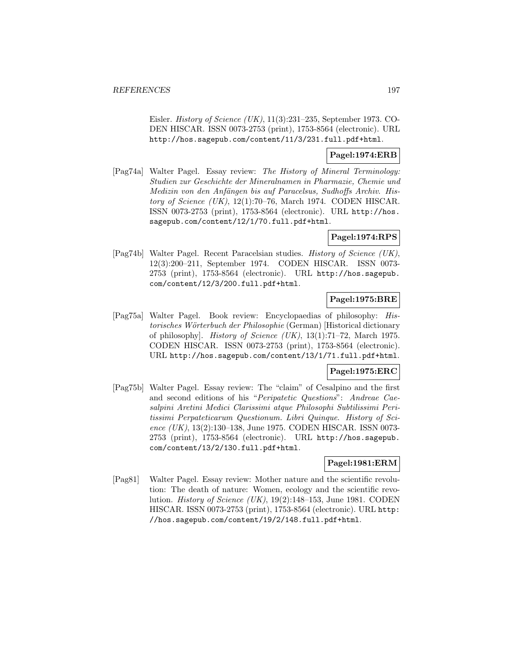Eisler. History of Science (UK), 11(3):231–235, September 1973. CO-DEN HISCAR. ISSN 0073-2753 (print), 1753-8564 (electronic). URL http://hos.sagepub.com/content/11/3/231.full.pdf+html.

## **Pagel:1974:ERB**

[Pag74a] Walter Pagel. Essay review: The History of Mineral Terminology: Studien zur Geschichte der Mineralnamen in Pharmazie, Chemie und Medizin von den Anfängen bis auf Paracelsus, Sudhoffs Archiv. History of Science (UK), 12(1):70–76, March 1974. CODEN HISCAR. ISSN 0073-2753 (print), 1753-8564 (electronic). URL http://hos. sagepub.com/content/12/1/70.full.pdf+html.

# **Pagel:1974:RPS**

[Pag74b] Walter Pagel. Recent Paracelsian studies. History of Science (UK), 12(3):200–211, September 1974. CODEN HISCAR. ISSN 0073- 2753 (print), 1753-8564 (electronic). URL http://hos.sagepub. com/content/12/3/200.full.pdf+html.

## **Pagel:1975:BRE**

[Pag75a] Walter Pagel. Book review: Encyclopaedias of philosophy: Historisches Wörterbuch der Philosophie (German) [Historical dictionary of philosophy]. History of Science (UK), 13(1):71–72, March 1975. CODEN HISCAR. ISSN 0073-2753 (print), 1753-8564 (electronic). URL http://hos.sagepub.com/content/13/1/71.full.pdf+html.

# **Pagel:1975:ERC**

[Pag75b] Walter Pagel. Essay review: The "claim" of Cesalpino and the first and second editions of his "Peripatetic Questions": Andreae Caesalpini Aretini Medici Clarissimi atque Philosophi Subtilissimi Peritissimi Perpateticarum Questionum. Libri Quinque. History of Science (UK), 13(2):130-138, June 1975. CODEN HISCAR. ISSN 0073-2753 (print), 1753-8564 (electronic). URL http://hos.sagepub. com/content/13/2/130.full.pdf+html.

### **Pagel:1981:ERM**

[Pag81] Walter Pagel. Essay review: Mother nature and the scientific revolution: The death of nature: Women, ecology and the scientific revolution. History of Science (UK), 19(2):148–153, June 1981. CODEN HISCAR. ISSN 0073-2753 (print), 1753-8564 (electronic). URL http: //hos.sagepub.com/content/19/2/148.full.pdf+html.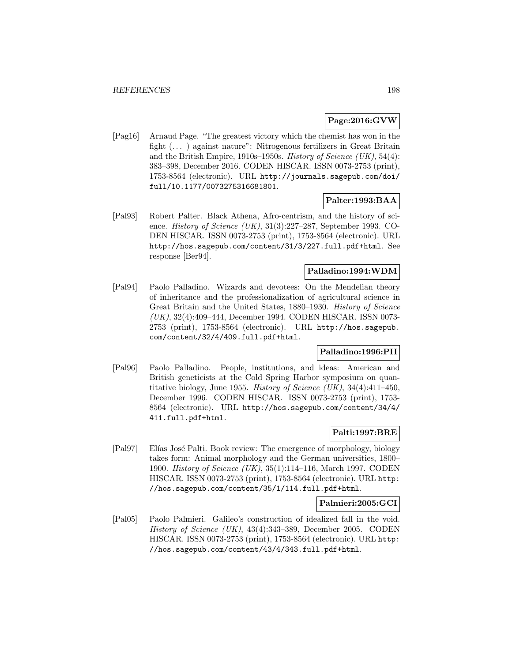## **Page:2016:GVW**

[Pag16] Arnaud Page. "The greatest victory which the chemist has won in the fight (... ) against nature": Nitrogenous fertilizers in Great Britain and the British Empire, 1910s–1950s. History of Science (UK), 54(4): 383–398, December 2016. CODEN HISCAR. ISSN 0073-2753 (print), 1753-8564 (electronic). URL http://journals.sagepub.com/doi/ full/10.1177/0073275316681801.

# **Palter:1993:BAA**

[Pal93] Robert Palter. Black Athena, Afro-centrism, and the history of science. History of Science (UK), 31(3):227–287, September 1993. CO-DEN HISCAR. ISSN 0073-2753 (print), 1753-8564 (electronic). URL http://hos.sagepub.com/content/31/3/227.full.pdf+html. See response [Ber94].

### **Palladino:1994:WDM**

[Pal94] Paolo Palladino. Wizards and devotees: On the Mendelian theory of inheritance and the professionalization of agricultural science in Great Britain and the United States, 1880–1930. History of Science (UK), 32(4):409–444, December 1994. CODEN HISCAR. ISSN 0073- 2753 (print), 1753-8564 (electronic). URL http://hos.sagepub. com/content/32/4/409.full.pdf+html.

## **Palladino:1996:PII**

[Pal96] Paolo Palladino. People, institutions, and ideas: American and British geneticists at the Cold Spring Harbor symposium on quantitative biology, June 1955. History of Science (UK),  $34(4):411-450$ , December 1996. CODEN HISCAR. ISSN 0073-2753 (print), 1753- 8564 (electronic). URL http://hos.sagepub.com/content/34/4/ 411.full.pdf+html.

### **Palti:1997:BRE**

[Pal97] Elías José Palti. Book review: The emergence of morphology, biology takes form: Animal morphology and the German universities, 1800– 1900. History of Science (UK), 35(1):114–116, March 1997. CODEN HISCAR. ISSN 0073-2753 (print), 1753-8564 (electronic). URL http: //hos.sagepub.com/content/35/1/114.full.pdf+html.

### **Palmieri:2005:GCI**

[Pal05] Paolo Palmieri. Galileo's construction of idealized fall in the void. History of Science (UK), 43(4):343–389, December 2005. CODEN HISCAR. ISSN 0073-2753 (print), 1753-8564 (electronic). URL http: //hos.sagepub.com/content/43/4/343.full.pdf+html.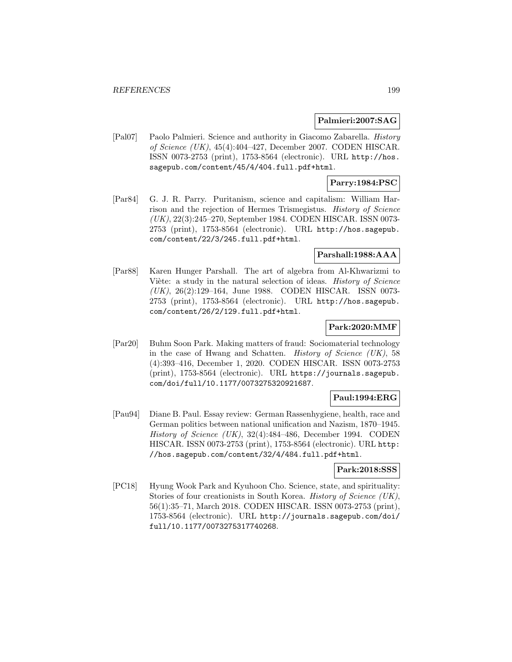### **Palmieri:2007:SAG**

[Pal07] Paolo Palmieri. Science and authority in Giacomo Zabarella. History of Science (UK), 45(4):404–427, December 2007. CODEN HISCAR. ISSN 0073-2753 (print), 1753-8564 (electronic). URL http://hos. sagepub.com/content/45/4/404.full.pdf+html.

## **Parry:1984:PSC**

[Par84] G. J. R. Parry. Puritanism, science and capitalism: William Harrison and the rejection of Hermes Trismegistus. History of Science (UK), 22(3):245–270, September 1984. CODEN HISCAR. ISSN 0073- 2753 (print), 1753-8564 (electronic). URL http://hos.sagepub. com/content/22/3/245.full.pdf+html.

### **Parshall:1988:AAA**

[Par88] Karen Hunger Parshall. The art of algebra from Al-Khwarizmi to Viète: a study in the natural selection of ideas. *History of Science* (UK), 26(2):129–164, June 1988. CODEN HISCAR. ISSN 0073- 2753 (print), 1753-8564 (electronic). URL http://hos.sagepub. com/content/26/2/129.full.pdf+html.

## **Park:2020:MMF**

[Par20] Buhm Soon Park. Making matters of fraud: Sociomaterial technology in the case of Hwang and Schatten. History of Science (UK), 58 (4):393–416, December 1, 2020. CODEN HISCAR. ISSN 0073-2753 (print), 1753-8564 (electronic). URL https://journals.sagepub. com/doi/full/10.1177/0073275320921687.

### **Paul:1994:ERG**

[Pau94] Diane B. Paul. Essay review: German Rassenhygiene, health, race and German politics between national unification and Nazism, 1870–1945. History of Science (UK), 32(4):484–486, December 1994. CODEN HISCAR. ISSN 0073-2753 (print), 1753-8564 (electronic). URL http: //hos.sagepub.com/content/32/4/484.full.pdf+html.

## **Park:2018:SSS**

[PC18] Hyung Wook Park and Kyuhoon Cho. Science, state, and spirituality: Stories of four creationists in South Korea. *History of Science (UK)*, 56(1):35–71, March 2018. CODEN HISCAR. ISSN 0073-2753 (print), 1753-8564 (electronic). URL http://journals.sagepub.com/doi/ full/10.1177/0073275317740268.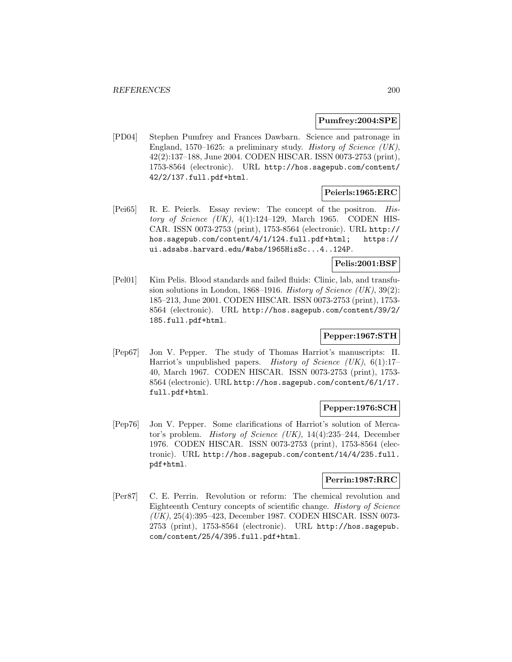### **Pumfrey:2004:SPE**

[PD04] Stephen Pumfrey and Frances Dawbarn. Science and patronage in England, 1570–1625: a preliminary study. History of Science (UK), 42(2):137–188, June 2004. CODEN HISCAR. ISSN 0073-2753 (print), 1753-8564 (electronic). URL http://hos.sagepub.com/content/ 42/2/137.full.pdf+html.

## **Peierls:1965:ERC**

[Pei65] R. E. Peierls. Essay review: The concept of the positron. History of Science  $(UK), 4(1):124-129$ , March 1965. CODEN HIS-CAR. ISSN 0073-2753 (print), 1753-8564 (electronic). URL http:// hos.sagepub.com/content/4/1/124.full.pdf+html; https:// ui.adsabs.harvard.edu/#abs/1965HisSc...4..124P.

**Pelis:2001:BSF**

[Pel01] Kim Pelis. Blood standards and failed fluids: Clinic, lab, and transfusion solutions in London, 1868–1916. History of Science  $(UK)$ , 39(2): 185–213, June 2001. CODEN HISCAR. ISSN 0073-2753 (print), 1753- 8564 (electronic). URL http://hos.sagepub.com/content/39/2/ 185.full.pdf+html.

# **Pepper:1967:STH**

[Pep67] Jon V. Pepper. The study of Thomas Harriot's manuscripts: II. Harriot's unpublished papers. History of Science (UK), 6(1):17-40, March 1967. CODEN HISCAR. ISSN 0073-2753 (print), 1753- 8564 (electronic). URL http://hos.sagepub.com/content/6/1/17. full.pdf+html.

## **Pepper:1976:SCH**

[Pep76] Jon V. Pepper. Some clarifications of Harriot's solution of Mercator's problem. *History of Science (UK)*,  $14(4):235-244$ , December 1976. CODEN HISCAR. ISSN 0073-2753 (print), 1753-8564 (electronic). URL http://hos.sagepub.com/content/14/4/235.full. pdf+html.

### **Perrin:1987:RRC**

[Per87] C. E. Perrin. Revolution or reform: The chemical revolution and Eighteenth Century concepts of scientific change. History of Science (UK), 25(4):395–423, December 1987. CODEN HISCAR. ISSN 0073- 2753 (print), 1753-8564 (electronic). URL http://hos.sagepub. com/content/25/4/395.full.pdf+html.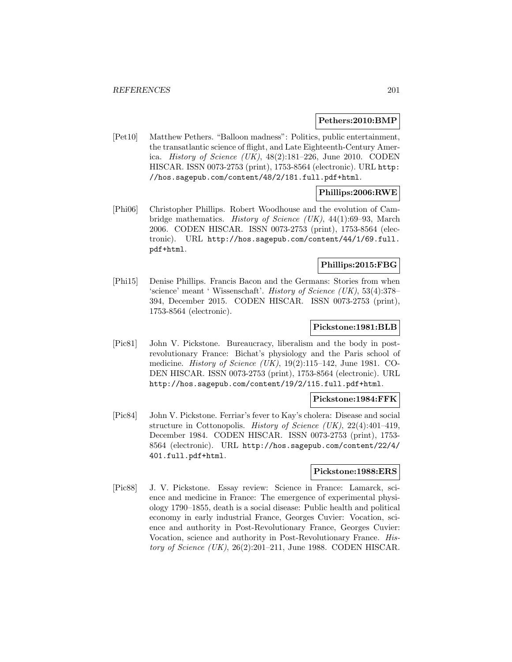### **Pethers:2010:BMP**

[Pet10] Matthew Pethers. "Balloon madness": Politics, public entertainment, the transatlantic science of flight, and Late Eighteenth-Century America. History of Science (UK),  $48(2):181-226$ , June 2010. CODEN HISCAR. ISSN 0073-2753 (print), 1753-8564 (electronic). URL http: //hos.sagepub.com/content/48/2/181.full.pdf+html.

## **Phillips:2006:RWE**

[Phi06] Christopher Phillips. Robert Woodhouse and the evolution of Cambridge mathematics. History of Science (UK), 44(1):69–93, March 2006. CODEN HISCAR. ISSN 0073-2753 (print), 1753-8564 (electronic). URL http://hos.sagepub.com/content/44/1/69.full. pdf+html.

## **Phillips:2015:FBG**

[Phi15] Denise Phillips. Francis Bacon and the Germans: Stories from when 'science' meant ' Wissenschaft'. History of Science (UK), 53(4):378– 394, December 2015. CODEN HISCAR. ISSN 0073-2753 (print), 1753-8564 (electronic).

### **Pickstone:1981:BLB**

[Pic81] John V. Pickstone. Bureaucracy, liberalism and the body in postrevolutionary France: Bichat's physiology and the Paris school of medicine. *History of Science (UK)*,  $19(2):115-142$ , June 1981. CO-DEN HISCAR. ISSN 0073-2753 (print), 1753-8564 (electronic). URL http://hos.sagepub.com/content/19/2/115.full.pdf+html.

#### **Pickstone:1984:FFK**

[Pic84] John V. Pickstone. Ferriar's fever to Kay's cholera: Disease and social structure in Cottonopolis. History of Science (UK),  $22(4):401-419$ , December 1984. CODEN HISCAR. ISSN 0073-2753 (print), 1753- 8564 (electronic). URL http://hos.sagepub.com/content/22/4/ 401.full.pdf+html.

### **Pickstone:1988:ERS**

[Pic88] J. V. Pickstone. Essay review: Science in France: Lamarck, science and medicine in France: The emergence of experimental physiology 1790–1855, death is a social disease: Public health and political economy in early industrial France, Georges Cuvier: Vocation, science and authority in Post-Revolutionary France, Georges Cuvier: Vocation, science and authority in Post-Revolutionary France. History of Science  $(UK), 26(2):201-211$ , June 1988. CODEN HISCAR.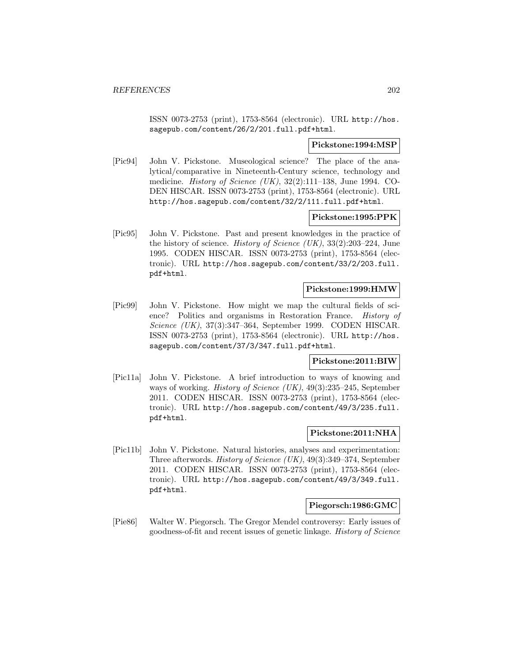ISSN 0073-2753 (print), 1753-8564 (electronic). URL http://hos. sagepub.com/content/26/2/201.full.pdf+html.

#### **Pickstone:1994:MSP**

[Pic94] John V. Pickstone. Museological science? The place of the analytical/comparative in Nineteenth-Century science, technology and medicine. History of Science (UK), 32(2):111–138, June 1994. CO-DEN HISCAR. ISSN 0073-2753 (print), 1753-8564 (electronic). URL http://hos.sagepub.com/content/32/2/111.full.pdf+html.

### **Pickstone:1995:PPK**

[Pic95] John V. Pickstone. Past and present knowledges in the practice of the history of science. History of Science  $(UK), 33(2):203-224$ , June 1995. CODEN HISCAR. ISSN 0073-2753 (print), 1753-8564 (electronic). URL http://hos.sagepub.com/content/33/2/203.full. pdf+html.

## **Pickstone:1999:HMW**

[Pic99] John V. Pickstone. How might we map the cultural fields of science? Politics and organisms in Restoration France. History of Science (UK), 37(3):347–364, September 1999. CODEN HISCAR. ISSN 0073-2753 (print), 1753-8564 (electronic). URL http://hos. sagepub.com/content/37/3/347.full.pdf+html.

### **Pickstone:2011:BIW**

[Pic11a] John V. Pickstone. A brief introduction to ways of knowing and ways of working. *History of Science (UK)*,  $49(3):235-245$ , September 2011. CODEN HISCAR. ISSN 0073-2753 (print), 1753-8564 (electronic). URL http://hos.sagepub.com/content/49/3/235.full. pdf+html.

#### **Pickstone:2011:NHA**

[Pic11b] John V. Pickstone. Natural histories, analyses and experimentation: Three afterwords. History of Science (UK), 49(3):349–374, September 2011. CODEN HISCAR. ISSN 0073-2753 (print), 1753-8564 (electronic). URL http://hos.sagepub.com/content/49/3/349.full. pdf+html.

#### **Piegorsch:1986:GMC**

[Pie86] Walter W. Piegorsch. The Gregor Mendel controversy: Early issues of goodness-of-fit and recent issues of genetic linkage. History of Science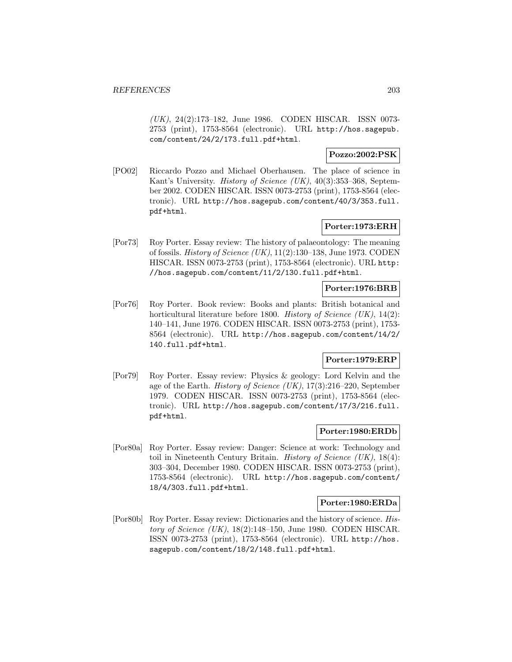(UK), 24(2):173–182, June 1986. CODEN HISCAR. ISSN 0073- 2753 (print), 1753-8564 (electronic). URL http://hos.sagepub. com/content/24/2/173.full.pdf+html.

## **Pozzo:2002:PSK**

[PO02] Riccardo Pozzo and Michael Oberhausen. The place of science in Kant's University. History of Science (UK), 40(3):353–368, September 2002. CODEN HISCAR. ISSN 0073-2753 (print), 1753-8564 (electronic). URL http://hos.sagepub.com/content/40/3/353.full. pdf+html.

## **Porter:1973:ERH**

[Por73] Roy Porter. Essay review: The history of palaeontology: The meaning of fossils. History of Science (UK), 11(2):130–138, June 1973. CODEN HISCAR. ISSN 0073-2753 (print), 1753-8564 (electronic). URL http: //hos.sagepub.com/content/11/2/130.full.pdf+html.

# **Porter:1976:BRB**

[Por76] Roy Porter. Book review: Books and plants: British botanical and horticultural literature before 1800. History of Science  $(UK)$ , 14(2): 140–141, June 1976. CODEN HISCAR. ISSN 0073-2753 (print), 1753- 8564 (electronic). URL http://hos.sagepub.com/content/14/2/ 140.full.pdf+html.

## **Porter:1979:ERP**

[Por79] Roy Porter. Essay review: Physics & geology: Lord Kelvin and the age of the Earth. History of Science (UK), 17(3):216–220, September 1979. CODEN HISCAR. ISSN 0073-2753 (print), 1753-8564 (electronic). URL http://hos.sagepub.com/content/17/3/216.full. pdf+html.

## **Porter:1980:ERDb**

[Por80a] Roy Porter. Essay review: Danger: Science at work: Technology and toil in Nineteenth Century Britain. *History of Science (UK)*,  $18(4)$ : 303–304, December 1980. CODEN HISCAR. ISSN 0073-2753 (print), 1753-8564 (electronic). URL http://hos.sagepub.com/content/ 18/4/303.full.pdf+html.

### **Porter:1980:ERDa**

[Por80b] Roy Porter. Essay review: Dictionaries and the history of science. History of Science  $(UK)$ , 18(2):148-150, June 1980. CODEN HISCAR. ISSN 0073-2753 (print), 1753-8564 (electronic). URL http://hos. sagepub.com/content/18/2/148.full.pdf+html.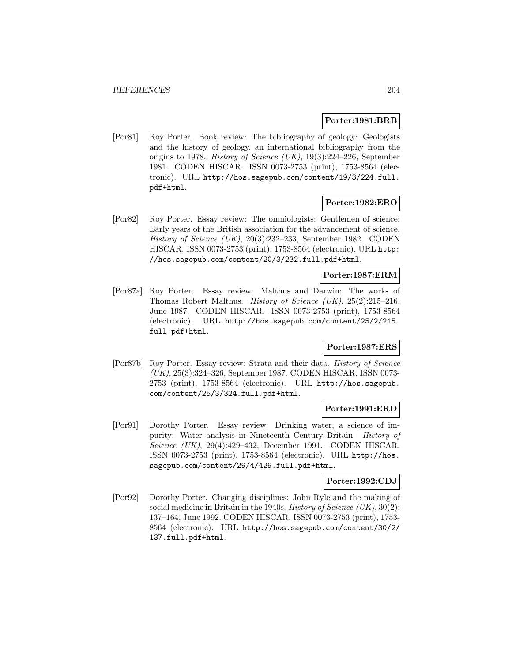#### **Porter:1981:BRB**

[Por81] Roy Porter. Book review: The bibliography of geology: Geologists and the history of geology. an international bibliography from the origins to 1978. History of Science (UK), 19(3):224–226, September 1981. CODEN HISCAR. ISSN 0073-2753 (print), 1753-8564 (electronic). URL http://hos.sagepub.com/content/19/3/224.full. pdf+html.

### **Porter:1982:ERO**

[Por82] Roy Porter. Essay review: The omniologists: Gentlemen of science: Early years of the British association for the advancement of science. History of Science (UK), 20(3):232–233, September 1982. CODEN HISCAR. ISSN 0073-2753 (print), 1753-8564 (electronic). URL http: //hos.sagepub.com/content/20/3/232.full.pdf+html.

## **Porter:1987:ERM**

[Por87a] Roy Porter. Essay review: Malthus and Darwin: The works of Thomas Robert Malthus. *History of Science (UK)*,  $25(2):215-216$ , June 1987. CODEN HISCAR. ISSN 0073-2753 (print), 1753-8564 (electronic). URL http://hos.sagepub.com/content/25/2/215. full.pdf+html.

## **Porter:1987:ERS**

[Por87b] Roy Porter. Essay review: Strata and their data. History of Science (UK), 25(3):324–326, September 1987. CODEN HISCAR. ISSN 0073- 2753 (print), 1753-8564 (electronic). URL http://hos.sagepub. com/content/25/3/324.full.pdf+html.

### **Porter:1991:ERD**

[Por91] Dorothy Porter. Essay review: Drinking water, a science of impurity: Water analysis in Nineteenth Century Britain. History of Science (UK), 29(4):429–432, December 1991. CODEN HISCAR. ISSN 0073-2753 (print), 1753-8564 (electronic). URL http://hos. sagepub.com/content/29/4/429.full.pdf+html.

## **Porter:1992:CDJ**

[Por92] Dorothy Porter. Changing disciplines: John Ryle and the making of social medicine in Britain in the 1940s. History of Science  $(UK), 30(2)$ : 137–164, June 1992. CODEN HISCAR. ISSN 0073-2753 (print), 1753- 8564 (electronic). URL http://hos.sagepub.com/content/30/2/ 137.full.pdf+html.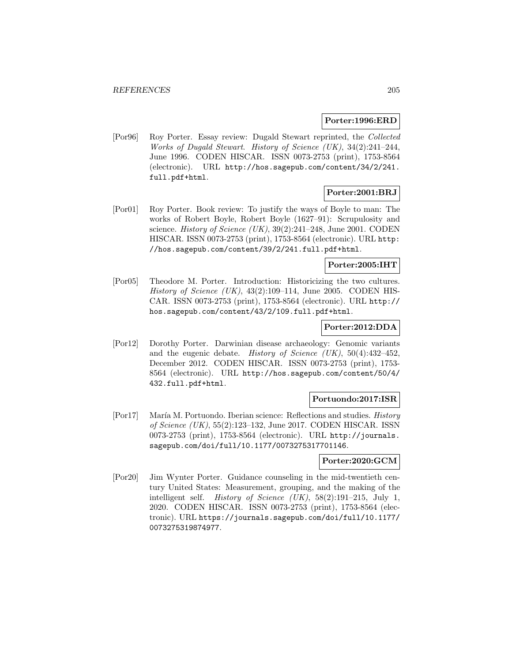#### **Porter:1996:ERD**

[Por96] Roy Porter. Essay review: Dugald Stewart reprinted, the Collected Works of Dugald Stewart. History of Science (UK), 34(2):241–244, June 1996. CODEN HISCAR. ISSN 0073-2753 (print), 1753-8564 (electronic). URL http://hos.sagepub.com/content/34/2/241. full.pdf+html.

# **Porter:2001:BRJ**

[Por01] Roy Porter. Book review: To justify the ways of Boyle to man: The works of Robert Boyle, Robert Boyle (1627–91): Scrupulosity and science. History of Science (UK), 39(2):241–248, June 2001. CODEN HISCAR. ISSN 0073-2753 (print), 1753-8564 (electronic). URL http: //hos.sagepub.com/content/39/2/241.full.pdf+html.

## **Porter:2005:IHT**

[Por05] Theodore M. Porter. Introduction: Historicizing the two cultures. History of Science  $(UK)$ , 43(2):109–114, June 2005. CODEN HIS-CAR. ISSN 0073-2753 (print), 1753-8564 (electronic). URL http:// hos.sagepub.com/content/43/2/109.full.pdf+html.

## **Porter:2012:DDA**

[Por12] Dorothy Porter. Darwinian disease archaeology: Genomic variants and the eugenic debate. History of Science  $(UK), 50(4):432-452$ , December 2012. CODEN HISCAR. ISSN 0073-2753 (print), 1753- 8564 (electronic). URL http://hos.sagepub.com/content/50/4/ 432.full.pdf+html.

### **Portuondo:2017:ISR**

[Por17] María M. Portuondo. Iberian science: Reflections and studies. *History* of Science (UK), 55(2):123–132, June 2017. CODEN HISCAR. ISSN 0073-2753 (print), 1753-8564 (electronic). URL http://journals. sagepub.com/doi/full/10.1177/0073275317701146.

#### **Porter:2020:GCM**

[Por20] Jim Wynter Porter. Guidance counseling in the mid-twentieth century United States: Measurement, grouping, and the making of the intelligent self. *History of Science (UK)*,  $58(2):191-215$ , July 1, 2020. CODEN HISCAR. ISSN 0073-2753 (print), 1753-8564 (electronic). URL https://journals.sagepub.com/doi/full/10.1177/ 0073275319874977.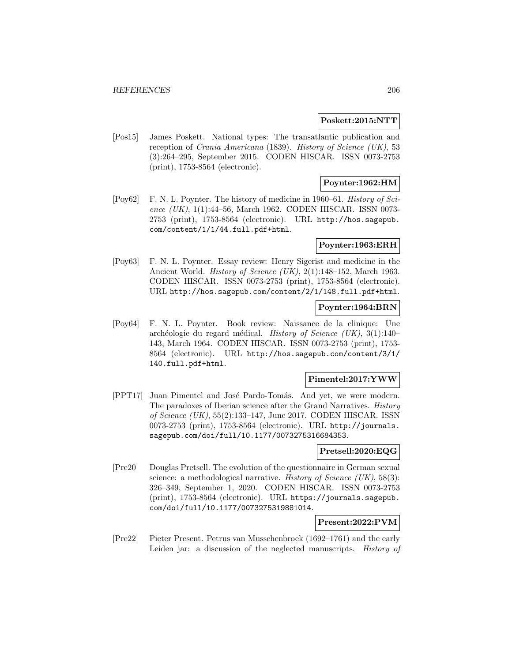#### **Poskett:2015:NTT**

[Pos15] James Poskett. National types: The transatlantic publication and reception of Crania Americana (1839). History of Science (UK), 53 (3):264–295, September 2015. CODEN HISCAR. ISSN 0073-2753 (print), 1753-8564 (electronic).

## **Poynter:1962:HM**

[Poy62] F. N. L. Poynter. The history of medicine in 1960–61. History of Science  $(UK)$ , 1(1):44–56, March 1962. CODEN HISCAR. ISSN 0073-2753 (print), 1753-8564 (electronic). URL http://hos.sagepub. com/content/1/1/44.full.pdf+html.

### **Poynter:1963:ERH**

[Poy63] F. N. L. Poynter. Essay review: Henry Sigerist and medicine in the Ancient World. History of Science (UK), 2(1):148–152, March 1963. CODEN HISCAR. ISSN 0073-2753 (print), 1753-8564 (electronic). URL http://hos.sagepub.com/content/2/1/148.full.pdf+html.

## **Poynter:1964:BRN**

[Poy64] F. N. L. Poynter. Book review: Naissance de la clinique: Une archéologie du regard médical. History of Science (UK),  $3(1):140-$ 143, March 1964. CODEN HISCAR. ISSN 0073-2753 (print), 1753- 8564 (electronic). URL http://hos.sagepub.com/content/3/1/ 140.full.pdf+html.

### **Pimentel:2017:YWW**

[PPT17] Juan Pimentel and José Pardo-Tomás. And yet, we were modern. The paradoxes of Iberian science after the Grand Narratives. History of Science (UK), 55(2):133–147, June 2017. CODEN HISCAR. ISSN 0073-2753 (print), 1753-8564 (electronic). URL http://journals. sagepub.com/doi/full/10.1177/0073275316684353.

#### **Pretsell:2020:EQG**

[Pre20] Douglas Pretsell. The evolution of the questionnaire in German sexual science: a methodological narrative. *History of Science (UK)*, 58(3): 326–349, September 1, 2020. CODEN HISCAR. ISSN 0073-2753 (print), 1753-8564 (electronic). URL https://journals.sagepub. com/doi/full/10.1177/0073275319881014.

#### **Present:2022:PVM**

[Pre22] Pieter Present. Petrus van Musschenbroek (1692–1761) and the early Leiden jar: a discussion of the neglected manuscripts. *History of*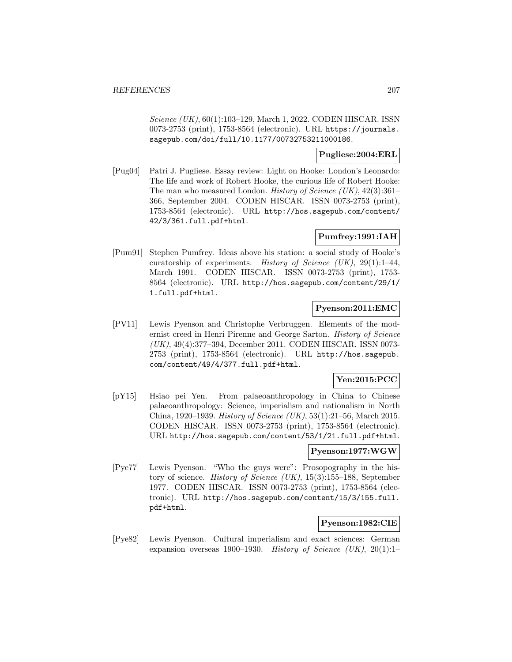Science (UK), 60(1):103-129, March 1, 2022. CODEN HISCAR. ISSN 0073-2753 (print), 1753-8564 (electronic). URL https://journals. sagepub.com/doi/full/10.1177/00732753211000186.

## **Pugliese:2004:ERL**

[Pug04] Patri J. Pugliese. Essay review: Light on Hooke: London's Leonardo: The life and work of Robert Hooke, the curious life of Robert Hooke: The man who measured London. History of Science  $(UK), 42(3):361-$ 366, September 2004. CODEN HISCAR. ISSN 0073-2753 (print), 1753-8564 (electronic). URL http://hos.sagepub.com/content/ 42/3/361.full.pdf+html.

# **Pumfrey:1991:IAH**

[Pum91] Stephen Pumfrey. Ideas above his station: a social study of Hooke's curatorship of experiments. History of Science (UK),  $29(1)$ :1-44, March 1991. CODEN HISCAR. ISSN 0073-2753 (print), 1753- 8564 (electronic). URL http://hos.sagepub.com/content/29/1/ 1.full.pdf+html.

### **Pyenson:2011:EMC**

[PV11] Lewis Pyenson and Christophe Verbruggen. Elements of the modernist creed in Henri Pirenne and George Sarton. History of Science (UK), 49(4):377–394, December 2011. CODEN HISCAR. ISSN 0073- 2753 (print), 1753-8564 (electronic). URL http://hos.sagepub. com/content/49/4/377.full.pdf+html.

## **Yen:2015:PCC**

[pY15] Hsiao pei Yen. From palaeoanthropology in China to Chinese palaeoanthropology: Science, imperialism and nationalism in North China, 1920–1939. History of Science (UK), 53(1):21–56, March 2015. CODEN HISCAR. ISSN 0073-2753 (print), 1753-8564 (electronic). URL http://hos.sagepub.com/content/53/1/21.full.pdf+html.

### **Pyenson:1977:WGW**

[Pye77] Lewis Pyenson. "Who the guys were": Prosopography in the history of science. History of Science (UK), 15(3):155–188, September 1977. CODEN HISCAR. ISSN 0073-2753 (print), 1753-8564 (electronic). URL http://hos.sagepub.com/content/15/3/155.full. pdf+html.

## **Pyenson:1982:CIE**

[Pye82] Lewis Pyenson. Cultural imperialism and exact sciences: German expansion overseas 1900–1930. History of Science (UK),  $20(1):1-$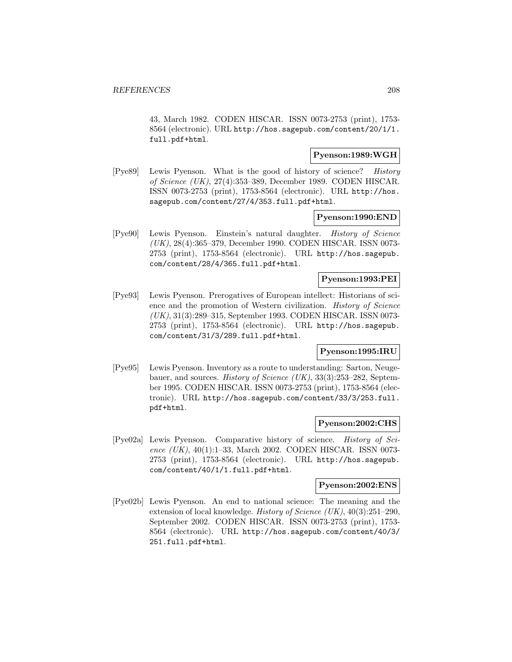43, March 1982. CODEN HISCAR. ISSN 0073-2753 (print), 1753- 8564 (electronic). URL http://hos.sagepub.com/content/20/1/1. full.pdf+html.

## **Pyenson:1989:WGH**

[Pye89] Lewis Pyenson. What is the good of history of science? History of Science (UK), 27(4):353–389, December 1989. CODEN HISCAR. ISSN 0073-2753 (print), 1753-8564 (electronic). URL http://hos. sagepub.com/content/27/4/353.full.pdf+html.

#### **Pyenson:1990:END**

[Pye90] Lewis Pyenson. Einstein's natural daughter. History of Science (UK), 28(4):365–379, December 1990. CODEN HISCAR. ISSN 0073- 2753 (print), 1753-8564 (electronic). URL http://hos.sagepub. com/content/28/4/365.full.pdf+html.

#### **Pyenson:1993:PEI**

[Pye93] Lewis Pyenson. Prerogatives of European intellect: Historians of science and the promotion of Western civilization. History of Science (UK), 31(3):289–315, September 1993. CODEN HISCAR. ISSN 0073- 2753 (print), 1753-8564 (electronic). URL http://hos.sagepub. com/content/31/3/289.full.pdf+html.

## **Pyenson:1995:IRU**

[Pye95] Lewis Pyenson. Inventory as a route to understanding: Sarton, Neugebauer, and sources. History of Science (UK), 33(3):253–282, September 1995. CODEN HISCAR. ISSN 0073-2753 (print), 1753-8564 (electronic). URL http://hos.sagepub.com/content/33/3/253.full. pdf+html.

#### **Pyenson:2002:CHS**

[Pye02a] Lewis Pyenson. Comparative history of science. History of Science  $(UK)$ , 40(1):1–33, March 2002. CODEN HISCAR. ISSN 0073-2753 (print), 1753-8564 (electronic). URL http://hos.sagepub. com/content/40/1/1.full.pdf+html.

## **Pyenson:2002:ENS**

[Pye02b] Lewis Pyenson. An end to national science: The meaning and the extension of local knowledge. *History of Science (UK)*,  $40(3):251-290$ , September 2002. CODEN HISCAR. ISSN 0073-2753 (print), 1753- 8564 (electronic). URL http://hos.sagepub.com/content/40/3/ 251.full.pdf+html.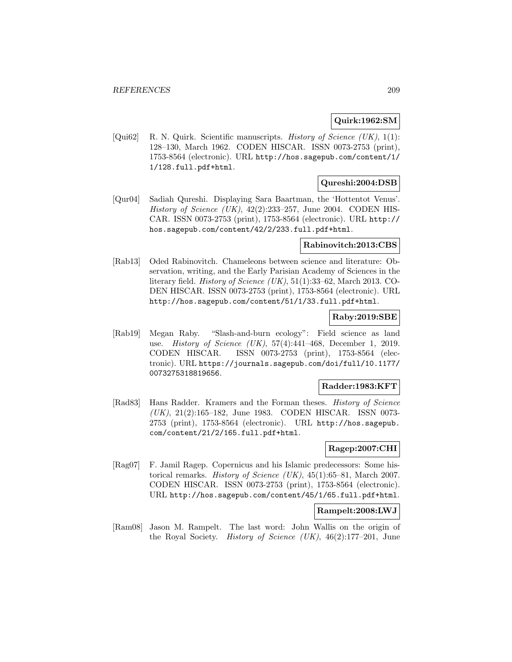## **Quirk:1962:SM**

[Qui62] R. N. Quirk. Scientific manuscripts. *History of Science (UK)*, 1(1): 128–130, March 1962. CODEN HISCAR. ISSN 0073-2753 (print), 1753-8564 (electronic). URL http://hos.sagepub.com/content/1/ 1/128.full.pdf+html.

### **Qureshi:2004:DSB**

[Qur04] Sadiah Qureshi. Displaying Sara Baartman, the 'Hottentot Venus'. History of Science (UK),  $42(2):233-257$ , June 2004. CODEN HIS-CAR. ISSN 0073-2753 (print), 1753-8564 (electronic). URL http:// hos.sagepub.com/content/42/2/233.full.pdf+html.

### **Rabinovitch:2013:CBS**

[Rab13] Oded Rabinovitch. Chameleons between science and literature: Observation, writing, and the Early Parisian Academy of Sciences in the literary field. *History of Science (UK)*,  $51(1):33-62$ , March 2013. CO-DEN HISCAR. ISSN 0073-2753 (print), 1753-8564 (electronic). URL http://hos.sagepub.com/content/51/1/33.full.pdf+html.

### **Raby:2019:SBE**

[Rab19] Megan Raby. "Slash-and-burn ecology": Field science as land use. History of Science (UK), 57(4):441–468, December 1, 2019. CODEN HISCAR. ISSN 0073-2753 (print), 1753-8564 (electronic). URL https://journals.sagepub.com/doi/full/10.1177/ 0073275318819656.

## **Radder:1983:KFT**

[Rad83] Hans Radder. Kramers and the Forman theses. History of Science (UK), 21(2):165–182, June 1983. CODEN HISCAR. ISSN 0073- 2753 (print), 1753-8564 (electronic). URL http://hos.sagepub. com/content/21/2/165.full.pdf+html.

## **Ragep:2007:CHI**

[Rag07] F. Jamil Ragep. Copernicus and his Islamic predecessors: Some historical remarks. History of Science (UK), 45(1):65–81, March 2007. CODEN HISCAR. ISSN 0073-2753 (print), 1753-8564 (electronic). URL http://hos.sagepub.com/content/45/1/65.full.pdf+html.

### **Rampelt:2008:LWJ**

[Ram08] Jason M. Rampelt. The last word: John Wallis on the origin of the Royal Society. History of Science (UK), 46(2):177–201, June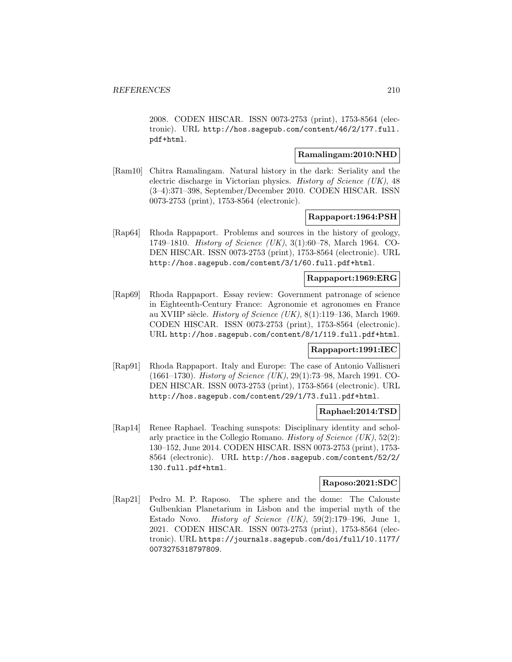2008. CODEN HISCAR. ISSN 0073-2753 (print), 1753-8564 (electronic). URL http://hos.sagepub.com/content/46/2/177.full. pdf+html.

# **Ramalingam:2010:NHD**

[Ram10] Chitra Ramalingam. Natural history in the dark: Seriality and the electric discharge in Victorian physics. History of Science (UK), 48 (3–4):371–398, September/December 2010. CODEN HISCAR. ISSN 0073-2753 (print), 1753-8564 (electronic).

#### **Rappaport:1964:PSH**

[Rap64] Rhoda Rappaport. Problems and sources in the history of geology, 1749–1810. History of Science (UK), 3(1):60–78, March 1964. CO-DEN HISCAR. ISSN 0073-2753 (print), 1753-8564 (electronic). URL http://hos.sagepub.com/content/3/1/60.full.pdf+html.

## **Rappaport:1969:ERG**

[Rap69] Rhoda Rappaport. Essay review: Government patronage of science in Eighteenth-Century France: Agronomie et agronomes en France au XVIIP siècle. History of Science (UK), 8(1):119–136, March 1969. CODEN HISCAR. ISSN 0073-2753 (print), 1753-8564 (electronic). URL http://hos.sagepub.com/content/8/1/119.full.pdf+html.

### **Rappaport:1991:IEC**

[Rap91] Rhoda Rappaport. Italy and Europe: The case of Antonio Vallisneri (1661–1730). History of Science (UK), 29(1):73–98, March 1991. CO-DEN HISCAR. ISSN 0073-2753 (print), 1753-8564 (electronic). URL http://hos.sagepub.com/content/29/1/73.full.pdf+html.

### **Raphael:2014:TSD**

[Rap14] Renee Raphael. Teaching sunspots: Disciplinary identity and scholarly practice in the Collegio Romano. History of Science  $(UK), 52(2)$ : 130–152, June 2014. CODEN HISCAR. ISSN 0073-2753 (print), 1753- 8564 (electronic). URL http://hos.sagepub.com/content/52/2/ 130.full.pdf+html.

## **Raposo:2021:SDC**

[Rap21] Pedro M. P. Raposo. The sphere and the dome: The Calouste Gulbenkian Planetarium in Lisbon and the imperial myth of the Estado Novo. *History of Science (UK)*,  $59(2):179-196$ , June 1, 2021. CODEN HISCAR. ISSN 0073-2753 (print), 1753-8564 (electronic). URL https://journals.sagepub.com/doi/full/10.1177/ 0073275318797809.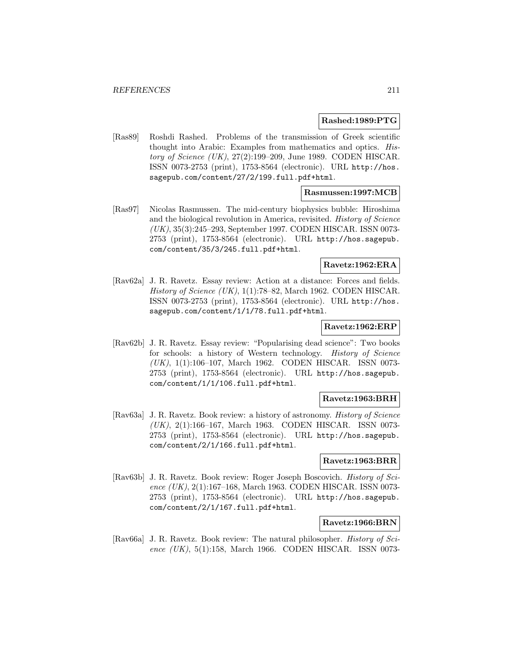#### **Rashed:1989:PTG**

[Ras89] Roshdi Rashed. Problems of the transmission of Greek scientific thought into Arabic: Examples from mathematics and optics. History of Science (UK), 27(2):199–209, June 1989. CODEN HISCAR. ISSN 0073-2753 (print), 1753-8564 (electronic). URL http://hos. sagepub.com/content/27/2/199.full.pdf+html.

## **Rasmussen:1997:MCB**

[Ras97] Nicolas Rasmussen. The mid-century biophysics bubble: Hiroshima and the biological revolution in America, revisited. History of Science (UK), 35(3):245–293, September 1997. CODEN HISCAR. ISSN 0073- 2753 (print), 1753-8564 (electronic). URL http://hos.sagepub. com/content/35/3/245.full.pdf+html.

## **Ravetz:1962:ERA**

[Rav62a] J. R. Ravetz. Essay review: Action at a distance: Forces and fields. History of Science  $(UK)$ , 1(1):78–82, March 1962. CODEN HISCAR. ISSN 0073-2753 (print), 1753-8564 (electronic). URL http://hos. sagepub.com/content/1/1/78.full.pdf+html.

### **Ravetz:1962:ERP**

[Rav62b] J. R. Ravetz. Essay review: "Popularising dead science": Two books for schools: a history of Western technology. History of Science (UK), 1(1):106–107, March 1962. CODEN HISCAR. ISSN 0073- 2753 (print), 1753-8564 (electronic). URL http://hos.sagepub. com/content/1/1/106.full.pdf+html.

#### **Ravetz:1963:BRH**

[Rav63a] J. R. Ravetz. Book review: a history of astronomy. History of Science (UK), 2(1):166–167, March 1963. CODEN HISCAR. ISSN 0073- 2753 (print), 1753-8564 (electronic). URL http://hos.sagepub. com/content/2/1/166.full.pdf+html.

### **Ravetz:1963:BRR**

[Rav63b] J. R. Ravetz. Book review: Roger Joseph Boscovich. History of Science (UK), 2(1):167–168, March 1963. CODEN HISCAR. ISSN 0073- 2753 (print), 1753-8564 (electronic). URL http://hos.sagepub. com/content/2/1/167.full.pdf+html.

### **Ravetz:1966:BRN**

[Rav66a] J. R. Ravetz. Book review: The natural philosopher. History of Science (UK), 5(1):158, March 1966. CODEN HISCAR. ISSN 0073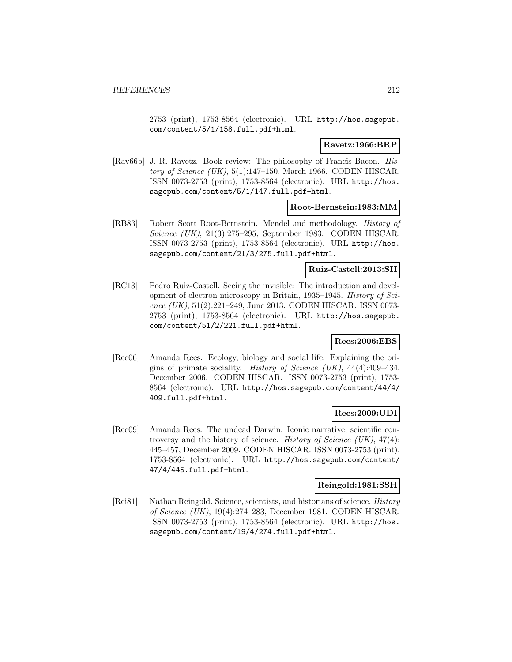2753 (print), 1753-8564 (electronic). URL http://hos.sagepub. com/content/5/1/158.full.pdf+html.

#### **Ravetz:1966:BRP**

[Rav66b] J. R. Ravetz. Book review: The philosophy of Francis Bacon. History of Science (UK),  $5(1):147-150$ , March 1966. CODEN HISCAR. ISSN 0073-2753 (print), 1753-8564 (electronic). URL http://hos. sagepub.com/content/5/1/147.full.pdf+html.

#### **Root-Bernstein:1983:MM**

[RB83] Robert Scott Root-Bernstein. Mendel and methodology. History of Science (UK), 21(3):275–295, September 1983. CODEN HISCAR. ISSN 0073-2753 (print), 1753-8564 (electronic). URL http://hos. sagepub.com/content/21/3/275.full.pdf+html.

## **Ruiz-Castell:2013:SII**

[RC13] Pedro Ruiz-Castell. Seeing the invisible: The introduction and development of electron microscopy in Britain, 1935–1945. History of Science (UK), 51(2):221–249, June 2013. CODEN HISCAR. ISSN 0073-2753 (print), 1753-8564 (electronic). URL http://hos.sagepub. com/content/51/2/221.full.pdf+html.

## **Rees:2006:EBS**

[Ree06] Amanda Rees. Ecology, biology and social life: Explaining the origins of primate sociality. History of Science (UK),  $44(4):409-434$ , December 2006. CODEN HISCAR. ISSN 0073-2753 (print), 1753- 8564 (electronic). URL http://hos.sagepub.com/content/44/4/ 409.full.pdf+html.

## **Rees:2009:UDI**

[Ree09] Amanda Rees. The undead Darwin: Iconic narrative, scientific controversy and the history of science. History of Science  $(UK)$ , 47(4): 445–457, December 2009. CODEN HISCAR. ISSN 0073-2753 (print), 1753-8564 (electronic). URL http://hos.sagepub.com/content/ 47/4/445.full.pdf+html.

## **Reingold:1981:SSH**

[Rei81] Nathan Reingold. Science, scientists, and historians of science. History of Science (UK), 19(4):274–283, December 1981. CODEN HISCAR. ISSN 0073-2753 (print), 1753-8564 (electronic). URL http://hos. sagepub.com/content/19/4/274.full.pdf+html.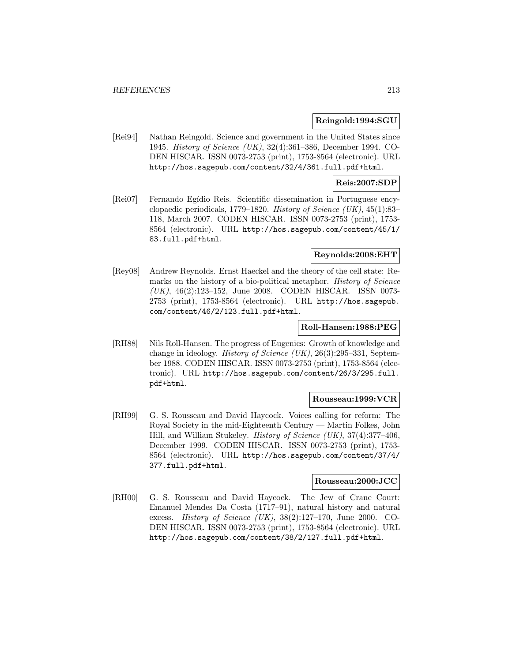#### **Reingold:1994:SGU**

[Rei94] Nathan Reingold. Science and government in the United States since 1945. History of Science (UK), 32(4):361–386, December 1994. CO-DEN HISCAR. ISSN 0073-2753 (print), 1753-8564 (electronic). URL http://hos.sagepub.com/content/32/4/361.full.pdf+html.

#### **Reis:2007:SDP**

[Rei07] Fernando Egídio Reis. Scientific dissemination in Portuguese encyclopaedic periodicals, 1779–1820. History of Science  $(UK)$ , 45(1):83– 118, March 2007. CODEN HISCAR. ISSN 0073-2753 (print), 1753- 8564 (electronic). URL http://hos.sagepub.com/content/45/1/ 83.full.pdf+html.

### **Reynolds:2008:EHT**

[Rey08] Andrew Reynolds. Ernst Haeckel and the theory of the cell state: Remarks on the history of a bio-political metaphor. History of Science (UK), 46(2):123–152, June 2008. CODEN HISCAR. ISSN 0073- 2753 (print), 1753-8564 (electronic). URL http://hos.sagepub. com/content/46/2/123.full.pdf+html.

#### **Roll-Hansen:1988:PEG**

[RH88] Nils Roll-Hansen. The progress of Eugenics: Growth of knowledge and change in ideology. History of Science (UK), 26(3):295–331, September 1988. CODEN HISCAR. ISSN 0073-2753 (print), 1753-8564 (electronic). URL http://hos.sagepub.com/content/26/3/295.full. pdf+html.

### **Rousseau:1999:VCR**

[RH99] G. S. Rousseau and David Haycock. Voices calling for reform: The Royal Society in the mid-Eighteenth Century — Martin Folkes, John Hill, and William Stukeley. History of Science (UK), 37(4):377–406, December 1999. CODEN HISCAR. ISSN 0073-2753 (print), 1753- 8564 (electronic). URL http://hos.sagepub.com/content/37/4/ 377.full.pdf+html.

### **Rousseau:2000:JCC**

[RH00] G. S. Rousseau and David Haycock. The Jew of Crane Court: Emanuel Mendes Da Costa (1717–91), natural history and natural excess. History of Science (UK), 38(2):127–170, June 2000. CO-DEN HISCAR. ISSN 0073-2753 (print), 1753-8564 (electronic). URL http://hos.sagepub.com/content/38/2/127.full.pdf+html.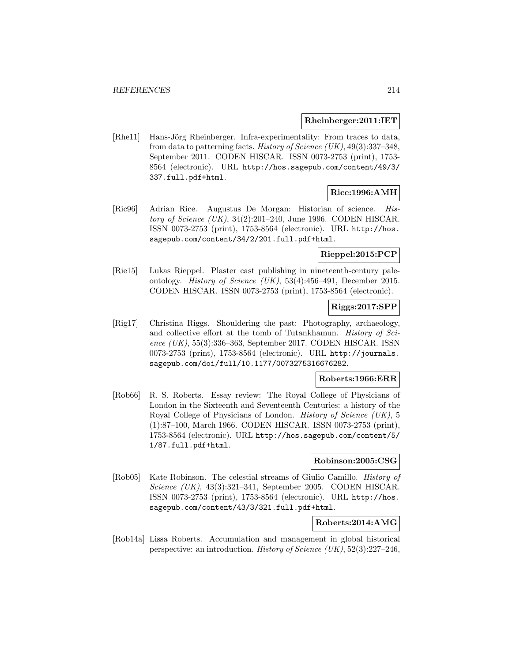#### **Rheinberger:2011:IET**

[Rhe11] Hans-Jörg Rheinberger. Infra-experimentality: From traces to data, from data to patterning facts. History of Science (UK),  $49(3):337-348$ , September 2011. CODEN HISCAR. ISSN 0073-2753 (print), 1753- 8564 (electronic). URL http://hos.sagepub.com/content/49/3/ 337.full.pdf+html.

## **Rice:1996:AMH**

[Ric96] Adrian Rice. Augustus De Morgan: Historian of science. History of Science (UK), 34(2):201–240, June 1996. CODEN HISCAR. ISSN 0073-2753 (print), 1753-8564 (electronic). URL http://hos. sagepub.com/content/34/2/201.full.pdf+html.

## **Rieppel:2015:PCP**

[Rie15] Lukas Rieppel. Plaster cast publishing in nineteenth-century paleontology. History of Science (UK), 53(4):456–491, December 2015. CODEN HISCAR. ISSN 0073-2753 (print), 1753-8564 (electronic).

## **Riggs:2017:SPP**

[Rig17] Christina Riggs. Shouldering the past: Photography, archaeology, and collective effort at the tomb of Tutankhamun. History of Science  $(UK), 55(3):336-363$ , September 2017. CODEN HISCAR. ISSN 0073-2753 (print), 1753-8564 (electronic). URL http://journals. sagepub.com/doi/full/10.1177/0073275316676282.

### **Roberts:1966:ERR**

[Rob66] R. S. Roberts. Essay review: The Royal College of Physicians of London in the Sixteenth and Seventeenth Centuries: a history of the Royal College of Physicians of London. History of Science (UK), 5 (1):87–100, March 1966. CODEN HISCAR. ISSN 0073-2753 (print), 1753-8564 (electronic). URL http://hos.sagepub.com/content/5/ 1/87.full.pdf+html.

### **Robinson:2005:CSG**

[Rob05] Kate Robinson. The celestial streams of Giulio Camillo. History of Science (UK), 43(3):321–341, September 2005. CODEN HISCAR. ISSN 0073-2753 (print), 1753-8564 (electronic). URL http://hos. sagepub.com/content/43/3/321.full.pdf+html.

## **Roberts:2014:AMG**

[Rob14a] Lissa Roberts. Accumulation and management in global historical perspective: an introduction. *History of Science (UK)*,  $52(3):227-246$ ,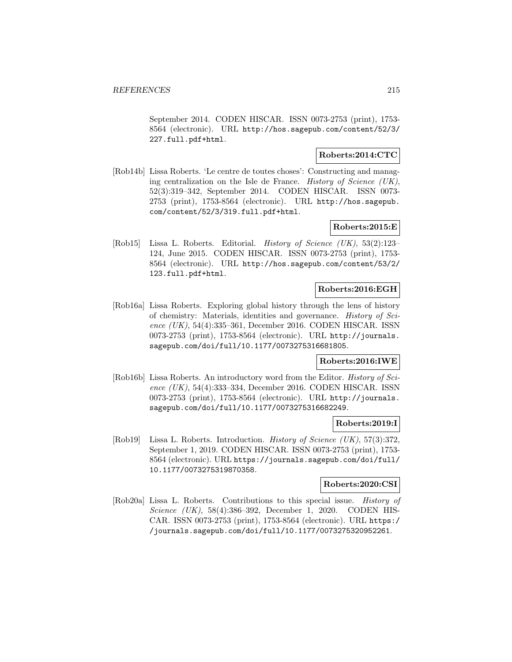September 2014. CODEN HISCAR. ISSN 0073-2753 (print), 1753- 8564 (electronic). URL http://hos.sagepub.com/content/52/3/ 227.full.pdf+html.

## **Roberts:2014:CTC**

[Rob14b] Lissa Roberts. 'Le centre de toutes choses': Constructing and managing centralization on the Isle de France. History of Science (UK), 52(3):319–342, September 2014. CODEN HISCAR. ISSN 0073- 2753 (print), 1753-8564 (electronic). URL http://hos.sagepub. com/content/52/3/319.full.pdf+html.

## **Roberts:2015:E**

[Rob15] Lissa L. Roberts. Editorial. History of Science (UK), 53(2):123– 124, June 2015. CODEN HISCAR. ISSN 0073-2753 (print), 1753- 8564 (electronic). URL http://hos.sagepub.com/content/53/2/ 123.full.pdf+html.

# **Roberts:2016:EGH**

[Rob16a] Lissa Roberts. Exploring global history through the lens of history of chemistry: Materials, identities and governance. History of Science  $(UK)$ , 54(4):335–361, December 2016. CODEN HISCAR. ISSN 0073-2753 (print), 1753-8564 (electronic). URL http://journals. sagepub.com/doi/full/10.1177/0073275316681805.

### **Roberts:2016:IWE**

[Rob16b] Lissa Roberts. An introductory word from the Editor. History of Science (UK), 54(4):333–334, December 2016. CODEN HISCAR. ISSN 0073-2753 (print), 1753-8564 (electronic). URL http://journals. sagepub.com/doi/full/10.1177/0073275316682249.

### **Roberts:2019:I**

[Rob19] Lissa L. Roberts. Introduction. History of Science (UK), 57(3):372, September 1, 2019. CODEN HISCAR. ISSN 0073-2753 (print), 1753- 8564 (electronic). URL https://journals.sagepub.com/doi/full/ 10.1177/0073275319870358.

## **Roberts:2020:CSI**

[Rob20a] Lissa L. Roberts. Contributions to this special issue. History of Science (UK), 58(4):386–392, December 1, 2020. CODEN HIS-CAR. ISSN 0073-2753 (print), 1753-8564 (electronic). URL https:/ /journals.sagepub.com/doi/full/10.1177/0073275320952261.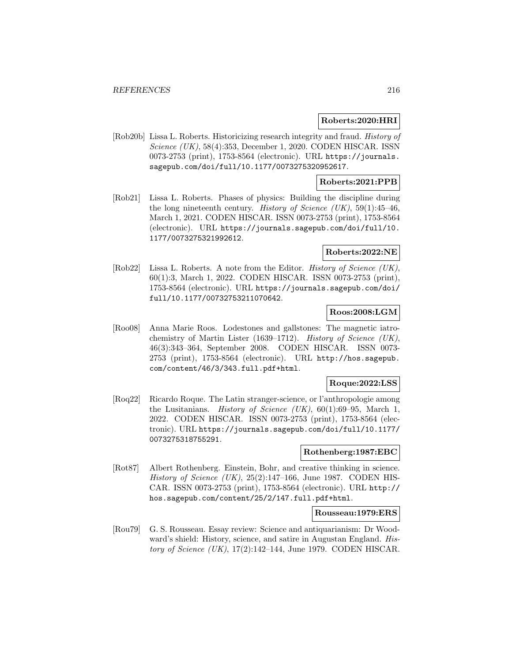### **Roberts:2020:HRI**

[Rob20b] Lissa L. Roberts. Historicizing research integrity and fraud. History of Science (UK), 58(4):353, December 1, 2020. CODEN HISCAR. ISSN 0073-2753 (print), 1753-8564 (electronic). URL https://journals. sagepub.com/doi/full/10.1177/0073275320952617.

## **Roberts:2021:PPB**

[Rob21] Lissa L. Roberts. Phases of physics: Building the discipline during the long nineteenth century. History of Science  $(UK)$ , 59(1):45-46, March 1, 2021. CODEN HISCAR. ISSN 0073-2753 (print), 1753-8564 (electronic). URL https://journals.sagepub.com/doi/full/10. 1177/0073275321992612.

# **Roberts:2022:NE**

[Rob22] Lissa L. Roberts. A note from the Editor. History of Science (UK), 60(1):3, March 1, 2022. CODEN HISCAR. ISSN 0073-2753 (print), 1753-8564 (electronic). URL https://journals.sagepub.com/doi/ full/10.1177/00732753211070642.

## **Roos:2008:LGM**

[Roo08] Anna Marie Roos. Lodestones and gallstones: The magnetic iatrochemistry of Martin Lister (1639–1712). History of Science (UK), 46(3):343–364, September 2008. CODEN HISCAR. ISSN 0073- 2753 (print), 1753-8564 (electronic). URL http://hos.sagepub. com/content/46/3/343.full.pdf+html.

#### **Roque:2022:LSS**

[Roq22] Ricardo Roque. The Latin stranger-science, or l'anthropologie among the Lusitanians. History of Science  $(UK)$ , 60(1):69–95, March 1, 2022. CODEN HISCAR. ISSN 0073-2753 (print), 1753-8564 (electronic). URL https://journals.sagepub.com/doi/full/10.1177/ 0073275318755291.

#### **Rothenberg:1987:EBC**

[Rot87] Albert Rothenberg. Einstein, Bohr, and creative thinking in science. History of Science  $(UK)$ , 25(2):147–166, June 1987. CODEN HIS-CAR. ISSN 0073-2753 (print), 1753-8564 (electronic). URL http:// hos.sagepub.com/content/25/2/147.full.pdf+html.

#### **Rousseau:1979:ERS**

[Rou79] G. S. Rousseau. Essay review: Science and antiquarianism: Dr Woodward's shield: History, science, and satire in Augustan England. History of Science  $(UK)$ , 17(2):142–144, June 1979. CODEN HISCAR.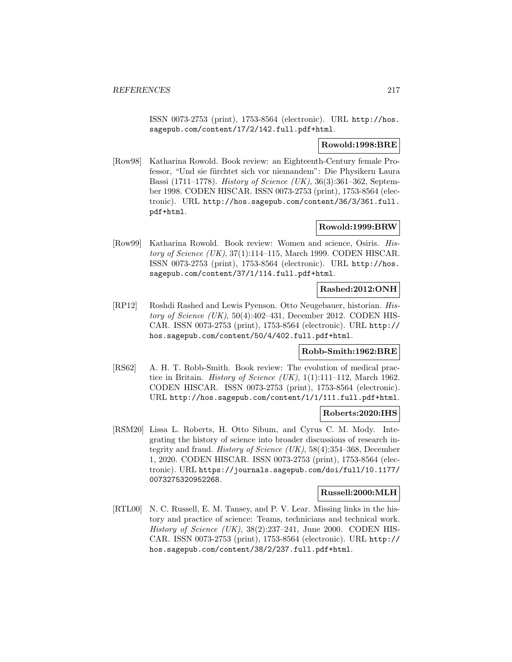ISSN 0073-2753 (print), 1753-8564 (electronic). URL http://hos. sagepub.com/content/17/2/142.full.pdf+html.

## **Rowold:1998:BRE**

[Row98] Katharina Rowold. Book review: an Eighteenth-Century female Professor, "Und sie fürchtet sich vor niemandem": Die Physikern Laura Bassi (1711–1778). History of Science (UK), 36(3):361–362, September 1998. CODEN HISCAR. ISSN 0073-2753 (print), 1753-8564 (electronic). URL http://hos.sagepub.com/content/36/3/361.full. pdf+html.

## **Rowold:1999:BRW**

[Row99] Katharina Rowold. Book review: Women and science, Osiris. History of Science  $(UK), 37(1):114-115$ , March 1999. CODEN HISCAR. ISSN 0073-2753 (print), 1753-8564 (electronic). URL http://hos. sagepub.com/content/37/1/114.full.pdf+html.

## **Rashed:2012:ONH**

[RP12] Roshdi Rashed and Lewis Pyenson. Otto Neugebauer, historian. History of Science  $(UK), 50(4):402-431$ , December 2012. CODEN HIS-CAR. ISSN 0073-2753 (print), 1753-8564 (electronic). URL http:// hos.sagepub.com/content/50/4/402.full.pdf+html.

## **Robb-Smith:1962:BRE**

[RS62] A. H. T. Robb-Smith. Book review: The evolution of medical practice in Britain. *History of Science (UK)*,  $1(1):111-112$ , March 1962. CODEN HISCAR. ISSN 0073-2753 (print), 1753-8564 (electronic). URL http://hos.sagepub.com/content/1/1/111.full.pdf+html.

## **Roberts:2020:IHS**

[RSM20] Lissa L. Roberts, H. Otto Sibum, and Cyrus C. M. Mody. Integrating the history of science into broader discussions of research integrity and fraud. History of Science (UK), 58(4):354–368, December 1, 2020. CODEN HISCAR. ISSN 0073-2753 (print), 1753-8564 (electronic). URL https://journals.sagepub.com/doi/full/10.1177/ 0073275320952268.

#### **Russell:2000:MLH**

[RTL00] N. C. Russell, E. M. Tansey, and P. V. Lear. Missing links in the history and practice of science: Teams, technicians and technical work. History of Science  $(UK)$ , 38(2):237–241, June 2000. CODEN HIS-CAR. ISSN 0073-2753 (print), 1753-8564 (electronic). URL http:// hos.sagepub.com/content/38/2/237.full.pdf+html.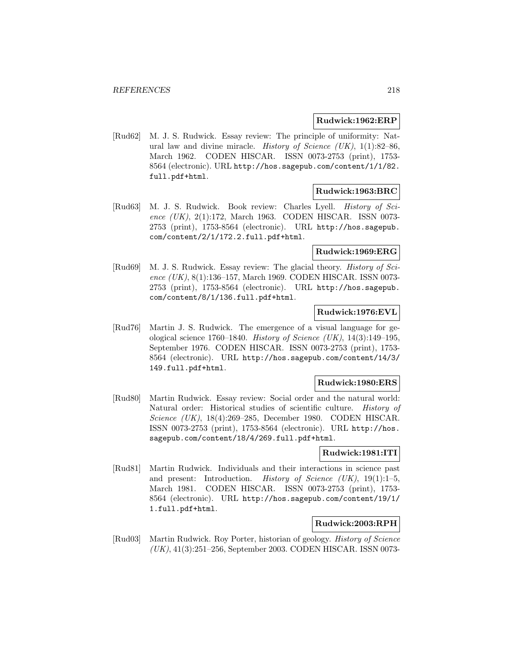#### **Rudwick:1962:ERP**

[Rud62] M. J. S. Rudwick. Essay review: The principle of uniformity: Natural law and divine miracle. History of Science  $(UK), 1(1):82-86$ , March 1962. CODEN HISCAR. ISSN 0073-2753 (print), 1753- 8564 (electronic). URL http://hos.sagepub.com/content/1/1/82. full.pdf+html.

## **Rudwick:1963:BRC**

[Rud63] M. J. S. Rudwick. Book review: Charles Lyell. History of Science (UK), 2(1):172, March 1963. CODEN HISCAR. ISSN 0073- 2753 (print), 1753-8564 (electronic). URL http://hos.sagepub. com/content/2/1/172.2.full.pdf+html.

## **Rudwick:1969:ERG**

[Rud69] M. J. S. Rudwick. Essay review: The glacial theory. History of Science  $(UK), 8(1):136-157$ , March 1969. CODEN HISCAR. ISSN 0073-2753 (print), 1753-8564 (electronic). URL http://hos.sagepub. com/content/8/1/136.full.pdf+html.

## **Rudwick:1976:EVL**

[Rud76] Martin J. S. Rudwick. The emergence of a visual language for geological science 1760–1840. History of Science (UK),  $14(3):149-195$ , September 1976. CODEN HISCAR. ISSN 0073-2753 (print), 1753- 8564 (electronic). URL http://hos.sagepub.com/content/14/3/ 149.full.pdf+html.

#### **Rudwick:1980:ERS**

[Rud80] Martin Rudwick. Essay review: Social order and the natural world: Natural order: Historical studies of scientific culture. History of Science (UK), 18(4):269–285, December 1980. CODEN HISCAR. ISSN 0073-2753 (print), 1753-8564 (electronic). URL http://hos. sagepub.com/content/18/4/269.full.pdf+html.

## **Rudwick:1981:ITI**

[Rud81] Martin Rudwick. Individuals and their interactions in science past and present: Introduction. History of Science  $(UK)$ , 19(1):1-5, March 1981. CODEN HISCAR. ISSN 0073-2753 (print), 1753- 8564 (electronic). URL http://hos.sagepub.com/content/19/1/ 1.full.pdf+html.

## **Rudwick:2003:RPH**

[Rud03] Martin Rudwick. Roy Porter, historian of geology. History of Science (UK), 41(3):251–256, September 2003. CODEN HISCAR. ISSN 0073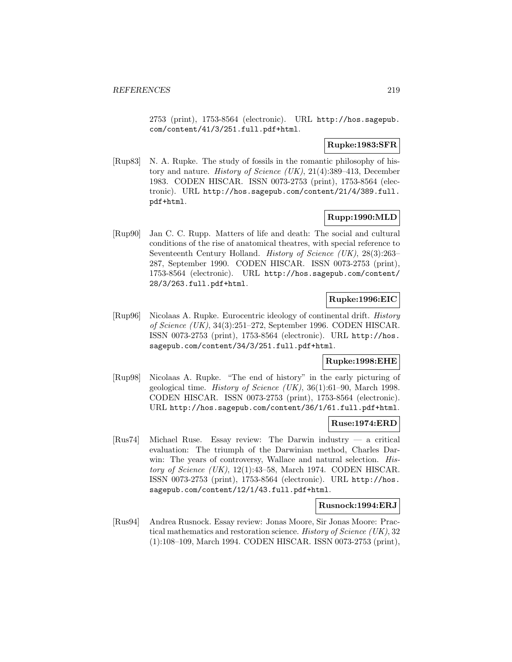2753 (print), 1753-8564 (electronic). URL http://hos.sagepub. com/content/41/3/251.full.pdf+html.

## **Rupke:1983:SFR**

[Rup83] N. A. Rupke. The study of fossils in the romantic philosophy of history and nature. History of Science (UK), 21(4):389–413, December 1983. CODEN HISCAR. ISSN 0073-2753 (print), 1753-8564 (electronic). URL http://hos.sagepub.com/content/21/4/389.full. pdf+html.

## **Rupp:1990:MLD**

[Rup90] Jan C. C. Rupp. Matters of life and death: The social and cultural conditions of the rise of anatomical theatres, with special reference to Seventeenth Century Holland. History of Science (UK), 28(3):263– 287, September 1990. CODEN HISCAR. ISSN 0073-2753 (print), 1753-8564 (electronic). URL http://hos.sagepub.com/content/ 28/3/263.full.pdf+html.

## **Rupke:1996:EIC**

[Rup96] Nicolaas A. Rupke. Eurocentric ideology of continental drift. History of Science (UK), 34(3):251–272, September 1996. CODEN HISCAR. ISSN 0073-2753 (print), 1753-8564 (electronic). URL http://hos. sagepub.com/content/34/3/251.full.pdf+html.

## **Rupke:1998:EHE**

[Rup98] Nicolaas A. Rupke. "The end of history" in the early picturing of geological time. *History of Science (UK)*,  $36(1):61-90$ , March 1998. CODEN HISCAR. ISSN 0073-2753 (print), 1753-8564 (electronic). URL http://hos.sagepub.com/content/36/1/61.full.pdf+html.

#### **Ruse:1974:ERD**

[Rus74] Michael Ruse. Essay review: The Darwin industry — a critical evaluation: The triumph of the Darwinian method, Charles Darwin: The years of controversy, Wallace and natural selection. History of Science  $(UK)$ , 12(1):43–58, March 1974. CODEN HISCAR. ISSN 0073-2753 (print), 1753-8564 (electronic). URL http://hos. sagepub.com/content/12/1/43.full.pdf+html.

## **Rusnock:1994:ERJ**

[Rus94] Andrea Rusnock. Essay review: Jonas Moore, Sir Jonas Moore: Practical mathematics and restoration science. History of Science (UK), 32 (1):108–109, March 1994. CODEN HISCAR. ISSN 0073-2753 (print),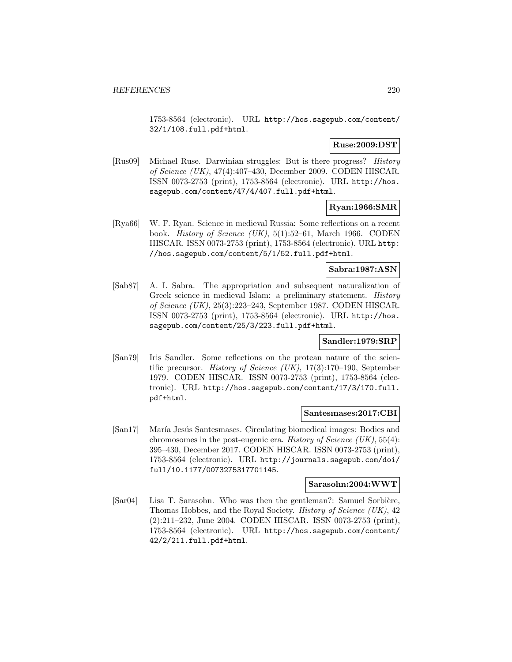1753-8564 (electronic). URL http://hos.sagepub.com/content/ 32/1/108.full.pdf+html.

## **Ruse:2009:DST**

[Rus09] Michael Ruse. Darwinian struggles: But is there progress? History of Science (UK), 47(4):407–430, December 2009. CODEN HISCAR. ISSN 0073-2753 (print), 1753-8564 (electronic). URL http://hos. sagepub.com/content/47/4/407.full.pdf+html.

## **Ryan:1966:SMR**

[Rya66] W. F. Ryan. Science in medieval Russia: Some reflections on a recent book. History of Science (UK), 5(1):52–61, March 1966. CODEN HISCAR. ISSN 0073-2753 (print), 1753-8564 (electronic). URL http: //hos.sagepub.com/content/5/1/52.full.pdf+html.

## **Sabra:1987:ASN**

[Sab87] A. I. Sabra. The appropriation and subsequent naturalization of Greek science in medieval Islam: a preliminary statement. History of Science (UK), 25(3):223–243, September 1987. CODEN HISCAR. ISSN 0073-2753 (print), 1753-8564 (electronic). URL http://hos. sagepub.com/content/25/3/223.full.pdf+html.

## **Sandler:1979:SRP**

[San79] Iris Sandler. Some reflections on the protean nature of the scientific precursor. History of Science (UK), 17(3):170–190, September 1979. CODEN HISCAR. ISSN 0073-2753 (print), 1753-8564 (electronic). URL http://hos.sagepub.com/content/17/3/170.full. pdf+html.

## **Santesmases:2017:CBI**

[San17] María Jesús Santesmases. Circulating biomedical images: Bodies and chromosomes in the post-eugenic era. History of Science  $(UK), 55(4)$ : 395–430, December 2017. CODEN HISCAR. ISSN 0073-2753 (print), 1753-8564 (electronic). URL http://journals.sagepub.com/doi/ full/10.1177/0073275317701145.

## **Sarasohn:2004:WWT**

[Sar04] Lisa T. Sarasohn. Who was then the gentleman?: Samuel Sorbière, Thomas Hobbes, and the Royal Society. History of Science (UK), 42 (2):211–232, June 2004. CODEN HISCAR. ISSN 0073-2753 (print), 1753-8564 (electronic). URL http://hos.sagepub.com/content/ 42/2/211.full.pdf+html.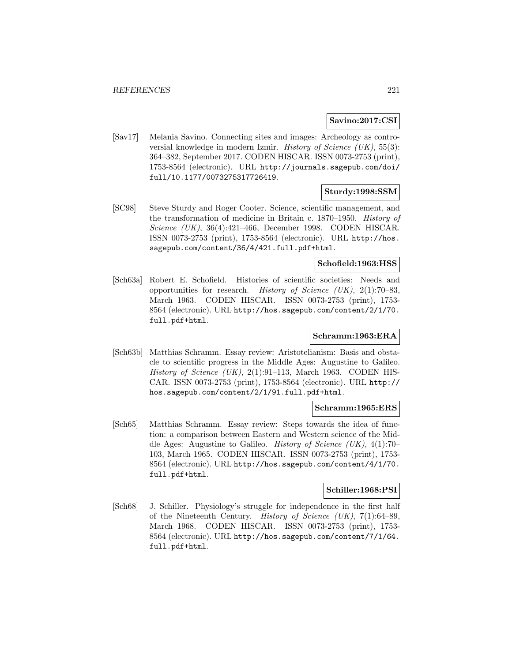## **Savino:2017:CSI**

[Sav17] Melania Savino. Connecting sites and images: Archeology as controversial knowledge in modern Izmir. History of Science  $(UK), 55(3)$ : 364–382, September 2017. CODEN HISCAR. ISSN 0073-2753 (print), 1753-8564 (electronic). URL http://journals.sagepub.com/doi/ full/10.1177/0073275317726419.

## **Sturdy:1998:SSM**

[SC98] Steve Sturdy and Roger Cooter. Science, scientific management, and the transformation of medicine in Britain c. 1870–1950. History of Science (UK), 36(4):421–466, December 1998. CODEN HISCAR. ISSN 0073-2753 (print), 1753-8564 (electronic). URL http://hos. sagepub.com/content/36/4/421.full.pdf+html.

## **Schofield:1963:HSS**

[Sch63a] Robert E. Schofield. Histories of scientific societies: Needs and opportunities for research. History of Science (UK),  $2(1)$ :70–83, March 1963. CODEN HISCAR. ISSN 0073-2753 (print), 1753- 8564 (electronic). URL http://hos.sagepub.com/content/2/1/70. full.pdf+html.

## **Schramm:1963:ERA**

[Sch63b] Matthias Schramm. Essay review: Aristotelianism: Basis and obstacle to scientific progress in the Middle Ages: Augustine to Galileo. History of Science  $(UK), 2(1):91-113$ , March 1963. CODEN HIS-CAR. ISSN 0073-2753 (print), 1753-8564 (electronic). URL http:// hos.sagepub.com/content/2/1/91.full.pdf+html.

#### **Schramm:1965:ERS**

[Sch65] Matthias Schramm. Essay review: Steps towards the idea of function: a comparison between Eastern and Western science of the Middle Ages: Augustine to Galileo. History of Science (UK), 4(1):70– 103, March 1965. CODEN HISCAR. ISSN 0073-2753 (print), 1753- 8564 (electronic). URL http://hos.sagepub.com/content/4/1/70. full.pdf+html.

## **Schiller:1968:PSI**

[Sch68] J. Schiller. Physiology's struggle for independence in the first half of the Nineteenth Century. *History of Science (UK)*,  $7(1):64-89$ , March 1968. CODEN HISCAR. ISSN 0073-2753 (print), 1753- 8564 (electronic). URL http://hos.sagepub.com/content/7/1/64. full.pdf+html.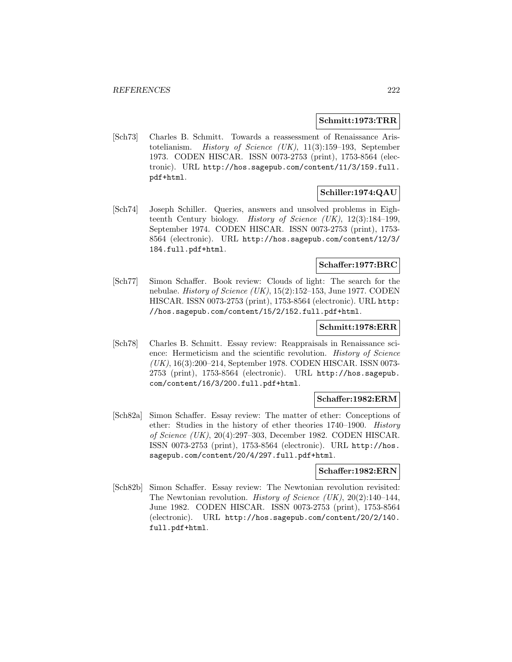#### **Schmitt:1973:TRR**

[Sch73] Charles B. Schmitt. Towards a reassessment of Renaissance Aristotelianism. History of Science (UK), 11(3):159–193, September 1973. CODEN HISCAR. ISSN 0073-2753 (print), 1753-8564 (electronic). URL http://hos.sagepub.com/content/11/3/159.full. pdf+html.

# **Schiller:1974:QAU**

[Sch74] Joseph Schiller. Queries, answers and unsolved problems in Eighteenth Century biology. History of Science (UK), 12(3):184–199, September 1974. CODEN HISCAR. ISSN 0073-2753 (print), 1753- 8564 (electronic). URL http://hos.sagepub.com/content/12/3/ 184.full.pdf+html.

## **Schaffer:1977:BRC**

[Sch77] Simon Schaffer. Book review: Clouds of light: The search for the nebulae. History of Science (UK), 15(2):152–153, June 1977. CODEN HISCAR. ISSN 0073-2753 (print), 1753-8564 (electronic). URL http: //hos.sagepub.com/content/15/2/152.full.pdf+html.

#### **Schmitt:1978:ERR**

[Sch78] Charles B. Schmitt. Essay review: Reappraisals in Renaissance science: Hermeticism and the scientific revolution. History of Science (UK), 16(3):200–214, September 1978. CODEN HISCAR. ISSN 0073- 2753 (print), 1753-8564 (electronic). URL http://hos.sagepub. com/content/16/3/200.full.pdf+html.

#### **Schaffer:1982:ERM**

[Sch82a] Simon Schaffer. Essay review: The matter of ether: Conceptions of ether: Studies in the history of ether theories 1740–1900. History of Science (UK), 20(4):297–303, December 1982. CODEN HISCAR. ISSN 0073-2753 (print), 1753-8564 (electronic). URL http://hos. sagepub.com/content/20/4/297.full.pdf+html.

#### **Schaffer:1982:ERN**

[Sch82b] Simon Schaffer. Essay review: The Newtonian revolution revisited: The Newtonian revolution. History of Science (UK), 20(2):140–144, June 1982. CODEN HISCAR. ISSN 0073-2753 (print), 1753-8564 (electronic). URL http://hos.sagepub.com/content/20/2/140. full.pdf+html.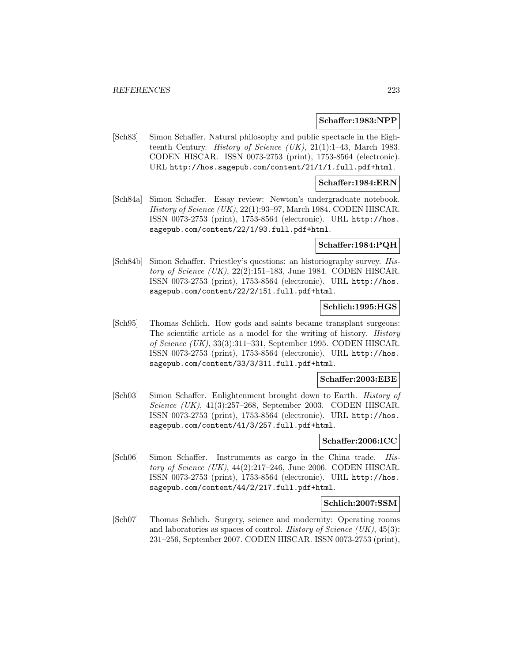#### **Schaffer:1983:NPP**

[Sch83] Simon Schaffer. Natural philosophy and public spectacle in the Eighteenth Century. *History of Science (UK)*,  $21(1):1-43$ , March 1983. CODEN HISCAR. ISSN 0073-2753 (print), 1753-8564 (electronic). URL http://hos.sagepub.com/content/21/1/1.full.pdf+html.

#### **Schaffer:1984:ERN**

[Sch84a] Simon Schaffer. Essay review: Newton's undergraduate notebook. History of Science (UK), 22(1):93–97, March 1984. CODEN HISCAR. ISSN 0073-2753 (print), 1753-8564 (electronic). URL http://hos. sagepub.com/content/22/1/93.full.pdf+html.

#### **Schaffer:1984:PQH**

[Sch84b] Simon Schaffer. Priestley's questions: an historiography survey. History of Science  $(UK)$ , 22(2):151–183, June 1984. CODEN HISCAR. ISSN 0073-2753 (print), 1753-8564 (electronic). URL http://hos. sagepub.com/content/22/2/151.full.pdf+html.

## **Schlich:1995:HGS**

[Sch95] Thomas Schlich. How gods and saints became transplant surgeons: The scientific article as a model for the writing of history. *History* of Science (UK), 33(3):311–331, September 1995. CODEN HISCAR. ISSN 0073-2753 (print), 1753-8564 (electronic). URL http://hos. sagepub.com/content/33/3/311.full.pdf+html.

#### **Schaffer:2003:EBE**

[Sch03] Simon Schaffer. Enlightenment brought down to Earth. History of Science (UK), 41(3):257–268, September 2003. CODEN HISCAR. ISSN 0073-2753 (print), 1753-8564 (electronic). URL http://hos. sagepub.com/content/41/3/257.full.pdf+html.

#### **Schaffer:2006:ICC**

[Sch06] Simon Schaffer. Instruments as cargo in the China trade. History of Science  $(UK)$ , 44 $(2):217-246$ , June 2006. CODEN HISCAR. ISSN 0073-2753 (print), 1753-8564 (electronic). URL http://hos. sagepub.com/content/44/2/217.full.pdf+html.

## **Schlich:2007:SSM**

[Sch07] Thomas Schlich. Surgery, science and modernity: Operating rooms and laboratories as spaces of control. History of Science  $(UK)$ , 45(3): 231–256, September 2007. CODEN HISCAR. ISSN 0073-2753 (print),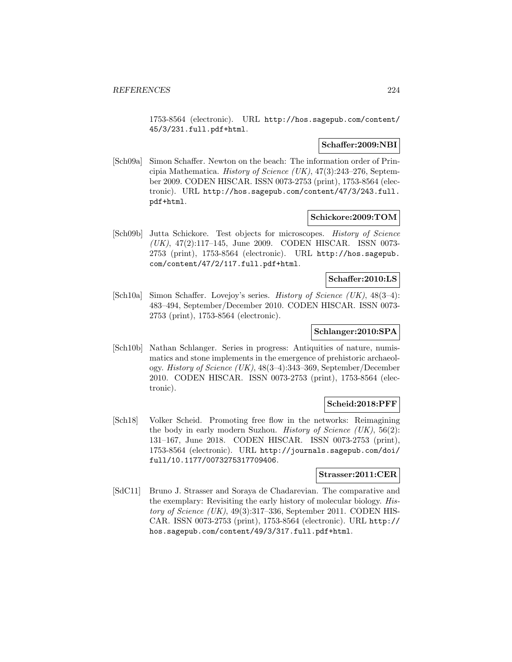1753-8564 (electronic). URL http://hos.sagepub.com/content/ 45/3/231.full.pdf+html.

## **Schaffer:2009:NBI**

[Sch09a] Simon Schaffer. Newton on the beach: The information order of Principia Mathematica. History of Science  $(UK)$ , 47(3):243-276, September 2009. CODEN HISCAR. ISSN 0073-2753 (print), 1753-8564 (electronic). URL http://hos.sagepub.com/content/47/3/243.full. pdf+html.

#### **Schickore:2009:TOM**

[Sch09b] Jutta Schickore. Test objects for microscopes. History of Science (UK), 47(2):117–145, June 2009. CODEN HISCAR. ISSN 0073- 2753 (print), 1753-8564 (electronic). URL http://hos.sagepub. com/content/47/2/117.full.pdf+html.

## **Schaffer:2010:LS**

[Sch10a] Simon Schaffer. Lovejoy's series. History of Science (UK), 48(3–4): 483–494, September/December 2010. CODEN HISCAR. ISSN 0073- 2753 (print), 1753-8564 (electronic).

# **Schlanger:2010:SPA**

[Sch10b] Nathan Schlanger. Series in progress: Antiquities of nature, numismatics and stone implements in the emergence of prehistoric archaeology. History of Science (UK), 48(3–4):343–369, September/December 2010. CODEN HISCAR. ISSN 0073-2753 (print), 1753-8564 (electronic).

#### **Scheid:2018:PFF**

[Sch18] Volker Scheid. Promoting free flow in the networks: Reimagining the body in early modern Suzhou. History of Science  $(UK), 56(2)$ : 131–167, June 2018. CODEN HISCAR. ISSN 0073-2753 (print), 1753-8564 (electronic). URL http://journals.sagepub.com/doi/ full/10.1177/0073275317709406.

## **Strasser:2011:CER**

[SdC11] Bruno J. Strasser and Soraya de Chadarevian. The comparative and the exemplary: Revisiting the early history of molecular biology. History of Science  $(UK)$ , 49(3):317–336, September 2011. CODEN HIS-CAR. ISSN 0073-2753 (print), 1753-8564 (electronic). URL http:// hos.sagepub.com/content/49/3/317.full.pdf+html.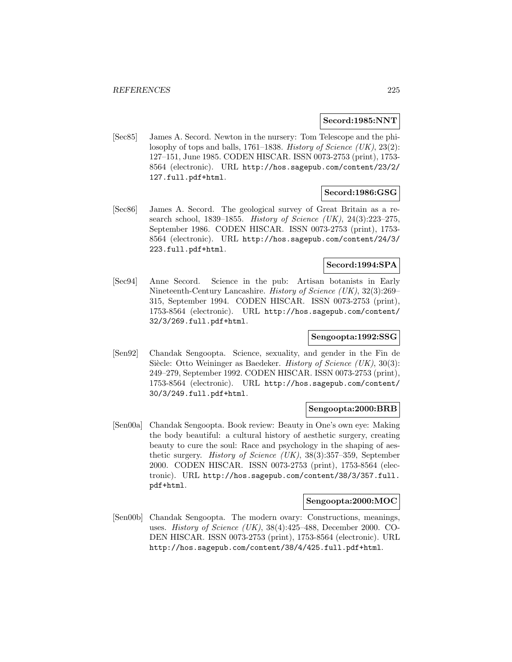#### **Secord:1985:NNT**

[Sec85] James A. Secord. Newton in the nursery: Tom Telescope and the philosophy of tops and balls, 1761–1838. History of Science  $(UK), 23(2)$ : 127–151, June 1985. CODEN HISCAR. ISSN 0073-2753 (print), 1753- 8564 (electronic). URL http://hos.sagepub.com/content/23/2/ 127.full.pdf+html.

## **Secord:1986:GSG**

[Sec86] James A. Secord. The geological survey of Great Britain as a research school, 1839–1855. History of Science (UK), 24(3):223–275, September 1986. CODEN HISCAR. ISSN 0073-2753 (print), 1753- 8564 (electronic). URL http://hos.sagepub.com/content/24/3/ 223.full.pdf+html.

## **Secord:1994:SPA**

[Sec94] Anne Secord. Science in the pub: Artisan botanists in Early Nineteenth-Century Lancashire. History of Science (UK), 32(3):269– 315, September 1994. CODEN HISCAR. ISSN 0073-2753 (print), 1753-8564 (electronic). URL http://hos.sagepub.com/content/ 32/3/269.full.pdf+html.

# **Sengoopta:1992:SSG**

[Sen92] Chandak Sengoopta. Science, sexuality, and gender in the Fin de Siècle: Otto Weininger as Baedeker. History of Science  $(UK), 30(3)$ : 249–279, September 1992. CODEN HISCAR. ISSN 0073-2753 (print), 1753-8564 (electronic). URL http://hos.sagepub.com/content/ 30/3/249.full.pdf+html.

#### **Sengoopta:2000:BRB**

[Sen00a] Chandak Sengoopta. Book review: Beauty in One's own eye: Making the body beautiful: a cultural history of aesthetic surgery, creating beauty to cure the soul: Race and psychology in the shaping of aesthetic surgery. History of Science (UK), 38(3):357–359, September 2000. CODEN HISCAR. ISSN 0073-2753 (print), 1753-8564 (electronic). URL http://hos.sagepub.com/content/38/3/357.full. pdf+html.

#### **Sengoopta:2000:MOC**

[Sen00b] Chandak Sengoopta. The modern ovary: Constructions, meanings, uses. History of Science (UK), 38(4):425–488, December 2000. CO-DEN HISCAR. ISSN 0073-2753 (print), 1753-8564 (electronic). URL http://hos.sagepub.com/content/38/4/425.full.pdf+html.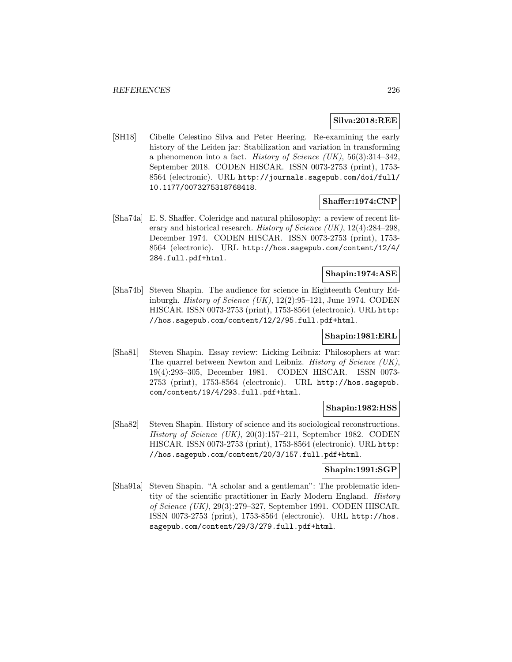#### **Silva:2018:REE**

[SH18] Cibelle Celestino Silva and Peter Heering. Re-examining the early history of the Leiden jar: Stabilization and variation in transforming a phenomenon into a fact. History of Science (UK),  $56(3):314-342$ , September 2018. CODEN HISCAR. ISSN 0073-2753 (print), 1753- 8564 (electronic). URL http://journals.sagepub.com/doi/full/ 10.1177/0073275318768418.

## **Shaffer:1974:CNP**

[Sha74a] E. S. Shaffer. Coleridge and natural philosophy: a review of recent literary and historical research. History of Science (UK), 12(4):284–298, December 1974. CODEN HISCAR. ISSN 0073-2753 (print), 1753- 8564 (electronic). URL http://hos.sagepub.com/content/12/4/ 284.full.pdf+html.

# **Shapin:1974:ASE**

[Sha74b] Steven Shapin. The audience for science in Eighteenth Century Edinburgh. *History of Science (UK)*,  $12(2):95-121$ , June 1974. CODEN HISCAR. ISSN 0073-2753 (print), 1753-8564 (electronic). URL http: //hos.sagepub.com/content/12/2/95.full.pdf+html.

## **Shapin:1981:ERL**

[Sha81] Steven Shapin. Essay review: Licking Leibniz: Philosophers at war: The quarrel between Newton and Leibniz. History of Science (UK), 19(4):293–305, December 1981. CODEN HISCAR. ISSN 0073- 2753 (print), 1753-8564 (electronic). URL http://hos.sagepub. com/content/19/4/293.full.pdf+html.

## **Shapin:1982:HSS**

[Sha82] Steven Shapin. History of science and its sociological reconstructions. History of Science  $(UK), 20(3):157-211$ , September 1982. CODEN HISCAR. ISSN 0073-2753 (print), 1753-8564 (electronic). URL http: //hos.sagepub.com/content/20/3/157.full.pdf+html.

## **Shapin:1991:SGP**

[Sha91a] Steven Shapin. "A scholar and a gentleman": The problematic identity of the scientific practitioner in Early Modern England. History of Science (UK), 29(3):279–327, September 1991. CODEN HISCAR. ISSN 0073-2753 (print), 1753-8564 (electronic). URL http://hos. sagepub.com/content/29/3/279.full.pdf+html.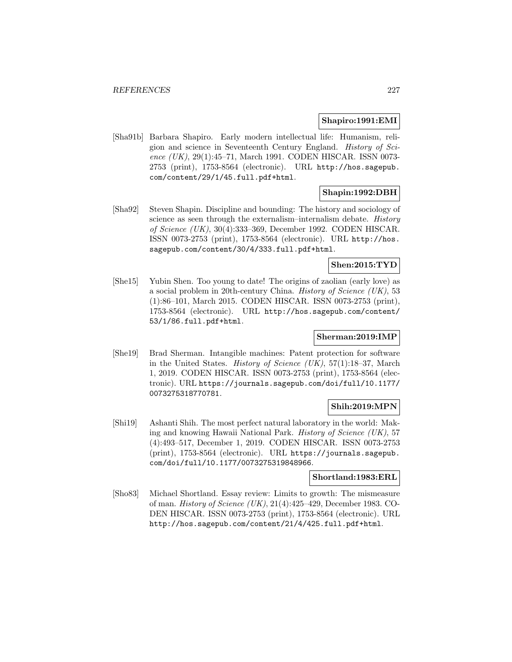#### **Shapiro:1991:EMI**

[Sha91b] Barbara Shapiro. Early modern intellectual life: Humanism, religion and science in Seventeenth Century England. History of Science (UK), 29(1):45–71, March 1991. CODEN HISCAR. ISSN 0073-2753 (print), 1753-8564 (electronic). URL http://hos.sagepub. com/content/29/1/45.full.pdf+html.

## **Shapin:1992:DBH**

[Sha92] Steven Shapin. Discipline and bounding: The history and sociology of science as seen through the externalism–internalism debate. History of Science (UK), 30(4):333–369, December 1992. CODEN HISCAR. ISSN 0073-2753 (print), 1753-8564 (electronic). URL http://hos. sagepub.com/content/30/4/333.full.pdf+html.

## **Shen:2015:TYD**

[She15] Yubin Shen. Too young to date! The origins of zaolian (early love) as a social problem in 20th-century China. History of Science (UK), 53 (1):86–101, March 2015. CODEN HISCAR. ISSN 0073-2753 (print), 1753-8564 (electronic). URL http://hos.sagepub.com/content/ 53/1/86.full.pdf+html.

## **Sherman:2019:IMP**

[She19] Brad Sherman. Intangible machines: Patent protection for software in the United States. History of Science (UK), 57(1):18–37, March 1, 2019. CODEN HISCAR. ISSN 0073-2753 (print), 1753-8564 (electronic). URL https://journals.sagepub.com/doi/full/10.1177/ 0073275318770781.

## **Shih:2019:MPN**

[Shi19] Ashanti Shih. The most perfect natural laboratory in the world: Making and knowing Hawaii National Park. History of Science (UK), 57 (4):493–517, December 1, 2019. CODEN HISCAR. ISSN 0073-2753 (print), 1753-8564 (electronic). URL https://journals.sagepub. com/doi/full/10.1177/0073275319848966.

## **Shortland:1983:ERL**

[Sho83] Michael Shortland. Essay review: Limits to growth: The mismeasure of man. History of Science (UK), 21(4):425–429, December 1983. CO-DEN HISCAR. ISSN 0073-2753 (print), 1753-8564 (electronic). URL http://hos.sagepub.com/content/21/4/425.full.pdf+html.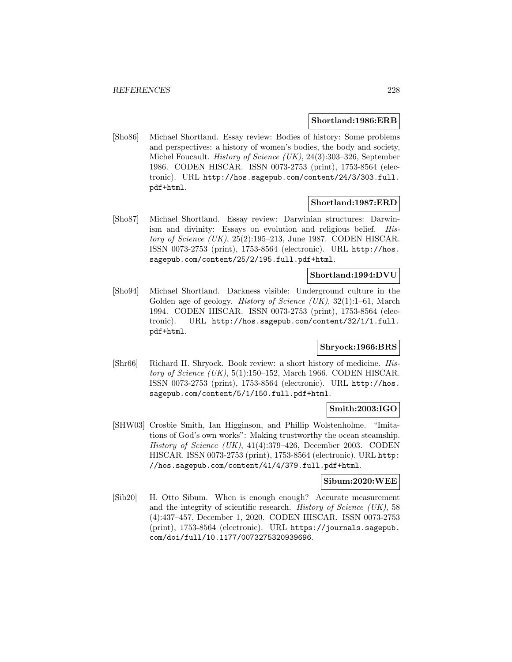#### **Shortland:1986:ERB**

[Sho86] Michael Shortland. Essay review: Bodies of history: Some problems and perspectives: a history of women's bodies, the body and society, Michel Foucault. History of Science (UK), 24(3):303–326, September 1986. CODEN HISCAR. ISSN 0073-2753 (print), 1753-8564 (electronic). URL http://hos.sagepub.com/content/24/3/303.full. pdf+html.

## **Shortland:1987:ERD**

[Sho87] Michael Shortland. Essay review: Darwinian structures: Darwinism and divinity: Essays on evolution and religious belief. History of Science (UK), 25(2):195–213, June 1987. CODEN HISCAR. ISSN 0073-2753 (print), 1753-8564 (electronic). URL http://hos. sagepub.com/content/25/2/195.full.pdf+html.

# **Shortland:1994:DVU**

[Sho94] Michael Shortland. Darkness visible: Underground culture in the Golden age of geology. History of Science (UK), 32(1):1–61, March 1994. CODEN HISCAR. ISSN 0073-2753 (print), 1753-8564 (electronic). URL http://hos.sagepub.com/content/32/1/1.full. pdf+html.

# **Shryock:1966:BRS**

[Shr66] Richard H. Shryock. Book review: a short history of medicine. History of Science  $(UK)$ , 5(1):150–152, March 1966. CODEN HISCAR. ISSN 0073-2753 (print), 1753-8564 (electronic). URL http://hos. sagepub.com/content/5/1/150.full.pdf+html.

## **Smith:2003:IGO**

[SHW03] Crosbie Smith, Ian Higginson, and Phillip Wolstenholme. "Imitations of God's own works": Making trustworthy the ocean steamship. History of Science  $(UK)$ , 41(4):379–426, December 2003. CODEN HISCAR. ISSN 0073-2753 (print), 1753-8564 (electronic). URL http: //hos.sagepub.com/content/41/4/379.full.pdf+html.

## **Sibum:2020:WEE**

[Sib20] H. Otto Sibum. When is enough enough? Accurate measurement and the integrity of scientific research. *History of Science (UK)*, 58 (4):437–457, December 1, 2020. CODEN HISCAR. ISSN 0073-2753 (print), 1753-8564 (electronic). URL https://journals.sagepub. com/doi/full/10.1177/0073275320939696.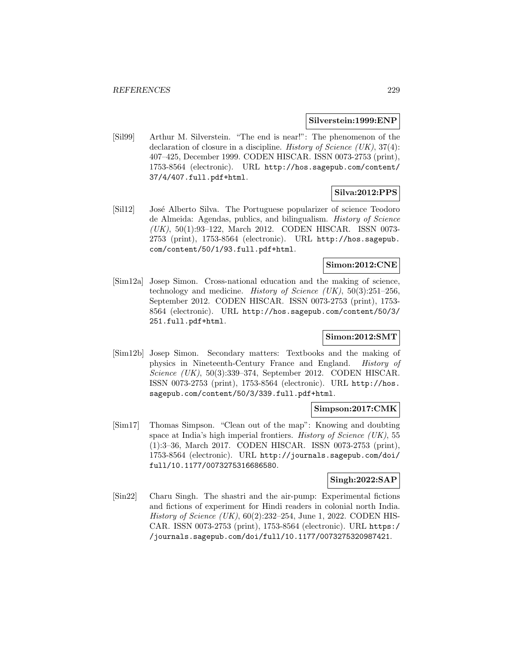#### **Silverstein:1999:ENP**

[Sil99] Arthur M. Silverstein. "The end is near!": The phenomenon of the declaration of closure in a discipline. History of Science  $(UK), 37(4)$ : 407–425, December 1999. CODEN HISCAR. ISSN 0073-2753 (print), 1753-8564 (electronic). URL http://hos.sagepub.com/content/ 37/4/407.full.pdf+html.

# **Silva:2012:PPS**

[Sil12] José Alberto Silva. The Portuguese popularizer of science Teodoro de Almeida: Agendas, publics, and bilingualism. History of Science (UK), 50(1):93–122, March 2012. CODEN HISCAR. ISSN 0073- 2753 (print), 1753-8564 (electronic). URL http://hos.sagepub. com/content/50/1/93.full.pdf+html.

# **Simon:2012:CNE**

[Sim12a] Josep Simon. Cross-national education and the making of science, technology and medicine. *History of Science (UK)*,  $50(3):251-256$ , September 2012. CODEN HISCAR. ISSN 0073-2753 (print), 1753- 8564 (electronic). URL http://hos.sagepub.com/content/50/3/ 251.full.pdf+html.

# **Simon:2012:SMT**

[Sim12b] Josep Simon. Secondary matters: Textbooks and the making of physics in Nineteenth-Century France and England. History of Science (UK), 50(3):339–374, September 2012. CODEN HISCAR. ISSN 0073-2753 (print), 1753-8564 (electronic). URL http://hos. sagepub.com/content/50/3/339.full.pdf+html.

## **Simpson:2017:CMK**

[Sim17] Thomas Simpson. "Clean out of the map": Knowing and doubting space at India's high imperial frontiers. History of Science (UK), 55 (1):3–36, March 2017. CODEN HISCAR. ISSN 0073-2753 (print), 1753-8564 (electronic). URL http://journals.sagepub.com/doi/ full/10.1177/0073275316686580.

# **Singh:2022:SAP**

[Sin22] Charu Singh. The shastri and the air-pump: Experimental fictions and fictions of experiment for Hindi readers in colonial north India. History of Science (UK), 60(2):232–254, June 1, 2022. CODEN HIS-CAR. ISSN 0073-2753 (print), 1753-8564 (electronic). URL https:/ /journals.sagepub.com/doi/full/10.1177/0073275320987421.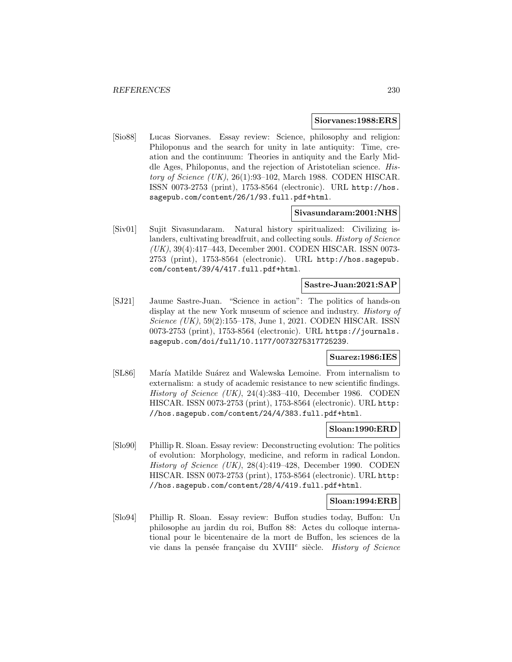#### **Siorvanes:1988:ERS**

[Sio88] Lucas Siorvanes. Essay review: Science, philosophy and religion: Philoponus and the search for unity in late antiquity: Time, creation and the continuum: Theories in antiquity and the Early Middle Ages, Philoponus, and the rejection of Aristotelian science. History of Science (UK), 26(1):93–102, March 1988. CODEN HISCAR. ISSN 0073-2753 (print), 1753-8564 (electronic). URL http://hos. sagepub.com/content/26/1/93.full.pdf+html.

#### **Sivasundaram:2001:NHS**

[Siv01] Sujit Sivasundaram. Natural history spiritualized: Civilizing islanders, cultivating breadfruit, and collecting souls. History of Science (UK), 39(4):417–443, December 2001. CODEN HISCAR. ISSN 0073- 2753 (print), 1753-8564 (electronic). URL http://hos.sagepub. com/content/39/4/417.full.pdf+html.

## **Sastre-Juan:2021:SAP**

[SJ21] Jaume Sastre-Juan. "Science in action": The politics of hands-on display at the new York museum of science and industry. History of Science (UK), 59(2):155–178, June 1, 2021. CODEN HISCAR. ISSN 0073-2753 (print), 1753-8564 (electronic). URL https://journals. sagepub.com/doi/full/10.1177/0073275317725239.

## **Suarez:1986:IES**

[SL86] María Matilde Suárez and Walewska Lemoine. From internalism to externalism: a study of academic resistance to new scientific findings. History of Science (UK), 24(4):383–410, December 1986. CODEN HISCAR. ISSN 0073-2753 (print), 1753-8564 (electronic). URL http: //hos.sagepub.com/content/24/4/383.full.pdf+html.

## **Sloan:1990:ERD**

[Slo90] Phillip R. Sloan. Essay review: Deconstructing evolution: The politics of evolution: Morphology, medicine, and reform in radical London. History of Science (UK), 28(4):419–428, December 1990. CODEN HISCAR. ISSN 0073-2753 (print), 1753-8564 (electronic). URL http: //hos.sagepub.com/content/28/4/419.full.pdf+html.

#### **Sloan:1994:ERB**

[Slo94] Phillip R. Sloan. Essay review: Buffon studies today, Buffon: Un philosophe au jardin du roi, Buffon 88: Actes du colloque international pour le bicentenaire de la mort de Buffon, les sciences de la vie dans la pensée française du XVIII<sup>e</sup> siècle. History of Science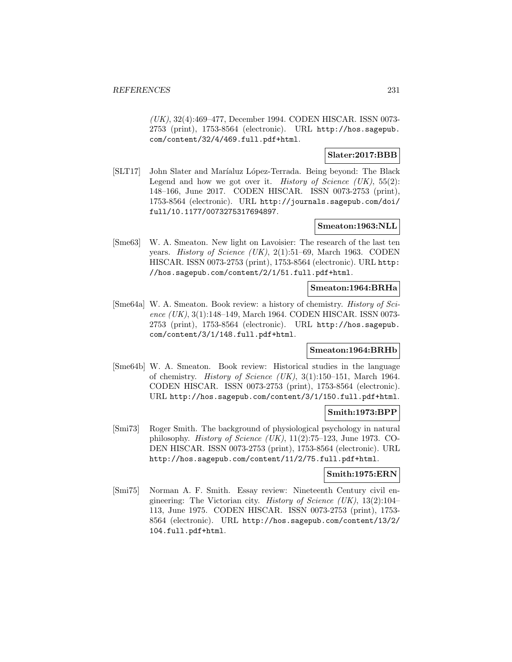(UK), 32(4):469–477, December 1994. CODEN HISCAR. ISSN 0073- 2753 (print), 1753-8564 (electronic). URL http://hos.sagepub. com/content/32/4/469.full.pdf+html.

# **Slater:2017:BBB**

[SLT17] John Slater and Mar´ıaluz L´opez-Terrada. Being beyond: The Black Legend and how we got over it. *History of Science (UK)*,  $55(2)$ : 148–166, June 2017. CODEN HISCAR. ISSN 0073-2753 (print), 1753-8564 (electronic). URL http://journals.sagepub.com/doi/ full/10.1177/0073275317694897.

## **Smeaton:1963:NLL**

[Sme63] W. A. Smeaton. New light on Lavoisier: The research of the last ten years. *History of Science (UK)*, 2(1):51–69, March 1963. CODEN HISCAR. ISSN 0073-2753 (print), 1753-8564 (electronic). URL http: //hos.sagepub.com/content/2/1/51.full.pdf+html.

## **Smeaton:1964:BRHa**

[Sme64a] W. A. Smeaton. Book review: a history of chemistry. History of Science (UK), 3(1):148-149, March 1964. CODEN HISCAR. ISSN 0073-2753 (print), 1753-8564 (electronic). URL http://hos.sagepub. com/content/3/1/148.full.pdf+html.

#### **Smeaton:1964:BRHb**

[Sme64b] W. A. Smeaton. Book review: Historical studies in the language of chemistry. History of Science (UK), 3(1):150–151, March 1964. CODEN HISCAR. ISSN 0073-2753 (print), 1753-8564 (electronic). URL http://hos.sagepub.com/content/3/1/150.full.pdf+html.

## **Smith:1973:BPP**

[Smi73] Roger Smith. The background of physiological psychology in natural philosophy. *History of Science (UK)*,  $11(2)$ :75–123, June 1973. CO-DEN HISCAR. ISSN 0073-2753 (print), 1753-8564 (electronic). URL http://hos.sagepub.com/content/11/2/75.full.pdf+html.

## **Smith:1975:ERN**

[Smi75] Norman A. F. Smith. Essay review: Nineteenth Century civil engineering: The Victorian city. History of Science (UK),  $13(2):104-$ 113, June 1975. CODEN HISCAR. ISSN 0073-2753 (print), 1753- 8564 (electronic). URL http://hos.sagepub.com/content/13/2/ 104.full.pdf+html.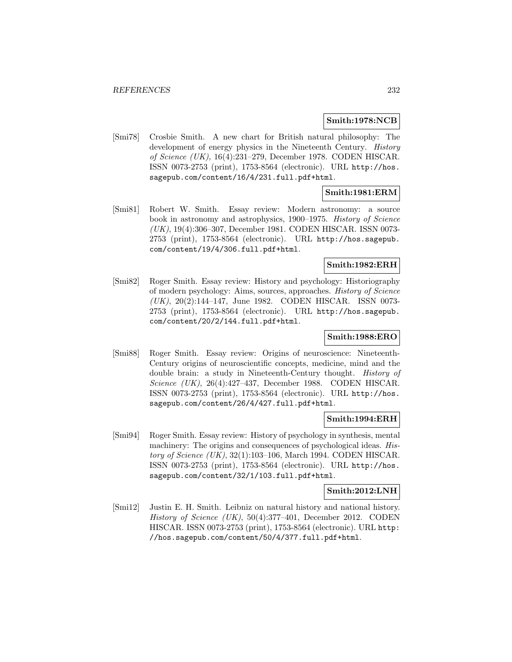#### **Smith:1978:NCB**

[Smi78] Crosbie Smith. A new chart for British natural philosophy: The development of energy physics in the Nineteenth Century. History of Science (UK), 16(4):231–279, December 1978. CODEN HISCAR. ISSN 0073-2753 (print), 1753-8564 (electronic). URL http://hos. sagepub.com/content/16/4/231.full.pdf+html.

## **Smith:1981:ERM**

[Smi81] Robert W. Smith. Essay review: Modern astronomy: a source book in astronomy and astrophysics, 1900–1975. History of Science (UK), 19(4):306–307, December 1981. CODEN HISCAR. ISSN 0073- 2753 (print), 1753-8564 (electronic). URL http://hos.sagepub. com/content/19/4/306.full.pdf+html.

## **Smith:1982:ERH**

[Smi82] Roger Smith. Essay review: History and psychology: Historiography of modern psychology: Aims, sources, approaches. History of Science (UK), 20(2):144–147, June 1982. CODEN HISCAR. ISSN 0073- 2753 (print), 1753-8564 (electronic). URL http://hos.sagepub. com/content/20/2/144.full.pdf+html.

## **Smith:1988:ERO**

[Smi88] Roger Smith. Essay review: Origins of neuroscience: Nineteenth-Century origins of neuroscientific concepts, medicine, mind and the double brain: a study in Nineteenth-Century thought. History of Science (UK), 26(4):427–437, December 1988. CODEN HISCAR. ISSN 0073-2753 (print), 1753-8564 (electronic). URL http://hos. sagepub.com/content/26/4/427.full.pdf+html.

#### **Smith:1994:ERH**

[Smi94] Roger Smith. Essay review: History of psychology in synthesis, mental machinery: The origins and consequences of psychological ideas. History of Science  $(UK)$ , 32(1):103–106, March 1994. CODEN HISCAR. ISSN 0073-2753 (print), 1753-8564 (electronic). URL http://hos. sagepub.com/content/32/1/103.full.pdf+html.

#### **Smith:2012:LNH**

[Smi12] Justin E. H. Smith. Leibniz on natural history and national history. History of Science (UK), 50(4):377–401, December 2012. CODEN HISCAR. ISSN 0073-2753 (print), 1753-8564 (electronic). URL http: //hos.sagepub.com/content/50/4/377.full.pdf+html.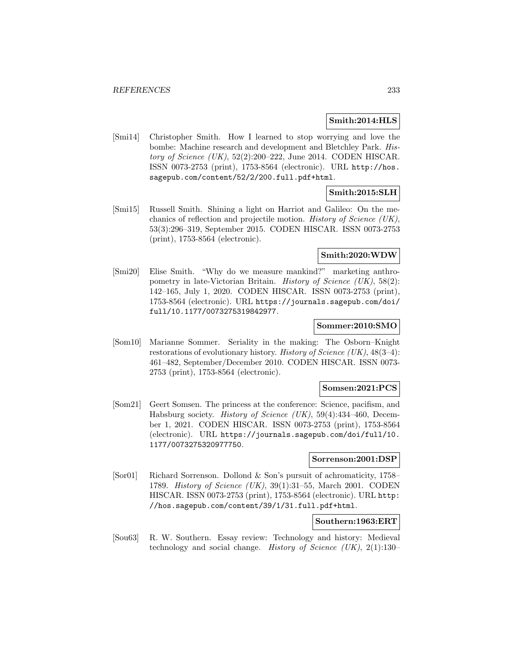## **Smith:2014:HLS**

[Smi14] Christopher Smith. How I learned to stop worrying and love the bombe: Machine research and development and Bletchley Park. History of Science (UK), 52(2):200–222, June 2014. CODEN HISCAR. ISSN 0073-2753 (print), 1753-8564 (electronic). URL http://hos. sagepub.com/content/52/2/200.full.pdf+html.

# **Smith:2015:SLH**

[Smi15] Russell Smith. Shining a light on Harriot and Galileo: On the mechanics of reflection and projectile motion. History of Science (UK), 53(3):296–319, September 2015. CODEN HISCAR. ISSN 0073-2753 (print), 1753-8564 (electronic).

## **Smith:2020:WDW**

[Smi20] Elise Smith. "Why do we measure mankind?" marketing anthropometry in late-Victorian Britain. *History of Science (UK)*,  $58(2)$ : 142–165, July 1, 2020. CODEN HISCAR. ISSN 0073-2753 (print), 1753-8564 (electronic). URL https://journals.sagepub.com/doi/ full/10.1177/0073275319842977.

## **Sommer:2010:SMO**

[Som10] Marianne Sommer. Seriality in the making: The Osborn–Knight restorations of evolutionary history. History of Science (UK),  $48(3-4)$ : 461–482, September/December 2010. CODEN HISCAR. ISSN 0073- 2753 (print), 1753-8564 (electronic).

#### **Somsen:2021:PCS**

[Som21] Geert Somsen. The princess at the conference: Science, pacifism, and Habsburg society. History of Science (UK), 59(4):434–460, December 1, 2021. CODEN HISCAR. ISSN 0073-2753 (print), 1753-8564 (electronic). URL https://journals.sagepub.com/doi/full/10. 1177/0073275320977750.

## **Sorrenson:2001:DSP**

[Sor01] Richard Sorrenson. Dollond & Son's pursuit of achromaticity, 1758– 1789. History of Science (UK), 39(1):31–55, March 2001. CODEN HISCAR. ISSN 0073-2753 (print), 1753-8564 (electronic). URL http: //hos.sagepub.com/content/39/1/31.full.pdf+html.

## **Southern:1963:ERT**

[Sou63] R. W. Southern. Essay review: Technology and history: Medieval technology and social change. History of Science  $(UK), 2(1):130-$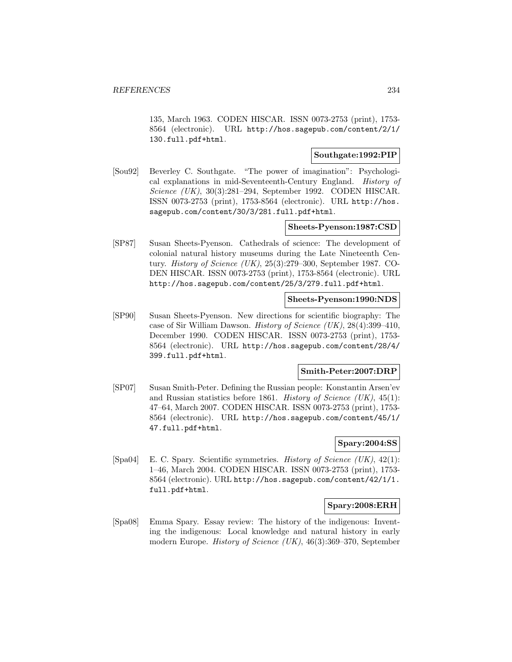135, March 1963. CODEN HISCAR. ISSN 0073-2753 (print), 1753- 8564 (electronic). URL http://hos.sagepub.com/content/2/1/ 130.full.pdf+html.

## **Southgate:1992:PIP**

[Sou92] Beverley C. Southgate. "The power of imagination": Psychological explanations in mid-Seventeenth-Century England. History of Science (UK), 30(3):281–294, September 1992. CODEN HISCAR. ISSN 0073-2753 (print), 1753-8564 (electronic). URL http://hos. sagepub.com/content/30/3/281.full.pdf+html.

# **Sheets-Pyenson:1987:CSD**

[SP87] Susan Sheets-Pyenson. Cathedrals of science: The development of colonial natural history museums during the Late Nineteenth Century. History of Science (UK), 25(3):279–300, September 1987. CO-DEN HISCAR. ISSN 0073-2753 (print), 1753-8564 (electronic). URL http://hos.sagepub.com/content/25/3/279.full.pdf+html.

#### **Sheets-Pyenson:1990:NDS**

[SP90] Susan Sheets-Pyenson. New directions for scientific biography: The case of Sir William Dawson. History of Science (UK), 28(4):399–410, December 1990. CODEN HISCAR. ISSN 0073-2753 (print), 1753- 8564 (electronic). URL http://hos.sagepub.com/content/28/4/ 399.full.pdf+html.

## **Smith-Peter:2007:DRP**

[SP07] Susan Smith-Peter. Defining the Russian people: Konstantin Arsen'ev and Russian statistics before 1861. History of Science  $(UK)$ , 45(1): 47–64, March 2007. CODEN HISCAR. ISSN 0073-2753 (print), 1753- 8564 (electronic). URL http://hos.sagepub.com/content/45/1/ 47.full.pdf+html.

## **Spary:2004:SS**

[Spa04] E. C. Spary. Scientific symmetries. History of Science (UK), 42(1): 1–46, March 2004. CODEN HISCAR. ISSN 0073-2753 (print), 1753- 8564 (electronic). URL http://hos.sagepub.com/content/42/1/1. full.pdf+html.

## **Spary:2008:ERH**

[Spa08] Emma Spary. Essay review: The history of the indigenous: Inventing the indigenous: Local knowledge and natural history in early modern Europe. History of Science (UK), 46(3):369–370, September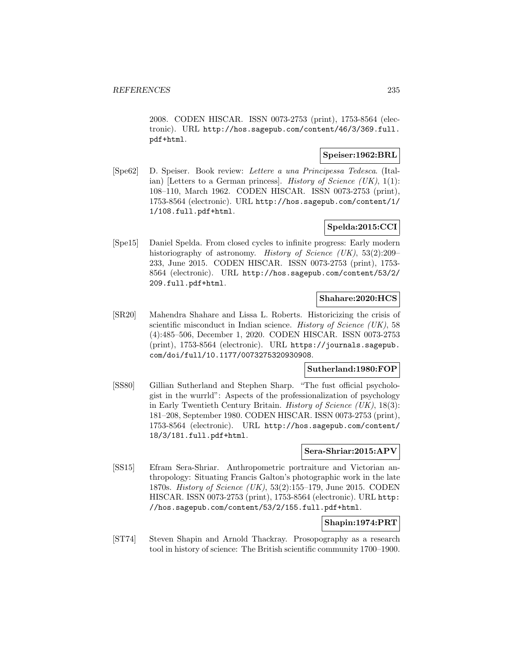2008. CODEN HISCAR. ISSN 0073-2753 (print), 1753-8564 (electronic). URL http://hos.sagepub.com/content/46/3/369.full. pdf+html.

## **Speiser:1962:BRL**

[Spe62] D. Speiser. Book review: Lettere a una Principessa Tedesca. (Italian) [Letters to a German princess]. *History of Science (UK)*,  $1(1)$ : 108–110, March 1962. CODEN HISCAR. ISSN 0073-2753 (print), 1753-8564 (electronic). URL http://hos.sagepub.com/content/1/ 1/108.full.pdf+html.

# **Spelda:2015:CCI**

[Spe15] Daniel Spelda. From closed cycles to infinite progress: Early modern historiography of astronomy. *History of Science (UK)*, 53(2):209– 233, June 2015. CODEN HISCAR. ISSN 0073-2753 (print), 1753- 8564 (electronic). URL http://hos.sagepub.com/content/53/2/ 209.full.pdf+html.

## **Shahare:2020:HCS**

[SR20] Mahendra Shahare and Lissa L. Roberts. Historicizing the crisis of scientific misconduct in Indian science. History of Science (UK), 58 (4):485–506, December 1, 2020. CODEN HISCAR. ISSN 0073-2753 (print), 1753-8564 (electronic). URL https://journals.sagepub. com/doi/full/10.1177/0073275320930908.

## **Sutherland:1980:FOP**

[SS80] Gillian Sutherland and Stephen Sharp. "The fust official psychologist in the wurrld": Aspects of the professionalization of psychology in Early Twentieth Century Britain. *History of Science (UK)*,  $18(3)$ : 181–208, September 1980. CODEN HISCAR. ISSN 0073-2753 (print), 1753-8564 (electronic). URL http://hos.sagepub.com/content/ 18/3/181.full.pdf+html.

## **Sera-Shriar:2015:APV**

[SS15] Efram Sera-Shriar. Anthropometric portraiture and Victorian anthropology: Situating Francis Galton's photographic work in the late 1870s. History of Science (UK), 53(2):155–179, June 2015. CODEN HISCAR. ISSN 0073-2753 (print), 1753-8564 (electronic). URL http: //hos.sagepub.com/content/53/2/155.full.pdf+html.

# **Shapin:1974:PRT**

[ST74] Steven Shapin and Arnold Thackray. Prosopography as a research tool in history of science: The British scientific community 1700–1900.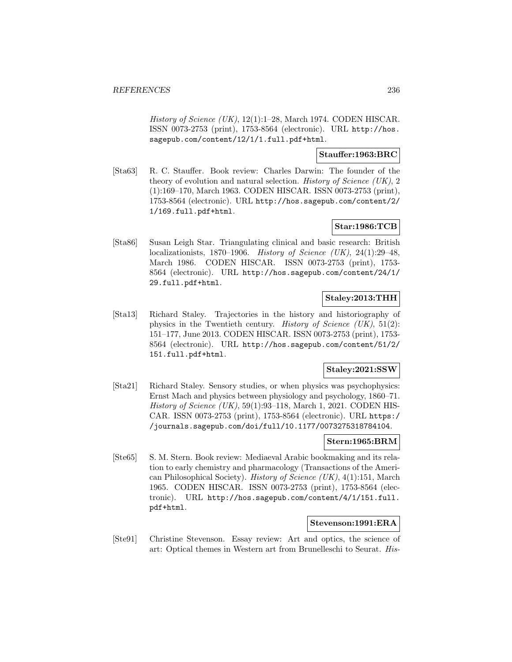History of Science  $(UK)$ , 12(1):1–28, March 1974. CODEN HISCAR. ISSN 0073-2753 (print), 1753-8564 (electronic). URL http://hos. sagepub.com/content/12/1/1.full.pdf+html.

## **Stauffer:1963:BRC**

[Sta63] R. C. Stauffer. Book review: Charles Darwin: The founder of the theory of evolution and natural selection. History of Science (UK), 2 (1):169–170, March 1963. CODEN HISCAR. ISSN 0073-2753 (print), 1753-8564 (electronic). URL http://hos.sagepub.com/content/2/ 1/169.full.pdf+html.

# **Star:1986:TCB**

[Sta86] Susan Leigh Star. Triangulating clinical and basic research: British localizationists, 1870–1906. History of Science (UK), 24(1):29–48, March 1986. CODEN HISCAR. ISSN 0073-2753 (print), 1753- 8564 (electronic). URL http://hos.sagepub.com/content/24/1/ 29.full.pdf+html.

# **Staley:2013:THH**

[Sta13] Richard Staley. Trajectories in the history and historiography of physics in the Twentieth century. *History of Science (UK)*,  $51(2)$ : 151–177, June 2013. CODEN HISCAR. ISSN 0073-2753 (print), 1753- 8564 (electronic). URL http://hos.sagepub.com/content/51/2/ 151.full.pdf+html.

## **Staley:2021:SSW**

[Sta21] Richard Staley. Sensory studies, or when physics was psychophysics: Ernst Mach and physics between physiology and psychology, 1860–71. History of Science (UK), 59(1):93–118, March 1, 2021. CODEN HIS-CAR. ISSN 0073-2753 (print), 1753-8564 (electronic). URL https:/ /journals.sagepub.com/doi/full/10.1177/0073275318784104.

## **Stern:1965:BRM**

[Ste65] S. M. Stern. Book review: Mediaeval Arabic bookmaking and its relation to early chemistry and pharmacology (Transactions of the American Philosophical Society). History of Science (UK), 4(1):151, March 1965. CODEN HISCAR. ISSN 0073-2753 (print), 1753-8564 (electronic). URL http://hos.sagepub.com/content/4/1/151.full. pdf+html.

# **Stevenson:1991:ERA**

[Ste91] Christine Stevenson. Essay review: Art and optics, the science of art: Optical themes in Western art from Brunelleschi to Seurat. His-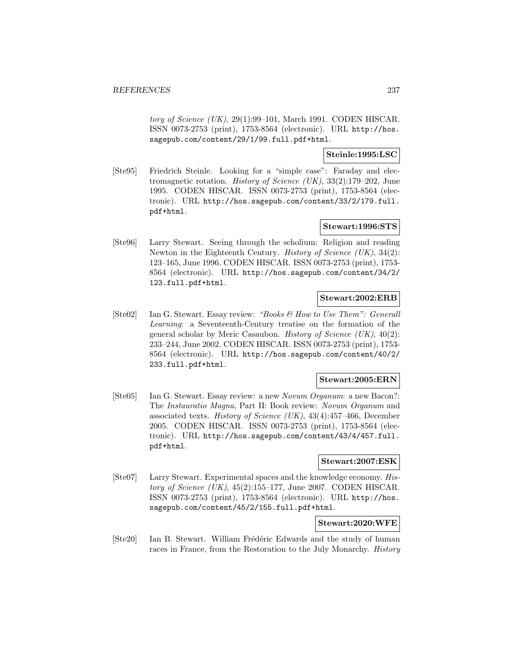tory of Science  $(UK)$ , 29(1):99–101, March 1991. CODEN HISCAR. ISSN 0073-2753 (print), 1753-8564 (electronic). URL http://hos. sagepub.com/content/29/1/99.full.pdf+html.

## **Steinle:1995:LSC**

[Ste95] Friedrich Steinle. Looking for a "simple case": Faraday and electromagnetic rotation. History of Science (UK), 33(2):179–202, June 1995. CODEN HISCAR. ISSN 0073-2753 (print), 1753-8564 (electronic). URL http://hos.sagepub.com/content/33/2/179.full. pdf+html.

## **Stewart:1996:STS**

[Ste96] Larry Stewart. Seeing through the scholium: Religion and reading Newton in the Eighteenth Century. History of Science (UK), 34(2): 123–165, June 1996. CODEN HISCAR. ISSN 0073-2753 (print), 1753- 8564 (electronic). URL http://hos.sagepub.com/content/34/2/ 123.full.pdf+html.

# **Stewart:2002:ERB**

[Ste02] Ian G. Stewart. Essay review: "Books & How to Use Them": Generall Learning: a Seventeenth-Century treatise on the formation of the general scholar by Meric Casaubon. *History of Science (UK)*,  $40(2)$ : 233–244, June 2002. CODEN HISCAR. ISSN 0073-2753 (print), 1753- 8564 (electronic). URL http://hos.sagepub.com/content/40/2/ 233.full.pdf+html.

## **Stewart:2005:ERN**

[Ste05] Ian G. Stewart. Essay review: a new Novum Organum: a new Bacon?: The Instauratio Magna, Part II: Book review: Novum Organum and associated texts. History of Science (UK), 43(4):457–466, December 2005. CODEN HISCAR. ISSN 0073-2753 (print), 1753-8564 (electronic). URL http://hos.sagepub.com/content/43/4/457.full. pdf+html.

## **Stewart:2007:ESK**

[Ste07] Larry Stewart. Experimental spaces and the knowledge economy. History of Science  $(UK)$ , 45(2):155–177, June 2007. CODEN HISCAR. ISSN 0073-2753 (print), 1753-8564 (electronic). URL http://hos. sagepub.com/content/45/2/155.full.pdf+html.

## **Stewart:2020:WFE**

[Ste20] Ian B. Stewart. William Frédéric Edwards and the study of human races in France, from the Restoration to the July Monarchy. *History*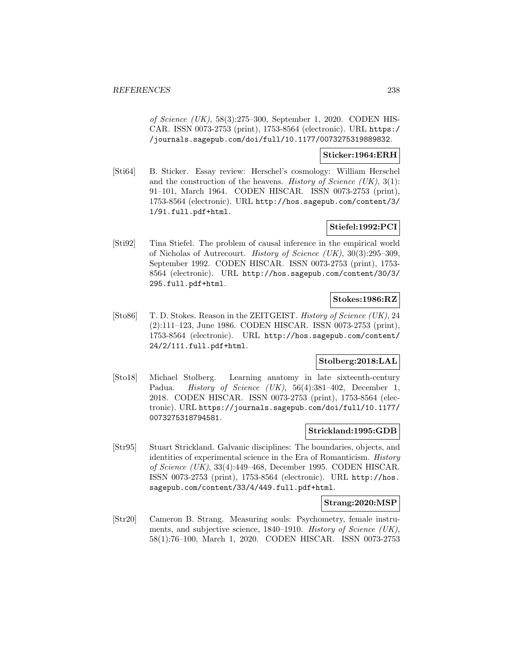of Science (UK), 58(3):275–300, September 1, 2020. CODEN HIS-CAR. ISSN 0073-2753 (print), 1753-8564 (electronic). URL https:/ /journals.sagepub.com/doi/full/10.1177/0073275319889832.

## **Sticker:1964:ERH**

[Sti64] B. Sticker. Essay review: Herschel's cosmology: William Herschel and the construction of the heavens. History of Science  $(UK), 3(1)$ : 91–101, March 1964. CODEN HISCAR. ISSN 0073-2753 (print), 1753-8564 (electronic). URL http://hos.sagepub.com/content/3/ 1/91.full.pdf+html.

# **Stiefel:1992:PCI**

[Sti92] Tina Stiefel. The problem of causal inference in the empirical world of Nicholas of Autrecourt. History of Science (UK), 30(3):295–309, September 1992. CODEN HISCAR. ISSN 0073-2753 (print), 1753- 8564 (electronic). URL http://hos.sagepub.com/content/30/3/ 295.full.pdf+html.

## **Stokes:1986:RZ**

[Sto86] T. D. Stokes. Reason in the ZEITGEIST. History of Science (UK), 24 (2):111–123, June 1986. CODEN HISCAR. ISSN 0073-2753 (print), 1753-8564 (electronic). URL http://hos.sagepub.com/content/ 24/2/111.full.pdf+html.

# **Stolberg:2018:LAL**

[Sto18] Michael Stolberg. Learning anatomy in late sixteenth-century Padua. *History of Science (UK)*, 56(4):381–402, December 1, 2018. CODEN HISCAR. ISSN 0073-2753 (print), 1753-8564 (electronic). URL https://journals.sagepub.com/doi/full/10.1177/ 0073275318794581.

## **Strickland:1995:GDB**

[Str95] Stuart Strickland. Galvanic disciplines: The boundaries, objects, and identities of experimental science in the Era of Romanticism. History of Science (UK), 33(4):449–468, December 1995. CODEN HISCAR. ISSN 0073-2753 (print), 1753-8564 (electronic). URL http://hos. sagepub.com/content/33/4/449.full.pdf+html.

## **Strang:2020:MSP**

[Str20] Cameron B. Strang. Measuring souls: Psychometry, female instruments, and subjective science, 1840–1910. History of Science (UK), 58(1):76–100, March 1, 2020. CODEN HISCAR. ISSN 0073-2753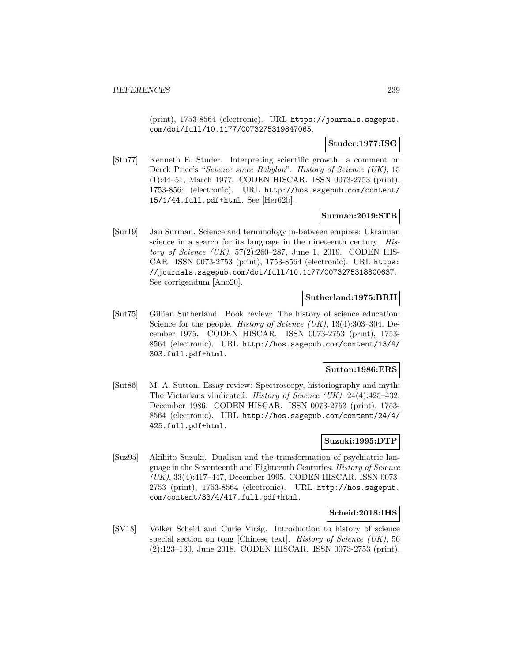(print), 1753-8564 (electronic). URL https://journals.sagepub. com/doi/full/10.1177/0073275319847065.

## **Studer:1977:ISG**

[Stu77] Kenneth E. Studer. Interpreting scientific growth: a comment on Derek Price's "Science since Babylon". History of Science (UK), 15 (1):44–51, March 1977. CODEN HISCAR. ISSN 0073-2753 (print), 1753-8564 (electronic). URL http://hos.sagepub.com/content/ 15/1/44.full.pdf+html. See [Her62b].

## **Surman:2019:STB**

[Sur19] Jan Surman. Science and terminology in-between empires: Ukrainian science in a search for its language in the nineteenth century. History of Science (UK), 57(2):260–287, June 1, 2019. CODEN HIS-CAR. ISSN 0073-2753 (print), 1753-8564 (electronic). URL https: //journals.sagepub.com/doi/full/10.1177/0073275318800637. See corrigendum [Ano20].

## **Sutherland:1975:BRH**

[Sut75] Gillian Sutherland. Book review: The history of science education: Science for the people. *History of Science (UK)*, 13(4):303–304, December 1975. CODEN HISCAR. ISSN 0073-2753 (print), 1753- 8564 (electronic). URL http://hos.sagepub.com/content/13/4/ 303.full.pdf+html.

## **Sutton:1986:ERS**

[Sut86] M. A. Sutton. Essay review: Spectroscopy, historiography and myth: The Victorians vindicated. History of Science (UK), 24(4):425–432, December 1986. CODEN HISCAR. ISSN 0073-2753 (print), 1753- 8564 (electronic). URL http://hos.sagepub.com/content/24/4/ 425.full.pdf+html.

# **Suzuki:1995:DTP**

[Suz95] Akihito Suzuki. Dualism and the transformation of psychiatric language in the Seventeenth and Eighteenth Centuries. History of Science (UK), 33(4):417–447, December 1995. CODEN HISCAR. ISSN 0073- 2753 (print), 1753-8564 (electronic). URL http://hos.sagepub. com/content/33/4/417.full.pdf+html.

## **Scheid:2018:IHS**

[SV18] Volker Scheid and Curie Virág. Introduction to history of science special section on tong [Chinese text]. History of Science (UK), 56 (2):123–130, June 2018. CODEN HISCAR. ISSN 0073-2753 (print),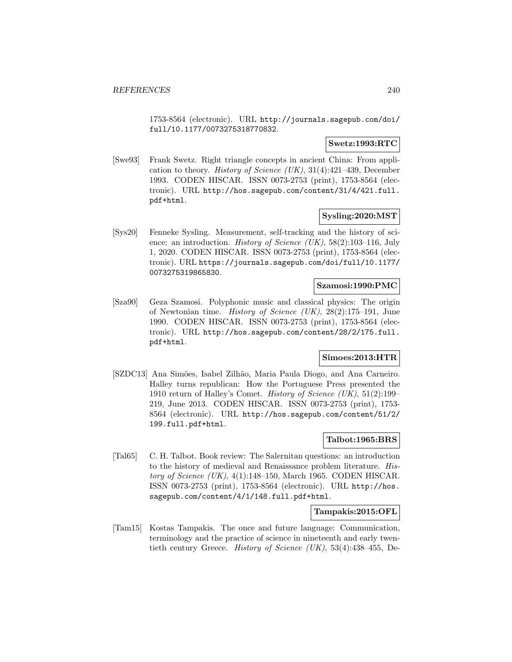1753-8564 (electronic). URL http://journals.sagepub.com/doi/ full/10.1177/0073275318770832.

## **Swetz:1993:RTC**

[Swe93] Frank Swetz. Right triangle concepts in ancient China: From application to theory. History of Science (UK),  $31(4):421-439$ , December 1993. CODEN HISCAR. ISSN 0073-2753 (print), 1753-8564 (electronic). URL http://hos.sagepub.com/content/31/4/421.full. pdf+html.

## **Sysling:2020:MST**

[Sys20] Fenneke Sysling. Measurement, self-tracking and the history of science: an introduction. *History of Science (UK)*, 58(2):103-116, July 1, 2020. CODEN HISCAR. ISSN 0073-2753 (print), 1753-8564 (electronic). URL https://journals.sagepub.com/doi/full/10.1177/ 0073275319865830.

#### **Szamosi:1990:PMC**

[Sza90] Geza Szamosi. Polyphonic music and classical physics: The origin of Newtonian time. History of Science (UK), 28(2):175–191, June 1990. CODEN HISCAR. ISSN 0073-2753 (print), 1753-8564 (electronic). URL http://hos.sagepub.com/content/28/2/175.full. pdf+html.

# **Simoes:2013:HTR**

[SZDC13] Ana Simões, Isabel Zilhão, Maria Paula Diogo, and Ana Carneiro. Halley turns republican: How the Portuguese Press presented the 1910 return of Halley's Comet. History of Science  $(UK), 51(2):199-$ 219, June 2013. CODEN HISCAR. ISSN 0073-2753 (print), 1753- 8564 (electronic). URL http://hos.sagepub.com/content/51/2/ 199.full.pdf+html.

## **Talbot:1965:BRS**

[Tal65] C. H. Talbot. Book review: The Salernitan questions: an introduction to the history of medieval and Renaissance problem literature. History of Science (UK),  $4(1)$ :148–150, March 1965. CODEN HISCAR. ISSN 0073-2753 (print), 1753-8564 (electronic). URL http://hos. sagepub.com/content/4/1/148.full.pdf+html.

## **Tampakis:2015:OFL**

[Tam15] Kostas Tampakis. The once and future language: Communication, terminology and the practice of science in nineteenth and early twentieth century Greece. History of Science (UK), 53(4):438–455, De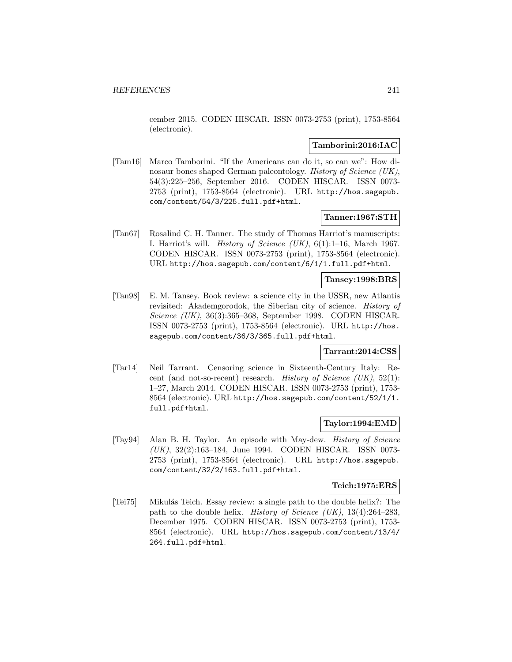cember 2015. CODEN HISCAR. ISSN 0073-2753 (print), 1753-8564 (electronic).

## **Tamborini:2016:IAC**

[Tam16] Marco Tamborini. "If the Americans can do it, so can we": How dinosaur bones shaped German paleontology. History of Science (UK), 54(3):225–256, September 2016. CODEN HISCAR. ISSN 0073- 2753 (print), 1753-8564 (electronic). URL http://hos.sagepub. com/content/54/3/225.full.pdf+html.

## **Tanner:1967:STH**

[Tan67] Rosalind C. H. Tanner. The study of Thomas Harriot's manuscripts: I. Harriot's will. History of Science  $(UK)$ ,  $6(1):1-16$ , March 1967. CODEN HISCAR. ISSN 0073-2753 (print), 1753-8564 (electronic). URL http://hos.sagepub.com/content/6/1/1.full.pdf+html.

## **Tansey:1998:BRS**

[Tan98] E. M. Tansey. Book review: a science city in the USSR, new Atlantis revisited: Akademgorodok, the Siberian city of science. History of Science (UK), 36(3):365–368, September 1998. CODEN HISCAR. ISSN 0073-2753 (print), 1753-8564 (electronic). URL http://hos. sagepub.com/content/36/3/365.full.pdf+html.

## **Tarrant:2014:CSS**

[Tar14] Neil Tarrant. Censoring science in Sixteenth-Century Italy: Recent (and not-so-recent) research. History of Science  $(UK), 52(1)$ : 1–27, March 2014. CODEN HISCAR. ISSN 0073-2753 (print), 1753- 8564 (electronic). URL http://hos.sagepub.com/content/52/1/1. full.pdf+html.

## **Taylor:1994:EMD**

[Tay94] Alan B. H. Taylor. An episode with May-dew. History of Science (UK), 32(2):163–184, June 1994. CODEN HISCAR. ISSN 0073- 2753 (print), 1753-8564 (electronic). URL http://hos.sagepub. com/content/32/2/163.full.pdf+html.

#### **Teich:1975:ERS**

[Tei75] Mikul´as Teich. Essay review: a single path to the double helix?: The path to the double helix. History of Science (UK),  $13(4):264-283$ , December 1975. CODEN HISCAR. ISSN 0073-2753 (print), 1753- 8564 (electronic). URL http://hos.sagepub.com/content/13/4/ 264.full.pdf+html.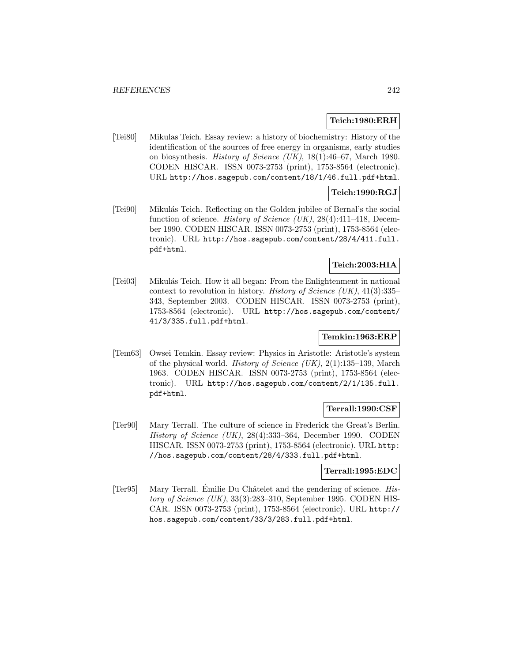## **Teich:1980:ERH**

[Tei80] Mikulas Teich. Essay review: a history of biochemistry: History of the identification of the sources of free energy in organisms, early studies on biosynthesis. History of Science (UK), 18(1):46–67, March 1980. CODEN HISCAR. ISSN 0073-2753 (print), 1753-8564 (electronic). URL http://hos.sagepub.com/content/18/1/46.full.pdf+html.

## **Teich:1990:RGJ**

[Tei90] Mikul´as Teich. Reflecting on the Golden jubilee of Bernal's the social function of science. History of Science (UK),  $28(4):411-418$ , December 1990. CODEN HISCAR. ISSN 0073-2753 (print), 1753-8564 (electronic). URL http://hos.sagepub.com/content/28/4/411.full. pdf+html.

# **Teich:2003:HIA**

[Tei03] Mikul´as Teich. How it all began: From the Enlightenment in national context to revolution in history. History of Science  $(UK)$ , 41(3):335– 343, September 2003. CODEN HISCAR. ISSN 0073-2753 (print), 1753-8564 (electronic). URL http://hos.sagepub.com/content/ 41/3/335.full.pdf+html.

## **Temkin:1963:ERP**

[Tem63] Owsei Temkin. Essay review: Physics in Aristotle: Aristotle's system of the physical world. History of Science  $(UK), 2(1):135-139$ , March 1963. CODEN HISCAR. ISSN 0073-2753 (print), 1753-8564 (electronic). URL http://hos.sagepub.com/content/2/1/135.full. pdf+html.

## **Terrall:1990:CSF**

[Ter90] Mary Terrall. The culture of science in Frederick the Great's Berlin. History of Science (UK), 28(4):333–364, December 1990. CODEN HISCAR. ISSN 0073-2753 (print), 1753-8564 (electronic). URL http: //hos.sagepub.com/content/28/4/333.full.pdf+html.

#### **Terrall:1995:EDC**

 $[Ter95]$  Mary Terrall. Émilie Du Châtelet and the gendering of science. History of Science  $(UK)$ , 33(3):283-310, September 1995. CODEN HIS-CAR. ISSN 0073-2753 (print), 1753-8564 (electronic). URL http:// hos.sagepub.com/content/33/3/283.full.pdf+html.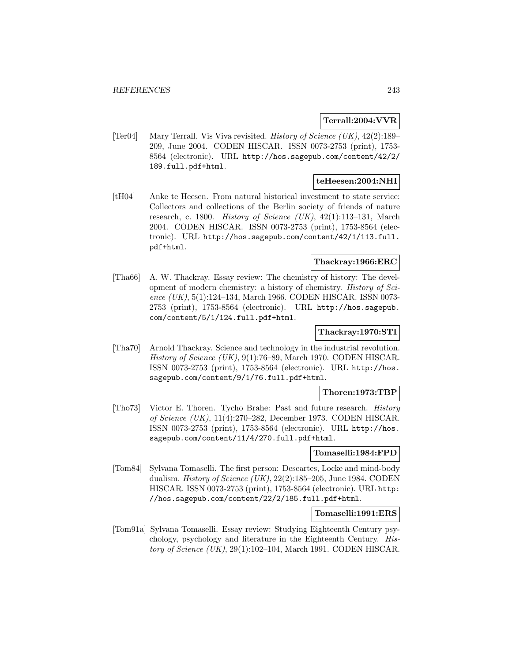## **Terrall:2004:VVR**

[Ter04] Mary Terrall. Vis Viva revisited. History of Science (UK), 42(2):189– 209, June 2004. CODEN HISCAR. ISSN 0073-2753 (print), 1753- 8564 (electronic). URL http://hos.sagepub.com/content/42/2/ 189.full.pdf+html.

## **teHeesen:2004:NHI**

[tH04] Anke te Heesen. From natural historical investment to state service: Collectors and collections of the Berlin society of friends of nature research, c. 1800. History of Science  $(UK)$ , 42(1):113-131, March 2004. CODEN HISCAR. ISSN 0073-2753 (print), 1753-8564 (electronic). URL http://hos.sagepub.com/content/42/1/113.full. pdf+html.

# **Thackray:1966:ERC**

[Tha66] A. W. Thackray. Essay review: The chemistry of history: The development of modern chemistry: a history of chemistry. History of Science  $(UK), 5(1):124-134$ , March 1966. CODEN HISCAR. ISSN 0073-2753 (print), 1753-8564 (electronic). URL http://hos.sagepub. com/content/5/1/124.full.pdf+html.

## **Thackray:1970:STI**

[Tha70] Arnold Thackray. Science and technology in the industrial revolution. History of Science (UK), 9(1):76–89, March 1970. CODEN HISCAR. ISSN 0073-2753 (print), 1753-8564 (electronic). URL http://hos. sagepub.com/content/9/1/76.full.pdf+html.

#### **Thoren:1973:TBP**

[Tho73] Victor E. Thoren. Tycho Brahe: Past and future research. History of Science (UK), 11(4):270–282, December 1973. CODEN HISCAR. ISSN 0073-2753 (print), 1753-8564 (electronic). URL http://hos. sagepub.com/content/11/4/270.full.pdf+html.

#### **Tomaselli:1984:FPD**

[Tom84] Sylvana Tomaselli. The first person: Descartes, Locke and mind-body dualism. History of Science (UK),  $22(2):185-205$ , June 1984. CODEN HISCAR. ISSN 0073-2753 (print), 1753-8564 (electronic). URL http: //hos.sagepub.com/content/22/2/185.full.pdf+html.

#### **Tomaselli:1991:ERS**

[Tom91a] Sylvana Tomaselli. Essay review: Studying Eighteenth Century psychology, psychology and literature in the Eighteenth Century. History of Science  $(UK)$ , 29(1):102–104, March 1991. CODEN HISCAR.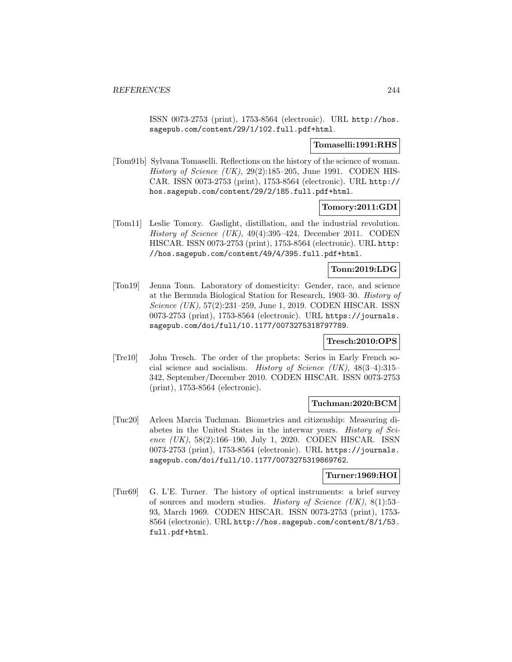ISSN 0073-2753 (print), 1753-8564 (electronic). URL http://hos. sagepub.com/content/29/1/102.full.pdf+html.

#### **Tomaselli:1991:RHS**

[Tom91b] Sylvana Tomaselli. Reflections on the history of the science of woman. History of Science (UK),  $29(2):185-205$ , June 1991. CODEN HIS-CAR. ISSN 0073-2753 (print), 1753-8564 (electronic). URL http:// hos.sagepub.com/content/29/2/185.full.pdf+html.

## **Tomory:2011:GDI**

[Tom11] Leslie Tomory. Gaslight, distillation, and the industrial revolution. History of Science (UK), 49(4):395–424, December 2011. CODEN HISCAR. ISSN 0073-2753 (print), 1753-8564 (electronic). URL http: //hos.sagepub.com/content/49/4/395.full.pdf+html.

## **Tonn:2019:LDG**

[Ton19] Jenna Tonn. Laboratory of domesticity: Gender, race, and science at the Bermuda Biological Station for Research, 1903–30. History of Science (UK), 57(2):231–259, June 1, 2019. CODEN HISCAR. ISSN 0073-2753 (print), 1753-8564 (electronic). URL https://journals. sagepub.com/doi/full/10.1177/0073275318797789.

## **Tresch:2010:OPS**

[Tre10] John Tresch. The order of the prophets: Series in Early French social science and socialism. History of Science (UK), 48(3–4):315– 342, September/December 2010. CODEN HISCAR. ISSN 0073-2753 (print), 1753-8564 (electronic).

## **Tuchman:2020:BCM**

[Tuc20] Arleen Marcia Tuchman. Biometrics and citizenship: Measuring diabetes in the United States in the interwar years. History of Science (UK), 58(2):166-190, July 1, 2020. CODEN HISCAR. ISSN 0073-2753 (print), 1753-8564 (electronic). URL https://journals. sagepub.com/doi/full/10.1177/0073275319869762.

## **Turner:1969:HOI**

[Tur69] G. L'E. Turner. The history of optical instruments: a brief survey of sources and modern studies. History of Science (UK), 8(1):53– 93, March 1969. CODEN HISCAR. ISSN 0073-2753 (print), 1753- 8564 (electronic). URL http://hos.sagepub.com/content/8/1/53. full.pdf+html.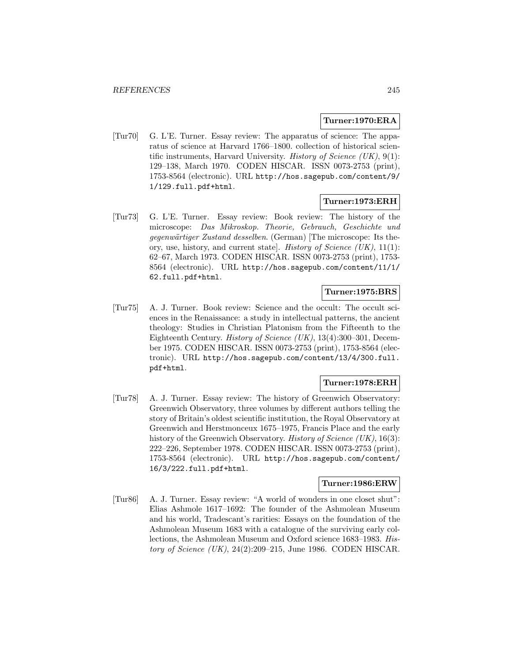## **Turner:1970:ERA**

[Tur70] G. L'E. Turner. Essay review: The apparatus of science: The apparatus of science at Harvard 1766–1800. collection of historical scientific instruments, Harvard University. *History of Science (UK)*,  $9(1)$ : 129–138, March 1970. CODEN HISCAR. ISSN 0073-2753 (print), 1753-8564 (electronic). URL http://hos.sagepub.com/content/9/ 1/129.full.pdf+html.

## **Turner:1973:ERH**

[Tur73] G. L'E. Turner. Essay review: Book review: The history of the microscope: Das Mikroskop. Theorie, Gebrauch, Geschichte und gegenwärtiger Zustand desselben. (German) [The microscope: Its theory, use, history, and current state. History of Science  $(UK)$ , 11(1): 62–67, March 1973. CODEN HISCAR. ISSN 0073-2753 (print), 1753- 8564 (electronic). URL http://hos.sagepub.com/content/11/1/ 62.full.pdf+html.

# **Turner:1975:BRS**

[Tur75] A. J. Turner. Book review: Science and the occult: The occult sciences in the Renaissance: a study in intellectual patterns, the ancient theology: Studies in Christian Platonism from the Fifteenth to the Eighteenth Century. *History of Science (UK)*, 13(4):300–301, December 1975. CODEN HISCAR. ISSN 0073-2753 (print), 1753-8564 (electronic). URL http://hos.sagepub.com/content/13/4/300.full. pdf+html.

## **Turner:1978:ERH**

[Tur78] A. J. Turner. Essay review: The history of Greenwich Observatory: Greenwich Observatory, three volumes by different authors telling the story of Britain's oldest scientific institution, the Royal Observatory at Greenwich and Herstmonceux 1675–1975, Francis Place and the early history of the Greenwich Observatory. History of Science  $(UK)$ , 16(3): 222–226, September 1978. CODEN HISCAR. ISSN 0073-2753 (print), 1753-8564 (electronic). URL http://hos.sagepub.com/content/ 16/3/222.full.pdf+html.

## **Turner:1986:ERW**

[Tur86] A. J. Turner. Essay review: "A world of wonders in one closet shut": Elias Ashmole 1617–1692: The founder of the Ashmolean Museum and his world, Tradescant's rarities: Essays on the foundation of the Ashmolean Museum 1683 with a catalogue of the surviving early collections, the Ashmolean Museum and Oxford science 1683–1983. History of Science  $(UK), 24(2):209-215$ , June 1986. CODEN HISCAR.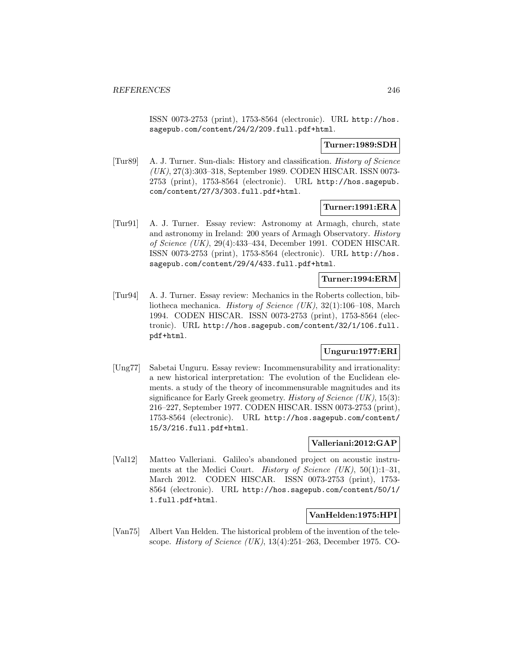ISSN 0073-2753 (print), 1753-8564 (electronic). URL http://hos. sagepub.com/content/24/2/209.full.pdf+html.

## **Turner:1989:SDH**

[Tur89] A. J. Turner. Sun-dials: History and classification. History of Science (UK), 27(3):303–318, September 1989. CODEN HISCAR. ISSN 0073- 2753 (print), 1753-8564 (electronic). URL http://hos.sagepub. com/content/27/3/303.full.pdf+html.

## **Turner:1991:ERA**

[Tur91] A. J. Turner. Essay review: Astronomy at Armagh, church, state and astronomy in Ireland: 200 years of Armagh Observatory. History of Science (UK), 29(4):433–434, December 1991. CODEN HISCAR. ISSN 0073-2753 (print), 1753-8564 (electronic). URL http://hos. sagepub.com/content/29/4/433.full.pdf+html.

## **Turner:1994:ERM**

[Tur94] A. J. Turner. Essay review: Mechanics in the Roberts collection, bibliotheca mechanica. History of Science (UK), 32(1):106–108, March 1994. CODEN HISCAR. ISSN 0073-2753 (print), 1753-8564 (electronic). URL http://hos.sagepub.com/content/32/1/106.full. pdf+html.

# **Unguru:1977:ERI**

[Ung77] Sabetai Unguru. Essay review: Incommensurability and irrationality: a new historical interpretation: The evolution of the Euclidean elements. a study of the theory of incommensurable magnitudes and its significance for Early Greek geometry. *History of Science* (UK),  $15(3)$ : 216–227, September 1977. CODEN HISCAR. ISSN 0073-2753 (print), 1753-8564 (electronic). URL http://hos.sagepub.com/content/ 15/3/216.full.pdf+html.

# **Valleriani:2012:GAP**

[Val12] Matteo Valleriani. Galileo's abandoned project on acoustic instruments at the Medici Court. *History of Science (UK)*,  $50(1):1-31$ , March 2012. CODEN HISCAR. ISSN 0073-2753 (print), 1753- 8564 (electronic). URL http://hos.sagepub.com/content/50/1/ 1.full.pdf+html.

## **VanHelden:1975:HPI**

[Van75] Albert Van Helden. The historical problem of the invention of the telescope. History of Science (UK), 13(4):251–263, December 1975. CO-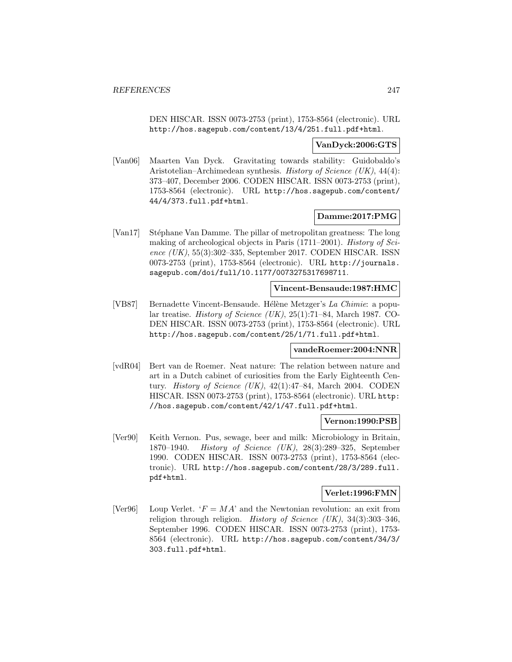DEN HISCAR. ISSN 0073-2753 (print), 1753-8564 (electronic). URL http://hos.sagepub.com/content/13/4/251.full.pdf+html.

#### **VanDyck:2006:GTS**

[Van06] Maarten Van Dyck. Gravitating towards stability: Guidobaldo's Aristotelian–Archimedean synthesis. History of Science (UK), 44(4): 373–407, December 2006. CODEN HISCAR. ISSN 0073-2753 (print), 1753-8564 (electronic). URL http://hos.sagepub.com/content/ 44/4/373.full.pdf+html.

## **Damme:2017:PMG**

[Van17] Stéphane Van Damme. The pillar of metropolitan greatness: The long making of archeological objects in Paris (1711–2001). History of Science (UK), 55(3):302–335, September 2017. CODEN HISCAR. ISSN 0073-2753 (print), 1753-8564 (electronic). URL http://journals. sagepub.com/doi/full/10.1177/0073275317698711.

## **Vincent-Bensaude:1987:HMC**

[VB87] Bernadette Vincent-Bensaude. Hélène Metzger's La Chimie: a popular treatise. *History of Science (UK)*,  $25(1):71-84$ , March 1987. CO-DEN HISCAR. ISSN 0073-2753 (print), 1753-8564 (electronic). URL http://hos.sagepub.com/content/25/1/71.full.pdf+html.

#### **vandeRoemer:2004:NNR**

[vdR04] Bert van de Roemer. Neat nature: The relation between nature and art in a Dutch cabinet of curiosities from the Early Eighteenth Century. History of Science (UK), 42(1):47–84, March 2004. CODEN HISCAR. ISSN 0073-2753 (print), 1753-8564 (electronic). URL http: //hos.sagepub.com/content/42/1/47.full.pdf+html.

#### **Vernon:1990:PSB**

[Ver90] Keith Vernon. Pus, sewage, beer and milk: Microbiology in Britain, 1870–1940. History of Science (UK), 28(3):289–325, September 1990. CODEN HISCAR. ISSN 0073-2753 (print), 1753-8564 (electronic). URL http://hos.sagepub.com/content/28/3/289.full. pdf+html.

#### **Verlet:1996:FMN**

[Ver96] Loup Verlet.  $F = MA'$  and the Newtonian revolution: an exit from religion through religion. History of Science (UK), 34(3):303–346, September 1996. CODEN HISCAR. ISSN 0073-2753 (print), 1753- 8564 (electronic). URL http://hos.sagepub.com/content/34/3/ 303.full.pdf+html.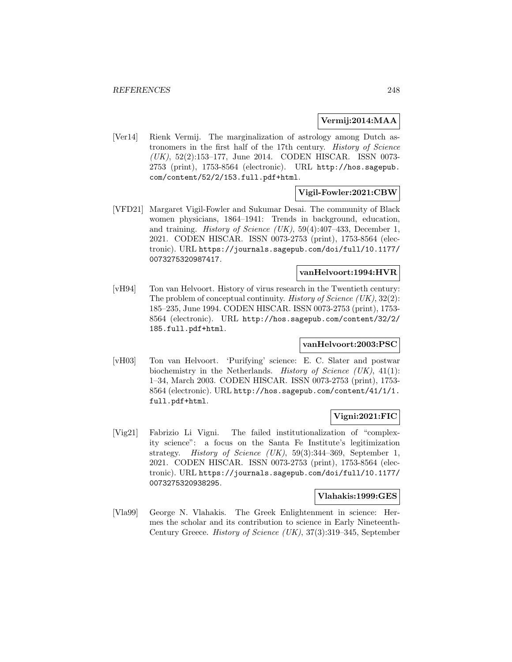## **Vermij:2014:MAA**

[Ver14] Rienk Vermij. The marginalization of astrology among Dutch astronomers in the first half of the 17th century. History of Science (UK), 52(2):153–177, June 2014. CODEN HISCAR. ISSN 0073- 2753 (print), 1753-8564 (electronic). URL http://hos.sagepub. com/content/52/2/153.full.pdf+html.

# **Vigil-Fowler:2021:CBW**

[VFD21] Margaret Vigil-Fowler and Sukumar Desai. The community of Black women physicians, 1864–1941: Trends in background, education, and training. *History of Science (UK)*,  $59(4):407-433$ , December 1, 2021. CODEN HISCAR. ISSN 0073-2753 (print), 1753-8564 (electronic). URL https://journals.sagepub.com/doi/full/10.1177/ 0073275320987417.

## **vanHelvoort:1994:HVR**

[vH94] Ton van Helvoort. History of virus research in the Twentieth century: The problem of conceptual continuity. History of Science  $(UK), 32(2)$ : 185–235, June 1994. CODEN HISCAR. ISSN 0073-2753 (print), 1753- 8564 (electronic). URL http://hos.sagepub.com/content/32/2/ 185.full.pdf+html.

# **vanHelvoort:2003:PSC**

[vH03] Ton van Helvoort. 'Purifying' science: E. C. Slater and postwar biochemistry in the Netherlands. *History of Science (UK)*,  $41(1)$ : 1–34, March 2003. CODEN HISCAR. ISSN 0073-2753 (print), 1753- 8564 (electronic). URL http://hos.sagepub.com/content/41/1/1. full.pdf+html.

## **Vigni:2021:FIC**

[Vig21] Fabrizio Li Vigni. The failed institutionalization of "complexity science": a focus on the Santa Fe Institute's legitimization strategy. History of Science (UK), 59(3):344–369, September 1, 2021. CODEN HISCAR. ISSN 0073-2753 (print), 1753-8564 (electronic). URL https://journals.sagepub.com/doi/full/10.1177/ 0073275320938295.

## **Vlahakis:1999:GES**

[Vla99] George N. Vlahakis. The Greek Enlightenment in science: Hermes the scholar and its contribution to science in Early Nineteenth-Century Greece. History of Science (UK), 37(3):319–345, September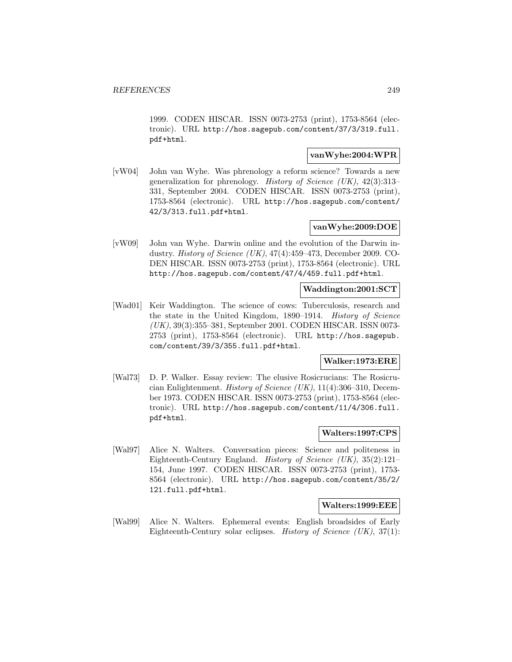1999. CODEN HISCAR. ISSN 0073-2753 (print), 1753-8564 (electronic). URL http://hos.sagepub.com/content/37/3/319.full. pdf+html.

# **vanWyhe:2004:WPR**

[vW04] John van Wyhe. Was phrenology a reform science? Towards a new generalization for phrenology. History of Science (UK),  $42(3):313-$ 331, September 2004. CODEN HISCAR. ISSN 0073-2753 (print), 1753-8564 (electronic). URL http://hos.sagepub.com/content/ 42/3/313.full.pdf+html.

# **vanWyhe:2009:DOE**

[vW09] John van Wyhe. Darwin online and the evolution of the Darwin industry. *History of Science (UK)*,  $47(4):459-473$ , December 2009. CO-DEN HISCAR. ISSN 0073-2753 (print), 1753-8564 (electronic). URL http://hos.sagepub.com/content/47/4/459.full.pdf+html.

# **Waddington:2001:SCT**

[Wad01] Keir Waddington. The science of cows: Tuberculosis, research and the state in the United Kingdom, 1890–1914. History of Science (UK), 39(3):355–381, September 2001. CODEN HISCAR. ISSN 0073- 2753 (print), 1753-8564 (electronic). URL http://hos.sagepub. com/content/39/3/355.full.pdf+html.

## **Walker:1973:ERE**

[Wal73] D. P. Walker. Essay review: The elusive Rosicrucians: The Rosicrucian Enlightenment. History of Science (UK), 11(4):306–310, December 1973. CODEN HISCAR. ISSN 0073-2753 (print), 1753-8564 (electronic). URL http://hos.sagepub.com/content/11/4/306.full. pdf+html.

#### **Walters:1997:CPS**

[Wal97] Alice N. Walters. Conversation pieces: Science and politeness in Eighteenth-Century England. History of Science (UK), 35(2):121– 154, June 1997. CODEN HISCAR. ISSN 0073-2753 (print), 1753- 8564 (electronic). URL http://hos.sagepub.com/content/35/2/ 121.full.pdf+html.

## **Walters:1999:EEE**

[Wal99] Alice N. Walters. Ephemeral events: English broadsides of Early Eighteenth-Century solar eclipses. *History of Science (UK)*,  $37(1)$ :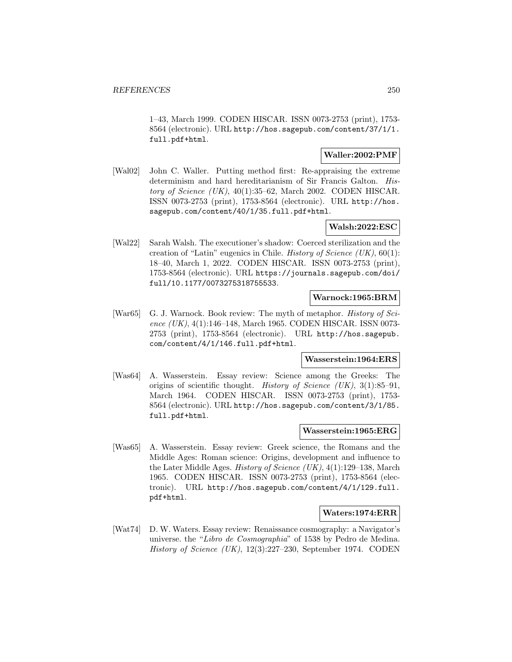1–43, March 1999. CODEN HISCAR. ISSN 0073-2753 (print), 1753- 8564 (electronic). URL http://hos.sagepub.com/content/37/1/1. full.pdf+html.

## **Waller:2002:PMF**

[Wal02] John C. Waller. Putting method first: Re-appraising the extreme determinism and hard hereditarianism of Sir Francis Galton. History of Science  $(UK)$ , 40(1):35–62, March 2002. CODEN HISCAR. ISSN 0073-2753 (print), 1753-8564 (electronic). URL http://hos. sagepub.com/content/40/1/35.full.pdf+html.

# **Walsh:2022:ESC**

[Wal22] Sarah Walsh. The executioner's shadow: Coerced sterilization and the creation of "Latin" eugenics in Chile. History of Science  $(UK), 60(1)$ : 18–40, March 1, 2022. CODEN HISCAR. ISSN 0073-2753 (print), 1753-8564 (electronic). URL https://journals.sagepub.com/doi/ full/10.1177/0073275318755533.

## **Warnock:1965:BRM**

[War65] G. J. Warnock. Book review: The myth of metaphor. *History of Sci*ence  $(UK), 4(1):146-148$ , March 1965. CODEN HISCAR. ISSN 0073-2753 (print), 1753-8564 (electronic). URL http://hos.sagepub. com/content/4/1/146.full.pdf+html.

## **Wasserstein:1964:ERS**

[Was64] A. Wasserstein. Essay review: Science among the Greeks: The origins of scientific thought. History of Science  $(UK), 3(1):85-91,$ March 1964. CODEN HISCAR. ISSN 0073-2753 (print), 1753- 8564 (electronic). URL http://hos.sagepub.com/content/3/1/85. full.pdf+html.

#### **Wasserstein:1965:ERG**

[Was65] A. Wasserstein. Essay review: Greek science, the Romans and the Middle Ages: Roman science: Origins, development and influence to the Later Middle Ages. History of Science (UK), 4(1):129–138, March 1965. CODEN HISCAR. ISSN 0073-2753 (print), 1753-8564 (electronic). URL http://hos.sagepub.com/content/4/1/129.full. pdf+html.

#### **Waters:1974:ERR**

[Wat74] D. W. Waters. Essay review: Renaissance cosmography: a Navigator's universe. the "Libro de Cosmographia" of 1538 by Pedro de Medina. History of Science (UK), 12(3):227–230, September 1974. CODEN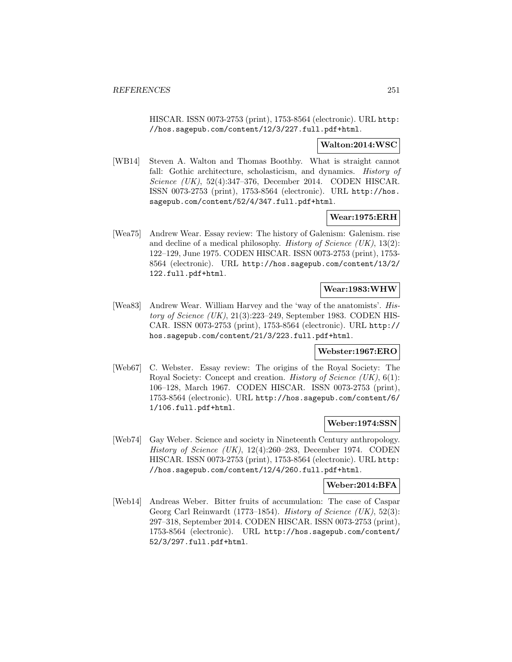HISCAR. ISSN 0073-2753 (print), 1753-8564 (electronic). URL http: //hos.sagepub.com/content/12/3/227.full.pdf+html.

## **Walton:2014:WSC**

[WB14] Steven A. Walton and Thomas Boothby. What is straight cannot fall: Gothic architecture, scholasticism, and dynamics. *History of* Science (UK), 52(4):347–376, December 2014. CODEN HISCAR. ISSN 0073-2753 (print), 1753-8564 (electronic). URL http://hos. sagepub.com/content/52/4/347.full.pdf+html.

# **Wear:1975:ERH**

[Wea75] Andrew Wear. Essay review: The history of Galenism: Galenism. rise and decline of a medical philosophy. History of Science  $(UK)$ , 13(2): 122–129, June 1975. CODEN HISCAR. ISSN 0073-2753 (print), 1753- 8564 (electronic). URL http://hos.sagepub.com/content/13/2/ 122.full.pdf+html.

# **Wear:1983:WHW**

[Wea83] Andrew Wear. William Harvey and the 'way of the anatomists'. History of Science  $(UK)$ , 21(3):223–249, September 1983. CODEN HIS-CAR. ISSN 0073-2753 (print), 1753-8564 (electronic). URL http:// hos.sagepub.com/content/21/3/223.full.pdf+html.

## **Webster:1967:ERO**

[Web67] C. Webster. Essay review: The origins of the Royal Society: The Royal Society: Concept and creation. History of Science (UK), 6(1): 106–128, March 1967. CODEN HISCAR. ISSN 0073-2753 (print), 1753-8564 (electronic). URL http://hos.sagepub.com/content/6/ 1/106.full.pdf+html.

## **Weber:1974:SSN**

[Web74] Gay Weber. Science and society in Nineteenth Century anthropology. History of Science (UK), 12(4):260–283, December 1974. CODEN HISCAR. ISSN 0073-2753 (print), 1753-8564 (electronic). URL http: //hos.sagepub.com/content/12/4/260.full.pdf+html.

## **Weber:2014:BFA**

[Web14] Andreas Weber. Bitter fruits of accumulation: The case of Caspar Georg Carl Reinwardt (1773–1854). History of Science  $(UK)$ , 52(3): 297–318, September 2014. CODEN HISCAR. ISSN 0073-2753 (print), 1753-8564 (electronic). URL http://hos.sagepub.com/content/ 52/3/297.full.pdf+html.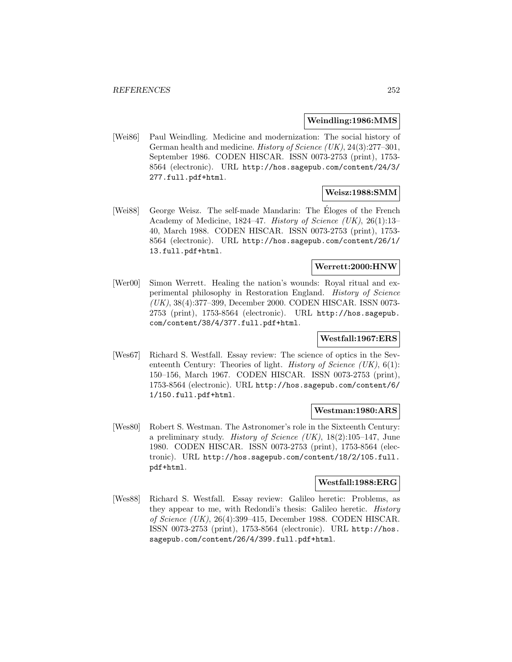## **Weindling:1986:MMS**

[Wei86] Paul Weindling. Medicine and modernization: The social history of German health and medicine. History of Science (UK), 24(3):277–301, September 1986. CODEN HISCAR. ISSN 0073-2753 (print), 1753- 8564 (electronic). URL http://hos.sagepub.com/content/24/3/ 277.full.pdf+html.

## **Weisz:1988:SMM**

[Wei88] George Weisz. The self-made Mandarin: The Eloges of the French Academy of Medicine, 1824–47. History of Science (UK), 26(1):13– 40, March 1988. CODEN HISCAR. ISSN 0073-2753 (print), 1753- 8564 (electronic). URL http://hos.sagepub.com/content/26/1/ 13.full.pdf+html.

# **Werrett:2000:HNW**

[Wer00] Simon Werrett. Healing the nation's wounds: Royal ritual and experimental philosophy in Restoration England. History of Science (UK), 38(4):377–399, December 2000. CODEN HISCAR. ISSN 0073- 2753 (print), 1753-8564 (electronic). URL http://hos.sagepub. com/content/38/4/377.full.pdf+html.

## **Westfall:1967:ERS**

[Wes67] Richard S. Westfall. Essay review: The science of optics in the Seventeenth Century: Theories of light. *History of Science (UK)*,  $6(1)$ : 150–156, March 1967. CODEN HISCAR. ISSN 0073-2753 (print), 1753-8564 (electronic). URL http://hos.sagepub.com/content/6/ 1/150.full.pdf+html.

#### **Westman:1980:ARS**

[Wes80] Robert S. Westman. The Astronomer's role in the Sixteenth Century: a preliminary study. History of Science  $(UK)$ , 18(2):105–147, June 1980. CODEN HISCAR. ISSN 0073-2753 (print), 1753-8564 (electronic). URL http://hos.sagepub.com/content/18/2/105.full. pdf+html.

## **Westfall:1988:ERG**

[Wes88] Richard S. Westfall. Essay review: Galileo heretic: Problems, as they appear to me, with Redondi's thesis: Galileo heretic. History of Science (UK), 26(4):399–415, December 1988. CODEN HISCAR. ISSN 0073-2753 (print), 1753-8564 (electronic). URL http://hos. sagepub.com/content/26/4/399.full.pdf+html.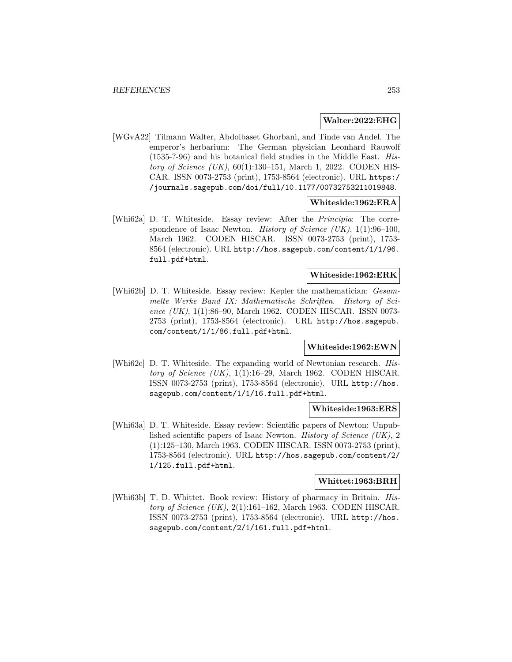#### **Walter:2022:EHG**

[WGvA22] Tilmann Walter, Abdolbaset Ghorbani, and Tinde van Andel. The emperor's herbarium: The German physician Leonhard Rauwolf (1535-?-96) and his botanical field studies in the Middle East. History of Science (UK), 60(1):130–151, March 1, 2022. CODEN HIS-CAR. ISSN 0073-2753 (print), 1753-8564 (electronic). URL https:/ /journals.sagepub.com/doi/full/10.1177/00732753211019848.

### **Whiteside:1962:ERA**

[Whi62a] D. T. Whiteside. Essay review: After the Principia: The correspondence of Isaac Newton. History of Science  $(UK), 1(1):96-100$ , March 1962. CODEN HISCAR. ISSN 0073-2753 (print), 1753- 8564 (electronic). URL http://hos.sagepub.com/content/1/1/96. full.pdf+html.

## **Whiteside:1962:ERK**

[Whi62b] D. T. Whiteside. Essay review: Kepler the mathematician: Gesammelte Werke Band IX: Mathematische Schriften. History of Science (UK), 1(1):86-90, March 1962. CODEN HISCAR. ISSN 0073-2753 (print), 1753-8564 (electronic). URL http://hos.sagepub. com/content/1/1/86.full.pdf+html.

### **Whiteside:1962:EWN**

[Whi62c] D. T. Whiteside. The expanding world of Newtonian research. History of Science  $(UK)$ , 1(1):16–29, March 1962. CODEN HISCAR. ISSN 0073-2753 (print), 1753-8564 (electronic). URL http://hos. sagepub.com/content/1/1/16.full.pdf+html.

#### **Whiteside:1963:ERS**

[Whi63a] D. T. Whiteside. Essay review: Scientific papers of Newton: Unpublished scientific papers of Isaac Newton. History of Science (UK), 2 (1):125–130, March 1963. CODEN HISCAR. ISSN 0073-2753 (print), 1753-8564 (electronic). URL http://hos.sagepub.com/content/2/ 1/125.full.pdf+html.

### **Whittet:1963:BRH**

[Whi63b] T. D. Whittet. Book review: History of pharmacy in Britain. History of Science  $(UK)$ , 2(1):161–162, March 1963. CODEN HISCAR. ISSN 0073-2753 (print), 1753-8564 (electronic). URL http://hos. sagepub.com/content/2/1/161.full.pdf+html.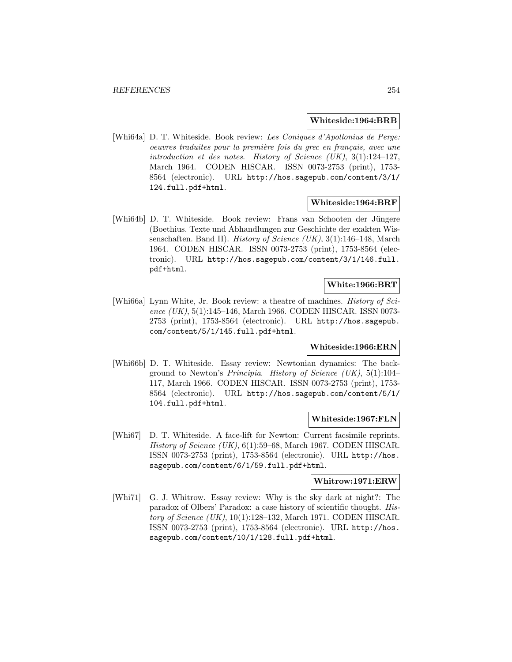#### **Whiteside:1964:BRB**

[Whi64a] D. T. Whiteside. Book review: Les Coniques d'Apollonius de Perge: oeuvres traduites pour la première fois du grec en français, avec une introduction et des notes. History of Science  $(UK), 3(1):124-127,$ March 1964. CODEN HISCAR. ISSN 0073-2753 (print), 1753- 8564 (electronic). URL http://hos.sagepub.com/content/3/1/ 124.full.pdf+html.

#### **Whiteside:1964:BRF**

[Whi64b] D. T. Whiteside. Book review: Frans van Schooten der Jüngere (Boethius. Texte und Abhandlungen zur Geschichte der exakten Wissenschaften. Band II). History of Science (UK), 3(1):146–148, March 1964. CODEN HISCAR. ISSN 0073-2753 (print), 1753-8564 (electronic). URL http://hos.sagepub.com/content/3/1/146.full. pdf+html.

### **White:1966:BRT**

[Whi66a] Lynn White, Jr. Book review: a theatre of machines. *History of Sci*ence (UK), 5(1):145–146, March 1966. CODEN HISCAR. ISSN 0073-2753 (print), 1753-8564 (electronic). URL http://hos.sagepub. com/content/5/1/145.full.pdf+html.

### **Whiteside:1966:ERN**

[Whi66b] D. T. Whiteside. Essay review: Newtonian dynamics: The background to Newton's Principia. History of Science  $(UK), 5(1):104-$ 117, March 1966. CODEN HISCAR. ISSN 0073-2753 (print), 1753- 8564 (electronic). URL http://hos.sagepub.com/content/5/1/ 104.full.pdf+html.

### **Whiteside:1967:FLN**

[Whi67] D. T. Whiteside. A face-lift for Newton: Current facsimile reprints. History of Science  $(UK)$ , 6(1):59–68, March 1967. CODEN HISCAR. ISSN 0073-2753 (print), 1753-8564 (electronic). URL http://hos. sagepub.com/content/6/1/59.full.pdf+html.

## **Whitrow:1971:ERW**

[Whi71] G. J. Whitrow. Essay review: Why is the sky dark at night?: The paradox of Olbers' Paradox: a case history of scientific thought. History of Science  $(UK)$ , 10(1):128–132, March 1971. CODEN HISCAR. ISSN 0073-2753 (print), 1753-8564 (electronic). URL http://hos. sagepub.com/content/10/1/128.full.pdf+html.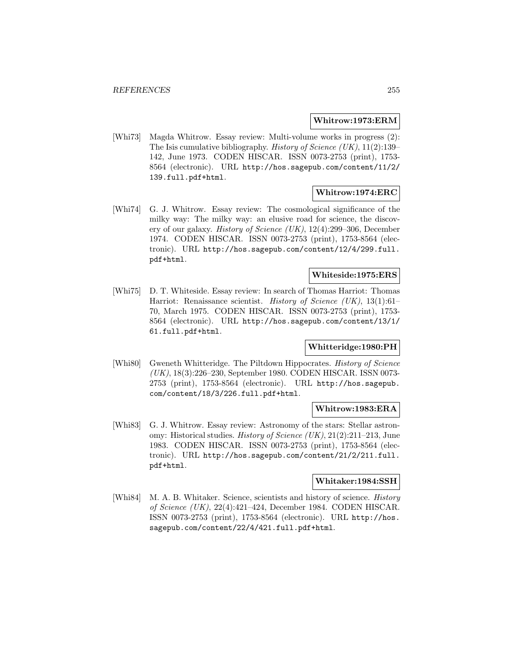### **Whitrow:1973:ERM**

[Whi73] Magda Whitrow. Essay review: Multi-volume works in progress (2): The Isis cumulative bibliography. History of Science  $(UK), 11(2):139-$ 142, June 1973. CODEN HISCAR. ISSN 0073-2753 (print), 1753- 8564 (electronic). URL http://hos.sagepub.com/content/11/2/ 139.full.pdf+html.

## **Whitrow:1974:ERC**

[Whi74] G. J. Whitrow. Essay review: The cosmological significance of the milky way: The milky way: an elusive road for science, the discovery of our galaxy. History of Science (UK), 12(4):299–306, December 1974. CODEN HISCAR. ISSN 0073-2753 (print), 1753-8564 (electronic). URL http://hos.sagepub.com/content/12/4/299.full. pdf+html.

### **Whiteside:1975:ERS**

[Whi75] D. T. Whiteside. Essay review: In search of Thomas Harriot: Thomas Harriot: Renaissance scientist. *History of Science (UK)*, 13(1):61– 70, March 1975. CODEN HISCAR. ISSN 0073-2753 (print), 1753- 8564 (electronic). URL http://hos.sagepub.com/content/13/1/ 61.full.pdf+html.

## **Whitteridge:1980:PH**

[Whi80] Gweneth Whitteridge. The Piltdown Hippocrates. *History of Science* (UK), 18(3):226–230, September 1980. CODEN HISCAR. ISSN 0073- 2753 (print), 1753-8564 (electronic). URL http://hos.sagepub. com/content/18/3/226.full.pdf+html.

### **Whitrow:1983:ERA**

[Whi83] G. J. Whitrow. Essay review: Astronomy of the stars: Stellar astronomy: Historical studies. History of Science (UK), 21(2):211–213, June 1983. CODEN HISCAR. ISSN 0073-2753 (print), 1753-8564 (electronic). URL http://hos.sagepub.com/content/21/2/211.full. pdf+html.

### **Whitaker:1984:SSH**

[Whi84] M. A. B. Whitaker. Science, scientists and history of science. *History* of Science (UK), 22(4):421–424, December 1984. CODEN HISCAR. ISSN 0073-2753 (print), 1753-8564 (electronic). URL http://hos. sagepub.com/content/22/4/421.full.pdf+html.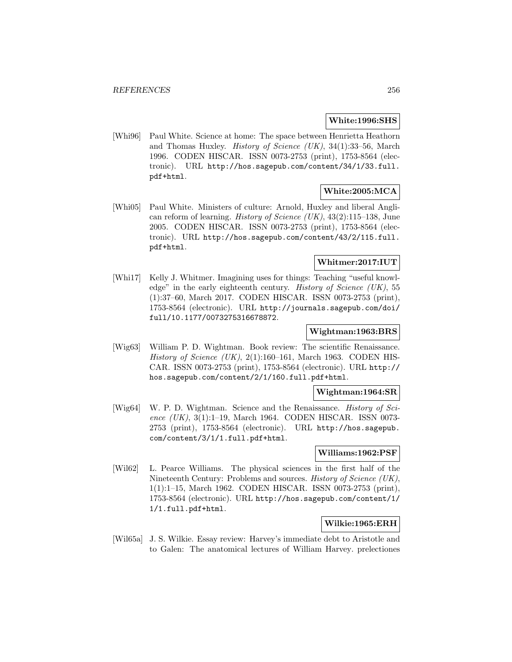### **White:1996:SHS**

[Whi96] Paul White. Science at home: The space between Henrietta Heathorn and Thomas Huxley. History of Science (UK), 34(1):33–56, March 1996. CODEN HISCAR. ISSN 0073-2753 (print), 1753-8564 (electronic). URL http://hos.sagepub.com/content/34/1/33.full. pdf+html.

## **White:2005:MCA**

[Whi05] Paul White. Ministers of culture: Arnold, Huxley and liberal Anglican reform of learning. *History of Science (UK)*,  $43(2):115-138$ , June 2005. CODEN HISCAR. ISSN 0073-2753 (print), 1753-8564 (electronic). URL http://hos.sagepub.com/content/43/2/115.full. pdf+html.

## **Whitmer:2017:IUT**

[Whi17] Kelly J. Whitmer. Imagining uses for things: Teaching "useful knowledge" in the early eighteenth century. History of Science (UK), 55 (1):37–60, March 2017. CODEN HISCAR. ISSN 0073-2753 (print), 1753-8564 (electronic). URL http://journals.sagepub.com/doi/ full/10.1177/0073275316678872.

# **Wightman:1963:BRS**

[Wig63] William P. D. Wightman. Book review: The scientific Renaissance. History of Science (UK),  $2(1):160-161$ , March 1963. CODEN HIS-CAR. ISSN 0073-2753 (print), 1753-8564 (electronic). URL http:// hos.sagepub.com/content/2/1/160.full.pdf+html.

### **Wightman:1964:SR**

[Wig64] W. P. D. Wightman. Science and the Renaissance. History of Science (UK), 3(1):1-19, March 1964. CODEN HISCAR. ISSN 0073-2753 (print), 1753-8564 (electronic). URL http://hos.sagepub. com/content/3/1/1.full.pdf+html.

### **Williams:1962:PSF**

[Wil62] L. Pearce Williams. The physical sciences in the first half of the Nineteenth Century: Problems and sources. History of Science (UK), 1(1):1–15, March 1962. CODEN HISCAR. ISSN 0073-2753 (print), 1753-8564 (electronic). URL http://hos.sagepub.com/content/1/ 1/1.full.pdf+html.

## **Wilkie:1965:ERH**

[Wil65a] J. S. Wilkie. Essay review: Harvey's immediate debt to Aristotle and to Galen: The anatomical lectures of William Harvey. prelectiones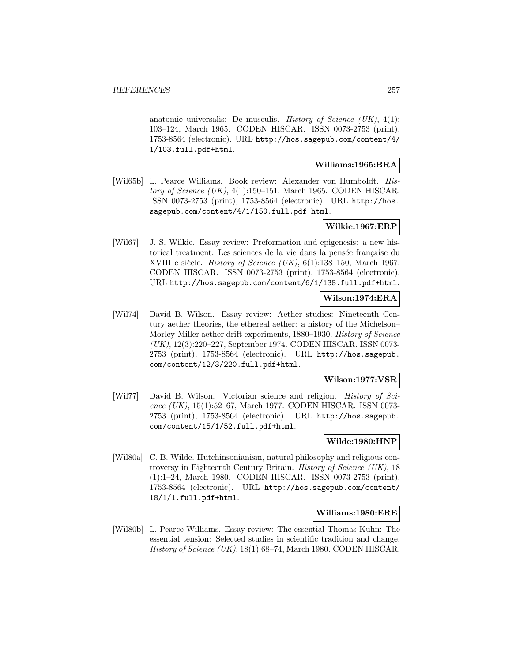anatomie universalis: De musculis. History of Science  $(UK)$ ,  $4(1)$ : 103–124, March 1965. CODEN HISCAR. ISSN 0073-2753 (print), 1753-8564 (electronic). URL http://hos.sagepub.com/content/4/ 1/103.full.pdf+html.

#### **Williams:1965:BRA**

[Wil65b] L. Pearce Williams. Book review: Alexander von Humboldt. History of Science  $(UK)$ , 4(1):150–151, March 1965. CODEN HISCAR. ISSN 0073-2753 (print), 1753-8564 (electronic). URL http://hos. sagepub.com/content/4/1/150.full.pdf+html.

### **Wilkie:1967:ERP**

[Wil67] J. S. Wilkie. Essay review: Preformation and epigenesis: a new historical treatment: Les sciences de la vie dans la pensée française du XVIII e siècle. History of Science (UK),  $6(1):138-150$ , March 1967. CODEN HISCAR. ISSN 0073-2753 (print), 1753-8564 (electronic). URL http://hos.sagepub.com/content/6/1/138.full.pdf+html.

### **Wilson:1974:ERA**

[Wil74] David B. Wilson. Essay review: Aether studies: Nineteenth Century aether theories, the ethereal aether: a history of the Michelson– Morley-Miller aether drift experiments, 1880–1930. History of Science (UK), 12(3):220–227, September 1974. CODEN HISCAR. ISSN 0073- 2753 (print), 1753-8564 (electronic). URL http://hos.sagepub. com/content/12/3/220.full.pdf+html.

### **Wilson:1977:VSR**

[Wil77] David B. Wilson. Victorian science and religion. History of Science (UK), 15(1):52–67, March 1977. CODEN HISCAR. ISSN 0073-2753 (print), 1753-8564 (electronic). URL http://hos.sagepub. com/content/15/1/52.full.pdf+html.

## **Wilde:1980:HNP**

[Wil80a] C. B. Wilde. Hutchinsonianism, natural philosophy and religious controversy in Eighteenth Century Britain. History of Science (UK), 18 (1):1–24, March 1980. CODEN HISCAR. ISSN 0073-2753 (print), 1753-8564 (electronic). URL http://hos.sagepub.com/content/ 18/1/1.full.pdf+html.

### **Williams:1980:ERE**

[Wil80b] L. Pearce Williams. Essay review: The essential Thomas Kuhn: The essential tension: Selected studies in scientific tradition and change. History of Science  $(UK)$ , 18(1):68–74, March 1980. CODEN HISCAR.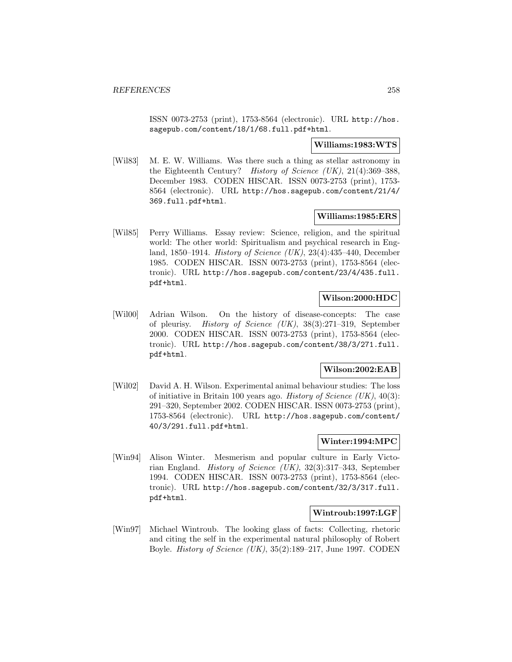ISSN 0073-2753 (print), 1753-8564 (electronic). URL http://hos. sagepub.com/content/18/1/68.full.pdf+html.

### **Williams:1983:WTS**

[Wil83] M. E. W. Williams. Was there such a thing as stellar astronomy in the Eighteenth Century? History of Science (UK), 21(4):369–388, December 1983. CODEN HISCAR. ISSN 0073-2753 (print), 1753- 8564 (electronic). URL http://hos.sagepub.com/content/21/4/ 369.full.pdf+html.

## **Williams:1985:ERS**

[Wil85] Perry Williams. Essay review: Science, religion, and the spiritual world: The other world: Spiritualism and psychical research in England, 1850–1914. History of Science (UK), 23(4):435–440, December 1985. CODEN HISCAR. ISSN 0073-2753 (print), 1753-8564 (electronic). URL http://hos.sagepub.com/content/23/4/435.full. pdf+html.

### **Wilson:2000:HDC**

[Wil00] Adrian Wilson. On the history of disease-concepts: The case of pleurisy. History of Science (UK), 38(3):271–319, September 2000. CODEN HISCAR. ISSN 0073-2753 (print), 1753-8564 (electronic). URL http://hos.sagepub.com/content/38/3/271.full. pdf+html.

### **Wilson:2002:EAB**

[Wil02] David A. H. Wilson. Experimental animal behaviour studies: The loss of initiative in Britain 100 years ago. History of Science  $(UK)$ , 40(3): 291–320, September 2002. CODEN HISCAR. ISSN 0073-2753 (print), 1753-8564 (electronic). URL http://hos.sagepub.com/content/ 40/3/291.full.pdf+html.

### **Winter:1994:MPC**

[Win94] Alison Winter. Mesmerism and popular culture in Early Victorian England. History of Science (UK), 32(3):317–343, September 1994. CODEN HISCAR. ISSN 0073-2753 (print), 1753-8564 (electronic). URL http://hos.sagepub.com/content/32/3/317.full. pdf+html.

### **Wintroub:1997:LGF**

[Win97] Michael Wintroub. The looking glass of facts: Collecting, rhetoric and citing the self in the experimental natural philosophy of Robert Boyle. *History of Science (UK)*,  $35(2):189-217$ , June 1997. CODEN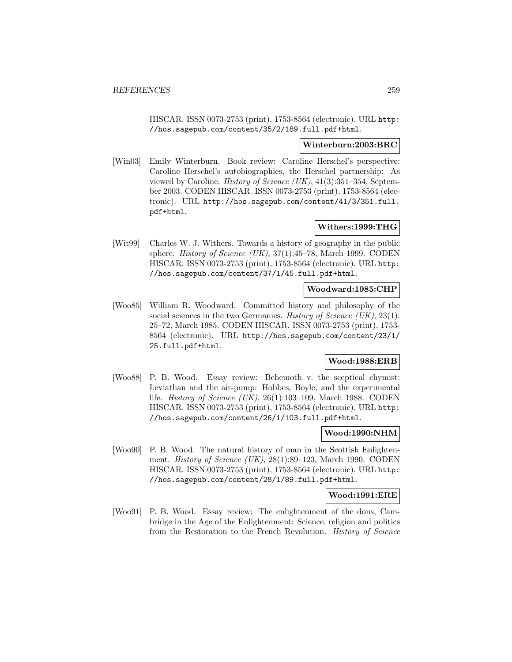HISCAR. ISSN 0073-2753 (print), 1753-8564 (electronic). URL http: //hos.sagepub.com/content/35/2/189.full.pdf+html.

#### **Winterburn:2003:BRC**

[Win03] Emily Winterburn. Book review: Caroline Herschel's perspective: Caroline Herschel's autobiographies, the Herschel partnership: As viewed by Caroline. History of Science (UK), 41(3):351–354, September 2003. CODEN HISCAR. ISSN 0073-2753 (print), 1753-8564 (electronic). URL http://hos.sagepub.com/content/41/3/351.full. pdf+html.

### **Withers:1999:THG**

[Wit99] Charles W. J. Withers. Towards a history of geography in the public sphere. *History of Science (UK)*,  $37(1):45-78$ , March 1999. CODEN HISCAR. ISSN 0073-2753 (print), 1753-8564 (electronic). URL http: //hos.sagepub.com/content/37/1/45.full.pdf+html.

## **Woodward:1985:CHP**

[Woo85] William R. Woodward. Committed history and philosophy of the social sciences in the two Germanies. History of Science  $(UK), 23(1)$ : 25–72, March 1985. CODEN HISCAR. ISSN 0073-2753 (print), 1753- 8564 (electronic). URL http://hos.sagepub.com/content/23/1/ 25.full.pdf+html.

### **Wood:1988:ERB**

[Woo88] P. B. Wood. Essay review: Behemoth v. the sceptical chymist: Leviathan and the air-pump: Hobbes, Boyle, and the experimental life. History of Science (UK), 26(1):103–109, March 1988. CODEN HISCAR. ISSN 0073-2753 (print), 1753-8564 (electronic). URL http: //hos.sagepub.com/content/26/1/103.full.pdf+html.

#### **Wood:1990:NHM**

[Woo90] P. B. Wood. The natural history of man in the Scottish Enlightenment. History of Science (UK), 28(1):89-123, March 1990. CODEN HISCAR. ISSN 0073-2753 (print), 1753-8564 (electronic). URL http: //hos.sagepub.com/content/28/1/89.full.pdf+html.

**Wood:1991:ERE**

[Woo91] P. B. Wood. Essay review: The enlightenment of the dons, Cambridge in the Age of the Enlightenment: Science, religion and politics from the Restoration to the French Revolution. History of Science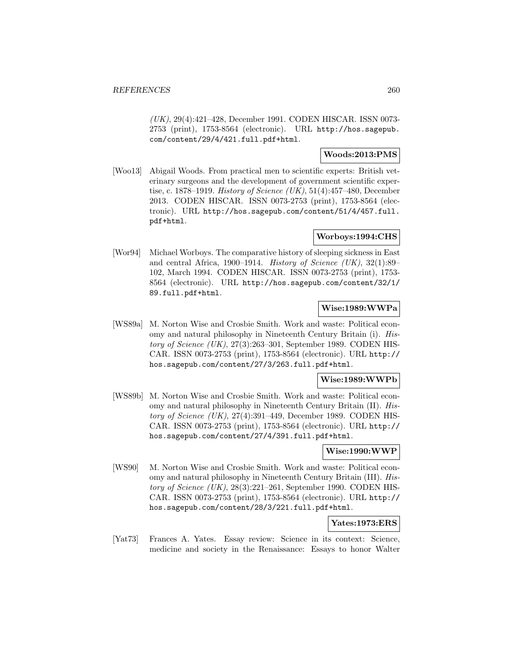(UK), 29(4):421–428, December 1991. CODEN HISCAR. ISSN 0073- 2753 (print), 1753-8564 (electronic). URL http://hos.sagepub. com/content/29/4/421.full.pdf+html.

### **Woods:2013:PMS**

[Woo13] Abigail Woods. From practical men to scientific experts: British veterinary surgeons and the development of government scientific expertise, c. 1878–1919. *History of Science* (UK),  $51(4):457-480$ , December 2013. CODEN HISCAR. ISSN 0073-2753 (print), 1753-8564 (electronic). URL http://hos.sagepub.com/content/51/4/457.full. pdf+html.

# **Worboys:1994:CHS**

[Wor94] Michael Worboys. The comparative history of sleeping sickness in East and central Africa, 1900–1914. History of Science  $(UK)$ , 32(1):89– 102, March 1994. CODEN HISCAR. ISSN 0073-2753 (print), 1753- 8564 (electronic). URL http://hos.sagepub.com/content/32/1/ 89.full.pdf+html.

### **Wise:1989:WWPa**

[WS89a] M. Norton Wise and Crosbie Smith. Work and waste: Political economy and natural philosophy in Nineteenth Century Britain (i). History of Science  $(UK), 27(3):263-301$ , September 1989. CODEN HIS-CAR. ISSN 0073-2753 (print), 1753-8564 (electronic). URL http:// hos.sagepub.com/content/27/3/263.full.pdf+html.

### **Wise:1989:WWPb**

[WS89b] M. Norton Wise and Crosbie Smith. Work and waste: Political economy and natural philosophy in Nineteenth Century Britain (II). History of Science  $(UK)$ , 27(4):391–449, December 1989. CODEN HIS-CAR. ISSN 0073-2753 (print), 1753-8564 (electronic). URL http:// hos.sagepub.com/content/27/4/391.full.pdf+html.

#### **Wise:1990:WWP**

[WS90] M. Norton Wise and Crosbie Smith. Work and waste: Political economy and natural philosophy in Nineteenth Century Britain (III). History of Science  $(UK), 28(3):221-261$ , September 1990. CODEN HIS-CAR. ISSN 0073-2753 (print), 1753-8564 (electronic). URL http:// hos.sagepub.com/content/28/3/221.full.pdf+html.

## **Yates:1973:ERS**

[Yat73] Frances A. Yates. Essay review: Science in its context: Science, medicine and society in the Renaissance: Essays to honor Walter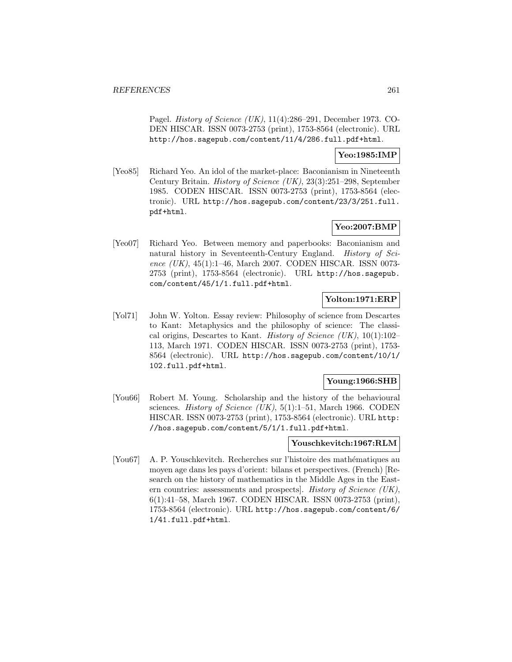Pagel. History of Science (UK), 11(4):286–291, December 1973. CO-DEN HISCAR. ISSN 0073-2753 (print), 1753-8564 (electronic). URL http://hos.sagepub.com/content/11/4/286.full.pdf+html.

### **Yeo:1985:IMP**

[Yeo85] Richard Yeo. An idol of the market-place: Baconianism in Nineteenth Century Britain. History of Science (UK), 23(3):251–298, September 1985. CODEN HISCAR. ISSN 0073-2753 (print), 1753-8564 (electronic). URL http://hos.sagepub.com/content/23/3/251.full. pdf+html.

# **Yeo:2007:BMP**

[Yeo07] Richard Yeo. Between memory and paperbooks: Baconianism and natural history in Seventeenth-Century England. *History of Sci*ence  $(UK)$ , 45(1):1–46, March 2007. CODEN HISCAR. ISSN 0073-2753 (print), 1753-8564 (electronic). URL http://hos.sagepub. com/content/45/1/1.full.pdf+html.

### **Yolton:1971:ERP**

[Yol71] John W. Yolton. Essay review: Philosophy of science from Descartes to Kant: Metaphysics and the philosophy of science: The classical origins, Descartes to Kant. History of Science (UK), 10(1):102– 113, March 1971. CODEN HISCAR. ISSN 0073-2753 (print), 1753- 8564 (electronic). URL http://hos.sagepub.com/content/10/1/ 102.full.pdf+html.

## **Young:1966:SHB**

[You66] Robert M. Young. Scholarship and the history of the behavioural sciences. *History of Science (UK)*,  $5(1):1-51$ , March 1966. CODEN HISCAR. ISSN 0073-2753 (print), 1753-8564 (electronic). URL http: //hos.sagepub.com/content/5/1/1.full.pdf+html.

### **Youschkevitch:1967:RLM**

[You67] A. P. Youschkevitch. Recherches sur l'histoire des mathématiques au moyen age dans les pays d'orient: bilans et perspectives. (French) [Research on the history of mathematics in the Middle Ages in the Eastern countries: assessments and prospects]. History of Science (UK), 6(1):41–58, March 1967. CODEN HISCAR. ISSN 0073-2753 (print), 1753-8564 (electronic). URL http://hos.sagepub.com/content/6/ 1/41.full.pdf+html.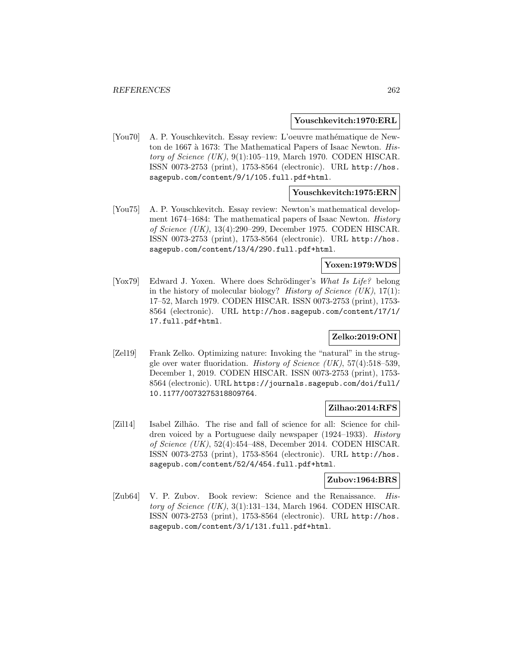#### **Youschkevitch:1970:ERL**

[You70] A. P. Youschkevitch. Essay review: L'oeuvre mathématique de Newton de 1667 à 1673: The Mathematical Papers of Isaac Newton. History of Science  $(UK)$ , 9(1):105–119, March 1970. CODEN HISCAR. ISSN 0073-2753 (print), 1753-8564 (electronic). URL http://hos. sagepub.com/content/9/1/105.full.pdf+html.

## **Youschkevitch:1975:ERN**

[You75] A. P. Youschkevitch. Essay review: Newton's mathematical development 1674–1684: The mathematical papers of Isaac Newton. History of Science (UK), 13(4):290–299, December 1975. CODEN HISCAR. ISSN 0073-2753 (print), 1753-8564 (electronic). URL http://hos. sagepub.com/content/13/4/290.full.pdf+html.

### **Yoxen:1979:WDS**

[Yox79] Edward J. Yoxen. Where does Schrödinger's What Is Life? belong in the history of molecular biology? History of Science  $(UK), 17(1)$ : 17–52, March 1979. CODEN HISCAR. ISSN 0073-2753 (print), 1753- 8564 (electronic). URL http://hos.sagepub.com/content/17/1/ 17.full.pdf+html.

## **Zelko:2019:ONI**

[Zel19] Frank Zelko. Optimizing nature: Invoking the "natural" in the struggle over water fluoridation. *History of Science* (UK),  $57(4):518-539$ , December 1, 2019. CODEN HISCAR. ISSN 0073-2753 (print), 1753- 8564 (electronic). URL https://journals.sagepub.com/doi/full/ 10.1177/0073275318809764.

### **Zilhao:2014:RFS**

[Zil14] Isabel Zilhão. The rise and fall of science for all: Science for children voiced by a Portuguese daily newspaper (1924–1933). History of Science (UK), 52(4):454–488, December 2014. CODEN HISCAR. ISSN 0073-2753 (print), 1753-8564 (electronic). URL http://hos. sagepub.com/content/52/4/454.full.pdf+html.

# **Zubov:1964:BRS**

[Zub64] V. P. Zubov. Book review: Science and the Renaissance. History of Science  $(UK), 3(1):131-134$ , March 1964. CODEN HISCAR. ISSN 0073-2753 (print), 1753-8564 (electronic). URL http://hos. sagepub.com/content/3/1/131.full.pdf+html.